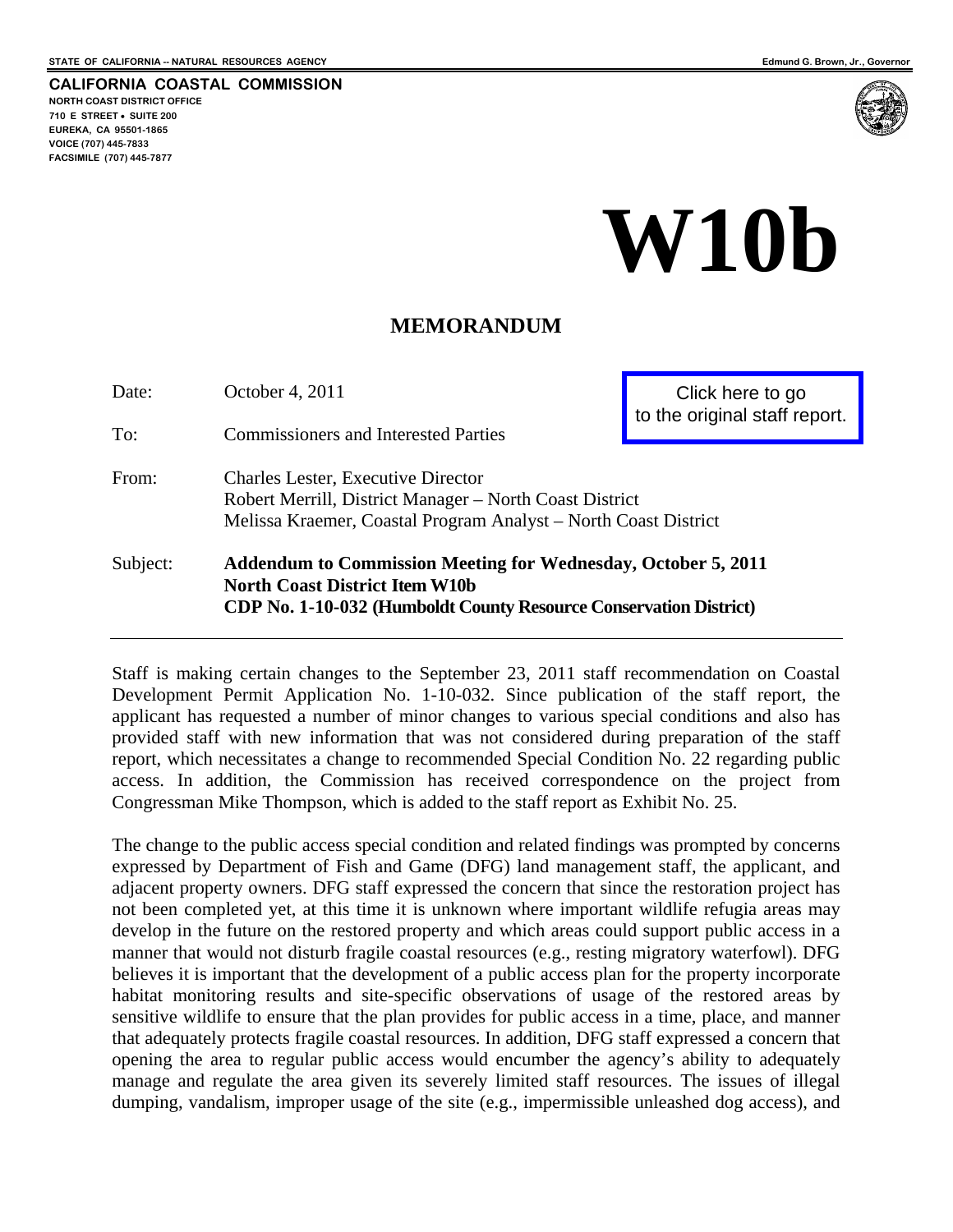**CALIFORNIA COASTAL COMMISSION NORTH COAST DISTRICT OFFICE 710 E STREET** • **SUITE 200 EUREKA, CA 95501-1865 VOICE (707) 445-7833 FACSIMILE (707) 445-7877** 



# **W10b**

# **MEMORANDUM**

| Date:    | October 4, 2011                                                                                                                                                             | Click here to go<br>to the original staff report. |
|----------|-----------------------------------------------------------------------------------------------------------------------------------------------------------------------------|---------------------------------------------------|
| To:      | <b>Commissioners and Interested Parties</b>                                                                                                                                 |                                                   |
| From:    | <b>Charles Lester, Executive Director</b><br>Robert Merrill, District Manager – North Coast District<br>Melissa Kraemer, Coastal Program Analyst – North Coast District     |                                                   |
| Subject: | Addendum to Commission Meeting for Wednesday, October 5, 2011<br><b>North Coast District Item W10b</b><br>CDP No. 1-10-032 (Humboldt County Resource Conservation District) |                                                   |

Staff is making certain changes to the September 23, 2011 staff recommendation on Coastal Development Permit Application No. 1-10-032. Since publication of the staff report, the applicant has requested a number of minor changes to various special conditions and also has provided staff with new information that was not considered during preparation of the staff report, which necessitates a change to recommended Special Condition No. 22 regarding public access. In addition, the Commission has received correspondence on the project from Congressman Mike Thompson, which is added to the staff report as Exhibit No. 25.

The change to the public access special condition and related findings was prompted by concerns expressed by Department of Fish and Game (DFG) land management staff, the applicant, and adjacent property owners. DFG staff expressed the concern that since the restoration project has not been completed yet, at this time it is unknown where important wildlife refugia areas may develop in the future on the restored property and which areas could support public access in a manner that would not disturb fragile coastal resources (e.g., resting migratory waterfowl). DFG believes it is important that the development of a public access plan for the property incorporate habitat monitoring results and site-specific observations of usage of the restored areas by sensitive wildlife to ensure that the plan provides for public access in a time, place, and manner that adequately protects fragile coastal resources. In addition, DFG staff expressed a concern that opening the area to regular public access would encumber the agency's ability to adequately manage and regulate the area given its severely limited staff resources. The issues of illegal dumping, vandalism, improper usage of the site (e.g., impermissible unleashed dog access), and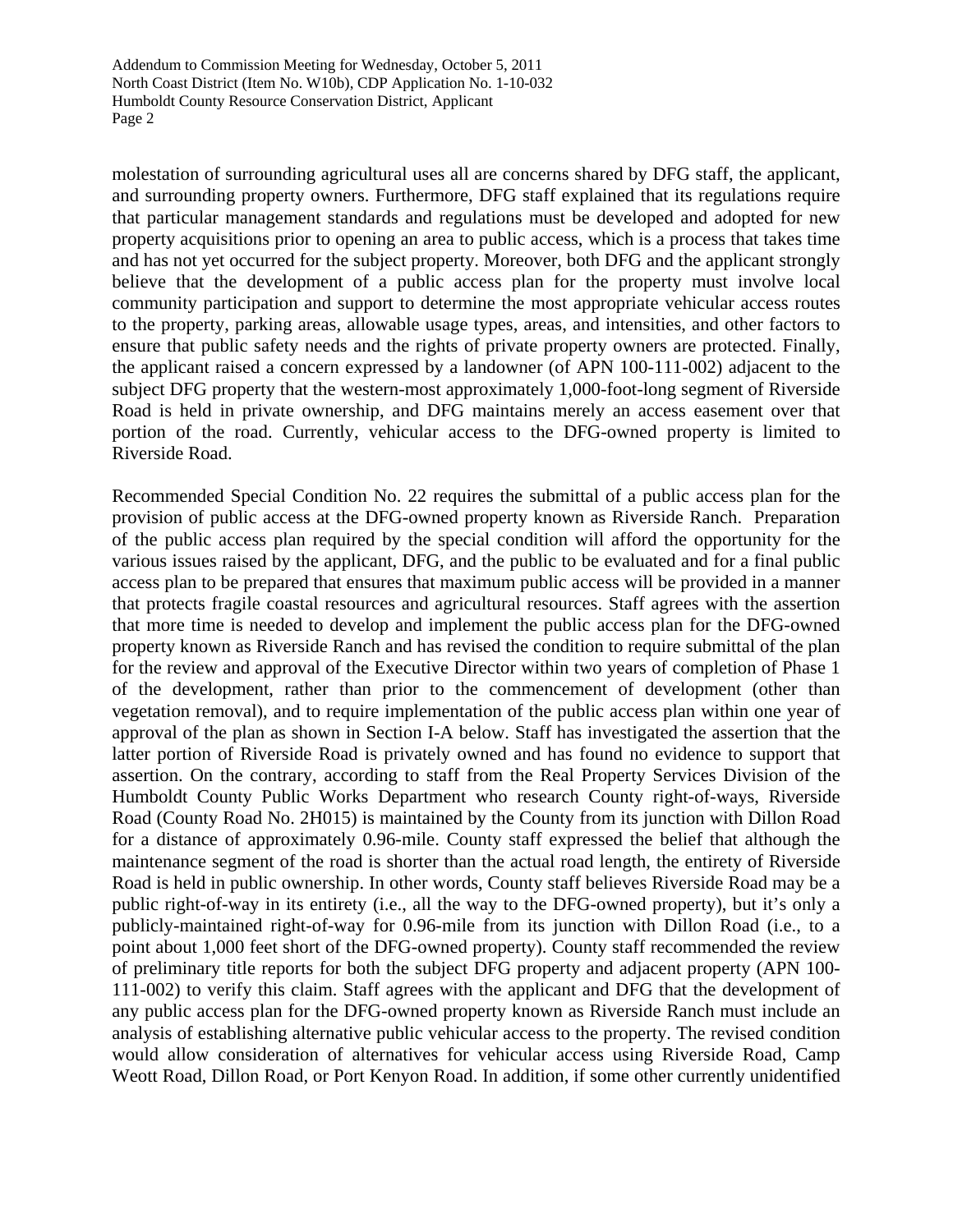molestation of surrounding agricultural uses all are concerns shared by DFG staff, the applicant, and surrounding property owners. Furthermore, DFG staff explained that its regulations require that particular management standards and regulations must be developed and adopted for new property acquisitions prior to opening an area to public access, which is a process that takes time and has not yet occurred for the subject property. Moreover, both DFG and the applicant strongly believe that the development of a public access plan for the property must involve local community participation and support to determine the most appropriate vehicular access routes to the property, parking areas, allowable usage types, areas, and intensities, and other factors to ensure that public safety needs and the rights of private property owners are protected. Finally, the applicant raised a concern expressed by a landowner (of APN 100-111-002) adjacent to the subject DFG property that the western-most approximately 1,000-foot-long segment of Riverside Road is held in private ownership, and DFG maintains merely an access easement over that portion of the road. Currently, vehicular access to the DFG-owned property is limited to Riverside Road.

Recommended Special Condition No. 22 requires the submittal of a public access plan for the provision of public access at the DFG-owned property known as Riverside Ranch. Preparation of the public access plan required by the special condition will afford the opportunity for the various issues raised by the applicant, DFG, and the public to be evaluated and for a final public access plan to be prepared that ensures that maximum public access will be provided in a manner that protects fragile coastal resources and agricultural resources. Staff agrees with the assertion that more time is needed to develop and implement the public access plan for the DFG-owned property known as Riverside Ranch and has revised the condition to require submittal of the plan for the review and approval of the Executive Director within two years of completion of Phase 1 of the development, rather than prior to the commencement of development (other than vegetation removal), and to require implementation of the public access plan within one year of approval of the plan as shown in Section I-A below. Staff has investigated the assertion that the latter portion of Riverside Road is privately owned and has found no evidence to support that assertion. On the contrary, according to staff from the Real Property Services Division of the Humboldt County Public Works Department who research County right-of-ways, Riverside Road (County Road No. 2H015) is maintained by the County from its junction with Dillon Road for a distance of approximately 0.96-mile. County staff expressed the belief that although the maintenance segment of the road is shorter than the actual road length, the entirety of Riverside Road is held in public ownership. In other words, County staff believes Riverside Road may be a public right-of-way in its entirety (i.e., all the way to the DFG-owned property), but it's only a publicly-maintained right-of-way for 0.96-mile from its junction with Dillon Road (i.e., to a point about 1,000 feet short of the DFG-owned property). County staff recommended the review of preliminary title reports for both the subject DFG property and adjacent property (APN 100- 111-002) to verify this claim. Staff agrees with the applicant and DFG that the development of any public access plan for the DFG-owned property known as Riverside Ranch must include an analysis of establishing alternative public vehicular access to the property. The revised condition would allow consideration of alternatives for vehicular access using Riverside Road, Camp Weott Road, Dillon Road, or Port Kenyon Road. In addition, if some other currently unidentified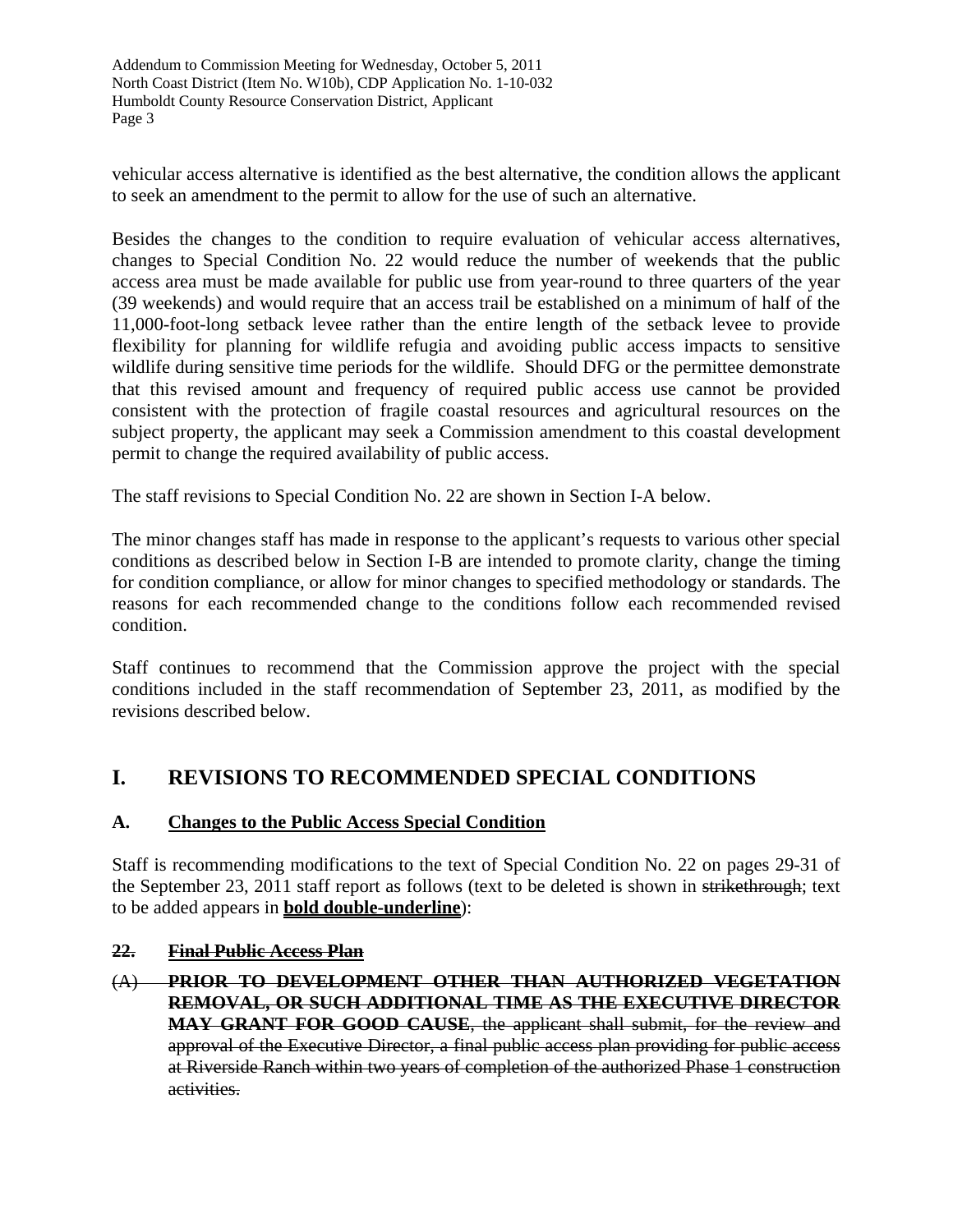vehicular access alternative is identified as the best alternative, the condition allows the applicant to seek an amendment to the permit to allow for the use of such an alternative.

Besides the changes to the condition to require evaluation of vehicular access alternatives, changes to Special Condition No. 22 would reduce the number of weekends that the public access area must be made available for public use from year-round to three quarters of the year (39 weekends) and would require that an access trail be established on a minimum of half of the 11,000-foot-long setback levee rather than the entire length of the setback levee to provide flexibility for planning for wildlife refugia and avoiding public access impacts to sensitive wildlife during sensitive time periods for the wildlife. Should DFG or the permittee demonstrate that this revised amount and frequency of required public access use cannot be provided consistent with the protection of fragile coastal resources and agricultural resources on the subject property, the applicant may seek a Commission amendment to this coastal development permit to change the required availability of public access.

The staff revisions to Special Condition No. 22 are shown in Section I-A below.

The minor changes staff has made in response to the applicant's requests to various other special conditions as described below in Section I-B are intended to promote clarity, change the timing for condition compliance, or allow for minor changes to specified methodology or standards. The reasons for each recommended change to the conditions follow each recommended revised condition.

Staff continues to recommend that the Commission approve the project with the special conditions included in the staff recommendation of September 23, 2011, as modified by the revisions described below.

# **I. REVISIONS TO RECOMMENDED SPECIAL CONDITIONS**

### **A. Changes to the Public Access Special Condition**

Staff is recommending modifications to the text of Special Condition No. 22 on pages 29-31 of the September 23, 2011 staff report as follows (text to be deleted is shown in strikethrough; text to be added appears in **bold double-underline**):

### **22. Final Public Access Plan**

(A) **PRIOR TO DEVELOPMENT OTHER THAN AUTHORIZED VEGETATION REMOVAL, OR SUCH ADDITIONAL TIME AS THE EXECUTIVE DIRECTOR MAY GRANT FOR GOOD CAUSE**, the applicant shall submit, for the review and approval of the Executive Director, a final public access plan providing for public access at Riverside Ranch within two years of completion of the authorized Phase 1 construction activities.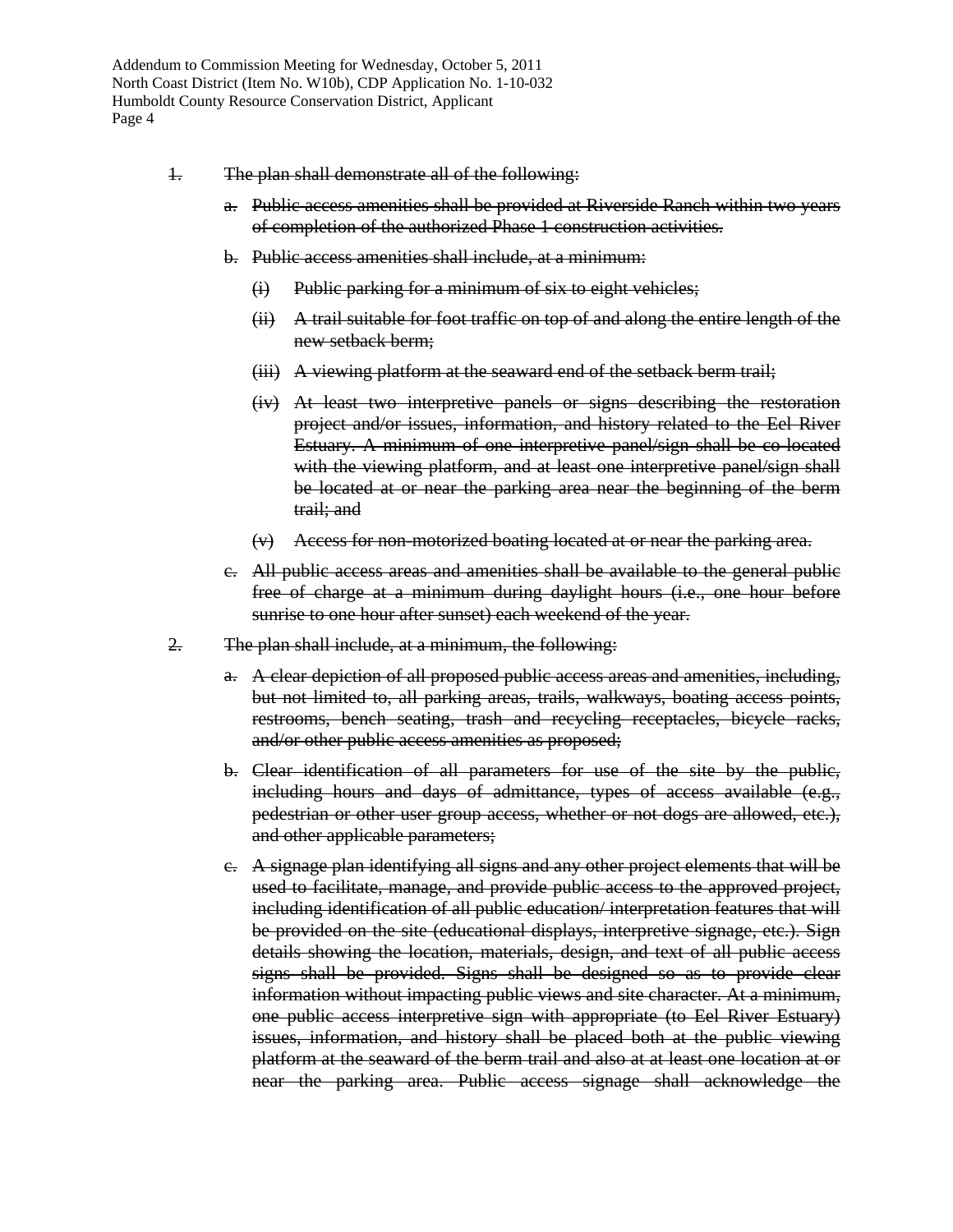- 1. The plan shall demonstrate all of the following:
	- a. Public access amenities shall be provided at Riverside Ranch within two years of completion of the authorized Phase 1 construction activities.
	- b. Public access amenities shall include, at a minimum:
		- (i) Public parking for a minimum of six to eight vehicles;
		- (ii) A trail suitable for foot traffic on top of and along the entire length of the new setback berm;
		- (iii) A viewing platform at the seaward end of the setback berm trail;
		- (iv) At least two interpretive panels or signs describing the restoration project and/or issues, information, and history related to the Eel River Estuary. A minimum of one interpretive panel/sign shall be co-located with the viewing platform, and at least one interpretive panel/sign shall be located at or near the parking area near the beginning of the berm trail; and
		- (v) Access for non-motorized boating located at or near the parking area.
	- c. All public access areas and amenities shall be available to the general public free of charge at a minimum during daylight hours (i.e., one hour before sunrise to one hour after sunset) each weekend of the year.
- 2. The plan shall include, at a minimum, the following:
	- a. A clear depiction of all proposed public access areas and amenities, including, but not limited to, all parking areas, trails, walkways, boating access points, restrooms, bench seating, trash and recycling receptacles, bicycle racks, and/or other public access amenities as proposed;
	- b. Clear identification of all parameters for use of the site by the public, including hours and days of admittance, types of access available (e.g., pedestrian or other user group access, whether or not dogs are allowed, etc.), and other applicable parameters;
	- c. A signage plan identifying all signs and any other project elements that will be used to facilitate, manage, and provide public access to the approved project, including identification of all public education/ interpretation features that will be provided on the site (educational displays, interpretive signage, etc.). Sign details showing the location, materials, design, and text of all public access signs shall be provided. Signs shall be designed so as to provide clear information without impacting public views and site character. At a minimum, one public access interpretive sign with appropriate (to Eel River Estuary) issues, information, and history shall be placed both at the public viewing platform at the seaward of the berm trail and also at at least one location at or near the parking area. Public access signage shall acknowledge the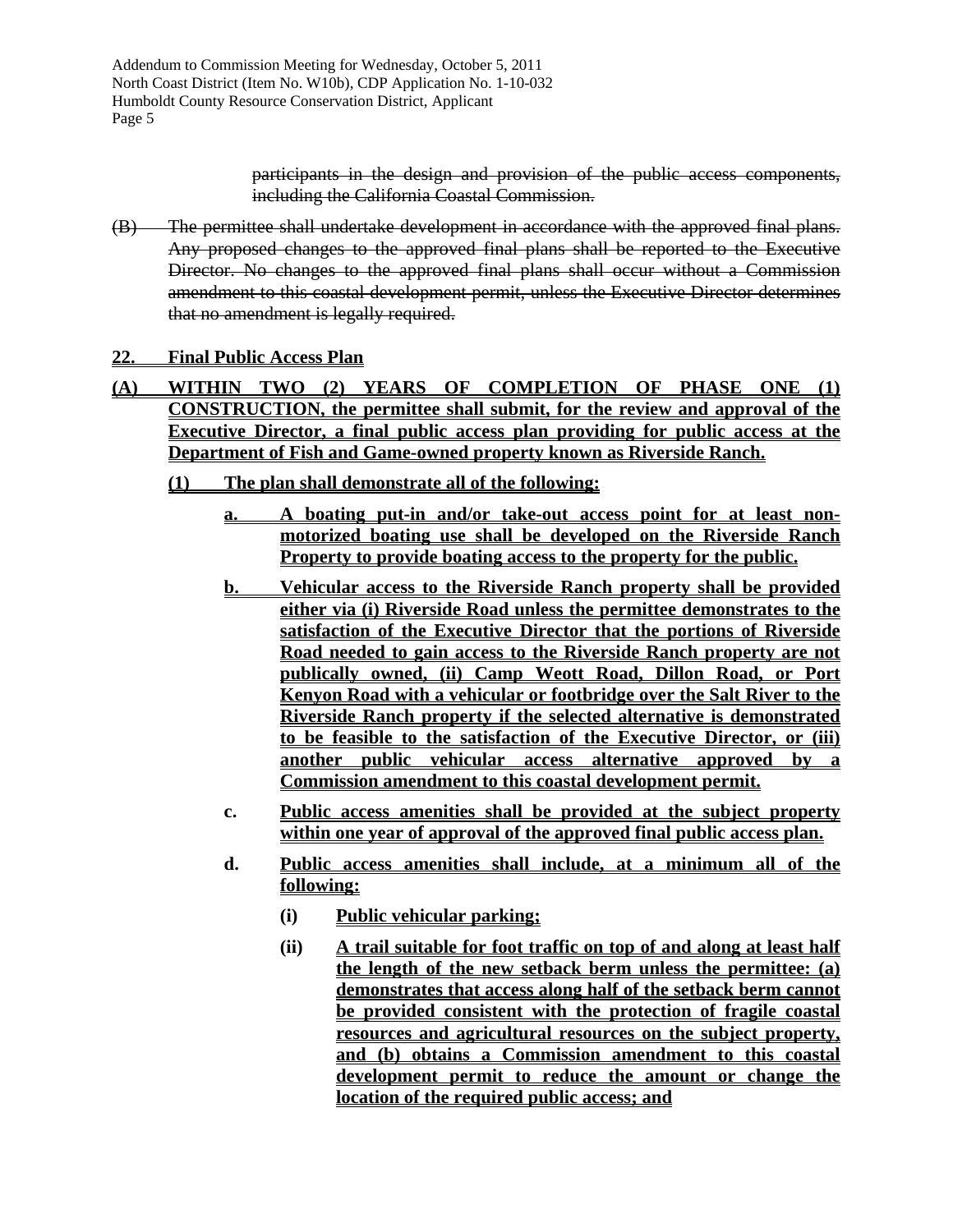> participants in the design and provision of the public access components, including the California Coastal Commission.

- (B) The permittee shall undertake development in accordance with the approved final plans. Any proposed changes to the approved final plans shall be reported to the Executive Director. No changes to the approved final plans shall occur without a Commission amendment to this coastal development permit, unless the Executive Director determines that no amendment is legally required.
- **22. Final Public Access Plan**
- **(A) WITHIN TWO (2) YEARS OF COMPLETION OF PHASE ONE (1) CONSTRUCTION, the permittee shall submit, for the review and approval of the Executive Director, a final public access plan providing for public access at the Department of Fish and Game-owned property known as Riverside Ranch.**
	- **(1) The plan shall demonstrate all of the following:**
		- **a. A boating put-in and/or take-out access point for at least nonmotorized boating use shall be developed on the Riverside Ranch Property to provide boating access to the property for the public.**
		- **b. Vehicular access to the Riverside Ranch property shall be provided either via (i) Riverside Road unless the permittee demonstrates to the satisfaction of the Executive Director that the portions of Riverside Road needed to gain access to the Riverside Ranch property are not publically owned, (ii) Camp Weott Road, Dillon Road, or Port Kenyon Road with a vehicular or footbridge over the Salt River to the Riverside Ranch property if the selected alternative is demonstrated to be feasible to the satisfaction of the Executive Director, or (iii) another public vehicular access alternative approved by a Commission amendment to this coastal development permit.**
		- **c. Public access amenities shall be provided at the subject property within one year of approval of the approved final public access plan.**
		- **d. Public access amenities shall include, at a minimum all of the following:**
			- **(i) Public vehicular parking;**
			- **(ii) A trail suitable for foot traffic on top of and along at least half the length of the new setback berm unless the permittee: (a) demonstrates that access along half of the setback berm cannot be provided consistent with the protection of fragile coastal resources and agricultural resources on the subject property, and (b) obtains a Commission amendment to this coastal development permit to reduce the amount or change the location of the required public access; and**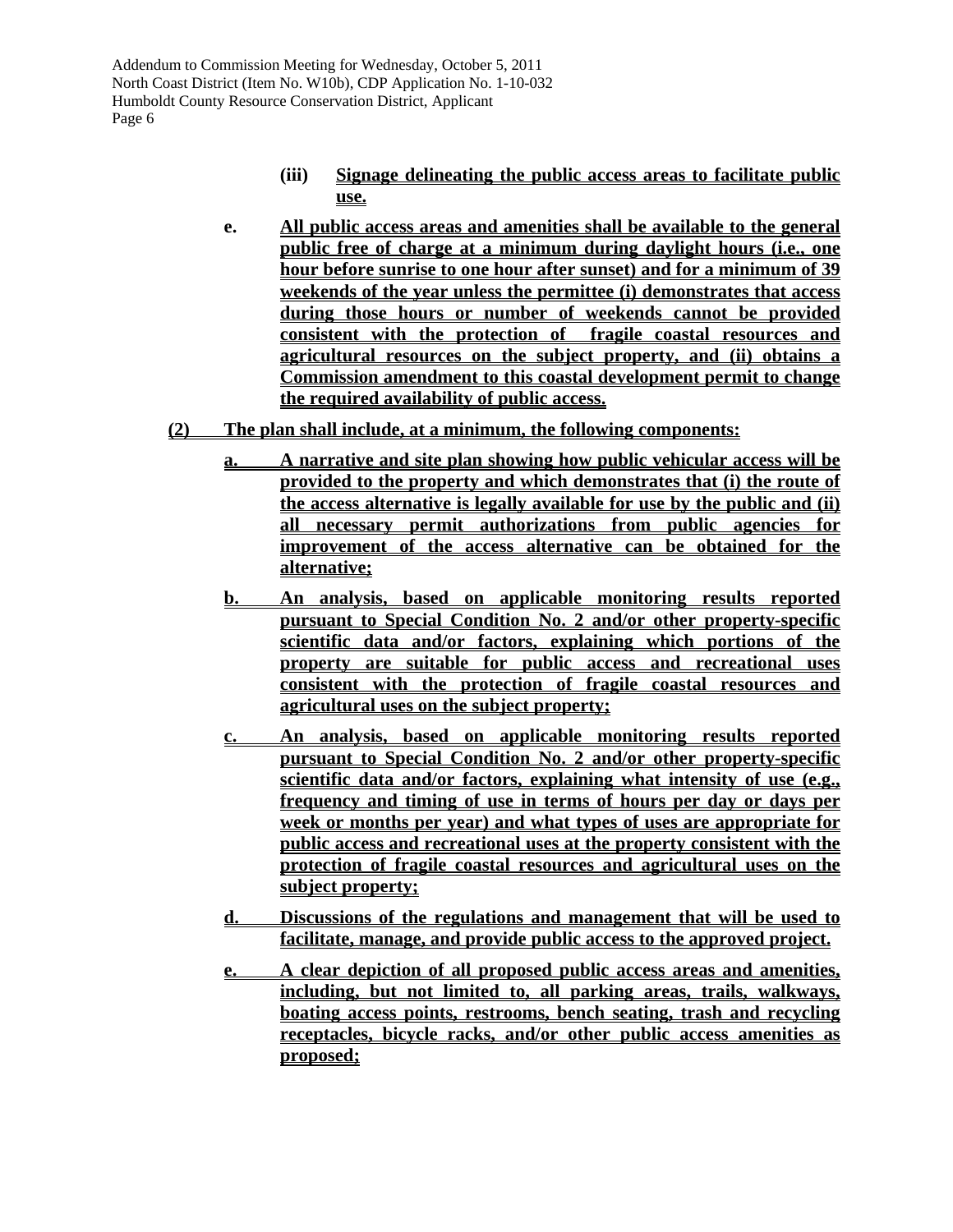- **(iii) Signage delineating the public access areas to facilitate public use.**
- **e. All public access areas and amenities shall be available to the general public free of charge at a minimum during daylight hours (i.e., one hour before sunrise to one hour after sunset) and for a minimum of 39 weekends of the year unless the permittee (i) demonstrates that access during those hours or number of weekends cannot be provided consistent with the protection of fragile coastal resources and agricultural resources on the subject property, and (ii) obtains a Commission amendment to this coastal development permit to change the required availability of public access.**
- **(2) The plan shall include, at a minimum, the following components:**
	- **a. A narrative and site plan showing how public vehicular access will be provided to the property and which demonstrates that (i) the route of the access alternative is legally available for use by the public and (ii) all necessary permit authorizations from public agencies for improvement of the access alternative can be obtained for the alternative;**
	- **b. An analysis, based on applicable monitoring results reported pursuant to Special Condition No. 2 and/or other property-specific scientific data and/or factors, explaining which portions of the property are suitable for public access and recreational uses consistent with the protection of fragile coastal resources and agricultural uses on the subject property;**
	- **c. An analysis, based on applicable monitoring results reported pursuant to Special Condition No. 2 and/or other property-specific scientific data and/or factors, explaining what intensity of use (e.g., frequency and timing of use in terms of hours per day or days per week or months per year) and what types of uses are appropriate for public access and recreational uses at the property consistent with the protection of fragile coastal resources and agricultural uses on the subject property;**
	- **d. Discussions of the regulations and management that will be used to facilitate, manage, and provide public access to the approved project.**
	- **e. A clear depiction of all proposed public access areas and amenities, including, but not limited to, all parking areas, trails, walkways, boating access points, restrooms, bench seating, trash and recycling receptacles, bicycle racks, and/or other public access amenities as proposed;**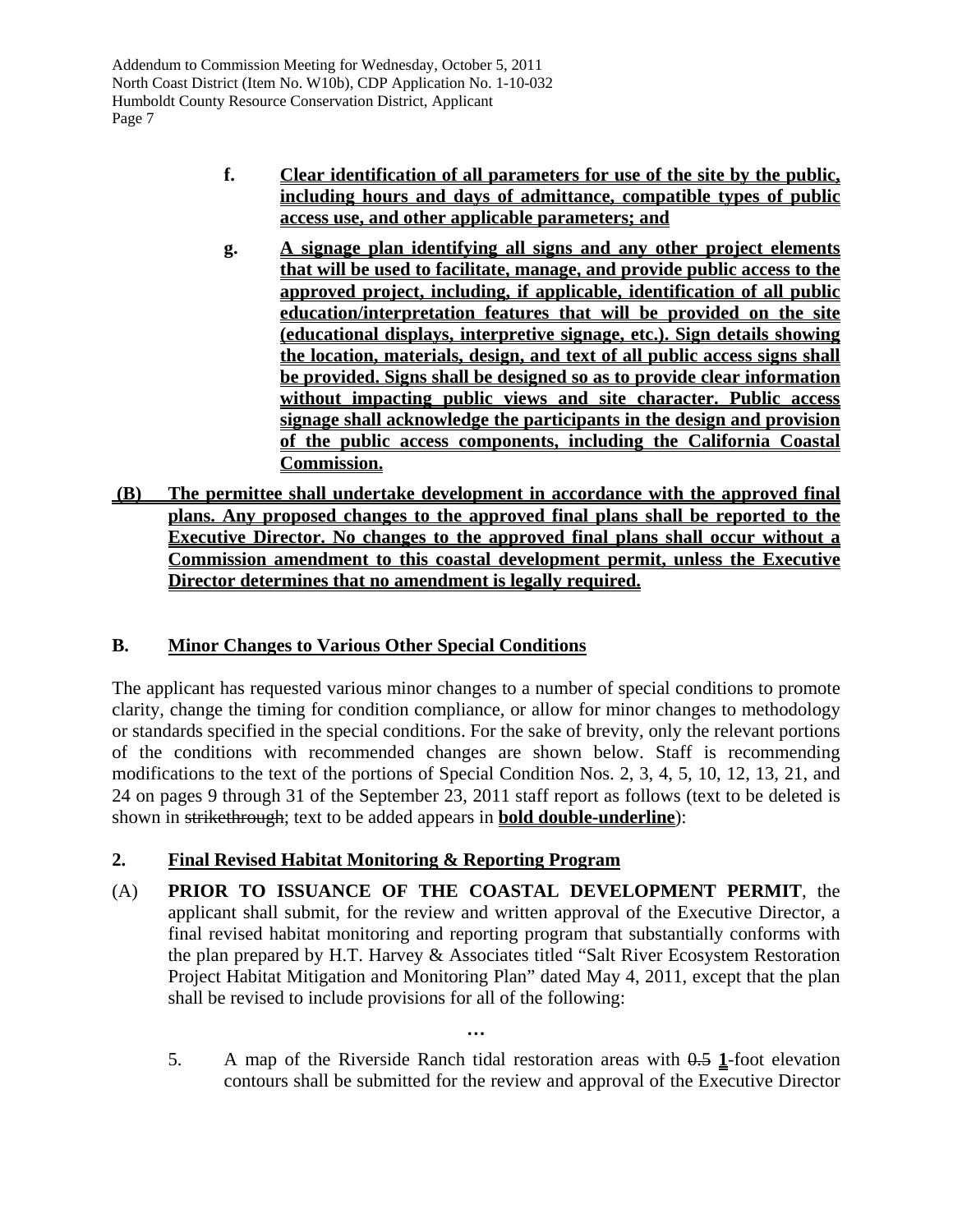- **f. Clear identification of all parameters for use of the site by the public, including hours and days of admittance, compatible types of public access use, and other applicable parameters; and**
- **g. A signage plan identifying all signs and any other project elements that will be used to facilitate, manage, and provide public access to the approved project, including, if applicable, identification of all public education/interpretation features that will be provided on the site (educational displays, interpretive signage, etc.). Sign details showing the location, materials, design, and text of all public access signs shall be provided. Signs shall be designed so as to provide clear information without impacting public views and site character. Public access signage shall acknowledge the participants in the design and provision of the public access components, including the California Coastal Commission.**
- **(B) The permittee shall undertake development in accordance with the approved final plans. Any proposed changes to the approved final plans shall be reported to the Executive Director. No changes to the approved final plans shall occur without a Commission amendment to this coastal development permit, unless the Executive Director determines that no amendment is legally required.**

# **B. Minor Changes to Various Other Special Conditions**

The applicant has requested various minor changes to a number of special conditions to promote clarity, change the timing for condition compliance, or allow for minor changes to methodology or standards specified in the special conditions. For the sake of brevity, only the relevant portions of the conditions with recommended changes are shown below. Staff is recommending modifications to the text of the portions of Special Condition Nos. 2, 3, 4, 5, 10, 12, 13, 21, and 24 on pages 9 through 31 of the September 23, 2011 staff report as follows (text to be deleted is shown in strikethrough; text to be added appears in **bold double-underline**):

# **2. Final Revised Habitat Monitoring & Reporting Program**

- (A) **PRIOR TO ISSUANCE OF THE COASTAL DEVELOPMENT PERMIT**, the applicant shall submit, for the review and written approval of the Executive Director, a final revised habitat monitoring and reporting program that substantially conforms with the plan prepared by H.T. Harvey & Associates titled "Salt River Ecosystem Restoration Project Habitat Mitigation and Monitoring Plan" dated May 4, 2011, except that the plan shall be revised to include provisions for all of the following:
	- **…**
	- 5. A map of the Riverside Ranch tidal restoration areas with 0.5 **1**-foot elevation contours shall be submitted for the review and approval of the Executive Director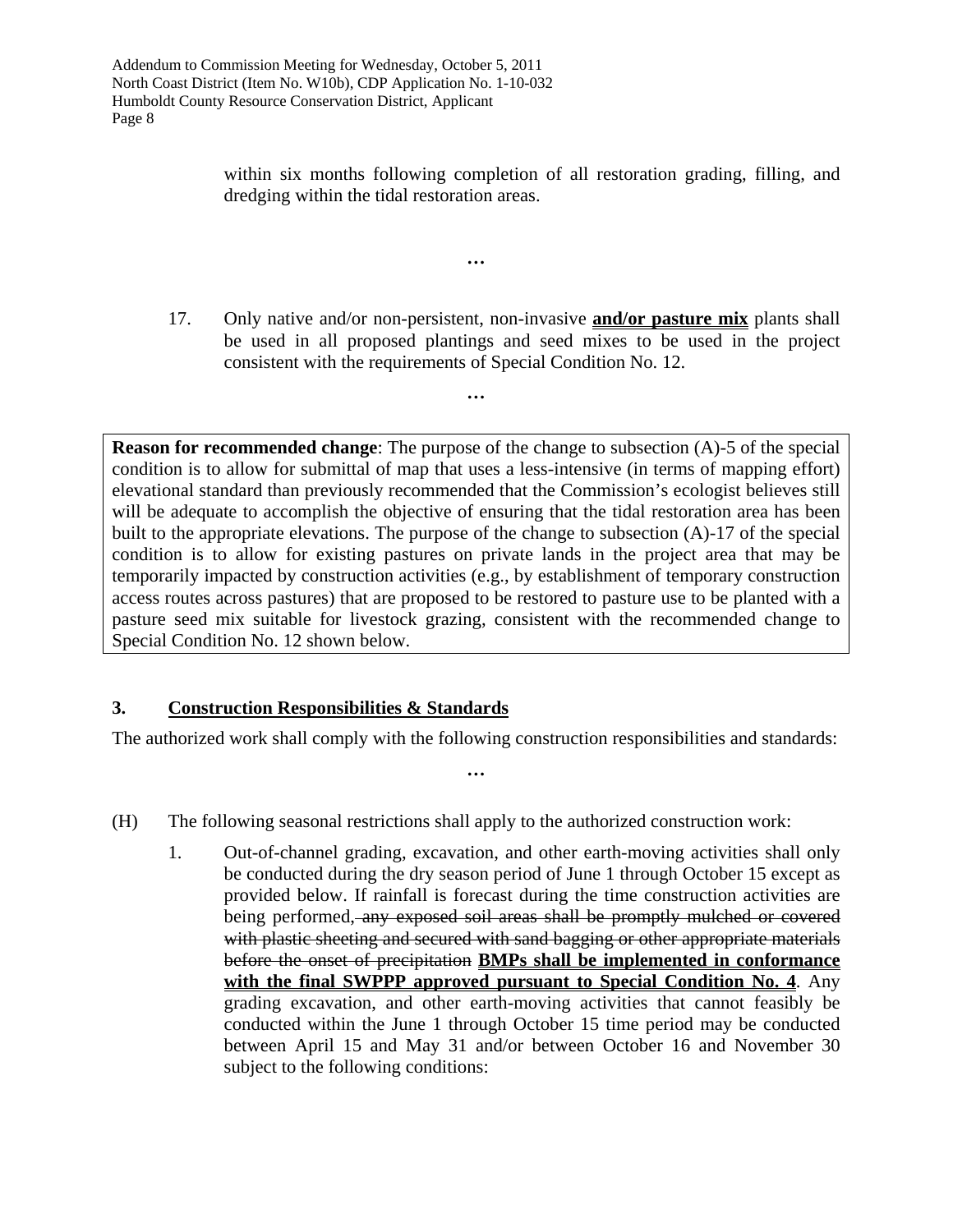within six months following completion of all restoration grading, filling, and dredging within the tidal restoration areas.

17. Only native and/or non-persistent, non-invasive **and/or pasture mix** plants shall be used in all proposed plantings and seed mixes to be used in the project consistent with the requirements of Special Condition No. 12.

**…** 

**…** 

**Reason for recommended change:** The purpose of the change to subsection (A)-5 of the special condition is to allow for submittal of map that uses a less-intensive (in terms of mapping effort) elevational standard than previously recommended that the Commission's ecologist believes still will be adequate to accomplish the objective of ensuring that the tidal restoration area has been built to the appropriate elevations. The purpose of the change to subsection (A)-17 of the special condition is to allow for existing pastures on private lands in the project area that may be temporarily impacted by construction activities (e.g., by establishment of temporary construction access routes across pastures) that are proposed to be restored to pasture use to be planted with a pasture seed mix suitable for livestock grazing, consistent with the recommended change to Special Condition No. 12 shown below.

# **3. Construction Responsibilities & Standards**

The authorized work shall comply with the following construction responsibilities and standards:

**…** 

- (H) The following seasonal restrictions shall apply to the authorized construction work:
	- 1. Out-of-channel grading, excavation, and other earth-moving activities shall only be conducted during the dry season period of June 1 through October 15 except as provided below. If rainfall is forecast during the time construction activities are being performed, any exposed soil areas shall be promptly mulched or covered with plastic sheeting and secured with sand bagging or other appropriate materials before the onset of precipitation **BMPs shall be implemented in conformance with the final SWPPP approved pursuant to Special Condition No. 4**. Any grading excavation, and other earth-moving activities that cannot feasibly be conducted within the June 1 through October 15 time period may be conducted between April 15 and May 31 and/or between October 16 and November 30 subject to the following conditions: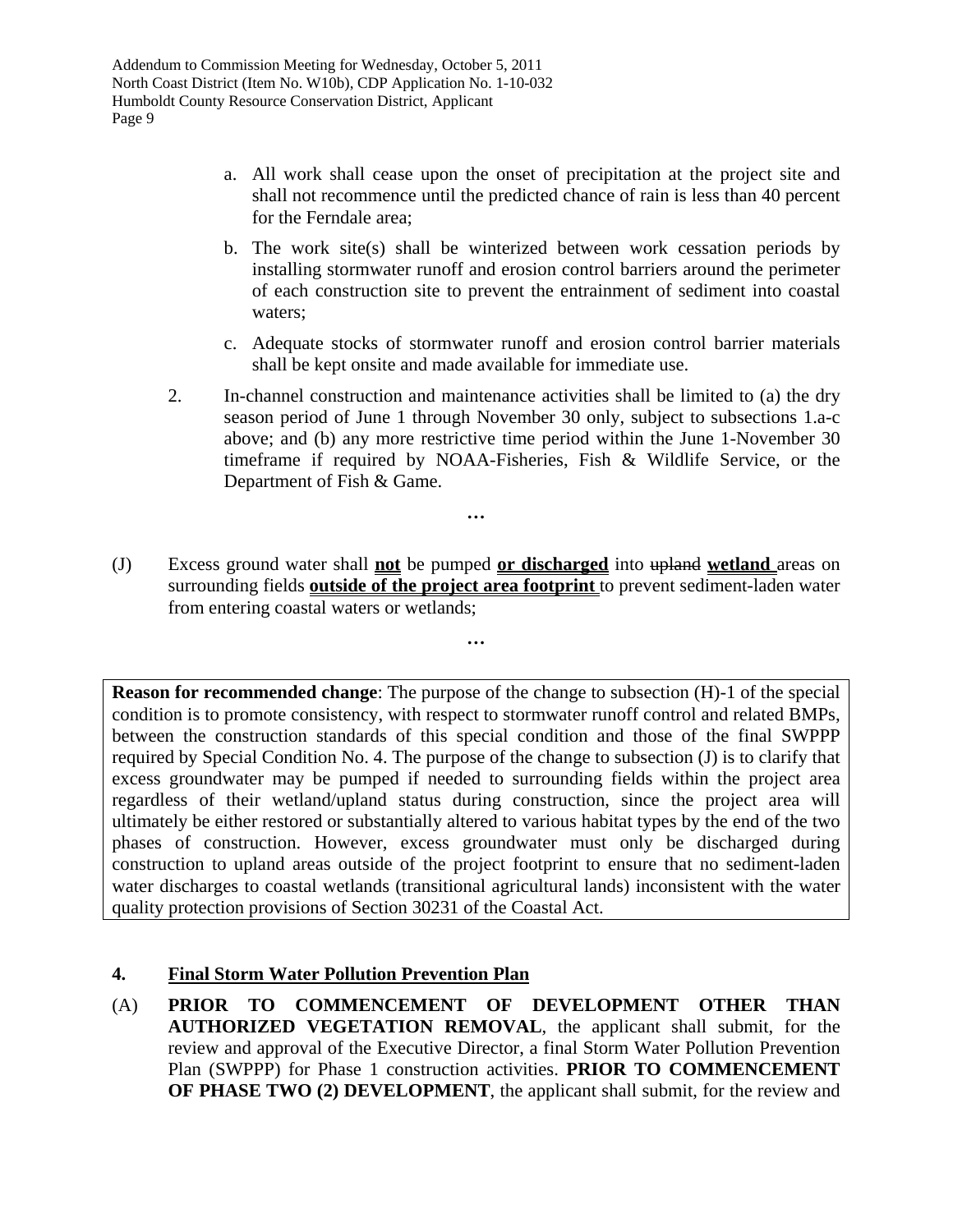- a. All work shall cease upon the onset of precipitation at the project site and shall not recommence until the predicted chance of rain is less than 40 percent for the Ferndale area;
- b. The work site(s) shall be winterized between work cessation periods by installing stormwater runoff and erosion control barriers around the perimeter of each construction site to prevent the entrainment of sediment into coastal waters;
- c. Adequate stocks of stormwater runoff and erosion control barrier materials shall be kept onsite and made available for immediate use.
- 2. In-channel construction and maintenance activities shall be limited to (a) the dry season period of June 1 through November 30 only, subject to subsections 1.a-c above; and (b) any more restrictive time period within the June 1-November 30 timeframe if required by NOAA-Fisheries, Fish & Wildlife Service, or the Department of Fish & Game.
- (J) Excess ground water shall **not** be pumped **or discharged** into upland **wetland** areas on surrounding fields **outside of the project area footprint** to prevent sediment-laden water from entering coastal waters or wetlands;

**…** 

**…** 

**Reason for recommended change**: The purpose of the change to subsection (H)-1 of the special condition is to promote consistency, with respect to stormwater runoff control and related BMPs, between the construction standards of this special condition and those of the final SWPPP required by Special Condition No. 4. The purpose of the change to subsection (J) is to clarify that excess groundwater may be pumped if needed to surrounding fields within the project area regardless of their wetland/upland status during construction, since the project area will ultimately be either restored or substantially altered to various habitat types by the end of the two phases of construction. However, excess groundwater must only be discharged during construction to upland areas outside of the project footprint to ensure that no sediment-laden water discharges to coastal wetlands (transitional agricultural lands) inconsistent with the water quality protection provisions of Section 30231 of the Coastal Act.

# **4. Final Storm Water Pollution Prevention Plan**

(A) **PRIOR TO COMMENCEMENT OF DEVELOPMENT OTHER THAN AUTHORIZED VEGETATION REMOVAL**, the applicant shall submit, for the review and approval of the Executive Director, a final Storm Water Pollution Prevention Plan (SWPPP) for Phase 1 construction activities. **PRIOR TO COMMENCEMENT OF PHASE TWO (2) DEVELOPMENT**, the applicant shall submit, for the review and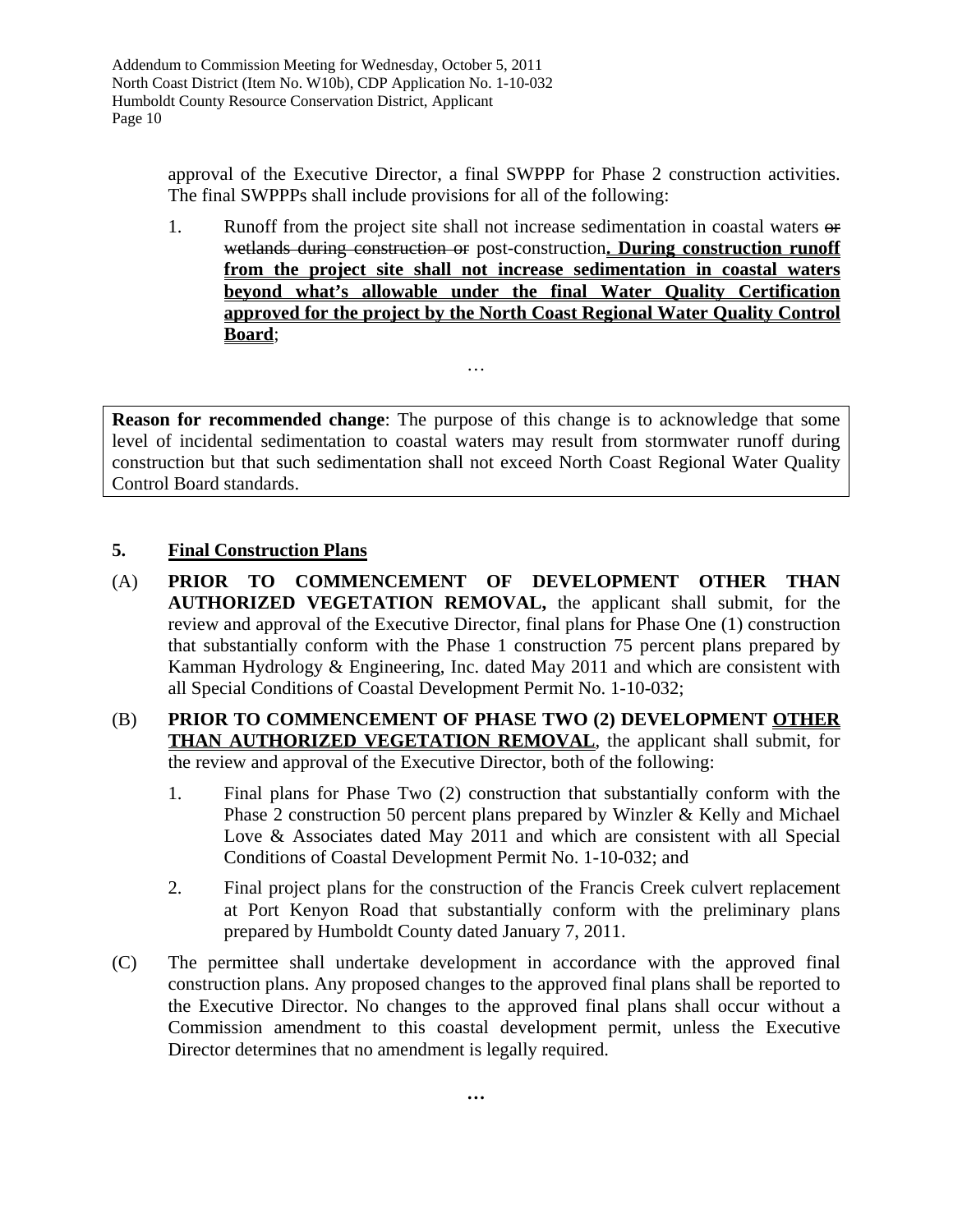approval of the Executive Director, a final SWPPP for Phase 2 construction activities. The final SWPPPs shall include provisions for all of the following:

1. Runoff from the project site shall not increase sedimentation in coastal waters or wetlands during construction or post-construction**. During construction runoff from the project site shall not increase sedimentation in coastal waters beyond what's allowable under the final Water Quality Certification approved for the project by the North Coast Regional Water Quality Control Board**;

**Reason for recommended change**: The purpose of this change is to acknowledge that some level of incidental sedimentation to coastal waters may result from stormwater runoff during construction but that such sedimentation shall not exceed North Coast Regional Water Quality Control Board standards.

…

# **5. Final Construction Plans**

- (A) **PRIOR TO COMMENCEMENT OF DEVELOPMENT OTHER THAN AUTHORIZED VEGETATION REMOVAL,** the applicant shall submit, for the review and approval of the Executive Director, final plans for Phase One (1) construction that substantially conform with the Phase 1 construction 75 percent plans prepared by Kamman Hydrology & Engineering, Inc. dated May 2011 and which are consistent with all Special Conditions of Coastal Development Permit No. 1-10-032;
- (B) **PRIOR TO COMMENCEMENT OF PHASE TWO (2) DEVELOPMENT OTHER THAN AUTHORIZED VEGETATION REMOVAL**, the applicant shall submit, for the review and approval of the Executive Director, both of the following:
	- 1. Final plans for Phase Two (2) construction that substantially conform with the Phase 2 construction 50 percent plans prepared by Winzler & Kelly and Michael Love & Associates dated May 2011 and which are consistent with all Special Conditions of Coastal Development Permit No. 1-10-032; and
	- 2. Final project plans for the construction of the Francis Creek culvert replacement at Port Kenyon Road that substantially conform with the preliminary plans prepared by Humboldt County dated January 7, 2011.
- (C) The permittee shall undertake development in accordance with the approved final construction plans. Any proposed changes to the approved final plans shall be reported to the Executive Director. No changes to the approved final plans shall occur without a Commission amendment to this coastal development permit, unless the Executive Director determines that no amendment is legally required.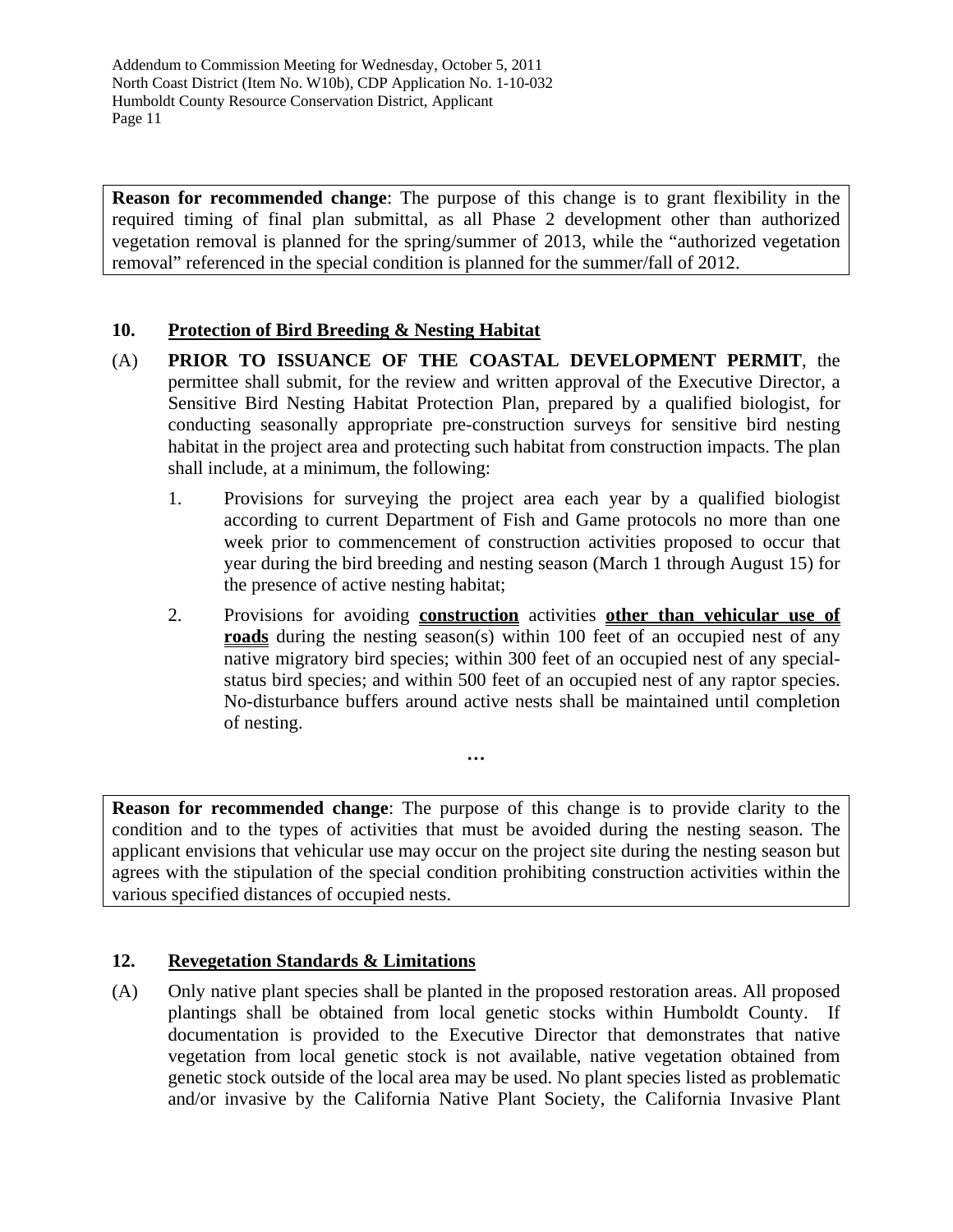**Reason for recommended change**: The purpose of this change is to grant flexibility in the required timing of final plan submittal, as all Phase 2 development other than authorized vegetation removal is planned for the spring/summer of 2013, while the "authorized vegetation removal" referenced in the special condition is planned for the summer/fall of 2012.

# **10. Protection of Bird Breeding & Nesting Habitat**

- (A) **PRIOR TO ISSUANCE OF THE COASTAL DEVELOPMENT PERMIT**, the permittee shall submit, for the review and written approval of the Executive Director, a Sensitive Bird Nesting Habitat Protection Plan, prepared by a qualified biologist, for conducting seasonally appropriate pre-construction surveys for sensitive bird nesting habitat in the project area and protecting such habitat from construction impacts. The plan shall include, at a minimum, the following:
	- 1. Provisions for surveying the project area each year by a qualified biologist according to current Department of Fish and Game protocols no more than one week prior to commencement of construction activities proposed to occur that year during the bird breeding and nesting season (March 1 through August 15) for the presence of active nesting habitat;
	- 2. Provisions for avoiding **construction** activities **other than vehicular use of roads** during the nesting season(s) within 100 feet of an occupied nest of any native migratory bird species; within 300 feet of an occupied nest of any specialstatus bird species; and within 500 feet of an occupied nest of any raptor species. No-disturbance buffers around active nests shall be maintained until completion of nesting.

**Reason for recommended change**: The purpose of this change is to provide clarity to the condition and to the types of activities that must be avoided during the nesting season. The applicant envisions that vehicular use may occur on the project site during the nesting season but agrees with the stipulation of the special condition prohibiting construction activities within the various specified distances of occupied nests.

**…** 

### **12. Revegetation Standards & Limitations**

(A) Only native plant species shall be planted in the proposed restoration areas. All proposed plantings shall be obtained from local genetic stocks within Humboldt County. If documentation is provided to the Executive Director that demonstrates that native vegetation from local genetic stock is not available, native vegetation obtained from genetic stock outside of the local area may be used. No plant species listed as problematic and/or invasive by the California Native Plant Society, the California Invasive Plant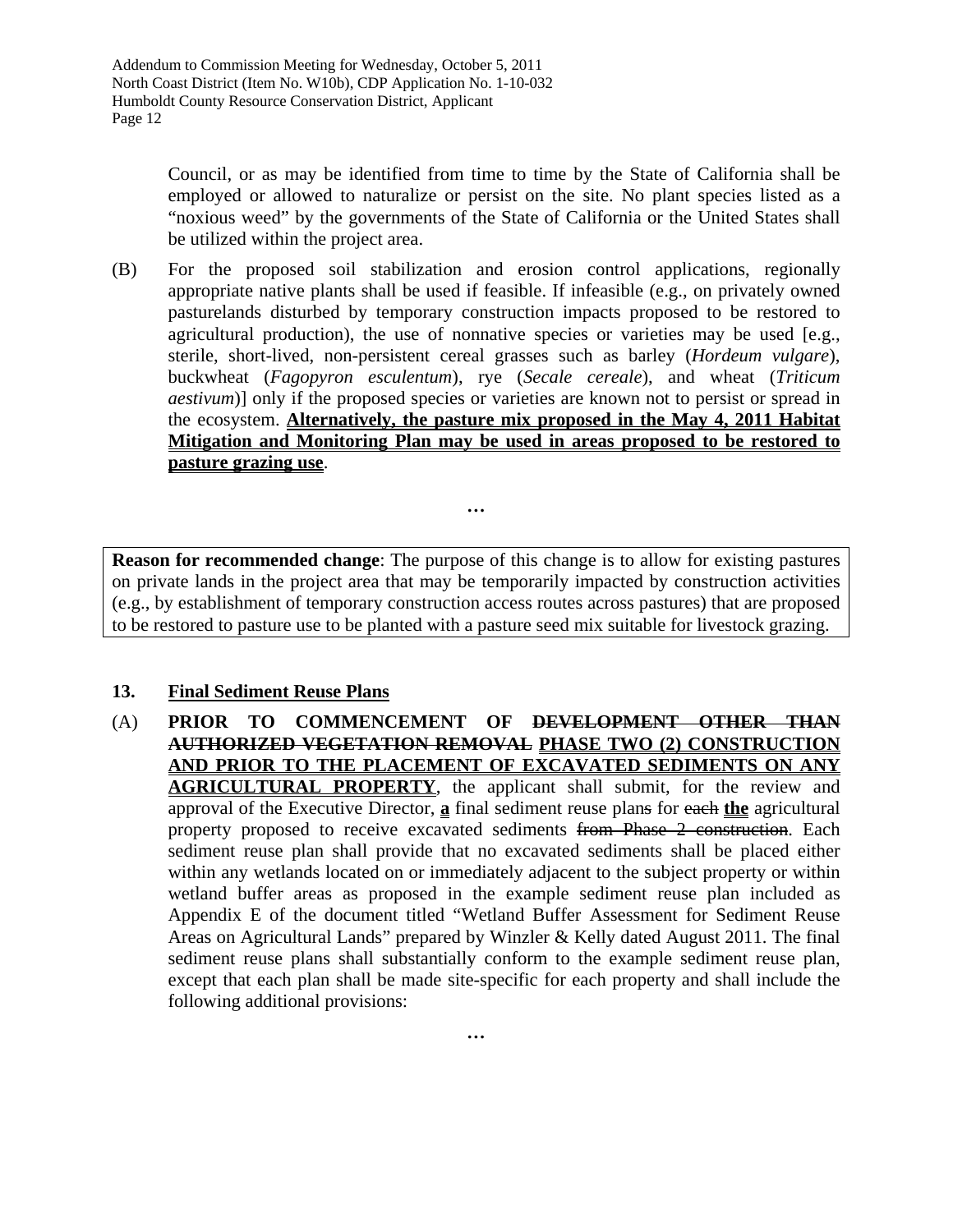Council, or as may be identified from time to time by the State of California shall be employed or allowed to naturalize or persist on the site. No plant species listed as a "noxious weed" by the governments of the State of California or the United States shall be utilized within the project area.

(B) For the proposed soil stabilization and erosion control applications, regionally appropriate native plants shall be used if feasible. If infeasible (e.g., on privately owned pasturelands disturbed by temporary construction impacts proposed to be restored to agricultural production), the use of nonnative species or varieties may be used [e.g., sterile, short-lived, non-persistent cereal grasses such as barley (*Hordeum vulgare*), buckwheat (*Fagopyron esculentum*), rye (*Secale cereale*), and wheat (*Triticum aestivum*)] only if the proposed species or varieties are known not to persist or spread in the ecosystem. **Alternatively, the pasture mix proposed in the May 4, 2011 Habitat Mitigation and Monitoring Plan may be used in areas proposed to be restored to pasture grazing use**.

**Reason for recommended change**: The purpose of this change is to allow for existing pastures on private lands in the project area that may be temporarily impacted by construction activities (e.g., by establishment of temporary construction access routes across pastures) that are proposed to be restored to pasture use to be planted with a pasture seed mix suitable for livestock grazing.

**…** 

# **13. Final Sediment Reuse Plans**

(A) **PRIOR TO COMMENCEMENT OF DEVELOPMENT OTHER THAN AUTHORIZED VEGETATION REMOVAL PHASE TWO (2) CONSTRUCTION AND PRIOR TO THE PLACEMENT OF EXCAVATED SEDIMENTS ON ANY AGRICULTURAL PROPERTY**, the applicant shall submit, for the review and approval of the Executive Director, **a** final sediment reuse plans for each **the** agricultural property proposed to receive excavated sediments from Phase 2 construction. Each sediment reuse plan shall provide that no excavated sediments shall be placed either within any wetlands located on or immediately adjacent to the subject property or within wetland buffer areas as proposed in the example sediment reuse plan included as Appendix E of the document titled "Wetland Buffer Assessment for Sediment Reuse Areas on Agricultural Lands" prepared by Winzler & Kelly dated August 2011. The final sediment reuse plans shall substantially conform to the example sediment reuse plan, except that each plan shall be made site-specific for each property and shall include the following additional provisions: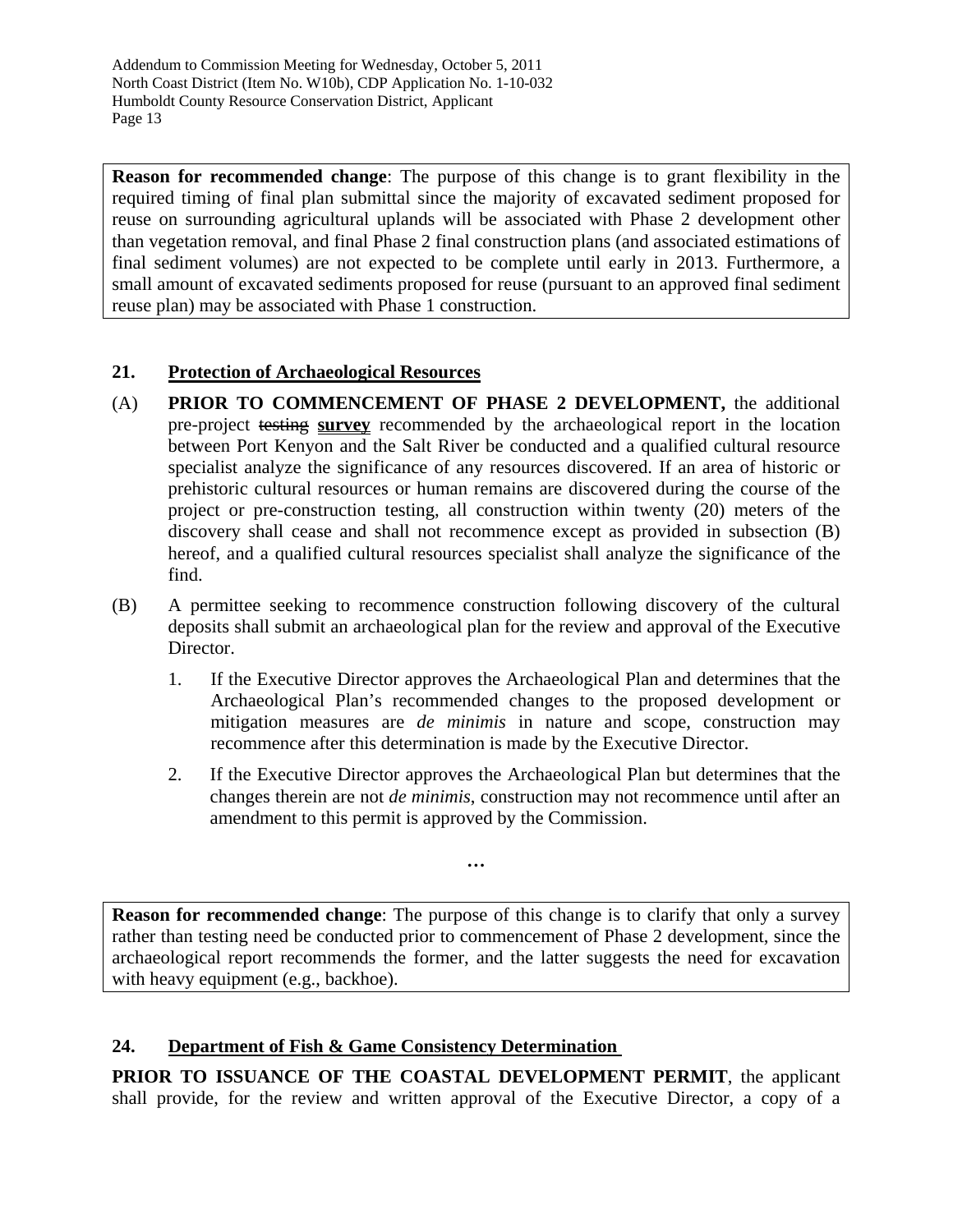**Reason for recommended change**: The purpose of this change is to grant flexibility in the required timing of final plan submittal since the majority of excavated sediment proposed for reuse on surrounding agricultural uplands will be associated with Phase 2 development other than vegetation removal, and final Phase 2 final construction plans (and associated estimations of final sediment volumes) are not expected to be complete until early in 2013. Furthermore, a small amount of excavated sediments proposed for reuse (pursuant to an approved final sediment reuse plan) may be associated with Phase 1 construction.

# **21. Protection of Archaeological Resources**

- (A) **PRIOR TO COMMENCEMENT OF PHASE 2 DEVELOPMENT,** the additional pre-project testing **survey** recommended by the archaeological report in the location between Port Kenyon and the Salt River be conducted and a qualified cultural resource specialist analyze the significance of any resources discovered. If an area of historic or prehistoric cultural resources or human remains are discovered during the course of the project or pre-construction testing, all construction within twenty (20) meters of the discovery shall cease and shall not recommence except as provided in subsection (B) hereof, and a qualified cultural resources specialist shall analyze the significance of the find.
- (B) A permittee seeking to recommence construction following discovery of the cultural deposits shall submit an archaeological plan for the review and approval of the Executive Director.
	- 1. If the Executive Director approves the Archaeological Plan and determines that the Archaeological Plan's recommended changes to the proposed development or mitigation measures are *de minimis* in nature and scope, construction may recommence after this determination is made by the Executive Director.
	- 2. If the Executive Director approves the Archaeological Plan but determines that the changes therein are not *de minimis*, construction may not recommence until after an amendment to this permit is approved by the Commission.

**Reason for recommended change:** The purpose of this change is to clarify that only a survey rather than testing need be conducted prior to commencement of Phase 2 development, since the archaeological report recommends the former, and the latter suggests the need for excavation with heavy equipment (e.g., backhoe).

**…** 

# **24. Department of Fish & Game Consistency Determination**

**PRIOR TO ISSUANCE OF THE COASTAL DEVELOPMENT PERMIT**, the applicant shall provide, for the review and written approval of the Executive Director, a copy of a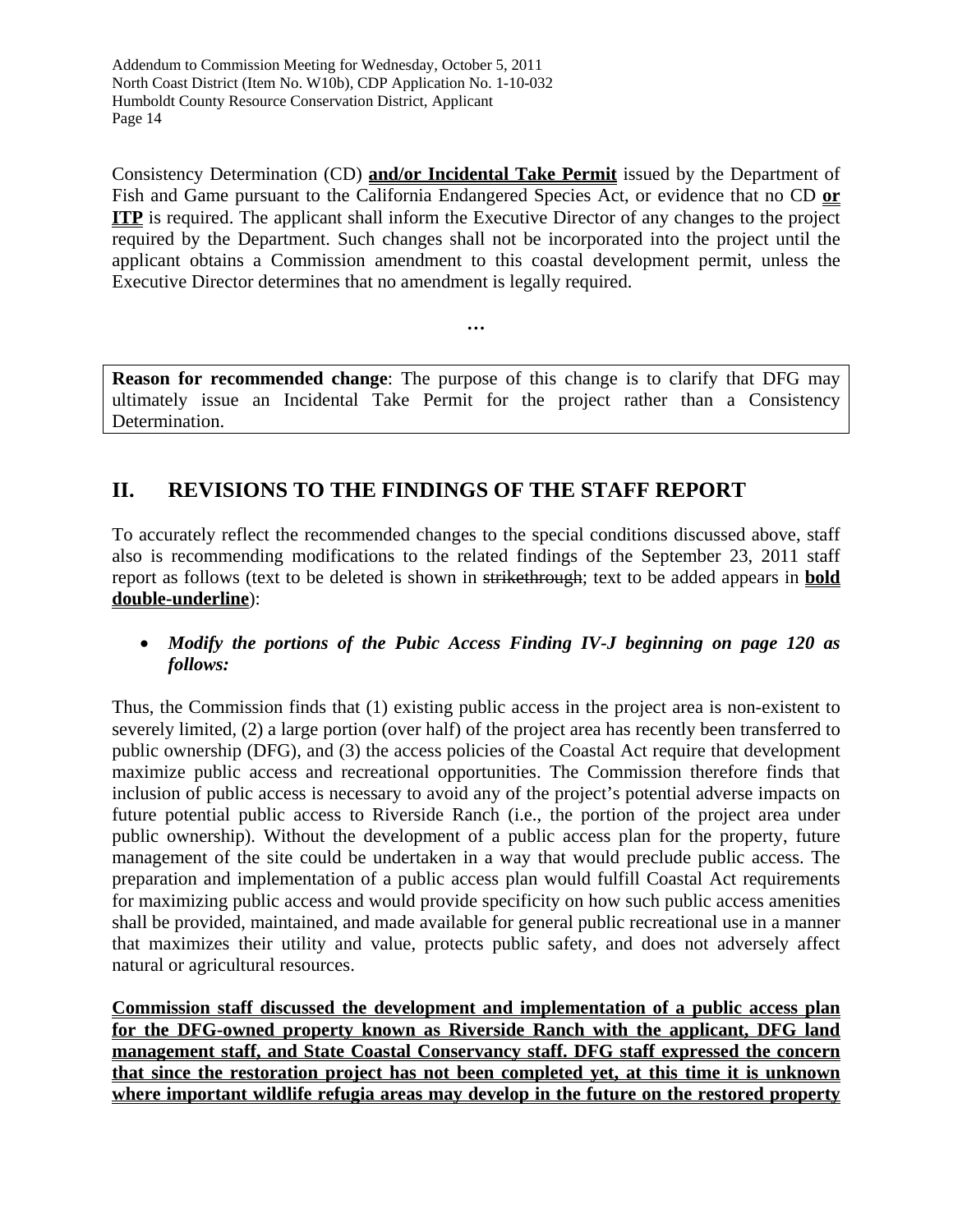Consistency Determination (CD) **and/or Incidental Take Permit** issued by the Department of Fish and Game pursuant to the California Endangered Species Act, or evidence that no CD **or ITP** is required. The applicant shall inform the Executive Director of any changes to the project required by the Department. Such changes shall not be incorporated into the project until the applicant obtains a Commission amendment to this coastal development permit, unless the Executive Director determines that no amendment is legally required.

**Reason for recommended change**: The purpose of this change is to clarify that DFG may ultimately issue an Incidental Take Permit for the project rather than a Consistency Determination.

**…** 

# **II. REVISIONS TO THE FINDINGS OF THE STAFF REPORT**

To accurately reflect the recommended changes to the special conditions discussed above, staff also is recommending modifications to the related findings of the September 23, 2011 staff report as follows (text to be deleted is shown in strikethrough; text to be added appears in **bold double-underline**):

# • *Modify the portions of the Pubic Access Finding IV-J beginning on page 120 as follows:*

Thus, the Commission finds that (1) existing public access in the project area is non-existent to severely limited, (2) a large portion (over half) of the project area has recently been transferred to public ownership (DFG), and (3) the access policies of the Coastal Act require that development maximize public access and recreational opportunities. The Commission therefore finds that inclusion of public access is necessary to avoid any of the project's potential adverse impacts on future potential public access to Riverside Ranch (i.e., the portion of the project area under public ownership). Without the development of a public access plan for the property, future management of the site could be undertaken in a way that would preclude public access. The preparation and implementation of a public access plan would fulfill Coastal Act requirements for maximizing public access and would provide specificity on how such public access amenities shall be provided, maintained, and made available for general public recreational use in a manner that maximizes their utility and value, protects public safety, and does not adversely affect natural or agricultural resources.

**Commission staff discussed the development and implementation of a public access plan for the DFG-owned property known as Riverside Ranch with the applicant, DFG land management staff, and State Coastal Conservancy staff. DFG staff expressed the concern that since the restoration project has not been completed yet, at this time it is unknown where important wildlife refugia areas may develop in the future on the restored property**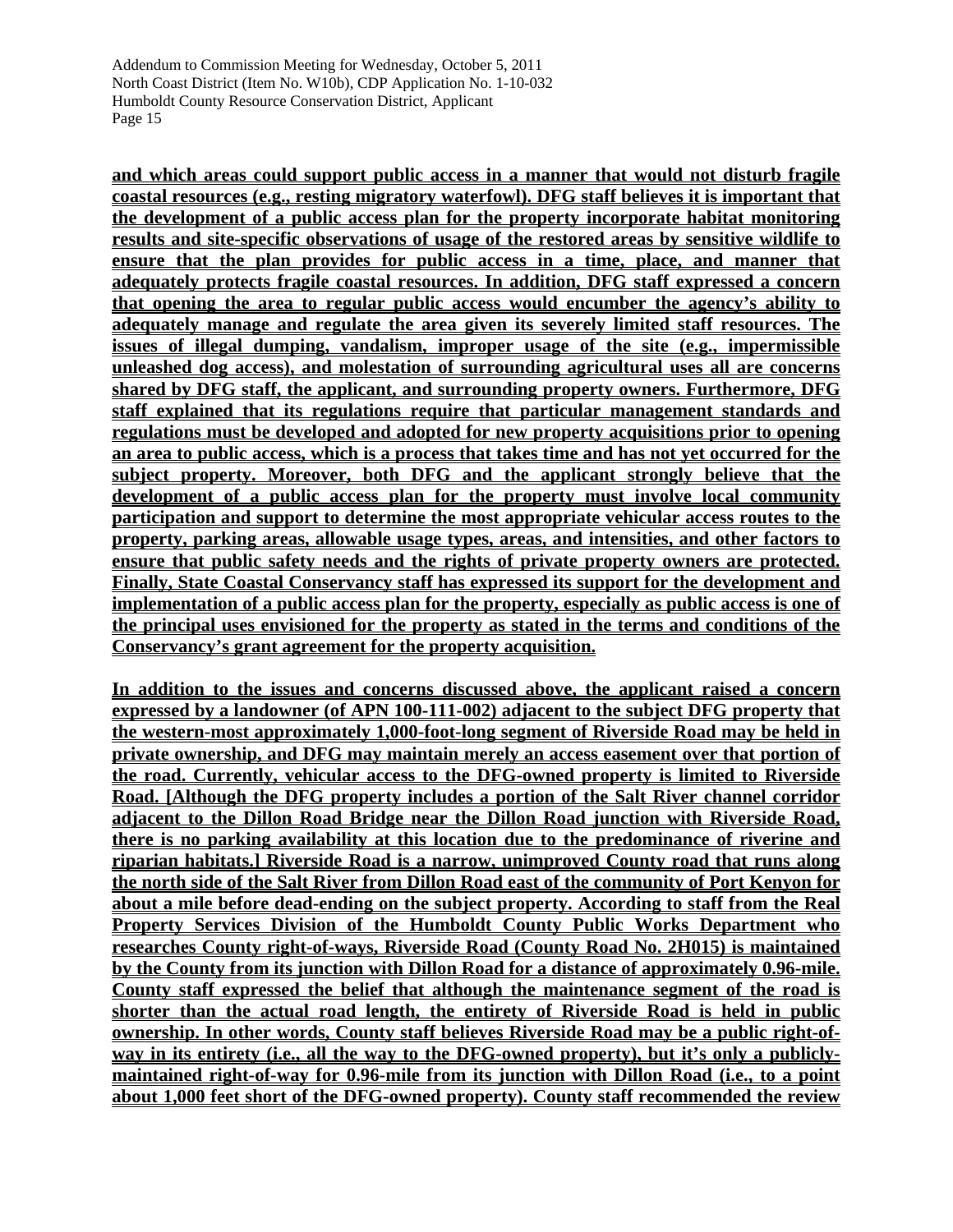**and which areas could support public access in a manner that would not disturb fragile coastal resources (e.g., resting migratory waterfowl). DFG staff believes it is important that the development of a public access plan for the property incorporate habitat monitoring results and site-specific observations of usage of the restored areas by sensitive wildlife to ensure that the plan provides for public access in a time, place, and manner that adequately protects fragile coastal resources. In addition, DFG staff expressed a concern that opening the area to regular public access would encumber the agency's ability to adequately manage and regulate the area given its severely limited staff resources. The issues of illegal dumping, vandalism, improper usage of the site (e.g., impermissible unleashed dog access), and molestation of surrounding agricultural uses all are concerns shared by DFG staff, the applicant, and surrounding property owners. Furthermore, DFG staff explained that its regulations require that particular management standards and regulations must be developed and adopted for new property acquisitions prior to opening an area to public access, which is a process that takes time and has not yet occurred for the subject property. Moreover, both DFG and the applicant strongly believe that the development of a public access plan for the property must involve local community participation and support to determine the most appropriate vehicular access routes to the property, parking areas, allowable usage types, areas, and intensities, and other factors to ensure that public safety needs and the rights of private property owners are protected. Finally, State Coastal Conservancy staff has expressed its support for the development and implementation of a public access plan for the property, especially as public access is one of the principal uses envisioned for the property as stated in the terms and conditions of the Conservancy's grant agreement for the property acquisition.**

**In addition to the issues and concerns discussed above, the applicant raised a concern expressed by a landowner (of APN 100-111-002) adjacent to the subject DFG property that the western-most approximately 1,000-foot-long segment of Riverside Road may be held in private ownership, and DFG may maintain merely an access easement over that portion of the road. Currently, vehicular access to the DFG-owned property is limited to Riverside Road. [Although the DFG property includes a portion of the Salt River channel corridor adjacent to the Dillon Road Bridge near the Dillon Road junction with Riverside Road, there is no parking availability at this location due to the predominance of riverine and riparian habitats.] Riverside Road is a narrow, unimproved County road that runs along the north side of the Salt River from Dillon Road east of the community of Port Kenyon for about a mile before dead-ending on the subject property. According to staff from the Real Property Services Division of the Humboldt County Public Works Department who researches County right-of-ways, Riverside Road (County Road No. 2H015) is maintained by the County from its junction with Dillon Road for a distance of approximately 0.96-mile. County staff expressed the belief that although the maintenance segment of the road is shorter than the actual road length, the entirety of Riverside Road is held in public ownership. In other words, County staff believes Riverside Road may be a public right-ofway in its entirety (i.e., all the way to the DFG-owned property), but it's only a publiclymaintained right-of-way for 0.96-mile from its junction with Dillon Road (i.e., to a point about 1,000 feet short of the DFG-owned property). County staff recommended the review**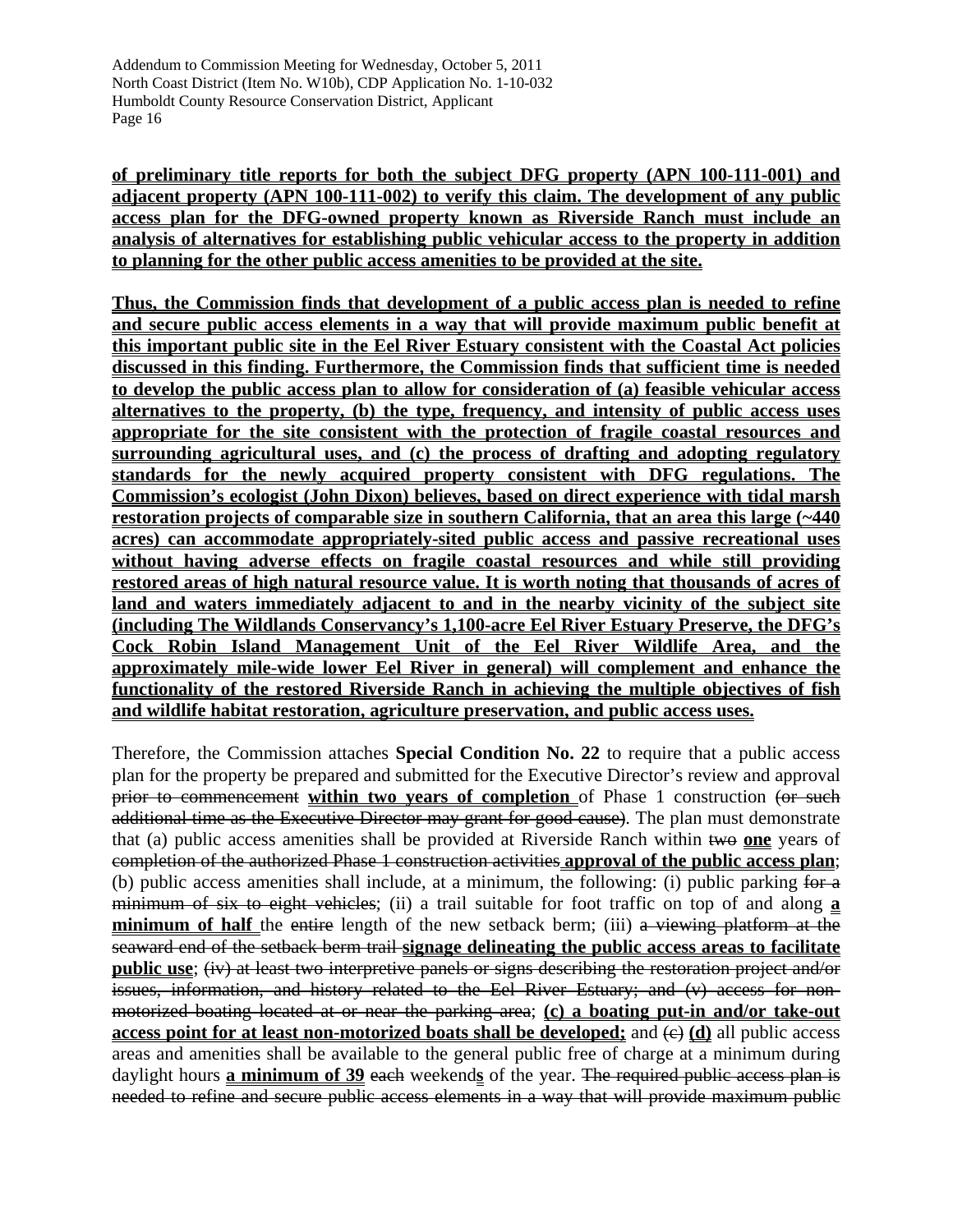**of preliminary title reports for both the subject DFG property (APN 100-111-001) and adjacent property (APN 100-111-002) to verify this claim. The development of any public access plan for the DFG-owned property known as Riverside Ranch must include an analysis of alternatives for establishing public vehicular access to the property in addition to planning for the other public access amenities to be provided at the site.**

**Thus, the Commission finds that development of a public access plan is needed to refine and secure public access elements in a way that will provide maximum public benefit at this important public site in the Eel River Estuary consistent with the Coastal Act policies discussed in this finding. Furthermore, the Commission finds that sufficient time is needed to develop the public access plan to allow for consideration of (a) feasible vehicular access alternatives to the property, (b) the type, frequency, and intensity of public access uses appropriate for the site consistent with the protection of fragile coastal resources and surrounding agricultural uses, and (c) the process of drafting and adopting regulatory standards for the newly acquired property consistent with DFG regulations. The Commission's ecologist (John Dixon) believes, based on direct experience with tidal marsh restoration projects of comparable size in southern California, that an area this large (~440 acres) can accommodate appropriately-sited public access and passive recreational uses without having adverse effects on fragile coastal resources and while still providing restored areas of high natural resource value. It is worth noting that thousands of acres of land and waters immediately adjacent to and in the nearby vicinity of the subject site (including The Wildlands Conservancy's 1,100-acre Eel River Estuary Preserve, the DFG's Cock Robin Island Management Unit of the Eel River Wildlife Area, and the approximately mile-wide lower Eel River in general) will complement and enhance the functionality of the restored Riverside Ranch in achieving the multiple objectives of fish and wildlife habitat restoration, agriculture preservation, and public access uses.**

Therefore, the Commission attaches **Special Condition No. 22** to require that a public access plan for the property be prepared and submitted for the Executive Director's review and approval prior to commencement **within two years of completion** of Phase 1 construction (or such additional time as the Executive Director may grant for good cause). The plan must demonstrate that (a) public access amenities shall be provided at Riverside Ranch within two **one** years of completion of the authorized Phase 1 construction activities **approval of the public access plan**; (b) public access amenities shall include, at a minimum, the following: (i) public parking for a minimum of six to eight vehicles; (ii) a trail suitable for foot traffic on top of and along **a minimum of half** the entire length of the new setback berm; (iii) a viewing platform at the seaward end of the setback berm trail **signage delineating the public access areas to facilitate public use**; (iv) at least two interpretive panels or signs describing the restoration project and/or issues, information, and history related to the Eel River Estuary; and (v) access for nonmotorized boating located at or near the parking area; **(c) a boating put-in and/or take-out access point for at least non-motorized boats shall be developed;** and  $\left(\epsilon\right)$  (d) all public access areas and amenities shall be available to the general public free of charge at a minimum during daylight hours **a minimum of 39** each weekends of the year. The required public access plan is needed to refine and secure public access elements in a way that will provide maximum public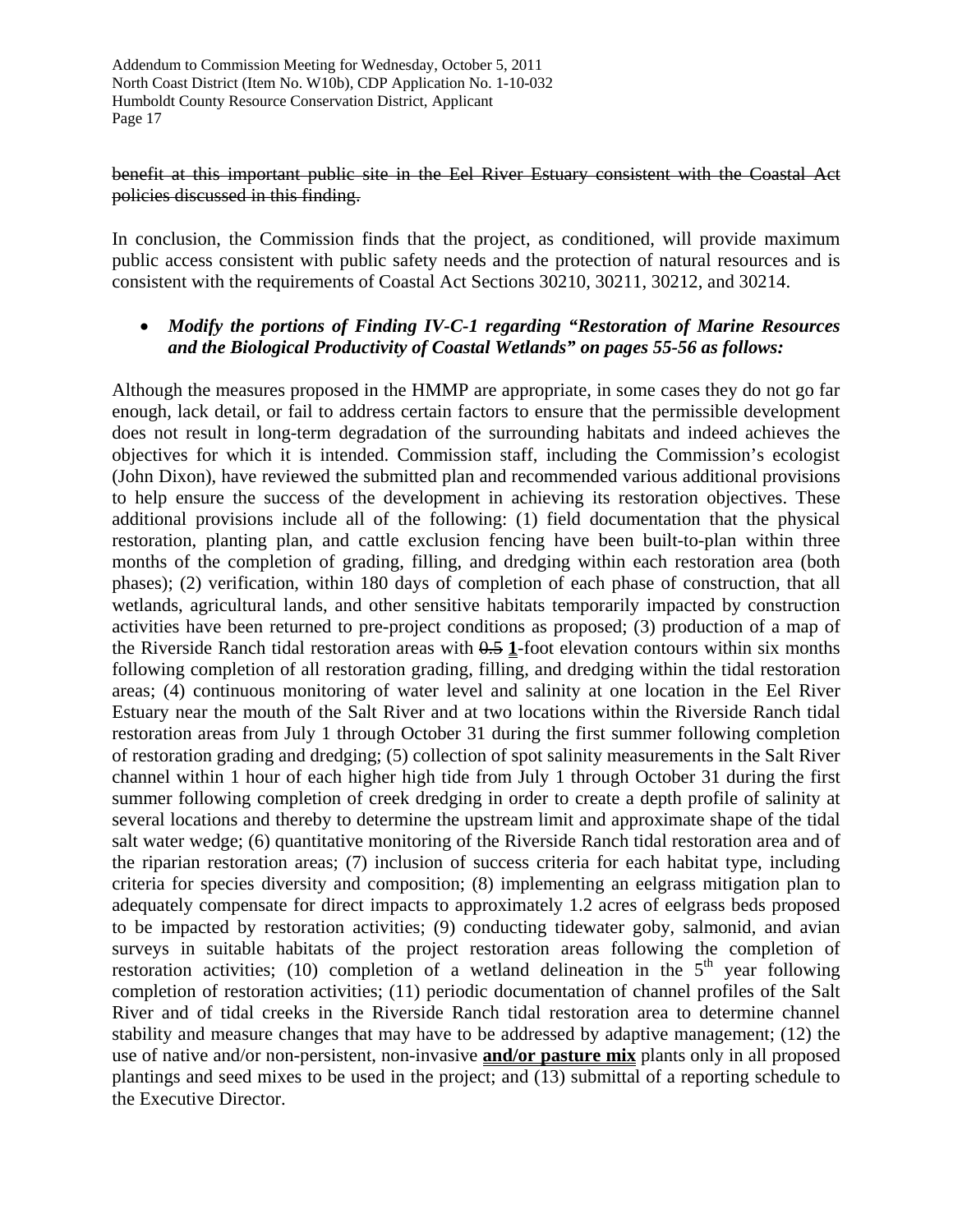### benefit at this important public site in the Eel River Estuary consistent with the Coastal Act policies discussed in this finding.

In conclusion, the Commission finds that the project, as conditioned, will provide maximum public access consistent with public safety needs and the protection of natural resources and is consistent with the requirements of Coastal Act Sections 30210, 30211, 30212, and 30214.

### • *Modify the portions of Finding IV-C-1 regarding "Restoration of Marine Resources and the Biological Productivity of Coastal Wetlands" on pages 55-56 as follows:*

Although the measures proposed in the HMMP are appropriate, in some cases they do not go far enough, lack detail, or fail to address certain factors to ensure that the permissible development does not result in long-term degradation of the surrounding habitats and indeed achieves the objectives for which it is intended. Commission staff, including the Commission's ecologist (John Dixon), have reviewed the submitted plan and recommended various additional provisions to help ensure the success of the development in achieving its restoration objectives. These additional provisions include all of the following: (1) field documentation that the physical restoration, planting plan, and cattle exclusion fencing have been built-to-plan within three months of the completion of grading, filling, and dredging within each restoration area (both phases); (2) verification, within 180 days of completion of each phase of construction, that all wetlands, agricultural lands, and other sensitive habitats temporarily impacted by construction activities have been returned to pre-project conditions as proposed; (3) production of a map of the Riverside Ranch tidal restoration areas with  $0.5 \text{ 1}$ -foot elevation contours within six months following completion of all restoration grading, filling, and dredging within the tidal restoration areas; (4) continuous monitoring of water level and salinity at one location in the Eel River Estuary near the mouth of the Salt River and at two locations within the Riverside Ranch tidal restoration areas from July 1 through October 31 during the first summer following completion of restoration grading and dredging; (5) collection of spot salinity measurements in the Salt River channel within 1 hour of each higher high tide from July 1 through October 31 during the first summer following completion of creek dredging in order to create a depth profile of salinity at several locations and thereby to determine the upstream limit and approximate shape of the tidal salt water wedge; (6) quantitative monitoring of the Riverside Ranch tidal restoration area and of the riparian restoration areas; (7) inclusion of success criteria for each habitat type, including criteria for species diversity and composition; (8) implementing an eelgrass mitigation plan to adequately compensate for direct impacts to approximately 1.2 acres of eelgrass beds proposed to be impacted by restoration activities; (9) conducting tidewater goby, salmonid, and avian surveys in suitable habitats of the project restoration areas following the completion of restoration activities; (10) completion of a wetland delineation in the  $5<sup>th</sup>$  year following completion of restoration activities; (11) periodic documentation of channel profiles of the Salt River and of tidal creeks in the Riverside Ranch tidal restoration area to determine channel stability and measure changes that may have to be addressed by adaptive management; (12) the use of native and/or non-persistent, non-invasive **and/or pasture mix** plants only in all proposed plantings and seed mixes to be used in the project; and (13) submittal of a reporting schedule to the Executive Director.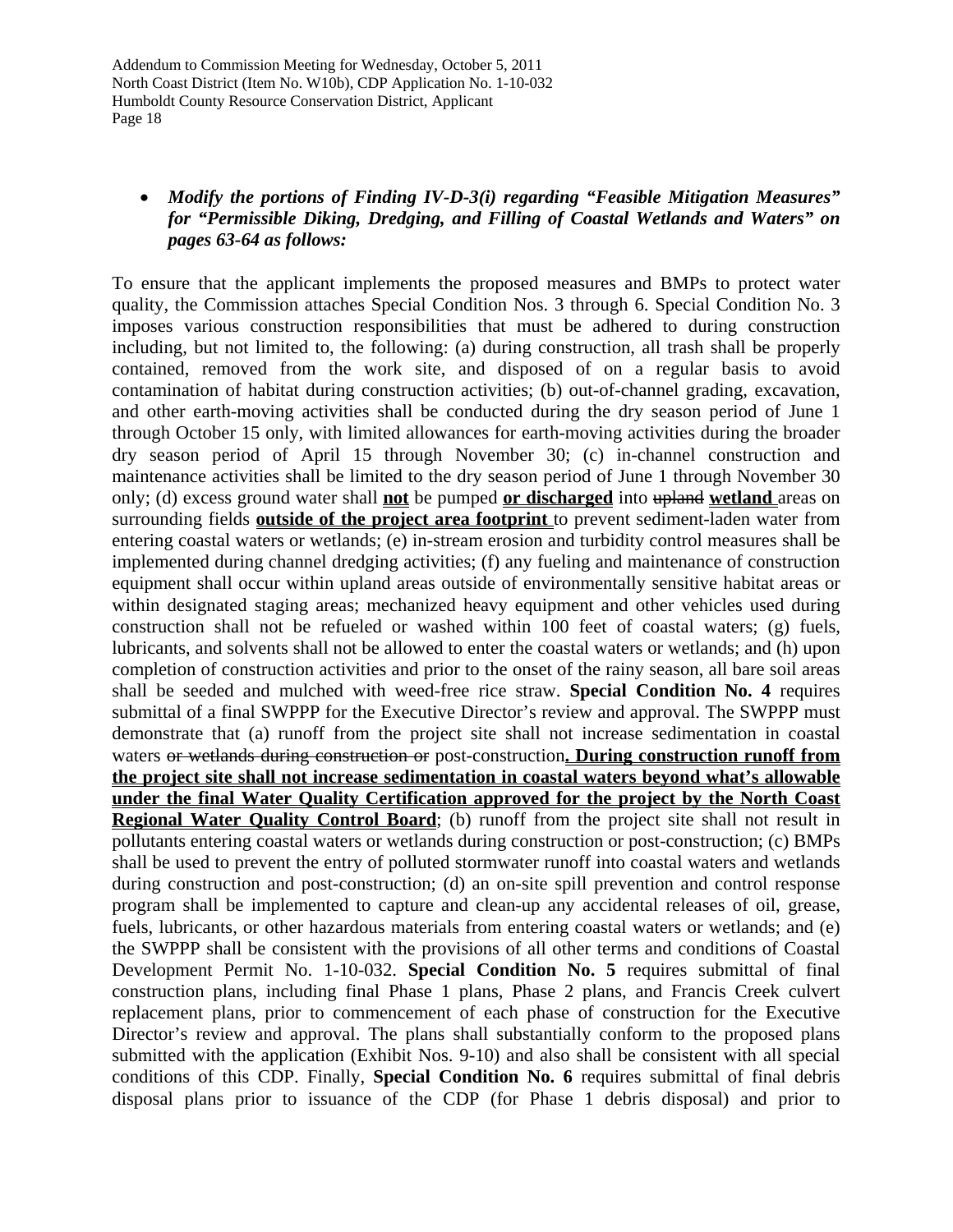# • *Modify the portions of Finding IV-D-3(i) regarding "Feasible Mitigation Measures" for "Permissible Diking, Dredging, and Filling of Coastal Wetlands and Waters" on pages 63-64 as follows:*

To ensure that the applicant implements the proposed measures and BMPs to protect water quality, the Commission attaches Special Condition Nos. 3 through 6. Special Condition No. 3 imposes various construction responsibilities that must be adhered to during construction including, but not limited to, the following: (a) during construction, all trash shall be properly contained, removed from the work site, and disposed of on a regular basis to avoid contamination of habitat during construction activities; (b) out-of-channel grading, excavation, and other earth-moving activities shall be conducted during the dry season period of June 1 through October 15 only, with limited allowances for earth-moving activities during the broader dry season period of April 15 through November 30; (c) in-channel construction and maintenance activities shall be limited to the dry season period of June 1 through November 30 only; (d) excess ground water shall **not** be pumped **or discharged** into upland **wetland** areas on surrounding fields **outside of the project area footprint** to prevent sediment-laden water from entering coastal waters or wetlands; (e) in-stream erosion and turbidity control measures shall be implemented during channel dredging activities; (f) any fueling and maintenance of construction equipment shall occur within upland areas outside of environmentally sensitive habitat areas or within designated staging areas; mechanized heavy equipment and other vehicles used during construction shall not be refueled or washed within 100 feet of coastal waters; (g) fuels, lubricants, and solvents shall not be allowed to enter the coastal waters or wetlands; and (h) upon completion of construction activities and prior to the onset of the rainy season, all bare soil areas shall be seeded and mulched with weed-free rice straw. **Special Condition No. 4** requires submittal of a final SWPPP for the Executive Director's review and approval. The SWPPP must demonstrate that (a) runoff from the project site shall not increase sedimentation in coastal waters or wetlands during construction or post-construction**. During construction runoff from the project site shall not increase sedimentation in coastal waters beyond what's allowable under the final Water Quality Certification approved for the project by the North Coast Regional Water Quality Control Board**; (b) runoff from the project site shall not result in pollutants entering coastal waters or wetlands during construction or post-construction; (c) BMPs shall be used to prevent the entry of polluted stormwater runoff into coastal waters and wetlands during construction and post-construction; (d) an on-site spill prevention and control response program shall be implemented to capture and clean-up any accidental releases of oil, grease, fuels, lubricants, or other hazardous materials from entering coastal waters or wetlands; and (e) the SWPPP shall be consistent with the provisions of all other terms and conditions of Coastal Development Permit No. 1-10-032. **Special Condition No. 5** requires submittal of final construction plans, including final Phase 1 plans, Phase 2 plans, and Francis Creek culvert replacement plans, prior to commencement of each phase of construction for the Executive Director's review and approval. The plans shall substantially conform to the proposed plans submitted with the application (Exhibit Nos. 9-10) and also shall be consistent with all special conditions of this CDP. Finally, **Special Condition No. 6** requires submittal of final debris disposal plans prior to issuance of the CDP (for Phase 1 debris disposal) and prior to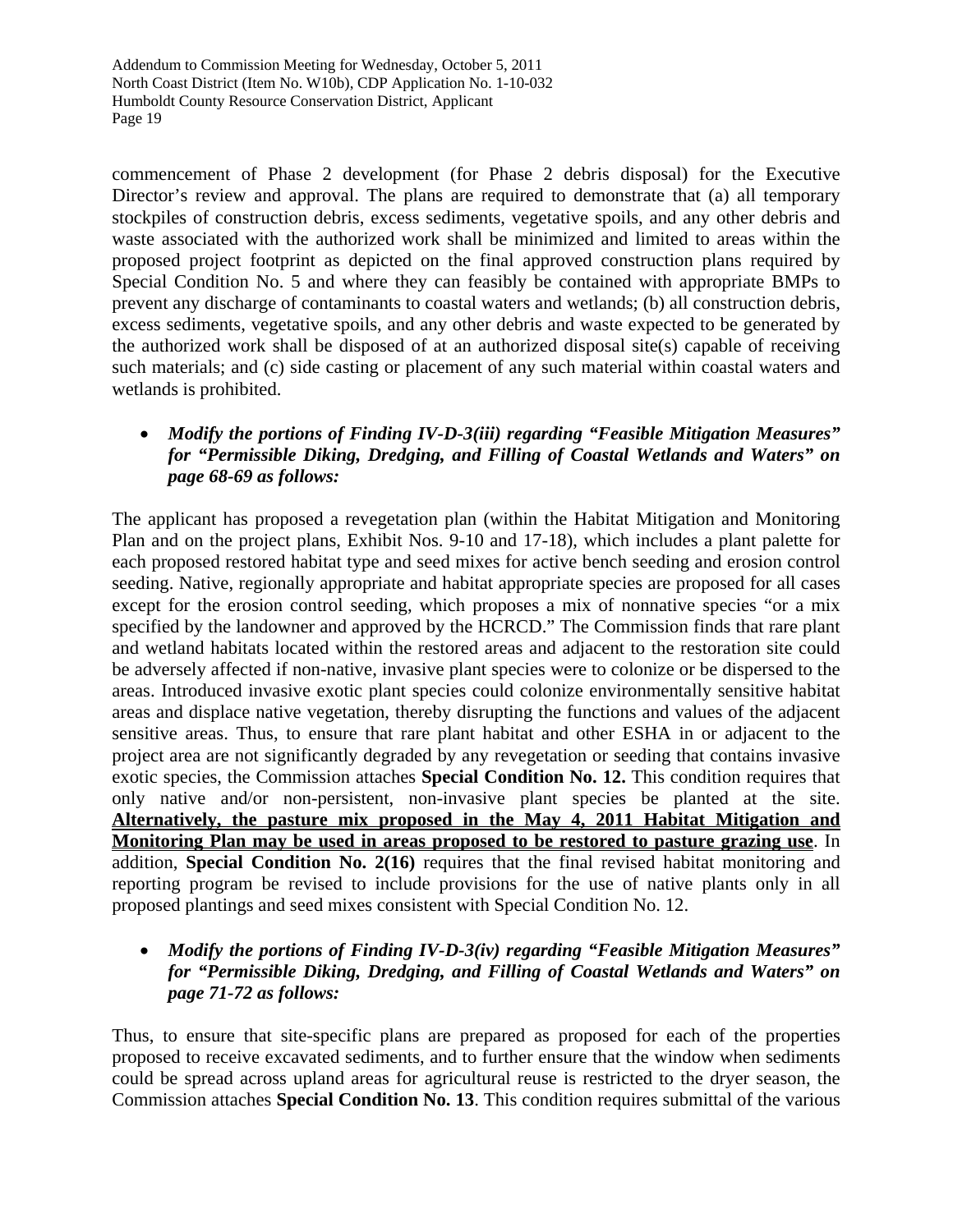commencement of Phase 2 development (for Phase 2 debris disposal) for the Executive Director's review and approval. The plans are required to demonstrate that (a) all temporary stockpiles of construction debris, excess sediments, vegetative spoils, and any other debris and waste associated with the authorized work shall be minimized and limited to areas within the proposed project footprint as depicted on the final approved construction plans required by Special Condition No. 5 and where they can feasibly be contained with appropriate BMPs to prevent any discharge of contaminants to coastal waters and wetlands; (b) all construction debris, excess sediments, vegetative spoils, and any other debris and waste expected to be generated by the authorized work shall be disposed of at an authorized disposal site(s) capable of receiving such materials; and (c) side casting or placement of any such material within coastal waters and wetlands is prohibited.

# • *Modify the portions of Finding IV-D-3(iii) regarding "Feasible Mitigation Measures" for "Permissible Diking, Dredging, and Filling of Coastal Wetlands and Waters" on page 68-69 as follows:*

The applicant has proposed a revegetation plan (within the Habitat Mitigation and Monitoring Plan and on the project plans, Exhibit Nos. 9-10 and 17-18), which includes a plant palette for each proposed restored habitat type and seed mixes for active bench seeding and erosion control seeding. Native, regionally appropriate and habitat appropriate species are proposed for all cases except for the erosion control seeding, which proposes a mix of nonnative species "or a mix specified by the landowner and approved by the HCRCD." The Commission finds that rare plant and wetland habitats located within the restored areas and adjacent to the restoration site could be adversely affected if non-native, invasive plant species were to colonize or be dispersed to the areas. Introduced invasive exotic plant species could colonize environmentally sensitive habitat areas and displace native vegetation, thereby disrupting the functions and values of the adjacent sensitive areas. Thus, to ensure that rare plant habitat and other ESHA in or adjacent to the project area are not significantly degraded by any revegetation or seeding that contains invasive exotic species, the Commission attaches **Special Condition No. 12.** This condition requires that only native and/or non-persistent, non-invasive plant species be planted at the site. **Alternatively, the pasture mix proposed in the May 4, 2011 Habitat Mitigation and Monitoring Plan may be used in areas proposed to be restored to pasture grazing use**. In addition, **Special Condition No. 2(16)** requires that the final revised habitat monitoring and reporting program be revised to include provisions for the use of native plants only in all proposed plantings and seed mixes consistent with Special Condition No. 12.

# • *Modify the portions of Finding IV-D-3(iv) regarding "Feasible Mitigation Measures" for "Permissible Diking, Dredging, and Filling of Coastal Wetlands and Waters" on page 71-72 as follows:*

Thus, to ensure that site-specific plans are prepared as proposed for each of the properties proposed to receive excavated sediments, and to further ensure that the window when sediments could be spread across upland areas for agricultural reuse is restricted to the dryer season, the Commission attaches **Special Condition No. 13**. This condition requires submittal of the various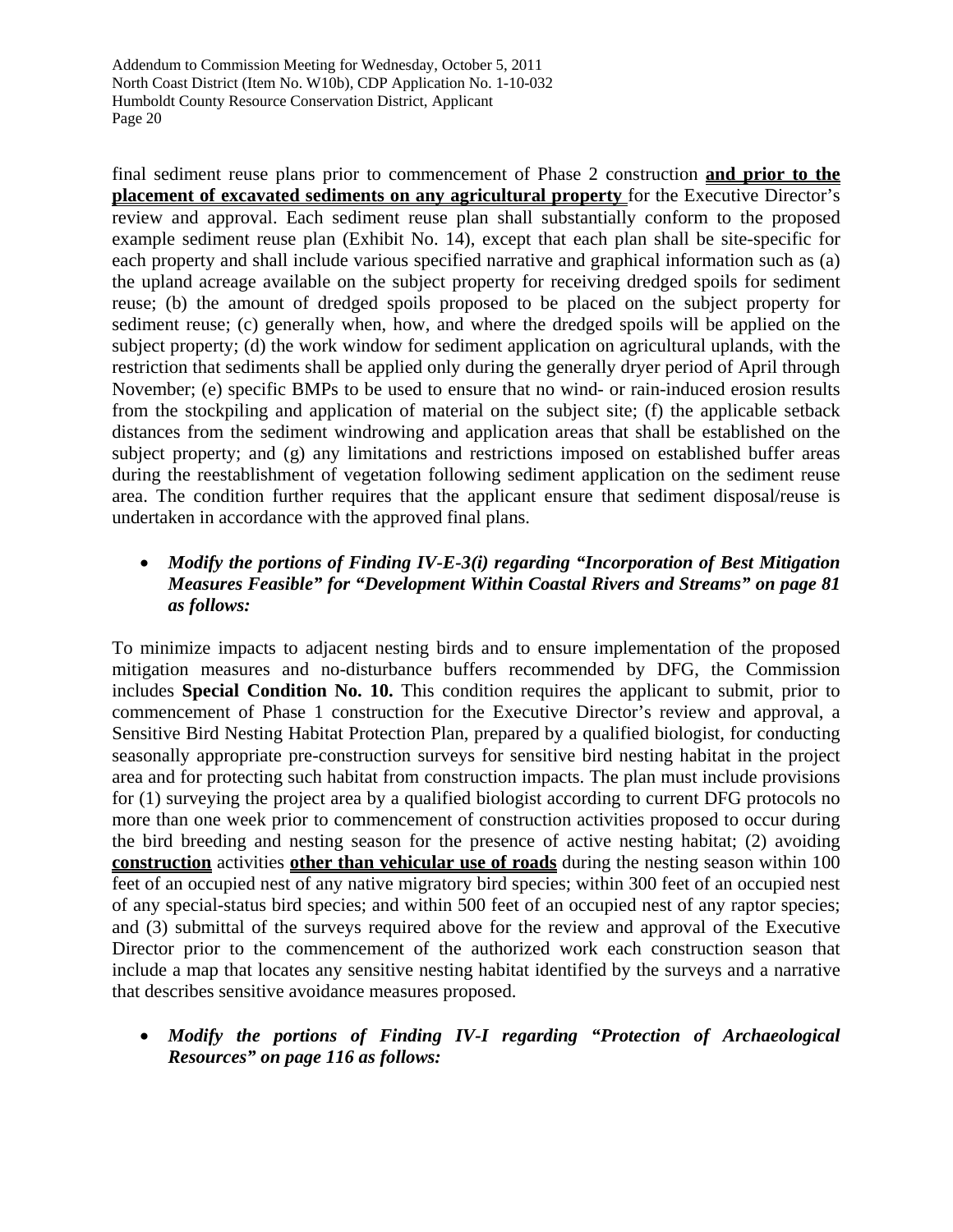final sediment reuse plans prior to commencement of Phase 2 construction **and prior to the placement of excavated sediments on any agricultural property** for the Executive Director's review and approval. Each sediment reuse plan shall substantially conform to the proposed example sediment reuse plan (Exhibit No. 14), except that each plan shall be site-specific for each property and shall include various specified narrative and graphical information such as (a) the upland acreage available on the subject property for receiving dredged spoils for sediment reuse; (b) the amount of dredged spoils proposed to be placed on the subject property for sediment reuse; (c) generally when, how, and where the dredged spoils will be applied on the subject property; (d) the work window for sediment application on agricultural uplands, with the restriction that sediments shall be applied only during the generally dryer period of April through November; (e) specific BMPs to be used to ensure that no wind- or rain-induced erosion results from the stockpiling and application of material on the subject site; (f) the applicable setback distances from the sediment windrowing and application areas that shall be established on the subject property; and (g) any limitations and restrictions imposed on established buffer areas during the reestablishment of vegetation following sediment application on the sediment reuse area. The condition further requires that the applicant ensure that sediment disposal/reuse is undertaken in accordance with the approved final plans.

# • *Modify the portions of Finding IV-E-3(i) regarding "Incorporation of Best Mitigation Measures Feasible" for "Development Within Coastal Rivers and Streams" on page 81 as follows:*

To minimize impacts to adjacent nesting birds and to ensure implementation of the proposed mitigation measures and no-disturbance buffers recommended by DFG, the Commission includes **Special Condition No. 10.** This condition requires the applicant to submit, prior to commencement of Phase 1 construction for the Executive Director's review and approval, a Sensitive Bird Nesting Habitat Protection Plan, prepared by a qualified biologist, for conducting seasonally appropriate pre-construction surveys for sensitive bird nesting habitat in the project area and for protecting such habitat from construction impacts. The plan must include provisions for (1) surveying the project area by a qualified biologist according to current DFG protocols no more than one week prior to commencement of construction activities proposed to occur during the bird breeding and nesting season for the presence of active nesting habitat; (2) avoiding **construction** activities **other than vehicular use of roads** during the nesting season within 100 feet of an occupied nest of any native migratory bird species; within 300 feet of an occupied nest of any special-status bird species; and within 500 feet of an occupied nest of any raptor species; and (3) submittal of the surveys required above for the review and approval of the Executive Director prior to the commencement of the authorized work each construction season that include a map that locates any sensitive nesting habitat identified by the surveys and a narrative that describes sensitive avoidance measures proposed.

• *Modify the portions of Finding IV-I regarding "Protection of Archaeological Resources" on page 116 as follows:*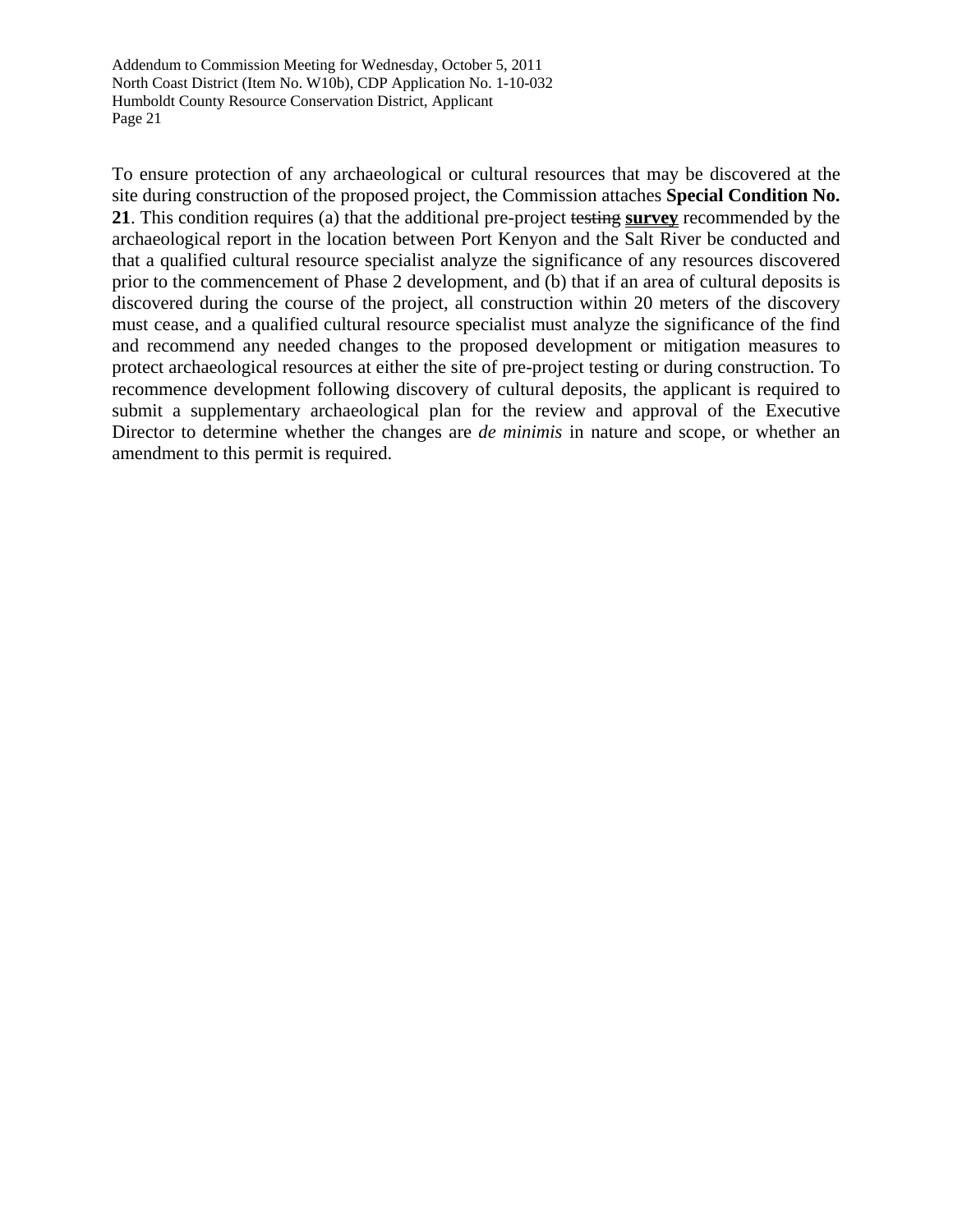To ensure protection of any archaeological or cultural resources that may be discovered at the site during construction of the proposed project, the Commission attaches **Special Condition No. 21**. This condition requires (a) that the additional pre-project testing **survey** recommended by the archaeological report in the location between Port Kenyon and the Salt River be conducted and that a qualified cultural resource specialist analyze the significance of any resources discovered prior to the commencement of Phase 2 development, and (b) that if an area of cultural deposits is discovered during the course of the project, all construction within 20 meters of the discovery must cease, and a qualified cultural resource specialist must analyze the significance of the find and recommend any needed changes to the proposed development or mitigation measures to protect archaeological resources at either the site of pre-project testing or during construction. To recommence development following discovery of cultural deposits, the applicant is required to submit a supplementary archaeological plan for the review and approval of the Executive Director to determine whether the changes are *de minimis* in nature and scope, or whether an amendment to this permit is required.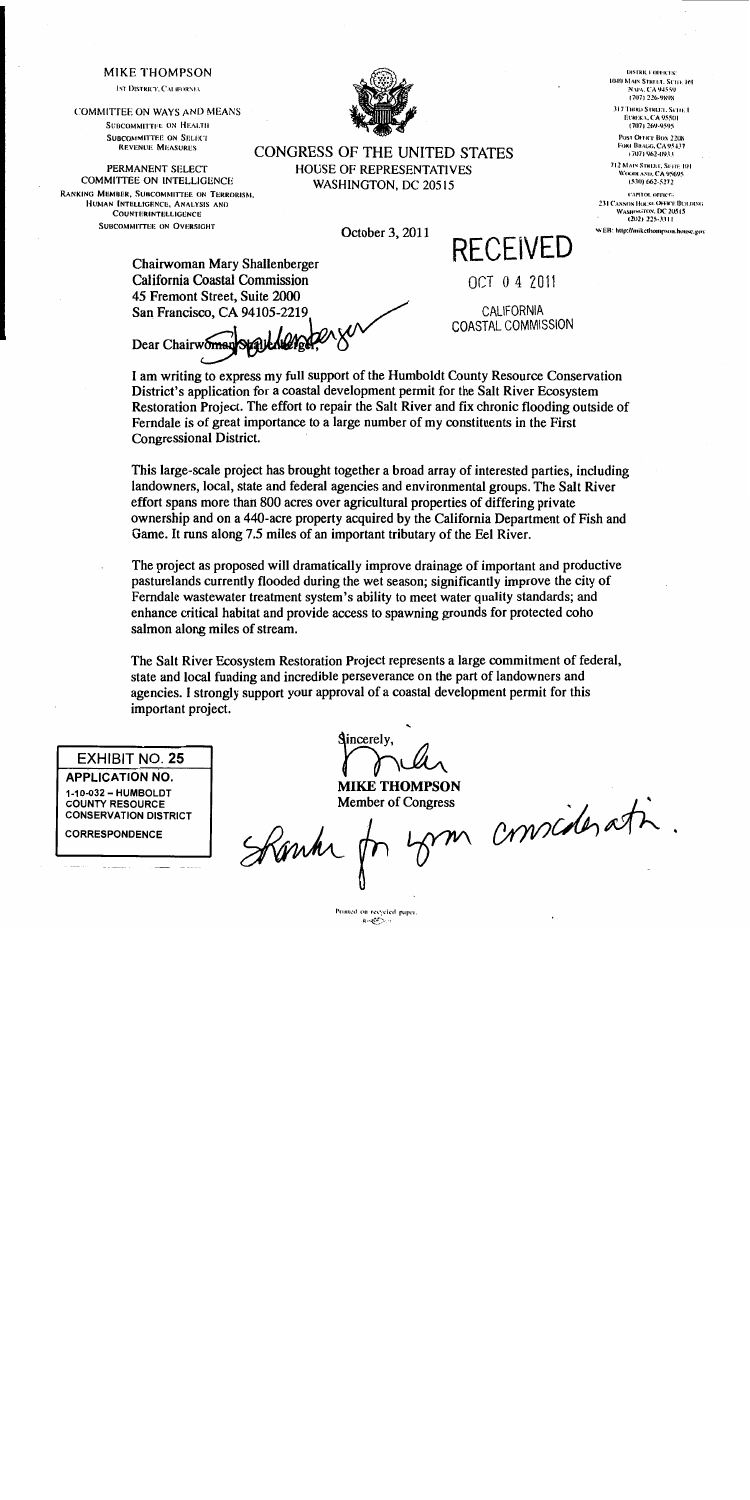#### **MIKE THOMPSON**

**1st DISTRICT, CALIFORNIA** 

**COMMITTEE ON WAYS AND MEANS** 

**SUBCOMMITTEE ON HEALTH SUBCOMMITTEE ON SELECT REVENUE MEASURES** 

PERMANENT SELECT **COMMITTEE ON INTELLIGENCE** RANKING MEMBER, SUBCOMMITTEE ON TERRORISM. HUMAN INTELLIGENCE, ANALYSIS AND **COUNTERINTELLIGENCE SUBCOMMITTEE ON OVERSIGHT** 



CONGRESS OF THE UNITED STATES HOUSE OF REPRESENTATIVES WASHINGTON, DC 20515

October 3, 2011

**RECEIVED** 

OCT 0 4 2011

CALIFORNIA

DISTRICE OFFICES: 1010 MAIN STREET, SCTTE 101 NAPA CA 01550 (707) 226-9898

317 THRD STREET, SITTE I **ECREKA, CA 95501** (707) 269-9595

Post Office Box 2208 *FORT BRAGG, CA 95437* (707) 962-0033

712 MAIN STREET, SUITE 101 WOODE AND, CA 95695 (530) 662-5272

CAPITOL OFFICE: 231 CANNON HOUSE OFFICE BUILDING WASHINGTON, DC 20515  $(202)$  225-3311

WEB: http://mikethompson.house.gov

Chairwoman Mary Shallenberger California Coastal Commission 45 Fremont Street, Suite 2000 San Francisco, CA 94105-2219

Dear Chairwoman

COASTAL COMMISSION

I am writing to express my full support of the Humboldt County Resource Conservation District's application for a coastal development permit for the Salt River Ecosystem Restoration Project. The effort to repair the Salt River and fix chronic flooding outside of Ferndale is of great importance to a large number of my constituents in the First Congressional District.

This large-scale project has brought together a broad array of interested parties, including landowners, local, state and federal agencies and environmental groups. The Salt River effort spans more than 800 acres over agricultural properties of differing private ownership and on a 440-acre property acquired by the California Department of Fish and Game. It runs along 7.5 miles of an important tributary of the Eel River.

The project as proposed will dramatically improve drainage of important and productive pasturelands currently flooded during the wet season; significantly improve the city of Ferndale wastewater treatment system's ability to meet water quality standards; and enhance critical habitat and provide access to spawning grounds for protected coho salmon along miles of stream.

The Salt River Ecosystem Restoration Project represents a large commitment of federal, state and local funding and incredible perseverance on the part of landowners and agencies. I strongly support your approval of a coastal development permit for this important project.

**EXHIBIT NO. 25** 

**APPLICATION NO.** 1-10-032 - HUMBOLDT **COUNTY RESOURCE CONSERVATION DISTRICT** 

**CORRESPONDENCE** 

Sincerely,

**MIKE THOMPSON** Member of Congress

m conscidenti

Printed on recycled paper  $0.955333$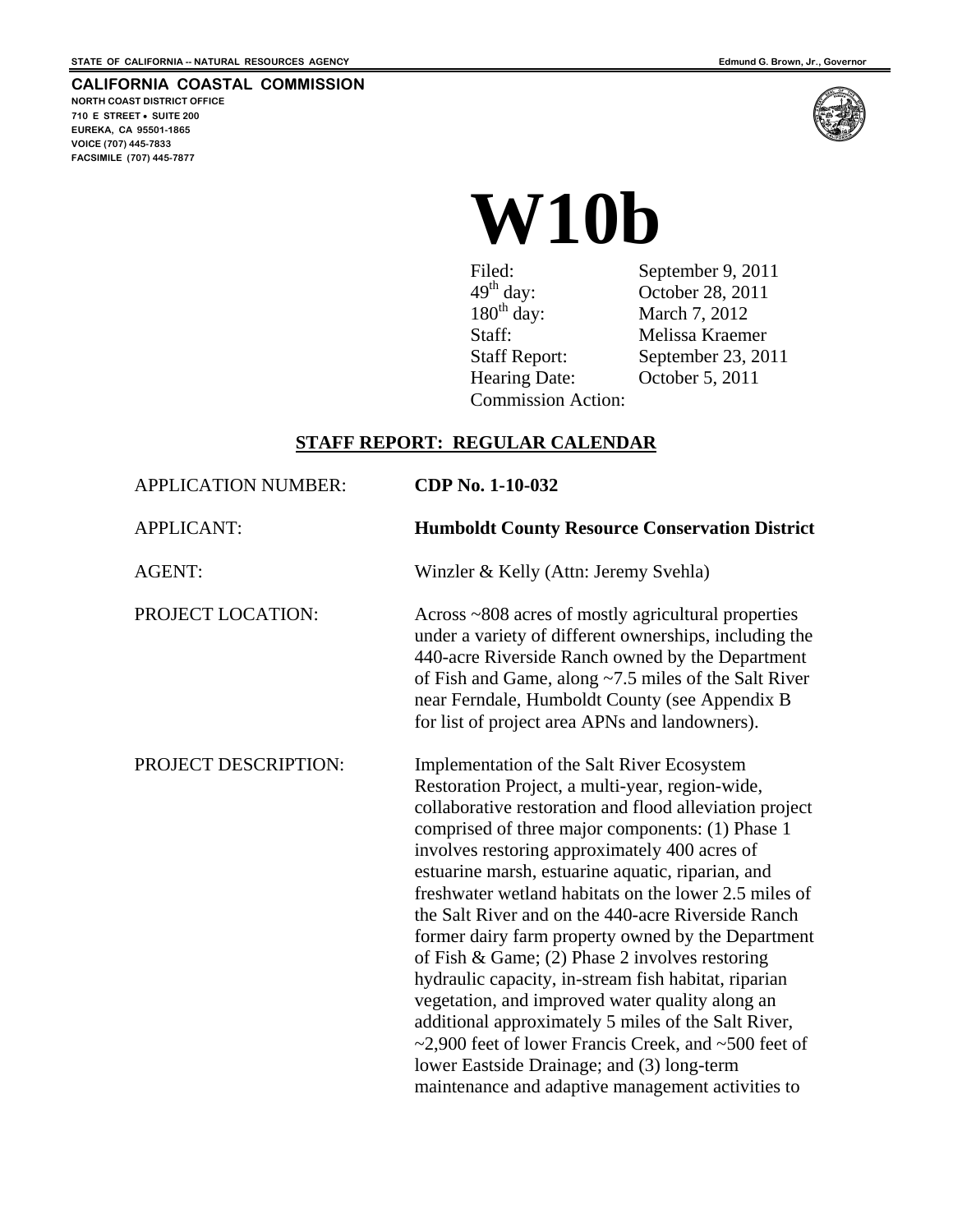<span id="page-22-0"></span>**FACSIMILE (707) 445-7877** 



# **W10b**

Filed: September 9, 2011<br>49<sup>th</sup> day: October 28, 2011  $49<sup>th</sup>$  day: October 28, 2011<br>180<sup>th</sup> day: March 7, 2012 March 7, 2012 Staff: Melissa Kraemer Staff Report: September 23, 2011<br>Hearing Date: October 5, 2011 October 5, 2011 Commission Action:

# **STAFF REPORT: REGULAR CALENDAR**

| <b>APPLICATION NUMBER:</b> | CDP No. 1-10-032                                                                                                                                                                                                                                                                                                                                                                                                                                                                                                                                                                                                                                                                                                                                                                                                                                                                   |
|----------------------------|------------------------------------------------------------------------------------------------------------------------------------------------------------------------------------------------------------------------------------------------------------------------------------------------------------------------------------------------------------------------------------------------------------------------------------------------------------------------------------------------------------------------------------------------------------------------------------------------------------------------------------------------------------------------------------------------------------------------------------------------------------------------------------------------------------------------------------------------------------------------------------|
| <b>APPLICANT:</b>          | <b>Humboldt County Resource Conservation District</b>                                                                                                                                                                                                                                                                                                                                                                                                                                                                                                                                                                                                                                                                                                                                                                                                                              |
| <b>AGENT:</b>              | Winzler & Kelly (Attn: Jeremy Svehla)                                                                                                                                                                                                                                                                                                                                                                                                                                                                                                                                                                                                                                                                                                                                                                                                                                              |
| PROJECT LOCATION:          | Across ~808 acres of mostly agricultural properties<br>under a variety of different ownerships, including the<br>440-acre Riverside Ranch owned by the Department<br>of Fish and Game, along $\sim$ 7.5 miles of the Salt River<br>near Ferndale, Humboldt County (see Appendix B<br>for list of project area APNs and landowners).                                                                                                                                                                                                                                                                                                                                                                                                                                                                                                                                                |
| PROJECT DESCRIPTION:       | Implementation of the Salt River Ecosystem<br>Restoration Project, a multi-year, region-wide,<br>collaborative restoration and flood alleviation project<br>comprised of three major components: (1) Phase 1<br>involves restoring approximately 400 acres of<br>estuarine marsh, estuarine aquatic, riparian, and<br>freshwater wetland habitats on the lower 2.5 miles of<br>the Salt River and on the 440-acre Riverside Ranch<br>former dairy farm property owned by the Department<br>of Fish & Game; (2) Phase 2 involves restoring<br>hydraulic capacity, in-stream fish habitat, riparian<br>vegetation, and improved water quality along an<br>additional approximately 5 miles of the Salt River,<br>$\sim$ 2,900 feet of lower Francis Creek, and $\sim$ 500 feet of<br>lower Eastside Drainage; and (3) long-term<br>maintenance and adaptive management activities to |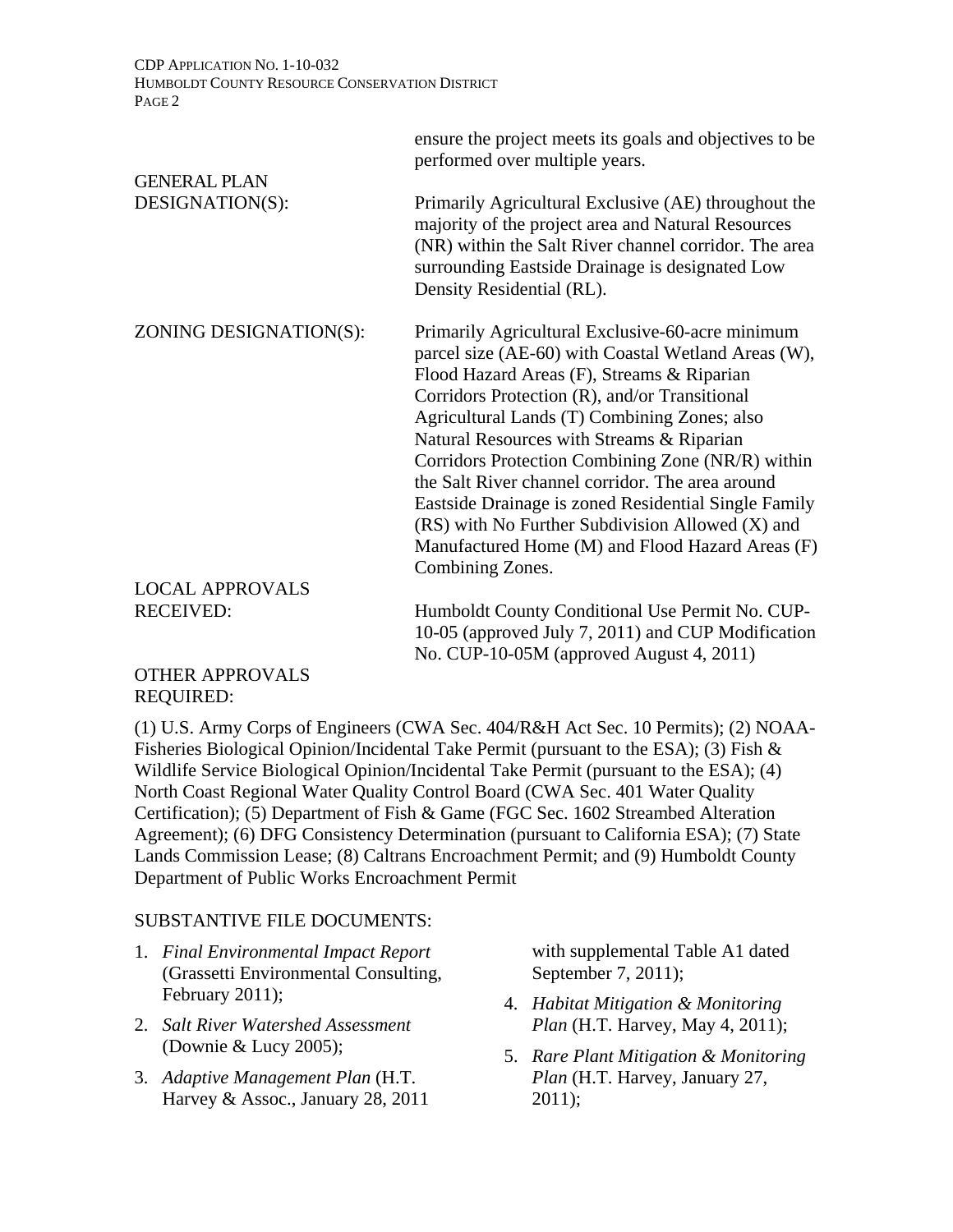### CDP APPLICATION NO. 1-10-032 HUMBOLDT COUNTY RESOURCE CONSERVATION DISTRICT PAGE 2

|                        | ensure the project meets its goals and objectives to be<br>performed over multiple years.                                                                                                                                                           |
|------------------------|-----------------------------------------------------------------------------------------------------------------------------------------------------------------------------------------------------------------------------------------------------|
| <b>GENERAL PLAN</b>    |                                                                                                                                                                                                                                                     |
| DESIGNATION(S):        | Primarily Agricultural Exclusive (AE) throughout the<br>majority of the project area and Natural Resources<br>(NR) within the Salt River channel corridor. The area<br>surrounding Eastside Drainage is designated Low<br>Density Residential (RL). |
| ZONING DESIGNATION(S): | Primarily Agricultural Exclusive-60-acre minimum<br>parcel size (AE-60) with Coastal Wetland Areas (W),<br>Flood Hazard Areas (F), Streams & Riparian                                                                                               |
|                        | Corridors Protection (R), and/or Transitional<br>Agricultural Lands (T) Combining Zones; also                                                                                                                                                       |
|                        | Natural Resources with Streams & Riparian                                                                                                                                                                                                           |
|                        | Corridors Protection Combining Zone (NR/R) within<br>the Salt River channel corridor. The area around                                                                                                                                               |
|                        | Eastside Drainage is zoned Residential Single Family<br>(RS) with No Further Subdivision Allowed (X) and                                                                                                                                            |
|                        | Manufactured Home (M) and Flood Hazard Areas (F)<br>Combining Zones.                                                                                                                                                                                |
| <b>LOCAL APPROVALS</b> |                                                                                                                                                                                                                                                     |
| <b>RECEIVED:</b>       | Humboldt County Conditional Use Permit No. CUP-<br>10-05 (approved July 7, 2011) and CUP Modification<br>No. CUP-10-05M (approved August 4, 2011)                                                                                                   |
| <b>OTHER APPROVALS</b> |                                                                                                                                                                                                                                                     |

### OTHER APPROVALS REQUIRED:

(1) U.S. Army Corps of Engineers (CWA Sec. 404/R&H Act Sec. 10 Permits); (2) NOAA-Fisheries Biological Opinion/Incidental Take Permit (pursuant to the ESA); (3) Fish & Wildlife Service Biological Opinion/Incidental Take Permit (pursuant to the ESA); (4) North Coast Regional Water Quality Control Board (CWA Sec. 401 Water Quality Certification); (5) Department of Fish & Game (FGC Sec. 1602 Streambed Alteration Agreement); (6) DFG Consistency Determination (pursuant to California ESA); (7) State Lands Commission Lease; (8) Caltrans Encroachment Permit; and (9) Humboldt County Department of Public Works Encroachment Permit

### SUBSTANTIVE FILE DOCUMENTS:

- 1. *Final Environmental Impact Report* (Grassetti Environmental Consulting, February 2011);
- 2. *Salt River Watershed Assessment* (Downie & Lucy 2005);
- 3. *Adaptive Management Plan* (H.T. Harvey & Assoc., January 28, 2011

with supplemental Table A1 dated September 7, 2011);

- 4. *Habitat Mitigation & Monitoring Plan* (H.T. Harvey, May 4, 2011);
- 5. *Rare Plant Mitigation & Monitoring Plan* (H.T. Harvey, January 27, 2011);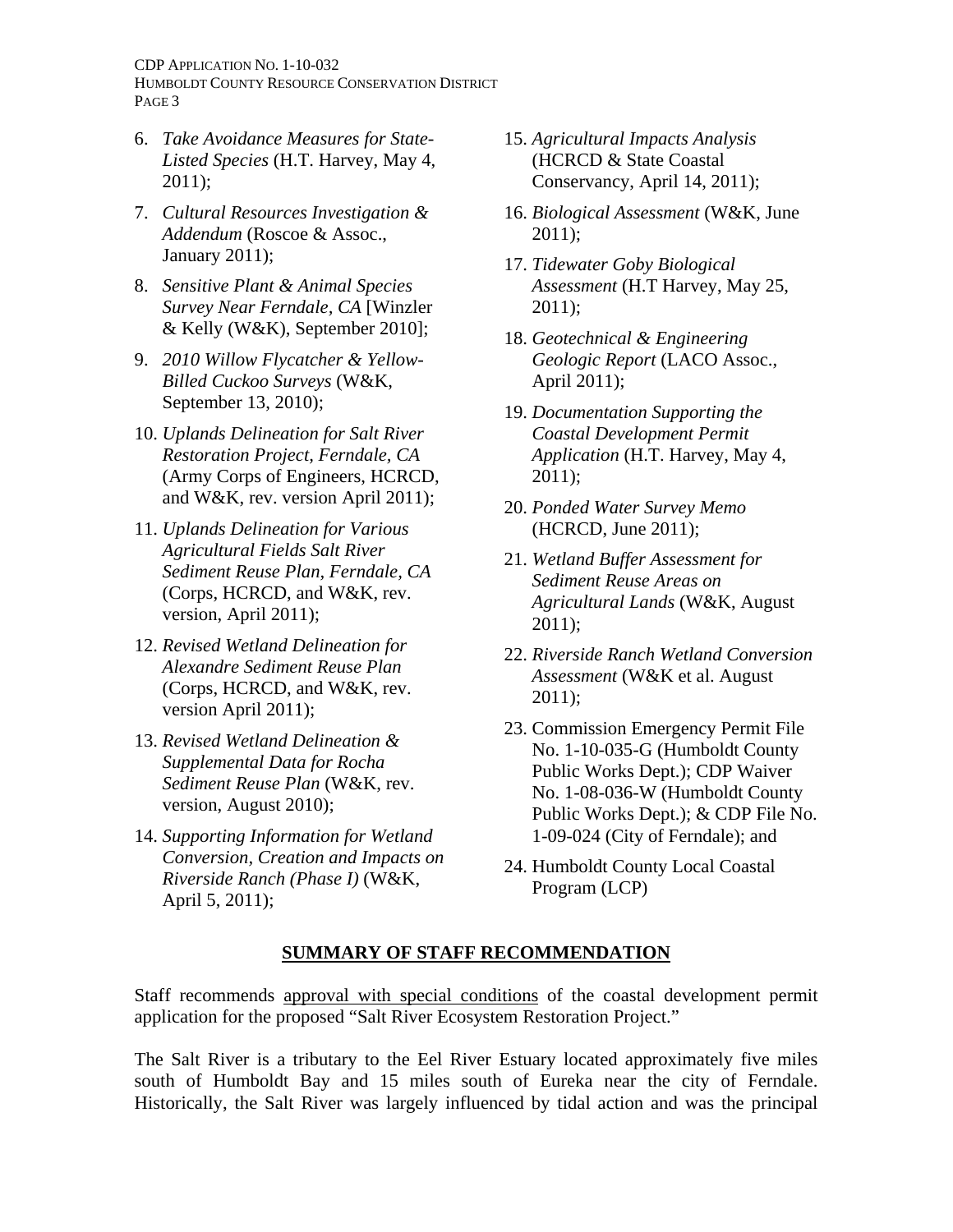CDP APPLICATION NO. 1-10-032 HUMBOLDT COUNTY RESOURCE CONSERVATION DISTRICT PAGE 3

- 6. *Take Avoidance Measures for State-Listed Species* (H.T. Harvey, May 4, 2011);
- 7. *Cultural Resources Investigation & Addendum* (Roscoe & Assoc., January 2011);
- 8. *Sensitive Plant & Animal Species Survey Near Ferndale, CA* [Winzler & Kelly (W&K), September 2010];
- 9. *2010 Willow Flycatcher & Yellow-Billed Cuckoo Surveys* (W&K, September 13, 2010);
- 10. *Uplands Delineation for Salt River Restoration Project, Ferndale, CA* (Army Corps of Engineers, HCRCD, and W&K, rev. version April 2011);
- 11. *Uplands Delineation for Various Agricultural Fields Salt River Sediment Reuse Plan, Ferndale, CA* (Corps, HCRCD, and W&K, rev. version, April 2011);
- 12. *Revised Wetland Delineation for Alexandre Sediment Reuse Plan* (Corps, HCRCD, and W&K, rev. version April 2011);
- 13. *Revised Wetland Delineation & Supplemental Data for Rocha Sediment Reuse Plan* (W&K, rev. version, August 2010);
- 14. *Supporting Information for Wetland Conversion, Creation and Impacts on Riverside Ranch (Phase I)* (W&K, April 5, 2011);
- 15. *Agricultural Impacts Analysis* (HCRCD & State Coastal Conservancy, April 14, 2011);
- 16. *Biological Assessment* (W&K, June 2011);
- 17. *Tidewater Goby Biological Assessment* (H.T Harvey, May 25, 2011);
- 18. *Geotechnical & Engineering Geologic Report* (LACO Assoc., April 2011);
- 19. *Documentation Supporting the Coastal Development Permit Application* (H.T. Harvey, May 4, 2011);
- 20. *Ponded Water Survey Memo* (HCRCD, June 2011);
- 21. *Wetland Buffer Assessment for Sediment Reuse Areas on Agricultural Lands* (W&K, August 2011);
- 22. *Riverside Ranch Wetland Conversion Assessment* (W&K et al. August 2011);
- 23. Commission Emergency Permit File No. 1-10-035-G (Humboldt County Public Works Dept.); CDP Waiver No. 1-08-036-W (Humboldt County Public Works Dept.); & CDP File No. 1-09-024 (City of Ferndale); and
- 24. Humboldt County Local Coastal Program (LCP)

### **SUMMARY OF STAFF RECOMMENDATION**

Staff recommends approval with special conditions of the coastal development permit application for the proposed "Salt River Ecosystem Restoration Project."

The Salt River is a tributary to the Eel River Estuary located approximately five miles south of Humboldt Bay and 15 miles south of Eureka near the city of Ferndale. Historically, the Salt River was largely influenced by tidal action and was the principal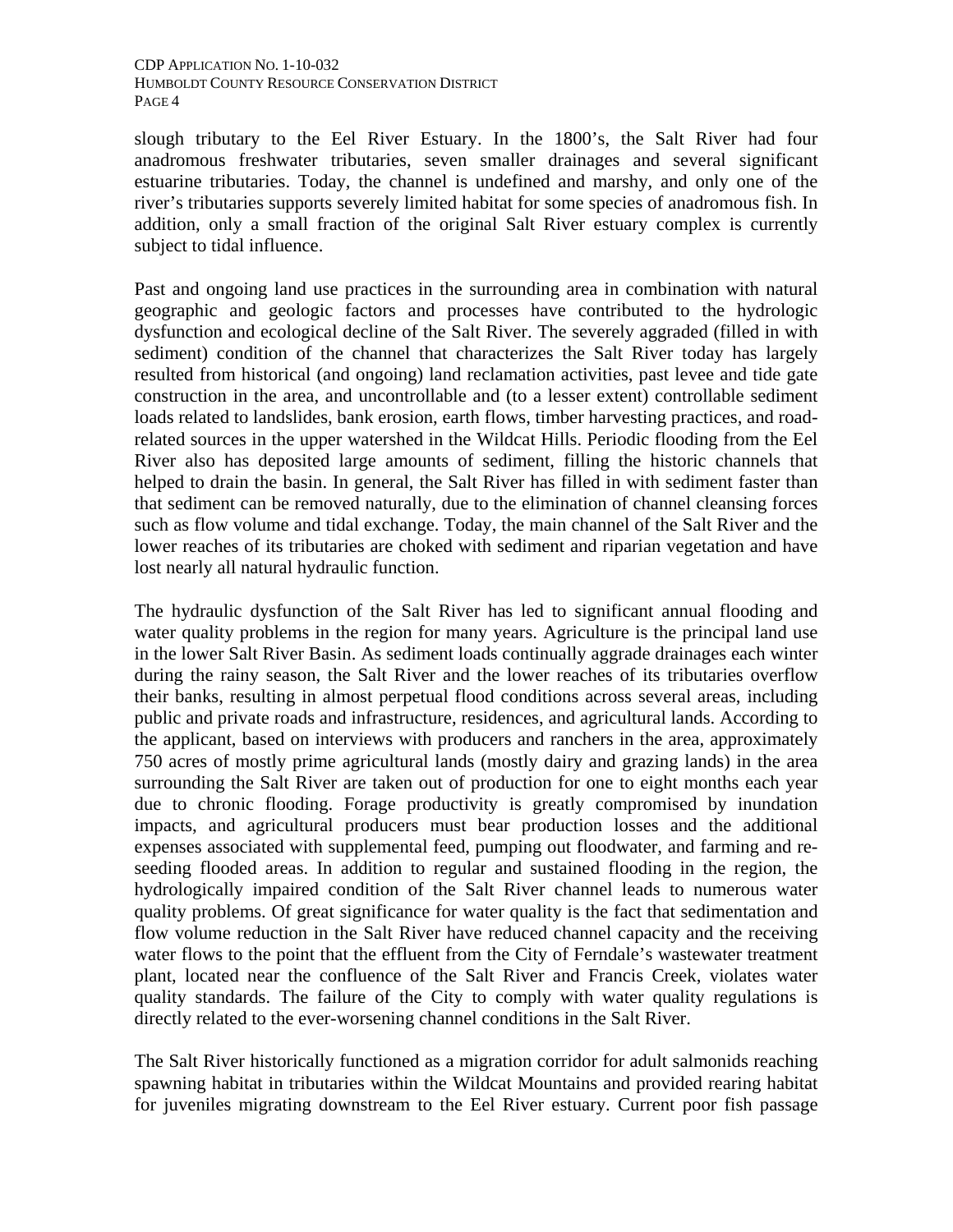slough tributary to the Eel River Estuary. In the 1800's, the Salt River had four anadromous freshwater tributaries, seven smaller drainages and several significant estuarine tributaries. Today, the channel is undefined and marshy, and only one of the river's tributaries supports severely limited habitat for some species of anadromous fish. In addition, only a small fraction of the original Salt River estuary complex is currently subject to tidal influence.

Past and ongoing land use practices in the surrounding area in combination with natural geographic and geologic factors and processes have contributed to the hydrologic dysfunction and ecological decline of the Salt River. The severely aggraded (filled in with sediment) condition of the channel that characterizes the Salt River today has largely resulted from historical (and ongoing) land reclamation activities, past levee and tide gate construction in the area, and uncontrollable and (to a lesser extent) controllable sediment loads related to landslides, bank erosion, earth flows, timber harvesting practices, and roadrelated sources in the upper watershed in the Wildcat Hills. Periodic flooding from the Eel River also has deposited large amounts of sediment, filling the historic channels that helped to drain the basin. In general, the Salt River has filled in with sediment faster than that sediment can be removed naturally, due to the elimination of channel cleansing forces such as flow volume and tidal exchange. Today, the main channel of the Salt River and the lower reaches of its tributaries are choked with sediment and riparian vegetation and have lost nearly all natural hydraulic function.

The hydraulic dysfunction of the Salt River has led to significant annual flooding and water quality problems in the region for many years. Agriculture is the principal land use in the lower Salt River Basin. As sediment loads continually aggrade drainages each winter during the rainy season, the Salt River and the lower reaches of its tributaries overflow their banks, resulting in almost perpetual flood conditions across several areas, including public and private roads and infrastructure, residences, and agricultural lands. According to the applicant, based on interviews with producers and ranchers in the area, approximately 750 acres of mostly prime agricultural lands (mostly dairy and grazing lands) in the area surrounding the Salt River are taken out of production for one to eight months each year due to chronic flooding. Forage productivity is greatly compromised by inundation impacts, and agricultural producers must bear production losses and the additional expenses associated with supplemental feed, pumping out floodwater, and farming and reseeding flooded areas. In addition to regular and sustained flooding in the region, the hydrologically impaired condition of the Salt River channel leads to numerous water quality problems. Of great significance for water quality is the fact that sedimentation and flow volume reduction in the Salt River have reduced channel capacity and the receiving water flows to the point that the effluent from the City of Ferndale's wastewater treatment plant, located near the confluence of the Salt River and Francis Creek, violates water quality standards. The failure of the City to comply with water quality regulations is directly related to the ever-worsening channel conditions in the Salt River.

The Salt River historically functioned as a migration corridor for adult salmonids reaching spawning habitat in tributaries within the Wildcat Mountains and provided rearing habitat for juveniles migrating downstream to the Eel River estuary. Current poor fish passage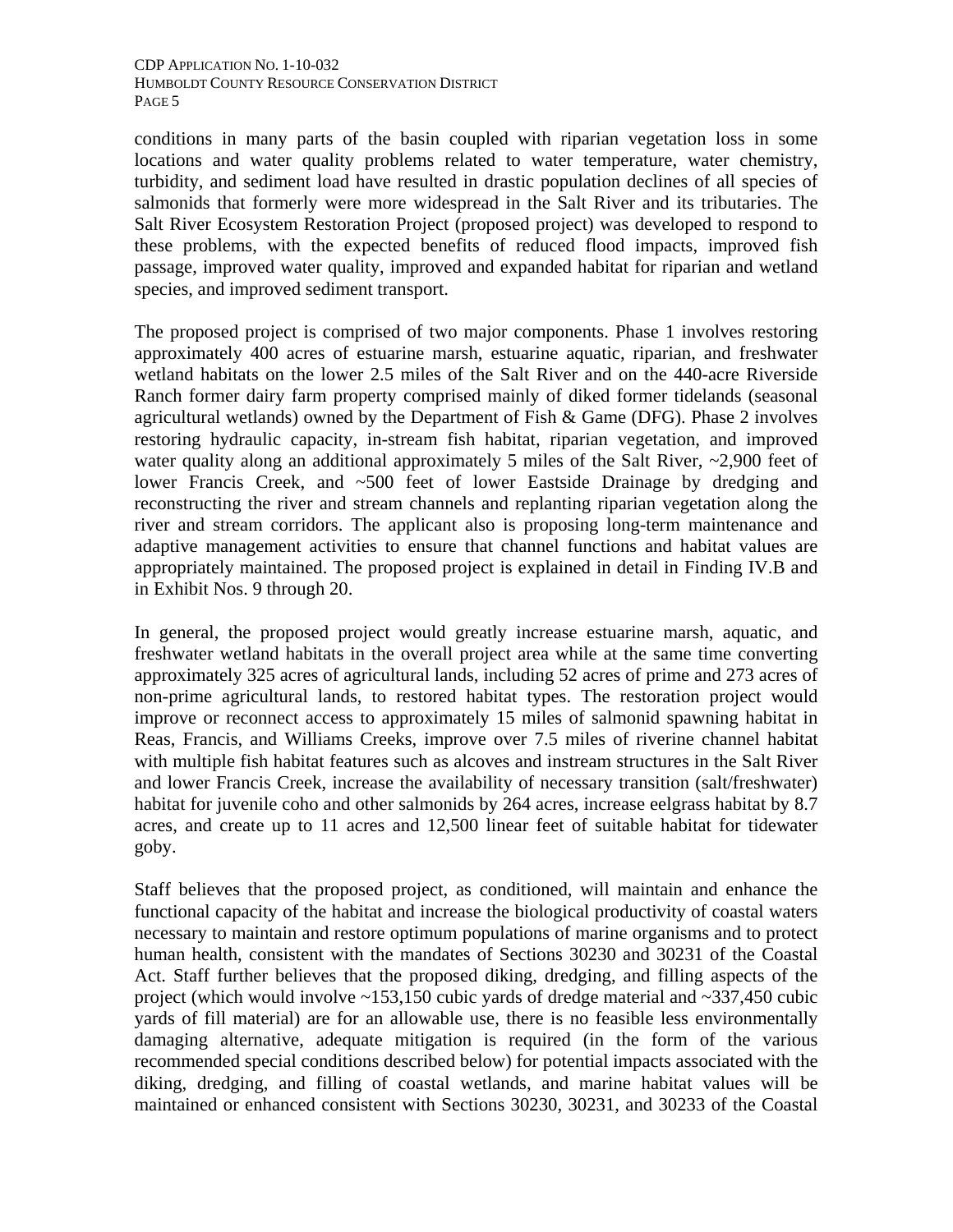conditions in many parts of the basin coupled with riparian vegetation loss in some locations and water quality problems related to water temperature, water chemistry, turbidity, and sediment load have resulted in drastic population declines of all species of salmonids that formerly were more widespread in the Salt River and its tributaries. The Salt River Ecosystem Restoration Project (proposed project) was developed to respond to these problems, with the expected benefits of reduced flood impacts, improved fish passage, improved water quality, improved and expanded habitat for riparian and wetland species, and improved sediment transport.

The proposed project is comprised of two major components. Phase 1 involves restoring approximately 400 acres of estuarine marsh, estuarine aquatic, riparian, and freshwater wetland habitats on the lower 2.5 miles of the Salt River and on the 440-acre Riverside Ranch former dairy farm property comprised mainly of diked former tidelands (seasonal agricultural wetlands) owned by the Department of Fish & Game (DFG). Phase 2 involves restoring hydraulic capacity, in-stream fish habitat, riparian vegetation, and improved water quality along an additional approximately 5 miles of the Salt River, ~2,900 feet of lower Francis Creek, and ~500 feet of lower Eastside Drainage by dredging and reconstructing the river and stream channels and replanting riparian vegetation along the river and stream corridors. The applicant also is proposing long-term maintenance and adaptive management activities to ensure that channel functions and habitat values are appropriately maintained. The proposed project is explained in detail in Finding IV.B and in Exhibit Nos. 9 through 20.

In general, the proposed project would greatly increase estuarine marsh, aquatic, and freshwater wetland habitats in the overall project area while at the same time converting approximately 325 acres of agricultural lands, including 52 acres of prime and 273 acres of non-prime agricultural lands, to restored habitat types. The restoration project would improve or reconnect access to approximately 15 miles of salmonid spawning habitat in Reas, Francis, and Williams Creeks, improve over 7.5 miles of riverine channel habitat with multiple fish habitat features such as alcoves and instream structures in the Salt River and lower Francis Creek, increase the availability of necessary transition (salt/freshwater) habitat for juvenile coho and other salmonids by 264 acres, increase eelgrass habitat by 8.7 acres, and create up to 11 acres and 12,500 linear feet of suitable habitat for tidewater goby.

Staff believes that the proposed project, as conditioned, will maintain and enhance the functional capacity of the habitat and increase the biological productivity of coastal waters necessary to maintain and restore optimum populations of marine organisms and to protect human health, consistent with the mandates of Sections 30230 and 30231 of the Coastal Act. Staff further believes that the proposed diking, dredging, and filling aspects of the project (which would involve ~153,150 cubic yards of dredge material and ~337,450 cubic yards of fill material) are for an allowable use, there is no feasible less environmentally damaging alternative, adequate mitigation is required (in the form of the various recommended special conditions described below) for potential impacts associated with the diking, dredging, and filling of coastal wetlands, and marine habitat values will be maintained or enhanced consistent with Sections 30230, 30231, and 30233 of the Coastal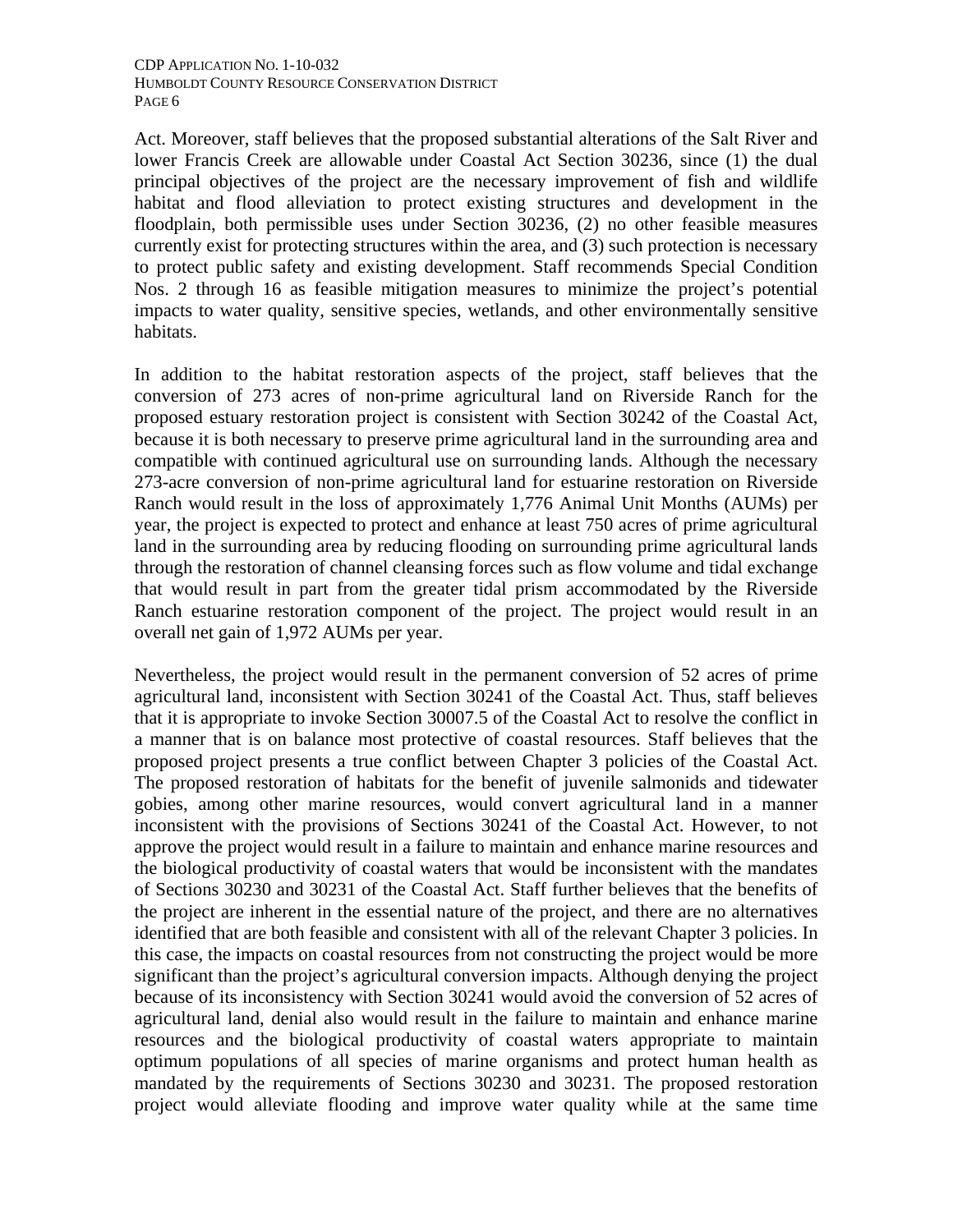Act. Moreover, staff believes that the proposed substantial alterations of the Salt River and lower Francis Creek are allowable under Coastal Act Section 30236, since (1) the dual principal objectives of the project are the necessary improvement of fish and wildlife habitat and flood alleviation to protect existing structures and development in the floodplain, both permissible uses under Section 30236, (2) no other feasible measures currently exist for protecting structures within the area, and (3) such protection is necessary to protect public safety and existing development. Staff recommends Special Condition Nos. 2 through 16 as feasible mitigation measures to minimize the project's potential impacts to water quality, sensitive species, wetlands, and other environmentally sensitive habitats.

In addition to the habitat restoration aspects of the project, staff believes that the conversion of 273 acres of non-prime agricultural land on Riverside Ranch for the proposed estuary restoration project is consistent with Section 30242 of the Coastal Act, because it is both necessary to preserve prime agricultural land in the surrounding area and compatible with continued agricultural use on surrounding lands. Although the necessary 273-acre conversion of non-prime agricultural land for estuarine restoration on Riverside Ranch would result in the loss of approximately 1,776 Animal Unit Months (AUMs) per year, the project is expected to protect and enhance at least 750 acres of prime agricultural land in the surrounding area by reducing flooding on surrounding prime agricultural lands through the restoration of channel cleansing forces such as flow volume and tidal exchange that would result in part from the greater tidal prism accommodated by the Riverside Ranch estuarine restoration component of the project. The project would result in an overall net gain of 1,972 AUMs per year.

Nevertheless, the project would result in the permanent conversion of 52 acres of prime agricultural land, inconsistent with Section 30241 of the Coastal Act. Thus, staff believes that it is appropriate to invoke Section 30007.5 of the Coastal Act to resolve the conflict in a manner that is on balance most protective of coastal resources. Staff believes that the proposed project presents a true conflict between Chapter 3 policies of the Coastal Act. The proposed restoration of habitats for the benefit of juvenile salmonids and tidewater gobies, among other marine resources, would convert agricultural land in a manner inconsistent with the provisions of Sections 30241 of the Coastal Act. However, to not approve the project would result in a failure to maintain and enhance marine resources and the biological productivity of coastal waters that would be inconsistent with the mandates of Sections 30230 and 30231 of the Coastal Act. Staff further believes that the benefits of the project are inherent in the essential nature of the project, and there are no alternatives identified that are both feasible and consistent with all of the relevant Chapter 3 policies. In this case, the impacts on coastal resources from not constructing the project would be more significant than the project's agricultural conversion impacts. Although denying the project because of its inconsistency with Section 30241 would avoid the conversion of 52 acres of agricultural land, denial also would result in the failure to maintain and enhance marine resources and the biological productivity of coastal waters appropriate to maintain optimum populations of all species of marine organisms and protect human health as mandated by the requirements of Sections 30230 and 30231. The proposed restoration project would alleviate flooding and improve water quality while at the same time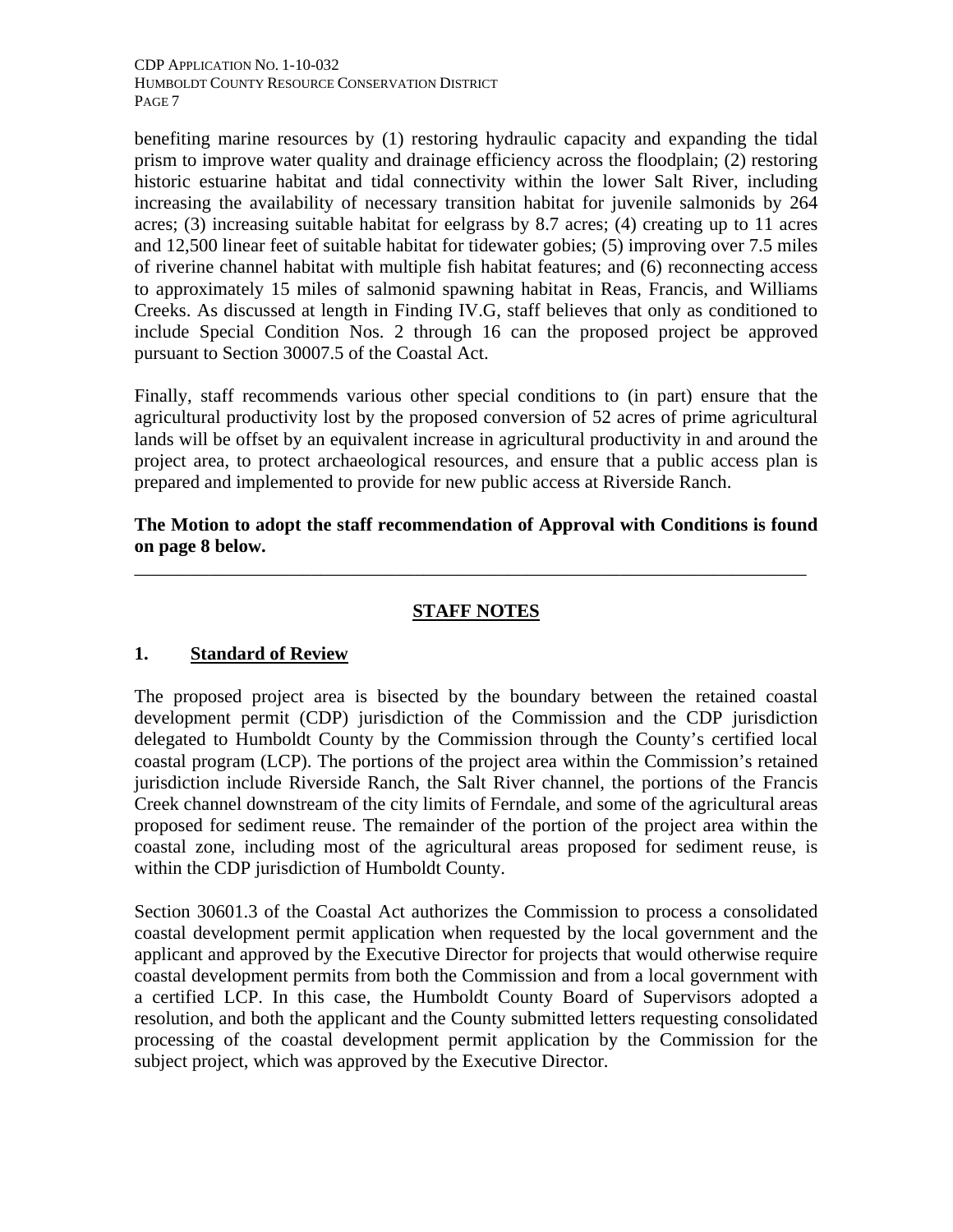benefiting marine resources by (1) restoring hydraulic capacity and expanding the tidal prism to improve water quality and drainage efficiency across the floodplain; (2) restoring historic estuarine habitat and tidal connectivity within the lower Salt River, including increasing the availability of necessary transition habitat for juvenile salmonids by 264 acres; (3) increasing suitable habitat for eelgrass by 8.7 acres; (4) creating up to 11 acres and 12,500 linear feet of suitable habitat for tidewater gobies; (5) improving over 7.5 miles of riverine channel habitat with multiple fish habitat features; and (6) reconnecting access to approximately 15 miles of salmonid spawning habitat in Reas, Francis, and Williams Creeks. As discussed at length in Finding IV.G, staff believes that only as conditioned to include Special Condition Nos. 2 through 16 can the proposed project be approved pursuant to Section 30007.5 of the Coastal Act.

Finally, staff recommends various other special conditions to (in part) ensure that the agricultural productivity lost by the proposed conversion of 52 acres of prime agricultural lands will be offset by an equivalent increase in agricultural productivity in and around the project area, to protect archaeological resources, and ensure that a public access plan is prepared and implemented to provide for new public access at Riverside Ranch.

# **The Motion to adopt the staff recommendation of Approval with Conditions is found on page 8 below.**

\_\_\_\_\_\_\_\_\_\_\_\_\_\_\_\_\_\_\_\_\_\_\_\_\_\_\_\_\_\_\_\_\_\_\_\_\_\_\_\_\_\_\_\_\_\_\_\_\_\_\_\_\_\_\_\_\_\_\_\_\_\_\_\_\_\_\_\_\_\_\_\_

# **STAFF NOTES**

# **1. Standard of Review**

The proposed project area is bisected by the boundary between the retained coastal development permit (CDP) jurisdiction of the Commission and the CDP jurisdiction delegated to Humboldt County by the Commission through the County's certified local coastal program (LCP). The portions of the project area within the Commission's retained jurisdiction include Riverside Ranch, the Salt River channel, the portions of the Francis Creek channel downstream of the city limits of Ferndale, and some of the agricultural areas proposed for sediment reuse. The remainder of the portion of the project area within the coastal zone, including most of the agricultural areas proposed for sediment reuse, is within the CDP jurisdiction of Humboldt County.

Section 30601.3 of the Coastal Act authorizes the Commission to process a consolidated coastal development permit application when requested by the local government and the applicant and approved by the Executive Director for projects that would otherwise require coastal development permits from both the Commission and from a local government with a certified LCP. In this case, the Humboldt County Board of Supervisors adopted a resolution, and both the applicant and the County submitted letters requesting consolidated processing of the coastal development permit application by the Commission for the subject project, which was approved by the Executive Director.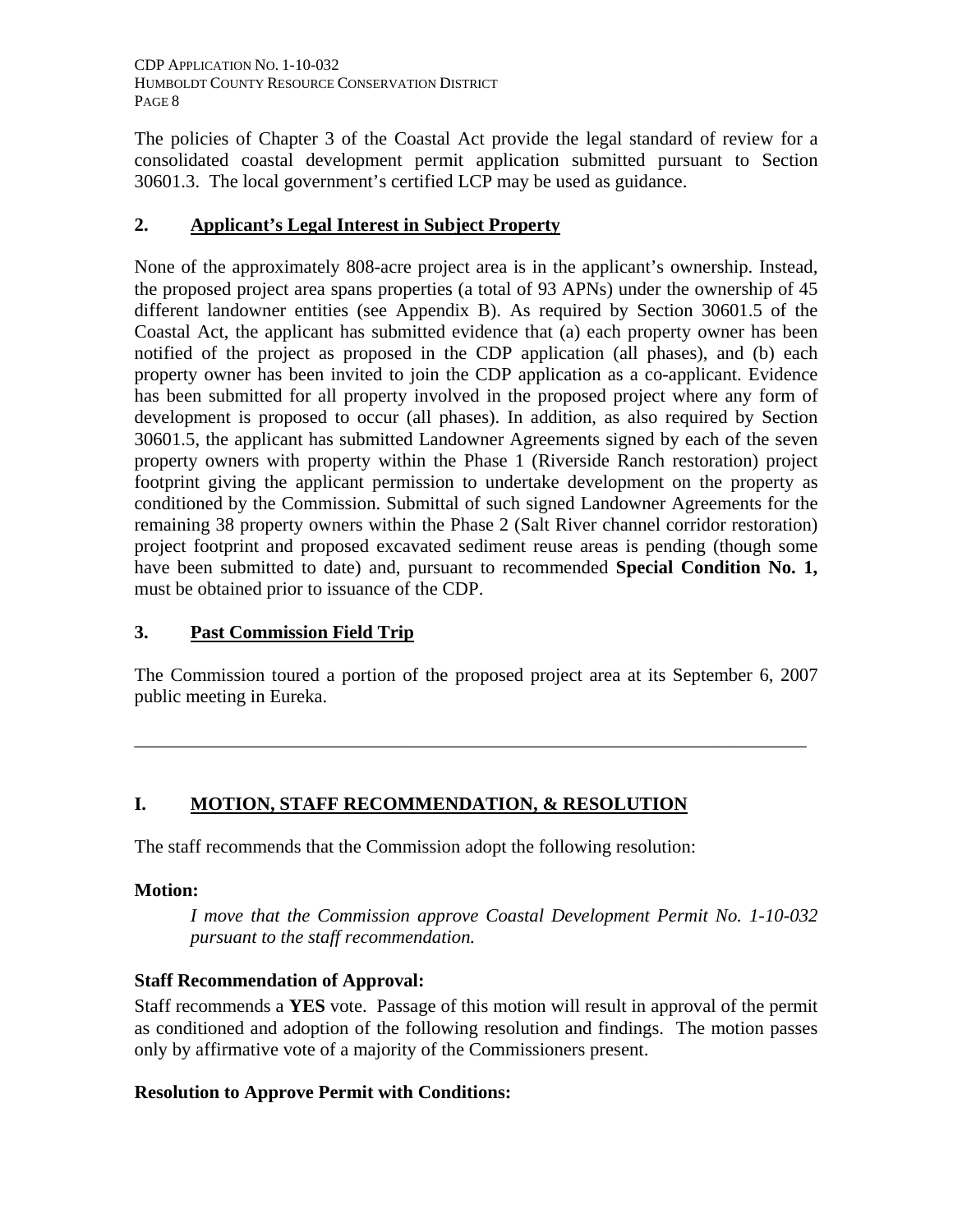CDP APPLICATION NO. 1-10-032 HUMBOLDT COUNTY RESOURCE CONSERVATION DISTRICT PAGE 8

The policies of Chapter 3 of the Coastal Act provide the legal standard of review for a consolidated coastal development permit application submitted pursuant to Section 30601.3. The local government's certified LCP may be used as guidance.

# **2. Applicant's Legal Interest in Subject Property**

None of the approximately 808-acre project area is in the applicant's ownership. Instead, the proposed project area spans properties (a total of 93 APNs) under the ownership of 45 different landowner entities (see Appendix B). As required by Section 30601.5 of the Coastal Act, the applicant has submitted evidence that (a) each property owner has been notified of the project as proposed in the CDP application (all phases), and (b) each property owner has been invited to join the CDP application as a co-applicant. Evidence has been submitted for all property involved in the proposed project where any form of development is proposed to occur (all phases). In addition, as also required by Section 30601.5, the applicant has submitted Landowner Agreements signed by each of the seven property owners with property within the Phase 1 (Riverside Ranch restoration) project footprint giving the applicant permission to undertake development on the property as conditioned by the Commission. Submittal of such signed Landowner Agreements for the remaining 38 property owners within the Phase 2 (Salt River channel corridor restoration) project footprint and proposed excavated sediment reuse areas is pending (though some have been submitted to date) and, pursuant to recommended **Special Condition No. 1,** must be obtained prior to issuance of the CDP.

# **3. Past Commission Field Trip**

The Commission toured a portion of the proposed project area at its September 6, 2007 public meeting in Eureka.

\_\_\_\_\_\_\_\_\_\_\_\_\_\_\_\_\_\_\_\_\_\_\_\_\_\_\_\_\_\_\_\_\_\_\_\_\_\_\_\_\_\_\_\_\_\_\_\_\_\_\_\_\_\_\_\_\_\_\_\_\_\_\_\_\_\_\_\_\_\_\_\_

# **I. MOTION, STAFF RECOMMENDATION, & RESOLUTION**

The staff recommends that the Commission adopt the following resolution:

# **Motion:**

*I move that the Commission approve Coastal Development Permit No. 1-10-032 pursuant to the staff recommendation.* 

# **Staff Recommendation of Approval:**

Staff recommends a **YES** vote. Passage of this motion will result in approval of the permit as conditioned and adoption of the following resolution and findings. The motion passes only by affirmative vote of a majority of the Commissioners present.

# **Resolution to Approve Permit with Conditions:**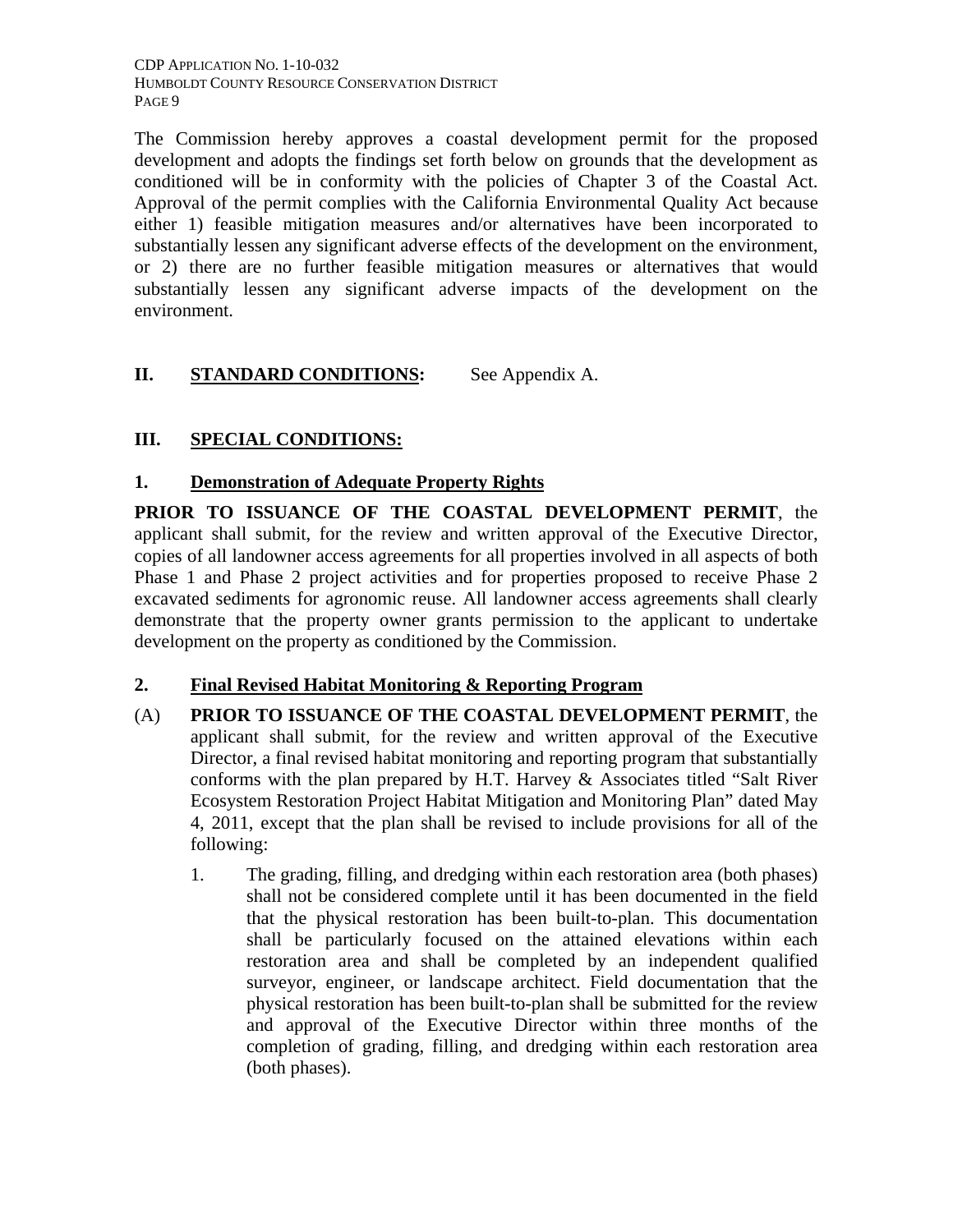The Commission hereby approves a coastal development permit for the proposed development and adopts the findings set forth below on grounds that the development as conditioned will be in conformity with the policies of Chapter 3 of the Coastal Act. Approval of the permit complies with the California Environmental Quality Act because either 1) feasible mitigation measures and/or alternatives have been incorporated to substantially lessen any significant adverse effects of the development on the environment, or 2) there are no further feasible mitigation measures or alternatives that would substantially lessen any significant adverse impacts of the development on the environment.

# **II. STANDARD CONDITIONS:** See Appendix A.

# **III. SPECIAL CONDITIONS:**

# **1. Demonstration of Adequate Property Rights**

**PRIOR TO ISSUANCE OF THE COASTAL DEVELOPMENT PERMIT**, the applicant shall submit, for the review and written approval of the Executive Director, copies of all landowner access agreements for all properties involved in all aspects of both Phase 1 and Phase 2 project activities and for properties proposed to receive Phase 2 excavated sediments for agronomic reuse. All landowner access agreements shall clearly demonstrate that the property owner grants permission to the applicant to undertake development on the property as conditioned by the Commission.

# **2. Final Revised Habitat Monitoring & Reporting Program**

- (A) **PRIOR TO ISSUANCE OF THE COASTAL DEVELOPMENT PERMIT**, the applicant shall submit, for the review and written approval of the Executive Director, a final revised habitat monitoring and reporting program that substantially conforms with the plan prepared by H.T. Harvey & Associates titled "Salt River Ecosystem Restoration Project Habitat Mitigation and Monitoring Plan" dated May 4, 2011, except that the plan shall be revised to include provisions for all of the following:
	- 1. The grading, filling, and dredging within each restoration area (both phases) shall not be considered complete until it has been documented in the field that the physical restoration has been built-to-plan. This documentation shall be particularly focused on the attained elevations within each restoration area and shall be completed by an independent qualified surveyor, engineer, or landscape architect. Field documentation that the physical restoration has been built-to-plan shall be submitted for the review and approval of the Executive Director within three months of the completion of grading, filling, and dredging within each restoration area (both phases).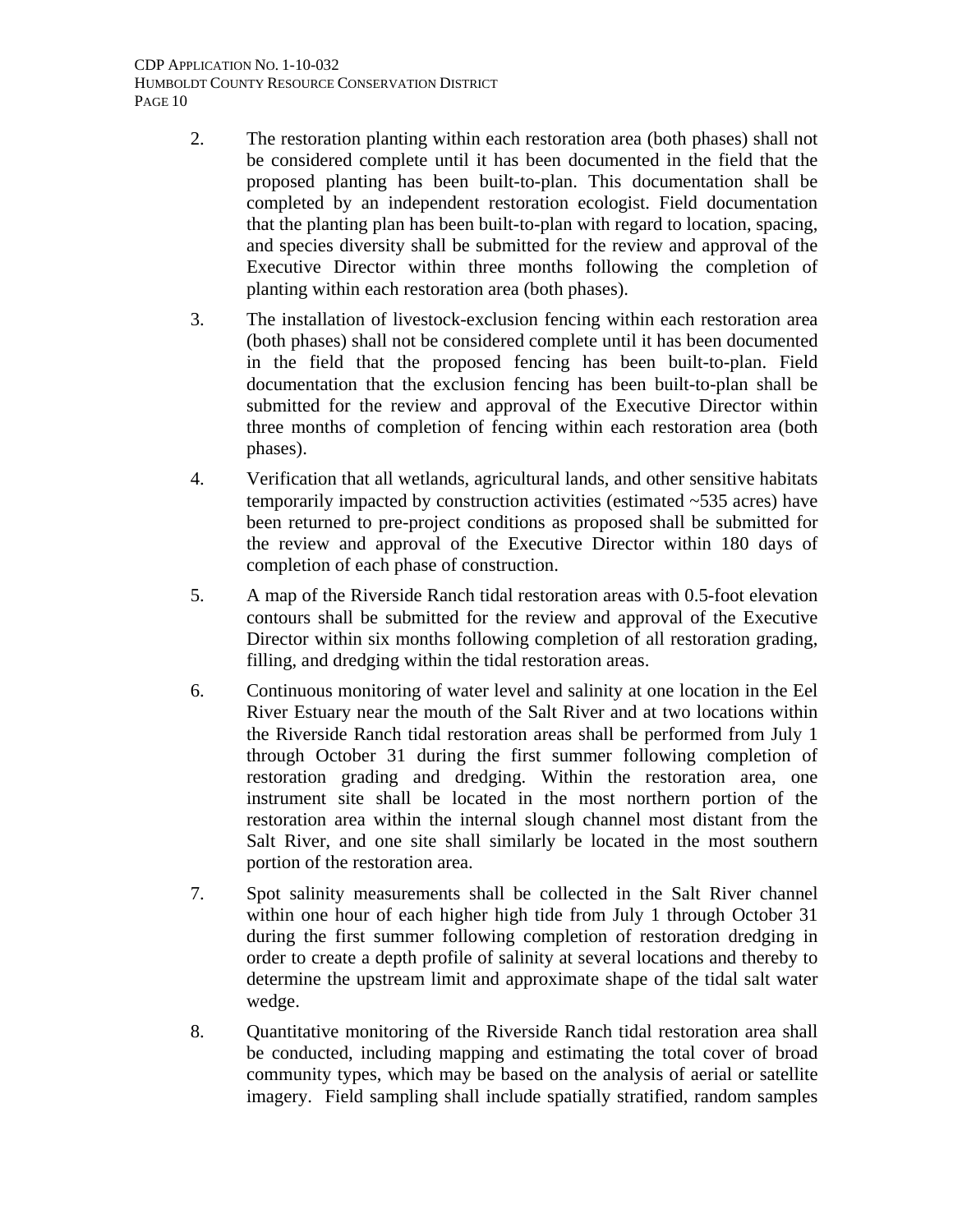CDP APPLICATION NO. 1-10-032 HUMBOLDT COUNTY RESOURCE CONSERVATION DISTRICT PAGE 10

- 2. The restoration planting within each restoration area (both phases) shall not be considered complete until it has been documented in the field that the proposed planting has been built-to-plan. This documentation shall be completed by an independent restoration ecologist. Field documentation that the planting plan has been built-to-plan with regard to location, spacing, and species diversity shall be submitted for the review and approval of the Executive Director within three months following the completion of planting within each restoration area (both phases).
- 3. The installation of livestock-exclusion fencing within each restoration area (both phases) shall not be considered complete until it has been documented in the field that the proposed fencing has been built-to-plan. Field documentation that the exclusion fencing has been built-to-plan shall be submitted for the review and approval of the Executive Director within three months of completion of fencing within each restoration area (both phases).
- 4. Verification that all wetlands, agricultural lands, and other sensitive habitats temporarily impacted by construction activities (estimated ~535 acres) have been returned to pre-project conditions as proposed shall be submitted for the review and approval of the Executive Director within 180 days of completion of each phase of construction.
- 5. A map of the Riverside Ranch tidal restoration areas with 0.5-foot elevation contours shall be submitted for the review and approval of the Executive Director within six months following completion of all restoration grading, filling, and dredging within the tidal restoration areas.
- 6. Continuous monitoring of water level and salinity at one location in the Eel River Estuary near the mouth of the Salt River and at two locations within the Riverside Ranch tidal restoration areas shall be performed from July 1 through October 31 during the first summer following completion of restoration grading and dredging. Within the restoration area, one instrument site shall be located in the most northern portion of the restoration area within the internal slough channel most distant from the Salt River, and one site shall similarly be located in the most southern portion of the restoration area.
- 7. Spot salinity measurements shall be collected in the Salt River channel within one hour of each higher high tide from July 1 through October 31 during the first summer following completion of restoration dredging in order to create a depth profile of salinity at several locations and thereby to determine the upstream limit and approximate shape of the tidal salt water wedge.
- 8. Quantitative monitoring of the Riverside Ranch tidal restoration area shall be conducted, including mapping and estimating the total cover of broad community types, which may be based on the analysis of aerial or satellite imagery. Field sampling shall include spatially stratified, random samples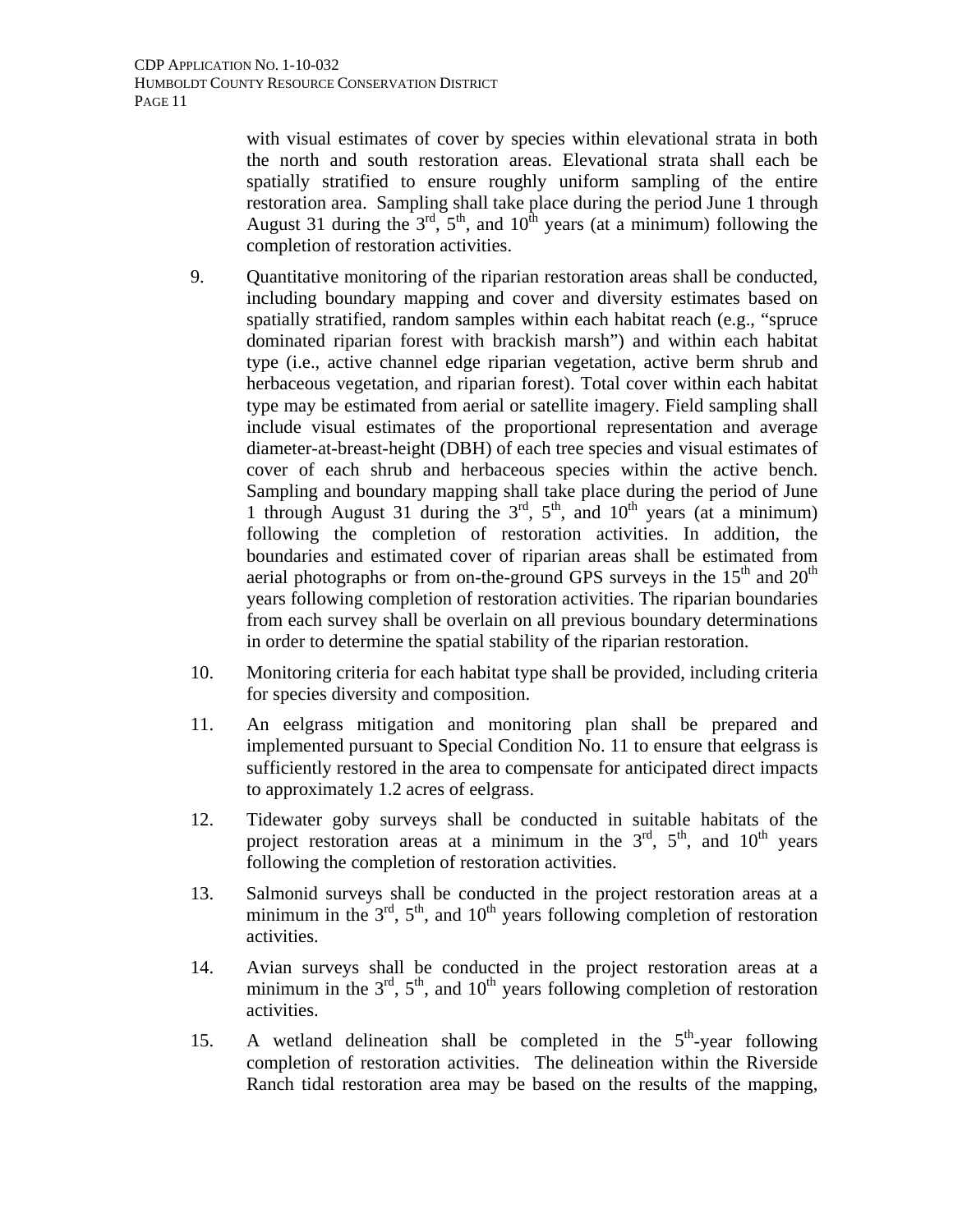with visual estimates of cover by species within elevational strata in both the north and south restoration areas. Elevational strata shall each be spatially stratified to ensure roughly uniform sampling of the entire restoration area. Sampling shall take place during the period June 1 through August 31 during the  $3<sup>rd</sup>$ ,  $5<sup>th</sup>$ , and  $10<sup>th</sup>$  years (at a minimum) following the completion of restoration activities.

- 9. Quantitative monitoring of the riparian restoration areas shall be conducted, including boundary mapping and cover and diversity estimates based on spatially stratified, random samples within each habitat reach (e.g., "spruce dominated riparian forest with brackish marsh") and within each habitat type (i.e., active channel edge riparian vegetation, active berm shrub and herbaceous vegetation, and riparian forest). Total cover within each habitat type may be estimated from aerial or satellite imagery. Field sampling shall include visual estimates of the proportional representation and average diameter-at-breast-height (DBH) of each tree species and visual estimates of cover of each shrub and herbaceous species within the active bench. Sampling and boundary mapping shall take place during the period of June 1 through August 31 during the  $3^{rd}$ ,  $5^{th}$ , and  $10^{th}$  years (at a minimum) following the completion of restoration activities. In addition, the boundaries and estimated cover of riparian areas shall be estimated from aerial photographs or from on-the-ground GPS surveys in the  $15<sup>th</sup>$  and  $20<sup>th</sup>$ years following completion of restoration activities. The riparian boundaries from each survey shall be overlain on all previous boundary determinations in order to determine the spatial stability of the riparian restoration.
- 10. Monitoring criteria for each habitat type shall be provided, including criteria for species diversity and composition.
- 11. An eelgrass mitigation and monitoring plan shall be prepared and implemented pursuant to Special Condition No. 11 to ensure that eelgrass is sufficiently restored in the area to compensate for anticipated direct impacts to approximately 1.2 acres of eelgrass.
- 12. Tidewater goby surveys shall be conducted in suitable habitats of the project restoration areas at a minimum in the  $3<sup>rd</sup>$ ,  $5<sup>th</sup>$ , and  $10<sup>th</sup>$  years following the completion of restoration activities.
- 13. Salmonid surveys shall be conducted in the project restoration areas at a minimum in the  $3<sup>rd</sup>$ ,  $5<sup>th</sup>$ , and  $10<sup>th</sup>$  years following completion of restoration activities.
- 14. Avian surveys shall be conducted in the project restoration areas at a minimum in the  $3<sup>rd</sup>$ ,  $5<sup>th</sup>$ , and  $10<sup>th</sup>$  years following completion of restoration activities.
- 15. A wetland delineation shall be completed in the  $5<sup>th</sup>$ -year following completion of restoration activities. The delineation within the Riverside Ranch tidal restoration area may be based on the results of the mapping,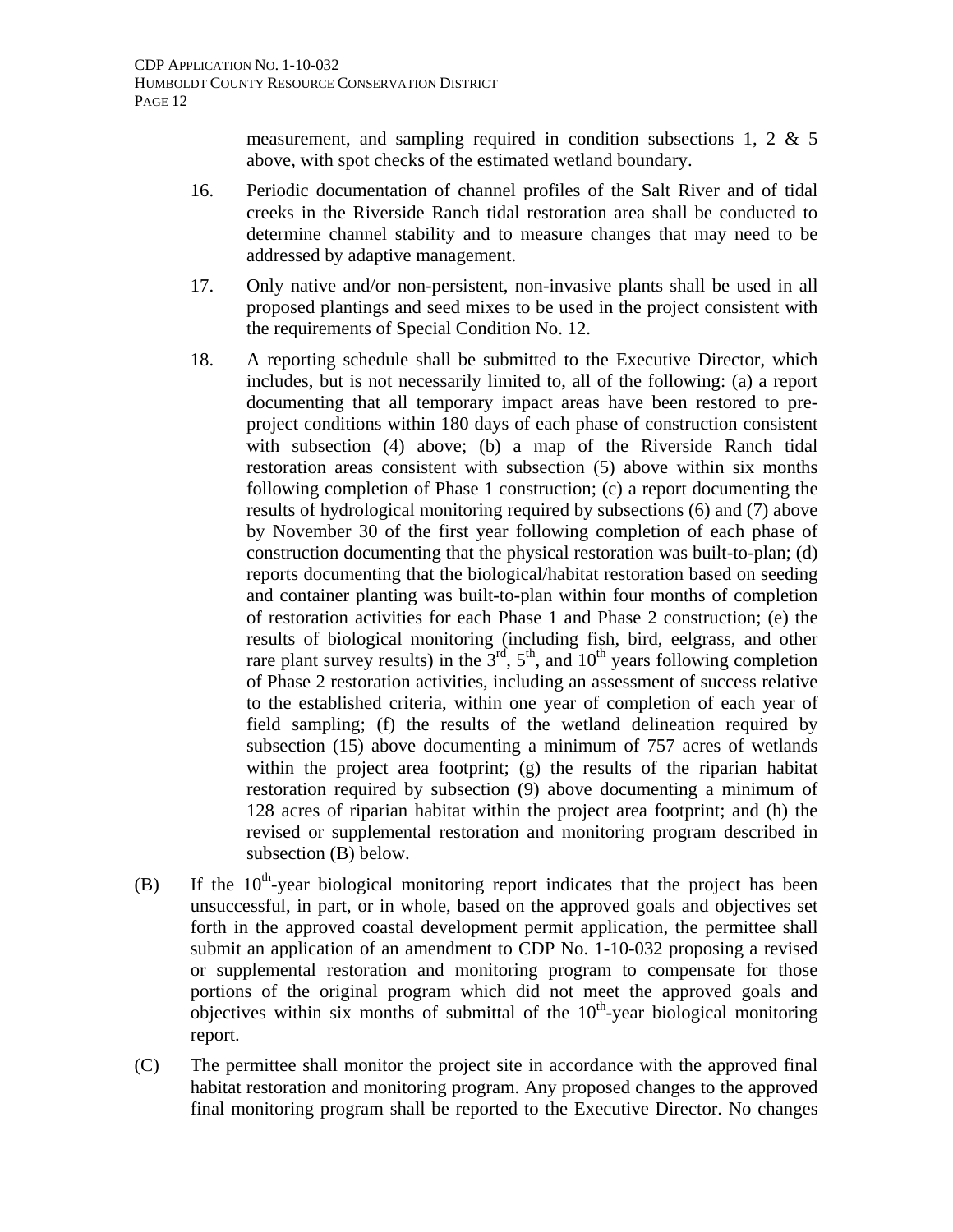measurement, and sampling required in condition subsections 1, 2  $\&$  5 above, with spot checks of the estimated wetland boundary.

- 16. Periodic documentation of channel profiles of the Salt River and of tidal creeks in the Riverside Ranch tidal restoration area shall be conducted to determine channel stability and to measure changes that may need to be addressed by adaptive management.
- 17. Only native and/or non-persistent, non-invasive plants shall be used in all proposed plantings and seed mixes to be used in the project consistent with the requirements of Special Condition No. 12.
- 18. A reporting schedule shall be submitted to the Executive Director, which includes, but is not necessarily limited to, all of the following: (a) a report documenting that all temporary impact areas have been restored to preproject conditions within 180 days of each phase of construction consistent with subsection (4) above; (b) a map of the Riverside Ranch tidal restoration areas consistent with subsection (5) above within six months following completion of Phase 1 construction; (c) a report documenting the results of hydrological monitoring required by subsections (6) and (7) above by November 30 of the first year following completion of each phase of construction documenting that the physical restoration was built-to-plan; (d) reports documenting that the biological/habitat restoration based on seeding and container planting was built-to-plan within four months of completion of restoration activities for each Phase 1 and Phase 2 construction; (e) the results of biological monitoring (including fish, bird, eelgrass, and other rare plant survey results) in the  $3<sup>rd</sup>$ ,  $5<sup>th</sup>$ , and  $10<sup>th</sup>$  years following completion of Phase 2 restoration activities, including an assessment of success relative to the established criteria, within one year of completion of each year of field sampling; (f) the results of the wetland delineation required by subsection (15) above documenting a minimum of 757 acres of wetlands within the project area footprint; (g) the results of the riparian habitat restoration required by subsection (9) above documenting a minimum of 128 acres of riparian habitat within the project area footprint; and (h) the revised or supplemental restoration and monitoring program described in subsection (B) below.
- $(B)$  If the 10<sup>th</sup>-year biological monitoring report indicates that the project has been unsuccessful, in part, or in whole, based on the approved goals and objectives set forth in the approved coastal development permit application, the permittee shall submit an application of an amendment to CDP No. 1-10-032 proposing a revised or supplemental restoration and monitoring program to compensate for those portions of the original program which did not meet the approved goals and objectives within six months of submittal of the  $10<sup>th</sup>$ -year biological monitoring report.
- (C) The permittee shall monitor the project site in accordance with the approved final habitat restoration and monitoring program. Any proposed changes to the approved final monitoring program shall be reported to the Executive Director. No changes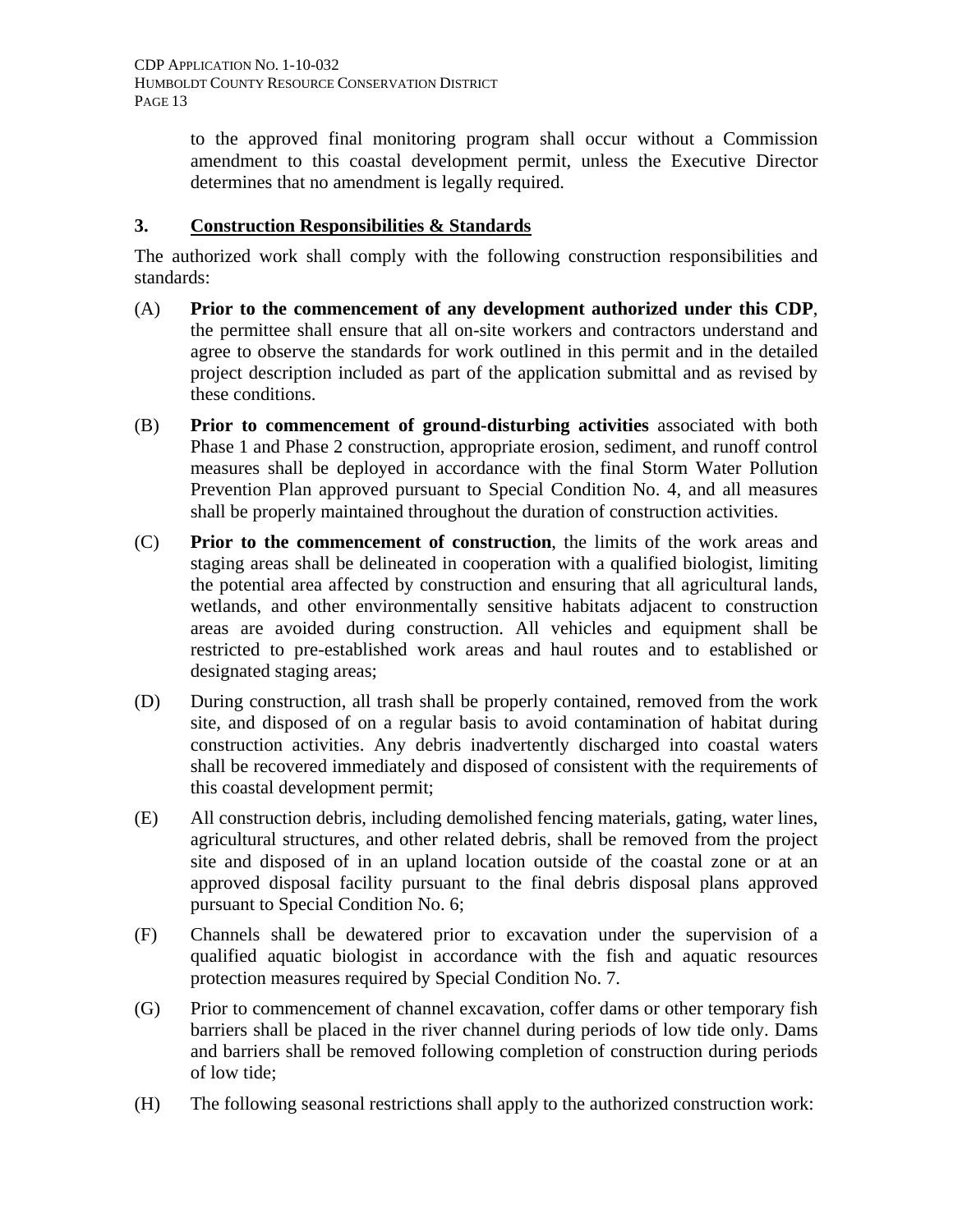to the approved final monitoring program shall occur without a Commission amendment to this coastal development permit, unless the Executive Director determines that no amendment is legally required.

# **3. Construction Responsibilities & Standards**

The authorized work shall comply with the following construction responsibilities and standards:

- (A) **Prior to the commencement of any development authorized under this CDP**, the permittee shall ensure that all on-site workers and contractors understand and agree to observe the standards for work outlined in this permit and in the detailed project description included as part of the application submittal and as revised by these conditions.
- (B) **Prior to commencement of ground-disturbing activities** associated with both Phase 1 and Phase 2 construction, appropriate erosion, sediment, and runoff control measures shall be deployed in accordance with the final Storm Water Pollution Prevention Plan approved pursuant to Special Condition No. 4, and all measures shall be properly maintained throughout the duration of construction activities.
- (C) **Prior to the commencement of construction**, the limits of the work areas and staging areas shall be delineated in cooperation with a qualified biologist, limiting the potential area affected by construction and ensuring that all agricultural lands, wetlands, and other environmentally sensitive habitats adjacent to construction areas are avoided during construction. All vehicles and equipment shall be restricted to pre-established work areas and haul routes and to established or designated staging areas;
- (D) During construction, all trash shall be properly contained, removed from the work site, and disposed of on a regular basis to avoid contamination of habitat during construction activities. Any debris inadvertently discharged into coastal waters shall be recovered immediately and disposed of consistent with the requirements of this coastal development permit;
- (E) All construction debris, including demolished fencing materials, gating, water lines, agricultural structures, and other related debris, shall be removed from the project site and disposed of in an upland location outside of the coastal zone or at an approved disposal facility pursuant to the final debris disposal plans approved pursuant to Special Condition No. 6;
- (F) Channels shall be dewatered prior to excavation under the supervision of a qualified aquatic biologist in accordance with the fish and aquatic resources protection measures required by Special Condition No. 7.
- (G) Prior to commencement of channel excavation, coffer dams or other temporary fish barriers shall be placed in the river channel during periods of low tide only. Dams and barriers shall be removed following completion of construction during periods of low tide;
- (H) The following seasonal restrictions shall apply to the authorized construction work: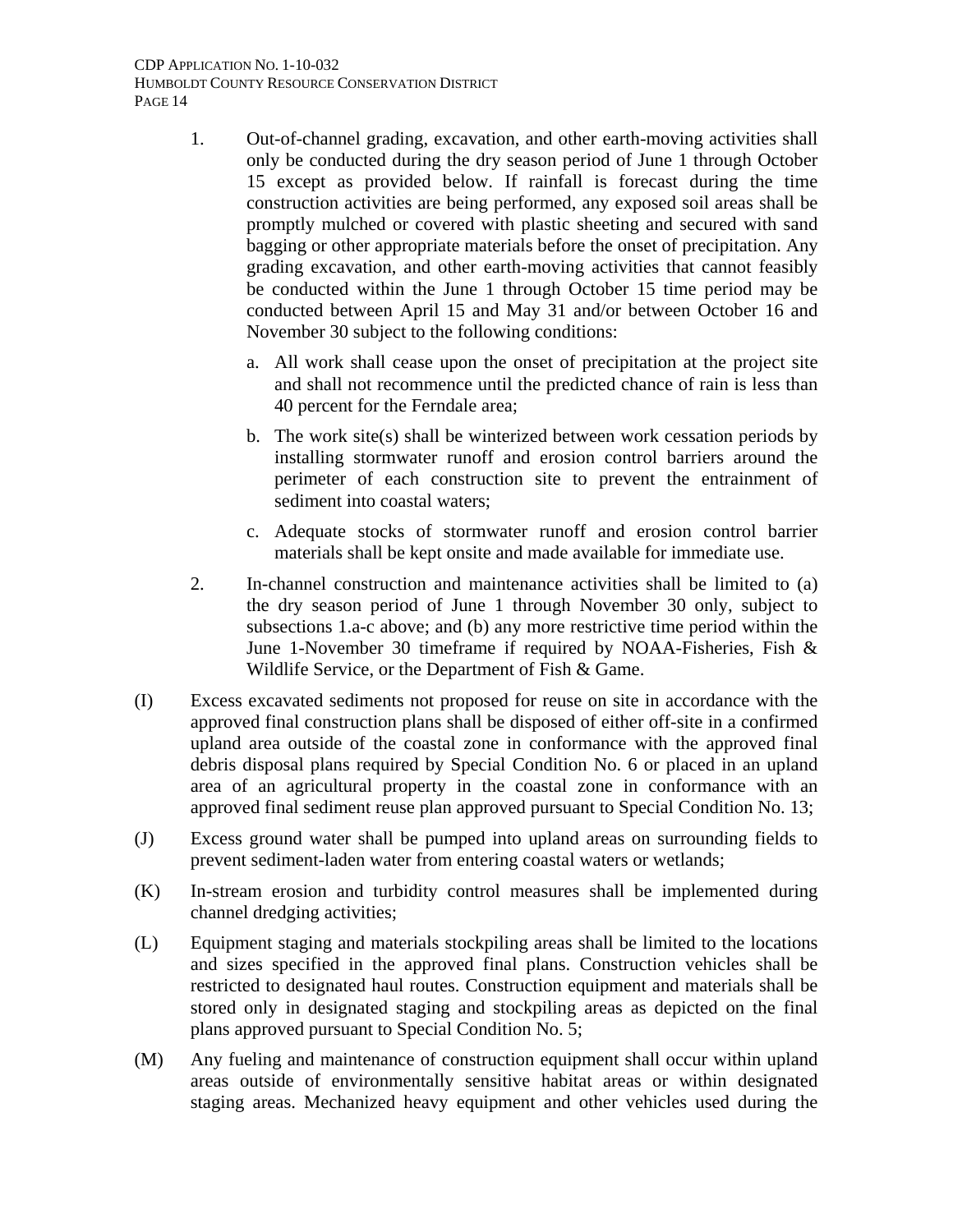CDP APPLICATION NO. 1-10-032 HUMBOLDT COUNTY RESOURCE CONSERVATION DISTRICT PAGE 14

- 1. Out-of-channel grading, excavation, and other earth-moving activities shall only be conducted during the dry season period of June 1 through October 15 except as provided below. If rainfall is forecast during the time construction activities are being performed, any exposed soil areas shall be promptly mulched or covered with plastic sheeting and secured with sand bagging or other appropriate materials before the onset of precipitation. Any grading excavation, and other earth-moving activities that cannot feasibly be conducted within the June 1 through October 15 time period may be conducted between April 15 and May 31 and/or between October 16 and November 30 subject to the following conditions:
	- a. All work shall cease upon the onset of precipitation at the project site and shall not recommence until the predicted chance of rain is less than 40 percent for the Ferndale area;
	- b. The work site(s) shall be winterized between work cessation periods by installing stormwater runoff and erosion control barriers around the perimeter of each construction site to prevent the entrainment of sediment into coastal waters;
	- c. Adequate stocks of stormwater runoff and erosion control barrier materials shall be kept onsite and made available for immediate use.
- 2. In-channel construction and maintenance activities shall be limited to (a) the dry season period of June 1 through November 30 only, subject to subsections 1.a-c above; and (b) any more restrictive time period within the June 1-November 30 timeframe if required by NOAA-Fisheries, Fish & Wildlife Service, or the Department of Fish & Game.
- (I) Excess excavated sediments not proposed for reuse on site in accordance with the approved final construction plans shall be disposed of either off-site in a confirmed upland area outside of the coastal zone in conformance with the approved final debris disposal plans required by Special Condition No. 6 or placed in an upland area of an agricultural property in the coastal zone in conformance with an approved final sediment reuse plan approved pursuant to Special Condition No. 13;
- (J) Excess ground water shall be pumped into upland areas on surrounding fields to prevent sediment-laden water from entering coastal waters or wetlands;
- (K) In-stream erosion and turbidity control measures shall be implemented during channel dredging activities;
- (L) Equipment staging and materials stockpiling areas shall be limited to the locations and sizes specified in the approved final plans. Construction vehicles shall be restricted to designated haul routes. Construction equipment and materials shall be stored only in designated staging and stockpiling areas as depicted on the final plans approved pursuant to Special Condition No. 5;
- (M) Any fueling and maintenance of construction equipment shall occur within upland areas outside of environmentally sensitive habitat areas or within designated staging areas. Mechanized heavy equipment and other vehicles used during the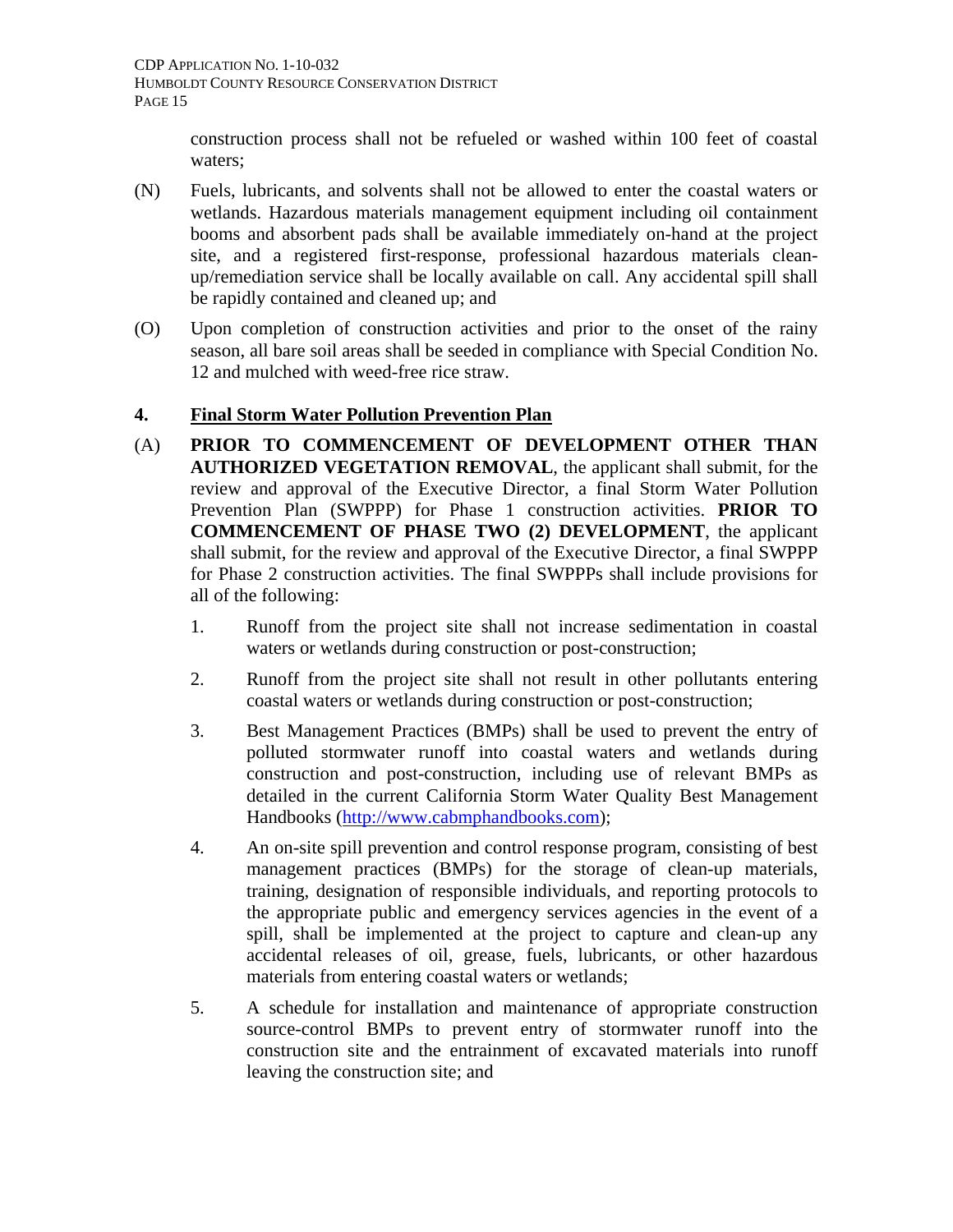construction process shall not be refueled or washed within 100 feet of coastal waters;

- (N) Fuels, lubricants, and solvents shall not be allowed to enter the coastal waters or wetlands. Hazardous materials management equipment including oil containment booms and absorbent pads shall be available immediately on-hand at the project site, and a registered first-response, professional hazardous materials cleanup/remediation service shall be locally available on call. Any accidental spill shall be rapidly contained and cleaned up; and
- (O) Upon completion of construction activities and prior to the onset of the rainy season, all bare soil areas shall be seeded in compliance with Special Condition No. 12 and mulched with weed-free rice straw.

## **4. Final Storm Water Pollution Prevention Plan**

- (A) **PRIOR TO COMMENCEMENT OF DEVELOPMENT OTHER THAN AUTHORIZED VEGETATION REMOVAL**, the applicant shall submit, for the review and approval of the Executive Director, a final Storm Water Pollution Prevention Plan (SWPPP) for Phase 1 construction activities. **PRIOR TO COMMENCEMENT OF PHASE TWO (2) DEVELOPMENT**, the applicant shall submit, for the review and approval of the Executive Director, a final SWPPP for Phase 2 construction activities. The final SWPPPs shall include provisions for all of the following:
	- 1. Runoff from the project site shall not increase sedimentation in coastal waters or wetlands during construction or post-construction;
	- 2. Runoff from the project site shall not result in other pollutants entering coastal waters or wetlands during construction or post-construction;
	- 3. Best Management Practices (BMPs) shall be used to prevent the entry of polluted stormwater runoff into coastal waters and wetlands during construction and post-construction, including use of relevant BMPs as detailed in the current California Storm Water Quality Best Management Handbooks [\(http://www.cabmphandbooks.com](http://www.cabmphandbooks.com/));
	- 4. An on-site spill prevention and control response program, consisting of best management practices (BMPs) for the storage of clean-up materials, training, designation of responsible individuals, and reporting protocols to the appropriate public and emergency services agencies in the event of a spill, shall be implemented at the project to capture and clean-up any accidental releases of oil, grease, fuels, lubricants, or other hazardous materials from entering coastal waters or wetlands;
	- 5. A schedule for installation and maintenance of appropriate construction source-control BMPs to prevent entry of stormwater runoff into the construction site and the entrainment of excavated materials into runoff leaving the construction site; and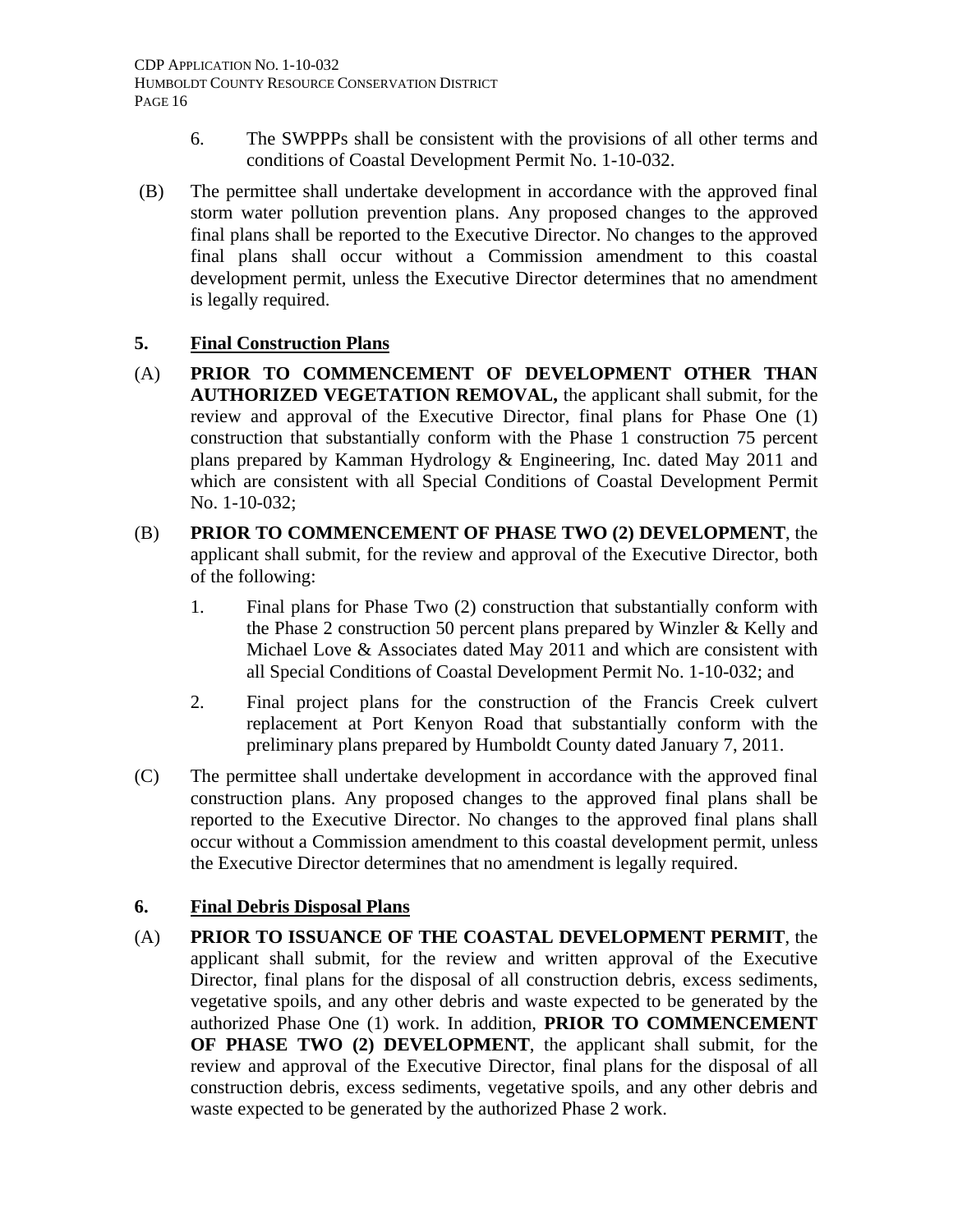- 6. The SWPPPs shall be consistent with the provisions of all other terms and conditions of Coastal Development Permit No. 1-10-032.
- (B) The permittee shall undertake development in accordance with the approved final storm water pollution prevention plans. Any proposed changes to the approved final plans shall be reported to the Executive Director. No changes to the approved final plans shall occur without a Commission amendment to this coastal development permit, unless the Executive Director determines that no amendment is legally required.

## **5. Final Construction Plans**

- (A) **PRIOR TO COMMENCEMENT OF DEVELOPMENT OTHER THAN AUTHORIZED VEGETATION REMOVAL,** the applicant shall submit, for the review and approval of the Executive Director, final plans for Phase One (1) construction that substantially conform with the Phase 1 construction 75 percent plans prepared by Kamman Hydrology & Engineering, Inc. dated May 2011 and which are consistent with all Special Conditions of Coastal Development Permit No. 1-10-032;
- (B) **PRIOR TO COMMENCEMENT OF PHASE TWO (2) DEVELOPMENT**, the applicant shall submit, for the review and approval of the Executive Director, both of the following:
	- 1. Final plans for Phase Two (2) construction that substantially conform with the Phase 2 construction 50 percent plans prepared by Winzler & Kelly and Michael Love & Associates dated May 2011 and which are consistent with all Special Conditions of Coastal Development Permit No. 1-10-032; and
	- 2. Final project plans for the construction of the Francis Creek culvert replacement at Port Kenyon Road that substantially conform with the preliminary plans prepared by Humboldt County dated January 7, 2011.
- (C) The permittee shall undertake development in accordance with the approved final construction plans. Any proposed changes to the approved final plans shall be reported to the Executive Director. No changes to the approved final plans shall occur without a Commission amendment to this coastal development permit, unless the Executive Director determines that no amendment is legally required.

# **6. Final Debris Disposal Plans**

(A) **PRIOR TO ISSUANCE OF THE COASTAL DEVELOPMENT PERMIT**, the applicant shall submit, for the review and written approval of the Executive Director, final plans for the disposal of all construction debris, excess sediments, vegetative spoils, and any other debris and waste expected to be generated by the authorized Phase One (1) work. In addition, **PRIOR TO COMMENCEMENT OF PHASE TWO (2) DEVELOPMENT**, the applicant shall submit, for the review and approval of the Executive Director, final plans for the disposal of all construction debris, excess sediments, vegetative spoils, and any other debris and waste expected to be generated by the authorized Phase 2 work.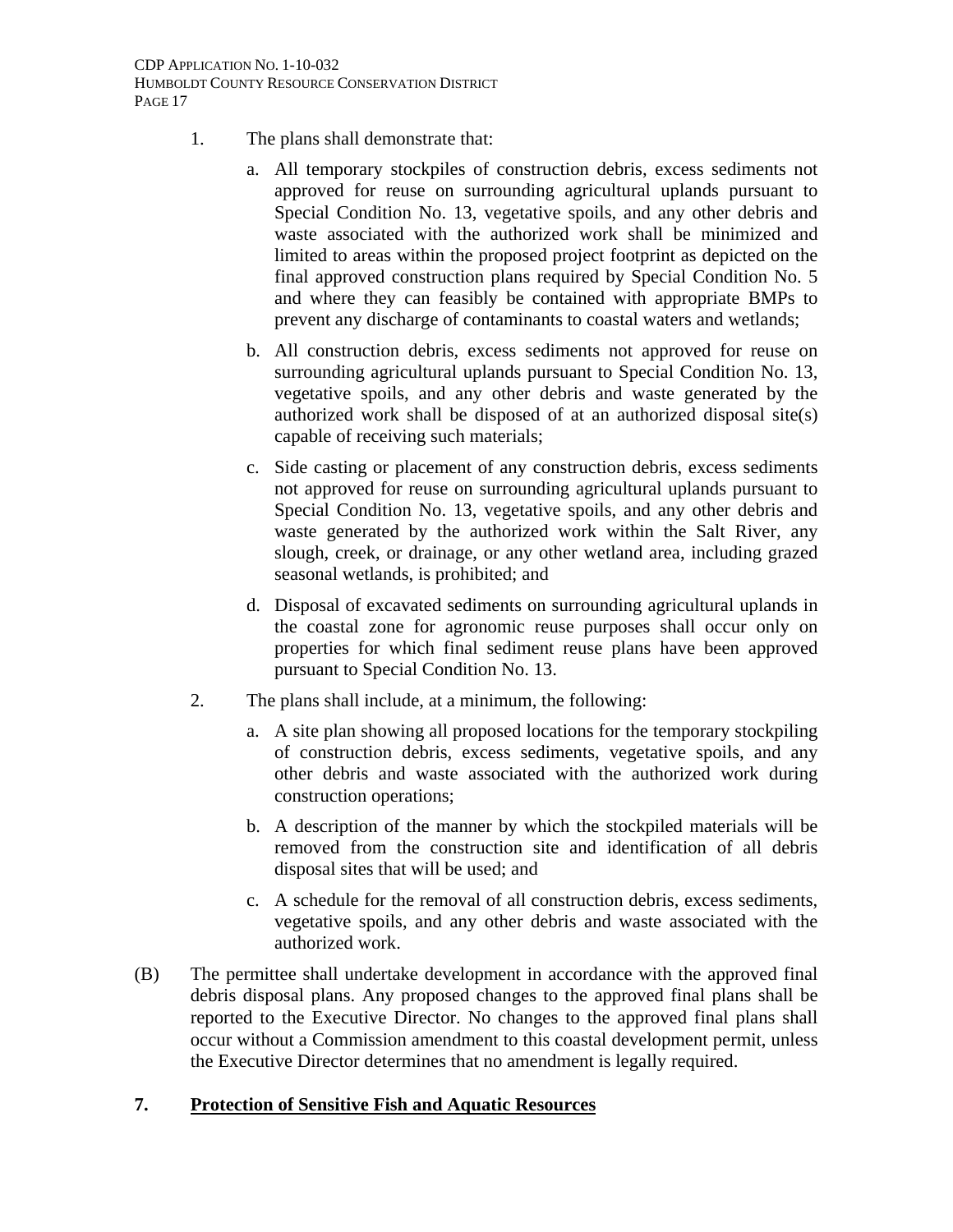CDP APPLICATION NO. 1-10-032 HUMBOLDT COUNTY RESOURCE CONSERVATION DISTRICT PAGE 17

- 1. The plans shall demonstrate that:
	- a. All temporary stockpiles of construction debris, excess sediments not approved for reuse on surrounding agricultural uplands pursuant to Special Condition No. 13, vegetative spoils, and any other debris and waste associated with the authorized work shall be minimized and limited to areas within the proposed project footprint as depicted on the final approved construction plans required by Special Condition No. 5 and where they can feasibly be contained with appropriate BMPs to prevent any discharge of contaminants to coastal waters and wetlands;
	- b. All construction debris, excess sediments not approved for reuse on surrounding agricultural uplands pursuant to Special Condition No. 13, vegetative spoils, and any other debris and waste generated by the authorized work shall be disposed of at an authorized disposal site(s) capable of receiving such materials;
	- c. Side casting or placement of any construction debris, excess sediments not approved for reuse on surrounding agricultural uplands pursuant to Special Condition No. 13, vegetative spoils, and any other debris and waste generated by the authorized work within the Salt River, any slough, creek, or drainage, or any other wetland area, including grazed seasonal wetlands, is prohibited; and
	- d. Disposal of excavated sediments on surrounding agricultural uplands in the coastal zone for agronomic reuse purposes shall occur only on properties for which final sediment reuse plans have been approved pursuant to Special Condition No. 13.
- 2. The plans shall include, at a minimum, the following:
	- a. A site plan showing all proposed locations for the temporary stockpiling of construction debris, excess sediments, vegetative spoils, and any other debris and waste associated with the authorized work during construction operations;
	- b. A description of the manner by which the stockpiled materials will be removed from the construction site and identification of all debris disposal sites that will be used; and
	- c. A schedule for the removal of all construction debris, excess sediments, vegetative spoils, and any other debris and waste associated with the authorized work.
- (B) The permittee shall undertake development in accordance with the approved final debris disposal plans. Any proposed changes to the approved final plans shall be reported to the Executive Director. No changes to the approved final plans shall occur without a Commission amendment to this coastal development permit, unless the Executive Director determines that no amendment is legally required.

## **7. Protection of Sensitive Fish and Aquatic Resources**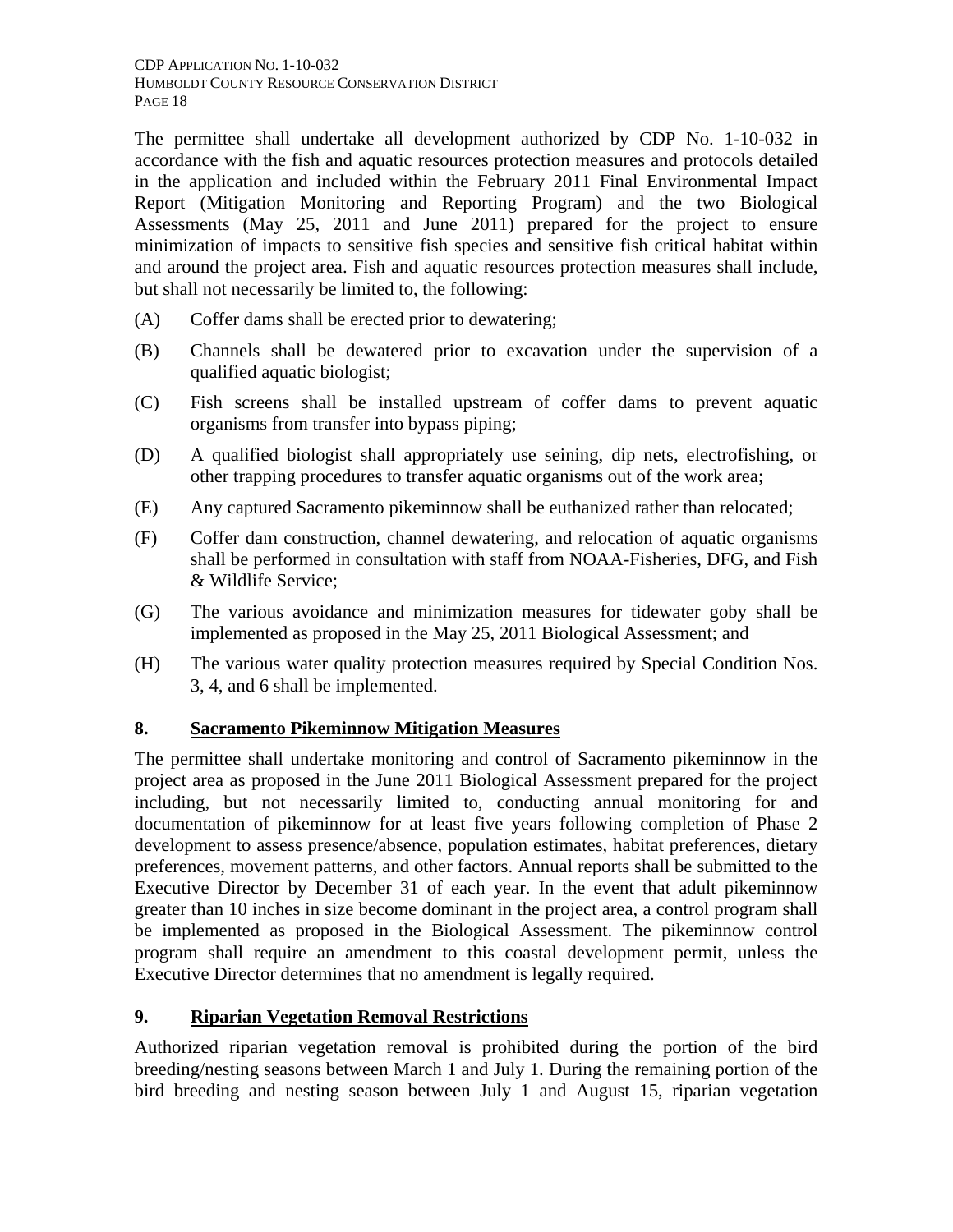The permittee shall undertake all development authorized by CDP No. 1-10-032 in accordance with the fish and aquatic resources protection measures and protocols detailed in the application and included within the February 2011 Final Environmental Impact Report (Mitigation Monitoring and Reporting Program) and the two Biological Assessments (May 25, 2011 and June 2011) prepared for the project to ensure minimization of impacts to sensitive fish species and sensitive fish critical habitat within and around the project area. Fish and aquatic resources protection measures shall include, but shall not necessarily be limited to, the following:

- (A) Coffer dams shall be erected prior to dewatering;
- (B) Channels shall be dewatered prior to excavation under the supervision of a qualified aquatic biologist;
- (C) Fish screens shall be installed upstream of coffer dams to prevent aquatic organisms from transfer into bypass piping;
- (D) A qualified biologist shall appropriately use seining, dip nets, electrofishing, or other trapping procedures to transfer aquatic organisms out of the work area;
- (E) Any captured Sacramento pikeminnow shall be euthanized rather than relocated;
- (F) Coffer dam construction, channel dewatering, and relocation of aquatic organisms shall be performed in consultation with staff from NOAA-Fisheries, DFG, and Fish & Wildlife Service;
- (G) The various avoidance and minimization measures for tidewater goby shall be implemented as proposed in the May 25, 2011 Biological Assessment; and
- (H) The various water quality protection measures required by Special Condition Nos. 3, 4, and 6 shall be implemented.

# **8. Sacramento Pikeminnow Mitigation Measures**

The permittee shall undertake monitoring and control of Sacramento pikeminnow in the project area as proposed in the June 2011 Biological Assessment prepared for the project including, but not necessarily limited to, conducting annual monitoring for and documentation of pikeminnow for at least five years following completion of Phase 2 development to assess presence/absence, population estimates, habitat preferences, dietary preferences, movement patterns, and other factors. Annual reports shall be submitted to the Executive Director by December 31 of each year. In the event that adult pikeminnow greater than 10 inches in size become dominant in the project area, a control program shall be implemented as proposed in the Biological Assessment. The pikeminnow control program shall require an amendment to this coastal development permit, unless the Executive Director determines that no amendment is legally required.

# **9. Riparian Vegetation Removal Restrictions**

Authorized riparian vegetation removal is prohibited during the portion of the bird breeding/nesting seasons between March 1 and July 1. During the remaining portion of the bird breeding and nesting season between July 1 and August 15, riparian vegetation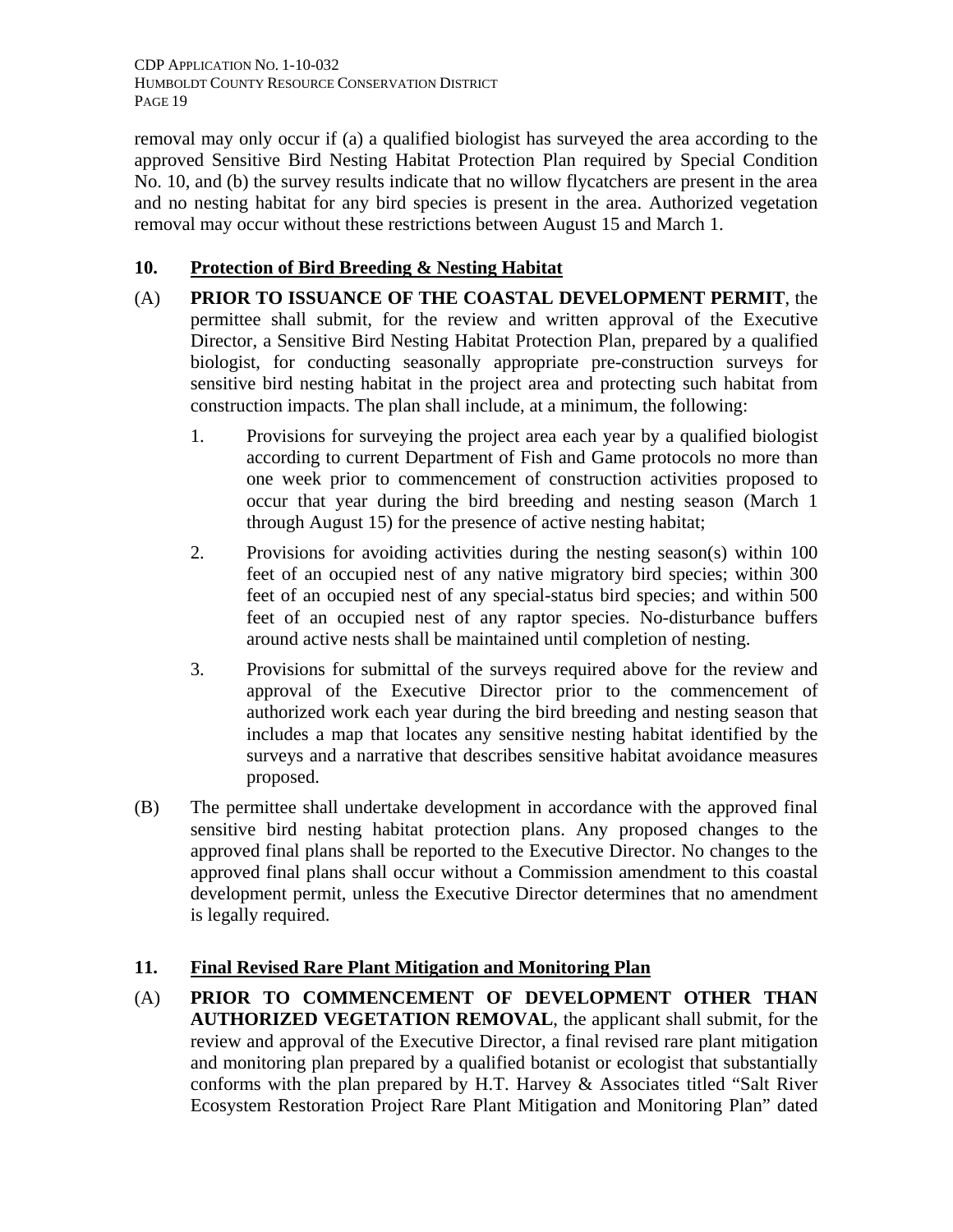CDP APPLICATION NO. 1-10-032 HUMBOLDT COUNTY RESOURCE CONSERVATION DISTRICT PAGE 19

removal may only occur if (a) a qualified biologist has surveyed the area according to the approved Sensitive Bird Nesting Habitat Protection Plan required by Special Condition No. 10, and (b) the survey results indicate that no willow flycatchers are present in the area and no nesting habitat for any bird species is present in the area. Authorized vegetation removal may occur without these restrictions between August 15 and March 1.

## **10. Protection of Bird Breeding & Nesting Habitat**

- (A) **PRIOR TO ISSUANCE OF THE COASTAL DEVELOPMENT PERMIT**, the permittee shall submit, for the review and written approval of the Executive Director, a Sensitive Bird Nesting Habitat Protection Plan, prepared by a qualified biologist, for conducting seasonally appropriate pre-construction surveys for sensitive bird nesting habitat in the project area and protecting such habitat from construction impacts. The plan shall include, at a minimum, the following:
	- 1. Provisions for surveying the project area each year by a qualified biologist according to current Department of Fish and Game protocols no more than one week prior to commencement of construction activities proposed to occur that year during the bird breeding and nesting season (March 1 through August 15) for the presence of active nesting habitat;
	- 2. Provisions for avoiding activities during the nesting season(s) within 100 feet of an occupied nest of any native migratory bird species; within 300 feet of an occupied nest of any special-status bird species; and within 500 feet of an occupied nest of any raptor species. No-disturbance buffers around active nests shall be maintained until completion of nesting.
	- 3. Provisions for submittal of the surveys required above for the review and approval of the Executive Director prior to the commencement of authorized work each year during the bird breeding and nesting season that includes a map that locates any sensitive nesting habitat identified by the surveys and a narrative that describes sensitive habitat avoidance measures proposed.
- (B) The permittee shall undertake development in accordance with the approved final sensitive bird nesting habitat protection plans. Any proposed changes to the approved final plans shall be reported to the Executive Director. No changes to the approved final plans shall occur without a Commission amendment to this coastal development permit, unless the Executive Director determines that no amendment is legally required.

## **11. Final Revised Rare Plant Mitigation and Monitoring Plan**

(A) **PRIOR TO COMMENCEMENT OF DEVELOPMENT OTHER THAN AUTHORIZED VEGETATION REMOVAL**, the applicant shall submit, for the review and approval of the Executive Director, a final revised rare plant mitigation and monitoring plan prepared by a qualified botanist or ecologist that substantially conforms with the plan prepared by H.T. Harvey & Associates titled "Salt River Ecosystem Restoration Project Rare Plant Mitigation and Monitoring Plan" dated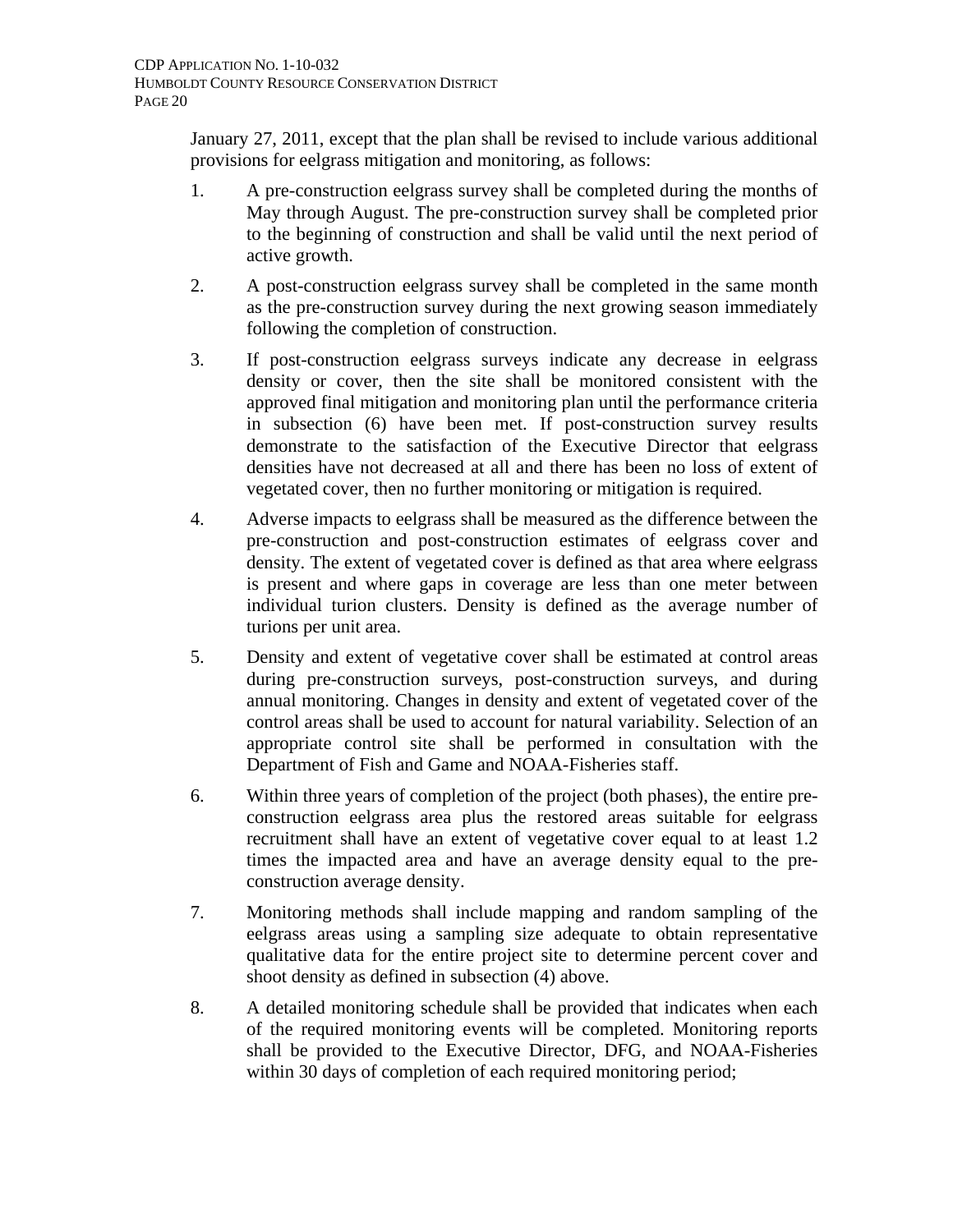January 27, 2011, except that the plan shall be revised to include various additional provisions for eelgrass mitigation and monitoring, as follows:

- 1. A pre-construction eelgrass survey shall be completed during the months of May through August. The pre-construction survey shall be completed prior to the beginning of construction and shall be valid until the next period of active growth.
- 2. A post-construction eelgrass survey shall be completed in the same month as the pre-construction survey during the next growing season immediately following the completion of construction.
- 3. If post-construction eelgrass surveys indicate any decrease in eelgrass density or cover, then the site shall be monitored consistent with the approved final mitigation and monitoring plan until the performance criteria in subsection (6) have been met. If post-construction survey results demonstrate to the satisfaction of the Executive Director that eelgrass densities have not decreased at all and there has been no loss of extent of vegetated cover, then no further monitoring or mitigation is required.
- 4. Adverse impacts to eelgrass shall be measured as the difference between the pre-construction and post-construction estimates of eelgrass cover and density. The extent of vegetated cover is defined as that area where eelgrass is present and where gaps in coverage are less than one meter between individual turion clusters. Density is defined as the average number of turions per unit area.
- 5. Density and extent of vegetative cover shall be estimated at control areas during pre-construction surveys, post-construction surveys, and during annual monitoring. Changes in density and extent of vegetated cover of the control areas shall be used to account for natural variability. Selection of an appropriate control site shall be performed in consultation with the Department of Fish and Game and NOAA-Fisheries staff.
- 6. Within three years of completion of the project (both phases), the entire preconstruction eelgrass area plus the restored areas suitable for eelgrass recruitment shall have an extent of vegetative cover equal to at least 1.2 times the impacted area and have an average density equal to the preconstruction average density.
- 7. Monitoring methods shall include mapping and random sampling of the eelgrass areas using a sampling size adequate to obtain representative qualitative data for the entire project site to determine percent cover and shoot density as defined in subsection (4) above.
- 8. A detailed monitoring schedule shall be provided that indicates when each of the required monitoring events will be completed. Monitoring reports shall be provided to the Executive Director, DFG, and NOAA-Fisheries within 30 days of completion of each required monitoring period;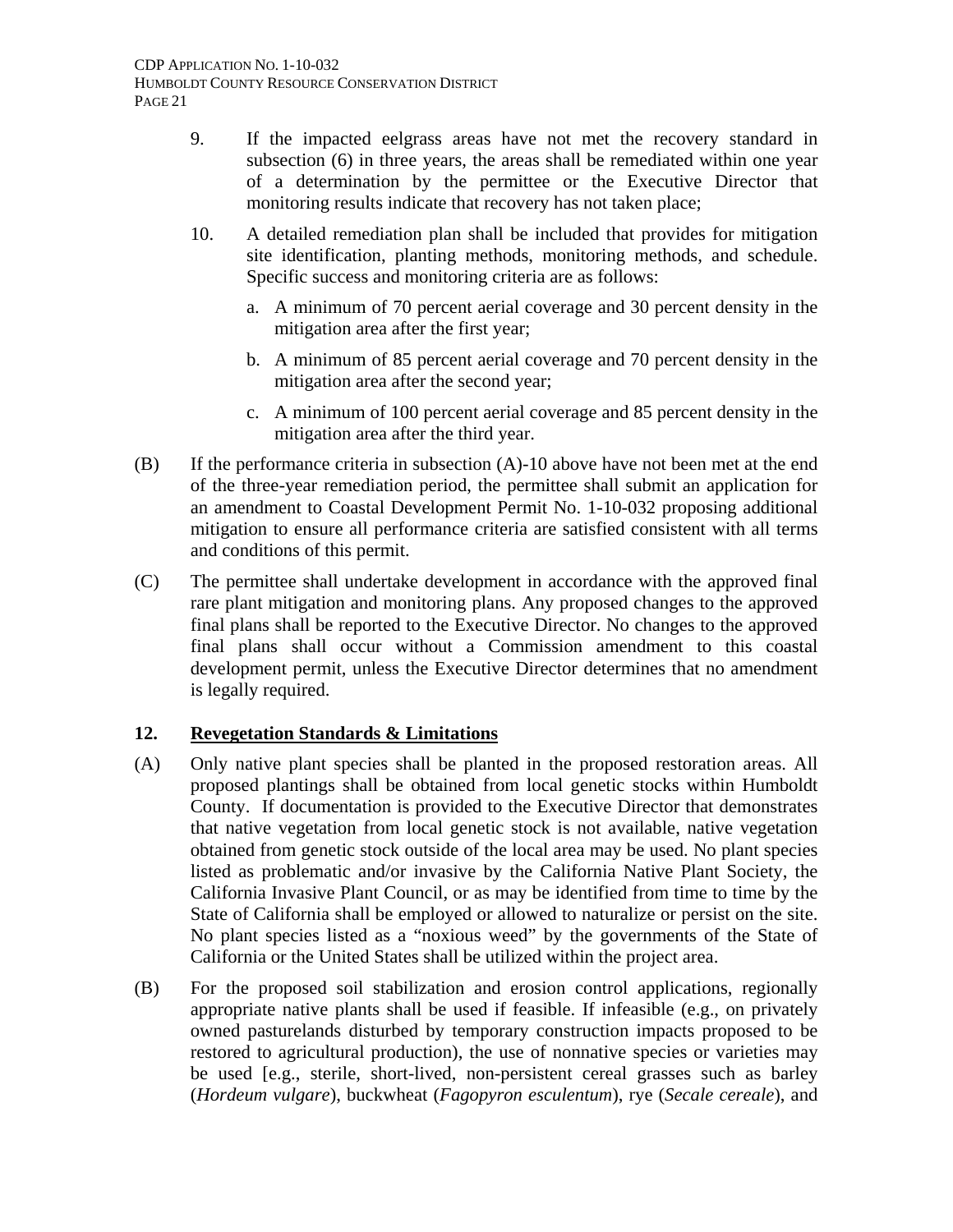- 9. If the impacted eelgrass areas have not met the recovery standard in subsection (6) in three years, the areas shall be remediated within one year of a determination by the permittee or the Executive Director that monitoring results indicate that recovery has not taken place;
- 10. A detailed remediation plan shall be included that provides for mitigation site identification, planting methods, monitoring methods, and schedule. Specific success and monitoring criteria are as follows:
	- a. A minimum of 70 percent aerial coverage and 30 percent density in the mitigation area after the first year;
	- b. A minimum of 85 percent aerial coverage and 70 percent density in the mitigation area after the second year;
	- c. A minimum of 100 percent aerial coverage and 85 percent density in the mitigation area after the third year.
- (B) If the performance criteria in subsection (A)-10 above have not been met at the end of the three-year remediation period, the permittee shall submit an application for an amendment to Coastal Development Permit No. 1-10-032 proposing additional mitigation to ensure all performance criteria are satisfied consistent with all terms and conditions of this permit.
- (C) The permittee shall undertake development in accordance with the approved final rare plant mitigation and monitoring plans. Any proposed changes to the approved final plans shall be reported to the Executive Director. No changes to the approved final plans shall occur without a Commission amendment to this coastal development permit, unless the Executive Director determines that no amendment is legally required.

## **12. Revegetation Standards & Limitations**

- (A) Only native plant species shall be planted in the proposed restoration areas. All proposed plantings shall be obtained from local genetic stocks within Humboldt County. If documentation is provided to the Executive Director that demonstrates that native vegetation from local genetic stock is not available, native vegetation obtained from genetic stock outside of the local area may be used. No plant species listed as problematic and/or invasive by the California Native Plant Society, the California Invasive Plant Council, or as may be identified from time to time by the State of California shall be employed or allowed to naturalize or persist on the site. No plant species listed as a "noxious weed" by the governments of the State of California or the United States shall be utilized within the project area.
- (B) For the proposed soil stabilization and erosion control applications, regionally appropriate native plants shall be used if feasible. If infeasible (e.g., on privately owned pasturelands disturbed by temporary construction impacts proposed to be restored to agricultural production), the use of nonnative species or varieties may be used [e.g., sterile, short-lived, non-persistent cereal grasses such as barley (*Hordeum vulgare*), buckwheat (*Fagopyron esculentum*), rye (*Secale cereale*), and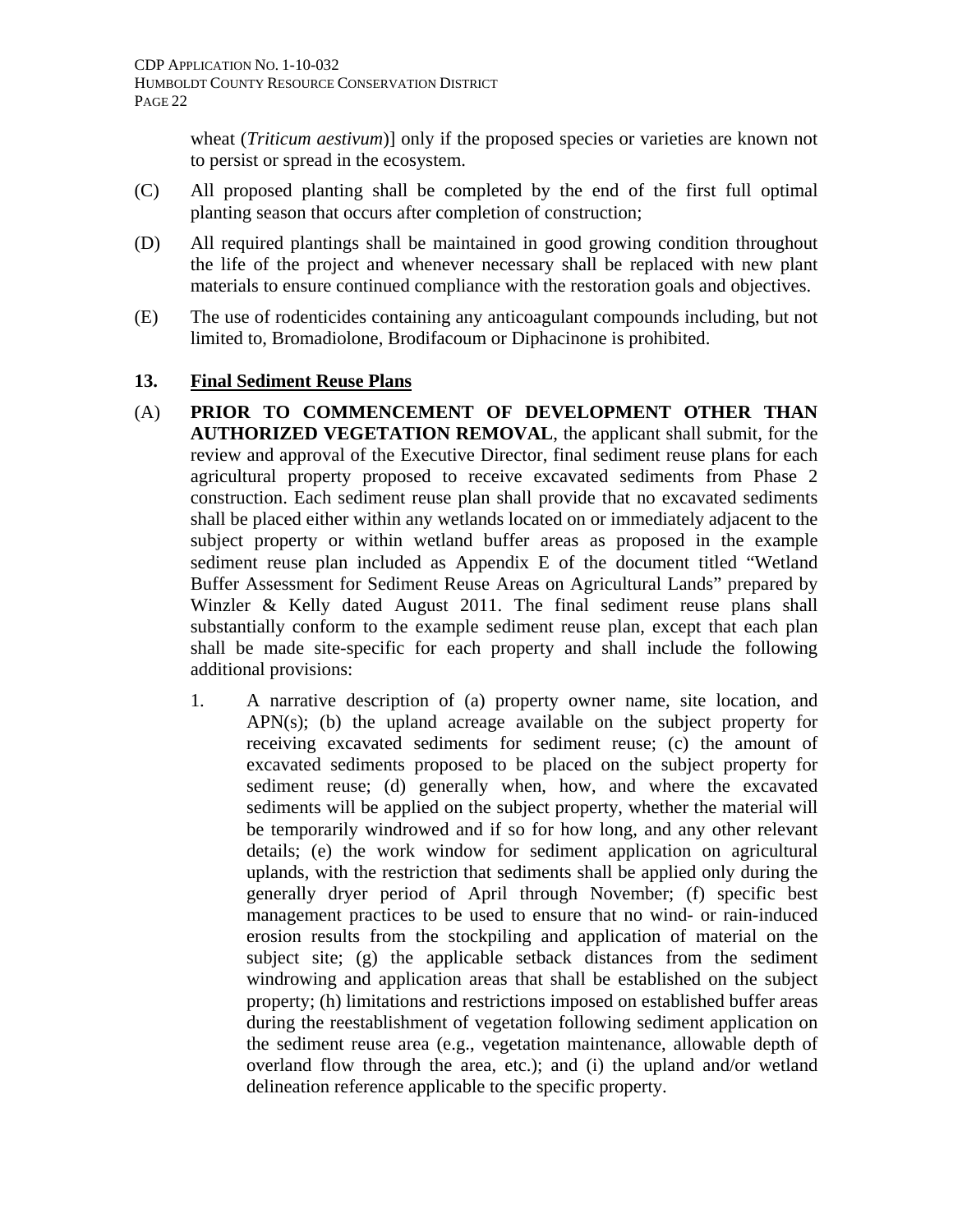wheat (*Triticum aestivum*)] only if the proposed species or varieties are known not to persist or spread in the ecosystem.

- (C) All proposed planting shall be completed by the end of the first full optimal planting season that occurs after completion of construction;
- (D) All required plantings shall be maintained in good growing condition throughout the life of the project and whenever necessary shall be replaced with new plant materials to ensure continued compliance with the restoration goals and objectives.
- (E) The use of rodenticides containing any anticoagulant compounds including, but not limited to, Bromadiolone, Brodifacoum or Diphacinone is prohibited.

## **13. Final Sediment Reuse Plans**

- (A) **PRIOR TO COMMENCEMENT OF DEVELOPMENT OTHER THAN AUTHORIZED VEGETATION REMOVAL**, the applicant shall submit, for the review and approval of the Executive Director, final sediment reuse plans for each agricultural property proposed to receive excavated sediments from Phase 2 construction. Each sediment reuse plan shall provide that no excavated sediments shall be placed either within any wetlands located on or immediately adjacent to the subject property or within wetland buffer areas as proposed in the example sediment reuse plan included as Appendix E of the document titled "Wetland Buffer Assessment for Sediment Reuse Areas on Agricultural Lands" prepared by Winzler & Kelly dated August 2011. The final sediment reuse plans shall substantially conform to the example sediment reuse plan, except that each plan shall be made site-specific for each property and shall include the following additional provisions:
	- 1. A narrative description of (a) property owner name, site location, and APN(s); (b) the upland acreage available on the subject property for receiving excavated sediments for sediment reuse; (c) the amount of excavated sediments proposed to be placed on the subject property for sediment reuse; (d) generally when, how, and where the excavated sediments will be applied on the subject property, whether the material will be temporarily windrowed and if so for how long, and any other relevant details; (e) the work window for sediment application on agricultural uplands, with the restriction that sediments shall be applied only during the generally dryer period of April through November; (f) specific best management practices to be used to ensure that no wind- or rain-induced erosion results from the stockpiling and application of material on the subject site; (g) the applicable setback distances from the sediment windrowing and application areas that shall be established on the subject property; (h) limitations and restrictions imposed on established buffer areas during the reestablishment of vegetation following sediment application on the sediment reuse area (e.g., vegetation maintenance, allowable depth of overland flow through the area, etc.); and (i) the upland and/or wetland delineation reference applicable to the specific property.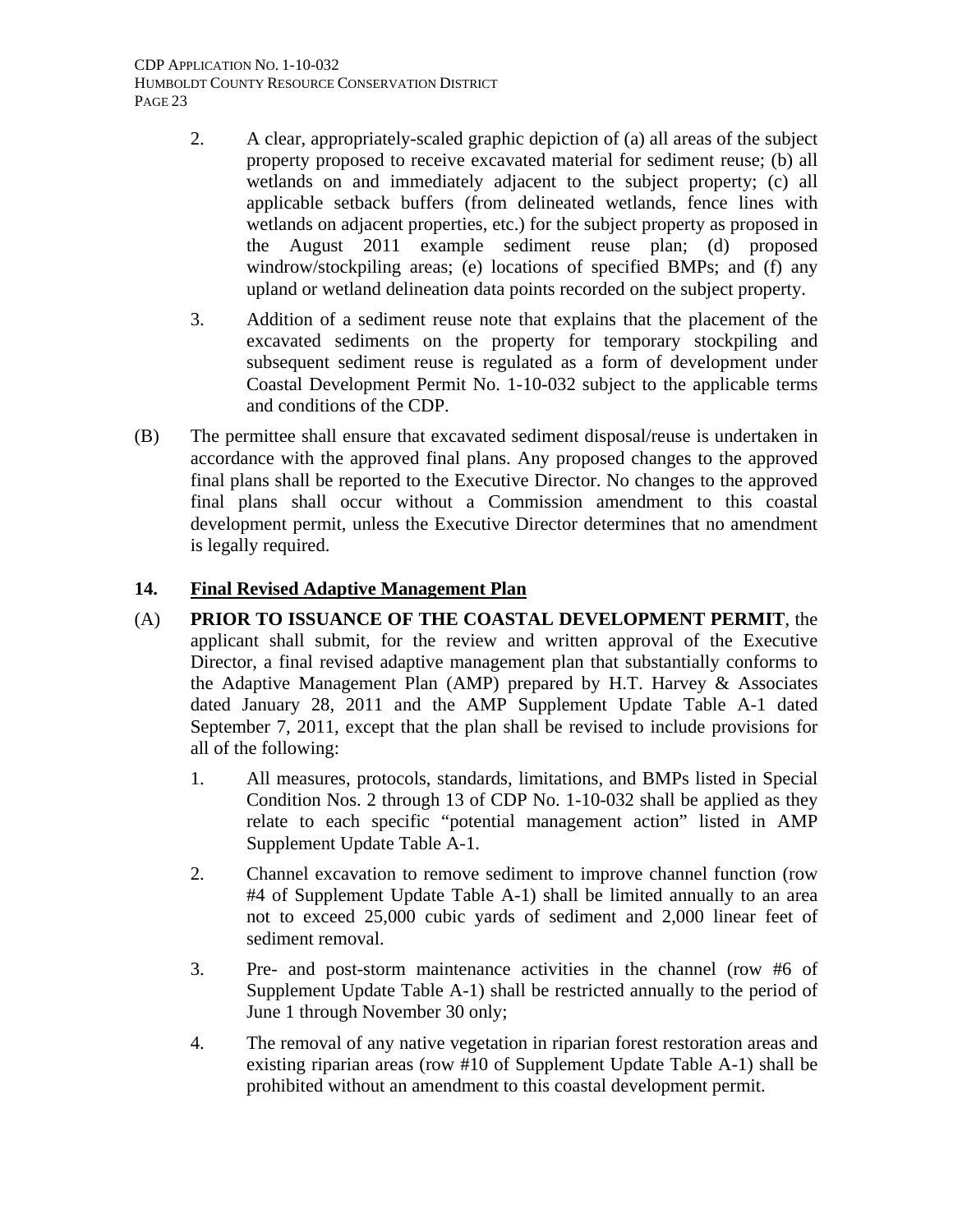CDP APPLICATION NO. 1-10-032 HUMBOLDT COUNTY RESOURCE CONSERVATION DISTRICT PAGE 23

- 2. A clear, appropriately-scaled graphic depiction of (a) all areas of the subject property proposed to receive excavated material for sediment reuse; (b) all wetlands on and immediately adjacent to the subject property; (c) all applicable setback buffers (from delineated wetlands, fence lines with wetlands on adjacent properties, etc.) for the subject property as proposed in the August 2011 example sediment reuse plan; (d) proposed windrow/stockpiling areas; (e) locations of specified BMPs; and (f) any upland or wetland delineation data points recorded on the subject property.
- 3. Addition of a sediment reuse note that explains that the placement of the excavated sediments on the property for temporary stockpiling and subsequent sediment reuse is regulated as a form of development under Coastal Development Permit No. 1-10-032 subject to the applicable terms and conditions of the CDP.
- (B) The permittee shall ensure that excavated sediment disposal/reuse is undertaken in accordance with the approved final plans. Any proposed changes to the approved final plans shall be reported to the Executive Director. No changes to the approved final plans shall occur without a Commission amendment to this coastal development permit, unless the Executive Director determines that no amendment is legally required.

## **14. Final Revised Adaptive Management Plan**

- (A) **PRIOR TO ISSUANCE OF THE COASTAL DEVELOPMENT PERMIT**, the applicant shall submit, for the review and written approval of the Executive Director, a final revised adaptive management plan that substantially conforms to the Adaptive Management Plan (AMP) prepared by H.T. Harvey & Associates dated January 28, 2011 and the AMP Supplement Update Table A-1 dated September 7, 2011, except that the plan shall be revised to include provisions for all of the following:
	- 1. All measures, protocols, standards, limitations, and BMPs listed in Special Condition Nos. 2 through 13 of CDP No. 1-10-032 shall be applied as they relate to each specific "potential management action" listed in AMP Supplement Update Table A-1.
	- 2. Channel excavation to remove sediment to improve channel function (row #4 of Supplement Update Table A-1) shall be limited annually to an area not to exceed 25,000 cubic yards of sediment and 2,000 linear feet of sediment removal.
	- 3. Pre- and post-storm maintenance activities in the channel (row #6 of Supplement Update Table A-1) shall be restricted annually to the period of June 1 through November 30 only;
	- 4. The removal of any native vegetation in riparian forest restoration areas and existing riparian areas (row #10 of Supplement Update Table A-1) shall be prohibited without an amendment to this coastal development permit.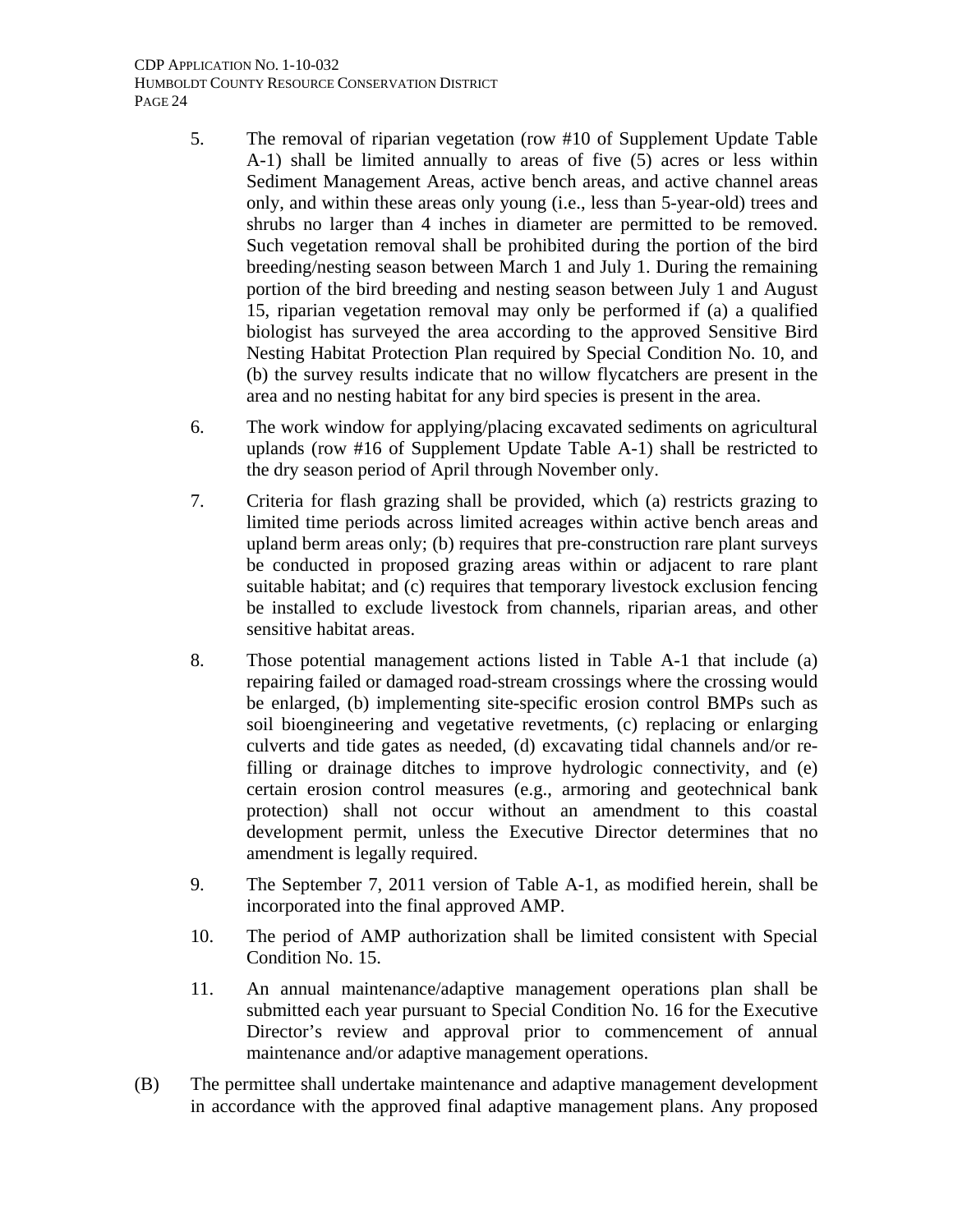CDP APPLICATION NO. 1-10-032 HUMBOLDT COUNTY RESOURCE CONSERVATION DISTRICT PAGE 24

- 5. The removal of riparian vegetation (row #10 of Supplement Update Table A-1) shall be limited annually to areas of five (5) acres or less within Sediment Management Areas, active bench areas, and active channel areas only, and within these areas only young (i.e., less than 5-year-old) trees and shrubs no larger than 4 inches in diameter are permitted to be removed. Such vegetation removal shall be prohibited during the portion of the bird breeding/nesting season between March 1 and July 1. During the remaining portion of the bird breeding and nesting season between July 1 and August 15, riparian vegetation removal may only be performed if (a) a qualified biologist has surveyed the area according to the approved Sensitive Bird Nesting Habitat Protection Plan required by Special Condition No. 10, and (b) the survey results indicate that no willow flycatchers are present in the area and no nesting habitat for any bird species is present in the area.
- 6. The work window for applying/placing excavated sediments on agricultural uplands (row #16 of Supplement Update Table A-1) shall be restricted to the dry season period of April through November only.
- 7. Criteria for flash grazing shall be provided, which (a) restricts grazing to limited time periods across limited acreages within active bench areas and upland berm areas only; (b) requires that pre-construction rare plant surveys be conducted in proposed grazing areas within or adjacent to rare plant suitable habitat; and (c) requires that temporary livestock exclusion fencing be installed to exclude livestock from channels, riparian areas, and other sensitive habitat areas.
- 8. Those potential management actions listed in Table A-1 that include (a) repairing failed or damaged road-stream crossings where the crossing would be enlarged, (b) implementing site-specific erosion control BMPs such as soil bioengineering and vegetative revetments, (c) replacing or enlarging culverts and tide gates as needed, (d) excavating tidal channels and/or refilling or drainage ditches to improve hydrologic connectivity, and (e) certain erosion control measures (e.g., armoring and geotechnical bank protection) shall not occur without an amendment to this coastal development permit, unless the Executive Director determines that no amendment is legally required.
- 9. The September 7, 2011 version of Table A-1, as modified herein, shall be incorporated into the final approved AMP.
- 10. The period of AMP authorization shall be limited consistent with Special Condition No. 15.
- 11. An annual maintenance/adaptive management operations plan shall be submitted each year pursuant to Special Condition No. 16 for the Executive Director's review and approval prior to commencement of annual maintenance and/or adaptive management operations.
- (B) The permittee shall undertake maintenance and adaptive management development in accordance with the approved final adaptive management plans. Any proposed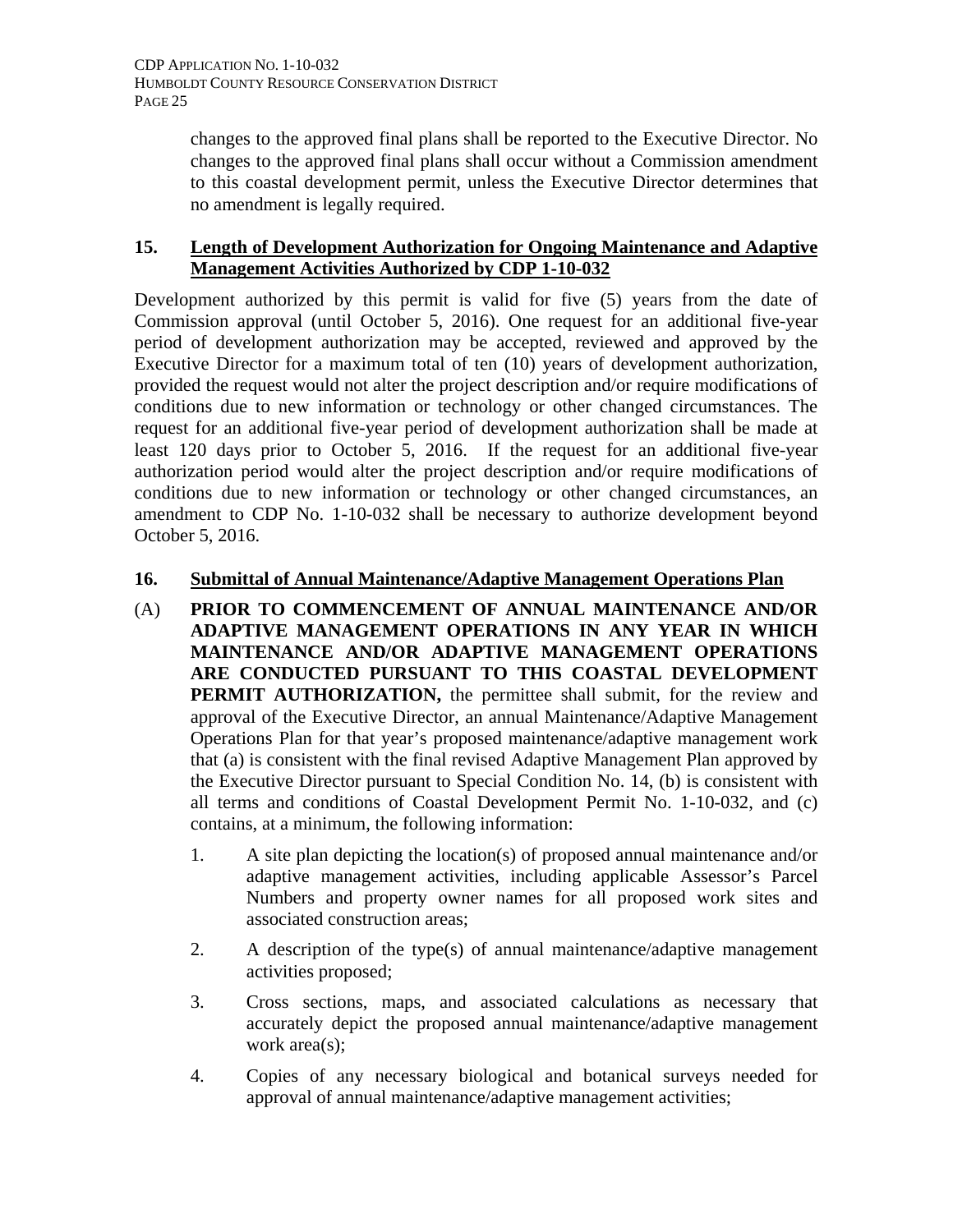changes to the approved final plans shall be reported to the Executive Director. No changes to the approved final plans shall occur without a Commission amendment to this coastal development permit, unless the Executive Director determines that no amendment is legally required.

## **15. Length of Development Authorization for Ongoing Maintenance and Adaptive Management Activities Authorized by CDP 1-10-032**

Development authorized by this permit is valid for five (5) years from the date of Commission approval (until October 5, 2016). One request for an additional five-year period of development authorization may be accepted, reviewed and approved by the Executive Director for a maximum total of ten (10) years of development authorization, provided the request would not alter the project description and/or require modifications of conditions due to new information or technology or other changed circumstances. The request for an additional five-year period of development authorization shall be made at least 120 days prior to October 5, 2016. If the request for an additional five-year authorization period would alter the project description and/or require modifications of conditions due to new information or technology or other changed circumstances, an amendment to CDP No. 1-10-032 shall be necessary to authorize development beyond October 5, 2016.

## **16. Submittal of Annual Maintenance/Adaptive Management Operations Plan**

- (A) **PRIOR TO COMMENCEMENT OF ANNUAL MAINTENANCE AND/OR ADAPTIVE MANAGEMENT OPERATIONS IN ANY YEAR IN WHICH MAINTENANCE AND/OR ADAPTIVE MANAGEMENT OPERATIONS ARE CONDUCTED PURSUANT TO THIS COASTAL DEVELOPMENT PERMIT AUTHORIZATION,** the permittee shall submit, for the review and approval of the Executive Director, an annual Maintenance/Adaptive Management Operations Plan for that year's proposed maintenance/adaptive management work that (a) is consistent with the final revised Adaptive Management Plan approved by the Executive Director pursuant to Special Condition No. 14, (b) is consistent with all terms and conditions of Coastal Development Permit No. 1-10-032, and (c) contains, at a minimum, the following information:
	- 1. A site plan depicting the location(s) of proposed annual maintenance and/or adaptive management activities, including applicable Assessor's Parcel Numbers and property owner names for all proposed work sites and associated construction areas;
	- 2. A description of the type(s) of annual maintenance/adaptive management activities proposed;
	- 3. Cross sections, maps, and associated calculations as necessary that accurately depict the proposed annual maintenance/adaptive management work area(s);
	- 4. Copies of any necessary biological and botanical surveys needed for approval of annual maintenance/adaptive management activities;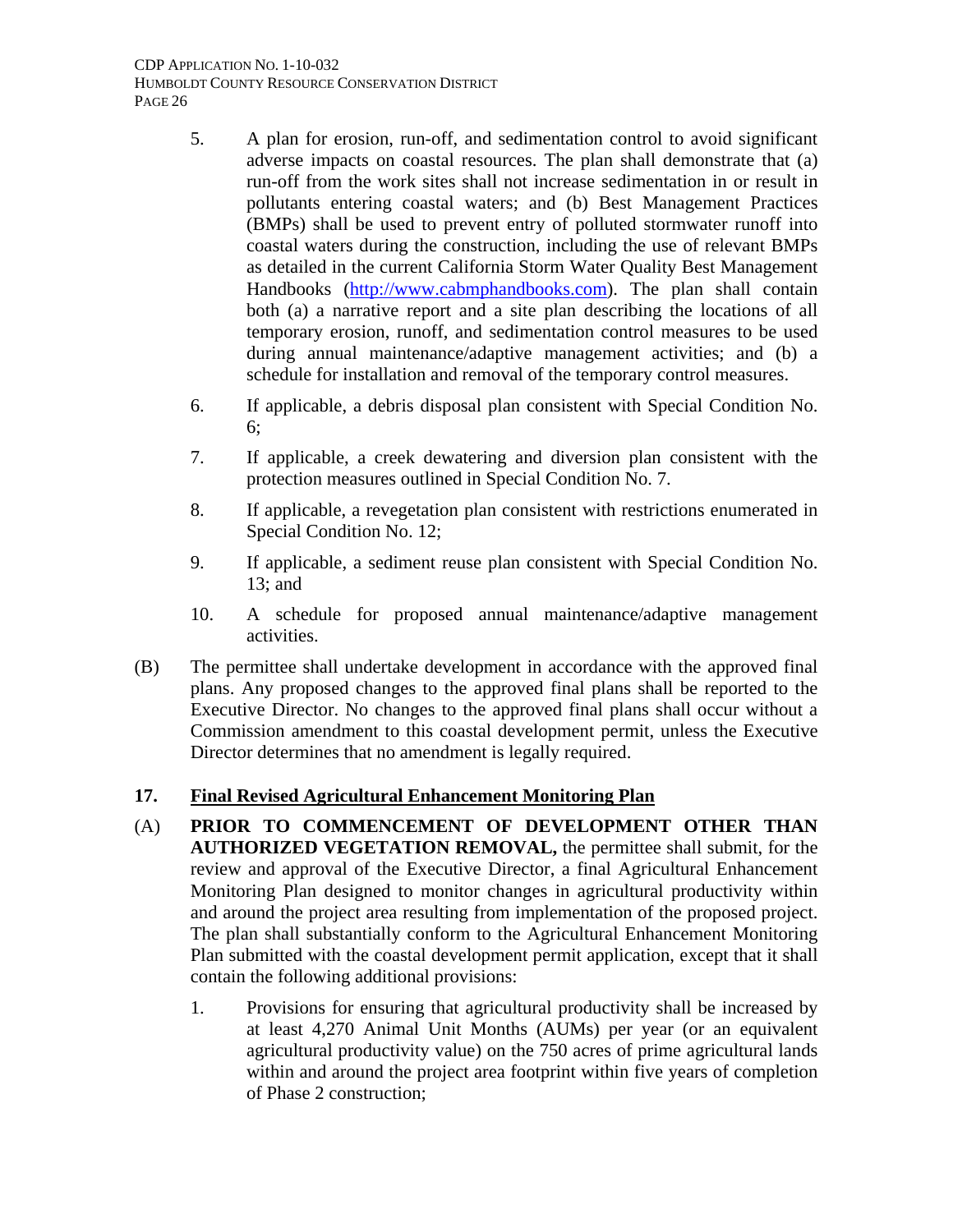CDP APPLICATION NO. 1-10-032 HUMBOLDT COUNTY RESOURCE CONSERVATION DISTRICT PAGE 26

- 5. A plan for erosion, run-off, and sedimentation control to avoid significant adverse impacts on coastal resources. The plan shall demonstrate that (a) run-off from the work sites shall not increase sedimentation in or result in pollutants entering coastal waters; and (b) Best Management Practices (BMPs) shall be used to prevent entry of polluted stormwater runoff into coastal waters during the construction, including the use of relevant BMPs as detailed in the current California Storm Water Quality Best Management Handbooks ([http://www.cabmphandbooks.com](http://www.cabmphandbooks.com/)). The plan shall contain both (a) a narrative report and a site plan describing the locations of all temporary erosion, runoff, and sedimentation control measures to be used during annual maintenance/adaptive management activities; and (b) a schedule for installation and removal of the temporary control measures.
- 6. If applicable, a debris disposal plan consistent with Special Condition No. 6;
- 7. If applicable, a creek dewatering and diversion plan consistent with the protection measures outlined in Special Condition No. 7.
- 8. If applicable, a revegetation plan consistent with restrictions enumerated in Special Condition No. 12;
- 9. If applicable, a sediment reuse plan consistent with Special Condition No. 13; and
- 10. A schedule for proposed annual maintenance/adaptive management activities.
- (B) The permittee shall undertake development in accordance with the approved final plans. Any proposed changes to the approved final plans shall be reported to the Executive Director. No changes to the approved final plans shall occur without a Commission amendment to this coastal development permit, unless the Executive Director determines that no amendment is legally required.

## **17. Final Revised Agricultural Enhancement Monitoring Plan**

- (A) **PRIOR TO COMMENCEMENT OF DEVELOPMENT OTHER THAN AUTHORIZED VEGETATION REMOVAL,** the permittee shall submit, for the review and approval of the Executive Director, a final Agricultural Enhancement Monitoring Plan designed to monitor changes in agricultural productivity within and around the project area resulting from implementation of the proposed project. The plan shall substantially conform to the Agricultural Enhancement Monitoring Plan submitted with the coastal development permit application, except that it shall contain the following additional provisions:
	- 1. Provisions for ensuring that agricultural productivity shall be increased by at least 4,270 Animal Unit Months (AUMs) per year (or an equivalent agricultural productivity value) on the 750 acres of prime agricultural lands within and around the project area footprint within five years of completion of Phase 2 construction;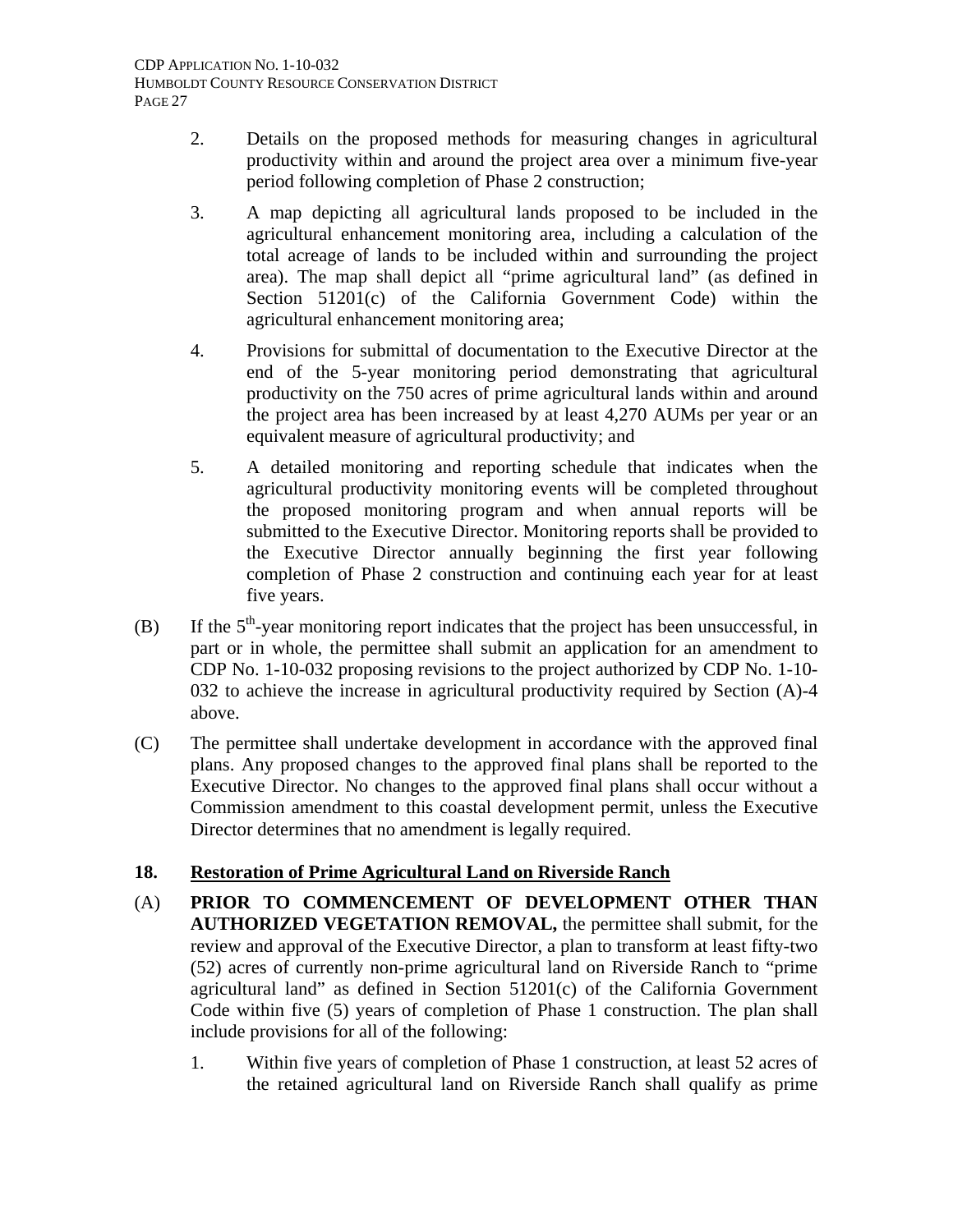- 2. Details on the proposed methods for measuring changes in agricultural productivity within and around the project area over a minimum five-year period following completion of Phase 2 construction;
- 3. A map depicting all agricultural lands proposed to be included in the agricultural enhancement monitoring area, including a calculation of the total acreage of lands to be included within and surrounding the project area). The map shall depict all "prime agricultural land" (as defined in Section 51201(c) of the California Government Code) within the agricultural enhancement monitoring area;
- 4. Provisions for submittal of documentation to the Executive Director at the end of the 5-year monitoring period demonstrating that agricultural productivity on the 750 acres of prime agricultural lands within and around the project area has been increased by at least 4,270 AUMs per year or an equivalent measure of agricultural productivity; and
- 5. A detailed monitoring and reporting schedule that indicates when the agricultural productivity monitoring events will be completed throughout the proposed monitoring program and when annual reports will be submitted to the Executive Director. Monitoring reports shall be provided to the Executive Director annually beginning the first year following completion of Phase 2 construction and continuing each year for at least five years.
- (B) If the  $5<sup>th</sup>$ -year monitoring report indicates that the project has been unsuccessful, in part or in whole, the permittee shall submit an application for an amendment to CDP No. 1-10-032 proposing revisions to the project authorized by CDP No. 1-10- 032 to achieve the increase in agricultural productivity required by Section (A)-4 above.
- (C) The permittee shall undertake development in accordance with the approved final plans. Any proposed changes to the approved final plans shall be reported to the Executive Director. No changes to the approved final plans shall occur without a Commission amendment to this coastal development permit, unless the Executive Director determines that no amendment is legally required.

# **18. Restoration of Prime Agricultural Land on Riverside Ranch**

- (A) **PRIOR TO COMMENCEMENT OF DEVELOPMENT OTHER THAN AUTHORIZED VEGETATION REMOVAL,** the permittee shall submit, for the review and approval of the Executive Director, a plan to transform at least fifty-two (52) acres of currently non-prime agricultural land on Riverside Ranch to "prime agricultural land" as defined in Section 51201(c) of the California Government Code within five (5) years of completion of Phase 1 construction. The plan shall include provisions for all of the following:
	- 1. Within five years of completion of Phase 1 construction, at least 52 acres of the retained agricultural land on Riverside Ranch shall qualify as prime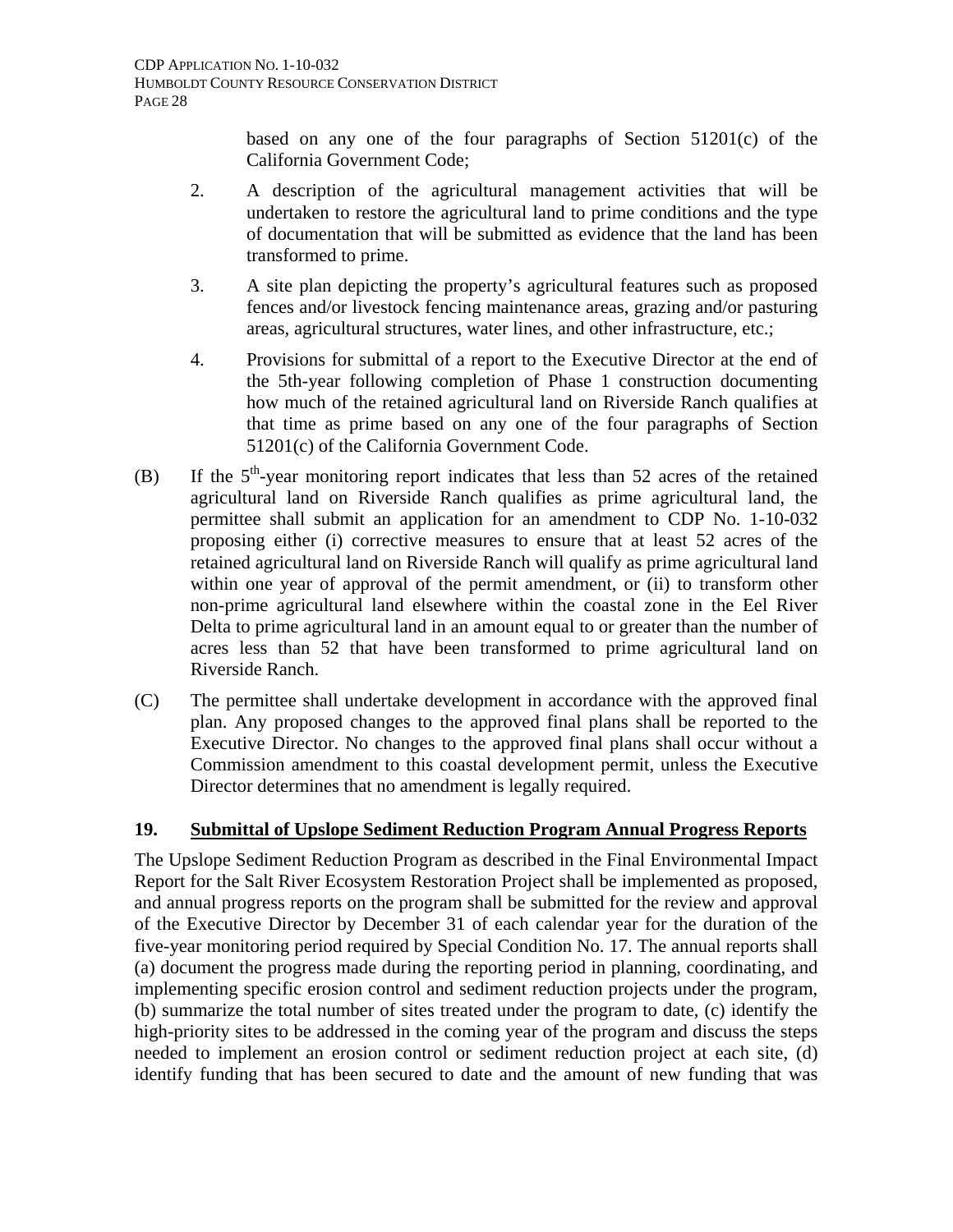based on any one of the four paragraphs of Section 51201(c) of the California Government Code;

- 2. A description of the agricultural management activities that will be undertaken to restore the agricultural land to prime conditions and the type of documentation that will be submitted as evidence that the land has been transformed to prime.
- 3. A site plan depicting the property's agricultural features such as proposed fences and/or livestock fencing maintenance areas, grazing and/or pasturing areas, agricultural structures, water lines, and other infrastructure, etc.;
- 4. Provisions for submittal of a report to the Executive Director at the end of the 5th-year following completion of Phase 1 construction documenting how much of the retained agricultural land on Riverside Ranch qualifies at that time as prime based on any one of the four paragraphs of Section 51201(c) of the California Government Code.
- (B) If the  $5<sup>th</sup>$ -year monitoring report indicates that less than 52 acres of the retained agricultural land on Riverside Ranch qualifies as prime agricultural land, the permittee shall submit an application for an amendment to CDP No. 1-10-032 proposing either (i) corrective measures to ensure that at least 52 acres of the retained agricultural land on Riverside Ranch will qualify as prime agricultural land within one year of approval of the permit amendment, or (ii) to transform other non-prime agricultural land elsewhere within the coastal zone in the Eel River Delta to prime agricultural land in an amount equal to or greater than the number of acres less than 52 that have been transformed to prime agricultural land on Riverside Ranch.
- (C) The permittee shall undertake development in accordance with the approved final plan. Any proposed changes to the approved final plans shall be reported to the Executive Director. No changes to the approved final plans shall occur without a Commission amendment to this coastal development permit, unless the Executive Director determines that no amendment is legally required.

## **19. Submittal of Upslope Sediment Reduction Program Annual Progress Reports**

The Upslope Sediment Reduction Program as described in the Final Environmental Impact Report for the Salt River Ecosystem Restoration Project shall be implemented as proposed, and annual progress reports on the program shall be submitted for the review and approval of the Executive Director by December 31 of each calendar year for the duration of the five-year monitoring period required by Special Condition No. 17. The annual reports shall (a) document the progress made during the reporting period in planning, coordinating, and implementing specific erosion control and sediment reduction projects under the program, (b) summarize the total number of sites treated under the program to date, (c) identify the high-priority sites to be addressed in the coming year of the program and discuss the steps needed to implement an erosion control or sediment reduction project at each site, (d) identify funding that has been secured to date and the amount of new funding that was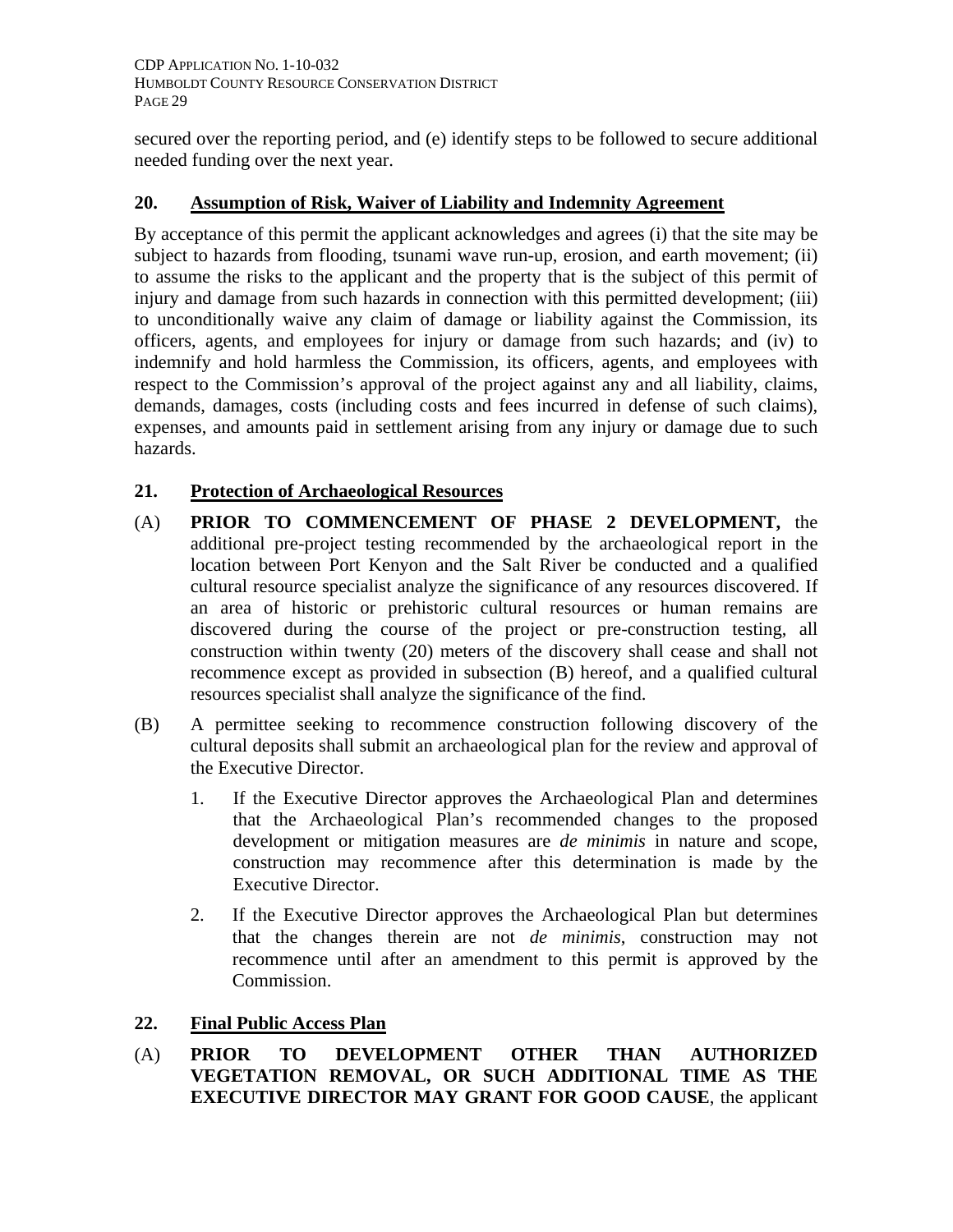secured over the reporting period, and (e) identify steps to be followed to secure additional needed funding over the next year.

## **20. Assumption of Risk, Waiver of Liability and Indemnity Agreement**

By acceptance of this permit the applicant acknowledges and agrees (i) that the site may be subject to hazards from flooding, tsunami wave run-up, erosion, and earth movement; (ii) to assume the risks to the applicant and the property that is the subject of this permit of injury and damage from such hazards in connection with this permitted development; (iii) to unconditionally waive any claim of damage or liability against the Commission, its officers, agents, and employees for injury or damage from such hazards; and (iv) to indemnify and hold harmless the Commission, its officers, agents, and employees with respect to the Commission's approval of the project against any and all liability, claims, demands, damages, costs (including costs and fees incurred in defense of such claims), expenses, and amounts paid in settlement arising from any injury or damage due to such hazards.

## **21. Protection of Archaeological Resources**

- (A) **PRIOR TO COMMENCEMENT OF PHASE 2 DEVELOPMENT,** the additional pre-project testing recommended by the archaeological report in the location between Port Kenyon and the Salt River be conducted and a qualified cultural resource specialist analyze the significance of any resources discovered. If an area of historic or prehistoric cultural resources or human remains are discovered during the course of the project or pre-construction testing, all construction within twenty (20) meters of the discovery shall cease and shall not recommence except as provided in subsection (B) hereof, and a qualified cultural resources specialist shall analyze the significance of the find.
- (B) A permittee seeking to recommence construction following discovery of the cultural deposits shall submit an archaeological plan for the review and approval of the Executive Director.
	- 1. If the Executive Director approves the Archaeological Plan and determines that the Archaeological Plan's recommended changes to the proposed development or mitigation measures are *de minimis* in nature and scope, construction may recommence after this determination is made by the Executive Director.
	- 2. If the Executive Director approves the Archaeological Plan but determines that the changes therein are not *de minimis*, construction may not recommence until after an amendment to this permit is approved by the Commission.

## **22. Final Public Access Plan**

(A) **PRIOR TO DEVELOPMENT OTHER THAN AUTHORIZED VEGETATION REMOVAL, OR SUCH ADDITIONAL TIME AS THE EXECUTIVE DIRECTOR MAY GRANT FOR GOOD CAUSE**, the applicant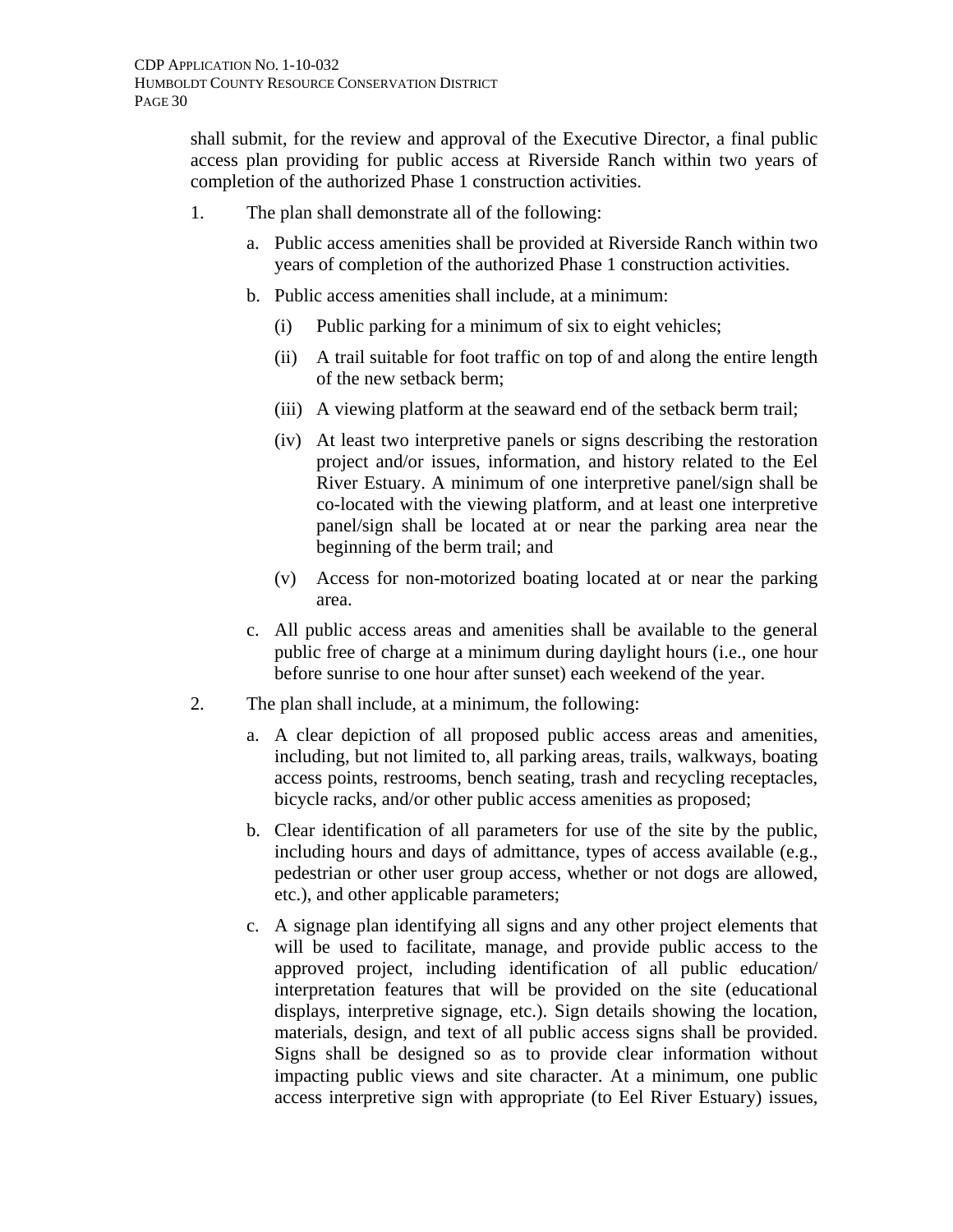shall submit, for the review and approval of the Executive Director, a final public access plan providing for public access at Riverside Ranch within two years of completion of the authorized Phase 1 construction activities.

- 1. The plan shall demonstrate all of the following:
	- a. Public access amenities shall be provided at Riverside Ranch within two years of completion of the authorized Phase 1 construction activities.
	- b. Public access amenities shall include, at a minimum:
		- (i) Public parking for a minimum of six to eight vehicles;
		- (ii) A trail suitable for foot traffic on top of and along the entire length of the new setback berm;
		- (iii) A viewing platform at the seaward end of the setback berm trail;
		- (iv) At least two interpretive panels or signs describing the restoration project and/or issues, information, and history related to the Eel River Estuary. A minimum of one interpretive panel/sign shall be co-located with the viewing platform, and at least one interpretive panel/sign shall be located at or near the parking area near the beginning of the berm trail; and
		- (v) Access for non-motorized boating located at or near the parking area.
	- c. All public access areas and amenities shall be available to the general public free of charge at a minimum during daylight hours (i.e., one hour before sunrise to one hour after sunset) each weekend of the year.
- 2. The plan shall include, at a minimum, the following:
	- a. A clear depiction of all proposed public access areas and amenities, including, but not limited to, all parking areas, trails, walkways, boating access points, restrooms, bench seating, trash and recycling receptacles, bicycle racks, and/or other public access amenities as proposed;
	- b. Clear identification of all parameters for use of the site by the public, including hours and days of admittance, types of access available (e.g., pedestrian or other user group access, whether or not dogs are allowed, etc.), and other applicable parameters;
	- c. A signage plan identifying all signs and any other project elements that will be used to facilitate, manage, and provide public access to the approved project, including identification of all public education/ interpretation features that will be provided on the site (educational displays, interpretive signage, etc.). Sign details showing the location, materials, design, and text of all public access signs shall be provided. Signs shall be designed so as to provide clear information without impacting public views and site character. At a minimum, one public access interpretive sign with appropriate (to Eel River Estuary) issues,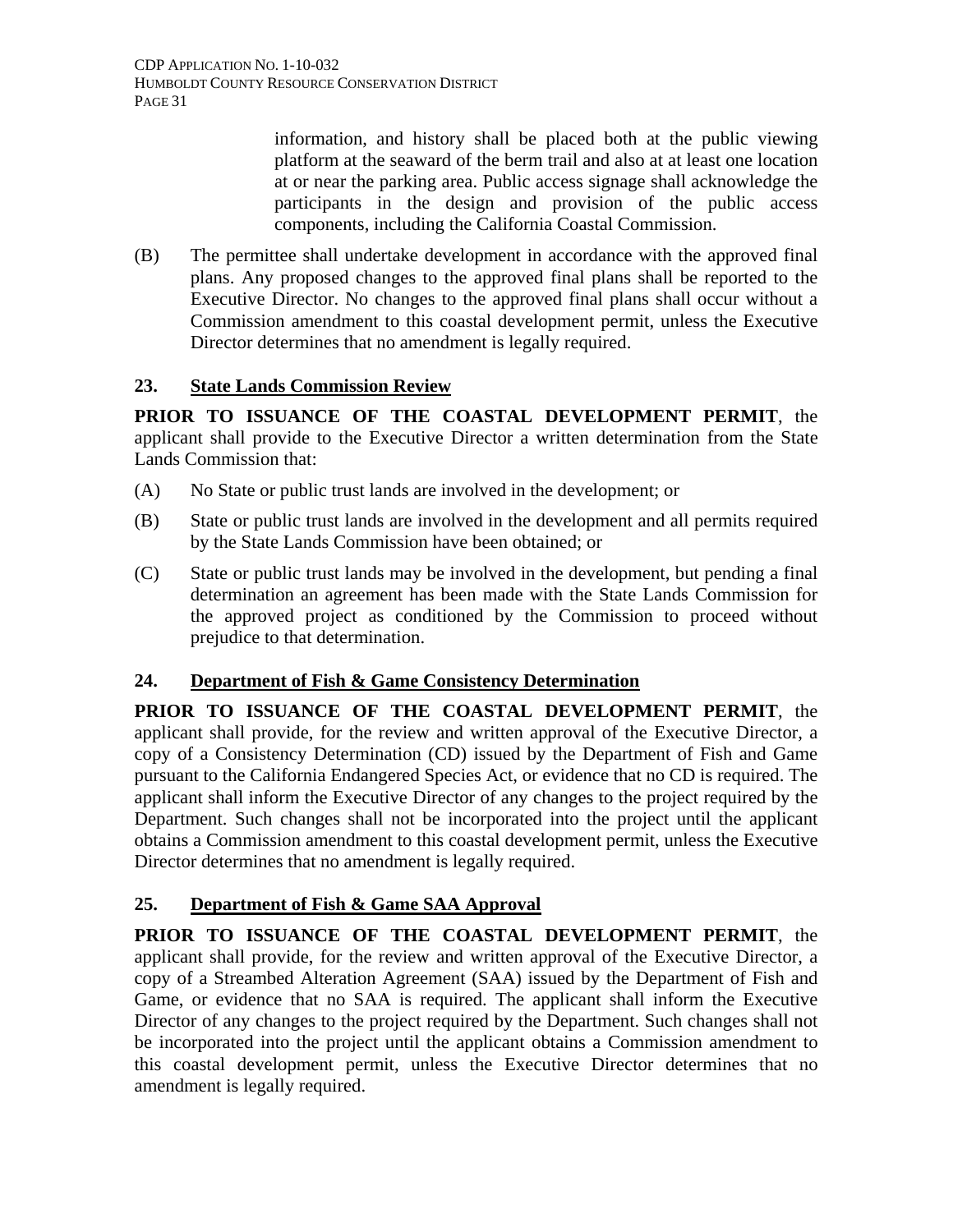information, and history shall be placed both at the public viewing platform at the seaward of the berm trail and also at at least one location at or near the parking area. Public access signage shall acknowledge the participants in the design and provision of the public access components, including the California Coastal Commission.

(B) The permittee shall undertake development in accordance with the approved final plans. Any proposed changes to the approved final plans shall be reported to the Executive Director. No changes to the approved final plans shall occur without a Commission amendment to this coastal development permit, unless the Executive Director determines that no amendment is legally required.

## **23. State Lands Commission Review**

**PRIOR TO ISSUANCE OF THE COASTAL DEVELOPMENT PERMIT**, the applicant shall provide to the Executive Director a written determination from the State Lands Commission that:

- (A) No State or public trust lands are involved in the development; or
- (B) State or public trust lands are involved in the development and all permits required by the State Lands Commission have been obtained; or
- (C) State or public trust lands may be involved in the development, but pending a final determination an agreement has been made with the State Lands Commission for the approved project as conditioned by the Commission to proceed without prejudice to that determination.

## **24. Department of Fish & Game Consistency Determination**

**PRIOR TO ISSUANCE OF THE COASTAL DEVELOPMENT PERMIT**, the applicant shall provide, for the review and written approval of the Executive Director, a copy of a Consistency Determination (CD) issued by the Department of Fish and Game pursuant to the California Endangered Species Act, or evidence that no CD is required. The applicant shall inform the Executive Director of any changes to the project required by the Department. Such changes shall not be incorporated into the project until the applicant obtains a Commission amendment to this coastal development permit, unless the Executive Director determines that no amendment is legally required.

# **25. Department of Fish & Game SAA Approval**

**PRIOR TO ISSUANCE OF THE COASTAL DEVELOPMENT PERMIT**, the applicant shall provide, for the review and written approval of the Executive Director, a copy of a Streambed Alteration Agreement (SAA) issued by the Department of Fish and Game, or evidence that no SAA is required. The applicant shall inform the Executive Director of any changes to the project required by the Department. Such changes shall not be incorporated into the project until the applicant obtains a Commission amendment to this coastal development permit, unless the Executive Director determines that no amendment is legally required.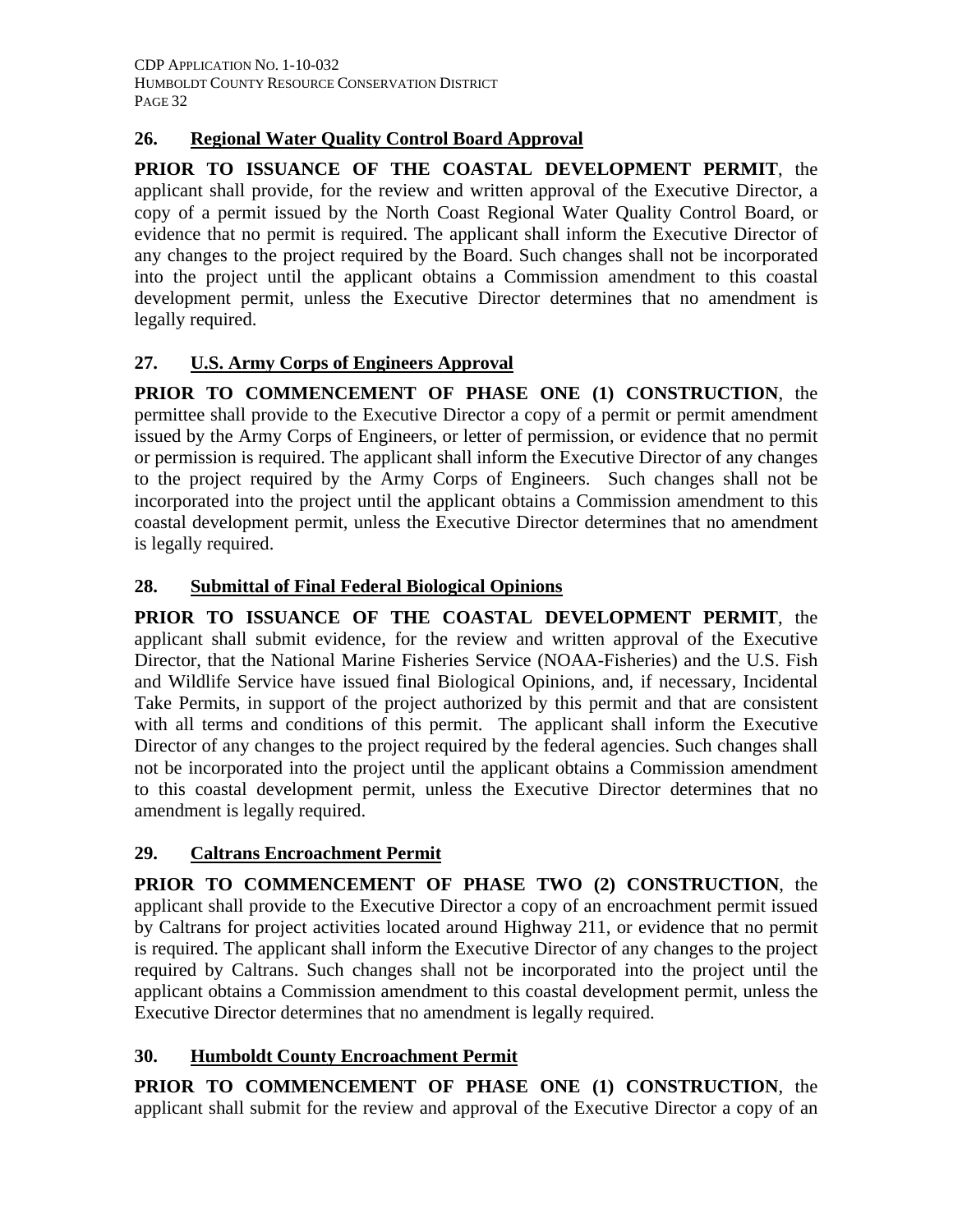## **26. Regional Water Quality Control Board Approval**

**PRIOR TO ISSUANCE OF THE COASTAL DEVELOPMENT PERMIT**, the applicant shall provide, for the review and written approval of the Executive Director, a copy of a permit issued by the North Coast Regional Water Quality Control Board, or evidence that no permit is required. The applicant shall inform the Executive Director of any changes to the project required by the Board. Such changes shall not be incorporated into the project until the applicant obtains a Commission amendment to this coastal development permit, unless the Executive Director determines that no amendment is legally required.

# **27. U.S. Army Corps of Engineers Approval**

**PRIOR TO COMMENCEMENT OF PHASE ONE (1) CONSTRUCTION**, the permittee shall provide to the Executive Director a copy of a permit or permit amendment issued by the Army Corps of Engineers, or letter of permission, or evidence that no permit or permission is required. The applicant shall inform the Executive Director of any changes to the project required by the Army Corps of Engineers. Such changes shall not be incorporated into the project until the applicant obtains a Commission amendment to this coastal development permit, unless the Executive Director determines that no amendment is legally required.

## **28. Submittal of Final Federal Biological Opinions**

**PRIOR TO ISSUANCE OF THE COASTAL DEVELOPMENT PERMIT**, the applicant shall submit evidence, for the review and written approval of the Executive Director, that the National Marine Fisheries Service (NOAA-Fisheries) and the U.S. Fish and Wildlife Service have issued final Biological Opinions, and, if necessary, Incidental Take Permits, in support of the project authorized by this permit and that are consistent with all terms and conditions of this permit. The applicant shall inform the Executive Director of any changes to the project required by the federal agencies. Such changes shall not be incorporated into the project until the applicant obtains a Commission amendment to this coastal development permit, unless the Executive Director determines that no amendment is legally required.

# **29. Caltrans Encroachment Permit**

**PRIOR TO COMMENCEMENT OF PHASE TWO (2) CONSTRUCTION**, the applicant shall provide to the Executive Director a copy of an encroachment permit issued by Caltrans for project activities located around Highway 211, or evidence that no permit is required. The applicant shall inform the Executive Director of any changes to the project required by Caltrans. Such changes shall not be incorporated into the project until the applicant obtains a Commission amendment to this coastal development permit, unless the Executive Director determines that no amendment is legally required.

# **30. Humboldt County Encroachment Permit**

**PRIOR TO COMMENCEMENT OF PHASE ONE (1) CONSTRUCTION**, the applicant shall submit for the review and approval of the Executive Director a copy of an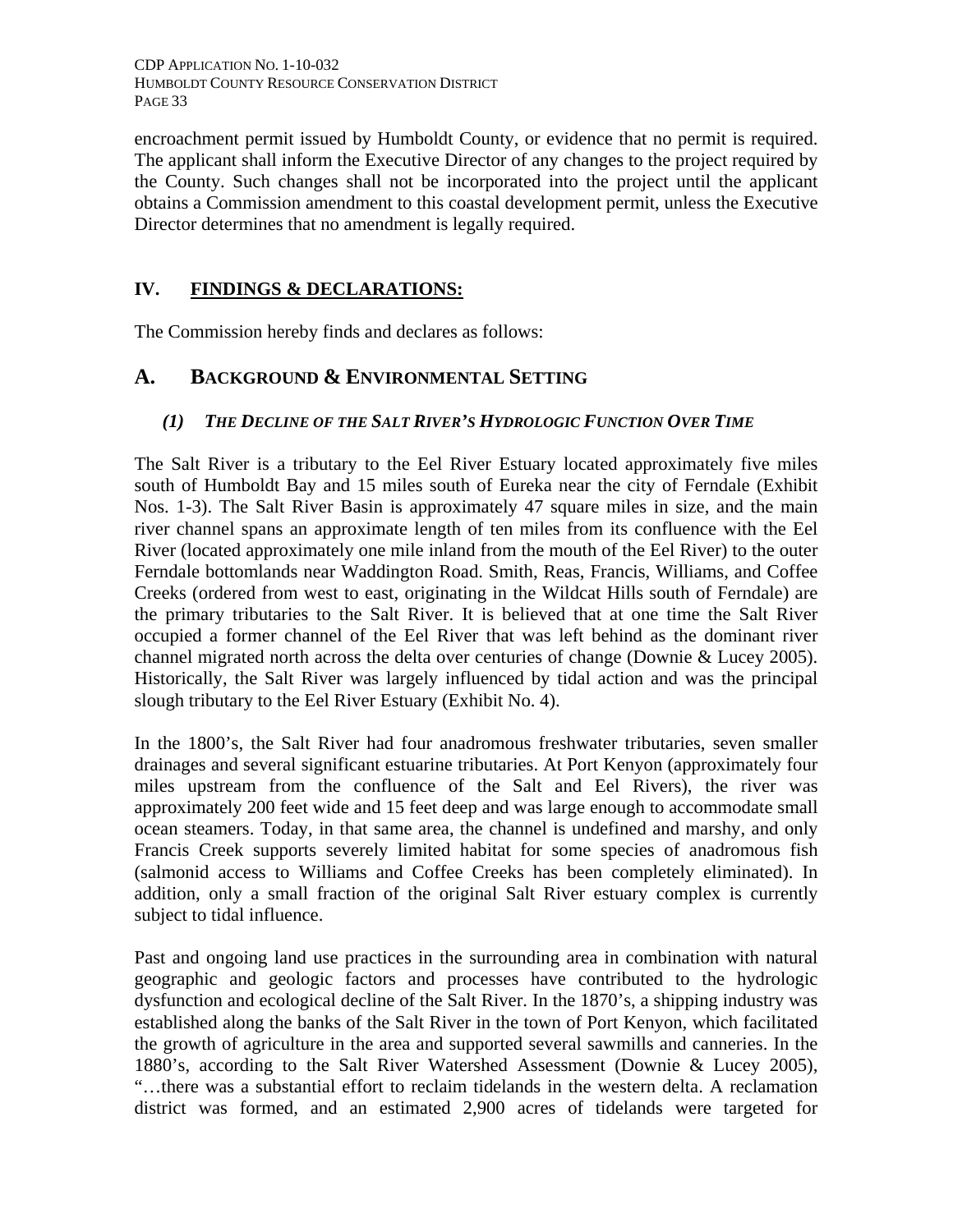CDP APPLICATION NO. 1-10-032 HUMBOLDT COUNTY RESOURCE CONSERVATION DISTRICT PAGE 33

encroachment permit issued by Humboldt County, or evidence that no permit is required. The applicant shall inform the Executive Director of any changes to the project required by the County. Such changes shall not be incorporated into the project until the applicant obtains a Commission amendment to this coastal development permit, unless the Executive Director determines that no amendment is legally required.

## **IV. FINDINGS & DECLARATIONS:**

The Commission hereby finds and declares as follows:

# **A. BACKGROUND & ENVIRONMENTAL SETTING**

## *(1) THE DECLINE OF THE SALT RIVER'S HYDROLOGIC FUNCTION OVER TIME*

The Salt River is a tributary to the Eel River Estuary located approximately five miles south of Humboldt Bay and 15 miles south of Eureka near the city of Ferndale (Exhibit Nos. 1-3). The Salt River Basin is approximately 47 square miles in size, and the main river channel spans an approximate length of ten miles from its confluence with the Eel River (located approximately one mile inland from the mouth of the Eel River) to the outer Ferndale bottomlands near Waddington Road. Smith, Reas, Francis, Williams, and Coffee Creeks (ordered from west to east, originating in the Wildcat Hills south of Ferndale) are the primary tributaries to the Salt River. It is believed that at one time the Salt River occupied a former channel of the Eel River that was left behind as the dominant river channel migrated north across the delta over centuries of change (Downie & Lucey 2005). Historically, the Salt River was largely influenced by tidal action and was the principal slough tributary to the Eel River Estuary (Exhibit No. 4).

In the 1800's, the Salt River had four anadromous freshwater tributaries, seven smaller drainages and several significant estuarine tributaries. At Port Kenyon (approximately four miles upstream from the confluence of the Salt and Eel Rivers), the river was approximately 200 feet wide and 15 feet deep and was large enough to accommodate small ocean steamers. Today, in that same area, the channel is undefined and marshy, and only Francis Creek supports severely limited habitat for some species of anadromous fish (salmonid access to Williams and Coffee Creeks has been completely eliminated). In addition, only a small fraction of the original Salt River estuary complex is currently subject to tidal influence.

Past and ongoing land use practices in the surrounding area in combination with natural geographic and geologic factors and processes have contributed to the hydrologic dysfunction and ecological decline of the Salt River. In the 1870's, a shipping industry was established along the banks of the Salt River in the town of Port Kenyon, which facilitated the growth of agriculture in the area and supported several sawmills and canneries. In the 1880's, according to the Salt River Watershed Assessment (Downie & Lucey 2005), "…there was a substantial effort to reclaim tidelands in the western delta. A reclamation district was formed, and an estimated 2,900 acres of tidelands were targeted for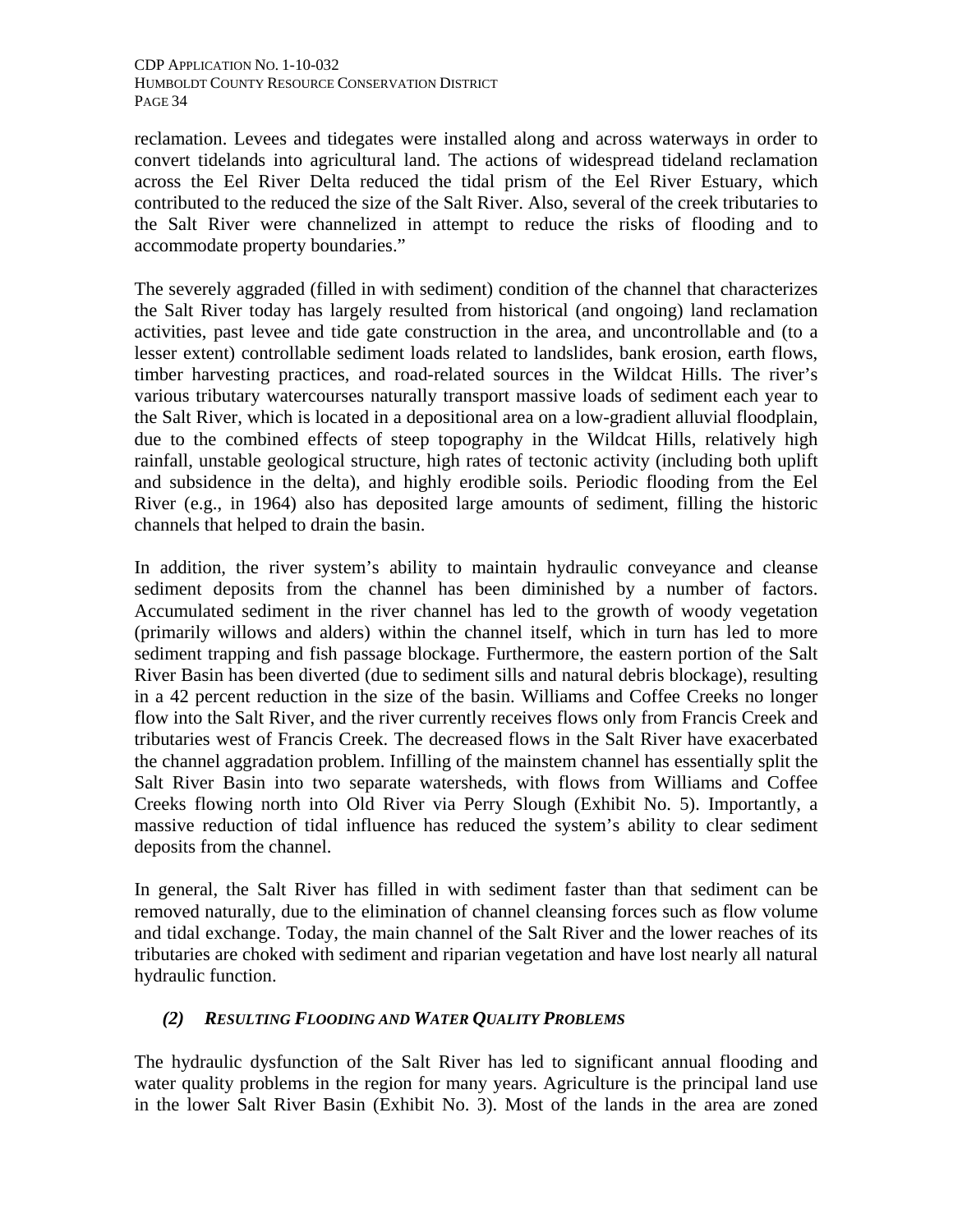reclamation. Levees and tidegates were installed along and across waterways in order to convert tidelands into agricultural land. The actions of widespread tideland reclamation across the Eel River Delta reduced the tidal prism of the Eel River Estuary, which contributed to the reduced the size of the Salt River. Also, several of the creek tributaries to the Salt River were channelized in attempt to reduce the risks of flooding and to accommodate property boundaries."

The severely aggraded (filled in with sediment) condition of the channel that characterizes the Salt River today has largely resulted from historical (and ongoing) land reclamation activities, past levee and tide gate construction in the area, and uncontrollable and (to a lesser extent) controllable sediment loads related to landslides, bank erosion, earth flows, timber harvesting practices, and road-related sources in the Wildcat Hills. The river's various tributary watercourses naturally transport massive loads of sediment each year to the Salt River, which is located in a depositional area on a low-gradient alluvial floodplain, due to the combined effects of steep topography in the Wildcat Hills, relatively high rainfall, unstable geological structure, high rates of tectonic activity (including both uplift and subsidence in the delta), and highly erodible soils. Periodic flooding from the Eel River (e.g., in 1964) also has deposited large amounts of sediment, filling the historic channels that helped to drain the basin.

In addition, the river system's ability to maintain hydraulic conveyance and cleanse sediment deposits from the channel has been diminished by a number of factors. Accumulated sediment in the river channel has led to the growth of woody vegetation (primarily willows and alders) within the channel itself, which in turn has led to more sediment trapping and fish passage blockage. Furthermore, the eastern portion of the Salt River Basin has been diverted (due to sediment sills and natural debris blockage), resulting in a 42 percent reduction in the size of the basin. Williams and Coffee Creeks no longer flow into the Salt River, and the river currently receives flows only from Francis Creek and tributaries west of Francis Creek. The decreased flows in the Salt River have exacerbated the channel aggradation problem. Infilling of the mainstem channel has essentially split the Salt River Basin into two separate watersheds, with flows from Williams and Coffee Creeks flowing north into Old River via Perry Slough (Exhibit No. 5). Importantly, a massive reduction of tidal influence has reduced the system's ability to clear sediment deposits from the channel.

In general, the Salt River has filled in with sediment faster than that sediment can be removed naturally, due to the elimination of channel cleansing forces such as flow volume and tidal exchange. Today, the main channel of the Salt River and the lower reaches of its tributaries are choked with sediment and riparian vegetation and have lost nearly all natural hydraulic function.

## *(2) RESULTING FLOODING AND WATER QUALITY PROBLEMS*

The hydraulic dysfunction of the Salt River has led to significant annual flooding and water quality problems in the region for many years. Agriculture is the principal land use in the lower Salt River Basin (Exhibit No. 3). Most of the lands in the area are zoned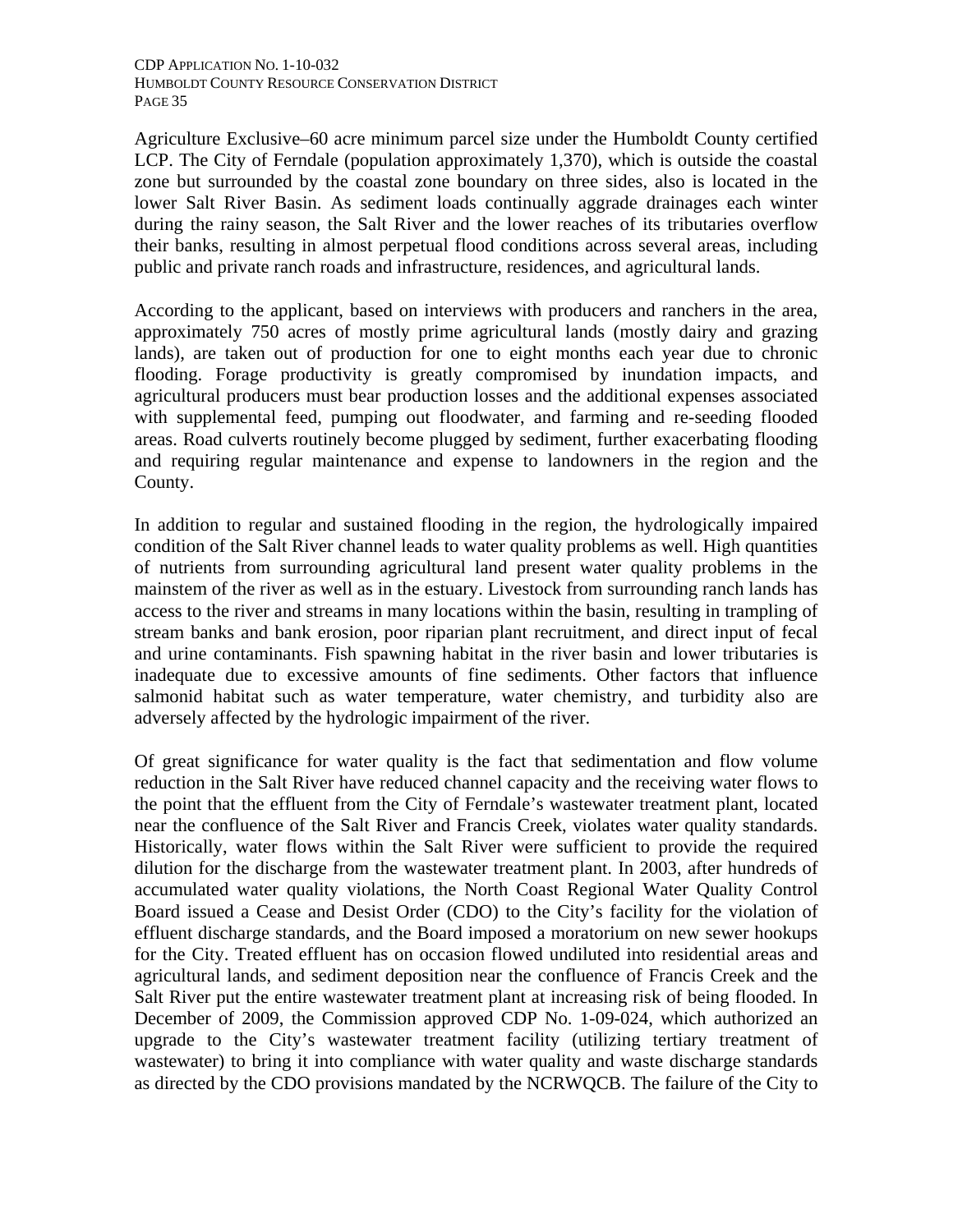Agriculture Exclusive–60 acre minimum parcel size under the Humboldt County certified LCP. The City of Ferndale (population approximately 1,370), which is outside the coastal zone but surrounded by the coastal zone boundary on three sides, also is located in the lower Salt River Basin. As sediment loads continually aggrade drainages each winter during the rainy season, the Salt River and the lower reaches of its tributaries overflow their banks, resulting in almost perpetual flood conditions across several areas, including public and private ranch roads and infrastructure, residences, and agricultural lands.

According to the applicant, based on interviews with producers and ranchers in the area, approximately 750 acres of mostly prime agricultural lands (mostly dairy and grazing lands), are taken out of production for one to eight months each year due to chronic flooding. Forage productivity is greatly compromised by inundation impacts, and agricultural producers must bear production losses and the additional expenses associated with supplemental feed, pumping out floodwater, and farming and re-seeding flooded areas. Road culverts routinely become plugged by sediment, further exacerbating flooding and requiring regular maintenance and expense to landowners in the region and the County.

In addition to regular and sustained flooding in the region, the hydrologically impaired condition of the Salt River channel leads to water quality problems as well. High quantities of nutrients from surrounding agricultural land present water quality problems in the mainstem of the river as well as in the estuary. Livestock from surrounding ranch lands has access to the river and streams in many locations within the basin, resulting in trampling of stream banks and bank erosion, poor riparian plant recruitment, and direct input of fecal and urine contaminants. Fish spawning habitat in the river basin and lower tributaries is inadequate due to excessive amounts of fine sediments. Other factors that influence salmonid habitat such as water temperature, water chemistry, and turbidity also are adversely affected by the hydrologic impairment of the river.

Of great significance for water quality is the fact that sedimentation and flow volume reduction in the Salt River have reduced channel capacity and the receiving water flows to the point that the effluent from the City of Ferndale's wastewater treatment plant, located near the confluence of the Salt River and Francis Creek, violates water quality standards. Historically, water flows within the Salt River were sufficient to provide the required dilution for the discharge from the wastewater treatment plant. In 2003, after hundreds of accumulated water quality violations, the North Coast Regional Water Quality Control Board issued a Cease and Desist Order (CDO) to the City's facility for the violation of effluent discharge standards, and the Board imposed a moratorium on new sewer hookups for the City. Treated effluent has on occasion flowed undiluted into residential areas and agricultural lands, and sediment deposition near the confluence of Francis Creek and the Salt River put the entire wastewater treatment plant at increasing risk of being flooded. In December of 2009, the Commission approved CDP No. 1-09-024, which authorized an upgrade to the City's wastewater treatment facility (utilizing tertiary treatment of wastewater) to bring it into compliance with water quality and waste discharge standards as directed by the CDO provisions mandated by the NCRWQCB. The failure of the City to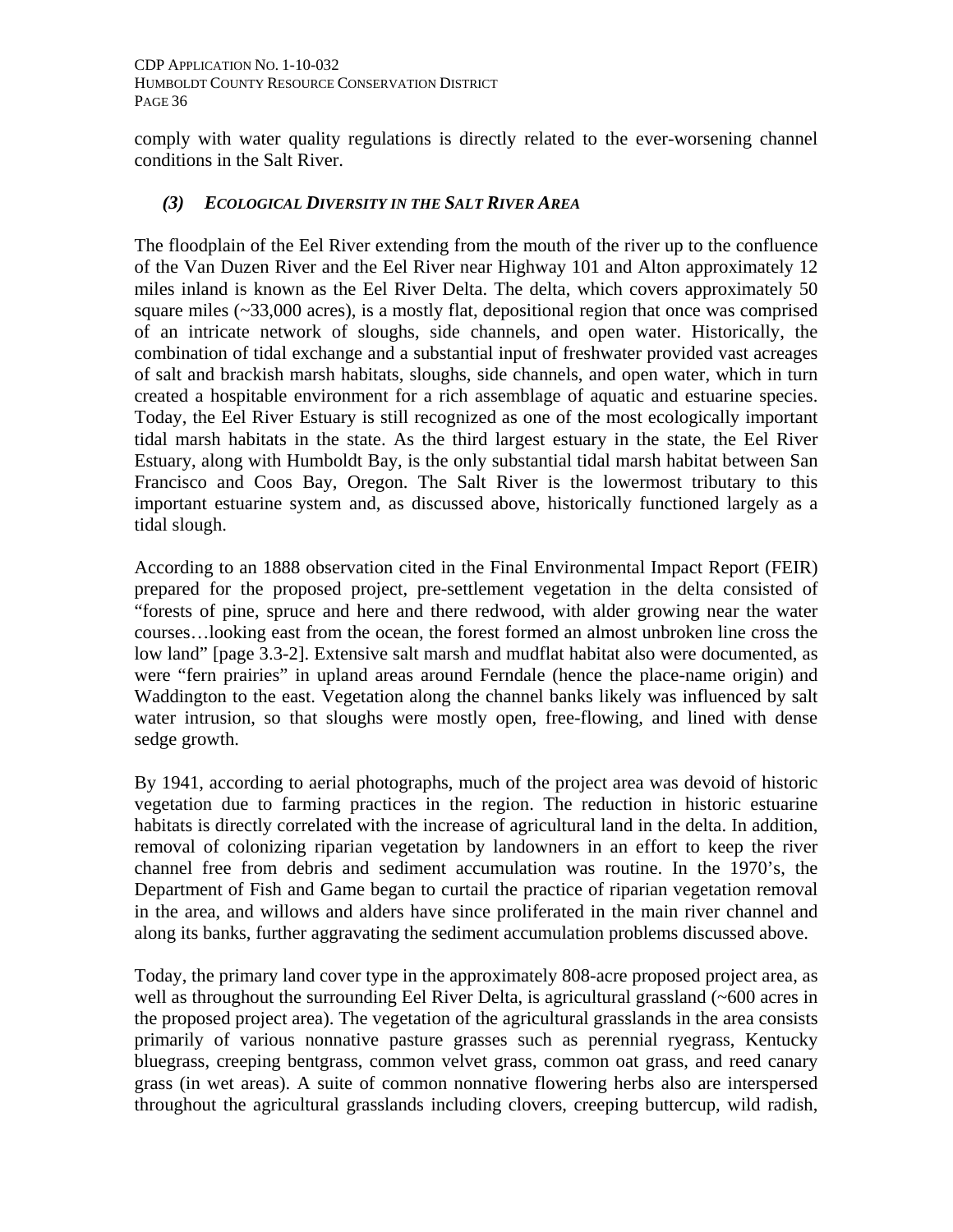comply with water quality regulations is directly related to the ever-worsening channel conditions in the Salt River.

#### *(3) ECOLOGICAL DIVERSITY IN THE SALT RIVER AREA*

The floodplain of the Eel River extending from the mouth of the river up to the confluence of the Van Duzen River and the Eel River near Highway 101 and Alton approximately 12 miles inland is known as the Eel River Delta. The delta, which covers approximately 50 square miles (~33,000 acres), is a mostly flat, depositional region that once was comprised of an intricate network of sloughs, side channels, and open water. Historically, the combination of tidal exchange and a substantial input of freshwater provided vast acreages of salt and brackish marsh habitats, sloughs, side channels, and open water, which in turn created a hospitable environment for a rich assemblage of aquatic and estuarine species. Today, the Eel River Estuary is still recognized as one of the most ecologically important tidal marsh habitats in the state. As the third largest estuary in the state, the Eel River Estuary, along with Humboldt Bay, is the only substantial tidal marsh habitat between San Francisco and Coos Bay, Oregon. The Salt River is the lowermost tributary to this important estuarine system and, as discussed above, historically functioned largely as a tidal slough.

According to an 1888 observation cited in the Final Environmental Impact Report (FEIR) prepared for the proposed project, pre-settlement vegetation in the delta consisted of "forests of pine, spruce and here and there redwood, with alder growing near the water courses…looking east from the ocean, the forest formed an almost unbroken line cross the low land" [page 3.3-2]. Extensive salt marsh and mudflat habitat also were documented, as were "fern prairies" in upland areas around Ferndale (hence the place-name origin) and Waddington to the east. Vegetation along the channel banks likely was influenced by salt water intrusion, so that sloughs were mostly open, free-flowing, and lined with dense sedge growth.

By 1941, according to aerial photographs, much of the project area was devoid of historic vegetation due to farming practices in the region. The reduction in historic estuarine habitats is directly correlated with the increase of agricultural land in the delta. In addition, removal of colonizing riparian vegetation by landowners in an effort to keep the river channel free from debris and sediment accumulation was routine. In the 1970's, the Department of Fish and Game began to curtail the practice of riparian vegetation removal in the area, and willows and alders have since proliferated in the main river channel and along its banks, further aggravating the sediment accumulation problems discussed above.

Today, the primary land cover type in the approximately 808-acre proposed project area, as well as throughout the surrounding Eel River Delta, is agricultural grassland (~600 acres in the proposed project area). The vegetation of the agricultural grasslands in the area consists primarily of various nonnative pasture grasses such as perennial ryegrass, Kentucky bluegrass, creeping bentgrass, common velvet grass, common oat grass, and reed canary grass (in wet areas). A suite of common nonnative flowering herbs also are interspersed throughout the agricultural grasslands including clovers, creeping buttercup, wild radish,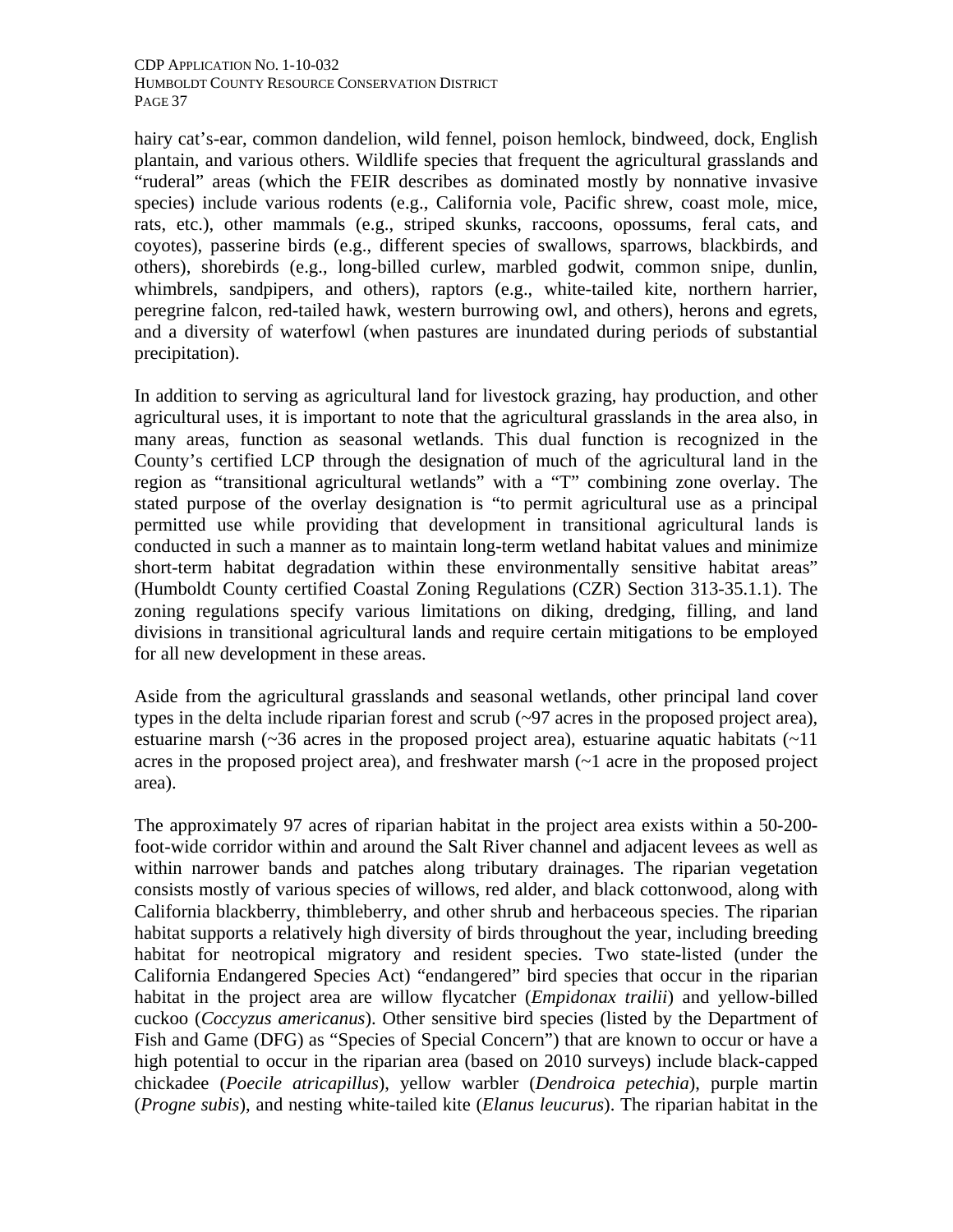hairy cat's-ear, common dandelion, wild fennel, poison hemlock, bindweed, dock, English plantain, and various others. Wildlife species that frequent the agricultural grasslands and "ruderal" areas (which the FEIR describes as dominated mostly by nonnative invasive species) include various rodents (e.g., California vole, Pacific shrew, coast mole, mice, rats, etc.), other mammals (e.g., striped skunks, raccoons, opossums, feral cats, and coyotes), passerine birds (e.g., different species of swallows, sparrows, blackbirds, and others), shorebirds (e.g., long-billed curlew, marbled godwit, common snipe, dunlin, whimbrels, sandpipers, and others), raptors (e.g., white-tailed kite, northern harrier, peregrine falcon, red-tailed hawk, western burrowing owl, and others), herons and egrets, and a diversity of waterfowl (when pastures are inundated during periods of substantial precipitation).

In addition to serving as agricultural land for livestock grazing, hay production, and other agricultural uses, it is important to note that the agricultural grasslands in the area also, in many areas, function as seasonal wetlands. This dual function is recognized in the County's certified LCP through the designation of much of the agricultural land in the region as "transitional agricultural wetlands" with a "T" combining zone overlay. The stated purpose of the overlay designation is "to permit agricultural use as a principal permitted use while providing that development in transitional agricultural lands is conducted in such a manner as to maintain long-term wetland habitat values and minimize short-term habitat degradation within these environmentally sensitive habitat areas" (Humboldt County certified Coastal Zoning Regulations (CZR) Section 313-35.1.1). The zoning regulations specify various limitations on diking, dredging, filling, and land divisions in transitional agricultural lands and require certain mitigations to be employed for all new development in these areas.

Aside from the agricultural grasslands and seasonal wetlands, other principal land cover types in the delta include riparian forest and scrub (~97 acres in the proposed project area), estuarine marsh  $\left(\sim 36 \text{ acres in the proposed project area}\right)$ , estuarine aquatic habitats  $\left(\sim 11 \text{ miles}\right)$ acres in the proposed project area), and freshwater marsh (~1 acre in the proposed project area).

The approximately 97 acres of riparian habitat in the project area exists within a 50-200 foot-wide corridor within and around the Salt River channel and adjacent levees as well as within narrower bands and patches along tributary drainages. The riparian vegetation consists mostly of various species of willows, red alder, and black cottonwood, along with California blackberry, thimbleberry, and other shrub and herbaceous species. The riparian habitat supports a relatively high diversity of birds throughout the year, including breeding habitat for neotropical migratory and resident species. Two state-listed (under the California Endangered Species Act) "endangered" bird species that occur in the riparian habitat in the project area are willow flycatcher (*Empidonax trailii*) and yellow-billed cuckoo (*Coccyzus americanus*). Other sensitive bird species (listed by the Department of Fish and Game (DFG) as "Species of Special Concern") that are known to occur or have a high potential to occur in the riparian area (based on 2010 surveys) include black-capped chickadee (*Poecile atricapillus*), yellow warbler (*Dendroica petechia*), purple martin (*Progne subis*), and nesting white-tailed kite (*Elanus leucurus*). The riparian habitat in the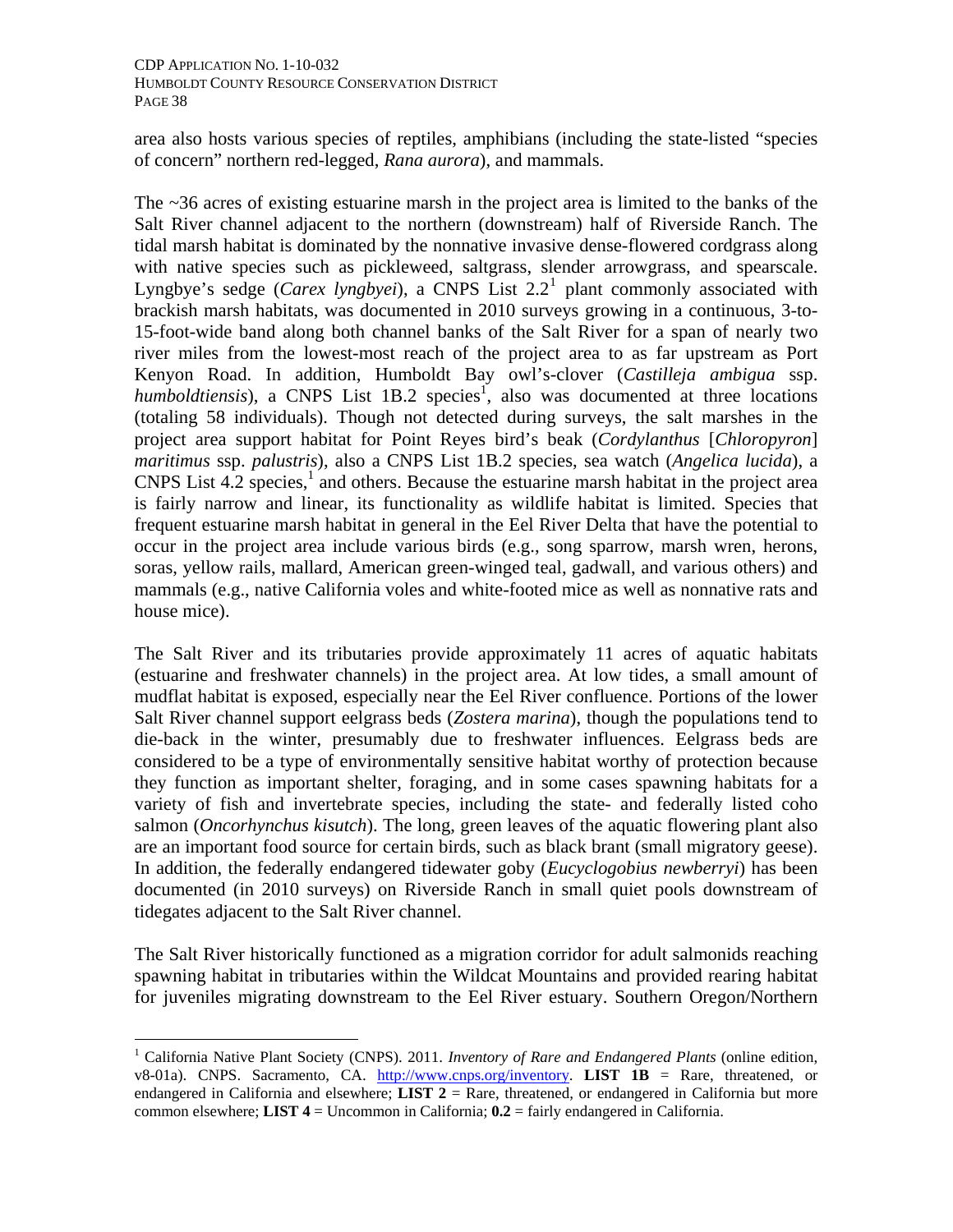area also hosts various species of reptiles, amphibians (including the state-listed "species of concern" northern red-legged, *Rana aurora*), and mammals.

The ~36 acres of existing estuarine marsh in the project area is limited to the banks of the Salt River channel adjacent to the northern (downstream) half of Riverside Ranch. The tidal marsh habitat is dominated by the nonnative invasive dense-flowered cordgrass along with native species such as pickleweed, saltgrass, slender arrowgrass, and spearscale. Lyngbye's sedge (*Carex lyngbyei*), a CNPS List 2.2<sup>[1](#page-59-0)</sup> plant commonly associated with brackish marsh habitats, was documented in 2010 surveys growing in a continuous, 3-to-15-foot-wide band along both channel banks of the Salt River for a span of nearly two river miles from the lowest-most reach of the project area to as far upstream as Port Kenyon Road. In addition, Humboldt Bay owl's-clover (*Castilleja ambigua* ssp. *humboldtiensis*), a CNPS List 1B.2 species<sup>1</sup>, also was documented at three locations (totaling 58 individuals). Though not detected during surveys, the salt marshes in the project area support habitat for Point Reyes bird's beak (*Cordylanthus* [*Chloropyron*] *maritimus* ssp. *palustris*), also a CNPS List 1B.2 species, sea watch (*Angelica lucida*), a CNPS List  $4.2$  species,<sup>1</sup> and others. Because the estuarine marsh habitat in the project area is fairly narrow and linear, its functionality as wildlife habitat is limited. Species that frequent estuarine marsh habitat in general in the Eel River Delta that have the potential to occur in the project area include various birds (e.g., song sparrow, marsh wren, herons, soras, yellow rails, mallard, American green-winged teal, gadwall, and various others) and mammals (e.g., native California voles and white-footed mice as well as nonnative rats and house mice).

The Salt River and its tributaries provide approximately 11 acres of aquatic habitats (estuarine and freshwater channels) in the project area. At low tides, a small amount of mudflat habitat is exposed, especially near the Eel River confluence. Portions of the lower Salt River channel support eelgrass beds (*Zostera marina*), though the populations tend to die-back in the winter, presumably due to freshwater influences. Eelgrass beds are considered to be a type of environmentally sensitive habitat worthy of protection because they function as important shelter, foraging, and in some cases spawning habitats for a variety of fish and invertebrate species, including the state- and federally listed coho salmon (*Oncorhynchus kisutch*). The long, green leaves of the aquatic flowering plant also are an important food source for certain birds, such as black brant (small migratory geese). In addition, the federally endangered tidewater goby (*Eucyclogobius newberryi*) has been documented (in 2010 surveys) on Riverside Ranch in small quiet pools downstream of tidegates adjacent to the Salt River channel.

The Salt River historically functioned as a migration corridor for adult salmonids reaching spawning habitat in tributaries within the Wildcat Mountains and provided rearing habitat for juveniles migrating downstream to the Eel River estuary. Southern Oregon/Northern

 $\overline{a}$ 

<span id="page-59-0"></span><sup>&</sup>lt;sup>1</sup> California Native Plant Society (CNPS). 2011. *Inventory of Rare and Endangered Plants* (online edition, v8-01a). CNPS. Sacramento, CA. [http://www.cnps.org/inventory.](http://www.cnps.org/inventory) **LIST 1B** = Rare, threatened, or endangered in California and elsewhere; **LIST 2** = Rare, threatened, or endangered in California but more common elsewhere; **LIST 4** = Uncommon in California; **0.2** = fairly endangered in California.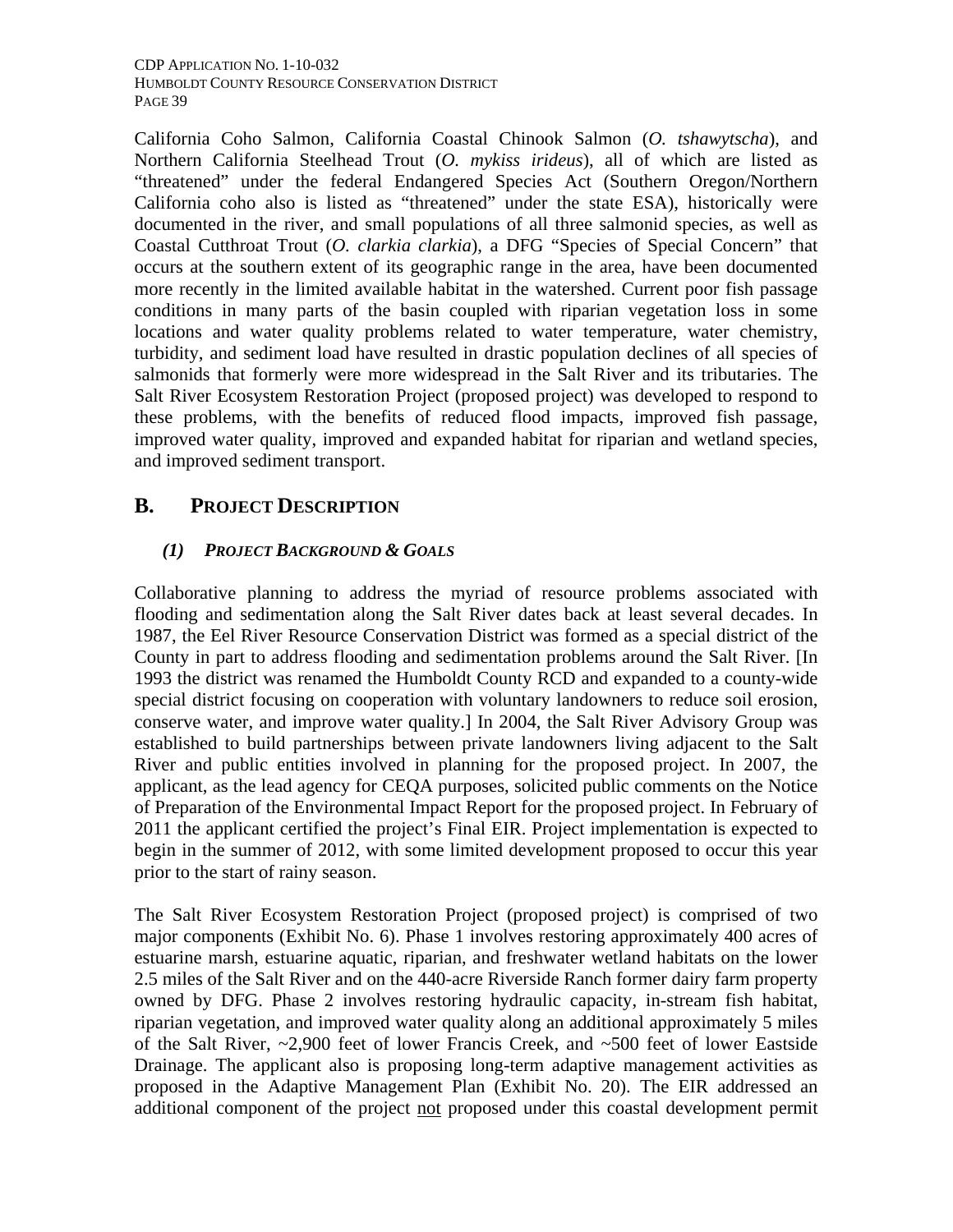California Coho Salmon, California Coastal Chinook Salmon (*O. tshawytscha*), and Northern California Steelhead Trout (*O. mykiss irideus*), all of which are listed as "threatened" under the federal Endangered Species Act (Southern Oregon/Northern California coho also is listed as "threatened" under the state ESA), historically were documented in the river, and small populations of all three salmonid species, as well as Coastal Cutthroat Trout (*O. clarkia clarkia*), a DFG "Species of Special Concern" that occurs at the southern extent of its geographic range in the area, have been documented more recently in the limited available habitat in the watershed. Current poor fish passage conditions in many parts of the basin coupled with riparian vegetation loss in some locations and water quality problems related to water temperature, water chemistry, turbidity, and sediment load have resulted in drastic population declines of all species of salmonids that formerly were more widespread in the Salt River and its tributaries. The Salt River Ecosystem Restoration Project (proposed project) was developed to respond to these problems, with the benefits of reduced flood impacts, improved fish passage, improved water quality, improved and expanded habitat for riparian and wetland species, and improved sediment transport.

# **B. PROJECT DESCRIPTION**

# *(1) PROJECT BACKGROUND & GOALS*

Collaborative planning to address the myriad of resource problems associated with flooding and sedimentation along the Salt River dates back at least several decades. In 1987, the Eel River Resource Conservation District was formed as a special district of the County in part to address flooding and sedimentation problems around the Salt River. [In 1993 the district was renamed the Humboldt County RCD and expanded to a county-wide special district focusing on cooperation with voluntary landowners to reduce soil erosion, conserve water, and improve water quality.] In 2004, the Salt River Advisory Group was established to build partnerships between private landowners living adjacent to the Salt River and public entities involved in planning for the proposed project. In 2007, the applicant, as the lead agency for CEQA purposes, solicited public comments on the Notice of Preparation of the Environmental Impact Report for the proposed project. In February of 2011 the applicant certified the project's Final EIR. Project implementation is expected to begin in the summer of 2012, with some limited development proposed to occur this year prior to the start of rainy season.

The Salt River Ecosystem Restoration Project (proposed project) is comprised of two major components (Exhibit No. 6). Phase 1 involves restoring approximately 400 acres of estuarine marsh, estuarine aquatic, riparian, and freshwater wetland habitats on the lower 2.5 miles of the Salt River and on the 440-acre Riverside Ranch former dairy farm property owned by DFG. Phase 2 involves restoring hydraulic capacity, in-stream fish habitat, riparian vegetation, and improved water quality along an additional approximately 5 miles of the Salt River, ~2,900 feet of lower Francis Creek, and ~500 feet of lower Eastside Drainage. The applicant also is proposing long-term adaptive management activities as proposed in the Adaptive Management Plan (Exhibit No. 20). The EIR addressed an additional component of the project not proposed under this coastal development permit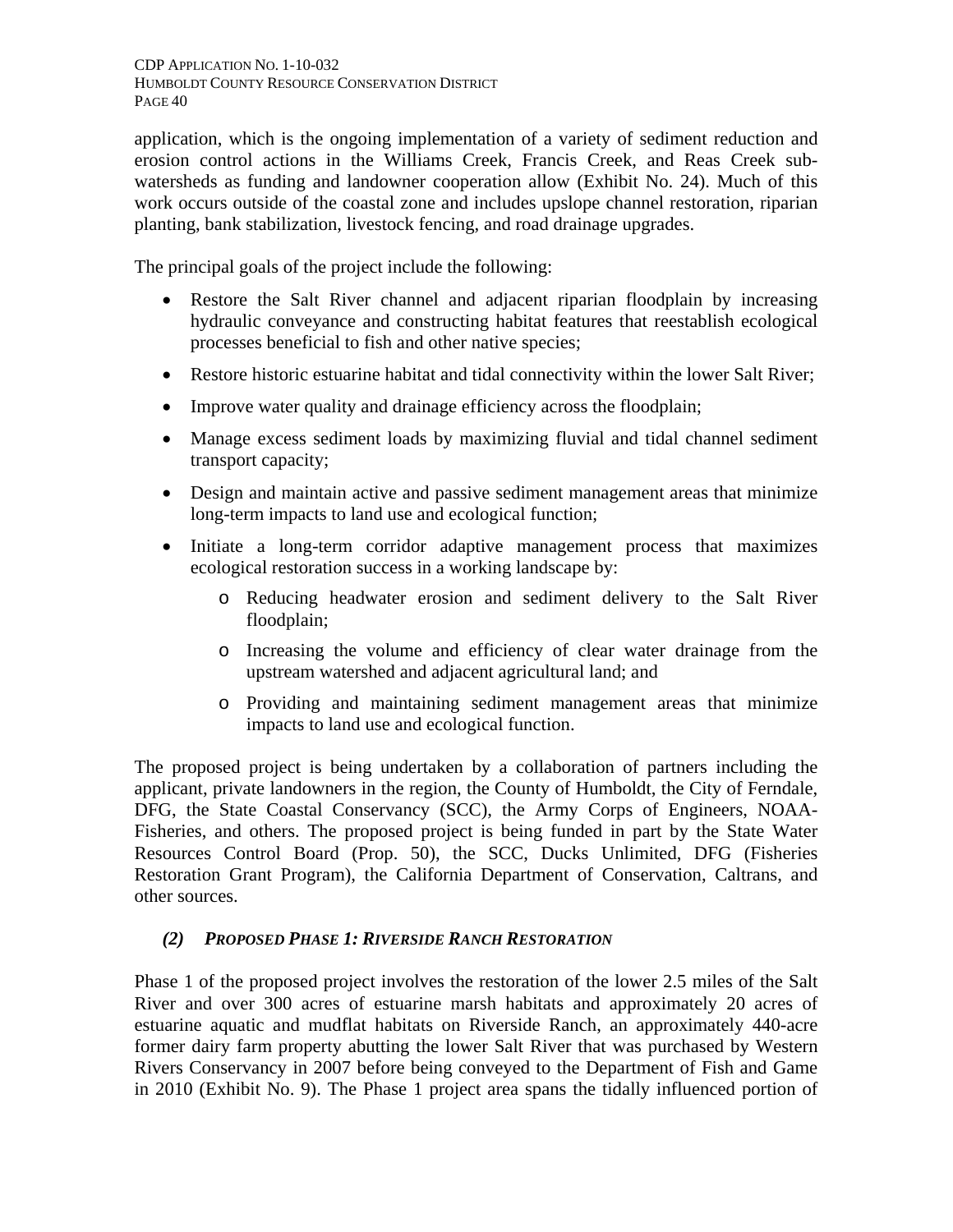application, which is the ongoing implementation of a variety of sediment reduction and erosion control actions in the Williams Creek, Francis Creek, and Reas Creek subwatersheds as funding and landowner cooperation allow (Exhibit No. 24). Much of this work occurs outside of the coastal zone and includes upslope channel restoration, riparian planting, bank stabilization, livestock fencing, and road drainage upgrades.

The principal goals of the project include the following:

- Restore the Salt River channel and adjacent riparian floodplain by increasing hydraulic conveyance and constructing habitat features that reestablish ecological processes beneficial to fish and other native species;
- Restore historic estuarine habitat and tidal connectivity within the lower Salt River;
- Improve water quality and drainage efficiency across the floodplain;
- Manage excess sediment loads by maximizing fluvial and tidal channel sediment transport capacity;
- Design and maintain active and passive sediment management areas that minimize long-term impacts to land use and ecological function;
- Initiate a long-term corridor adaptive management process that maximizes ecological restoration success in a working landscape by:
	- o Reducing headwater erosion and sediment delivery to the Salt River floodplain;
	- o Increasing the volume and efficiency of clear water drainage from the upstream watershed and adjacent agricultural land; and
	- o Providing and maintaining sediment management areas that minimize impacts to land use and ecological function.

The proposed project is being undertaken by a collaboration of partners including the applicant, private landowners in the region, the County of Humboldt, the City of Ferndale, DFG, the State Coastal Conservancy (SCC), the Army Corps of Engineers, NOAA-Fisheries, and others. The proposed project is being funded in part by the State Water Resources Control Board (Prop. 50), the SCC, Ducks Unlimited, DFG (Fisheries Restoration Grant Program), the California Department of Conservation, Caltrans, and other sources.

## *(2) PROPOSED PHASE 1: RIVERSIDE RANCH RESTORATION*

Phase 1 of the proposed project involves the restoration of the lower 2.5 miles of the Salt River and over 300 acres of estuarine marsh habitats and approximately 20 acres of estuarine aquatic and mudflat habitats on Riverside Ranch, an approximately 440-acre former dairy farm property abutting the lower Salt River that was purchased by Western Rivers Conservancy in 2007 before being conveyed to the Department of Fish and Game in 2010 (Exhibit No. 9). The Phase 1 project area spans the tidally influenced portion of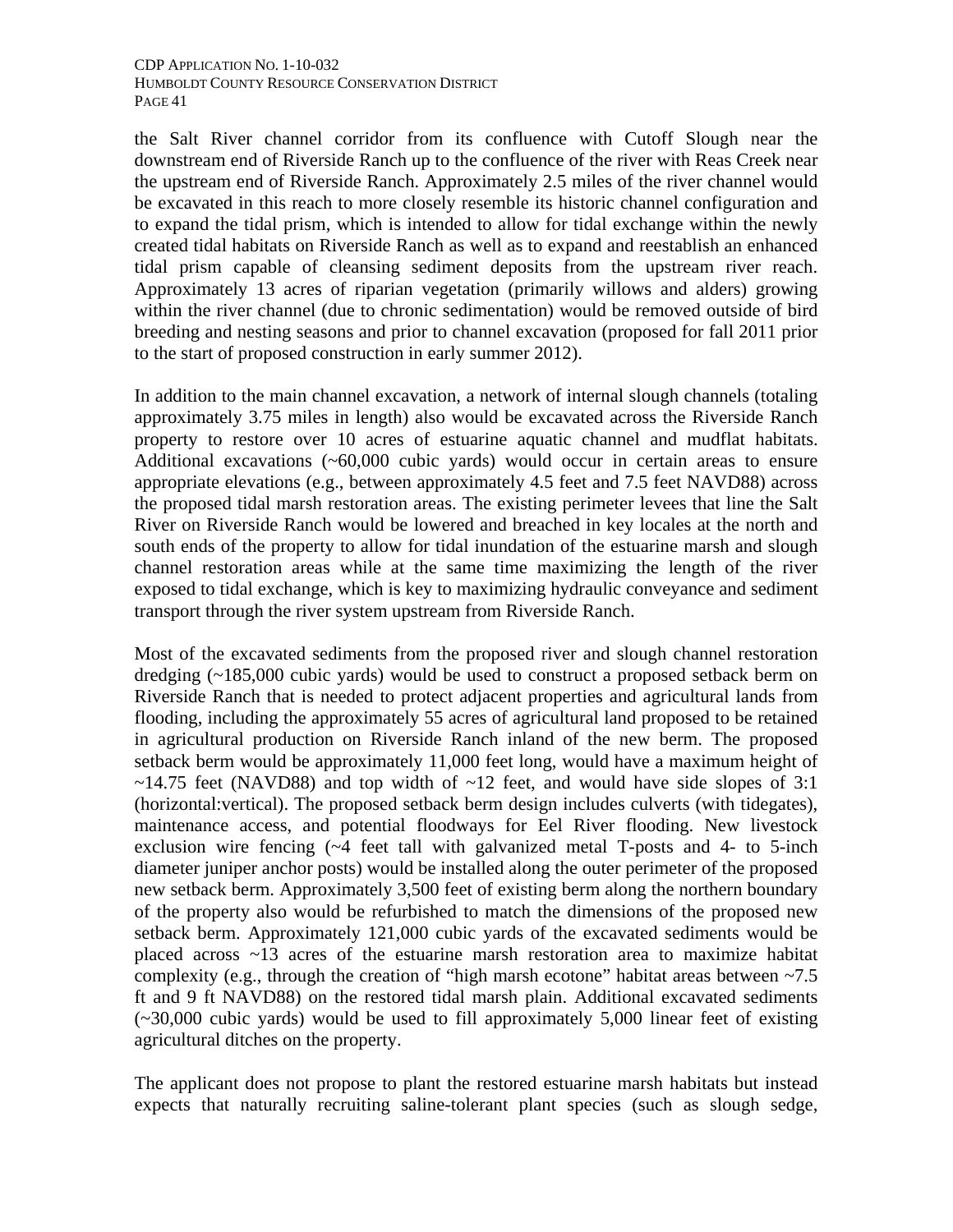the Salt River channel corridor from its confluence with Cutoff Slough near the downstream end of Riverside Ranch up to the confluence of the river with Reas Creek near the upstream end of Riverside Ranch. Approximately 2.5 miles of the river channel would be excavated in this reach to more closely resemble its historic channel configuration and to expand the tidal prism, which is intended to allow for tidal exchange within the newly created tidal habitats on Riverside Ranch as well as to expand and reestablish an enhanced tidal prism capable of cleansing sediment deposits from the upstream river reach. Approximately 13 acres of riparian vegetation (primarily willows and alders) growing within the river channel (due to chronic sedimentation) would be removed outside of bird breeding and nesting seasons and prior to channel excavation (proposed for fall 2011 prior to the start of proposed construction in early summer 2012).

In addition to the main channel excavation, a network of internal slough channels (totaling approximately 3.75 miles in length) also would be excavated across the Riverside Ranch property to restore over 10 acres of estuarine aquatic channel and mudflat habitats. Additional excavations (~60,000 cubic yards) would occur in certain areas to ensure appropriate elevations (e.g., between approximately 4.5 feet and 7.5 feet NAVD88) across the proposed tidal marsh restoration areas. The existing perimeter levees that line the Salt River on Riverside Ranch would be lowered and breached in key locales at the north and south ends of the property to allow for tidal inundation of the estuarine marsh and slough channel restoration areas while at the same time maximizing the length of the river exposed to tidal exchange, which is key to maximizing hydraulic conveyance and sediment transport through the river system upstream from Riverside Ranch.

Most of the excavated sediments from the proposed river and slough channel restoration dredging (~185,000 cubic yards) would be used to construct a proposed setback berm on Riverside Ranch that is needed to protect adjacent properties and agricultural lands from flooding, including the approximately 55 acres of agricultural land proposed to be retained in agricultural production on Riverside Ranch inland of the new berm. The proposed setback berm would be approximately 11,000 feet long, would have a maximum height of  $\sim$ 14.75 feet (NAVD88) and top width of  $\sim$ 12 feet, and would have side slopes of 3:1 (horizontal:vertical). The proposed setback berm design includes culverts (with tidegates), maintenance access, and potential floodways for Eel River flooding. New livestock exclusion wire fencing (~4 feet tall with galvanized metal T-posts and 4- to 5-inch diameter juniper anchor posts) would be installed along the outer perimeter of the proposed new setback berm. Approximately 3,500 feet of existing berm along the northern boundary of the property also would be refurbished to match the dimensions of the proposed new setback berm. Approximately 121,000 cubic yards of the excavated sediments would be placed across ~13 acres of the estuarine marsh restoration area to maximize habitat complexity (e.g., through the creation of "high marsh ecotone" habitat areas between ~7.5 ft and 9 ft NAVD88) on the restored tidal marsh plain. Additional excavated sediments (~30,000 cubic yards) would be used to fill approximately 5,000 linear feet of existing agricultural ditches on the property.

The applicant does not propose to plant the restored estuarine marsh habitats but instead expects that naturally recruiting saline-tolerant plant species (such as slough sedge,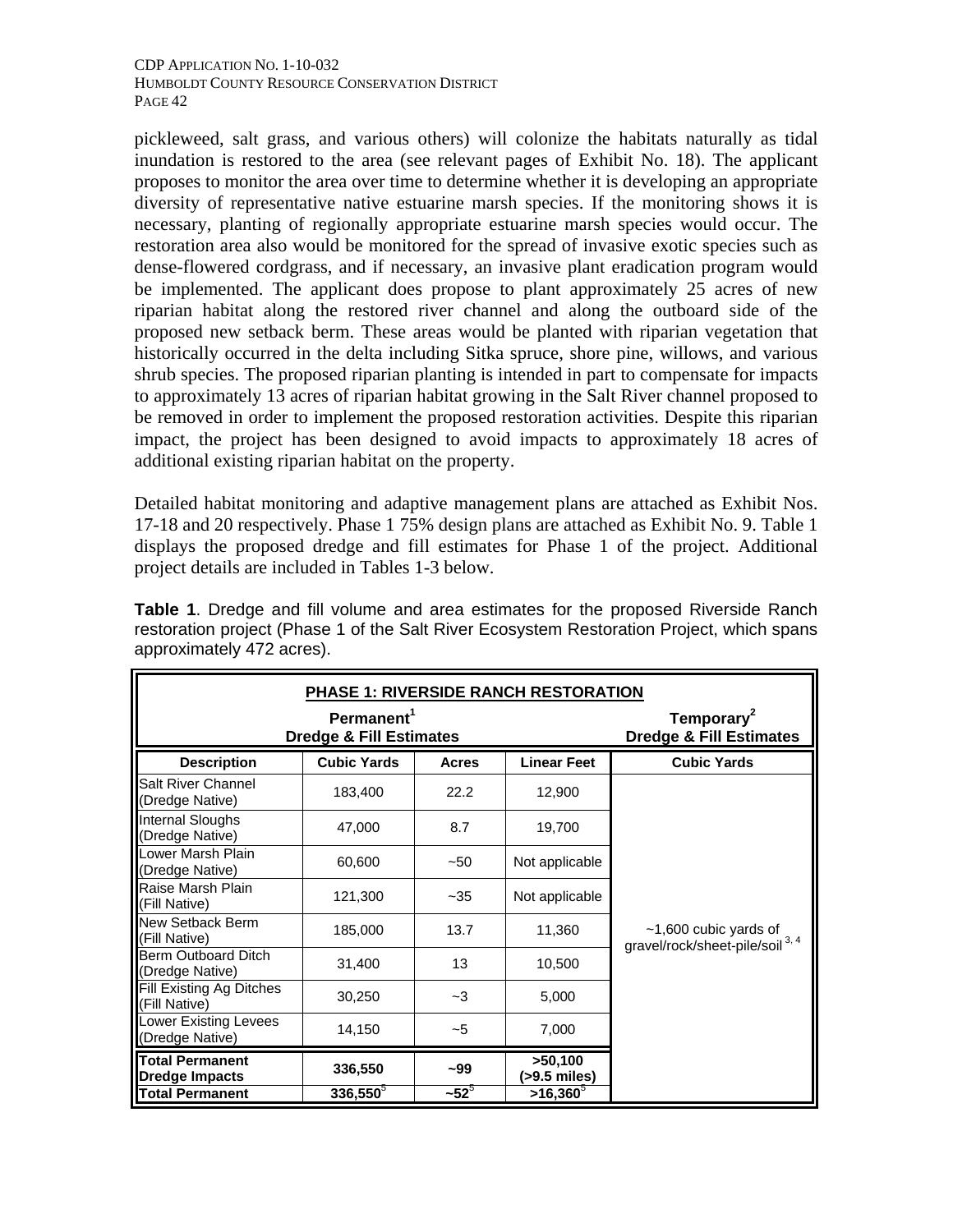pickleweed, salt grass, and various others) will colonize the habitats naturally as tidal inundation is restored to the area (see relevant pages of Exhibit No. 18). The applicant proposes to monitor the area over time to determine whether it is developing an appropriate diversity of representative native estuarine marsh species. If the monitoring shows it is necessary, planting of regionally appropriate estuarine marsh species would occur. The restoration area also would be monitored for the spread of invasive exotic species such as dense-flowered cordgrass, and if necessary, an invasive plant eradication program would be implemented. The applicant does propose to plant approximately 25 acres of new riparian habitat along the restored river channel and along the outboard side of the proposed new setback berm. These areas would be planted with riparian vegetation that historically occurred in the delta including Sitka spruce, shore pine, willows, and various shrub species. The proposed riparian planting is intended in part to compensate for impacts to approximately 13 acres of riparian habitat growing in the Salt River channel proposed to be removed in order to implement the proposed restoration activities. Despite this riparian impact, the project has been designed to avoid impacts to approximately 18 acres of additional existing riparian habitat on the property.

Detailed habitat monitoring and adaptive management plans are attached as Exhibit Nos. 17-18 and 20 respectively. Phase 1 75% design plans are attached as Exhibit No. 9. Table 1 displays the proposed dredge and fill estimates for Phase 1 of the project. Additional project details are included in Tables 1-3 below.

| <b>PHASE 1: RIVERSIDE RANCH RESTORATION</b>                  |                    |               |                                                              |                                                                       |  |
|--------------------------------------------------------------|--------------------|---------------|--------------------------------------------------------------|-----------------------------------------------------------------------|--|
| Permanent <sup>1</sup><br><b>Dredge &amp; Fill Estimates</b> |                    |               | Temporary <sup>2</sup><br><b>Dredge &amp; Fill Estimates</b> |                                                                       |  |
| <b>Description</b>                                           | <b>Cubic Yards</b> | <b>Acres</b>  | <b>Linear Feet</b>                                           | <b>Cubic Yards</b>                                                    |  |
| <b>Salt River Channel</b><br>(Dredge Native)                 | 183,400            | 22.2          | 12,900                                                       |                                                                       |  |
| Internal Sloughs<br>(Dredge Native)                          | 47,000             | 8.7           | 19,700                                                       |                                                                       |  |
| Lower Marsh Plain<br>(Dredge Native)                         | 60,600             | $-50$         | Not applicable                                               |                                                                       |  |
| Raise Marsh Plain<br>(Fill Native)                           | 121,300            | $~1 - 35$     | Not applicable                                               |                                                                       |  |
| New Setback Berm<br>(Fill Native)                            | 185,000            | 13.7          | 11,360                                                       | $~1,600$ cubic yards of<br>gravel/rock/sheet-pile/soil <sup>3,4</sup> |  |
| <b>Berm Outboard Ditch</b><br>(Dredge Native)                | 31,400             | 13            | 10,500                                                       |                                                                       |  |
| Fill Existing Ag Ditches<br>(Fill Native)                    | 30,250             | $-3$          | 5,000                                                        |                                                                       |  |
| Lower Existing Levees<br>(Dredge Native)                     | 14,150             | ~1            | 7,000                                                        |                                                                       |  |
| <b>Total Permanent</b><br><b>Dredge Impacts</b>              | 336,550            | $-99$         | >50,100<br>(>9.5 miles)                                      |                                                                       |  |
| <b>Total Permanent</b>                                       | $336,550^5$        | $-52^{\circ}$ | $>16,360^{5}$                                                |                                                                       |  |

**Table 1**. Dredge and fill volume and area estimates for the proposed Riverside Ranch restoration project (Phase 1 of the Salt River Ecosystem Restoration Project, which spans approximately 472 acres).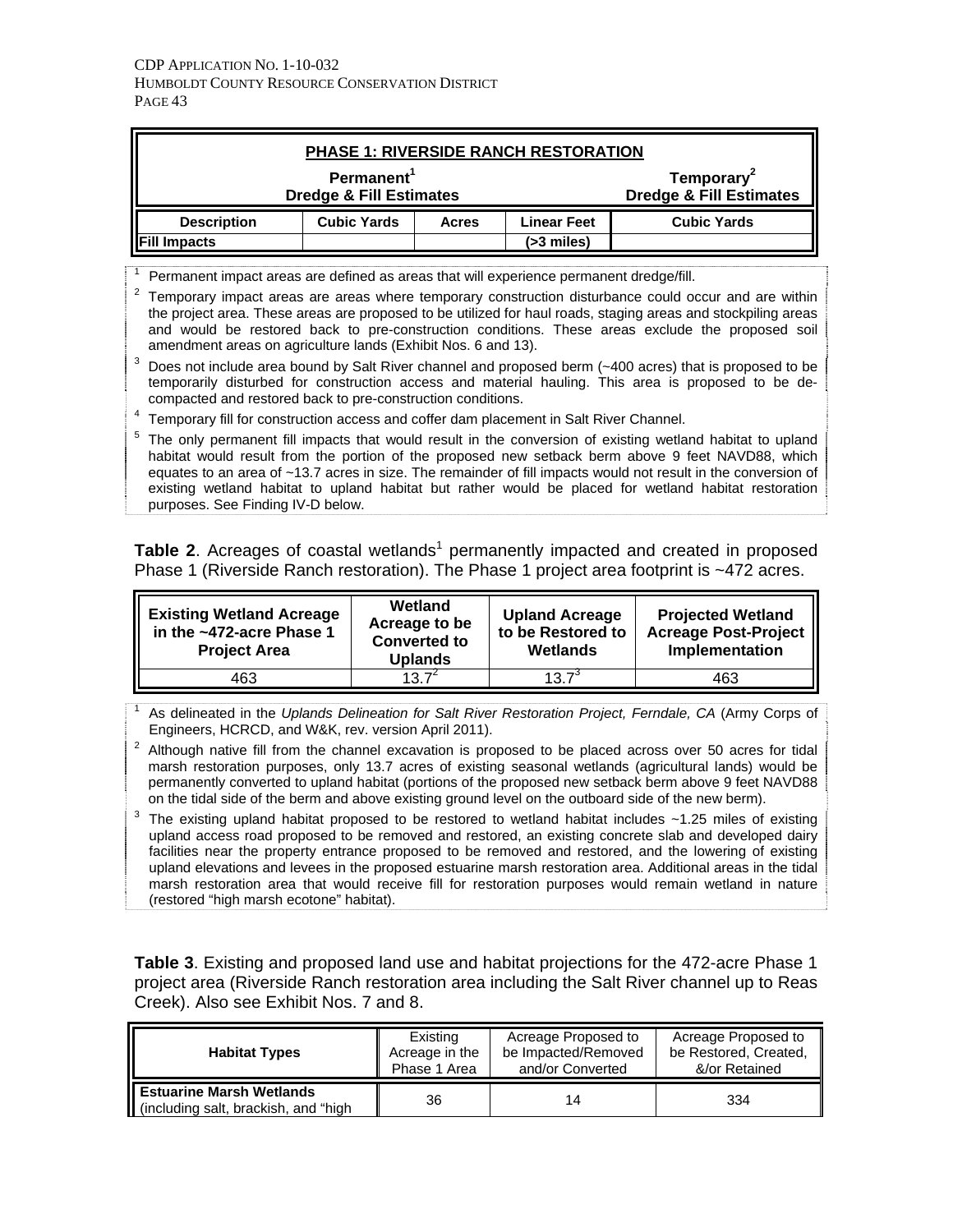| <b>PHASE 1: RIVERSIDE RANCH RESTORATION</b>                             |  |  |                                                              |                    |  |
|-------------------------------------------------------------------------|--|--|--------------------------------------------------------------|--------------------|--|
| Permanent <sup>1</sup><br><b>Dredge &amp; Fill Estimates</b>            |  |  | Temporary <sup>2</sup><br><b>Dredge &amp; Fill Estimates</b> |                    |  |
| <b>Description</b><br><b>Cubic Yards</b><br><b>Linear Feet</b><br>Acres |  |  |                                                              | <b>Cubic Yards</b> |  |
| $( > 3$ miles)<br><b>IFill Impacts</b>                                  |  |  |                                                              |                    |  |

Permanent impact areas are defined as areas that will experience permanent dredge/fill.

 $2$  Temporary impact areas are areas where temporary construction disturbance could occur and are within the project area. These areas are proposed to be utilized for haul roads, staging areas and stockpiling areas and would be restored back to pre-construction conditions. These areas exclude the proposed soil amendment areas on agriculture lands (Exhibit Nos. 6 and 13).

- Does not include area bound by Salt River channel and proposed berm (~400 acres) that is proposed to be temporarily disturbed for construction access and material hauling. This area is proposed to be decompacted and restored back to pre-construction conditions. 4
- $4$  Temporary fill for construction access and coffer dam placement in Salt River Channel.

 The only permanent fill impacts that would result in the conversion of existing wetland habitat to upland habitat would result from the portion of the proposed new setback berm above 9 feet NAVD88, which equates to an area of ~13.7 acres in size. The remainder of fill impacts would not result in the conversion of existing wetland habitat to upland habitat but rather would be placed for wetland habitat restoration purposes. See Finding IV-D below.

Table 2. Acreages of coastal wetlands<sup>1</sup> permanently impacted and created in proposed Phase 1 (Riverside Ranch restoration). The Phase 1 project area footprint is ~472 acres.

| <b>Existing Wetland Acreage</b><br>in the ~472-acre Phase 1<br><b>Project Area</b> | Wetland<br>Acreage to be<br><b>Converted to</b><br><b>Uplands</b> | <b>Upland Acreage</b><br>to be Restored to<br>Wetlands | <b>Projected Wetland</b><br>Acreage Post-Project<br>Implementation |
|------------------------------------------------------------------------------------|-------------------------------------------------------------------|--------------------------------------------------------|--------------------------------------------------------------------|
| 463                                                                                | 12 $7^2$                                                          | 13 $7^{\circ}$                                         | 463                                                                |

1 As delineated in the *Uplands Delineation for Salt River Restoration Project, Ferndale, CA* (Army Corps of Engineers, HCRCD, and W&K, rev. version April 2011). 2

- $2$  Although native fill from the channel excavation is proposed to be placed across over 50 acres for tidal marsh restoration purposes, only 13.7 acres of existing seasonal wetlands (agricultural lands) would be permanently converted to upland habitat (portions of the proposed new setback berm above 9 feet NAVD88 on the tidal side of the berm and above existing ground level on the outboard side of the new berm).
- The existing upland habitat proposed to be restored to wetland habitat includes ~1.25 miles of existing upland access road proposed to be removed and restored, an existing concrete slab and developed dairy facilities near the property entrance proposed to be removed and restored, and the lowering of existing upland elevations and levees in the proposed estuarine marsh restoration area. Additional areas in the tidal marsh restoration area that would receive fill for restoration purposes would remain wetland in nature (restored "high marsh ecotone" habitat).

**Table 3**. Existing and proposed land use and habitat projections for the 472-acre Phase 1 project area (Riverside Ranch restoration area including the Salt River channel up to Reas Creek). Also see Exhibit Nos. 7 and 8.

| <b>Habitat Types</b>                                                     | Existing       | Acreage Proposed to | Acreage Proposed to   |
|--------------------------------------------------------------------------|----------------|---------------------|-----------------------|
|                                                                          | Acreage in the | be Impacted/Removed | be Restored, Created, |
|                                                                          | Phase 1 Area   | and/or Converted    | &/or Retained         |
| <b>Estuarine Marsh Wetlands</b><br>loincluding salt, brackish, and "high | 36             | 14                  | 334                   |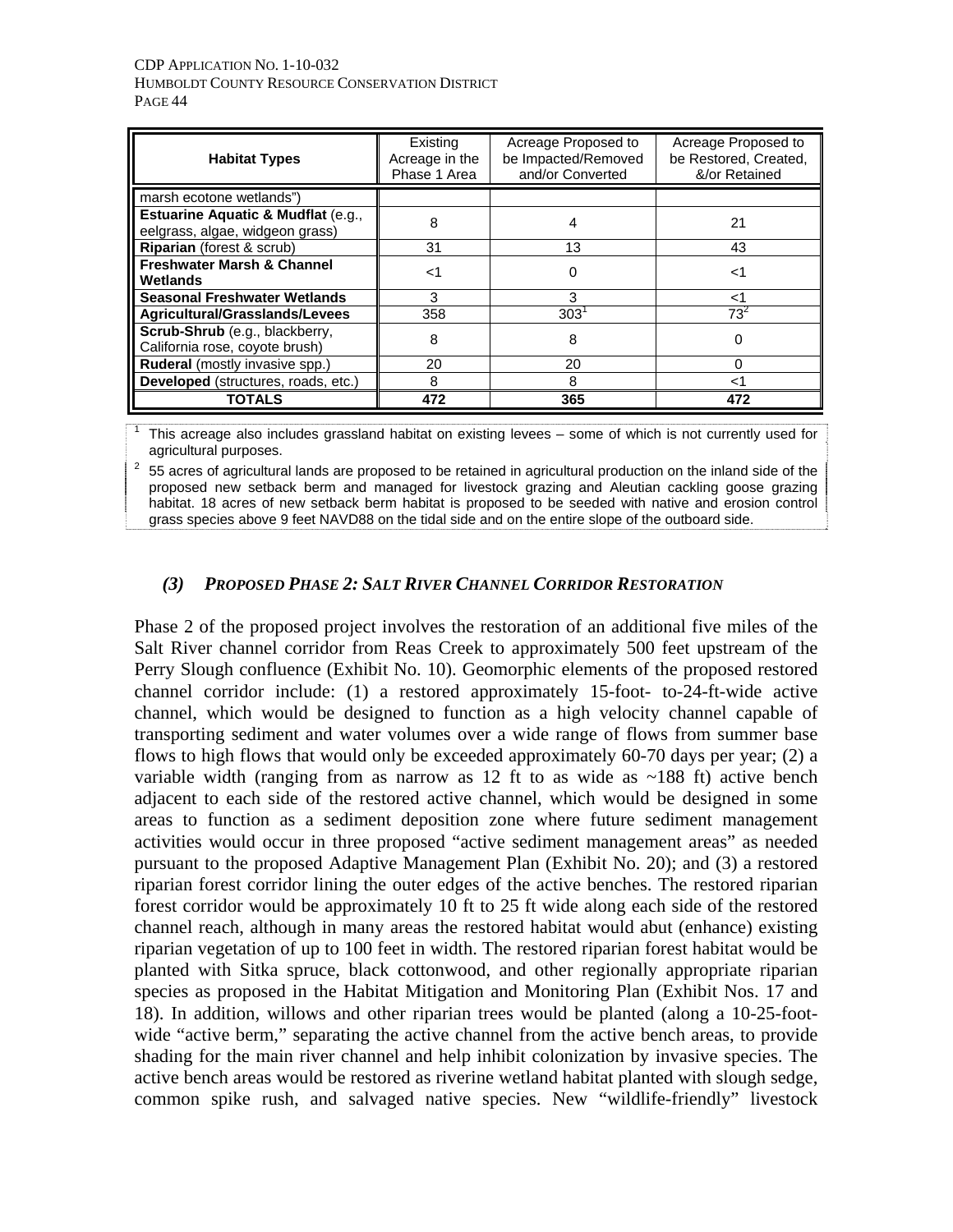#### CDP APPLICATION NO. 1-10-032 HUMBOLDT COUNTY RESOURCE CONSERVATION DISTRICT PAGE 44

| <b>Habitat Types</b>                                                             | Existing<br>Acreage in the<br>Phase 1 Area | Acreage Proposed to<br>be Impacted/Removed<br>and/or Converted | Acreage Proposed to<br>be Restored, Created,<br>&/or Retained |
|----------------------------------------------------------------------------------|--------------------------------------------|----------------------------------------------------------------|---------------------------------------------------------------|
| marsh ecotone wetlands")                                                         |                                            |                                                                |                                                               |
| <b>Estuarine Aquatic &amp; Mudflat (e.g.,</b><br>eelgrass, algae, widgeon grass) | 8                                          |                                                                | 21                                                            |
| <b>Riparian</b> (forest & scrub)                                                 | 31                                         | 13                                                             | 43                                                            |
| <b>Freshwater Marsh &amp; Channel</b><br>Wetlands                                | ا>                                         |                                                                | ا>                                                            |
| <b>Seasonal Freshwater Wetlands</b>                                              | 3                                          | з                                                              | -1                                                            |
| Agricultural/Grasslands/Levees                                                   | 358                                        | $303^1$                                                        | $73^2$                                                        |
| Scrub-Shrub (e.g., blackberry,<br>California rose, coyote brush)                 | 8                                          | 8                                                              | 0                                                             |
| Ruderal (mostly invasive spp.)                                                   | 20                                         | 20                                                             | U                                                             |
| Developed (structures, roads, etc.)                                              | 8                                          | 8                                                              | ا>                                                            |
| <b>TOTALS</b>                                                                    | 472                                        | 365                                                            | 472                                                           |

1 This acreage also includes grassland habitat on existing levees – some of which is not currently used for

agricultural purposes.<br><sup>2</sup> 55 acres of agricultural lands are proposed to be retained in agricultural production on the inland side of the proposed new setback berm and managed for livestock grazing and Aleutian cackling goose grazing habitat. 18 acres of new setback berm habitat is proposed to be seeded with native and erosion control grass species above 9 feet NAVD88 on the tidal side and on the entire slope of the outboard side.

## *(3) PROPOSED PHASE 2: SALT RIVER CHANNEL CORRIDOR RESTORATION*

Phase 2 of the proposed project involves the restoration of an additional five miles of the Salt River channel corridor from Reas Creek to approximately 500 feet upstream of the Perry Slough confluence (Exhibit No. 10). Geomorphic elements of the proposed restored channel corridor include: (1) a restored approximately 15-foot- to-24-ft-wide active channel, which would be designed to function as a high velocity channel capable of transporting sediment and water volumes over a wide range of flows from summer base flows to high flows that would only be exceeded approximately 60-70 days per year; (2) a variable width (ranging from as narrow as 12 ft to as wide as  $\sim$ 188 ft) active bench adjacent to each side of the restored active channel, which would be designed in some areas to function as a sediment deposition zone where future sediment management activities would occur in three proposed "active sediment management areas" as needed pursuant to the proposed Adaptive Management Plan (Exhibit No. 20); and (3) a restored riparian forest corridor lining the outer edges of the active benches. The restored riparian forest corridor would be approximately 10 ft to 25 ft wide along each side of the restored channel reach, although in many areas the restored habitat would abut (enhance) existing riparian vegetation of up to 100 feet in width. The restored riparian forest habitat would be planted with Sitka spruce, black cottonwood, and other regionally appropriate riparian species as proposed in the Habitat Mitigation and Monitoring Plan (Exhibit Nos. 17 and 18). In addition, willows and other riparian trees would be planted (along a 10-25-footwide "active berm," separating the active channel from the active bench areas, to provide shading for the main river channel and help inhibit colonization by invasive species. The active bench areas would be restored as riverine wetland habitat planted with slough sedge, common spike rush, and salvaged native species. New "wildlife-friendly" livestock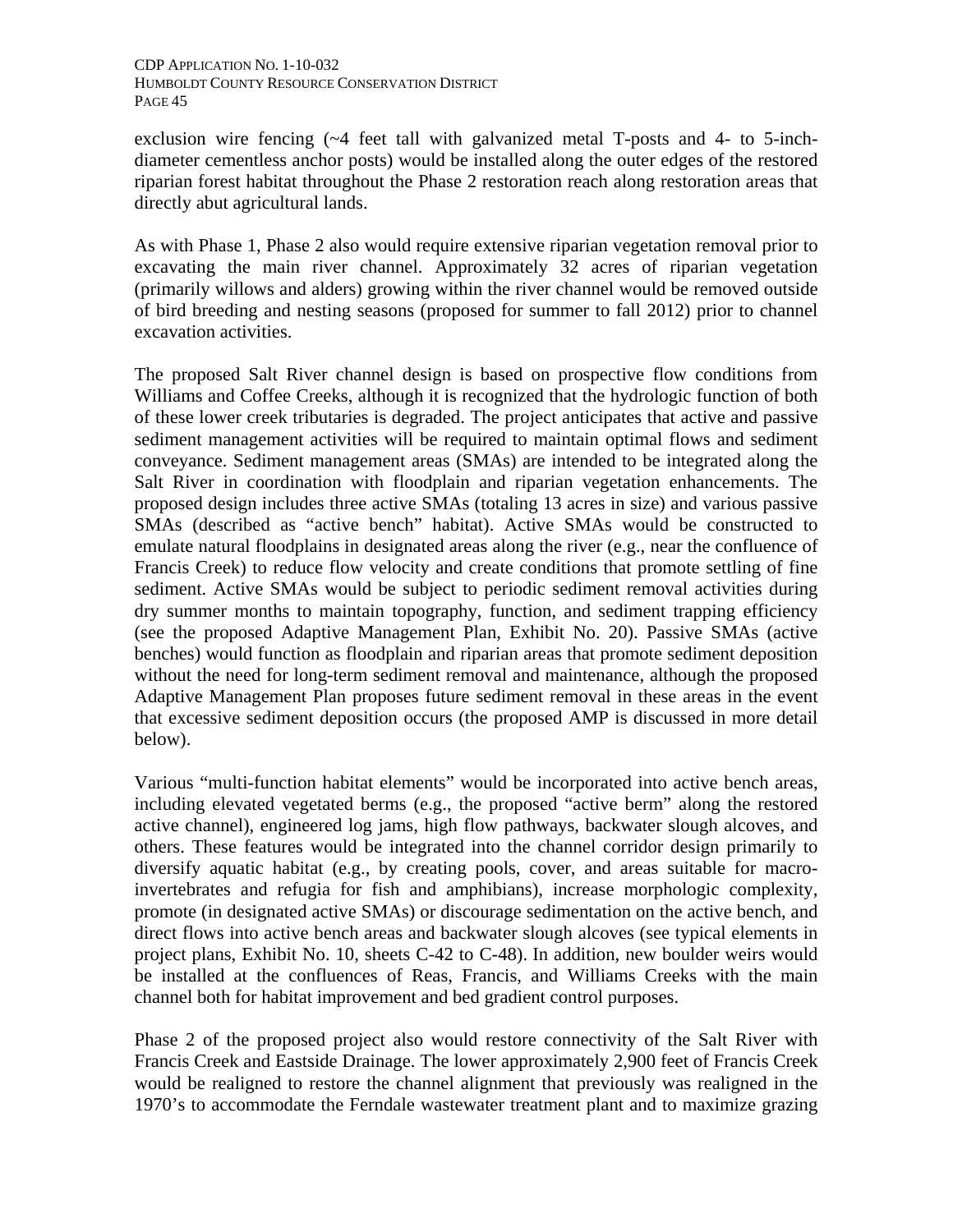exclusion wire fencing (~4 feet tall with galvanized metal T-posts and 4- to 5-inchdiameter cementless anchor posts) would be installed along the outer edges of the restored riparian forest habitat throughout the Phase 2 restoration reach along restoration areas that directly abut agricultural lands.

As with Phase 1, Phase 2 also would require extensive riparian vegetation removal prior to excavating the main river channel. Approximately 32 acres of riparian vegetation (primarily willows and alders) growing within the river channel would be removed outside of bird breeding and nesting seasons (proposed for summer to fall 2012) prior to channel excavation activities.

The proposed Salt River channel design is based on prospective flow conditions from Williams and Coffee Creeks, although it is recognized that the hydrologic function of both of these lower creek tributaries is degraded. The project anticipates that active and passive sediment management activities will be required to maintain optimal flows and sediment conveyance. Sediment management areas (SMAs) are intended to be integrated along the Salt River in coordination with floodplain and riparian vegetation enhancements. The proposed design includes three active SMAs (totaling 13 acres in size) and various passive SMAs (described as "active bench" habitat). Active SMAs would be constructed to emulate natural floodplains in designated areas along the river (e.g., near the confluence of Francis Creek) to reduce flow velocity and create conditions that promote settling of fine sediment. Active SMAs would be subject to periodic sediment removal activities during dry summer months to maintain topography, function, and sediment trapping efficiency (see the proposed Adaptive Management Plan, Exhibit No. 20). Passive SMAs (active benches) would function as floodplain and riparian areas that promote sediment deposition without the need for long-term sediment removal and maintenance, although the proposed Adaptive Management Plan proposes future sediment removal in these areas in the event that excessive sediment deposition occurs (the proposed AMP is discussed in more detail below).

Various "multi-function habitat elements" would be incorporated into active bench areas, including elevated vegetated berms (e.g., the proposed "active berm" along the restored active channel), engineered log jams, high flow pathways, backwater slough alcoves, and others. These features would be integrated into the channel corridor design primarily to diversify aquatic habitat (e.g., by creating pools, cover, and areas suitable for macroinvertebrates and refugia for fish and amphibians), increase morphologic complexity, promote (in designated active SMAs) or discourage sedimentation on the active bench, and direct flows into active bench areas and backwater slough alcoves (see typical elements in project plans, Exhibit No. 10, sheets C-42 to C-48). In addition, new boulder weirs would be installed at the confluences of Reas, Francis, and Williams Creeks with the main channel both for habitat improvement and bed gradient control purposes.

Phase 2 of the proposed project also would restore connectivity of the Salt River with Francis Creek and Eastside Drainage. The lower approximately 2,900 feet of Francis Creek would be realigned to restore the channel alignment that previously was realigned in the 1970's to accommodate the Ferndale wastewater treatment plant and to maximize grazing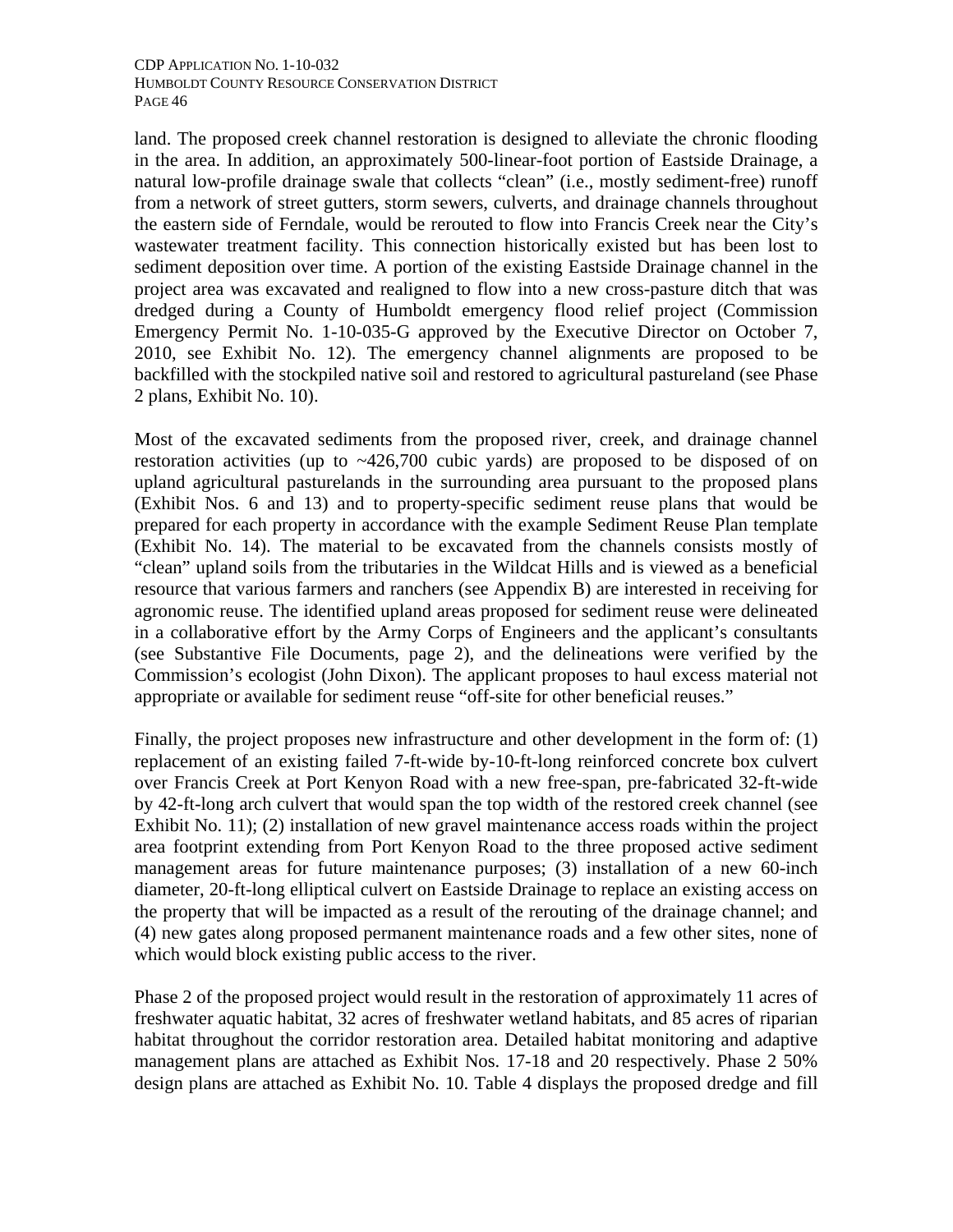land. The proposed creek channel restoration is designed to alleviate the chronic flooding in the area. In addition, an approximately 500-linear-foot portion of Eastside Drainage, a natural low-profile drainage swale that collects "clean" (i.e., mostly sediment-free) runoff from a network of street gutters, storm sewers, culverts, and drainage channels throughout the eastern side of Ferndale, would be rerouted to flow into Francis Creek near the City's wastewater treatment facility. This connection historically existed but has been lost to sediment deposition over time. A portion of the existing Eastside Drainage channel in the project area was excavated and realigned to flow into a new cross-pasture ditch that was dredged during a County of Humboldt emergency flood relief project (Commission Emergency Permit No. 1-10-035-G approved by the Executive Director on October 7, 2010, see Exhibit No. 12). The emergency channel alignments are proposed to be backfilled with the stockpiled native soil and restored to agricultural pastureland (see Phase 2 plans, Exhibit No. 10).

Most of the excavated sediments from the proposed river, creek, and drainage channel restoration activities (up to ~426,700 cubic yards) are proposed to be disposed of on upland agricultural pasturelands in the surrounding area pursuant to the proposed plans (Exhibit Nos. 6 and 13) and to property-specific sediment reuse plans that would be prepared for each property in accordance with the example Sediment Reuse Plan template (Exhibit No. 14). The material to be excavated from the channels consists mostly of "clean" upland soils from the tributaries in the Wildcat Hills and is viewed as a beneficial resource that various farmers and ranchers (see Appendix B) are interested in receiving for agronomic reuse. The identified upland areas proposed for sediment reuse were delineated in a collaborative effort by the Army Corps of Engineers and the applicant's consultants (see Substantive File Documents, page 2), and the delineations were verified by the Commission's ecologist (John Dixon). The applicant proposes to haul excess material not appropriate or available for sediment reuse "off-site for other beneficial reuses."

Finally, the project proposes new infrastructure and other development in the form of: (1) replacement of an existing failed 7-ft-wide by-10-ft-long reinforced concrete box culvert over Francis Creek at Port Kenyon Road with a new free-span, pre-fabricated 32-ft-wide by 42-ft-long arch culvert that would span the top width of the restored creek channel (see Exhibit No. 11); (2) installation of new gravel maintenance access roads within the project area footprint extending from Port Kenyon Road to the three proposed active sediment management areas for future maintenance purposes; (3) installation of a new 60-inch diameter, 20-ft-long elliptical culvert on Eastside Drainage to replace an existing access on the property that will be impacted as a result of the rerouting of the drainage channel; and (4) new gates along proposed permanent maintenance roads and a few other sites, none of which would block existing public access to the river.

Phase 2 of the proposed project would result in the restoration of approximately 11 acres of freshwater aquatic habitat, 32 acres of freshwater wetland habitats, and 85 acres of riparian habitat throughout the corridor restoration area. Detailed habitat monitoring and adaptive management plans are attached as Exhibit Nos. 17-18 and 20 respectively. Phase 2 50% design plans are attached as Exhibit No. 10. Table 4 displays the proposed dredge and fill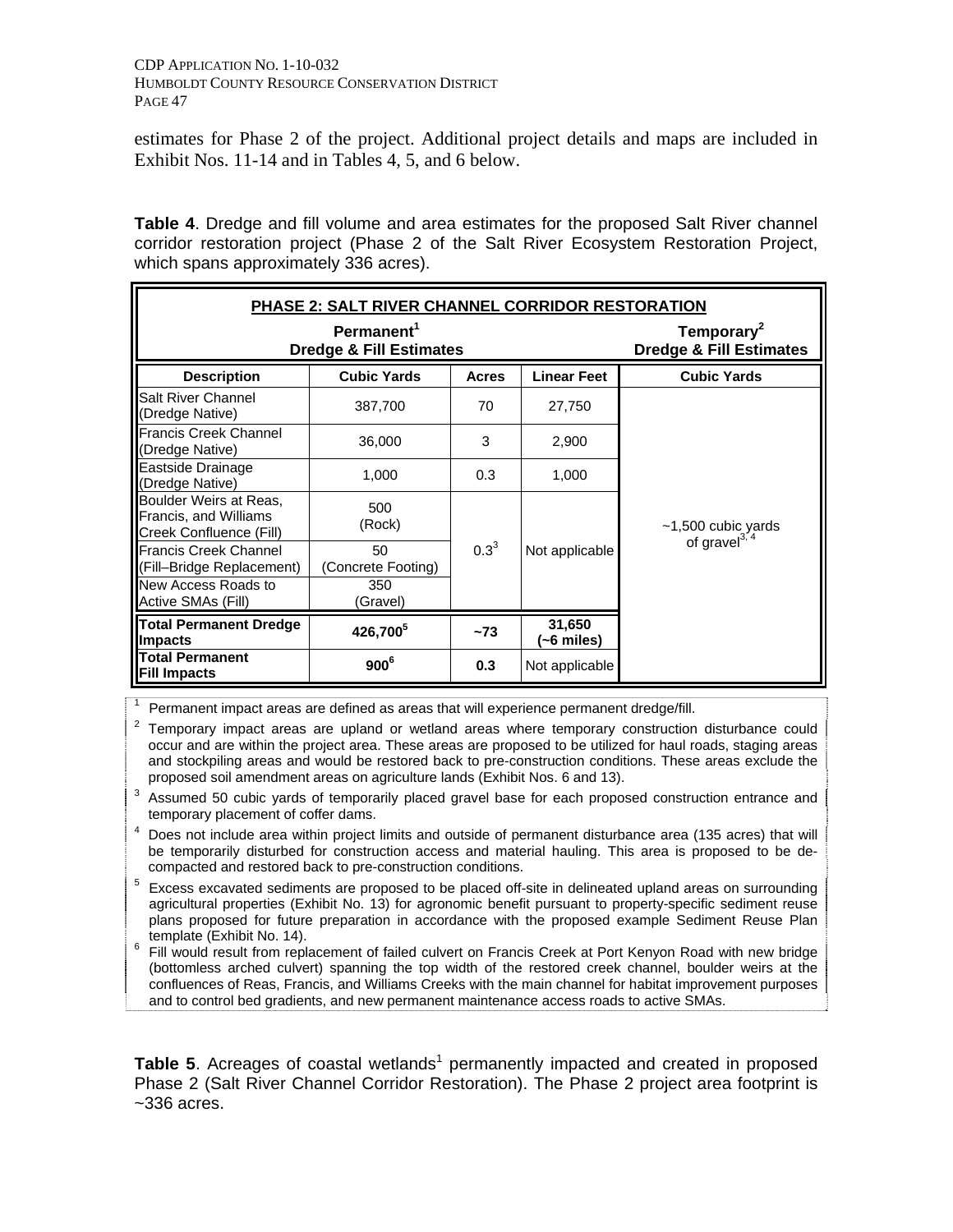estimates for Phase 2 of the project. Additional project details and maps are included in Exhibit Nos. 11-14 and in Tables 4, 5, and 6 below.

**Table 4**. Dredge and fill volume and area estimates for the proposed Salt River channel corridor restoration project (Phase 2 of the Salt River Ecosystem Restoration Project, which spans approximately 336 acres).

| <b>PHASE 2: SALT RIVER CHANNEL CORRIDOR RESTORATION</b>                    |                          |              |                      |                                                              |  |
|----------------------------------------------------------------------------|--------------------------|--------------|----------------------|--------------------------------------------------------------|--|
| Permanent <sup>1</sup><br><b>Dredge &amp; Fill Estimates</b>               |                          |              |                      | Temporary <sup>2</sup><br><b>Dredge &amp; Fill Estimates</b> |  |
| <b>Description</b>                                                         | <b>Cubic Yards</b>       | <b>Acres</b> | <b>Linear Feet</b>   | <b>Cubic Yards</b>                                           |  |
| Salt River Channel<br>(Dredge Native)                                      | 387,700                  | 70           | 27,750               |                                                              |  |
| Francis Creek Channel<br>(Dredge Native)                                   | 36,000                   | 3            | 2,900                |                                                              |  |
| Eastside Drainage<br>(Dredge Native)                                       | 1,000                    | 0.3          | 1,000                |                                                              |  |
| Boulder Weirs at Reas,<br>Francis, and Williams<br>Creek Confluence (Fill) | 500<br>(Rock)            |              |                      | $~1,500$ cubic yards<br>of gravel $^{3,4}$                   |  |
| <b>Francis Creek Channel</b><br>(Fill-Bridge Replacement)                  | 50<br>(Concrete Footing) | $0.3^{3}$    | Not applicable       |                                                              |  |
| New Access Roads to<br>Active SMAs (Fill)                                  | 350<br>(Gravel)          |              |                      |                                                              |  |
| <b>Total Permanent Dredge</b><br><b>Impacts</b>                            | 426,700 <sup>5</sup>     | $-73$        | 31,650<br>(~6 miles) |                                                              |  |
| <b>Total Permanent</b><br><b>Fill Impacts</b>                              | $900^6$                  | 0.3          | Not applicable       |                                                              |  |

<sup>1</sup> Permanent impact areas are defined as areas that will experience permanent dredge/fill.<br><sup>2</sup> Temperature impact areas are unlead as wetland areas where temperature construction

 Temporary impact areas are upland or wetland areas where temporary construction disturbance could occur and are within the project area. These areas are proposed to be utilized for haul roads, staging areas and stockpiling areas and would be restored back to pre-construction conditions. These areas exclude the proposed soil amendment areas on agriculture lands (Exhibit Nos. 6 and 13). 3

<sup>3</sup> Assumed 50 cubic yards of temporarily placed gravel base for each proposed construction entrance and temporary placement of coffer dams.

 Does not include area within project limits and outside of permanent disturbance area (135 acres) that will be temporarily disturbed for construction access and material hauling. This area is proposed to be decompacted and restored back to pre-construction conditions. 5

 Excess excavated sediments are proposed to be placed off-site in delineated upland areas on surrounding agricultural properties (Exhibit No. 13) for agronomic benefit pursuant to property-specific sediment reuse plans proposed for future preparation in accordance with the proposed example Sediment Reuse Plan

template (Exhibit No. 14).<br><sup>6</sup> Fill would result from replacement of failed culvert on Francis Creek at Port Kenyon Road with new bridge (bottomless arched culvert) spanning the top width of the restored creek channel, boulder weirs at the confluences of Reas, Francis, and Williams Creeks with the main channel for habitat improvement purposes and to control bed gradients, and new permanent maintenance access roads to active SMAs.

Table 5. Acreages of coastal wetlands<sup>1</sup> permanently impacted and created in proposed Phase 2 (Salt River Channel Corridor Restoration). The Phase 2 project area footprint is  $~1$ -336 acres.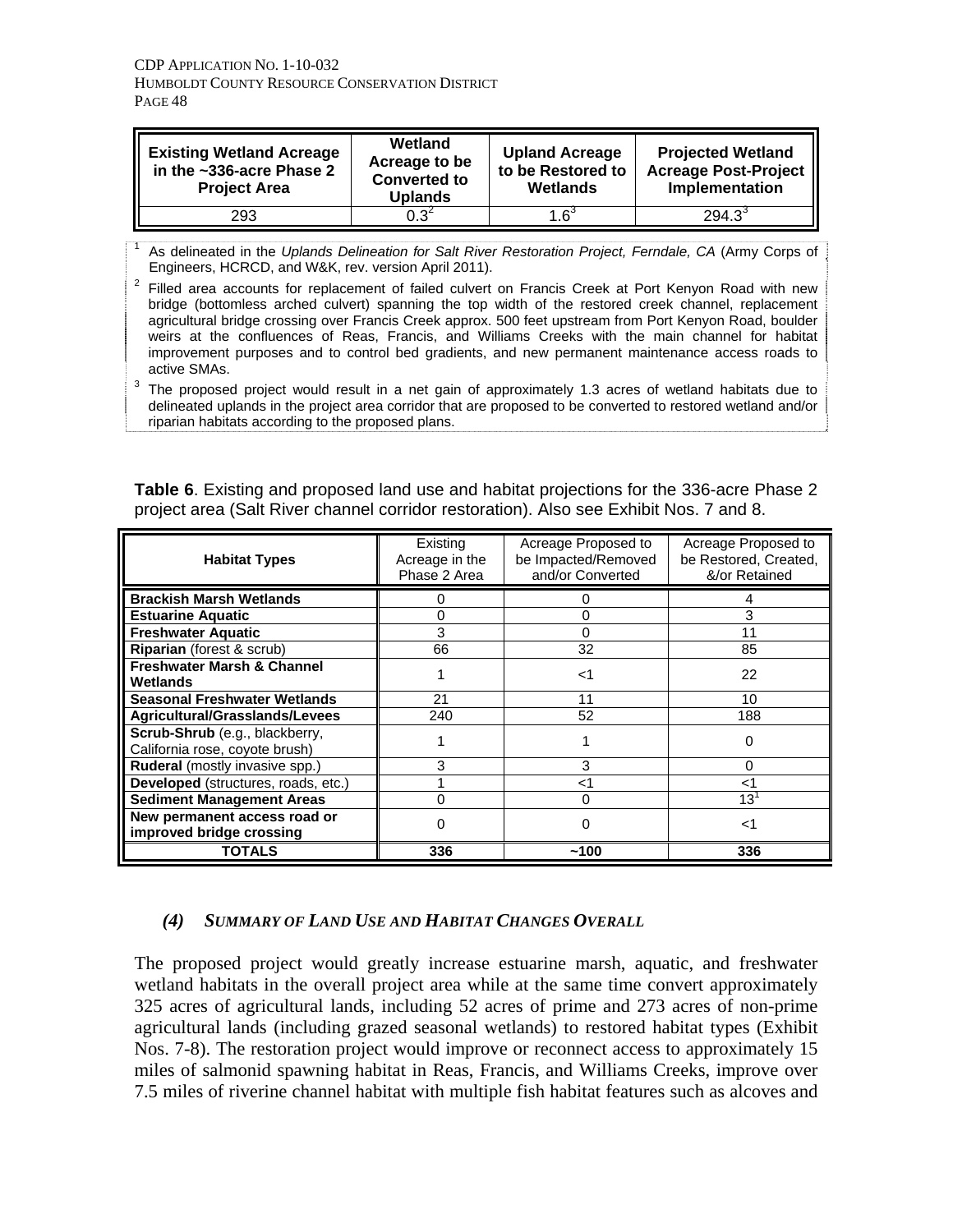| <b>Existing Wetland Acreage</b><br>$\parallel$ in the ~336-acre Phase 2<br><b>Project Area</b> | Wetland<br>Acreage to be<br><b>Converted to</b><br><b>Uplands</b> | <b>Upland Acreage</b><br>to be Restored to<br>Wetlands | <b>Projected Wetland</b><br><b>Acreage Post-Project</b><br>Implementation |
|------------------------------------------------------------------------------------------------|-------------------------------------------------------------------|--------------------------------------------------------|---------------------------------------------------------------------------|
| 293                                                                                            | $0.3^2$                                                           |                                                        | $294.3^3$                                                                 |

- 1 As delineated in the *Uplands Delineation for Salt River Restoration Project, Ferndale, CA* (Army Corps of Engineers, HCRCD, and W&K, rev. version April 2011).<br><sup>2</sup> Filled area accounts for replacement of failed culvert on Francis Creek at Port Kenyon Road with new
- bridge (bottomless arched culvert) spanning the top width of the restored creek channel, replacement agricultural bridge crossing over Francis Creek approx. 500 feet upstream from Port Kenyon Road, boulder weirs at the confluences of Reas, Francis, and Williams Creeks with the main channel for habitat improvement purposes and to control bed gradients, and new permanent maintenance access roads to
- active SMAs.<br><sup>3</sup> The proposed project would result in a net gain of approximately 1.3 acres of wetland habitats due to delineated uplands in the project area corridor that are proposed to be converted to restored wetland and/or riparian habitats according to the proposed plans.

**Table 6**. Existing and proposed land use and habitat projections for the 336-acre Phase 2 project area (Salt River channel corridor restoration). Also see Exhibit Nos. 7 and 8.

| <b>Habitat Types</b>                                             | Existing<br>Acreage in the<br>Phase 2 Area | Acreage Proposed to<br>be Impacted/Removed<br>and/or Converted | Acreage Proposed to<br>be Restored, Created,<br>&/or Retained |
|------------------------------------------------------------------|--------------------------------------------|----------------------------------------------------------------|---------------------------------------------------------------|
| <b>Brackish Marsh Wetlands</b>                                   |                                            |                                                                |                                                               |
| <b>Estuarine Aquatic</b>                                         | 0                                          |                                                                | 3                                                             |
| <b>Freshwater Aquatic</b>                                        | 3                                          |                                                                | 11                                                            |
| Riparian (forest & scrub)                                        | 66                                         | 32                                                             | 85                                                            |
| <b>Freshwater Marsh &amp; Channel</b><br>Wetlands                |                                            | ا>                                                             | 22                                                            |
| <b>Seasonal Freshwater Wetlands</b>                              | 21                                         | 11                                                             | 10                                                            |
| Agricultural/Grasslands/Levees                                   | 240                                        | 52                                                             | 188                                                           |
| Scrub-Shrub (e.g., blackberry,<br>California rose, coyote brush) |                                            |                                                                | 0                                                             |
| Ruderal (mostly invasive spp.)                                   | 3                                          | 3                                                              | 0                                                             |
| Developed (structures, roads, etc.)                              |                                            | <1                                                             | ا>                                                            |
| <b>Sediment Management Areas</b>                                 | O                                          | 0                                                              | $13^{1}$                                                      |
| New permanent access road or<br>improved bridge crossing         | O                                          | 0                                                              | ا>                                                            |
| <b>TOTALS</b>                                                    | 336                                        | ~100                                                           | 336                                                           |

#### *(4) SUMMARY OF LAND USE AND HABITAT CHANGES OVERALL*

The proposed project would greatly increase estuarine marsh, aquatic, and freshwater wetland habitats in the overall project area while at the same time convert approximately 325 acres of agricultural lands, including 52 acres of prime and 273 acres of non-prime agricultural lands (including grazed seasonal wetlands) to restored habitat types (Exhibit Nos. 7-8). The restoration project would improve or reconnect access to approximately 15 miles of salmonid spawning habitat in Reas, Francis, and Williams Creeks, improve over 7.5 miles of riverine channel habitat with multiple fish habitat features such as alcoves and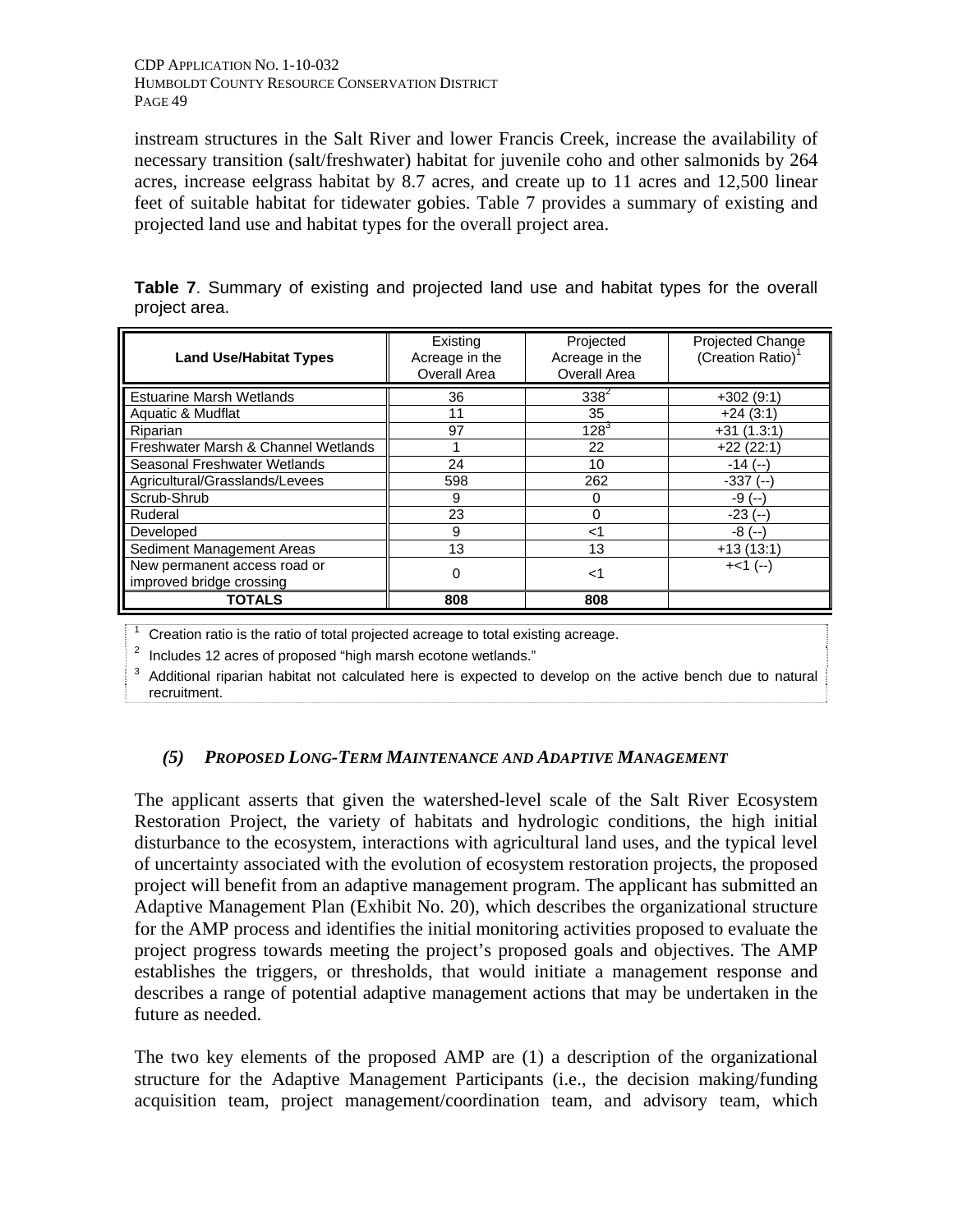instream structures in the Salt River and lower Francis Creek, increase the availability of necessary transition (salt/freshwater) habitat for juvenile coho and other salmonids by 264 acres, increase eelgrass habitat by 8.7 acres, and create up to 11 acres and 12,500 linear feet of suitable habitat for tidewater gobies. Table 7 provides a summary of existing and projected land use and habitat types for the overall project area.

| <b>Land Use/Habitat Types</b>                            | Existing<br>Acreage in the<br>Overall Area | Projected<br>Acreage in the<br>Overall Area | <b>Projected Change</b><br>(Creation Ratio) <sup>1</sup> |
|----------------------------------------------------------|--------------------------------------------|---------------------------------------------|----------------------------------------------------------|
| <b>Estuarine Marsh Wetlands</b>                          | 36                                         | $338^{2}$                                   | $+302(9:1)$                                              |
| Aquatic & Mudflat                                        | 11                                         | 35                                          | $+24(3:1)$                                               |
| Riparian                                                 | 97                                         | $128^{3}$                                   | $+31(1.3:1)$                                             |
| Freshwater Marsh & Channel Wetlands                      |                                            | 22                                          | $+22(22:1)$                                              |
| Seasonal Freshwater Wetlands                             | 24                                         | 10                                          | $-14(-)$                                                 |
| Agricultural/Grasslands/Levees                           | 598                                        | 262                                         | $-337$ ( $-$                                             |
| Scrub-Shrub                                              | 9                                          | 0                                           | -9 (--                                                   |
| Ruderal                                                  | 23                                         | 0                                           | $-23(-)$                                                 |
| Developed                                                | 9                                          | $<$ 1                                       | $-8(-)$                                                  |
| Sediment Management Areas                                | 13                                         | 13                                          | $+13(13:1)$                                              |
| New permanent access road or<br>improved bridge crossing | 0                                          | <1                                          | $+<1$ (--)                                               |
| <b>TOTALS</b>                                            | 808                                        | 808                                         |                                                          |

**Table 7**. Summary of existing and projected land use and habitat types for the overall project area.

<sup>1</sup> Creation ratio is the ratio of total projected acreage to total existing acreage.<br> $2^{2}$  lookides 12 cares of proposed "bigh marsh essters wetlands."

 $12$  Includes 12 acres of proposed "high marsh ecotone wetlands."

 $3$  Additional riparian habitat not calculated here is expected to develop on the active bench due to natural recruitment.

## *(5) PROPOSED LONG-TERM MAINTENANCE AND ADAPTIVE MANAGEMENT*

The applicant asserts that given the watershed-level scale of the Salt River Ecosystem Restoration Project, the variety of habitats and hydrologic conditions, the high initial disturbance to the ecosystem, interactions with agricultural land uses, and the typical level of uncertainty associated with the evolution of ecosystem restoration projects, the proposed project will benefit from an adaptive management program. The applicant has submitted an Adaptive Management Plan (Exhibit No. 20), which describes the organizational structure for the AMP process and identifies the initial monitoring activities proposed to evaluate the project progress towards meeting the project's proposed goals and objectives. The AMP establishes the triggers, or thresholds, that would initiate a management response and describes a range of potential adaptive management actions that may be undertaken in the future as needed.

The two key elements of the proposed AMP are (1) a description of the organizational structure for the Adaptive Management Participants (i.e., the decision making/funding acquisition team, project management/coordination team, and advisory team, which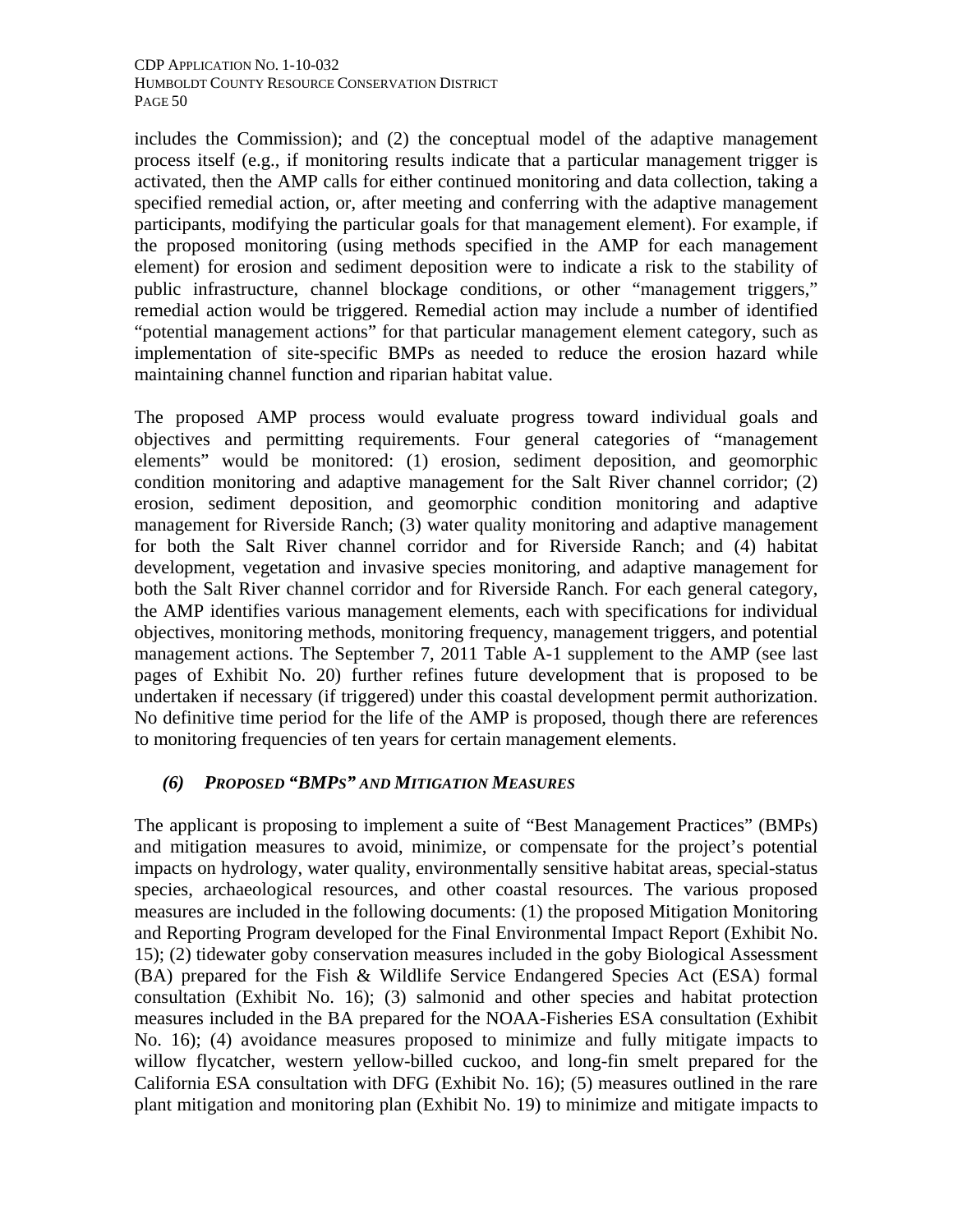includes the Commission); and (2) the conceptual model of the adaptive management process itself (e.g., if monitoring results indicate that a particular management trigger is activated, then the AMP calls for either continued monitoring and data collection, taking a specified remedial action, or, after meeting and conferring with the adaptive management participants, modifying the particular goals for that management element). For example, if the proposed monitoring (using methods specified in the AMP for each management element) for erosion and sediment deposition were to indicate a risk to the stability of public infrastructure, channel blockage conditions, or other "management triggers," remedial action would be triggered. Remedial action may include a number of identified "potential management actions" for that particular management element category, such as implementation of site-specific BMPs as needed to reduce the erosion hazard while maintaining channel function and riparian habitat value.

The proposed AMP process would evaluate progress toward individual goals and objectives and permitting requirements. Four general categories of "management elements" would be monitored: (1) erosion, sediment deposition, and geomorphic condition monitoring and adaptive management for the Salt River channel corridor; (2) erosion, sediment deposition, and geomorphic condition monitoring and adaptive management for Riverside Ranch; (3) water quality monitoring and adaptive management for both the Salt River channel corridor and for Riverside Ranch; and (4) habitat development, vegetation and invasive species monitoring, and adaptive management for both the Salt River channel corridor and for Riverside Ranch. For each general category, the AMP identifies various management elements, each with specifications for individual objectives, monitoring methods, monitoring frequency, management triggers, and potential management actions. The September 7, 2011 Table A-1 supplement to the AMP (see last pages of Exhibit No. 20) further refines future development that is proposed to be undertaken if necessary (if triggered) under this coastal development permit authorization. No definitive time period for the life of the AMP is proposed, though there are references to monitoring frequencies of ten years for certain management elements.

## *(6) PROPOSED "BMPS" AND MITIGATION MEASURES*

The applicant is proposing to implement a suite of "Best Management Practices" (BMPs) and mitigation measures to avoid, minimize, or compensate for the project's potential impacts on hydrology, water quality, environmentally sensitive habitat areas, special-status species, archaeological resources, and other coastal resources. The various proposed measures are included in the following documents: (1) the proposed Mitigation Monitoring and Reporting Program developed for the Final Environmental Impact Report (Exhibit No. 15); (2) tidewater goby conservation measures included in the goby Biological Assessment (BA) prepared for the Fish & Wildlife Service Endangered Species Act (ESA) formal consultation (Exhibit No. 16); (3) salmonid and other species and habitat protection measures included in the BA prepared for the NOAA-Fisheries ESA consultation (Exhibit No. 16); (4) avoidance measures proposed to minimize and fully mitigate impacts to willow flycatcher, western yellow-billed cuckoo, and long-fin smelt prepared for the California ESA consultation with DFG (Exhibit No. 16); (5) measures outlined in the rare plant mitigation and monitoring plan (Exhibit No. 19) to minimize and mitigate impacts to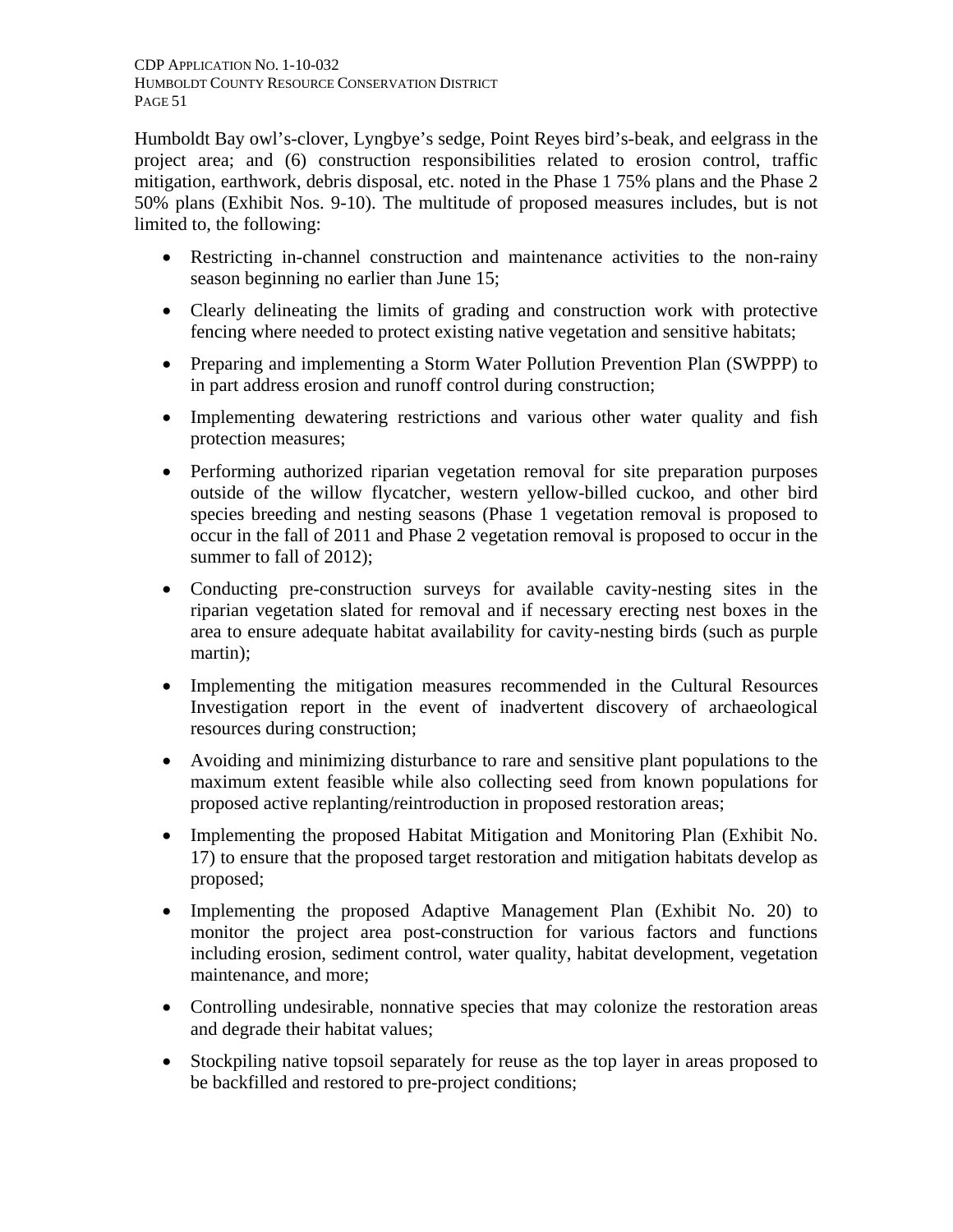CDP APPLICATION NO. 1-10-032 HUMBOLDT COUNTY RESOURCE CONSERVATION DISTRICT PAGE 51

Humboldt Bay owl's-clover, Lyngbye's sedge, Point Reyes bird's-beak, and eelgrass in the project area; and (6) construction responsibilities related to erosion control, traffic mitigation, earthwork, debris disposal, etc. noted in the Phase 1 75% plans and the Phase 2 50% plans (Exhibit Nos. 9-10). The multitude of proposed measures includes, but is not limited to, the following:

- Restricting in-channel construction and maintenance activities to the non-rainy season beginning no earlier than June 15;
- Clearly delineating the limits of grading and construction work with protective fencing where needed to protect existing native vegetation and sensitive habitats;
- Preparing and implementing a Storm Water Pollution Prevention Plan (SWPPP) to in part address erosion and runoff control during construction;
- Implementing dewatering restrictions and various other water quality and fish protection measures;
- Performing authorized riparian vegetation removal for site preparation purposes outside of the willow flycatcher, western yellow-billed cuckoo, and other bird species breeding and nesting seasons (Phase 1 vegetation removal is proposed to occur in the fall of 2011 and Phase 2 vegetation removal is proposed to occur in the summer to fall of 2012);
- Conducting pre-construction surveys for available cavity-nesting sites in the riparian vegetation slated for removal and if necessary erecting nest boxes in the area to ensure adequate habitat availability for cavity-nesting birds (such as purple martin);
- Implementing the mitigation measures recommended in the Cultural Resources Investigation report in the event of inadvertent discovery of archaeological resources during construction;
- Avoiding and minimizing disturbance to rare and sensitive plant populations to the maximum extent feasible while also collecting seed from known populations for proposed active replanting/reintroduction in proposed restoration areas;
- Implementing the proposed Habitat Mitigation and Monitoring Plan (Exhibit No. 17) to ensure that the proposed target restoration and mitigation habitats develop as proposed;
- Implementing the proposed Adaptive Management Plan (Exhibit No. 20) to monitor the project area post-construction for various factors and functions including erosion, sediment control, water quality, habitat development, vegetation maintenance, and more;
- Controlling undesirable, nonnative species that may colonize the restoration areas and degrade their habitat values;
- Stockpiling native topsoil separately for reuse as the top layer in areas proposed to be backfilled and restored to pre-project conditions;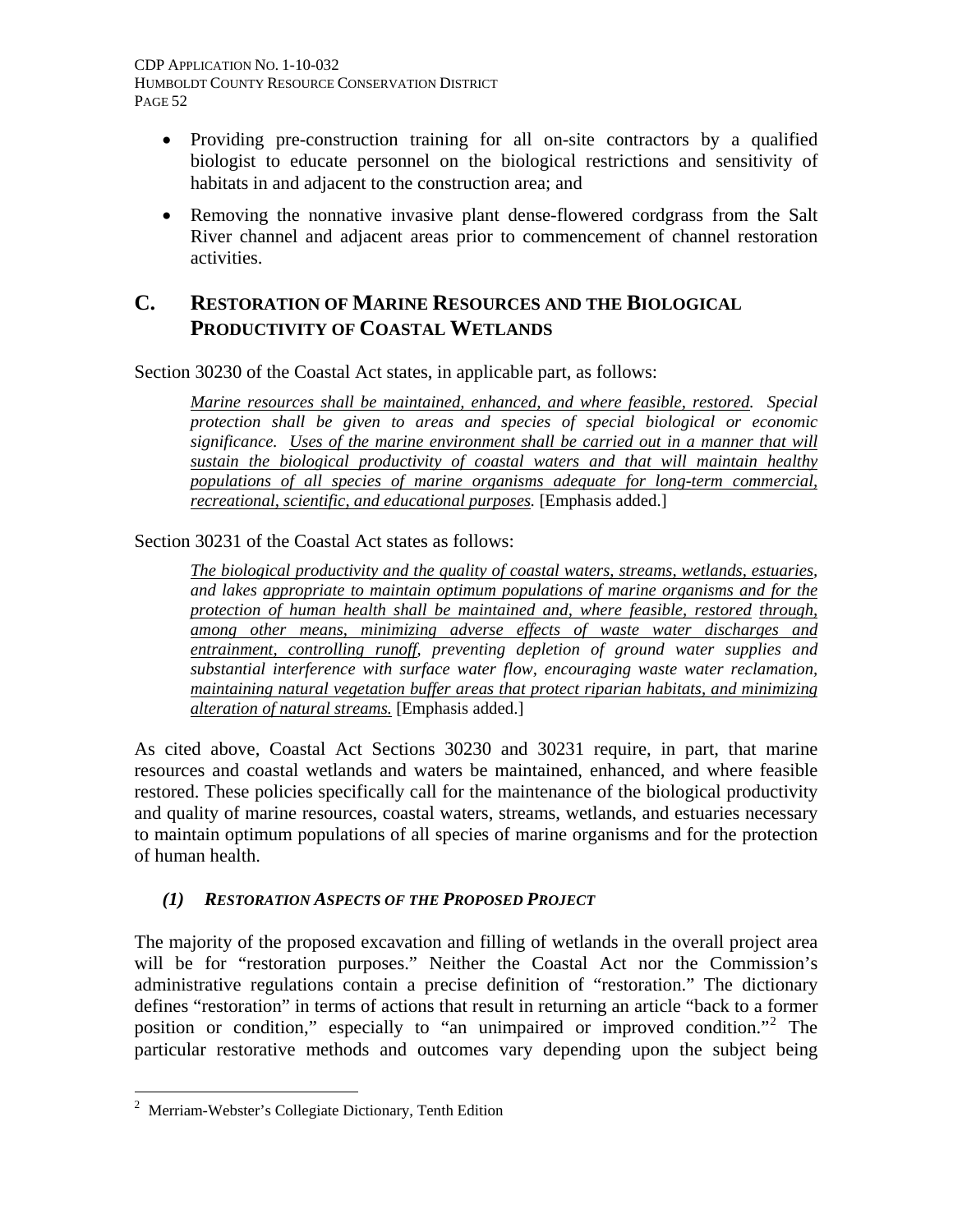CDP APPLICATION NO. 1-10-032 HUMBOLDT COUNTY RESOURCE CONSERVATION DISTRICT PAGE 52

- Providing pre-construction training for all on-site contractors by a qualified biologist to educate personnel on the biological restrictions and sensitivity of habitats in and adjacent to the construction area; and
- Removing the nonnative invasive plant dense-flowered cordgrass from the Salt River channel and adjacent areas prior to commencement of channel restoration activities.

# **C. RESTORATION OF MARINE RESOURCES AND THE BIOLOGICAL PRODUCTIVITY OF COASTAL WETLANDS**

Section 30230 of the Coastal Act states, in applicable part, as follows:

*Marine resources shall be maintained, enhanced, and where feasible, restored. Special protection shall be given to areas and species of special biological or economic significance. Uses of the marine environment shall be carried out in a manner that will sustain the biological productivity of coastal waters and that will maintain healthy populations of all species of marine organisms adequate for long-term commercial, recreational, scientific, and educational purposes.* [Emphasis added.]

Section 30231 of the Coastal Act states as follows:

*The biological productivity and the quality of coastal waters, streams, wetlands, estuaries, and lakes appropriate to maintain optimum populations of marine organisms and for the protection of human health shall be maintained and, where feasible, restored through, among other means, minimizing adverse effects of waste water discharges and entrainment, controlling runoff, preventing depletion of ground water supplies and substantial interference with surface water flow, encouraging waste water reclamation, maintaining natural vegetation buffer areas that protect riparian habitats, and minimizing alteration of natural streams.* [Emphasis added.]

As cited above, Coastal Act Sections 30230 and 30231 require, in part, that marine resources and coastal wetlands and waters be maintained, enhanced, and where feasible restored. These policies specifically call for the maintenance of the biological productivity and quality of marine resources, coastal waters, streams, wetlands, and estuaries necessary to maintain optimum populations of all species of marine organisms and for the protection of human health.

### *(1) RESTORATION ASPECTS OF THE PROPOSED PROJECT*

The majority of the proposed excavation and filling of wetlands in the overall project area will be for "restoration purposes." Neither the Coastal Act nor the Commission's administrative regulations contain a precise definition of "restoration." The dictionary defines "restoration" in terms of actions that result in returning an article "back to a former position or condition," especially to "an unimpaired or improved condition."<sup>[2](#page-73-0)</sup> The particular restorative methods and outcomes vary depending upon the subject being

 $\overline{a}$ 

<span id="page-73-0"></span><sup>&</sup>lt;sup>2</sup> Merriam-Webster's Collegiate Dictionary, Tenth Edition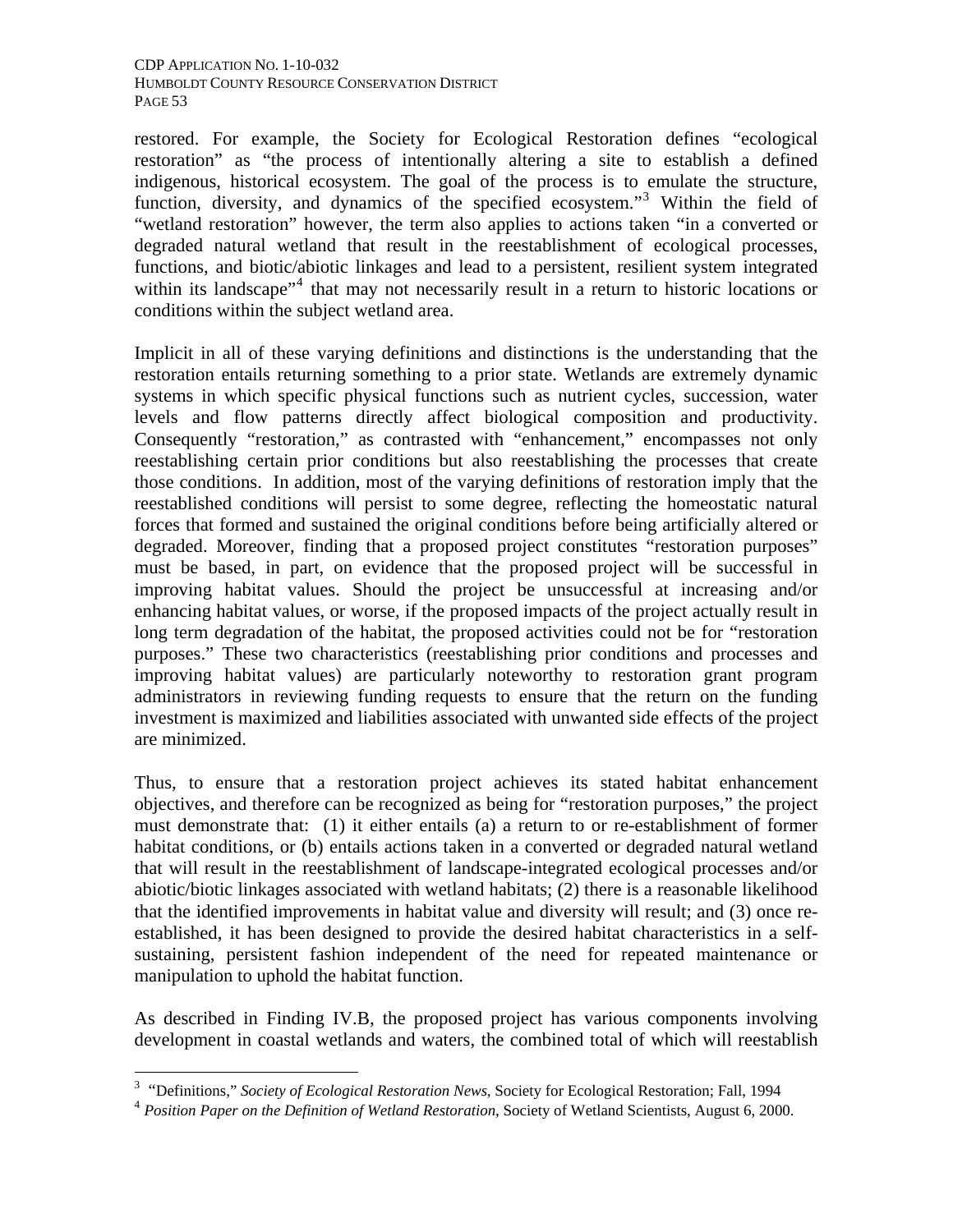restored. For example, the Society for Ecological Restoration defines "ecological restoration" as "the process of intentionally altering a site to establish a defined indigenous, historical ecosystem. The goal of the process is to emulate the structure, function, diversity, and dynamics of the specified ecosystem."<sup>[3](#page-74-0)</sup> Within the field of "wetland restoration" however, the term also applies to actions taken "in a converted or degraded natural wetland that result in the reestablishment of ecological processes, functions, and biotic/abiotic linkages and lead to a persistent, resilient system integrated within its landscape"<sup>[4](#page-74-1)</sup> that may not necessarily result in a return to historic locations or conditions within the subject wetland area.

Implicit in all of these varying definitions and distinctions is the understanding that the restoration entails returning something to a prior state. Wetlands are extremely dynamic systems in which specific physical functions such as nutrient cycles, succession, water levels and flow patterns directly affect biological composition and productivity. Consequently "restoration," as contrasted with "enhancement," encompasses not only reestablishing certain prior conditions but also reestablishing the processes that create those conditions. In addition, most of the varying definitions of restoration imply that the reestablished conditions will persist to some degree, reflecting the homeostatic natural forces that formed and sustained the original conditions before being artificially altered or degraded. Moreover, finding that a proposed project constitutes "restoration purposes" must be based, in part, on evidence that the proposed project will be successful in improving habitat values. Should the project be unsuccessful at increasing and/or enhancing habitat values, or worse, if the proposed impacts of the project actually result in long term degradation of the habitat, the proposed activities could not be for "restoration purposes." These two characteristics (reestablishing prior conditions and processes and improving habitat values) are particularly noteworthy to restoration grant program administrators in reviewing funding requests to ensure that the return on the funding investment is maximized and liabilities associated with unwanted side effects of the project are minimized.

Thus, to ensure that a restoration project achieves its stated habitat enhancement objectives, and therefore can be recognized as being for "restoration purposes," the project must demonstrate that: (1) it either entails (a) a return to or re-establishment of former habitat conditions, or (b) entails actions taken in a converted or degraded natural wetland that will result in the reestablishment of landscape-integrated ecological processes and/or abiotic/biotic linkages associated with wetland habitats; (2) there is a reasonable likelihood that the identified improvements in habitat value and diversity will result; and (3) once reestablished, it has been designed to provide the desired habitat characteristics in a selfsustaining, persistent fashion independent of the need for repeated maintenance or manipulation to uphold the habitat function.

As described in Finding IV.B, the proposed project has various components involving development in coastal wetlands and waters, the combined total of which will reestablish

 $\overline{a}$ 

<sup>&</sup>lt;sup>3</sup> "Definitions," *Society of Ecological Restoration News*, Society for Ecological Restoration; Fall, 1994

<span id="page-74-1"></span><span id="page-74-0"></span><sup>4</sup> *Position Paper on the Definition of Wetland Restoration*, Society of Wetland Scientists, August 6, 2000.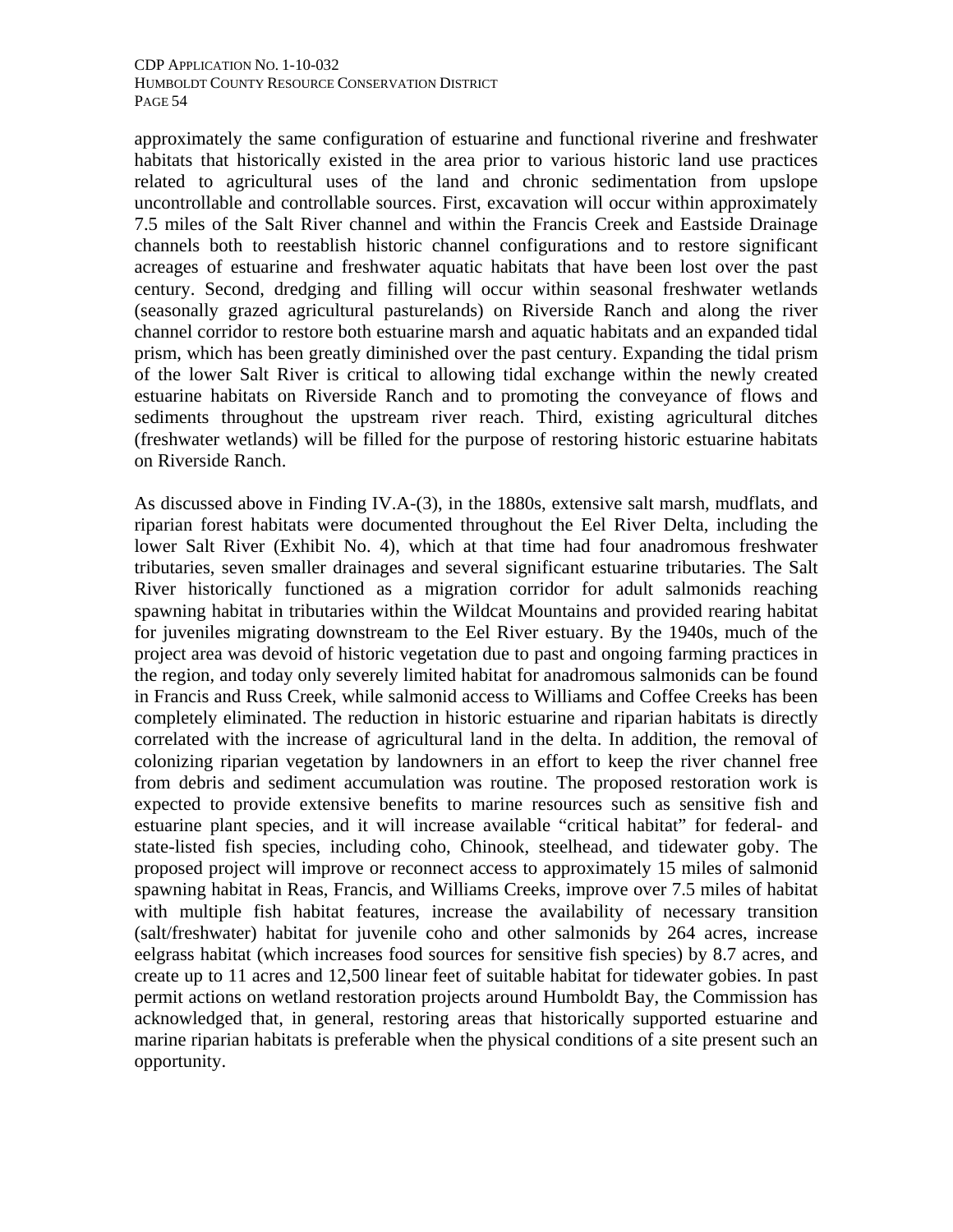approximately the same configuration of estuarine and functional riverine and freshwater habitats that historically existed in the area prior to various historic land use practices related to agricultural uses of the land and chronic sedimentation from upslope uncontrollable and controllable sources. First, excavation will occur within approximately 7.5 miles of the Salt River channel and within the Francis Creek and Eastside Drainage channels both to reestablish historic channel configurations and to restore significant acreages of estuarine and freshwater aquatic habitats that have been lost over the past century. Second, dredging and filling will occur within seasonal freshwater wetlands (seasonally grazed agricultural pasturelands) on Riverside Ranch and along the river channel corridor to restore both estuarine marsh and aquatic habitats and an expanded tidal prism, which has been greatly diminished over the past century. Expanding the tidal prism of the lower Salt River is critical to allowing tidal exchange within the newly created estuarine habitats on Riverside Ranch and to promoting the conveyance of flows and sediments throughout the upstream river reach. Third, existing agricultural ditches (freshwater wetlands) will be filled for the purpose of restoring historic estuarine habitats on Riverside Ranch.

As discussed above in Finding IV.A-(3), in the 1880s, extensive salt marsh, mudflats, and riparian forest habitats were documented throughout the Eel River Delta, including the lower Salt River (Exhibit No. 4), which at that time had four anadromous freshwater tributaries, seven smaller drainages and several significant estuarine tributaries. The Salt River historically functioned as a migration corridor for adult salmonids reaching spawning habitat in tributaries within the Wildcat Mountains and provided rearing habitat for juveniles migrating downstream to the Eel River estuary. By the 1940s, much of the project area was devoid of historic vegetation due to past and ongoing farming practices in the region, and today only severely limited habitat for anadromous salmonids can be found in Francis and Russ Creek, while salmonid access to Williams and Coffee Creeks has been completely eliminated. The reduction in historic estuarine and riparian habitats is directly correlated with the increase of agricultural land in the delta. In addition, the removal of colonizing riparian vegetation by landowners in an effort to keep the river channel free from debris and sediment accumulation was routine. The proposed restoration work is expected to provide extensive benefits to marine resources such as sensitive fish and estuarine plant species, and it will increase available "critical habitat" for federal- and state-listed fish species, including coho, Chinook, steelhead, and tidewater goby. The proposed project will improve or reconnect access to approximately 15 miles of salmonid spawning habitat in Reas, Francis, and Williams Creeks, improve over 7.5 miles of habitat with multiple fish habitat features, increase the availability of necessary transition (salt/freshwater) habitat for juvenile coho and other salmonids by 264 acres, increase eelgrass habitat (which increases food sources for sensitive fish species) by 8.7 acres, and create up to 11 acres and 12,500 linear feet of suitable habitat for tidewater gobies. In past permit actions on wetland restoration projects around Humboldt Bay, the Commission has acknowledged that, in general, restoring areas that historically supported estuarine and marine riparian habitats is preferable when the physical conditions of a site present such an opportunity.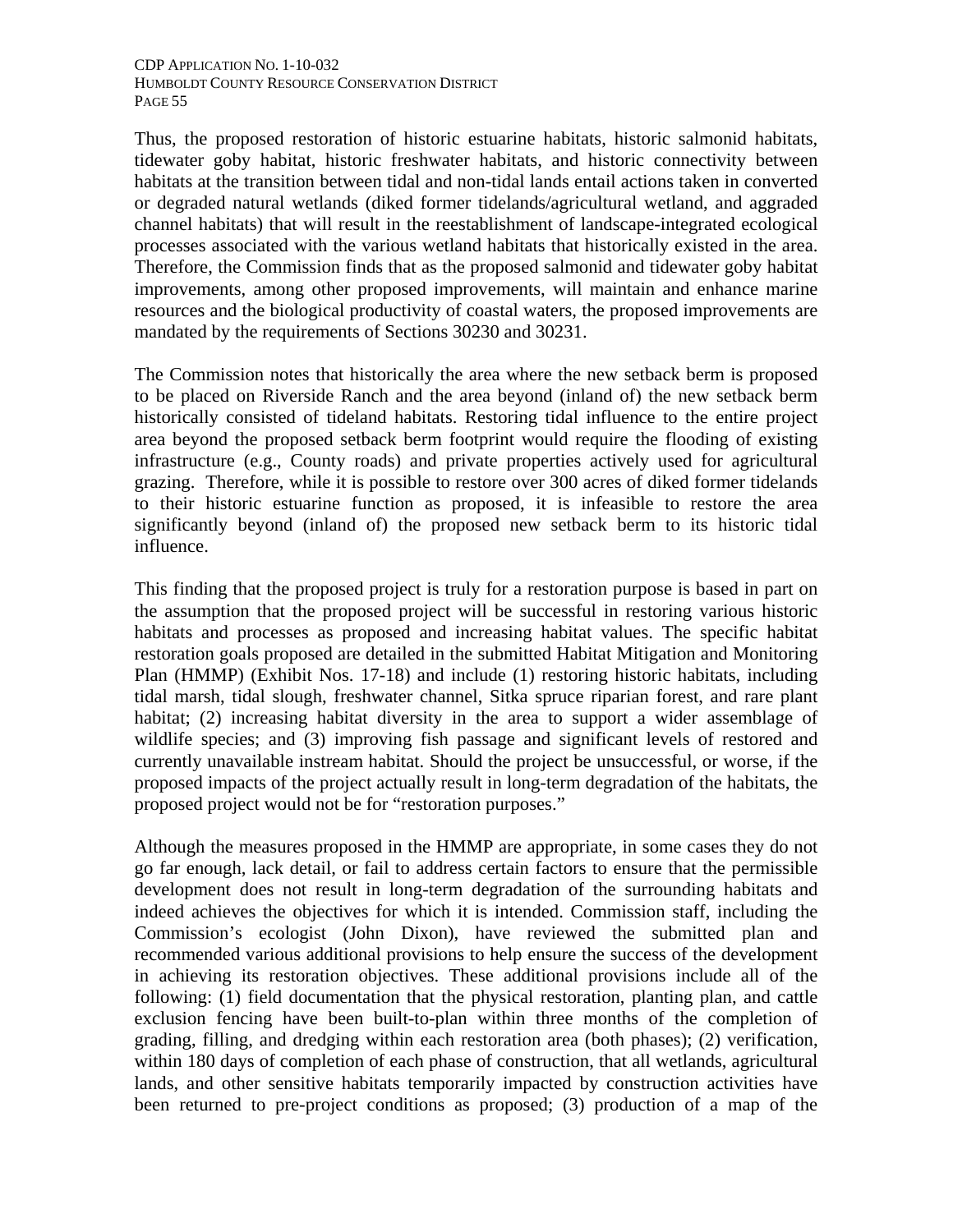Thus, the proposed restoration of historic estuarine habitats, historic salmonid habitats, tidewater goby habitat, historic freshwater habitats, and historic connectivity between habitats at the transition between tidal and non-tidal lands entail actions taken in converted or degraded natural wetlands (diked former tidelands/agricultural wetland, and aggraded channel habitats) that will result in the reestablishment of landscape-integrated ecological processes associated with the various wetland habitats that historically existed in the area. Therefore, the Commission finds that as the proposed salmonid and tidewater goby habitat improvements, among other proposed improvements, will maintain and enhance marine resources and the biological productivity of coastal waters, the proposed improvements are mandated by the requirements of Sections 30230 and 30231.

The Commission notes that historically the area where the new setback berm is proposed to be placed on Riverside Ranch and the area beyond (inland of) the new setback berm historically consisted of tideland habitats. Restoring tidal influence to the entire project area beyond the proposed setback berm footprint would require the flooding of existing infrastructure (e.g., County roads) and private properties actively used for agricultural grazing. Therefore, while it is possible to restore over 300 acres of diked former tidelands to their historic estuarine function as proposed, it is infeasible to restore the area significantly beyond (inland of) the proposed new setback berm to its historic tidal influence.

This finding that the proposed project is truly for a restoration purpose is based in part on the assumption that the proposed project will be successful in restoring various historic habitats and processes as proposed and increasing habitat values. The specific habitat restoration goals proposed are detailed in the submitted Habitat Mitigation and Monitoring Plan (HMMP) (Exhibit Nos. 17-18) and include (1) restoring historic habitats, including tidal marsh, tidal slough, freshwater channel, Sitka spruce riparian forest, and rare plant habitat; (2) increasing habitat diversity in the area to support a wider assemblage of wildlife species; and (3) improving fish passage and significant levels of restored and currently unavailable instream habitat. Should the project be unsuccessful, or worse, if the proposed impacts of the project actually result in long-term degradation of the habitats, the proposed project would not be for "restoration purposes."

Although the measures proposed in the HMMP are appropriate, in some cases they do not go far enough, lack detail, or fail to address certain factors to ensure that the permissible development does not result in long-term degradation of the surrounding habitats and indeed achieves the objectives for which it is intended. Commission staff, including the Commission's ecologist (John Dixon), have reviewed the submitted plan and recommended various additional provisions to help ensure the success of the development in achieving its restoration objectives. These additional provisions include all of the following: (1) field documentation that the physical restoration, planting plan, and cattle exclusion fencing have been built-to-plan within three months of the completion of grading, filling, and dredging within each restoration area (both phases); (2) verification, within 180 days of completion of each phase of construction, that all wetlands, agricultural lands, and other sensitive habitats temporarily impacted by construction activities have been returned to pre-project conditions as proposed; (3) production of a map of the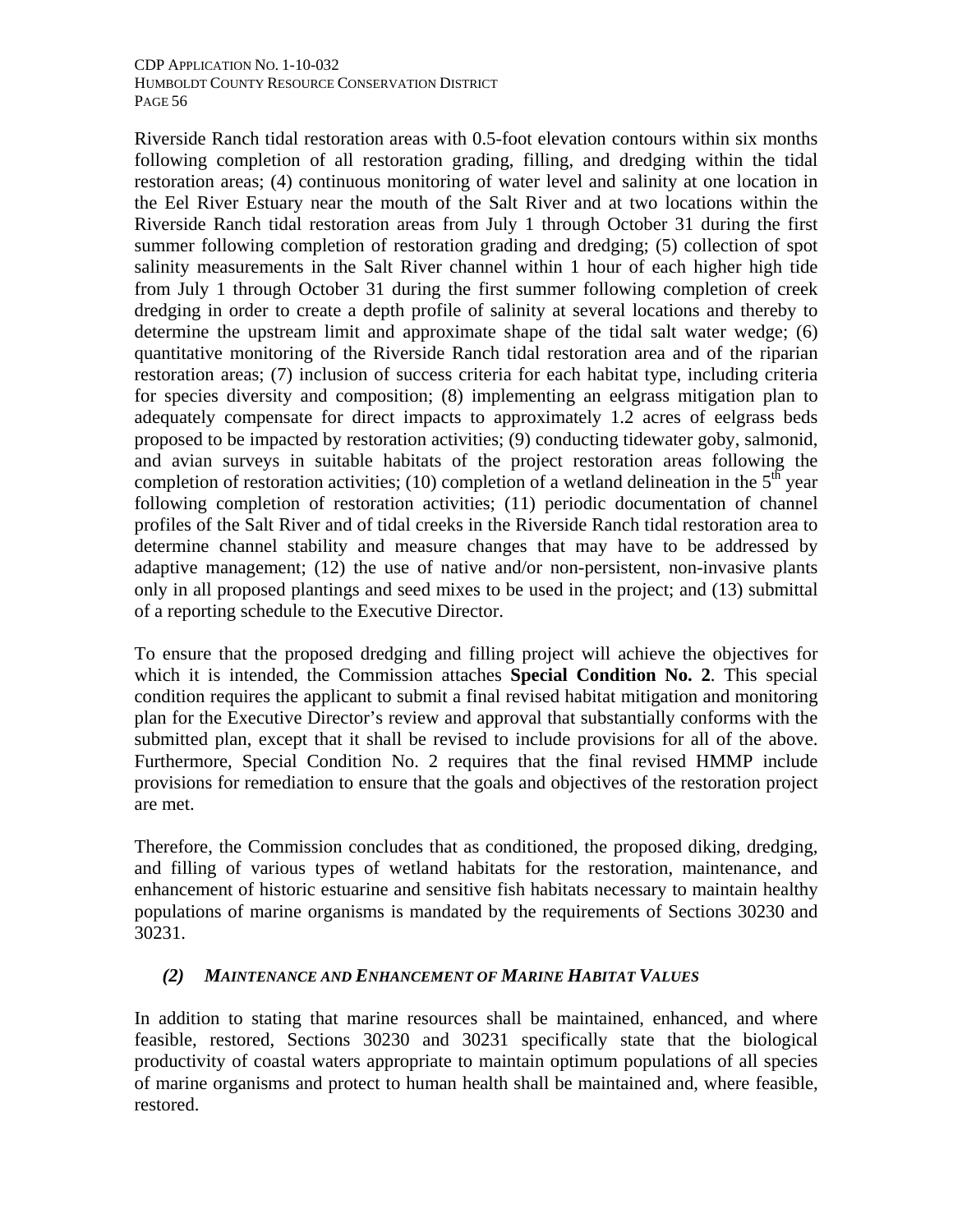Riverside Ranch tidal restoration areas with 0.5-foot elevation contours within six months following completion of all restoration grading, filling, and dredging within the tidal restoration areas; (4) continuous monitoring of water level and salinity at one location in the Eel River Estuary near the mouth of the Salt River and at two locations within the Riverside Ranch tidal restoration areas from July 1 through October 31 during the first summer following completion of restoration grading and dredging; (5) collection of spot salinity measurements in the Salt River channel within 1 hour of each higher high tide from July 1 through October 31 during the first summer following completion of creek dredging in order to create a depth profile of salinity at several locations and thereby to determine the upstream limit and approximate shape of the tidal salt water wedge; (6) quantitative monitoring of the Riverside Ranch tidal restoration area and of the riparian restoration areas; (7) inclusion of success criteria for each habitat type, including criteria for species diversity and composition; (8) implementing an eelgrass mitigation plan to adequately compensate for direct impacts to approximately 1.2 acres of eelgrass beds proposed to be impacted by restoration activities; (9) conducting tidewater goby, salmonid, and avian surveys in suitable habitats of the project restoration areas following the completion of restoration activities; (10) completion of a wetland delineation in the  $5<sup>th</sup>$  year following completion of restoration activities; (11) periodic documentation of channel profiles of the Salt River and of tidal creeks in the Riverside Ranch tidal restoration area to determine channel stability and measure changes that may have to be addressed by adaptive management; (12) the use of native and/or non-persistent, non-invasive plants only in all proposed plantings and seed mixes to be used in the project; and (13) submittal of a reporting schedule to the Executive Director.

To ensure that the proposed dredging and filling project will achieve the objectives for which it is intended, the Commission attaches **Special Condition No. 2**. This special condition requires the applicant to submit a final revised habitat mitigation and monitoring plan for the Executive Director's review and approval that substantially conforms with the submitted plan, except that it shall be revised to include provisions for all of the above. Furthermore, Special Condition No. 2 requires that the final revised HMMP include provisions for remediation to ensure that the goals and objectives of the restoration project are met.

Therefore, the Commission concludes that as conditioned, the proposed diking, dredging, and filling of various types of wetland habitats for the restoration, maintenance, and enhancement of historic estuarine and sensitive fish habitats necessary to maintain healthy populations of marine organisms is mandated by the requirements of Sections 30230 and 30231.

### *(2) MAINTENANCE AND ENHANCEMENT OF MARINE HABITAT VALUES*

In addition to stating that marine resources shall be maintained, enhanced, and where feasible, restored, Sections 30230 and 30231 specifically state that the biological productivity of coastal waters appropriate to maintain optimum populations of all species of marine organisms and protect to human health shall be maintained and, where feasible, restored.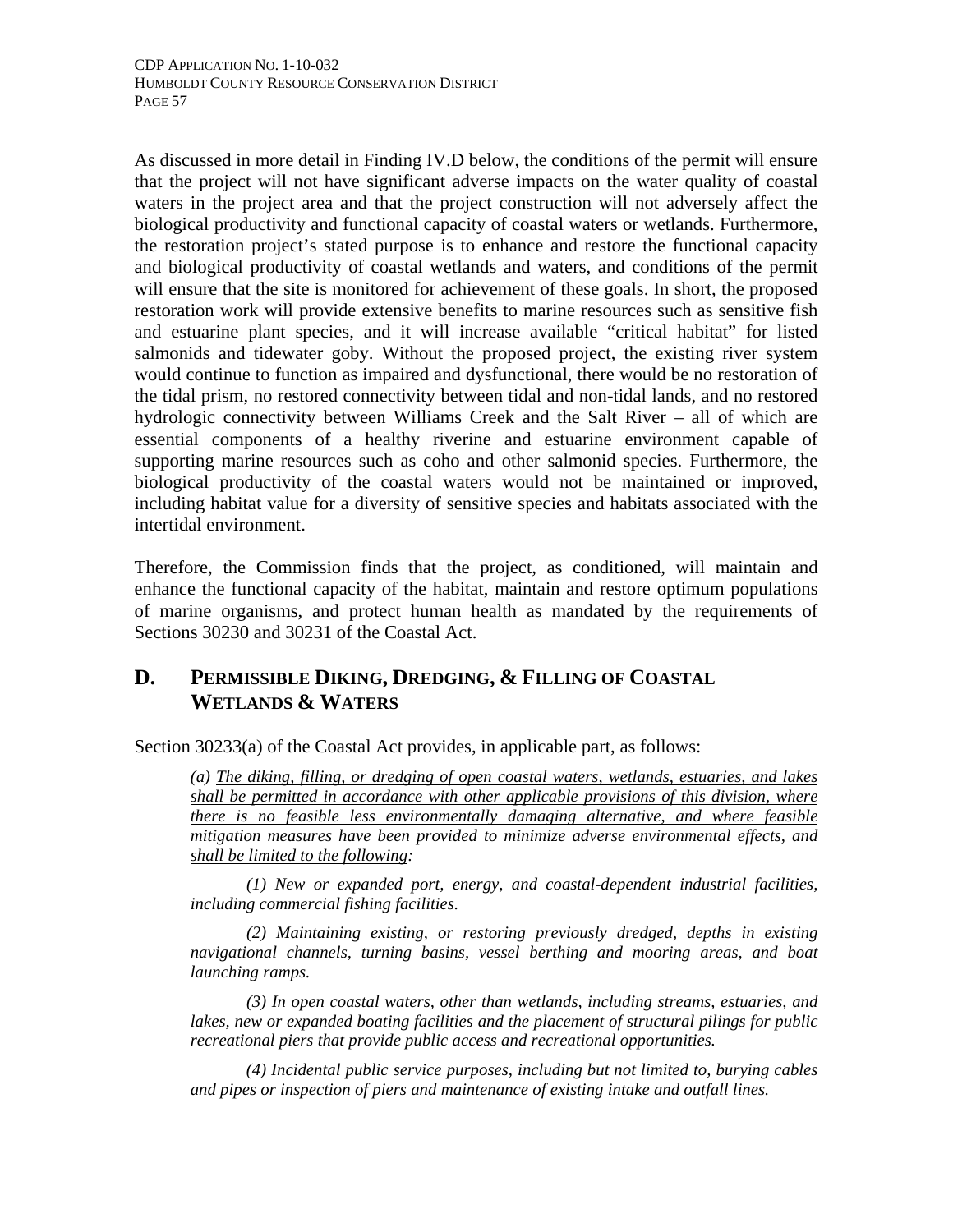As discussed in more detail in Finding IV.D below, the conditions of the permit will ensure that the project will not have significant adverse impacts on the water quality of coastal waters in the project area and that the project construction will not adversely affect the biological productivity and functional capacity of coastal waters or wetlands. Furthermore, the restoration project's stated purpose is to enhance and restore the functional capacity and biological productivity of coastal wetlands and waters, and conditions of the permit will ensure that the site is monitored for achievement of these goals. In short, the proposed restoration work will provide extensive benefits to marine resources such as sensitive fish and estuarine plant species, and it will increase available "critical habitat" for listed salmonids and tidewater goby. Without the proposed project, the existing river system would continue to function as impaired and dysfunctional, there would be no restoration of the tidal prism, no restored connectivity between tidal and non-tidal lands, and no restored hydrologic connectivity between Williams Creek and the Salt River – all of which are essential components of a healthy riverine and estuarine environment capable of supporting marine resources such as coho and other salmonid species. Furthermore, the biological productivity of the coastal waters would not be maintained or improved, including habitat value for a diversity of sensitive species and habitats associated with the intertidal environment.

Therefore, the Commission finds that the project, as conditioned, will maintain and enhance the functional capacity of the habitat, maintain and restore optimum populations of marine organisms, and protect human health as mandated by the requirements of Sections 30230 and 30231 of the Coastal Act.

# **D. PERMISSIBLE DIKING, DREDGING, & FILLING OF COASTAL WETLANDS & WATERS**

Section 30233(a) of the Coastal Act provides, in applicable part, as follows:

*(a) The diking, filling, or dredging of open coastal waters, wetlands, estuaries, and lakes shall be permitted in accordance with other applicable provisions of this division, where there is no feasible less environmentally damaging alternative, and where feasible mitigation measures have been provided to minimize adverse environmental effects, and shall be limited to the following:* 

*(1) New or expanded port, energy, and coastal-dependent industrial facilities, including commercial fishing facilities.* 

*(2) Maintaining existing, or restoring previously dredged, depths in existing navigational channels, turning basins, vessel berthing and mooring areas, and boat launching ramps.* 

*(3) In open coastal waters, other than wetlands, including streams, estuaries, and lakes, new or expanded boating facilities and the placement of structural pilings for public recreational piers that provide public access and recreational opportunities.* 

*(4) Incidental public service purposes, including but not limited to, burying cables and pipes or inspection of piers and maintenance of existing intake and outfall lines.*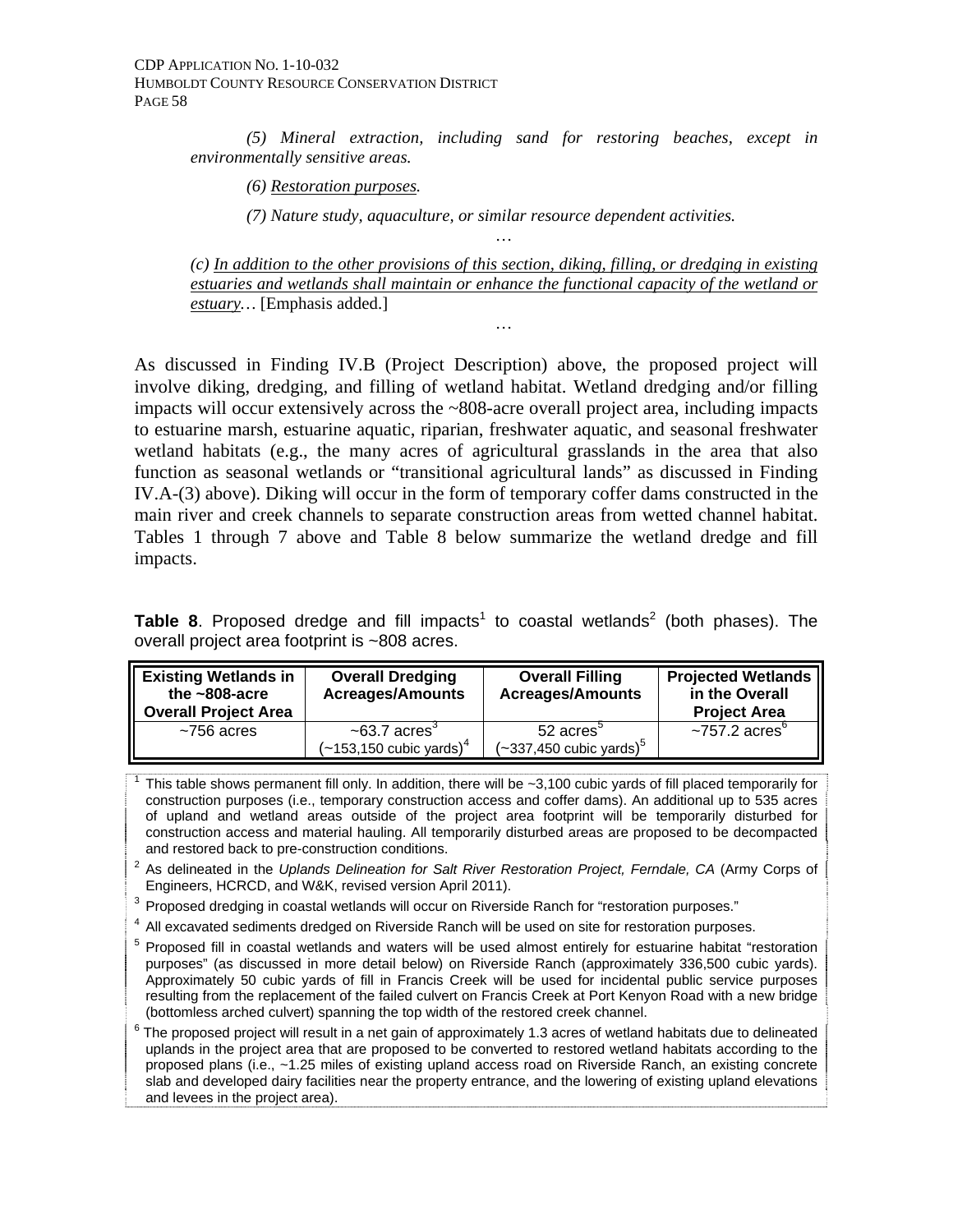*(5) Mineral extraction, including sand for restoring beaches, except in environmentally sensitive areas.* 

*(6) Restoration purposes.* 

*(7) Nature study, aquaculture, or similar resource dependent activities.* 

*(c) In addition to the other provisions of this section, diking, filling, or dredging in existing estuaries and wetlands shall maintain or enhance the functional capacity of the wetland or estuary…* [Emphasis added.]

*…* 

*…* 

As discussed in Finding IV.B (Project Description) above, the proposed project will involve diking, dredging, and filling of wetland habitat. Wetland dredging and/or filling impacts will occur extensively across the ~808-acre overall project area, including impacts to estuarine marsh, estuarine aquatic, riparian, freshwater aquatic, and seasonal freshwater wetland habitats (e.g., the many acres of agricultural grasslands in the area that also function as seasonal wetlands or "transitional agricultural lands" as discussed in Finding IV.A-(3) above). Diking will occur in the form of temporary coffer dams constructed in the main river and creek channels to separate construction areas from wetted channel habitat. Tables 1 through 7 above and Table 8 below summarize the wetland dredge and fill impacts.

**Table 8**. Proposed dredge and fill impacts<sup>1</sup> to coastal wetlands<sup>2</sup> (both phases). The overall project area footprint is ~808 acres.

| <b>Existing Wetlands in</b><br>the $~508$ -acre<br>Overall Project Area | <b>Overall Dredging</b><br><b>Acreages/Amounts</b>                       | <b>Overall Filling</b><br><b>Acreages/Amounts</b>              | <b>Projected Wetlands</b><br>in the Overall<br><b>Project Area</b> |
|-------------------------------------------------------------------------|--------------------------------------------------------------------------|----------------------------------------------------------------|--------------------------------------------------------------------|
| $~1$ 756 acres                                                          | $\sim$ 63.7 acres <sup>3</sup><br>$(-153, 150$ cubic yards) <sup>4</sup> | 52 acres <sup>3</sup><br>$(-337,450$ cubic yards) <sup>5</sup> | $\sim$ 757.2 acres $^{\circ}$                                      |

1 This table shows permanent fill only. In addition, there will be ~3,100 cubic yards of fill placed temporarily for construction purposes (i.e., temporary construction access and coffer dams). An additional up to 535 acres of upland and wetland areas outside of the project area footprint will be temporarily disturbed for construction access and material hauling. All temporarily disturbed areas are proposed to be decompacted and restored back to pre-construction conditions.

2 As delineated in the *Uplands Delineation for Salt River Restoration Project, Ferndale, CA* (Army Corps of Engineers, HCRCD, and W&K, revised version April 2011).

 $3$  Proposed dredging in coastal wetlands will occur on Riverside Ranch for "restoration purposes."<br> $4$  All avenuated sediments dredged on Riverside Ranch will be used on eite for restoration purpose

 $<sup>4</sup>$  All excavated sediments dredged on Riverside Ranch will be used on site for restoration purposes.</sup>

<sup>5</sup> Proposed fill in coastal wetlands and waters will be used almost entirely for estuarine habitat "restoration purposes" (as discussed in more detail below) on Riverside Ranch (approximately 336,500 cubic yards). Approximately 50 cubic yards of fill in Francis Creek will be used for incidental public service purposes resulting from the replacement of the failed culvert on Francis Creek at Port Kenyon Road with a new bridge (bottomless arched culvert) spanning the top width of the restored creek channel.

 $6$  The proposed project will result in a net gain of approximately 1.3 acres of wetland habitats due to delineated uplands in the project area that are proposed to be converted to restored wetland habitats according to the proposed plans (i.e., ~1.25 miles of existing upland access road on Riverside Ranch, an existing concrete slab and developed dairy facilities near the property entrance, and the lowering of existing upland elevations and levees in the project area).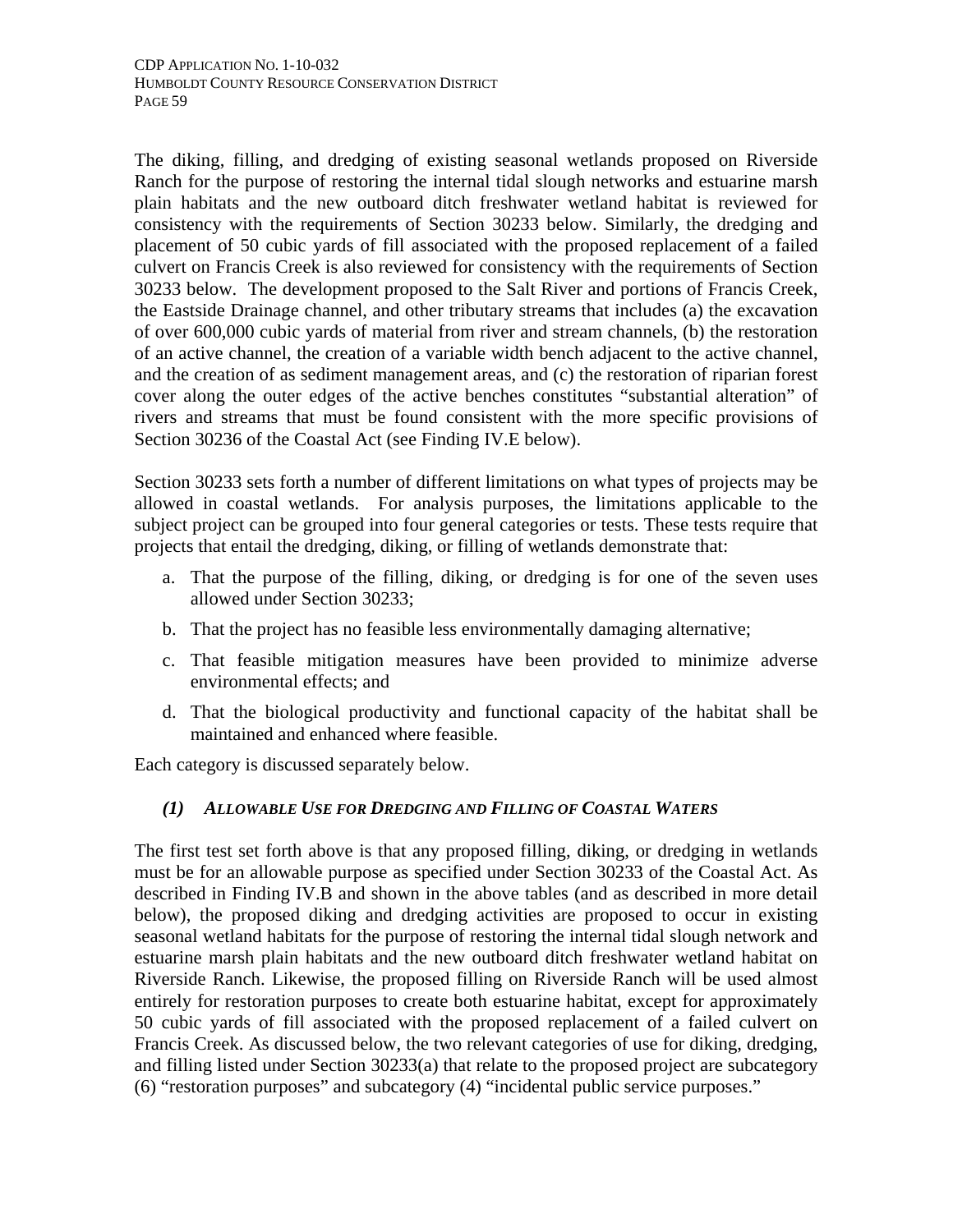The diking, filling, and dredging of existing seasonal wetlands proposed on Riverside Ranch for the purpose of restoring the internal tidal slough networks and estuarine marsh plain habitats and the new outboard ditch freshwater wetland habitat is reviewed for consistency with the requirements of Section 30233 below. Similarly, the dredging and placement of 50 cubic yards of fill associated with the proposed replacement of a failed culvert on Francis Creek is also reviewed for consistency with the requirements of Section 30233 below. The development proposed to the Salt River and portions of Francis Creek, the Eastside Drainage channel, and other tributary streams that includes (a) the excavation of over 600,000 cubic yards of material from river and stream channels, (b) the restoration of an active channel, the creation of a variable width bench adjacent to the active channel, and the creation of as sediment management areas, and (c) the restoration of riparian forest cover along the outer edges of the active benches constitutes "substantial alteration" of rivers and streams that must be found consistent with the more specific provisions of Section 30236 of the Coastal Act (see Finding IV.E below).

Section 30233 sets forth a number of different limitations on what types of projects may be allowed in coastal wetlands. For analysis purposes, the limitations applicable to the subject project can be grouped into four general categories or tests. These tests require that projects that entail the dredging, diking, or filling of wetlands demonstrate that:

- a. That the purpose of the filling, diking, or dredging is for one of the seven uses allowed under Section 30233;
- b. That the project has no feasible less environmentally damaging alternative;
- c. That feasible mitigation measures have been provided to minimize adverse environmental effects; and
- d. That the biological productivity and functional capacity of the habitat shall be maintained and enhanced where feasible.

Each category is discussed separately below.

### *(1) ALLOWABLE USE FOR DREDGING AND FILLING OF COASTAL WATERS*

The first test set forth above is that any proposed filling, diking, or dredging in wetlands must be for an allowable purpose as specified under Section 30233 of the Coastal Act. As described in Finding IV.B and shown in the above tables (and as described in more detail below), the proposed diking and dredging activities are proposed to occur in existing seasonal wetland habitats for the purpose of restoring the internal tidal slough network and estuarine marsh plain habitats and the new outboard ditch freshwater wetland habitat on Riverside Ranch. Likewise, the proposed filling on Riverside Ranch will be used almost entirely for restoration purposes to create both estuarine habitat, except for approximately 50 cubic yards of fill associated with the proposed replacement of a failed culvert on Francis Creek. As discussed below, the two relevant categories of use for diking, dredging, and filling listed under Section 30233(a) that relate to the proposed project are subcategory (6) "restoration purposes" and subcategory (4) "incidental public service purposes."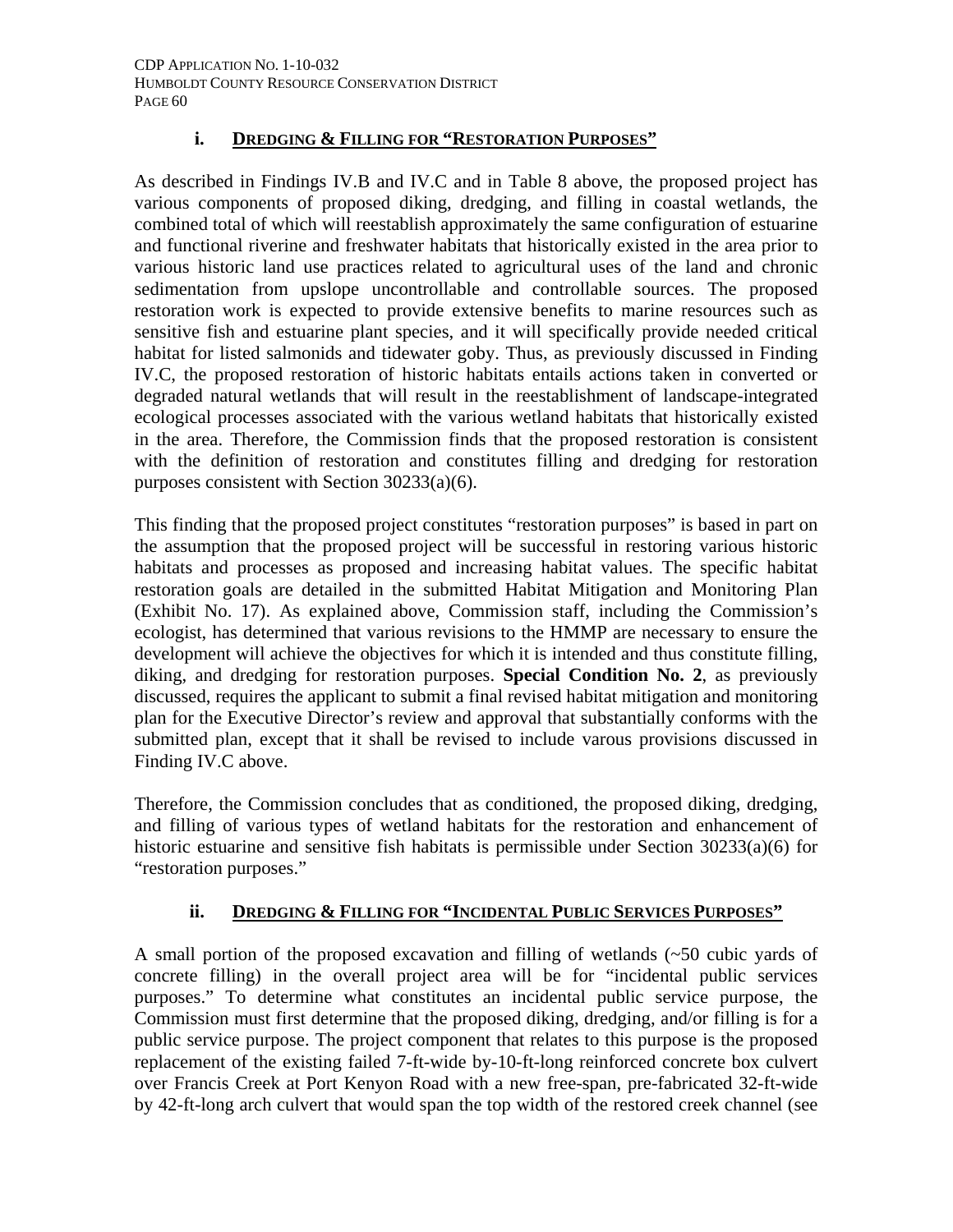### **i. DREDGING & FILLING FOR "RESTORATION PURPOSES"**

As described in Findings IV.B and IV.C and in Table 8 above, the proposed project has various components of proposed diking, dredging, and filling in coastal wetlands, the combined total of which will reestablish approximately the same configuration of estuarine and functional riverine and freshwater habitats that historically existed in the area prior to various historic land use practices related to agricultural uses of the land and chronic sedimentation from upslope uncontrollable and controllable sources. The proposed restoration work is expected to provide extensive benefits to marine resources such as sensitive fish and estuarine plant species, and it will specifically provide needed critical habitat for listed salmonids and tidewater goby. Thus, as previously discussed in Finding IV.C, the proposed restoration of historic habitats entails actions taken in converted or degraded natural wetlands that will result in the reestablishment of landscape-integrated ecological processes associated with the various wetland habitats that historically existed in the area. Therefore, the Commission finds that the proposed restoration is consistent with the definition of restoration and constitutes filling and dredging for restoration purposes consistent with Section 30233(a)(6).

This finding that the proposed project constitutes "restoration purposes" is based in part on the assumption that the proposed project will be successful in restoring various historic habitats and processes as proposed and increasing habitat values. The specific habitat restoration goals are detailed in the submitted Habitat Mitigation and Monitoring Plan (Exhibit No. 17). As explained above, Commission staff, including the Commission's ecologist, has determined that various revisions to the HMMP are necessary to ensure the development will achieve the objectives for which it is intended and thus constitute filling, diking, and dredging for restoration purposes. **Special Condition No. 2**, as previously discussed, requires the applicant to submit a final revised habitat mitigation and monitoring plan for the Executive Director's review and approval that substantially conforms with the submitted plan, except that it shall be revised to include varous provisions discussed in Finding IV.C above.

Therefore, the Commission concludes that as conditioned, the proposed diking, dredging, and filling of various types of wetland habitats for the restoration and enhancement of historic estuarine and sensitive fish habitats is permissible under Section 30233(a)(6) for "restoration purposes."

# **ii. DREDGING & FILLING FOR "INCIDENTAL PUBLIC SERVICES PURPOSES"**

A small portion of the proposed excavation and filling of wetlands (~50 cubic yards of concrete filling) in the overall project area will be for "incidental public services purposes." To determine what constitutes an incidental public service purpose, the Commission must first determine that the proposed diking, dredging, and/or filling is for a public service purpose. The project component that relates to this purpose is the proposed replacement of the existing failed 7-ft-wide by-10-ft-long reinforced concrete box culvert over Francis Creek at Port Kenyon Road with a new free-span, pre-fabricated 32-ft-wide by 42-ft-long arch culvert that would span the top width of the restored creek channel (see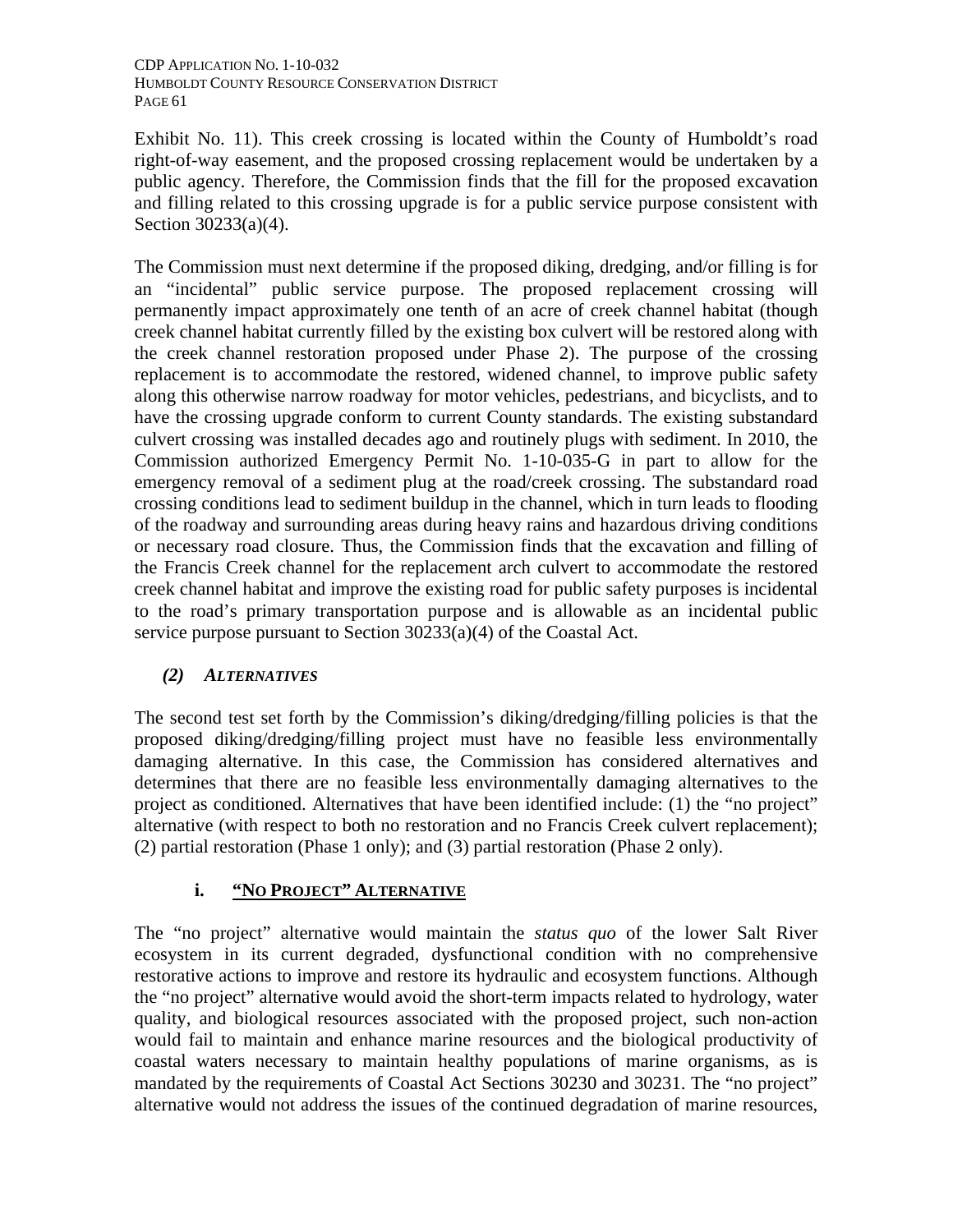Exhibit No. 11). This creek crossing is located within the County of Humboldt's road right-of-way easement, and the proposed crossing replacement would be undertaken by a public agency. Therefore, the Commission finds that the fill for the proposed excavation and filling related to this crossing upgrade is for a public service purpose consistent with Section 30233(a)(4).

The Commission must next determine if the proposed diking, dredging, and/or filling is for an "incidental" public service purpose. The proposed replacement crossing will permanently impact approximately one tenth of an acre of creek channel habitat (though creek channel habitat currently filled by the existing box culvert will be restored along with the creek channel restoration proposed under Phase 2). The purpose of the crossing replacement is to accommodate the restored, widened channel, to improve public safety along this otherwise narrow roadway for motor vehicles, pedestrians, and bicyclists, and to have the crossing upgrade conform to current County standards. The existing substandard culvert crossing was installed decades ago and routinely plugs with sediment. In 2010, the Commission authorized Emergency Permit No. 1-10-035-G in part to allow for the emergency removal of a sediment plug at the road/creek crossing. The substandard road crossing conditions lead to sediment buildup in the channel, which in turn leads to flooding of the roadway and surrounding areas during heavy rains and hazardous driving conditions or necessary road closure. Thus, the Commission finds that the excavation and filling of the Francis Creek channel for the replacement arch culvert to accommodate the restored creek channel habitat and improve the existing road for public safety purposes is incidental to the road's primary transportation purpose and is allowable as an incidental public service purpose pursuant to Section 30233(a)(4) of the Coastal Act.

### *(2) ALTERNATIVES*

The second test set forth by the Commission's diking/dredging/filling policies is that the proposed diking/dredging/filling project must have no feasible less environmentally damaging alternative. In this case, the Commission has considered alternatives and determines that there are no feasible less environmentally damaging alternatives to the project as conditioned. Alternatives that have been identified include: (1) the "no project" alternative (with respect to both no restoration and no Francis Creek culvert replacement); (2) partial restoration (Phase 1 only); and (3) partial restoration (Phase 2 only).

# **i. "NO PROJECT" ALTERNATIVE**

The "no project" alternative would maintain the *status quo* of the lower Salt River ecosystem in its current degraded, dysfunctional condition with no comprehensive restorative actions to improve and restore its hydraulic and ecosystem functions. Although the "no project" alternative would avoid the short-term impacts related to hydrology, water quality, and biological resources associated with the proposed project, such non-action would fail to maintain and enhance marine resources and the biological productivity of coastal waters necessary to maintain healthy populations of marine organisms, as is mandated by the requirements of Coastal Act Sections 30230 and 30231. The "no project" alternative would not address the issues of the continued degradation of marine resources,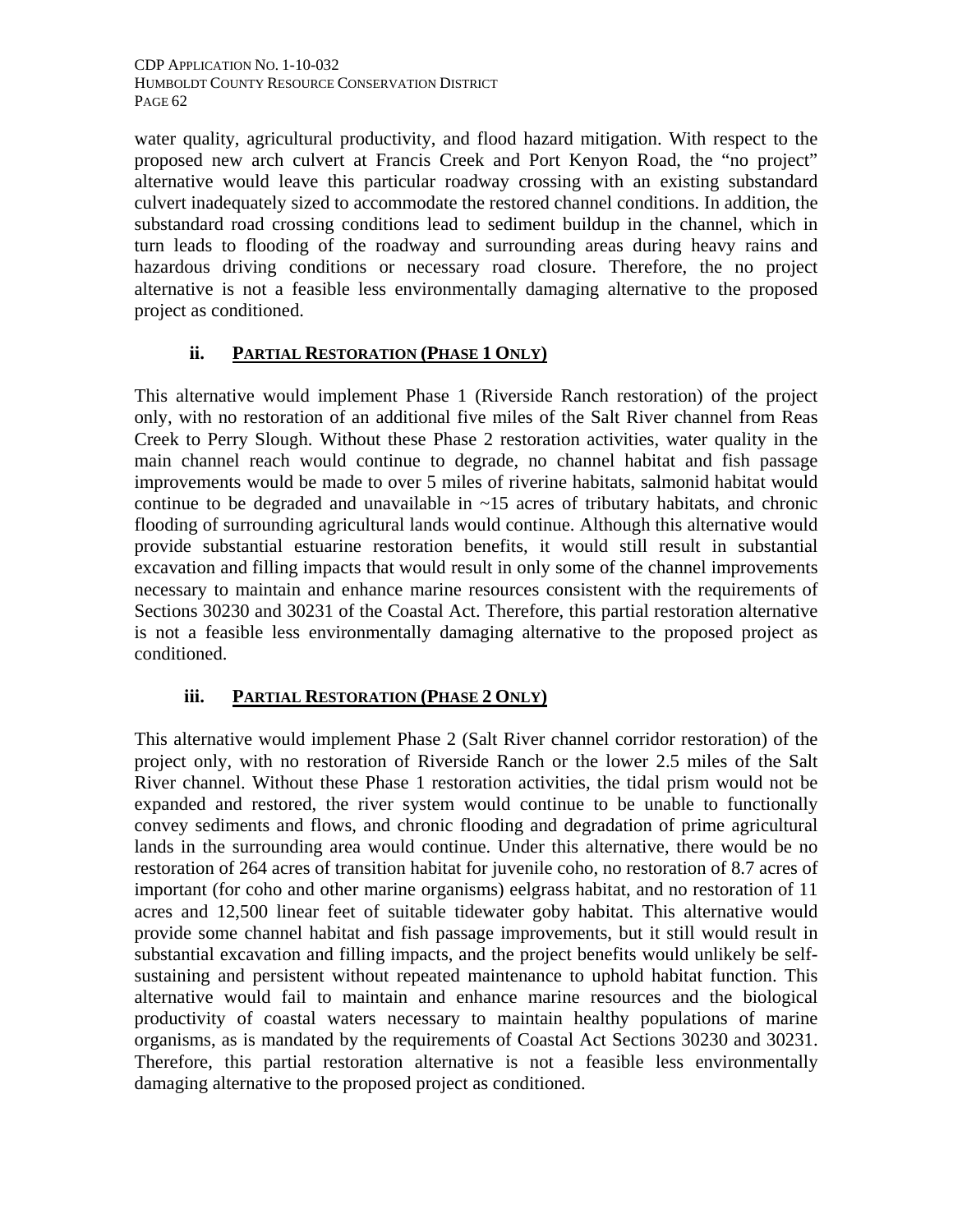water quality, agricultural productivity, and flood hazard mitigation. With respect to the proposed new arch culvert at Francis Creek and Port Kenyon Road, the "no project" alternative would leave this particular roadway crossing with an existing substandard culvert inadequately sized to accommodate the restored channel conditions. In addition, the substandard road crossing conditions lead to sediment buildup in the channel, which in turn leads to flooding of the roadway and surrounding areas during heavy rains and hazardous driving conditions or necessary road closure. Therefore, the no project alternative is not a feasible less environmentally damaging alternative to the proposed project as conditioned.

# **ii. PARTIAL RESTORATION (PHASE 1 ONLY)**

This alternative would implement Phase 1 (Riverside Ranch restoration) of the project only, with no restoration of an additional five miles of the Salt River channel from Reas Creek to Perry Slough. Without these Phase 2 restoration activities, water quality in the main channel reach would continue to degrade, no channel habitat and fish passage improvements would be made to over 5 miles of riverine habitats, salmonid habitat would continue to be degraded and unavailable in  $\sim$ 15 acres of tributary habitats, and chronic flooding of surrounding agricultural lands would continue. Although this alternative would provide substantial estuarine restoration benefits, it would still result in substantial excavation and filling impacts that would result in only some of the channel improvements necessary to maintain and enhance marine resources consistent with the requirements of Sections 30230 and 30231 of the Coastal Act. Therefore, this partial restoration alternative is not a feasible less environmentally damaging alternative to the proposed project as conditioned.

# **iii. PARTIAL RESTORATION (PHASE 2 ONLY)**

This alternative would implement Phase 2 (Salt River channel corridor restoration) of the project only, with no restoration of Riverside Ranch or the lower 2.5 miles of the Salt River channel. Without these Phase 1 restoration activities, the tidal prism would not be expanded and restored, the river system would continue to be unable to functionally convey sediments and flows, and chronic flooding and degradation of prime agricultural lands in the surrounding area would continue. Under this alternative, there would be no restoration of 264 acres of transition habitat for juvenile coho, no restoration of 8.7 acres of important (for coho and other marine organisms) eelgrass habitat, and no restoration of 11 acres and 12,500 linear feet of suitable tidewater goby habitat. This alternative would provide some channel habitat and fish passage improvements, but it still would result in substantial excavation and filling impacts, and the project benefits would unlikely be selfsustaining and persistent without repeated maintenance to uphold habitat function. This alternative would fail to maintain and enhance marine resources and the biological productivity of coastal waters necessary to maintain healthy populations of marine organisms, as is mandated by the requirements of Coastal Act Sections 30230 and 30231. Therefore, this partial restoration alternative is not a feasible less environmentally damaging alternative to the proposed project as conditioned.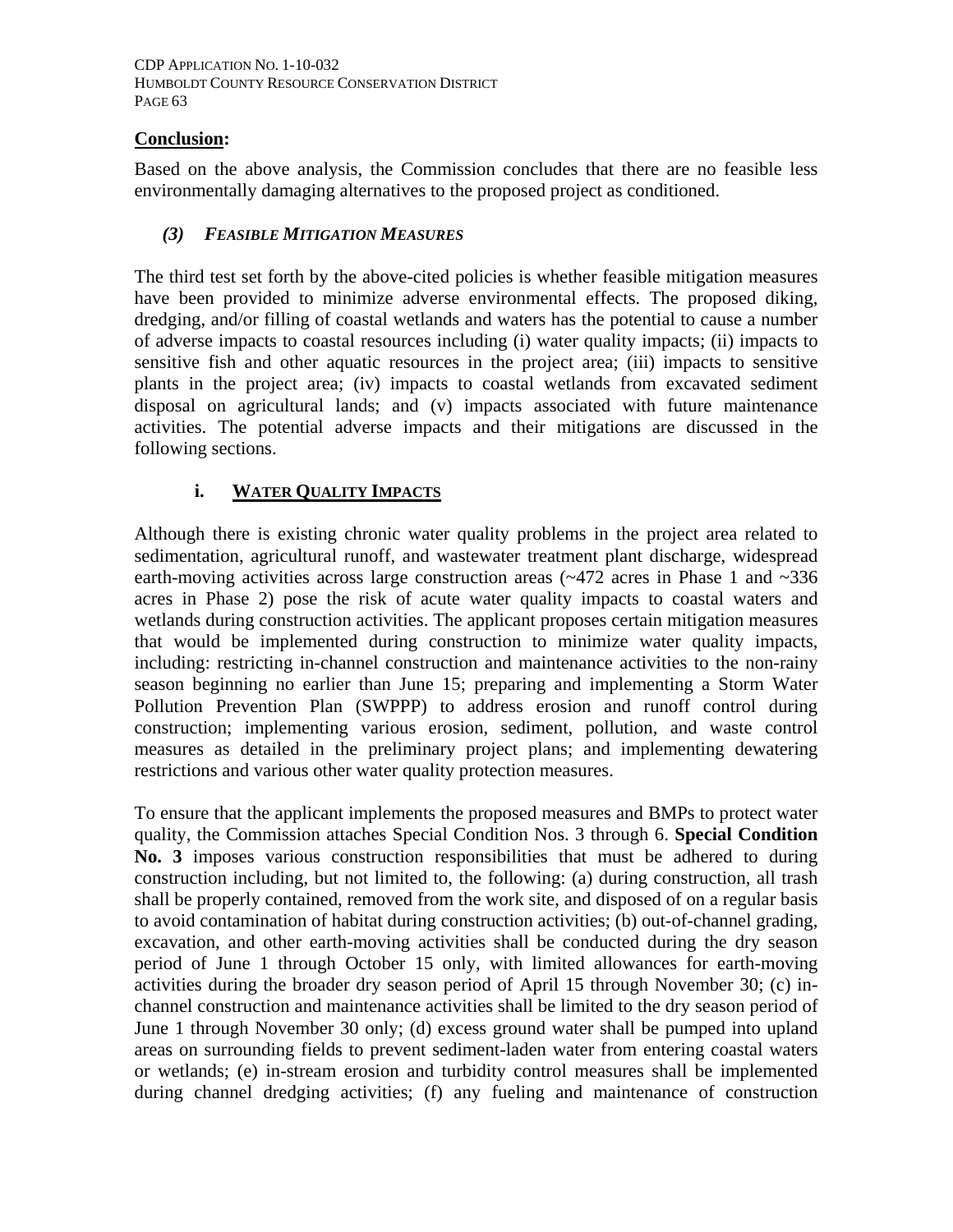#### **Conclusion:**

Based on the above analysis, the Commission concludes that there are no feasible less environmentally damaging alternatives to the proposed project as conditioned.

#### *(3) FEASIBLE MITIGATION MEASURES*

The third test set forth by the above-cited policies is whether feasible mitigation measures have been provided to minimize adverse environmental effects. The proposed diking, dredging, and/or filling of coastal wetlands and waters has the potential to cause a number of adverse impacts to coastal resources including (i) water quality impacts; (ii) impacts to sensitive fish and other aquatic resources in the project area; (iii) impacts to sensitive plants in the project area; (iv) impacts to coastal wetlands from excavated sediment disposal on agricultural lands; and (v) impacts associated with future maintenance activities. The potential adverse impacts and their mitigations are discussed in the following sections.

# **i. WATER QUALITY IMPACTS**

Although there is existing chronic water quality problems in the project area related to sedimentation, agricultural runoff, and wastewater treatment plant discharge, widespread earth-moving activities across large construction areas (~472 acres in Phase 1 and ~336 acres in Phase 2) pose the risk of acute water quality impacts to coastal waters and wetlands during construction activities. The applicant proposes certain mitigation measures that would be implemented during construction to minimize water quality impacts, including: restricting in-channel construction and maintenance activities to the non-rainy season beginning no earlier than June 15; preparing and implementing a Storm Water Pollution Prevention Plan (SWPPP) to address erosion and runoff control during construction; implementing various erosion, sediment, pollution, and waste control measures as detailed in the preliminary project plans; and implementing dewatering restrictions and various other water quality protection measures.

To ensure that the applicant implements the proposed measures and BMPs to protect water quality, the Commission attaches Special Condition Nos. 3 through 6. **Special Condition No. 3** imposes various construction responsibilities that must be adhered to during construction including, but not limited to, the following: (a) during construction, all trash shall be properly contained, removed from the work site, and disposed of on a regular basis to avoid contamination of habitat during construction activities; (b) out-of-channel grading, excavation, and other earth-moving activities shall be conducted during the dry season period of June 1 through October 15 only, with limited allowances for earth-moving activities during the broader dry season period of April 15 through November 30; (c) inchannel construction and maintenance activities shall be limited to the dry season period of June 1 through November 30 only; (d) excess ground water shall be pumped into upland areas on surrounding fields to prevent sediment-laden water from entering coastal waters or wetlands; (e) in-stream erosion and turbidity control measures shall be implemented during channel dredging activities; (f) any fueling and maintenance of construction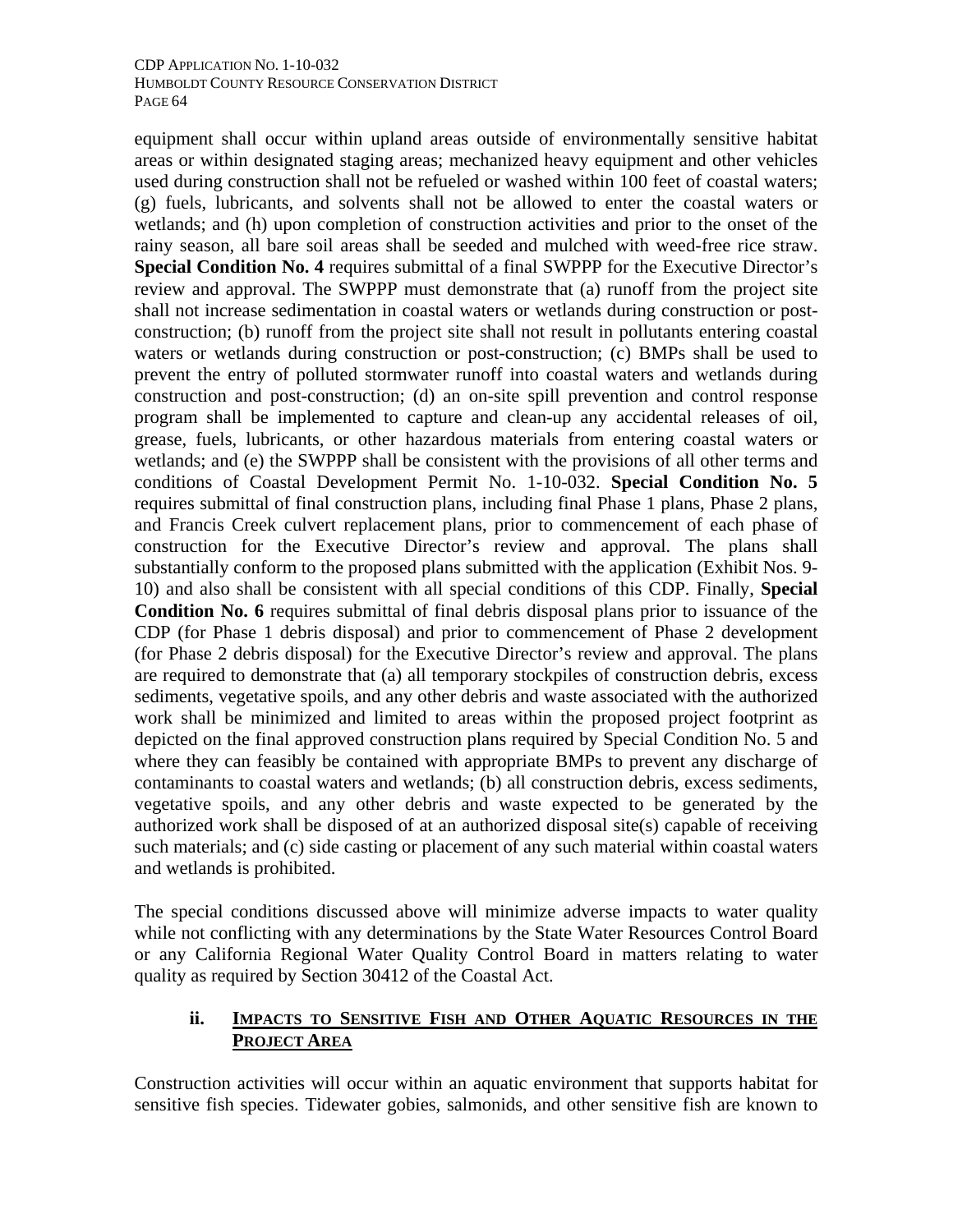equipment shall occur within upland areas outside of environmentally sensitive habitat areas or within designated staging areas; mechanized heavy equipment and other vehicles used during construction shall not be refueled or washed within 100 feet of coastal waters; (g) fuels, lubricants, and solvents shall not be allowed to enter the coastal waters or wetlands; and (h) upon completion of construction activities and prior to the onset of the rainy season, all bare soil areas shall be seeded and mulched with weed-free rice straw. **Special Condition No. 4** requires submittal of a final SWPPP for the Executive Director's review and approval. The SWPPP must demonstrate that (a) runoff from the project site shall not increase sedimentation in coastal waters or wetlands during construction or postconstruction; (b) runoff from the project site shall not result in pollutants entering coastal waters or wetlands during construction or post-construction; (c) BMPs shall be used to prevent the entry of polluted stormwater runoff into coastal waters and wetlands during construction and post-construction; (d) an on-site spill prevention and control response program shall be implemented to capture and clean-up any accidental releases of oil, grease, fuels, lubricants, or other hazardous materials from entering coastal waters or wetlands; and (e) the SWPPP shall be consistent with the provisions of all other terms and conditions of Coastal Development Permit No. 1-10-032. **Special Condition No. 5** requires submittal of final construction plans, including final Phase 1 plans, Phase 2 plans, and Francis Creek culvert replacement plans, prior to commencement of each phase of construction for the Executive Director's review and approval. The plans shall substantially conform to the proposed plans submitted with the application (Exhibit Nos. 9- 10) and also shall be consistent with all special conditions of this CDP. Finally, **Special Condition No. 6** requires submittal of final debris disposal plans prior to issuance of the CDP (for Phase 1 debris disposal) and prior to commencement of Phase 2 development (for Phase 2 debris disposal) for the Executive Director's review and approval. The plans are required to demonstrate that (a) all temporary stockpiles of construction debris, excess sediments, vegetative spoils, and any other debris and waste associated with the authorized work shall be minimized and limited to areas within the proposed project footprint as depicted on the final approved construction plans required by Special Condition No. 5 and where they can feasibly be contained with appropriate BMPs to prevent any discharge of contaminants to coastal waters and wetlands; (b) all construction debris, excess sediments, vegetative spoils, and any other debris and waste expected to be generated by the authorized work shall be disposed of at an authorized disposal site(s) capable of receiving such materials; and (c) side casting or placement of any such material within coastal waters and wetlands is prohibited.

The special conditions discussed above will minimize adverse impacts to water quality while not conflicting with any determinations by the State Water Resources Control Board or any California Regional Water Quality Control Board in matters relating to water quality as required by Section 30412 of the Coastal Act.

### **ii. IMPACTS TO SENSITIVE FISH AND OTHER AQUATIC RESOURCES IN THE PROJECT AREA**

Construction activities will occur within an aquatic environment that supports habitat for sensitive fish species. Tidewater gobies, salmonids, and other sensitive fish are known to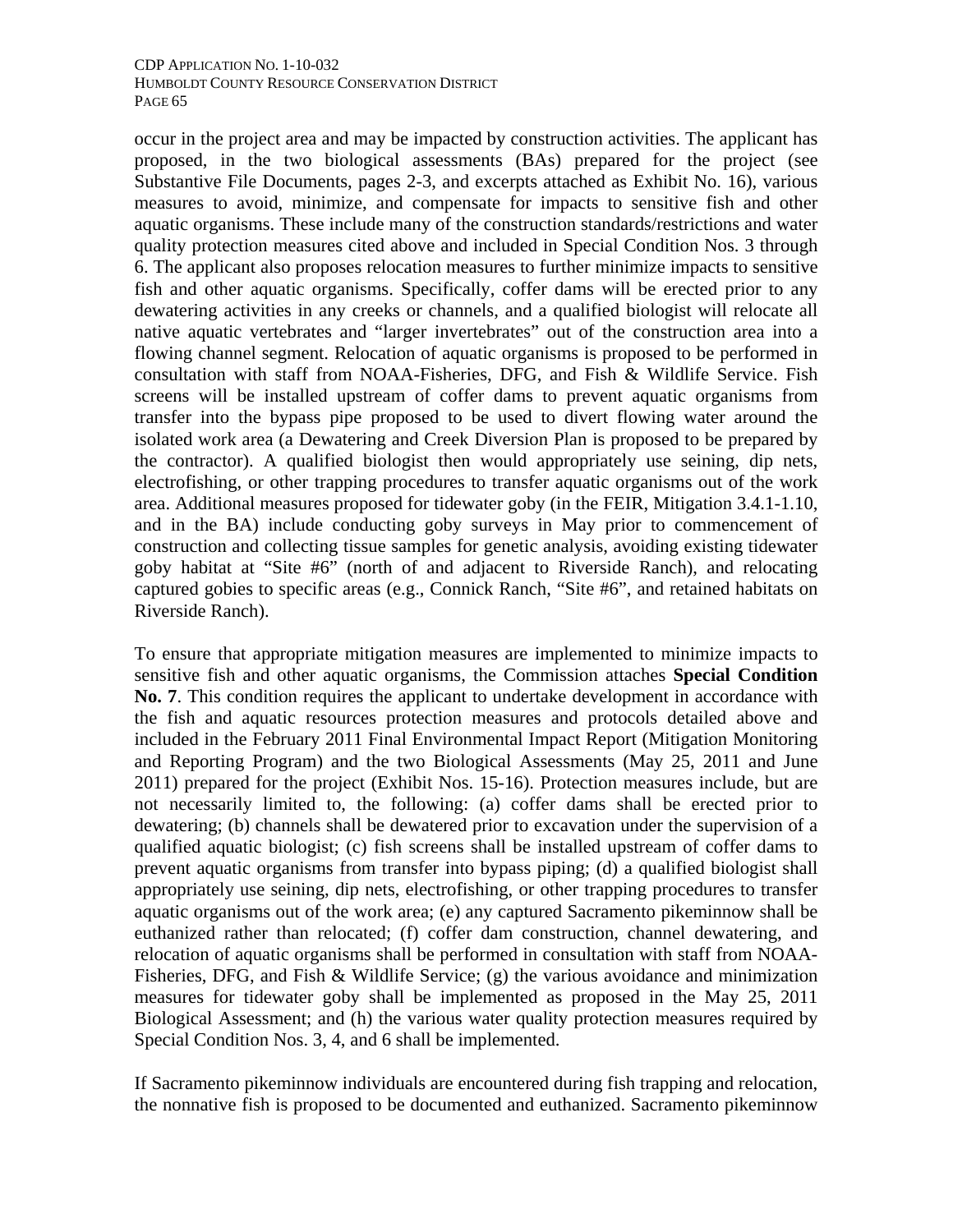occur in the project area and may be impacted by construction activities. The applicant has proposed, in the two biological assessments (BAs) prepared for the project (see Substantive File Documents, pages 2-3, and excerpts attached as Exhibit No. 16), various measures to avoid, minimize, and compensate for impacts to sensitive fish and other aquatic organisms. These include many of the construction standards/restrictions and water quality protection measures cited above and included in Special Condition Nos. 3 through 6. The applicant also proposes relocation measures to further minimize impacts to sensitive fish and other aquatic organisms. Specifically, coffer dams will be erected prior to any dewatering activities in any creeks or channels, and a qualified biologist will relocate all native aquatic vertebrates and "larger invertebrates" out of the construction area into a flowing channel segment. Relocation of aquatic organisms is proposed to be performed in consultation with staff from NOAA-Fisheries, DFG, and Fish & Wildlife Service. Fish screens will be installed upstream of coffer dams to prevent aquatic organisms from transfer into the bypass pipe proposed to be used to divert flowing water around the isolated work area (a Dewatering and Creek Diversion Plan is proposed to be prepared by the contractor). A qualified biologist then would appropriately use seining, dip nets, electrofishing, or other trapping procedures to transfer aquatic organisms out of the work area. Additional measures proposed for tidewater goby (in the FEIR, Mitigation 3.4.1-1.10, and in the BA) include conducting goby surveys in May prior to commencement of construction and collecting tissue samples for genetic analysis, avoiding existing tidewater goby habitat at "Site #6" (north of and adjacent to Riverside Ranch), and relocating captured gobies to specific areas (e.g., Connick Ranch, "Site #6", and retained habitats on Riverside Ranch).

To ensure that appropriate mitigation measures are implemented to minimize impacts to sensitive fish and other aquatic organisms, the Commission attaches **Special Condition No. 7**. This condition requires the applicant to undertake development in accordance with the fish and aquatic resources protection measures and protocols detailed above and included in the February 2011 Final Environmental Impact Report (Mitigation Monitoring and Reporting Program) and the two Biological Assessments (May 25, 2011 and June 2011) prepared for the project (Exhibit Nos. 15-16). Protection measures include, but are not necessarily limited to, the following: (a) coffer dams shall be erected prior to dewatering; (b) channels shall be dewatered prior to excavation under the supervision of a qualified aquatic biologist; (c) fish screens shall be installed upstream of coffer dams to prevent aquatic organisms from transfer into bypass piping; (d) a qualified biologist shall appropriately use seining, dip nets, electrofishing, or other trapping procedures to transfer aquatic organisms out of the work area; (e) any captured Sacramento pikeminnow shall be euthanized rather than relocated; (f) coffer dam construction, channel dewatering, and relocation of aquatic organisms shall be performed in consultation with staff from NOAA-Fisheries, DFG, and Fish & Wildlife Service; (g) the various avoidance and minimization measures for tidewater goby shall be implemented as proposed in the May 25, 2011 Biological Assessment; and (h) the various water quality protection measures required by Special Condition Nos. 3, 4, and 6 shall be implemented.

If Sacramento pikeminnow individuals are encountered during fish trapping and relocation, the nonnative fish is proposed to be documented and euthanized. Sacramento pikeminnow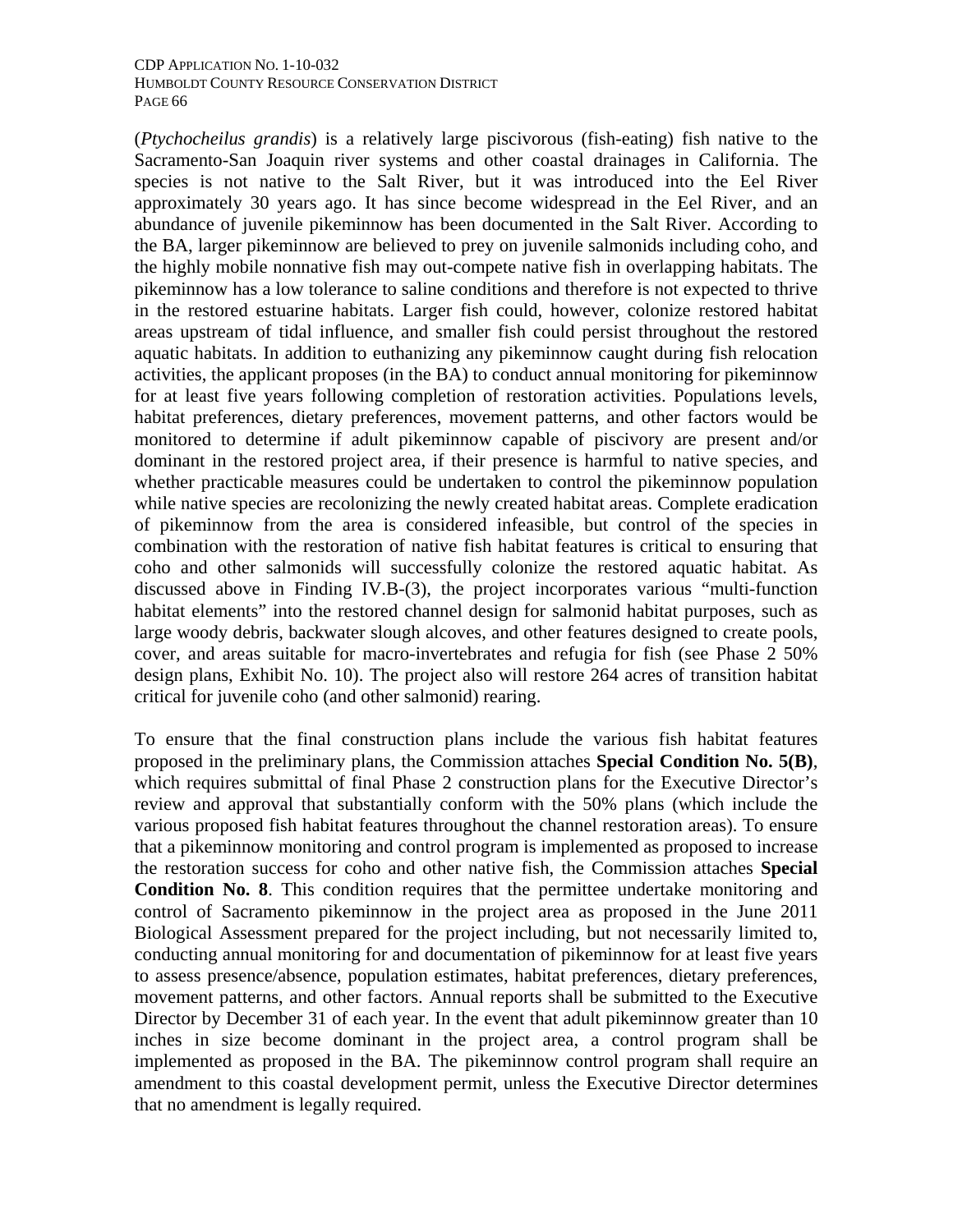(*Ptychocheilus grandis*) is a relatively large piscivorous (fish-eating) fish native to the Sacramento-San Joaquin river systems and other coastal drainages in California. The species is not native to the Salt River, but it was introduced into the Eel River approximately 30 years ago. It has since become widespread in the Eel River, and an abundance of juvenile pikeminnow has been documented in the Salt River. According to the BA, larger pikeminnow are believed to prey on juvenile salmonids including coho, and the highly mobile nonnative fish may out-compete native fish in overlapping habitats. The pikeminnow has a low tolerance to saline conditions and therefore is not expected to thrive in the restored estuarine habitats. Larger fish could, however, colonize restored habitat areas upstream of tidal influence, and smaller fish could persist throughout the restored aquatic habitats. In addition to euthanizing any pikeminnow caught during fish relocation activities, the applicant proposes (in the BA) to conduct annual monitoring for pikeminnow for at least five years following completion of restoration activities. Populations levels, habitat preferences, dietary preferences, movement patterns, and other factors would be monitored to determine if adult pikeminnow capable of piscivory are present and/or dominant in the restored project area, if their presence is harmful to native species, and whether practicable measures could be undertaken to control the pikeminnow population while native species are recolonizing the newly created habitat areas. Complete eradication of pikeminnow from the area is considered infeasible, but control of the species in combination with the restoration of native fish habitat features is critical to ensuring that coho and other salmonids will successfully colonize the restored aquatic habitat. As discussed above in Finding IV.B-(3), the project incorporates various "multi-function habitat elements" into the restored channel design for salmonid habitat purposes, such as large woody debris, backwater slough alcoves, and other features designed to create pools, cover, and areas suitable for macro-invertebrates and refugia for fish (see Phase 2 50% design plans, Exhibit No. 10). The project also will restore 264 acres of transition habitat critical for juvenile coho (and other salmonid) rearing.

To ensure that the final construction plans include the various fish habitat features proposed in the preliminary plans, the Commission attaches **Special Condition No. 5(B)**, which requires submittal of final Phase 2 construction plans for the Executive Director's review and approval that substantially conform with the 50% plans (which include the various proposed fish habitat features throughout the channel restoration areas). To ensure that a pikeminnow monitoring and control program is implemented as proposed to increase the restoration success for coho and other native fish, the Commission attaches **Special Condition No. 8**. This condition requires that the permittee undertake monitoring and control of Sacramento pikeminnow in the project area as proposed in the June 2011 Biological Assessment prepared for the project including, but not necessarily limited to, conducting annual monitoring for and documentation of pikeminnow for at least five years to assess presence/absence, population estimates, habitat preferences, dietary preferences, movement patterns, and other factors. Annual reports shall be submitted to the Executive Director by December 31 of each year. In the event that adult pikeminnow greater than 10 inches in size become dominant in the project area, a control program shall be implemented as proposed in the BA. The pikeminnow control program shall require an amendment to this coastal development permit, unless the Executive Director determines that no amendment is legally required.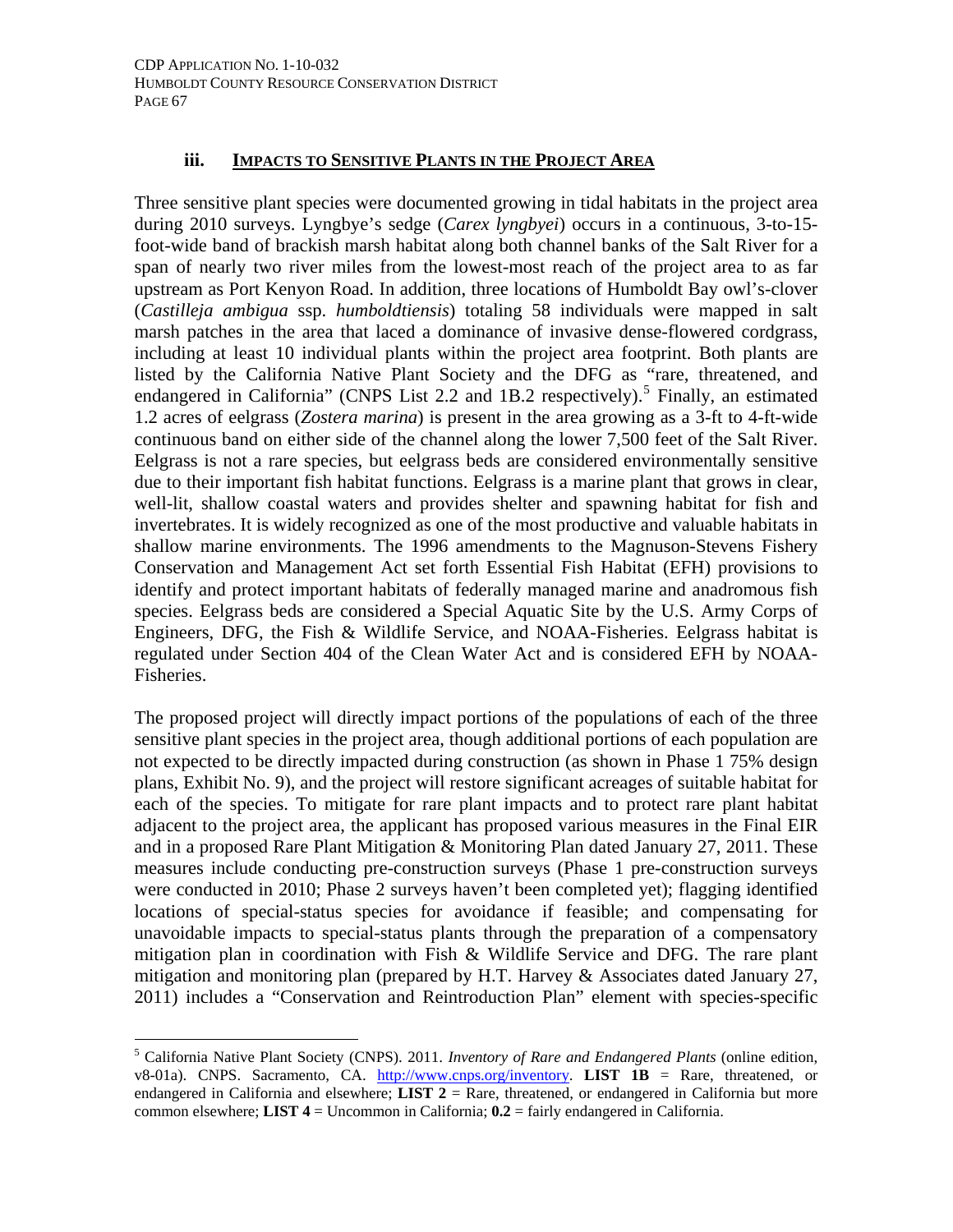#### **iii. IMPACTS TO SENSITIVE PLANTS IN THE PROJECT AREA**

Three sensitive plant species were documented growing in tidal habitats in the project area during 2010 surveys. Lyngbye's sedge (*Carex lyngbyei*) occurs in a continuous, 3-to-15 foot-wide band of brackish marsh habitat along both channel banks of the Salt River for a span of nearly two river miles from the lowest-most reach of the project area to as far upstream as Port Kenyon Road. In addition, three locations of Humboldt Bay owl's-clover (*Castilleja ambigua* ssp. *humboldtiensis*) totaling 58 individuals were mapped in salt marsh patches in the area that laced a dominance of invasive dense-flowered cordgrass, including at least 10 individual plants within the project area footprint. Both plants are listed by the California Native Plant Society and the DFG as "rare, threatened, and endangered in California" (CNPS List 2.2 and 1B.2 respectively).<sup>[5](#page-88-0)</sup> Finally, an estimated 1.2 acres of eelgrass (*Zostera marina*) is present in the area growing as a 3-ft to 4-ft-wide continuous band on either side of the channel along the lower 7,500 feet of the Salt River. Eelgrass is not a rare species, but eelgrass beds are considered environmentally sensitive due to their important fish habitat functions. Eelgrass is a marine plant that grows in clear, well-lit, shallow coastal waters and provides shelter and spawning habitat for fish and invertebrates. It is widely recognized as one of the most productive and valuable habitats in shallow marine environments. The 1996 amendments to the Magnuson-Stevens Fishery Conservation and Management Act set forth Essential Fish Habitat (EFH) provisions to identify and protect important habitats of federally managed marine and anadromous fish species. Eelgrass beds are considered a Special Aquatic Site by the U.S. Army Corps of Engineers, DFG, the Fish & Wildlife Service, and NOAA-Fisheries. Eelgrass habitat is regulated under Section 404 of the Clean Water Act and is considered EFH by NOAA-Fisheries.

The proposed project will directly impact portions of the populations of each of the three sensitive plant species in the project area, though additional portions of each population are not expected to be directly impacted during construction (as shown in Phase 1 75% design plans, Exhibit No. 9), and the project will restore significant acreages of suitable habitat for each of the species. To mitigate for rare plant impacts and to protect rare plant habitat adjacent to the project area, the applicant has proposed various measures in the Final EIR and in a proposed Rare Plant Mitigation & Monitoring Plan dated January 27, 2011. These measures include conducting pre-construction surveys (Phase 1 pre-construction surveys were conducted in 2010; Phase 2 surveys haven't been completed yet); flagging identified locations of special-status species for avoidance if feasible; and compensating for unavoidable impacts to special-status plants through the preparation of a compensatory mitigation plan in coordination with Fish & Wildlife Service and DFG. The rare plant mitigation and monitoring plan (prepared by H.T. Harvey & Associates dated January 27, 2011) includes a "Conservation and Reintroduction Plan" element with species-specific

 $\overline{a}$ 

<span id="page-88-0"></span><sup>5</sup> California Native Plant Society (CNPS). 2011. *Inventory of Rare and Endangered Plants* (online edition, v8-01a). CNPS. Sacramento, CA. [http://www.cnps.org/inventory.](http://www.cnps.org/inventory) **LIST 1B** = Rare, threatened, or endangered in California and elsewhere; **LIST 2** = Rare, threatened, or endangered in California but more common elsewhere; **LIST 4** = Uncommon in California; **0.2** = fairly endangered in California.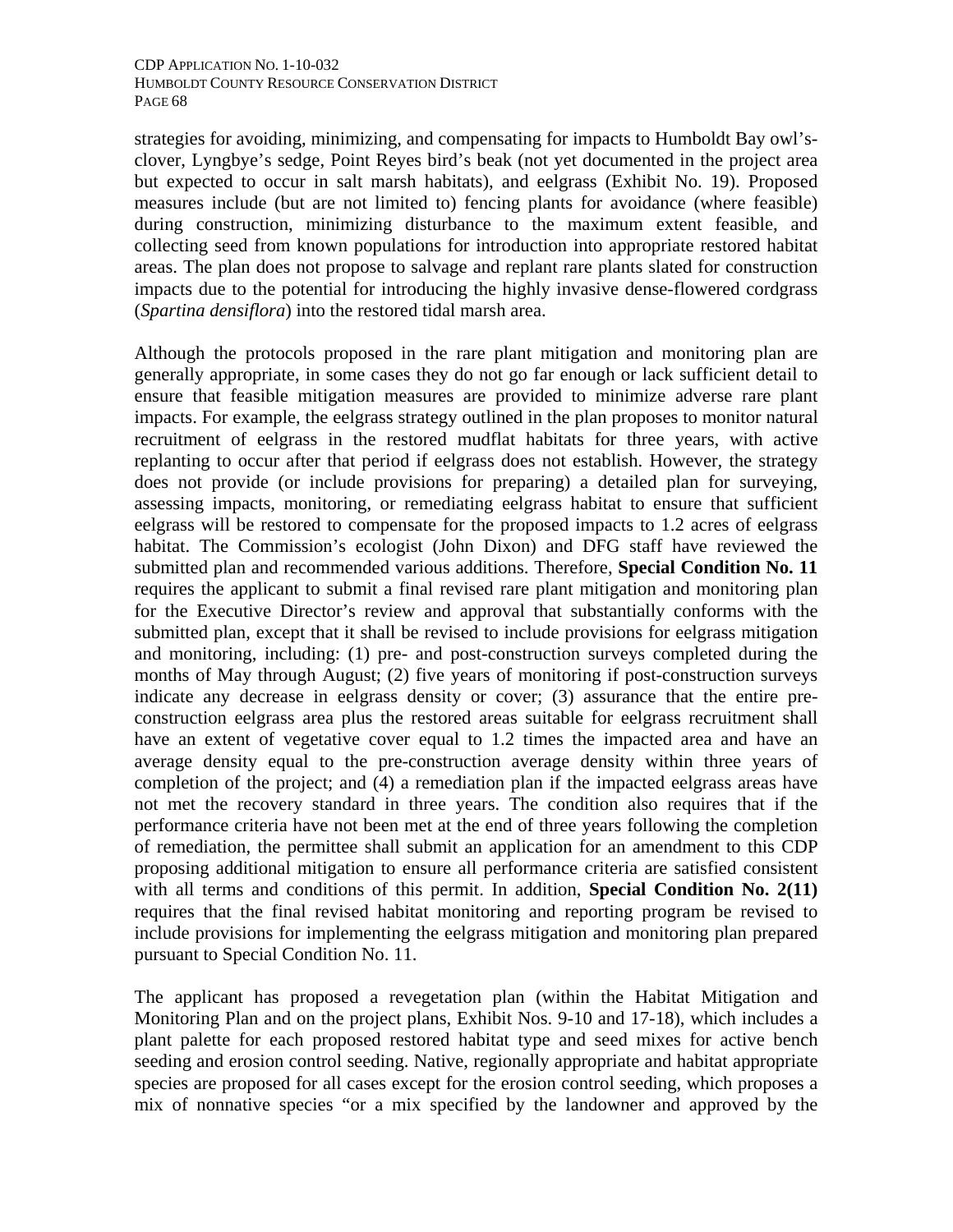strategies for avoiding, minimizing, and compensating for impacts to Humboldt Bay owl'sclover, Lyngbye's sedge, Point Reyes bird's beak (not yet documented in the project area but expected to occur in salt marsh habitats), and eelgrass (Exhibit No. 19). Proposed measures include (but are not limited to) fencing plants for avoidance (where feasible) during construction, minimizing disturbance to the maximum extent feasible, and collecting seed from known populations for introduction into appropriate restored habitat areas. The plan does not propose to salvage and replant rare plants slated for construction impacts due to the potential for introducing the highly invasive dense-flowered cordgrass (*Spartina densiflora*) into the restored tidal marsh area.

Although the protocols proposed in the rare plant mitigation and monitoring plan are generally appropriate, in some cases they do not go far enough or lack sufficient detail to ensure that feasible mitigation measures are provided to minimize adverse rare plant impacts. For example, the eelgrass strategy outlined in the plan proposes to monitor natural recruitment of eelgrass in the restored mudflat habitats for three years, with active replanting to occur after that period if eelgrass does not establish. However, the strategy does not provide (or include provisions for preparing) a detailed plan for surveying, assessing impacts, monitoring, or remediating eelgrass habitat to ensure that sufficient eelgrass will be restored to compensate for the proposed impacts to 1.2 acres of eelgrass habitat. The Commission's ecologist (John Dixon) and DFG staff have reviewed the submitted plan and recommended various additions. Therefore, **Special Condition No. 11** requires the applicant to submit a final revised rare plant mitigation and monitoring plan for the Executive Director's review and approval that substantially conforms with the submitted plan, except that it shall be revised to include provisions for eelgrass mitigation and monitoring, including: (1) pre- and post-construction surveys completed during the months of May through August; (2) five years of monitoring if post-construction surveys indicate any decrease in eelgrass density or cover; (3) assurance that the entire preconstruction eelgrass area plus the restored areas suitable for eelgrass recruitment shall have an extent of vegetative cover equal to 1.2 times the impacted area and have an average density equal to the pre-construction average density within three years of completion of the project; and (4) a remediation plan if the impacted eelgrass areas have not met the recovery standard in three years. The condition also requires that if the performance criteria have not been met at the end of three years following the completion of remediation, the permittee shall submit an application for an amendment to this CDP proposing additional mitigation to ensure all performance criteria are satisfied consistent with all terms and conditions of this permit. In addition, **Special Condition No. 2(11)** requires that the final revised habitat monitoring and reporting program be revised to include provisions for implementing the eelgrass mitigation and monitoring plan prepared pursuant to Special Condition No. 11.

The applicant has proposed a revegetation plan (within the Habitat Mitigation and Monitoring Plan and on the project plans, Exhibit Nos. 9-10 and 17-18), which includes a plant palette for each proposed restored habitat type and seed mixes for active bench seeding and erosion control seeding. Native, regionally appropriate and habitat appropriate species are proposed for all cases except for the erosion control seeding, which proposes a mix of nonnative species "or a mix specified by the landowner and approved by the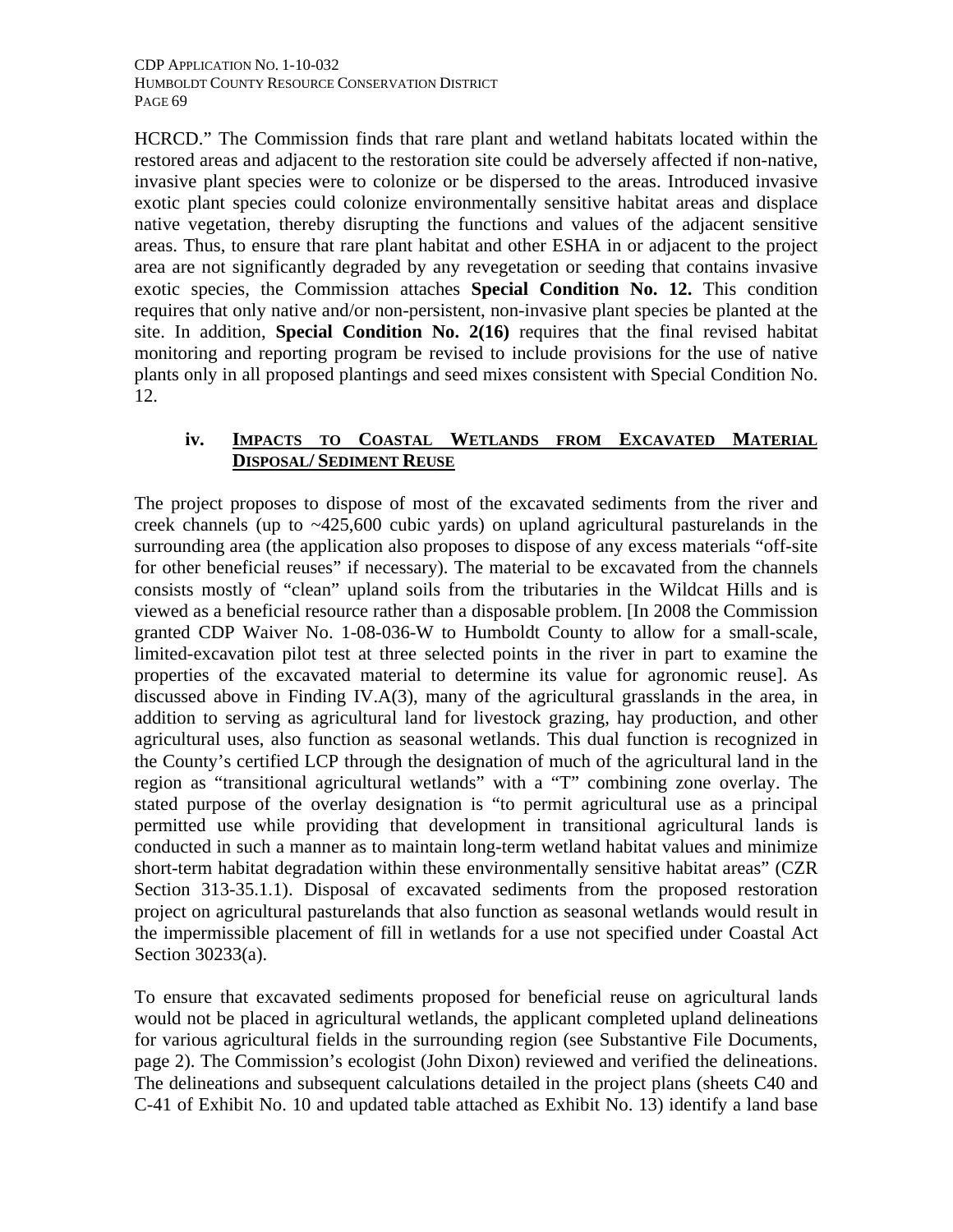HCRCD." The Commission finds that rare plant and wetland habitats located within the restored areas and adjacent to the restoration site could be adversely affected if non-native, invasive plant species were to colonize or be dispersed to the areas. Introduced invasive exotic plant species could colonize environmentally sensitive habitat areas and displace native vegetation, thereby disrupting the functions and values of the adjacent sensitive areas. Thus, to ensure that rare plant habitat and other ESHA in or adjacent to the project area are not significantly degraded by any revegetation or seeding that contains invasive exotic species, the Commission attaches **Special Condition No. 12.** This condition requires that only native and/or non-persistent, non-invasive plant species be planted at the site. In addition, **Special Condition No. 2(16)** requires that the final revised habitat monitoring and reporting program be revised to include provisions for the use of native plants only in all proposed plantings and seed mixes consistent with Special Condition No. 12.

#### **iv. IMPACTS TO COASTAL WETLANDS FROM EXCAVATED MATERIAL DISPOSAL/ SEDIMENT REUSE**

The project proposes to dispose of most of the excavated sediments from the river and creek channels (up to ~425,600 cubic yards) on upland agricultural pasturelands in the surrounding area (the application also proposes to dispose of any excess materials "off-site for other beneficial reuses" if necessary). The material to be excavated from the channels consists mostly of "clean" upland soils from the tributaries in the Wildcat Hills and is viewed as a beneficial resource rather than a disposable problem. [In 2008 the Commission granted CDP Waiver No. 1-08-036-W to Humboldt County to allow for a small-scale, limited-excavation pilot test at three selected points in the river in part to examine the properties of the excavated material to determine its value for agronomic reuse]. As discussed above in Finding IV.A(3), many of the agricultural grasslands in the area, in addition to serving as agricultural land for livestock grazing, hay production, and other agricultural uses, also function as seasonal wetlands. This dual function is recognized in the County's certified LCP through the designation of much of the agricultural land in the region as "transitional agricultural wetlands" with a "T" combining zone overlay. The stated purpose of the overlay designation is "to permit agricultural use as a principal permitted use while providing that development in transitional agricultural lands is conducted in such a manner as to maintain long-term wetland habitat values and minimize short-term habitat degradation within these environmentally sensitive habitat areas" (CZR Section 313-35.1.1). Disposal of excavated sediments from the proposed restoration project on agricultural pasturelands that also function as seasonal wetlands would result in the impermissible placement of fill in wetlands for a use not specified under Coastal Act Section 30233(a).

To ensure that excavated sediments proposed for beneficial reuse on agricultural lands would not be placed in agricultural wetlands, the applicant completed upland delineations for various agricultural fields in the surrounding region (see Substantive File Documents, page 2). The Commission's ecologist (John Dixon) reviewed and verified the delineations. The delineations and subsequent calculations detailed in the project plans (sheets C40 and C-41 of Exhibit No. 10 and updated table attached as Exhibit No. 13) identify a land base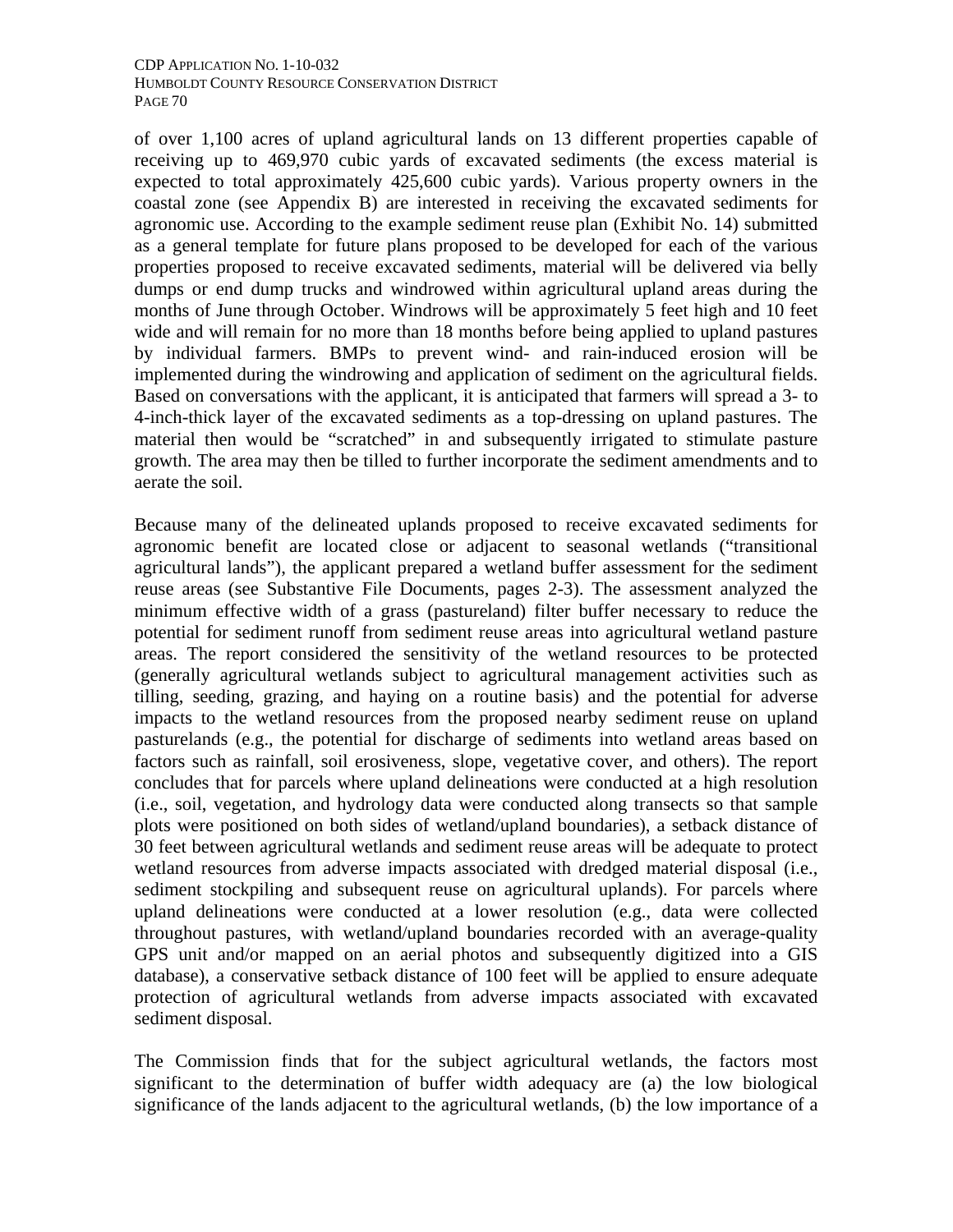of over 1,100 acres of upland agricultural lands on 13 different properties capable of receiving up to 469,970 cubic yards of excavated sediments (the excess material is expected to total approximately 425,600 cubic yards). Various property owners in the coastal zone (see Appendix B) are interested in receiving the excavated sediments for agronomic use. According to the example sediment reuse plan (Exhibit No. 14) submitted as a general template for future plans proposed to be developed for each of the various properties proposed to receive excavated sediments, material will be delivered via belly dumps or end dump trucks and windrowed within agricultural upland areas during the months of June through October. Windrows will be approximately 5 feet high and 10 feet wide and will remain for no more than 18 months before being applied to upland pastures by individual farmers. BMPs to prevent wind- and rain-induced erosion will be implemented during the windrowing and application of sediment on the agricultural fields. Based on conversations with the applicant, it is anticipated that farmers will spread a 3- to 4-inch-thick layer of the excavated sediments as a top-dressing on upland pastures. The material then would be "scratched" in and subsequently irrigated to stimulate pasture growth. The area may then be tilled to further incorporate the sediment amendments and to aerate the soil.

Because many of the delineated uplands proposed to receive excavated sediments for agronomic benefit are located close or adjacent to seasonal wetlands ("transitional agricultural lands"), the applicant prepared a wetland buffer assessment for the sediment reuse areas (see Substantive File Documents, pages 2-3). The assessment analyzed the minimum effective width of a grass (pastureland) filter buffer necessary to reduce the potential for sediment runoff from sediment reuse areas into agricultural wetland pasture areas. The report considered the sensitivity of the wetland resources to be protected (generally agricultural wetlands subject to agricultural management activities such as tilling, seeding, grazing, and haying on a routine basis) and the potential for adverse impacts to the wetland resources from the proposed nearby sediment reuse on upland pasturelands (e.g., the potential for discharge of sediments into wetland areas based on factors such as rainfall, soil erosiveness, slope, vegetative cover, and others). The report concludes that for parcels where upland delineations were conducted at a high resolution (i.e., soil, vegetation, and hydrology data were conducted along transects so that sample plots were positioned on both sides of wetland/upland boundaries), a setback distance of 30 feet between agricultural wetlands and sediment reuse areas will be adequate to protect wetland resources from adverse impacts associated with dredged material disposal (i.e., sediment stockpiling and subsequent reuse on agricultural uplands). For parcels where upland delineations were conducted at a lower resolution (e.g., data were collected throughout pastures, with wetland/upland boundaries recorded with an average-quality GPS unit and/or mapped on an aerial photos and subsequently digitized into a GIS database), a conservative setback distance of 100 feet will be applied to ensure adequate protection of agricultural wetlands from adverse impacts associated with excavated sediment disposal.

The Commission finds that for the subject agricultural wetlands, the factors most significant to the determination of buffer width adequacy are (a) the low biological significance of the lands adjacent to the agricultural wetlands, (b) the low importance of a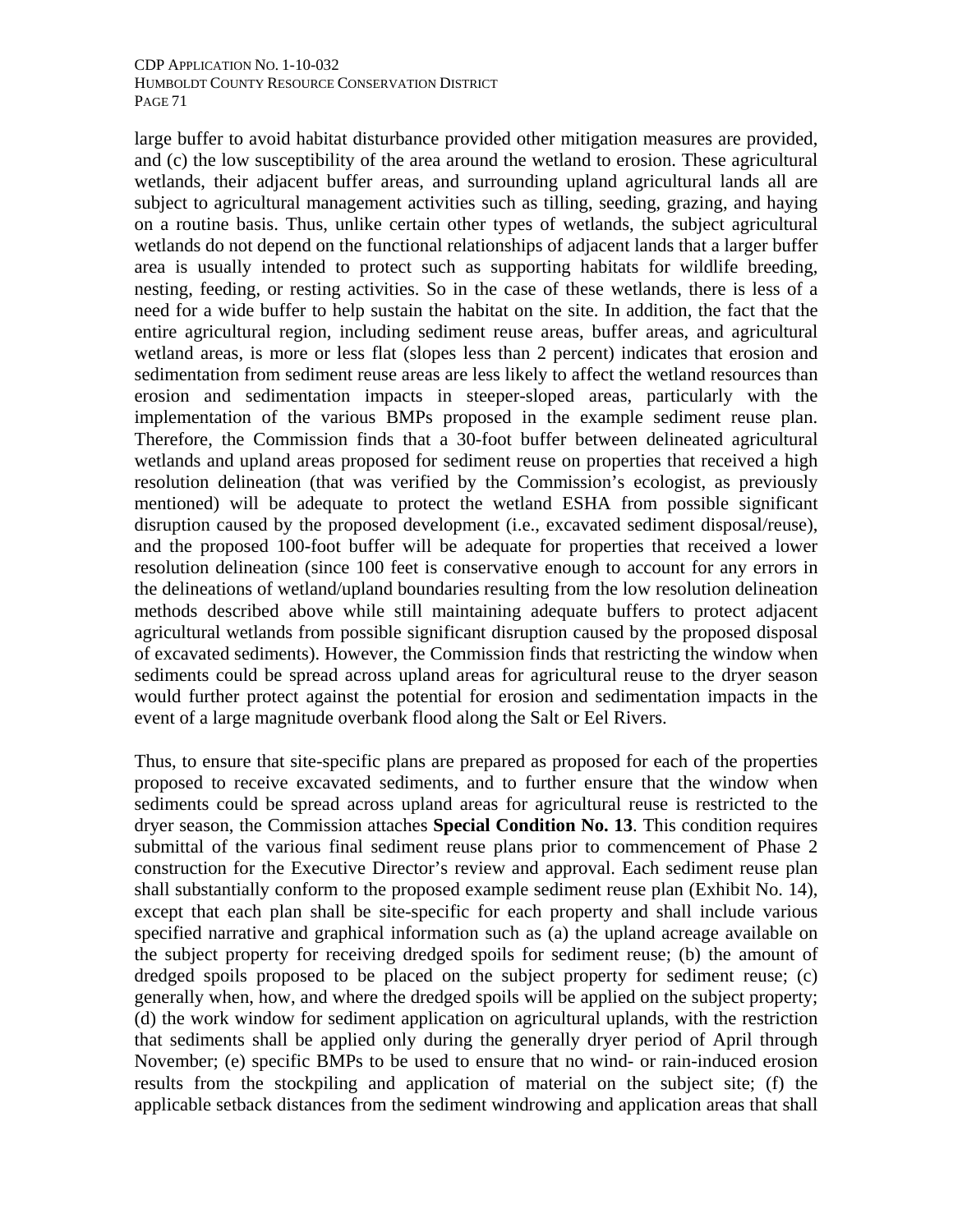large buffer to avoid habitat disturbance provided other mitigation measures are provided, and (c) the low susceptibility of the area around the wetland to erosion. These agricultural wetlands, their adjacent buffer areas, and surrounding upland agricultural lands all are subject to agricultural management activities such as tilling, seeding, grazing, and haying on a routine basis. Thus, unlike certain other types of wetlands, the subject agricultural wetlands do not depend on the functional relationships of adjacent lands that a larger buffer area is usually intended to protect such as supporting habitats for wildlife breeding, nesting, feeding, or resting activities. So in the case of these wetlands, there is less of a need for a wide buffer to help sustain the habitat on the site. In addition, the fact that the entire agricultural region, including sediment reuse areas, buffer areas, and agricultural wetland areas, is more or less flat (slopes less than 2 percent) indicates that erosion and sedimentation from sediment reuse areas are less likely to affect the wetland resources than erosion and sedimentation impacts in steeper-sloped areas, particularly with the implementation of the various BMPs proposed in the example sediment reuse plan. Therefore, the Commission finds that a 30-foot buffer between delineated agricultural wetlands and upland areas proposed for sediment reuse on properties that received a high resolution delineation (that was verified by the Commission's ecologist, as previously mentioned) will be adequate to protect the wetland ESHA from possible significant disruption caused by the proposed development (i.e., excavated sediment disposal/reuse), and the proposed 100-foot buffer will be adequate for properties that received a lower resolution delineation (since 100 feet is conservative enough to account for any errors in the delineations of wetland/upland boundaries resulting from the low resolution delineation methods described above while still maintaining adequate buffers to protect adjacent agricultural wetlands from possible significant disruption caused by the proposed disposal of excavated sediments). However, the Commission finds that restricting the window when sediments could be spread across upland areas for agricultural reuse to the dryer season would further protect against the potential for erosion and sedimentation impacts in the event of a large magnitude overbank flood along the Salt or Eel Rivers.

Thus, to ensure that site-specific plans are prepared as proposed for each of the properties proposed to receive excavated sediments, and to further ensure that the window when sediments could be spread across upland areas for agricultural reuse is restricted to the dryer season, the Commission attaches **Special Condition No. 13**. This condition requires submittal of the various final sediment reuse plans prior to commencement of Phase 2 construction for the Executive Director's review and approval. Each sediment reuse plan shall substantially conform to the proposed example sediment reuse plan (Exhibit No. 14), except that each plan shall be site-specific for each property and shall include various specified narrative and graphical information such as (a) the upland acreage available on the subject property for receiving dredged spoils for sediment reuse; (b) the amount of dredged spoils proposed to be placed on the subject property for sediment reuse; (c) generally when, how, and where the dredged spoils will be applied on the subject property; (d) the work window for sediment application on agricultural uplands, with the restriction that sediments shall be applied only during the generally dryer period of April through November; (e) specific BMPs to be used to ensure that no wind- or rain-induced erosion results from the stockpiling and application of material on the subject site; (f) the applicable setback distances from the sediment windrowing and application areas that shall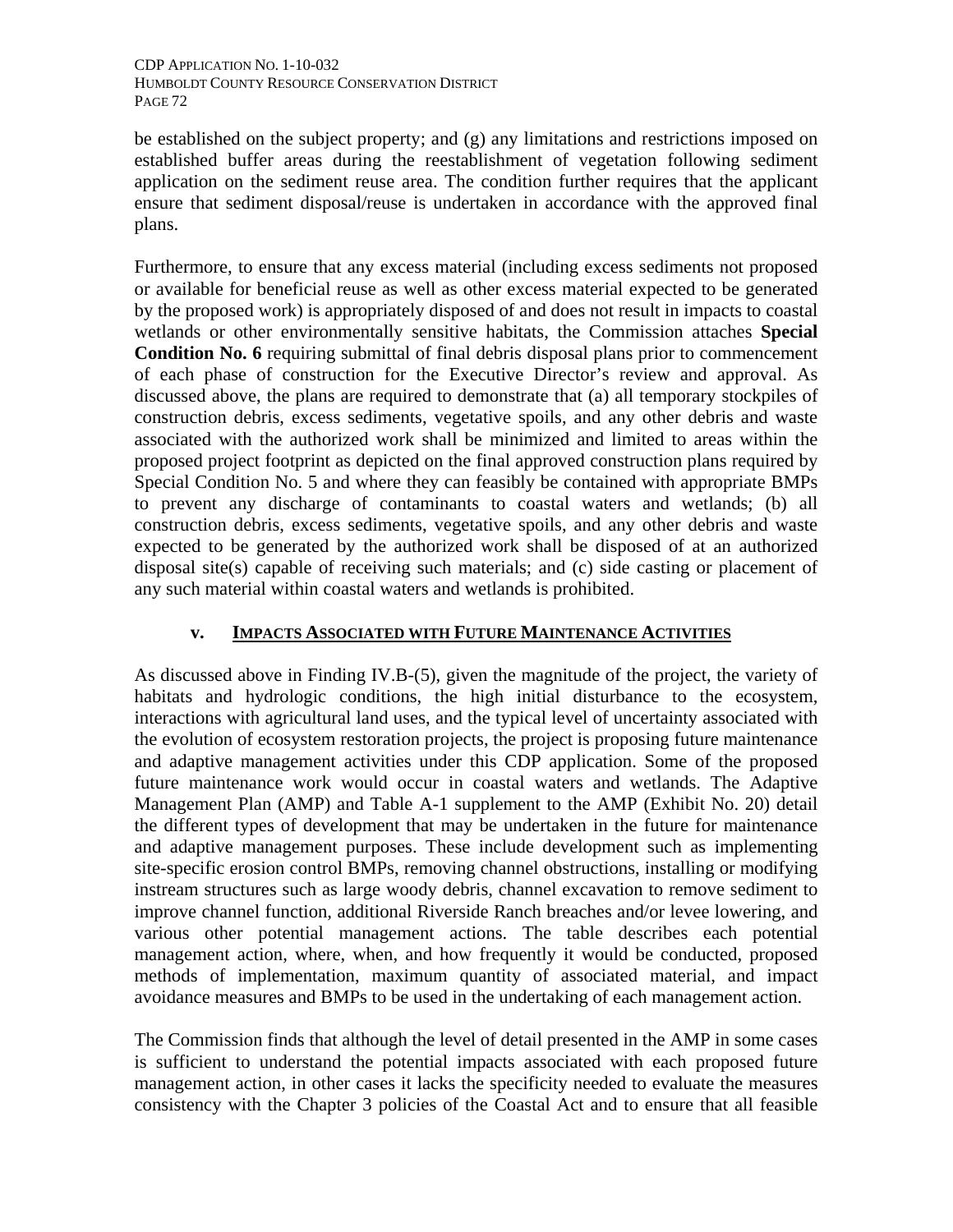be established on the subject property; and (g) any limitations and restrictions imposed on established buffer areas during the reestablishment of vegetation following sediment application on the sediment reuse area. The condition further requires that the applicant ensure that sediment disposal/reuse is undertaken in accordance with the approved final plans.

Furthermore, to ensure that any excess material (including excess sediments not proposed or available for beneficial reuse as well as other excess material expected to be generated by the proposed work) is appropriately disposed of and does not result in impacts to coastal wetlands or other environmentally sensitive habitats, the Commission attaches **Special Condition No. 6** requiring submittal of final debris disposal plans prior to commencement of each phase of construction for the Executive Director's review and approval. As discussed above, the plans are required to demonstrate that (a) all temporary stockpiles of construction debris, excess sediments, vegetative spoils, and any other debris and waste associated with the authorized work shall be minimized and limited to areas within the proposed project footprint as depicted on the final approved construction plans required by Special Condition No. 5 and where they can feasibly be contained with appropriate BMPs to prevent any discharge of contaminants to coastal waters and wetlands; (b) all construction debris, excess sediments, vegetative spoils, and any other debris and waste expected to be generated by the authorized work shall be disposed of at an authorized disposal site(s) capable of receiving such materials; and (c) side casting or placement of any such material within coastal waters and wetlands is prohibited.

### **v. IMPACTS ASSOCIATED WITH FUTURE MAINTENANCE ACTIVITIES**

As discussed above in Finding IV.B-(5), given the magnitude of the project, the variety of habitats and hydrologic conditions, the high initial disturbance to the ecosystem, interactions with agricultural land uses, and the typical level of uncertainty associated with the evolution of ecosystem restoration projects, the project is proposing future maintenance and adaptive management activities under this CDP application. Some of the proposed future maintenance work would occur in coastal waters and wetlands. The Adaptive Management Plan (AMP) and Table A-1 supplement to the AMP (Exhibit No. 20) detail the different types of development that may be undertaken in the future for maintenance and adaptive management purposes. These include development such as implementing site-specific erosion control BMPs, removing channel obstructions, installing or modifying instream structures such as large woody debris, channel excavation to remove sediment to improve channel function, additional Riverside Ranch breaches and/or levee lowering, and various other potential management actions. The table describes each potential management action, where, when, and how frequently it would be conducted, proposed methods of implementation, maximum quantity of associated material, and impact avoidance measures and BMPs to be used in the undertaking of each management action.

The Commission finds that although the level of detail presented in the AMP in some cases is sufficient to understand the potential impacts associated with each proposed future management action, in other cases it lacks the specificity needed to evaluate the measures consistency with the Chapter 3 policies of the Coastal Act and to ensure that all feasible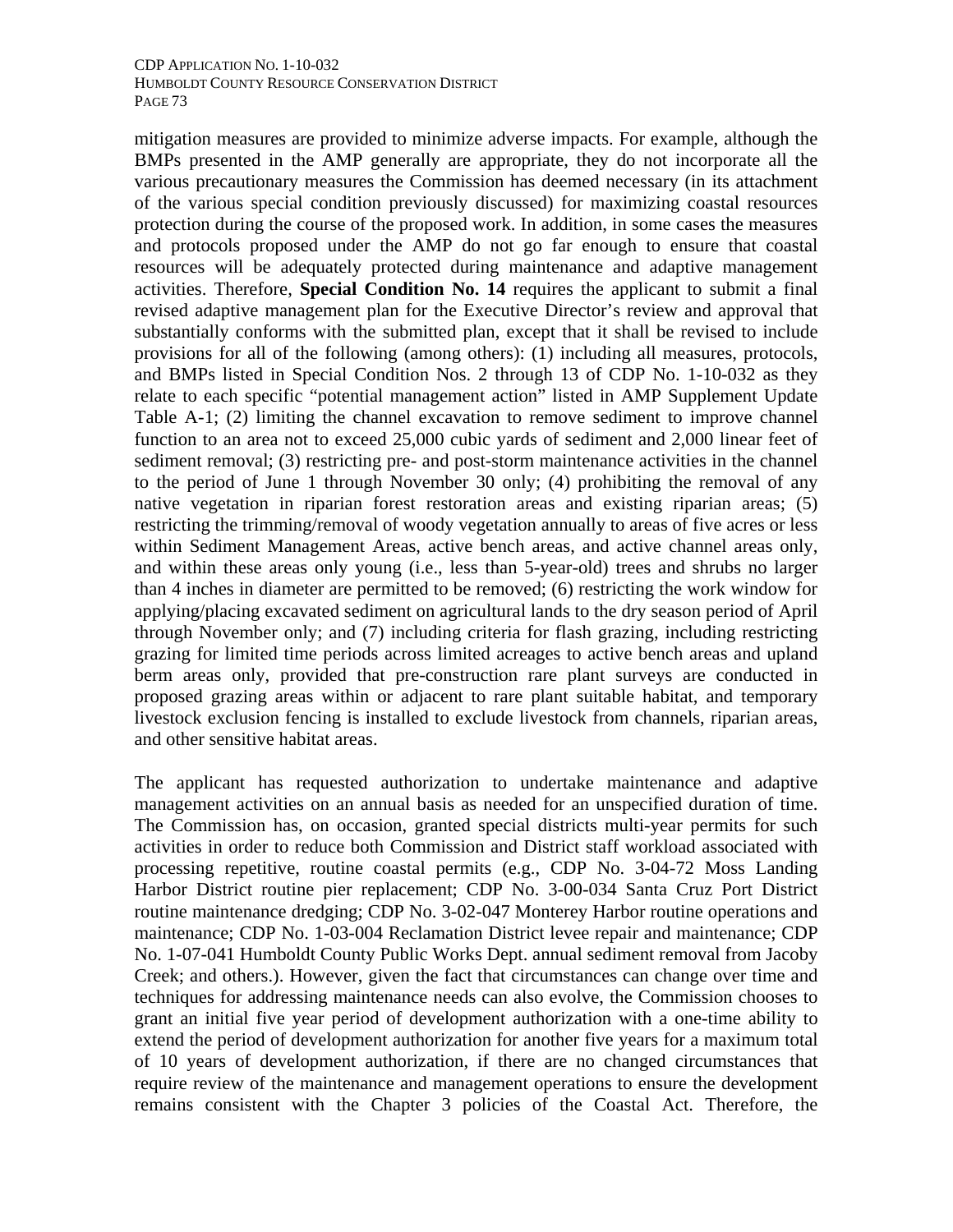mitigation measures are provided to minimize adverse impacts. For example, although the BMPs presented in the AMP generally are appropriate, they do not incorporate all the various precautionary measures the Commission has deemed necessary (in its attachment of the various special condition previously discussed) for maximizing coastal resources protection during the course of the proposed work. In addition, in some cases the measures and protocols proposed under the AMP do not go far enough to ensure that coastal resources will be adequately protected during maintenance and adaptive management activities. Therefore, **Special Condition No. 14** requires the applicant to submit a final revised adaptive management plan for the Executive Director's review and approval that substantially conforms with the submitted plan, except that it shall be revised to include provisions for all of the following (among others): (1) including all measures, protocols, and BMPs listed in Special Condition Nos. 2 through 13 of CDP No. 1-10-032 as they relate to each specific "potential management action" listed in AMP Supplement Update Table A-1; (2) limiting the channel excavation to remove sediment to improve channel function to an area not to exceed 25,000 cubic yards of sediment and 2,000 linear feet of sediment removal; (3) restricting pre- and post-storm maintenance activities in the channel to the period of June 1 through November 30 only; (4) prohibiting the removal of any native vegetation in riparian forest restoration areas and existing riparian areas; (5) restricting the trimming/removal of woody vegetation annually to areas of five acres or less within Sediment Management Areas, active bench areas, and active channel areas only, and within these areas only young (i.e., less than 5-year-old) trees and shrubs no larger than 4 inches in diameter are permitted to be removed; (6) restricting the work window for applying/placing excavated sediment on agricultural lands to the dry season period of April through November only; and (7) including criteria for flash grazing, including restricting grazing for limited time periods across limited acreages to active bench areas and upland berm areas only, provided that pre-construction rare plant surveys are conducted in proposed grazing areas within or adjacent to rare plant suitable habitat, and temporary livestock exclusion fencing is installed to exclude livestock from channels, riparian areas, and other sensitive habitat areas.

The applicant has requested authorization to undertake maintenance and adaptive management activities on an annual basis as needed for an unspecified duration of time. The Commission has, on occasion, granted special districts multi-year permits for such activities in order to reduce both Commission and District staff workload associated with processing repetitive, routine coastal permits (e.g., CDP No. 3-04-72 Moss Landing Harbor District routine pier replacement; CDP No. 3-00-034 Santa Cruz Port District routine maintenance dredging; CDP No. 3-02-047 Monterey Harbor routine operations and maintenance; CDP No. 1-03-004 Reclamation District levee repair and maintenance; CDP No. 1-07-041 Humboldt County Public Works Dept. annual sediment removal from Jacoby Creek; and others.). However, given the fact that circumstances can change over time and techniques for addressing maintenance needs can also evolve, the Commission chooses to grant an initial five year period of development authorization with a one-time ability to extend the period of development authorization for another five years for a maximum total of 10 years of development authorization, if there are no changed circumstances that require review of the maintenance and management operations to ensure the development remains consistent with the Chapter 3 policies of the Coastal Act. Therefore, the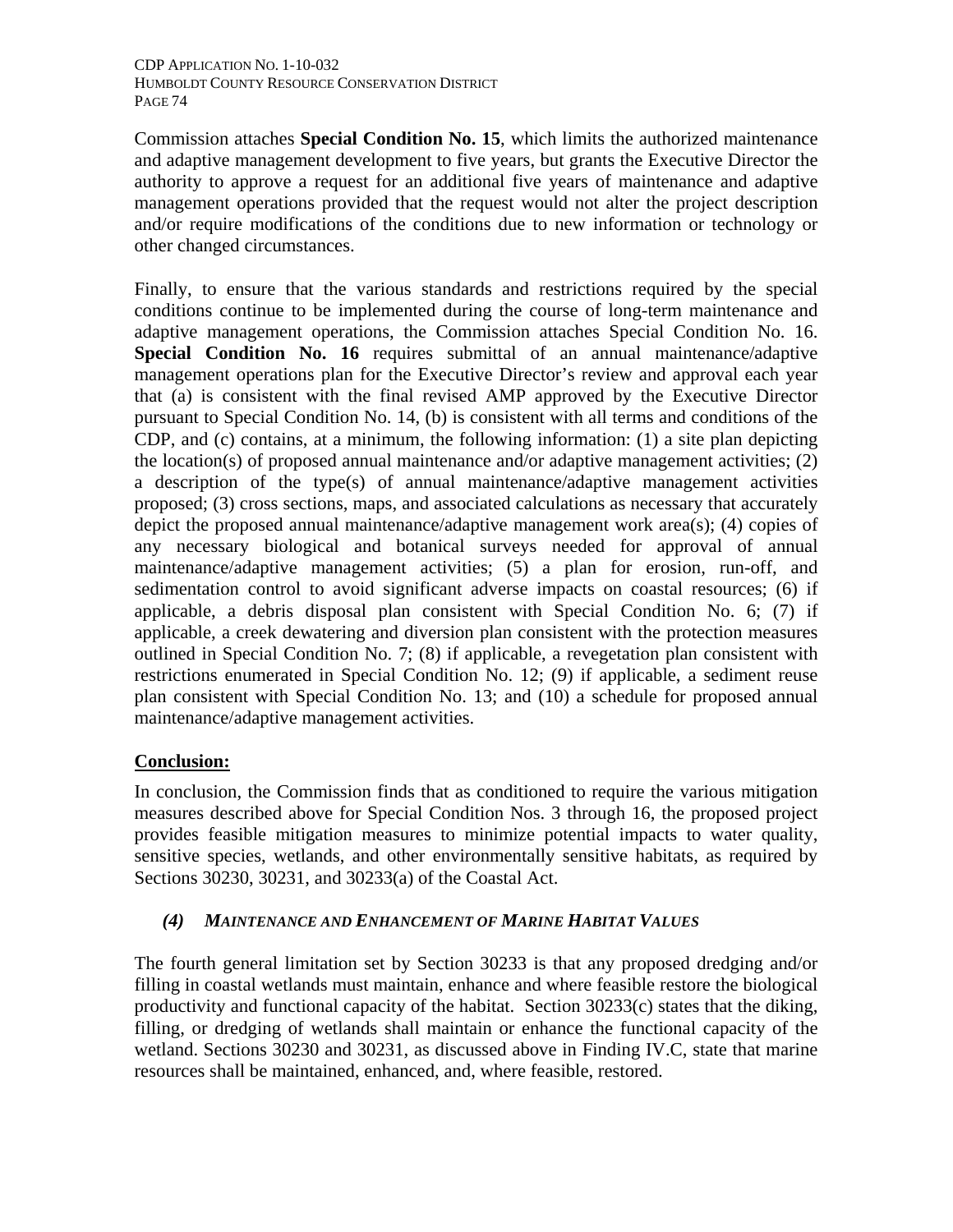Commission attaches **Special Condition No. 15**, which limits the authorized maintenance and adaptive management development to five years, but grants the Executive Director the authority to approve a request for an additional five years of maintenance and adaptive management operations provided that the request would not alter the project description and/or require modifications of the conditions due to new information or technology or other changed circumstances.

Finally, to ensure that the various standards and restrictions required by the special conditions continue to be implemented during the course of long-term maintenance and adaptive management operations, the Commission attaches Special Condition No. 16. **Special Condition No. 16** requires submittal of an annual maintenance/adaptive management operations plan for the Executive Director's review and approval each year that (a) is consistent with the final revised AMP approved by the Executive Director pursuant to Special Condition No. 14, (b) is consistent with all terms and conditions of the CDP, and (c) contains, at a minimum, the following information: (1) a site plan depicting the location(s) of proposed annual maintenance and/or adaptive management activities; (2) a description of the type(s) of annual maintenance/adaptive management activities proposed; (3) cross sections, maps, and associated calculations as necessary that accurately depict the proposed annual maintenance/adaptive management work area(s); (4) copies of any necessary biological and botanical surveys needed for approval of annual maintenance/adaptive management activities; (5) a plan for erosion, run-off, and sedimentation control to avoid significant adverse impacts on coastal resources; (6) if applicable, a debris disposal plan consistent with Special Condition No. 6; (7) if applicable, a creek dewatering and diversion plan consistent with the protection measures outlined in Special Condition No. 7; (8) if applicable, a revegetation plan consistent with restrictions enumerated in Special Condition No. 12; (9) if applicable, a sediment reuse plan consistent with Special Condition No. 13; and (10) a schedule for proposed annual maintenance/adaptive management activities.

### **Conclusion:**

In conclusion, the Commission finds that as conditioned to require the various mitigation measures described above for Special Condition Nos. 3 through 16, the proposed project provides feasible mitigation measures to minimize potential impacts to water quality, sensitive species, wetlands, and other environmentally sensitive habitats, as required by Sections 30230, 30231, and 30233(a) of the Coastal Act.

### *(4) MAINTENANCE AND ENHANCEMENT OF MARINE HABITAT VALUES*

The fourth general limitation set by Section 30233 is that any proposed dredging and/or filling in coastal wetlands must maintain, enhance and where feasible restore the biological productivity and functional capacity of the habitat. Section 30233(c) states that the diking, filling, or dredging of wetlands shall maintain or enhance the functional capacity of the wetland. Sections 30230 and 30231, as discussed above in Finding IV.C, state that marine resources shall be maintained, enhanced, and, where feasible, restored.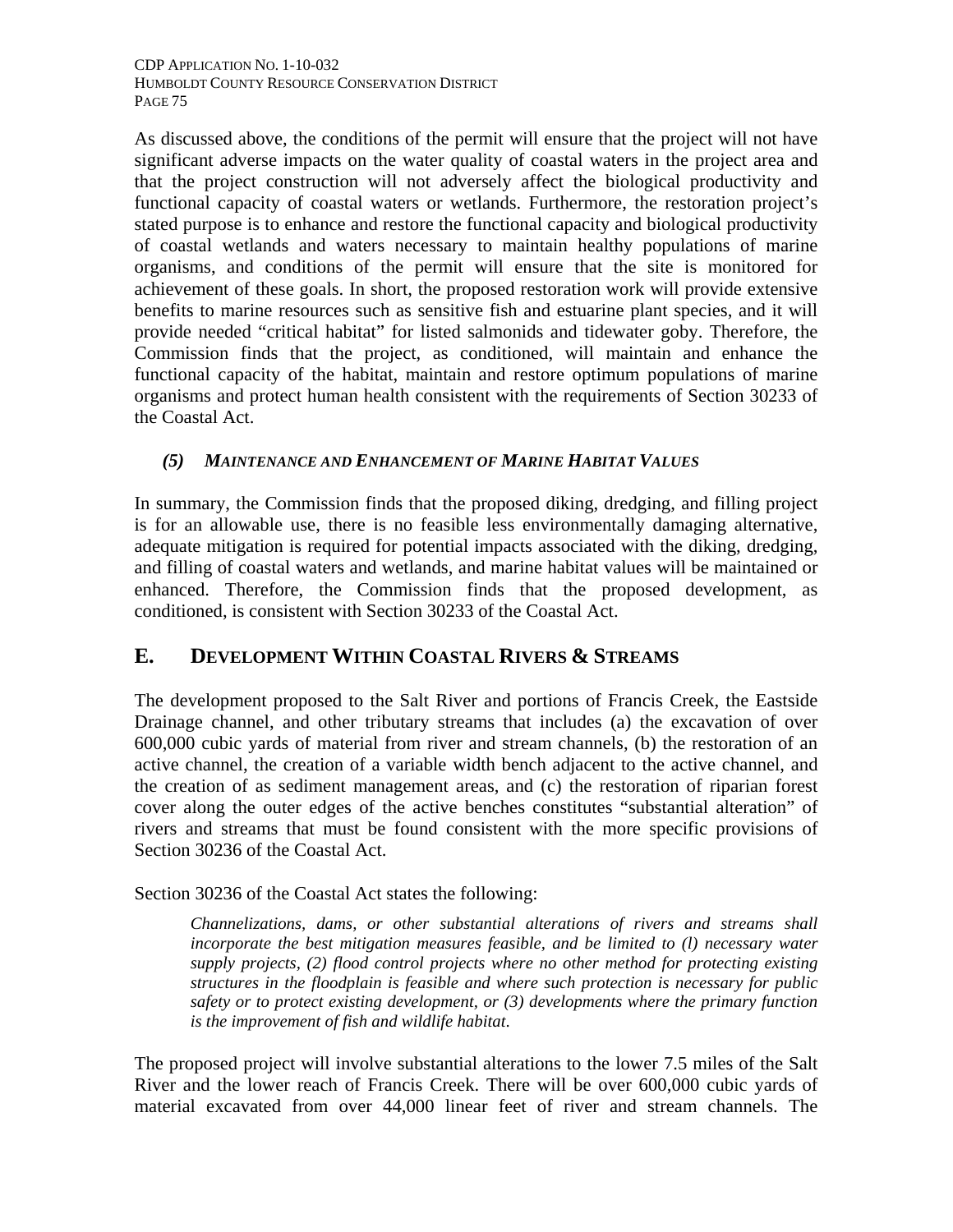As discussed above, the conditions of the permit will ensure that the project will not have significant adverse impacts on the water quality of coastal waters in the project area and that the project construction will not adversely affect the biological productivity and functional capacity of coastal waters or wetlands. Furthermore, the restoration project's stated purpose is to enhance and restore the functional capacity and biological productivity of coastal wetlands and waters necessary to maintain healthy populations of marine organisms, and conditions of the permit will ensure that the site is monitored for achievement of these goals. In short, the proposed restoration work will provide extensive benefits to marine resources such as sensitive fish and estuarine plant species, and it will provide needed "critical habitat" for listed salmonids and tidewater goby. Therefore, the Commission finds that the project, as conditioned, will maintain and enhance the functional capacity of the habitat, maintain and restore optimum populations of marine organisms and protect human health consistent with the requirements of Section 30233 of the Coastal Act.

### *(5) MAINTENANCE AND ENHANCEMENT OF MARINE HABITAT VALUES*

In summary, the Commission finds that the proposed diking, dredging, and filling project is for an allowable use, there is no feasible less environmentally damaging alternative, adequate mitigation is required for potential impacts associated with the diking, dredging, and filling of coastal waters and wetlands, and marine habitat values will be maintained or enhanced. Therefore, the Commission finds that the proposed development, as conditioned, is consistent with Section 30233 of the Coastal Act.

# **E. DEVELOPMENT WITHIN COASTAL RIVERS & STREAMS**

The development proposed to the Salt River and portions of Francis Creek, the Eastside Drainage channel, and other tributary streams that includes (a) the excavation of over 600,000 cubic yards of material from river and stream channels, (b) the restoration of an active channel, the creation of a variable width bench adjacent to the active channel, and the creation of as sediment management areas, and (c) the restoration of riparian forest cover along the outer edges of the active benches constitutes "substantial alteration" of rivers and streams that must be found consistent with the more specific provisions of Section 30236 of the Coastal Act.

Section 30236 of the Coastal Act states the following:

*Channelizations, dams, or other substantial alterations of rivers and streams shall incorporate the best mitigation measures feasible, and be limited to (l) necessary water supply projects, (2) flood control projects where no other method for protecting existing structures in the floodplain is feasible and where such protection is necessary for public safety or to protect existing development, or (3) developments where the primary function is the improvement of fish and wildlife habitat*.

The proposed project will involve substantial alterations to the lower 7.5 miles of the Salt River and the lower reach of Francis Creek. There will be over 600,000 cubic yards of material excavated from over 44,000 linear feet of river and stream channels. The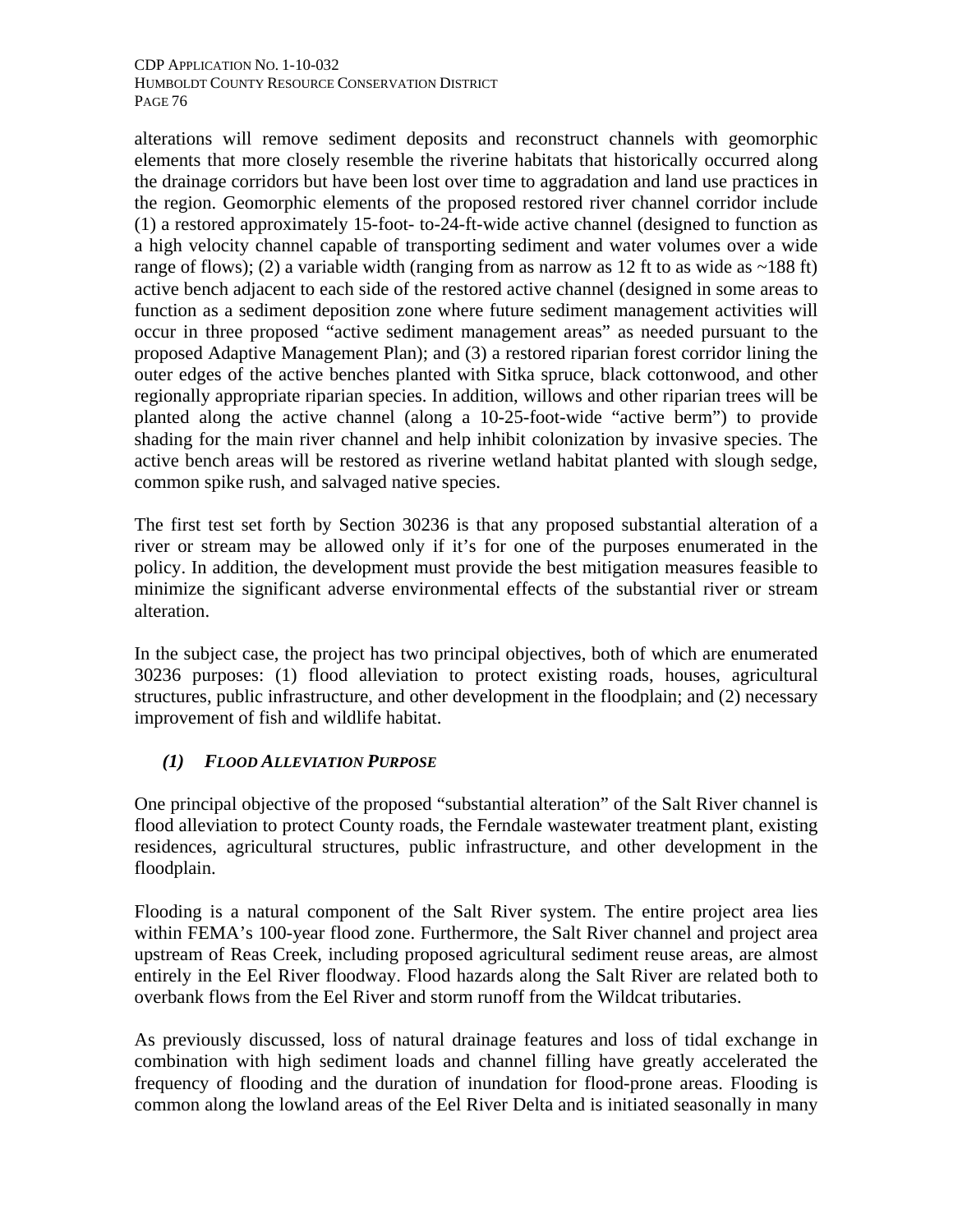alterations will remove sediment deposits and reconstruct channels with geomorphic elements that more closely resemble the riverine habitats that historically occurred along the drainage corridors but have been lost over time to aggradation and land use practices in the region. Geomorphic elements of the proposed restored river channel corridor include (1) a restored approximately 15-foot- to-24-ft-wide active channel (designed to function as a high velocity channel capable of transporting sediment and water volumes over a wide range of flows); (2) a variable width (ranging from as narrow as 12 ft to as wide as  $\sim$ 188 ft) active bench adjacent to each side of the restored active channel (designed in some areas to function as a sediment deposition zone where future sediment management activities will occur in three proposed "active sediment management areas" as needed pursuant to the proposed Adaptive Management Plan); and (3) a restored riparian forest corridor lining the outer edges of the active benches planted with Sitka spruce, black cottonwood, and other regionally appropriate riparian species. In addition, willows and other riparian trees will be planted along the active channel (along a 10-25-foot-wide "active berm") to provide shading for the main river channel and help inhibit colonization by invasive species. The active bench areas will be restored as riverine wetland habitat planted with slough sedge, common spike rush, and salvaged native species.

The first test set forth by Section 30236 is that any proposed substantial alteration of a river or stream may be allowed only if it's for one of the purposes enumerated in the policy. In addition, the development must provide the best mitigation measures feasible to minimize the significant adverse environmental effects of the substantial river or stream alteration.

In the subject case, the project has two principal objectives, both of which are enumerated 30236 purposes: (1) flood alleviation to protect existing roads, houses, agricultural structures, public infrastructure, and other development in the floodplain; and (2) necessary improvement of fish and wildlife habitat.

# *(1) FLOOD ALLEVIATION PURPOSE*

One principal objective of the proposed "substantial alteration" of the Salt River channel is flood alleviation to protect County roads, the Ferndale wastewater treatment plant, existing residences, agricultural structures, public infrastructure, and other development in the floodplain.

Flooding is a natural component of the Salt River system. The entire project area lies within FEMA's 100-year flood zone. Furthermore, the Salt River channel and project area upstream of Reas Creek, including proposed agricultural sediment reuse areas, are almost entirely in the Eel River floodway. Flood hazards along the Salt River are related both to overbank flows from the Eel River and storm runoff from the Wildcat tributaries.

As previously discussed, loss of natural drainage features and loss of tidal exchange in combination with high sediment loads and channel filling have greatly accelerated the frequency of flooding and the duration of inundation for flood-prone areas. Flooding is common along the lowland areas of the Eel River Delta and is initiated seasonally in many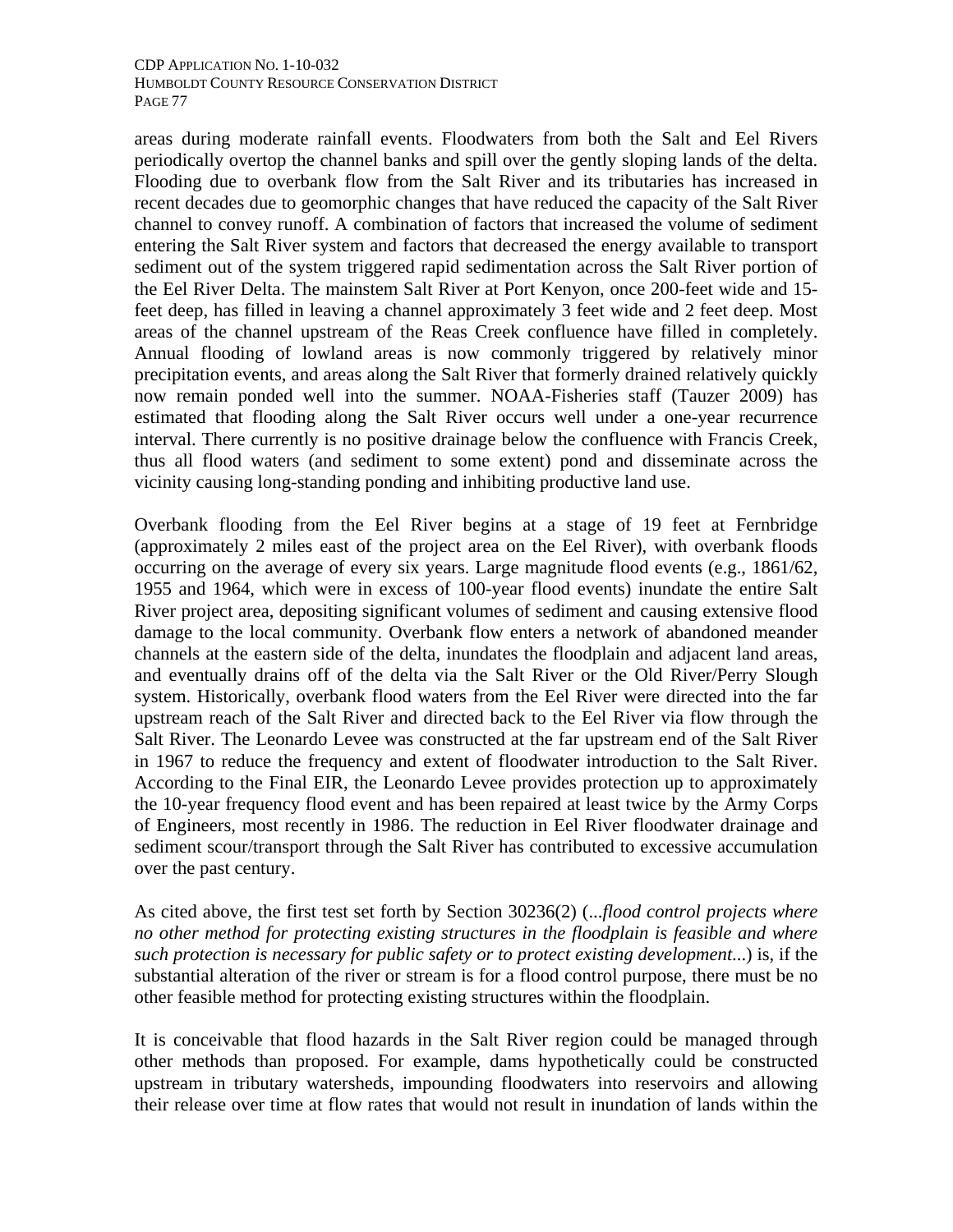areas during moderate rainfall events. Floodwaters from both the Salt and Eel Rivers periodically overtop the channel banks and spill over the gently sloping lands of the delta. Flooding due to overbank flow from the Salt River and its tributaries has increased in recent decades due to geomorphic changes that have reduced the capacity of the Salt River channel to convey runoff. A combination of factors that increased the volume of sediment entering the Salt River system and factors that decreased the energy available to transport sediment out of the system triggered rapid sedimentation across the Salt River portion of the Eel River Delta. The mainstem Salt River at Port Kenyon, once 200-feet wide and 15 feet deep, has filled in leaving a channel approximately 3 feet wide and 2 feet deep. Most areas of the channel upstream of the Reas Creek confluence have filled in completely. Annual flooding of lowland areas is now commonly triggered by relatively minor precipitation events, and areas along the Salt River that formerly drained relatively quickly now remain ponded well into the summer. NOAA-Fisheries staff (Tauzer 2009) has estimated that flooding along the Salt River occurs well under a one-year recurrence interval. There currently is no positive drainage below the confluence with Francis Creek, thus all flood waters (and sediment to some extent) pond and disseminate across the vicinity causing long-standing ponding and inhibiting productive land use.

Overbank flooding from the Eel River begins at a stage of 19 feet at Fernbridge (approximately 2 miles east of the project area on the Eel River), with overbank floods occurring on the average of every six years. Large magnitude flood events (e.g., 1861/62, 1955 and 1964, which were in excess of 100-year flood events) inundate the entire Salt River project area, depositing significant volumes of sediment and causing extensive flood damage to the local community. Overbank flow enters a network of abandoned meander channels at the eastern side of the delta, inundates the floodplain and adjacent land areas, and eventually drains off of the delta via the Salt River or the Old River/Perry Slough system. Historically, overbank flood waters from the Eel River were directed into the far upstream reach of the Salt River and directed back to the Eel River via flow through the Salt River. The Leonardo Levee was constructed at the far upstream end of the Salt River in 1967 to reduce the frequency and extent of floodwater introduction to the Salt River. According to the Final EIR, the Leonardo Levee provides protection up to approximately the 10-year frequency flood event and has been repaired at least twice by the Army Corps of Engineers, most recently in 1986. The reduction in Eel River floodwater drainage and sediment scour/transport through the Salt River has contributed to excessive accumulation over the past century.

As cited above, the first test set forth by Section 30236(2) (...*flood control projects where no other method for protecting existing structures in the floodplain is feasible and where such protection is necessary for public safety or to protect existing development*...) is, if the substantial alteration of the river or stream is for a flood control purpose, there must be no other feasible method for protecting existing structures within the floodplain.

It is conceivable that flood hazards in the Salt River region could be managed through other methods than proposed. For example, dams hypothetically could be constructed upstream in tributary watersheds, impounding floodwaters into reservoirs and allowing their release over time at flow rates that would not result in inundation of lands within the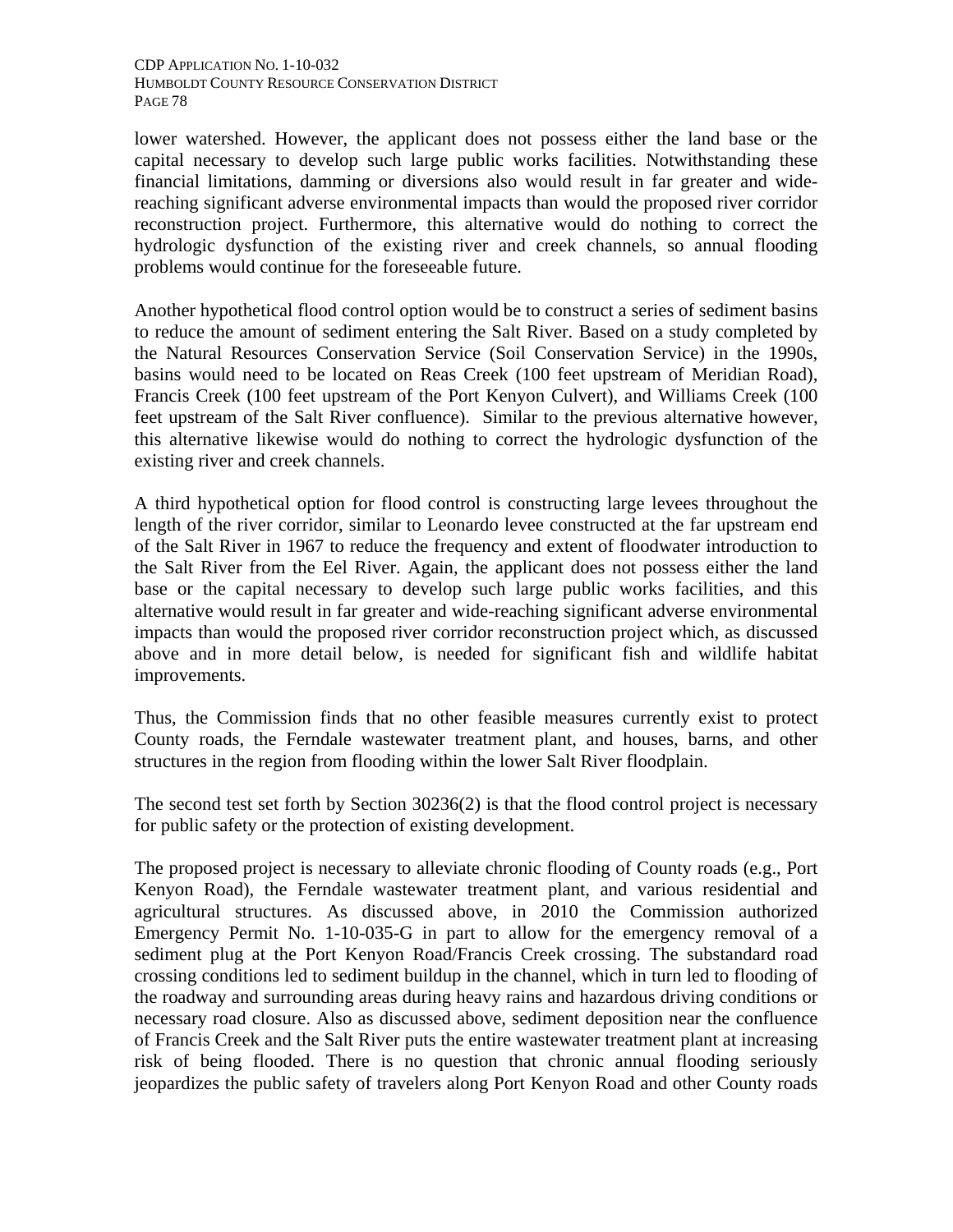lower watershed. However, the applicant does not possess either the land base or the capital necessary to develop such large public works facilities. Notwithstanding these financial limitations, damming or diversions also would result in far greater and widereaching significant adverse environmental impacts than would the proposed river corridor reconstruction project. Furthermore, this alternative would do nothing to correct the hydrologic dysfunction of the existing river and creek channels, so annual flooding problems would continue for the foreseeable future.

Another hypothetical flood control option would be to construct a series of sediment basins to reduce the amount of sediment entering the Salt River. Based on a study completed by the Natural Resources Conservation Service (Soil Conservation Service) in the 1990s, basins would need to be located on Reas Creek (100 feet upstream of Meridian Road), Francis Creek (100 feet upstream of the Port Kenyon Culvert), and Williams Creek (100 feet upstream of the Salt River confluence). Similar to the previous alternative however, this alternative likewise would do nothing to correct the hydrologic dysfunction of the existing river and creek channels.

A third hypothetical option for flood control is constructing large levees throughout the length of the river corridor, similar to Leonardo levee constructed at the far upstream end of the Salt River in 1967 to reduce the frequency and extent of floodwater introduction to the Salt River from the Eel River. Again, the applicant does not possess either the land base or the capital necessary to develop such large public works facilities, and this alternative would result in far greater and wide-reaching significant adverse environmental impacts than would the proposed river corridor reconstruction project which, as discussed above and in more detail below, is needed for significant fish and wildlife habitat improvements.

Thus, the Commission finds that no other feasible measures currently exist to protect County roads, the Ferndale wastewater treatment plant, and houses, barns, and other structures in the region from flooding within the lower Salt River floodplain.

The second test set forth by Section 30236(2) is that the flood control project is necessary for public safety or the protection of existing development.

The proposed project is necessary to alleviate chronic flooding of County roads (e.g., Port Kenyon Road), the Ferndale wastewater treatment plant, and various residential and agricultural structures. As discussed above, in 2010 the Commission authorized Emergency Permit No. 1-10-035-G in part to allow for the emergency removal of a sediment plug at the Port Kenyon Road/Francis Creek crossing. The substandard road crossing conditions led to sediment buildup in the channel, which in turn led to flooding of the roadway and surrounding areas during heavy rains and hazardous driving conditions or necessary road closure. Also as discussed above, sediment deposition near the confluence of Francis Creek and the Salt River puts the entire wastewater treatment plant at increasing risk of being flooded. There is no question that chronic annual flooding seriously jeopardizes the public safety of travelers along Port Kenyon Road and other County roads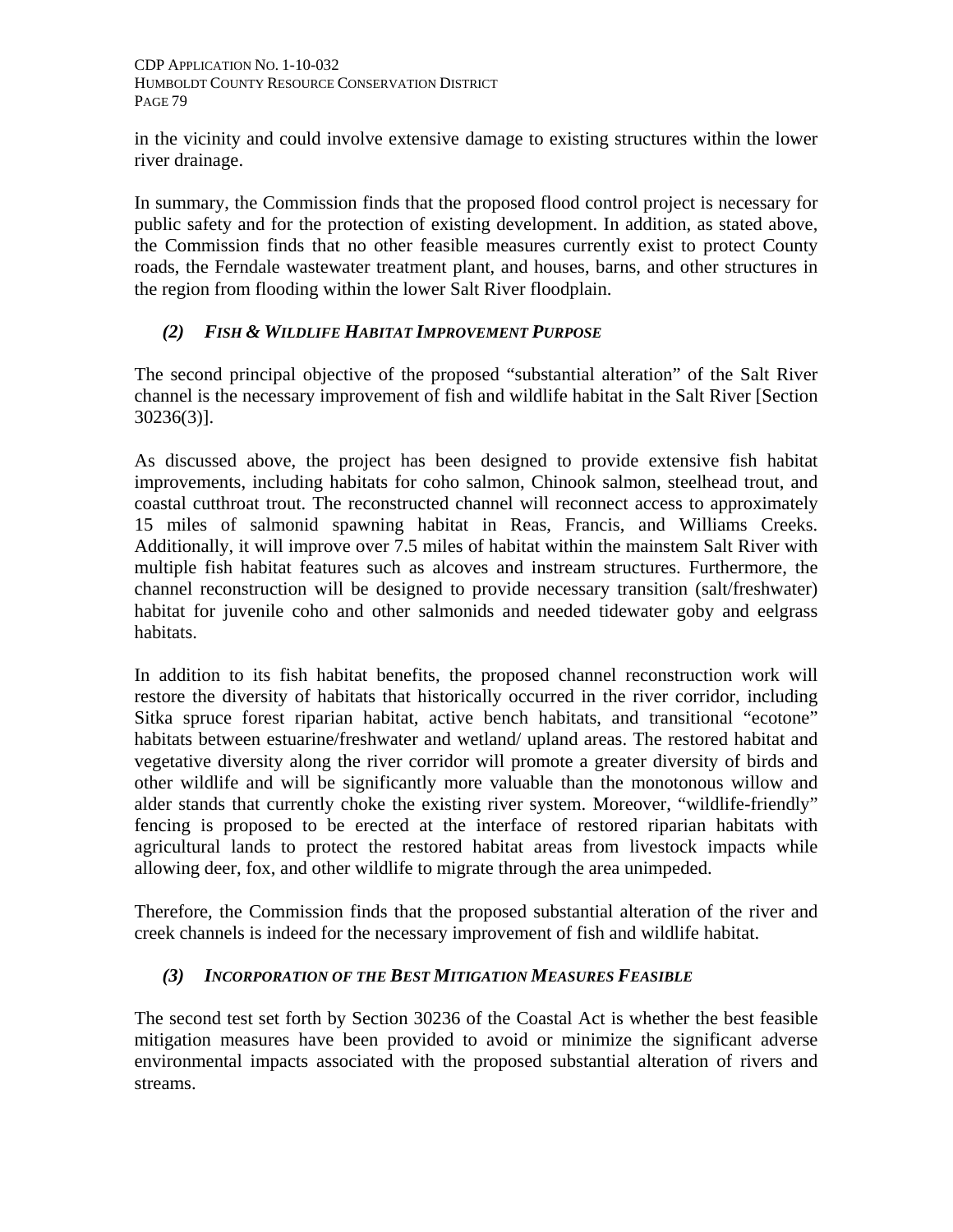in the vicinity and could involve extensive damage to existing structures within the lower river drainage.

In summary, the Commission finds that the proposed flood control project is necessary for public safety and for the protection of existing development. In addition, as stated above, the Commission finds that no other feasible measures currently exist to protect County roads, the Ferndale wastewater treatment plant, and houses, barns, and other structures in the region from flooding within the lower Salt River floodplain.

### *(2) FISH & WILDLIFE HABITAT IMPROVEMENT PURPOSE*

The second principal objective of the proposed "substantial alteration" of the Salt River channel is the necessary improvement of fish and wildlife habitat in the Salt River [Section 30236(3)].

As discussed above, the project has been designed to provide extensive fish habitat improvements, including habitats for coho salmon, Chinook salmon, steelhead trout, and coastal cutthroat trout. The reconstructed channel will reconnect access to approximately 15 miles of salmonid spawning habitat in Reas, Francis, and Williams Creeks. Additionally, it will improve over 7.5 miles of habitat within the mainstem Salt River with multiple fish habitat features such as alcoves and instream structures. Furthermore, the channel reconstruction will be designed to provide necessary transition (salt/freshwater) habitat for juvenile coho and other salmonids and needed tidewater goby and eelgrass habitats.

In addition to its fish habitat benefits, the proposed channel reconstruction work will restore the diversity of habitats that historically occurred in the river corridor, including Sitka spruce forest riparian habitat, active bench habitats, and transitional "ecotone" habitats between estuarine/freshwater and wetland/ upland areas. The restored habitat and vegetative diversity along the river corridor will promote a greater diversity of birds and other wildlife and will be significantly more valuable than the monotonous willow and alder stands that currently choke the existing river system. Moreover, "wildlife-friendly" fencing is proposed to be erected at the interface of restored riparian habitats with agricultural lands to protect the restored habitat areas from livestock impacts while allowing deer, fox, and other wildlife to migrate through the area unimpeded.

Therefore, the Commission finds that the proposed substantial alteration of the river and creek channels is indeed for the necessary improvement of fish and wildlife habitat.

# *(3) INCORPORATION OF THE BEST MITIGATION MEASURES FEASIBLE*

The second test set forth by Section 30236 of the Coastal Act is whether the best feasible mitigation measures have been provided to avoid or minimize the significant adverse environmental impacts associated with the proposed substantial alteration of rivers and streams.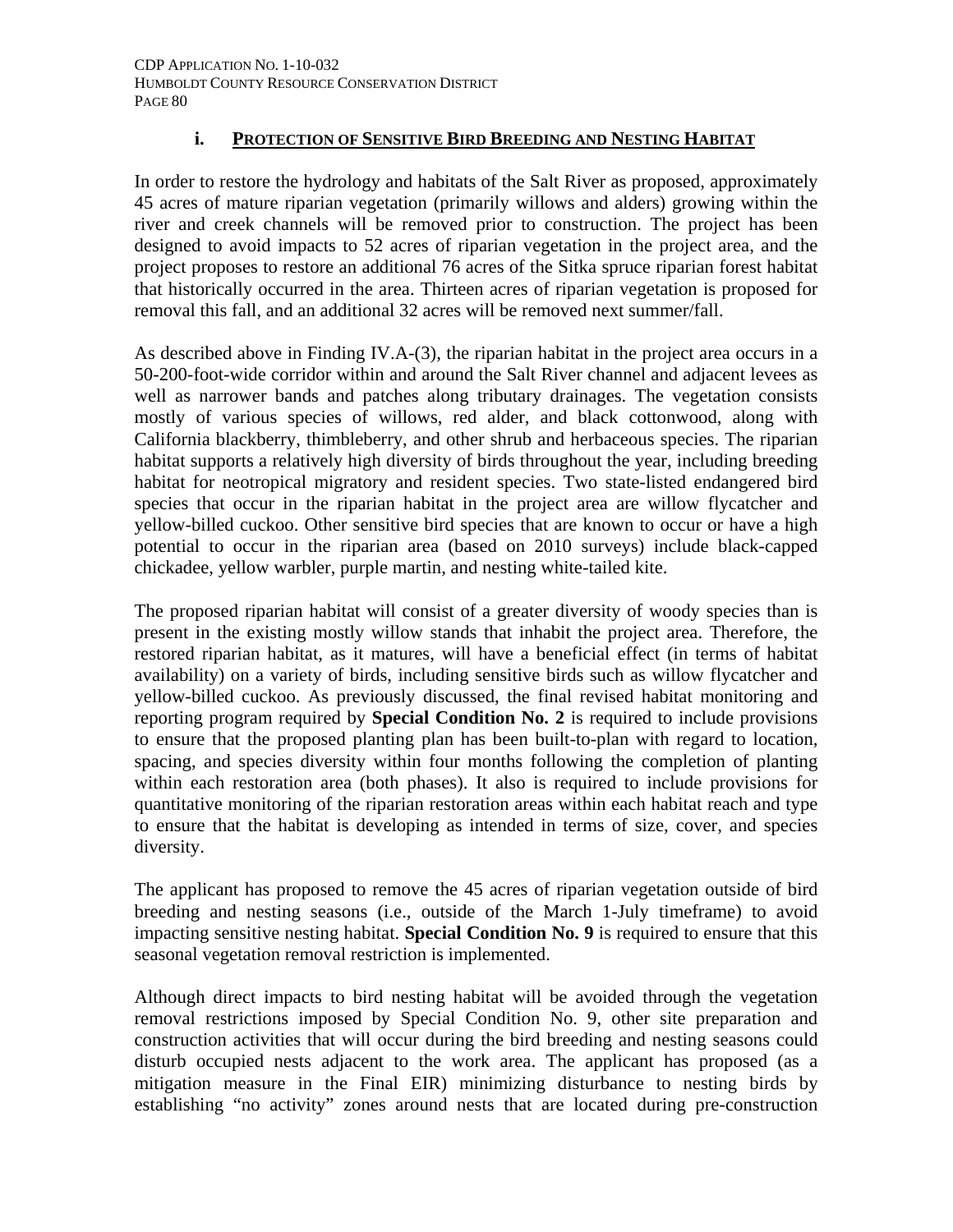#### **i. PROTECTION OF SENSITIVE BIRD BREEDING AND NESTING HABITAT**

In order to restore the hydrology and habitats of the Salt River as proposed, approximately 45 acres of mature riparian vegetation (primarily willows and alders) growing within the river and creek channels will be removed prior to construction. The project has been designed to avoid impacts to 52 acres of riparian vegetation in the project area, and the project proposes to restore an additional 76 acres of the Sitka spruce riparian forest habitat that historically occurred in the area. Thirteen acres of riparian vegetation is proposed for removal this fall, and an additional 32 acres will be removed next summer/fall.

As described above in Finding IV.A-(3), the riparian habitat in the project area occurs in a 50-200-foot-wide corridor within and around the Salt River channel and adjacent levees as well as narrower bands and patches along tributary drainages. The vegetation consists mostly of various species of willows, red alder, and black cottonwood, along with California blackberry, thimbleberry, and other shrub and herbaceous species. The riparian habitat supports a relatively high diversity of birds throughout the year, including breeding habitat for neotropical migratory and resident species. Two state-listed endangered bird species that occur in the riparian habitat in the project area are willow flycatcher and yellow-billed cuckoo. Other sensitive bird species that are known to occur or have a high potential to occur in the riparian area (based on 2010 surveys) include black-capped chickadee, yellow warbler, purple martin, and nesting white-tailed kite.

The proposed riparian habitat will consist of a greater diversity of woody species than is present in the existing mostly willow stands that inhabit the project area. Therefore, the restored riparian habitat, as it matures, will have a beneficial effect (in terms of habitat availability) on a variety of birds, including sensitive birds such as willow flycatcher and yellow-billed cuckoo. As previously discussed, the final revised habitat monitoring and reporting program required by **Special Condition No. 2** is required to include provisions to ensure that the proposed planting plan has been built-to-plan with regard to location, spacing, and species diversity within four months following the completion of planting within each restoration area (both phases). It also is required to include provisions for quantitative monitoring of the riparian restoration areas within each habitat reach and type to ensure that the habitat is developing as intended in terms of size, cover, and species diversity.

The applicant has proposed to remove the 45 acres of riparian vegetation outside of bird breeding and nesting seasons (i.e., outside of the March 1-July timeframe) to avoid impacting sensitive nesting habitat. **Special Condition No. 9** is required to ensure that this seasonal vegetation removal restriction is implemented.

Although direct impacts to bird nesting habitat will be avoided through the vegetation removal restrictions imposed by Special Condition No. 9, other site preparation and construction activities that will occur during the bird breeding and nesting seasons could disturb occupied nests adjacent to the work area. The applicant has proposed (as a mitigation measure in the Final EIR) minimizing disturbance to nesting birds by establishing "no activity" zones around nests that are located during pre-construction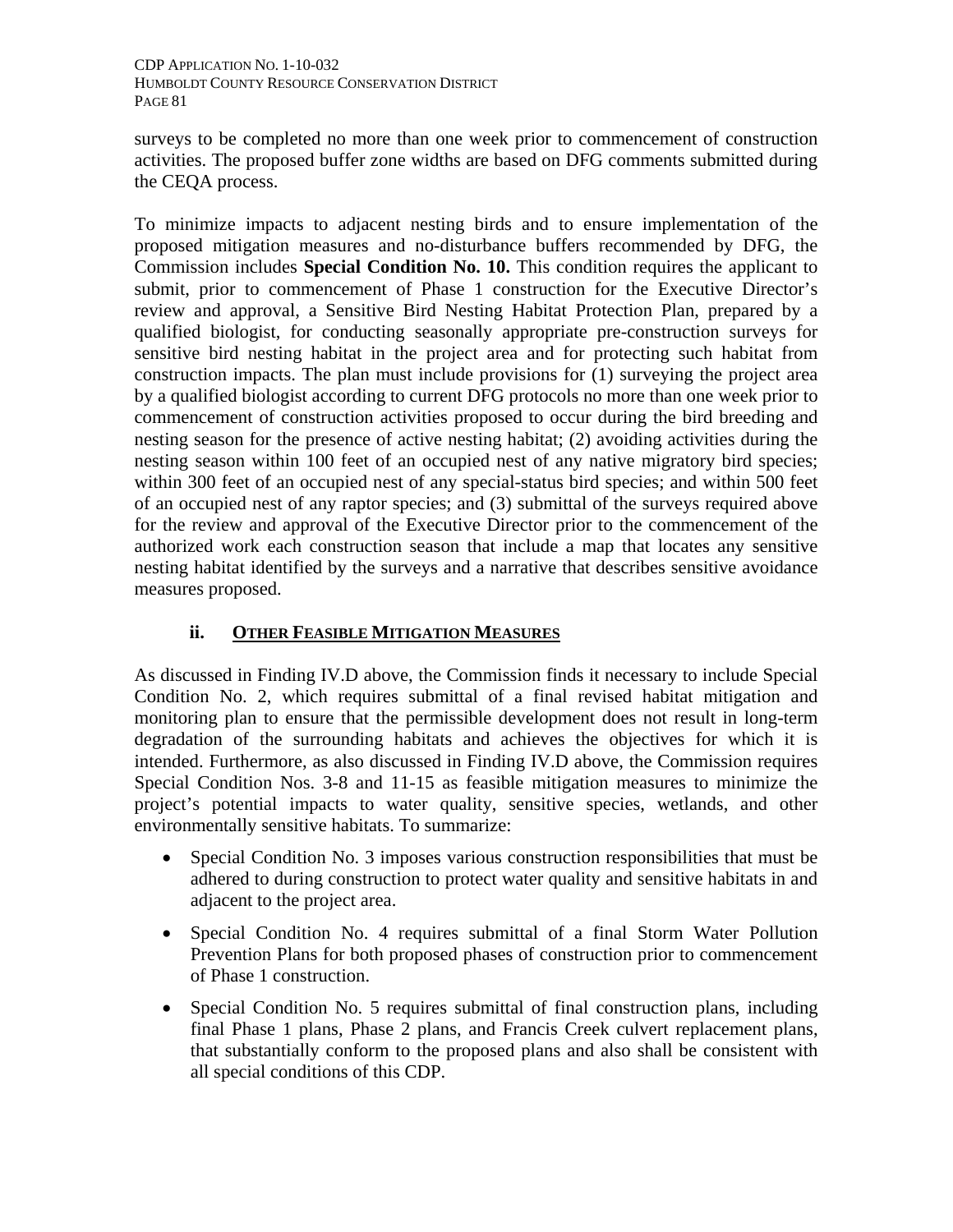surveys to be completed no more than one week prior to commencement of construction activities. The proposed buffer zone widths are based on DFG comments submitted during the CEQA process.

To minimize impacts to adjacent nesting birds and to ensure implementation of the proposed mitigation measures and no-disturbance buffers recommended by DFG, the Commission includes **Special Condition No. 10.** This condition requires the applicant to submit, prior to commencement of Phase 1 construction for the Executive Director's review and approval, a Sensitive Bird Nesting Habitat Protection Plan, prepared by a qualified biologist, for conducting seasonally appropriate pre-construction surveys for sensitive bird nesting habitat in the project area and for protecting such habitat from construction impacts. The plan must include provisions for (1) surveying the project area by a qualified biologist according to current DFG protocols no more than one week prior to commencement of construction activities proposed to occur during the bird breeding and nesting season for the presence of active nesting habitat; (2) avoiding activities during the nesting season within 100 feet of an occupied nest of any native migratory bird species; within 300 feet of an occupied nest of any special-status bird species; and within 500 feet of an occupied nest of any raptor species; and (3) submittal of the surveys required above for the review and approval of the Executive Director prior to the commencement of the authorized work each construction season that include a map that locates any sensitive nesting habitat identified by the surveys and a narrative that describes sensitive avoidance measures proposed.

# **ii. OTHER FEASIBLE MITIGATION MEASURES**

As discussed in Finding IV.D above, the Commission finds it necessary to include Special Condition No. 2, which requires submittal of a final revised habitat mitigation and monitoring plan to ensure that the permissible development does not result in long-term degradation of the surrounding habitats and achieves the objectives for which it is intended. Furthermore, as also discussed in Finding IV.D above, the Commission requires Special Condition Nos. 3-8 and 11-15 as feasible mitigation measures to minimize the project's potential impacts to water quality, sensitive species, wetlands, and other environmentally sensitive habitats. To summarize:

- Special Condition No. 3 imposes various construction responsibilities that must be adhered to during construction to protect water quality and sensitive habitats in and adjacent to the project area.
- Special Condition No. 4 requires submittal of a final Storm Water Pollution Prevention Plans for both proposed phases of construction prior to commencement of Phase 1 construction.
- Special Condition No. 5 requires submittal of final construction plans, including final Phase 1 plans, Phase 2 plans, and Francis Creek culvert replacement plans, that substantially conform to the proposed plans and also shall be consistent with all special conditions of this CDP.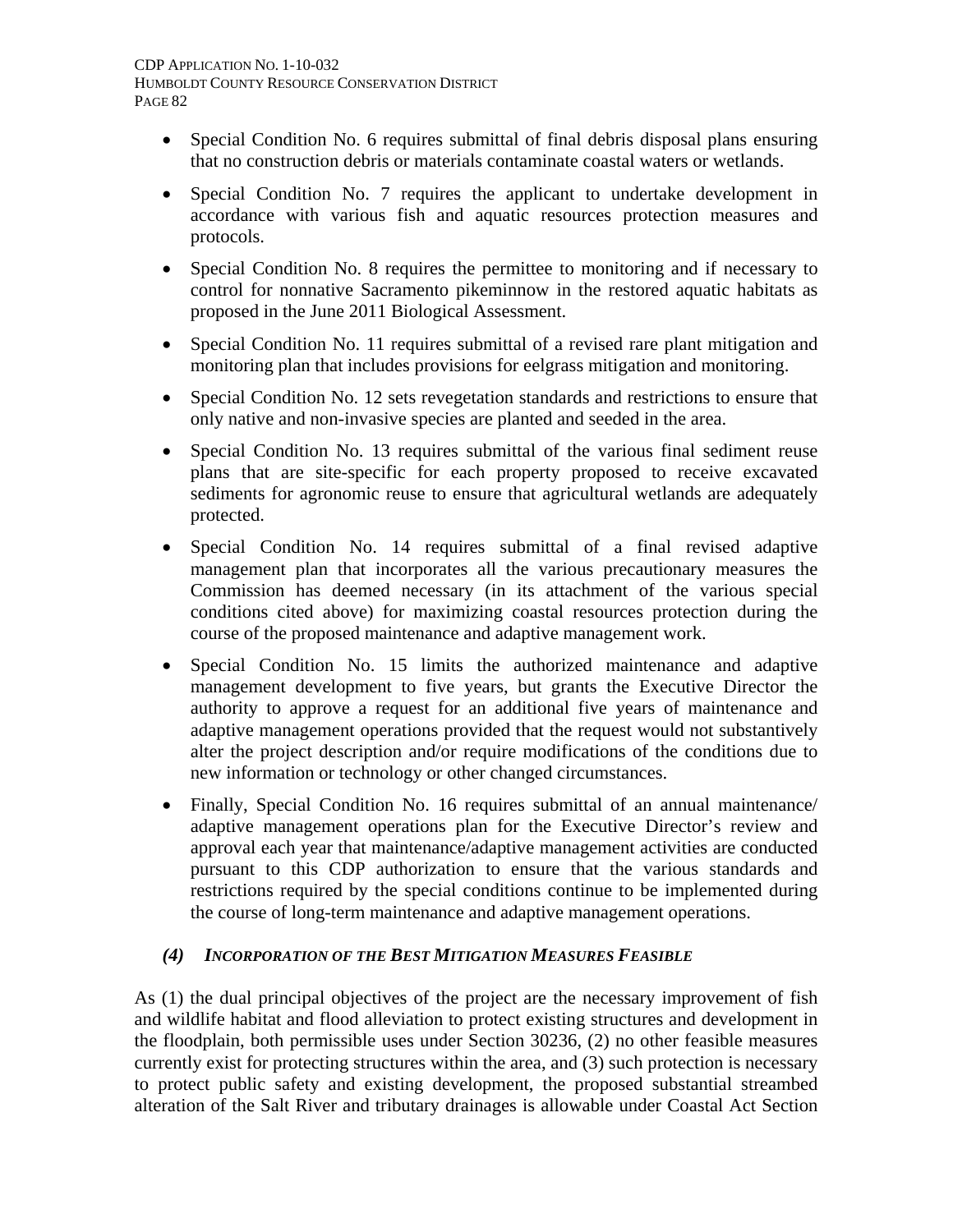- Special Condition No. 6 requires submittal of final debris disposal plans ensuring that no construction debris or materials contaminate coastal waters or wetlands.
- Special Condition No. 7 requires the applicant to undertake development in accordance with various fish and aquatic resources protection measures and protocols.
- Special Condition No. 8 requires the permittee to monitoring and if necessary to control for nonnative Sacramento pikeminnow in the restored aquatic habitats as proposed in the June 2011 Biological Assessment.
- Special Condition No. 11 requires submittal of a revised rare plant mitigation and monitoring plan that includes provisions for eelgrass mitigation and monitoring.
- Special Condition No. 12 sets revegetation standards and restrictions to ensure that only native and non-invasive species are planted and seeded in the area.
- Special Condition No. 13 requires submittal of the various final sediment reuse plans that are site-specific for each property proposed to receive excavated sediments for agronomic reuse to ensure that agricultural wetlands are adequately protected.
- Special Condition No. 14 requires submittal of a final revised adaptive management plan that incorporates all the various precautionary measures the Commission has deemed necessary (in its attachment of the various special conditions cited above) for maximizing coastal resources protection during the course of the proposed maintenance and adaptive management work.
- Special Condition No. 15 limits the authorized maintenance and adaptive management development to five years, but grants the Executive Director the authority to approve a request for an additional five years of maintenance and adaptive management operations provided that the request would not substantively alter the project description and/or require modifications of the conditions due to new information or technology or other changed circumstances.
- Finally, Special Condition No. 16 requires submittal of an annual maintenance/ adaptive management operations plan for the Executive Director's review and approval each year that maintenance/adaptive management activities are conducted pursuant to this CDP authorization to ensure that the various standards and restrictions required by the special conditions continue to be implemented during the course of long-term maintenance and adaptive management operations.

### *(4) INCORPORATION OF THE BEST MITIGATION MEASURES FEASIBLE*

As (1) the dual principal objectives of the project are the necessary improvement of fish and wildlife habitat and flood alleviation to protect existing structures and development in the floodplain, both permissible uses under Section 30236, (2) no other feasible measures currently exist for protecting structures within the area, and (3) such protection is necessary to protect public safety and existing development, the proposed substantial streambed alteration of the Salt River and tributary drainages is allowable under Coastal Act Section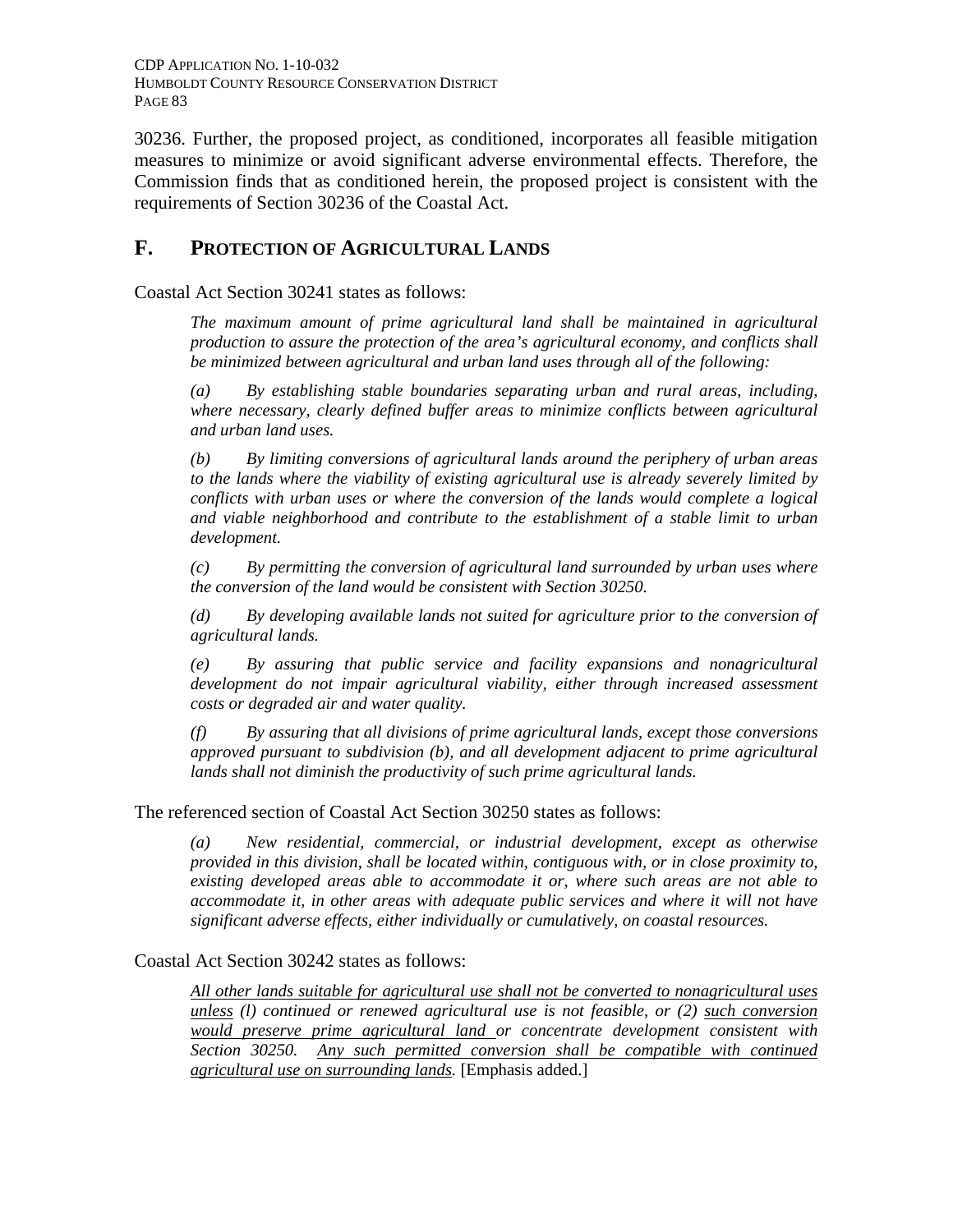CDP APPLICATION NO. 1-10-032 HUMBOLDT COUNTY RESOURCE CONSERVATION DISTRICT PAGE 83

30236. Further, the proposed project, as conditioned, incorporates all feasible mitigation measures to minimize or avoid significant adverse environmental effects. Therefore, the Commission finds that as conditioned herein, the proposed project is consistent with the requirements of Section 30236 of the Coastal Act.

### **F. PROTECTION OF AGRICULTURAL LANDS**

Coastal Act Section 30241 states as follows:

*The maximum amount of prime agricultural land shall be maintained in agricultural production to assure the protection of the area's agricultural economy, and conflicts shall be minimized between agricultural and urban land uses through all of the following:* 

*(a) By establishing stable boundaries separating urban and rural areas, including, where necessary, clearly defined buffer areas to minimize conflicts between agricultural and urban land uses.* 

*(b) By limiting conversions of agricultural lands around the periphery of urban areas to the lands where the viability of existing agricultural use is already severely limited by conflicts with urban uses or where the conversion of the lands would complete a logical and viable neighborhood and contribute to the establishment of a stable limit to urban development.* 

*(c) By permitting the conversion of agricultural land surrounded by urban uses where the conversion of the land would be consistent with Section 30250.* 

*(d) By developing available lands not suited for agriculture prior to the conversion of agricultural lands.* 

*(e) By assuring that public service and facility expansions and nonagricultural development do not impair agricultural viability, either through increased assessment costs or degraded air and water quality.* 

*(f) By assuring that all divisions of prime agricultural lands, except those conversions approved pursuant to subdivision (b), and all development adjacent to prime agricultural lands shall not diminish the productivity of such prime agricultural lands.* 

The referenced section of Coastal Act Section 30250 states as follows:

*(a) New residential, commercial, or industrial development, except as otherwise provided in this division, shall be located within, contiguous with, or in close proximity to, existing developed areas able to accommodate it or, where such areas are not able to accommodate it, in other areas with adequate public services and where it will not have significant adverse effects, either individually or cumulatively, on coastal resources.* 

#### Coastal Act Section 30242 states as follows:

*All other lands suitable for agricultural use shall not be converted to nonagricultural uses unless (l) continued or renewed agricultural use is not feasible, or (2) such conversion would preserve prime agricultural land or concentrate development consistent with Section 30250. Any such permitted conversion shall be compatible with continued agricultural use on surrounding lands.* [Emphasis added.]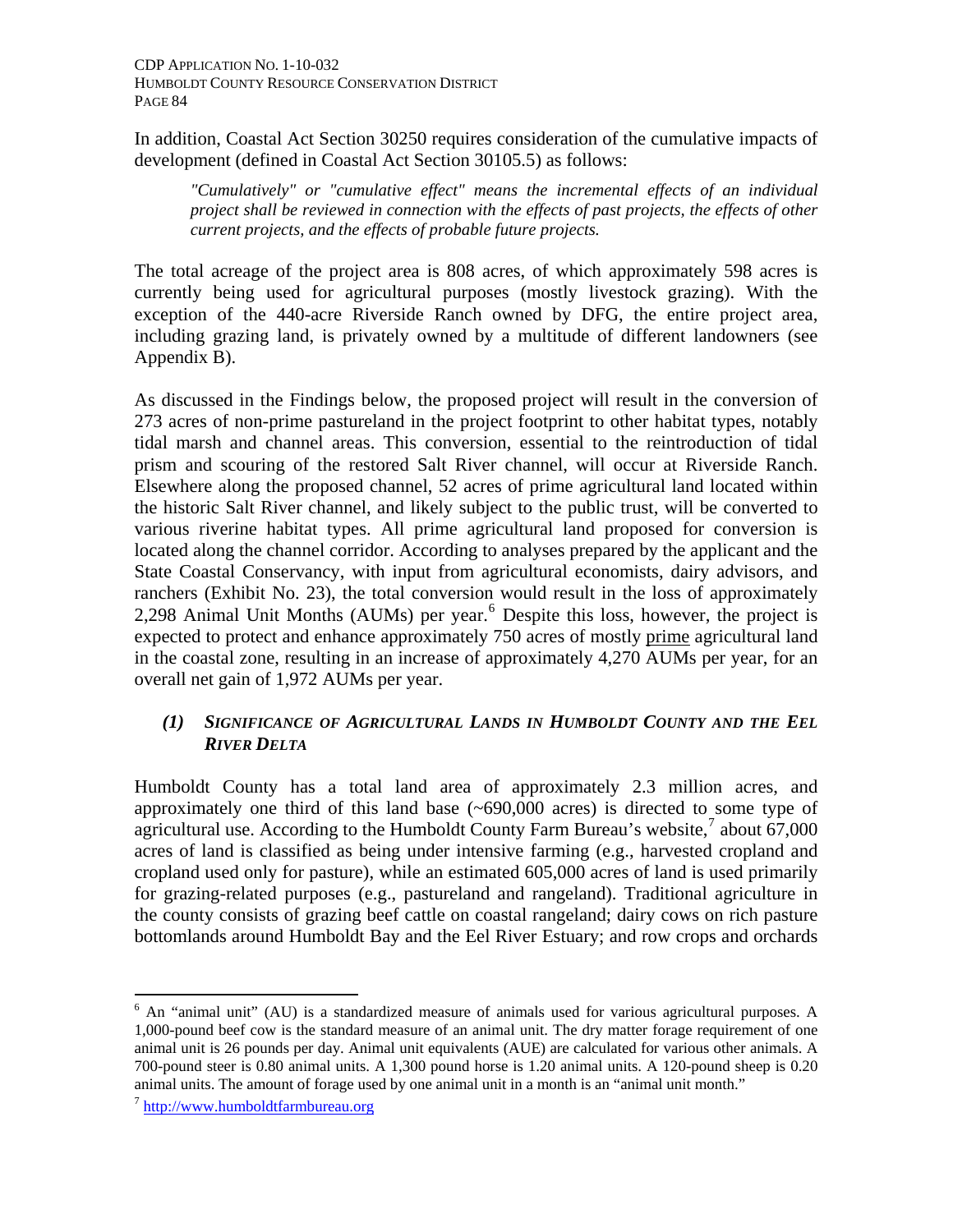In addition, Coastal Act Section 30250 requires consideration of the cumulative impacts of development (defined in Coastal Act Section 30105.5) as follows:

*"Cumulatively" or "cumulative effect" means the incremental effects of an individual project shall be reviewed in connection with the effects of past projects, the effects of other current projects, and the effects of probable future projects.* 

The total acreage of the project area is 808 acres, of which approximately 598 acres is currently being used for agricultural purposes (mostly livestock grazing). With the exception of the 440-acre Riverside Ranch owned by DFG, the entire project area, including grazing land, is privately owned by a multitude of different landowners (see Appendix B).

As discussed in the Findings below, the proposed project will result in the conversion of 273 acres of non-prime pastureland in the project footprint to other habitat types, notably tidal marsh and channel areas. This conversion, essential to the reintroduction of tidal prism and scouring of the restored Salt River channel, will occur at Riverside Ranch. Elsewhere along the proposed channel, 52 acres of prime agricultural land located within the historic Salt River channel, and likely subject to the public trust, will be converted to various riverine habitat types. All prime agricultural land proposed for conversion is located along the channel corridor. According to analyses prepared by the applicant and the State Coastal Conservancy, with input from agricultural economists, dairy advisors, and ranchers (Exhibit No. 23), the total conversion would result in the loss of approximately 2,298 Animal Unit Months (AUMs) per year.<sup>[6](#page-105-0)</sup> Despite this loss, however, the project is expected to protect and enhance approximately 750 acres of mostly prime agricultural land in the coastal zone, resulting in an increase of approximately 4,270 AUMs per year, for an overall net gain of 1,972 AUMs per year.

### *(1) SIGNIFICANCE OF AGRICULTURAL LANDS IN HUMBOLDT COUNTY AND THE EEL RIVER DELTA*

Humboldt County has a total land area of approximately 2.3 million acres, and approximately one third of this land base (~690,000 acres) is directed to some type of agricultural use. According to the Humboldt County Farm Bureau's website,<sup>[7](#page-105-1)</sup> about  $67,000$ acres of land is classified as being under intensive farming (e.g., harvested cropland and cropland used only for pasture), while an estimated 605,000 acres of land is used primarily for grazing-related purposes (e.g., pastureland and rangeland). Traditional agriculture in the county consists of grazing beef cattle on coastal rangeland; dairy cows on rich pasture bottomlands around Humboldt Bay and the Eel River Estuary; and row crops and orchards

 $\overline{a}$ 

<span id="page-105-0"></span><sup>&</sup>lt;sup>6</sup> An "animal unit" (AU) is a standardized measure of animals used for various agricultural purposes. A 1,000-pound beef cow is the standard measure of an animal unit. The dry matter forage requirement of one animal unit is 26 pounds per day. Animal unit equivalents (AUE) are calculated for various other animals. A 700-pound steer is 0.80 animal units. A 1,300 pound horse is 1.20 animal units. A 120-pound sheep is 0.20 animal units. The amount of forage used by one animal unit in a month is an "animal unit month."

<span id="page-105-1"></span><sup>7</sup> [http://www.humboldtfarmbureau.org](http://www.humboldtfarmbureau.org/)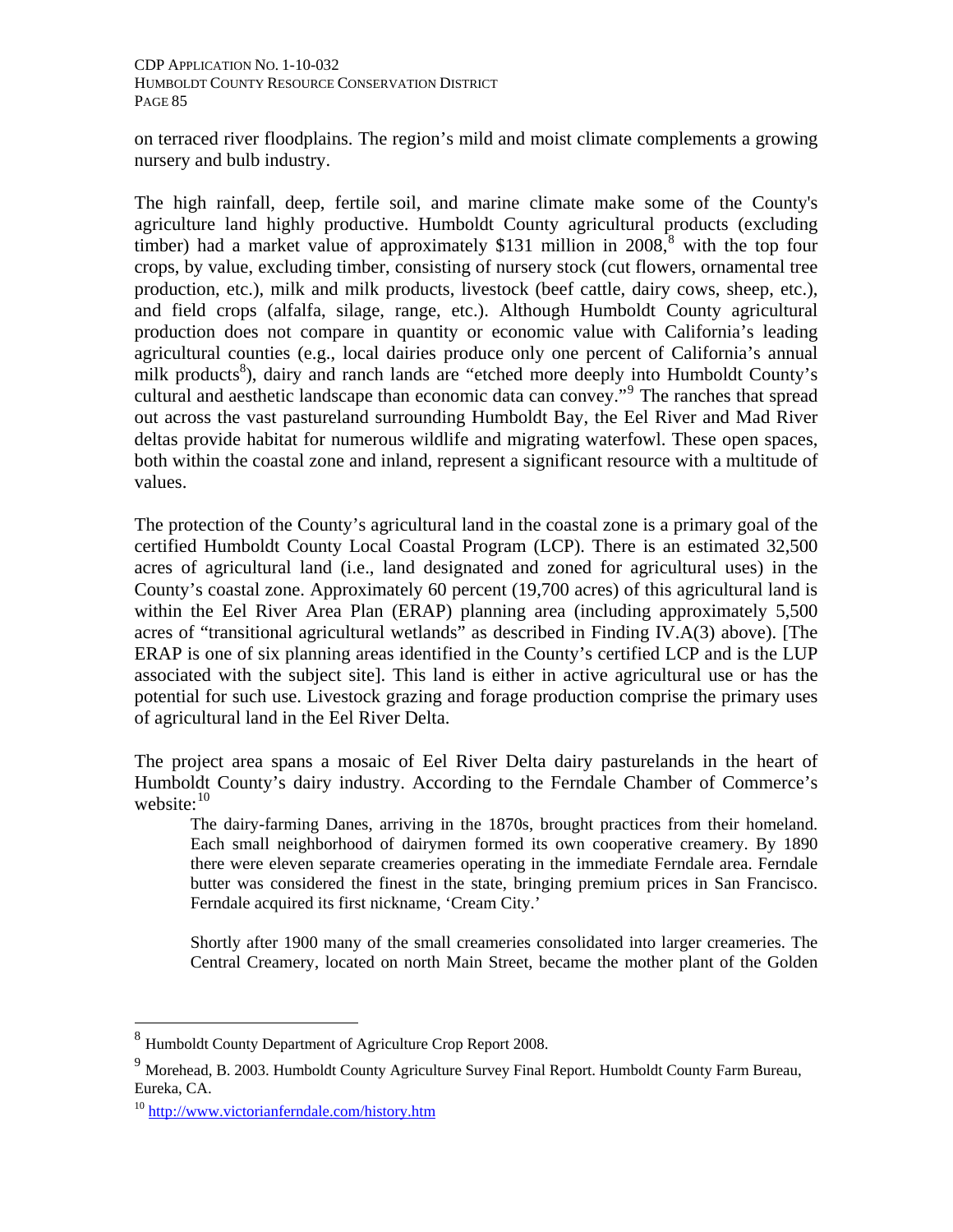on terraced river floodplains. The region's mild and moist climate complements a growing nursery and bulb industry.

The high rainfall, deep, fertile soil, and marine climate make some of the County's agriculture land highly productive. Humboldt County agricultural products (excluding timber) had a market value of approximately \$131 million in  $2008$  $2008$ <sup>8</sup>, with the top four crops, by value, excluding timber, consisting of nursery stock (cut flowers, ornamental tree production, etc.), milk and milk products, livestock (beef cattle, dairy cows, sheep, etc.), and field crops (alfalfa, silage, range, etc.). Although Humboldt County agricultural production does not compare in quantity or economic value with California's leading agricultural counties (e.g., local dairies produce only one percent of California's annual milk products<sup>8</sup>), dairy and ranch lands are "etched more deeply into Humboldt County's cultural and aesthetic landscape than economic data can convey."<sup>[9](#page-106-1)</sup> The ranches that spread out across the vast pastureland surrounding Humboldt Bay, the Eel River and Mad River deltas provide habitat for numerous wildlife and migrating waterfowl. These open spaces, both within the coastal zone and inland, represent a significant resource with a multitude of values.

The protection of the County's agricultural land in the coastal zone is a primary goal of the certified Humboldt County Local Coastal Program (LCP). There is an estimated 32,500 acres of agricultural land (i.e., land designated and zoned for agricultural uses) in the County's coastal zone. Approximately 60 percent (19,700 acres) of this agricultural land is within the Eel River Area Plan (ERAP) planning area (including approximately 5,500 acres of "transitional agricultural wetlands" as described in Finding IV.A(3) above). [The ERAP is one of six planning areas identified in the County's certified LCP and is the LUP associated with the subject site]. This land is either in active agricultural use or has the potential for such use. Livestock grazing and forage production comprise the primary uses of agricultural land in the Eel River Delta.

The project area spans a mosaic of Eel River Delta dairy pasturelands in the heart of Humboldt County's dairy industry. According to the Ferndale Chamber of Commerce's website:<sup>[10](#page-106-2)</sup>

The dairy-farming Danes, arriving in the 1870s, brought practices from their homeland. Each small neighborhood of dairymen formed its own cooperative creamery. By 1890 there were eleven separate creameries operating in the immediate Ferndale area. Ferndale butter was considered the finest in the state, bringing premium prices in San Francisco. Ferndale acquired its first nickname, 'Cream City.'

Shortly after 1900 many of the small creameries consolidated into larger creameries. The Central Creamery, located on north Main Street, became the mother plant of the Golden

 $\overline{a}$ 

<span id="page-106-0"></span><sup>8</sup> Humboldt County Department of Agriculture Crop Report 2008.

<span id="page-106-1"></span><sup>9</sup> Morehead, B. 2003. Humboldt County Agriculture Survey Final Report. Humboldt County Farm Bureau, Eureka, CA.

<span id="page-106-2"></span><sup>10</sup> <http://www.victorianferndale.com/history.htm>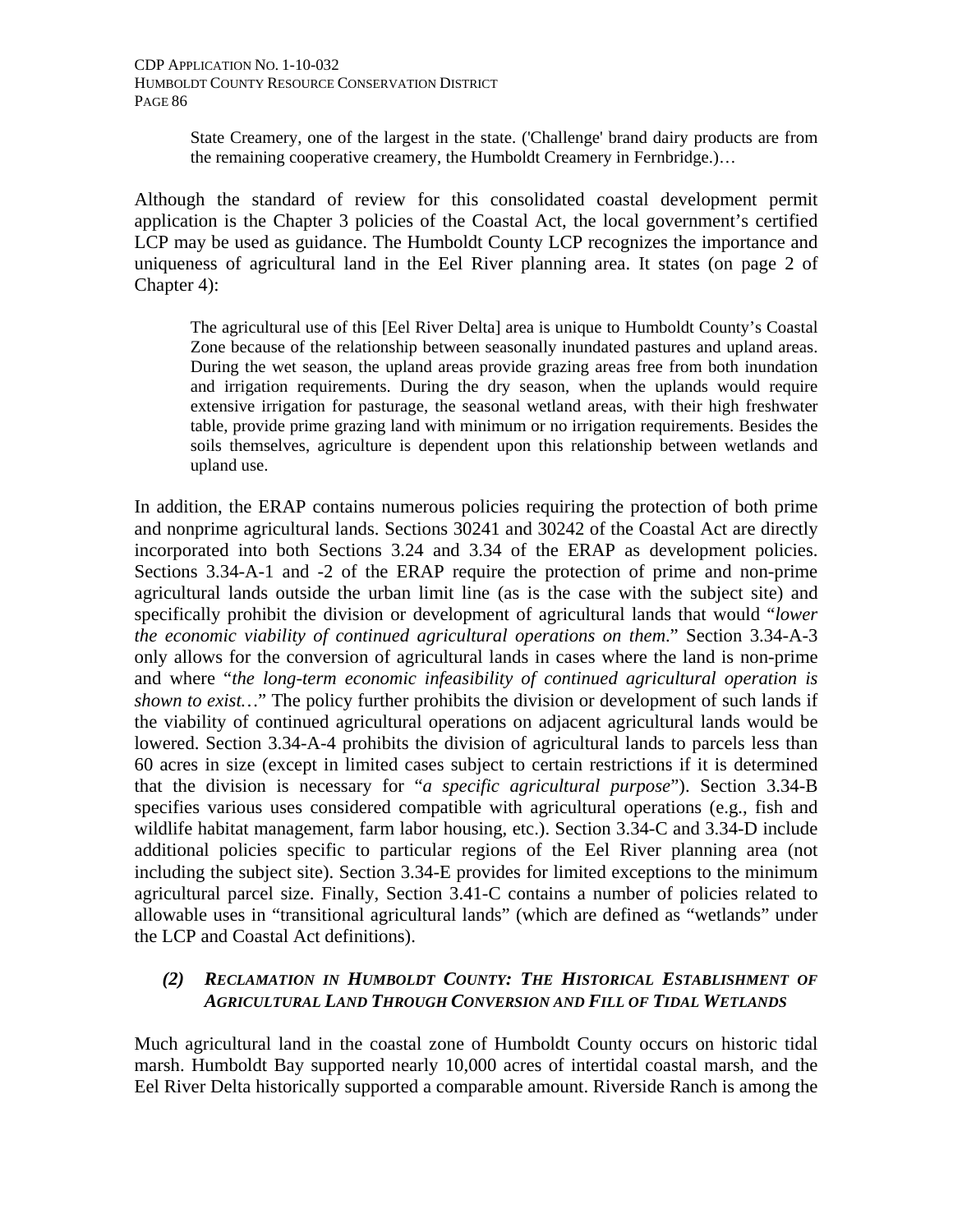State Creamery, one of the largest in the state. ('Challenge' brand dairy products are from the remaining cooperative creamery, the Humboldt Creamery in Fernbridge.)…

Although the standard of review for this consolidated coastal development permit application is the Chapter 3 policies of the Coastal Act, the local government's certified LCP may be used as guidance. The Humboldt County LCP recognizes the importance and uniqueness of agricultural land in the Eel River planning area. It states (on page 2 of Chapter 4):

The agricultural use of this [Eel River Delta] area is unique to Humboldt County's Coastal Zone because of the relationship between seasonally inundated pastures and upland areas. During the wet season, the upland areas provide grazing areas free from both inundation and irrigation requirements. During the dry season, when the uplands would require extensive irrigation for pasturage, the seasonal wetland areas, with their high freshwater table, provide prime grazing land with minimum or no irrigation requirements. Besides the soils themselves, agriculture is dependent upon this relationship between wetlands and upland use.

In addition, the ERAP contains numerous policies requiring the protection of both prime and nonprime agricultural lands. Sections 30241 and 30242 of the Coastal Act are directly incorporated into both Sections 3.24 and 3.34 of the ERAP as development policies. Sections 3.34-A-1 and -2 of the ERAP require the protection of prime and non-prime agricultural lands outside the urban limit line (as is the case with the subject site) and specifically prohibit the division or development of agricultural lands that would "*lower the economic viability of continued agricultural operations on them*." Section 3.34-A-3 only allows for the conversion of agricultural lands in cases where the land is non-prime and where "*the long-term economic infeasibility of continued agricultural operation is shown to exist…*" The policy further prohibits the division or development of such lands if the viability of continued agricultural operations on adjacent agricultural lands would be lowered. Section 3.34-A-4 prohibits the division of agricultural lands to parcels less than 60 acres in size (except in limited cases subject to certain restrictions if it is determined that the division is necessary for "*a specific agricultural purpose*"). Section 3.34-B specifies various uses considered compatible with agricultural operations (e.g., fish and wildlife habitat management, farm labor housing, etc.). Section 3.34-C and 3.34-D include additional policies specific to particular regions of the Eel River planning area (not including the subject site). Section 3.34-E provides for limited exceptions to the minimum agricultural parcel size. Finally, Section 3.41-C contains a number of policies related to allowable uses in "transitional agricultural lands" (which are defined as "wetlands" under the LCP and Coastal Act definitions).

#### *(2) RECLAMATION IN HUMBOLDT COUNTY: THE HISTORICAL ESTABLISHMENT OF AGRICULTURAL LAND THROUGH CONVERSION AND FILL OF TIDAL WETLANDS*

Much agricultural land in the coastal zone of Humboldt County occurs on historic tidal marsh. Humboldt Bay supported nearly 10,000 acres of intertidal coastal marsh, and the Eel River Delta historically supported a comparable amount. Riverside Ranch is among the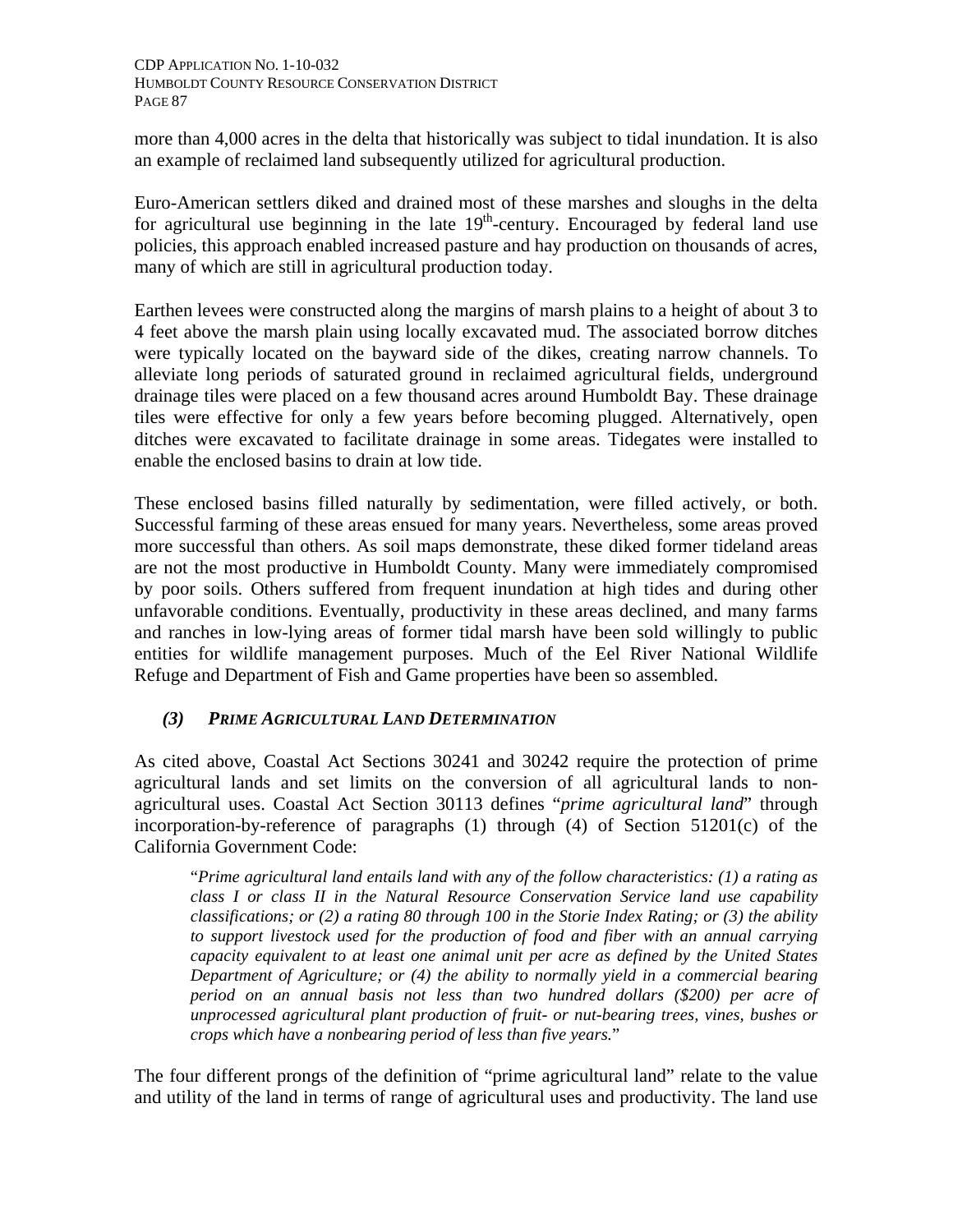more than 4,000 acres in the delta that historically was subject to tidal inundation. It is also an example of reclaimed land subsequently utilized for agricultural production.

Euro-American settlers diked and drained most of these marshes and sloughs in the delta for agricultural use beginning in the late  $19<sup>th</sup>$ -century. Encouraged by federal land use policies, this approach enabled increased pasture and hay production on thousands of acres, many of which are still in agricultural production today.

Earthen levees were constructed along the margins of marsh plains to a height of about 3 to 4 feet above the marsh plain using locally excavated mud. The associated borrow ditches were typically located on the bayward side of the dikes, creating narrow channels. To alleviate long periods of saturated ground in reclaimed agricultural fields, underground drainage tiles were placed on a few thousand acres around Humboldt Bay. These drainage tiles were effective for only a few years before becoming plugged. Alternatively, open ditches were excavated to facilitate drainage in some areas. Tidegates were installed to enable the enclosed basins to drain at low tide.

These enclosed basins filled naturally by sedimentation, were filled actively, or both. Successful farming of these areas ensued for many years. Nevertheless, some areas proved more successful than others. As soil maps demonstrate, these diked former tideland areas are not the most productive in Humboldt County. Many were immediately compromised by poor soils. Others suffered from frequent inundation at high tides and during other unfavorable conditions. Eventually, productivity in these areas declined, and many farms and ranches in low-lying areas of former tidal marsh have been sold willingly to public entities for wildlife management purposes. Much of the Eel River National Wildlife Refuge and Department of Fish and Game properties have been so assembled.

## *(3) PRIME AGRICULTURAL LAND DETERMINATION*

As cited above, Coastal Act Sections 30241 and 30242 require the protection of prime agricultural lands and set limits on the conversion of all agricultural lands to nonagricultural uses. Coastal Act Section 30113 defines "*prime agricultural land*" through incorporation-by-reference of paragraphs (1) through (4) of Section 51201(c) of the California Government Code:

"*Prime agricultural land entails land with any of the follow characteristics: (1) a rating as class I or class II in the Natural Resource Conservation Service land use capability classifications; or (2) a rating 80 through 100 in the Storie Index Rating; or (3) the ability to support livestock used for the production of food and fiber with an annual carrying capacity equivalent to at least one animal unit per acre as defined by the United States Department of Agriculture; or (4) the ability to normally yield in a commercial bearing period on an annual basis not less than two hundred dollars (\$200) per acre of unprocessed agricultural plant production of fruit- or nut-bearing trees, vines, bushes or crops which have a nonbearing period of less than five years.*"

The four different prongs of the definition of "prime agricultural land" relate to the value and utility of the land in terms of range of agricultural uses and productivity. The land use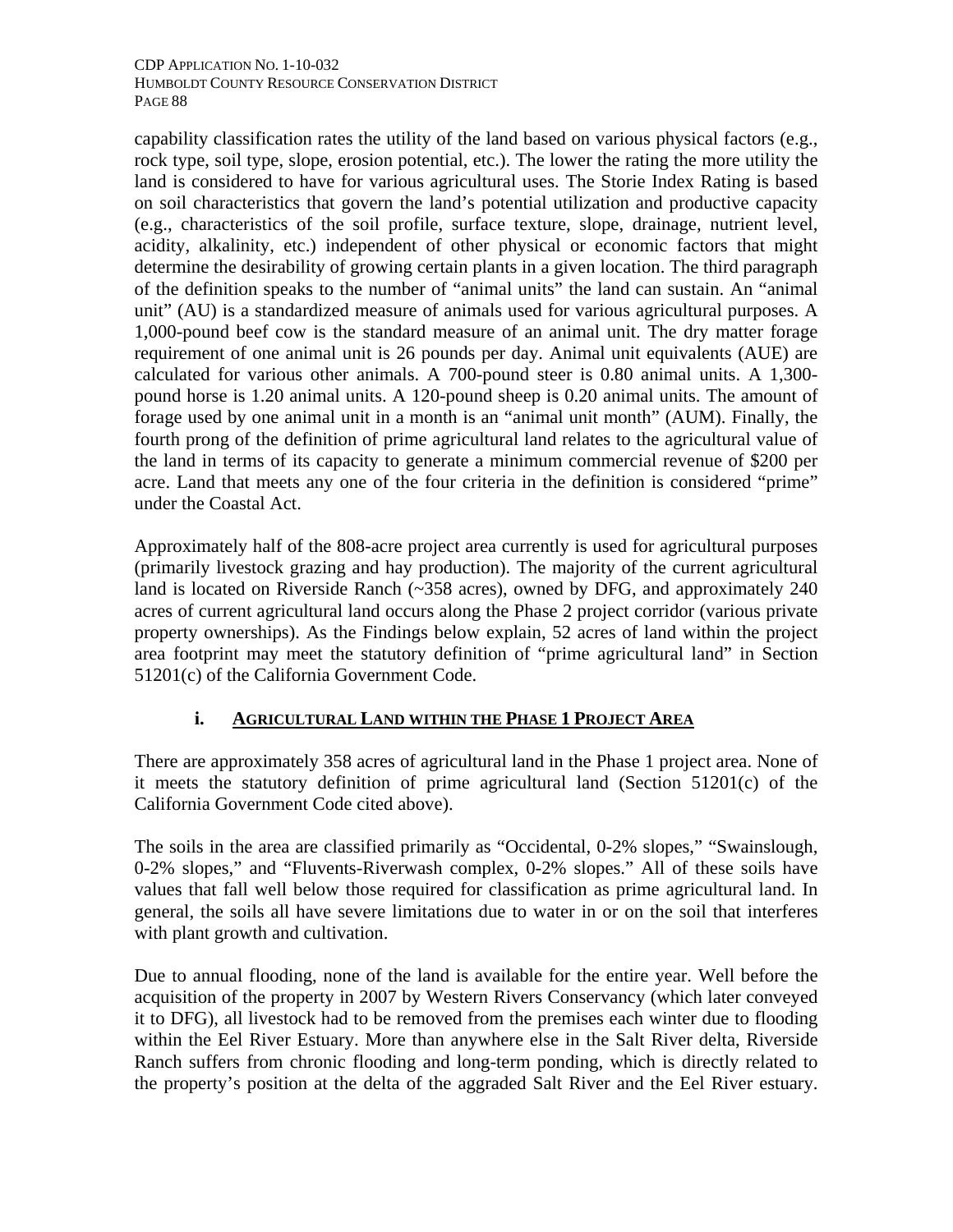capability classification rates the utility of the land based on various physical factors (e.g., rock type, soil type, slope, erosion potential, etc.). The lower the rating the more utility the land is considered to have for various agricultural uses. The Storie Index Rating is based on soil characteristics that govern the land's potential utilization and productive capacity (e.g., characteristics of the soil profile, surface texture, slope, drainage, nutrient level, acidity, alkalinity, etc.) independent of other physical or economic factors that might determine the desirability of growing certain plants in a given location. The third paragraph of the definition speaks to the number of "animal units" the land can sustain. An "animal unit" (AU) is a standardized measure of animals used for various agricultural purposes. A 1,000-pound beef cow is the standard measure of an animal unit. The dry matter forage requirement of one animal unit is 26 pounds per day. Animal unit equivalents (AUE) are calculated for various other animals. A 700-pound steer is 0.80 animal units. A 1,300 pound horse is 1.20 animal units. A 120-pound sheep is 0.20 animal units. The amount of forage used by one animal unit in a month is an "animal unit month" (AUM). Finally, the fourth prong of the definition of prime agricultural land relates to the agricultural value of the land in terms of its capacity to generate a minimum commercial revenue of \$200 per acre. Land that meets any one of the four criteria in the definition is considered "prime" under the Coastal Act.

Approximately half of the 808-acre project area currently is used for agricultural purposes (primarily livestock grazing and hay production). The majority of the current agricultural land is located on Riverside Ranch (~358 acres), owned by DFG, and approximately 240 acres of current agricultural land occurs along the Phase 2 project corridor (various private property ownerships). As the Findings below explain, 52 acres of land within the project area footprint may meet the statutory definition of "prime agricultural land" in Section 51201(c) of the California Government Code.

## **i. AGRICULTURAL LAND WITHIN THE PHASE 1 PROJECT AREA**

There are approximately 358 acres of agricultural land in the Phase 1 project area. None of it meets the statutory definition of prime agricultural land (Section 51201(c) of the California Government Code cited above).

The soils in the area are classified primarily as "Occidental, 0-2% slopes," "Swainslough, 0-2% slopes," and "Fluvents-Riverwash complex, 0-2% slopes." All of these soils have values that fall well below those required for classification as prime agricultural land. In general, the soils all have severe limitations due to water in or on the soil that interferes with plant growth and cultivation.

Due to annual flooding, none of the land is available for the entire year. Well before the acquisition of the property in 2007 by Western Rivers Conservancy (which later conveyed it to DFG), all livestock had to be removed from the premises each winter due to flooding within the Eel River Estuary. More than anywhere else in the Salt River delta, Riverside Ranch suffers from chronic flooding and long-term ponding, which is directly related to the property's position at the delta of the aggraded Salt River and the Eel River estuary.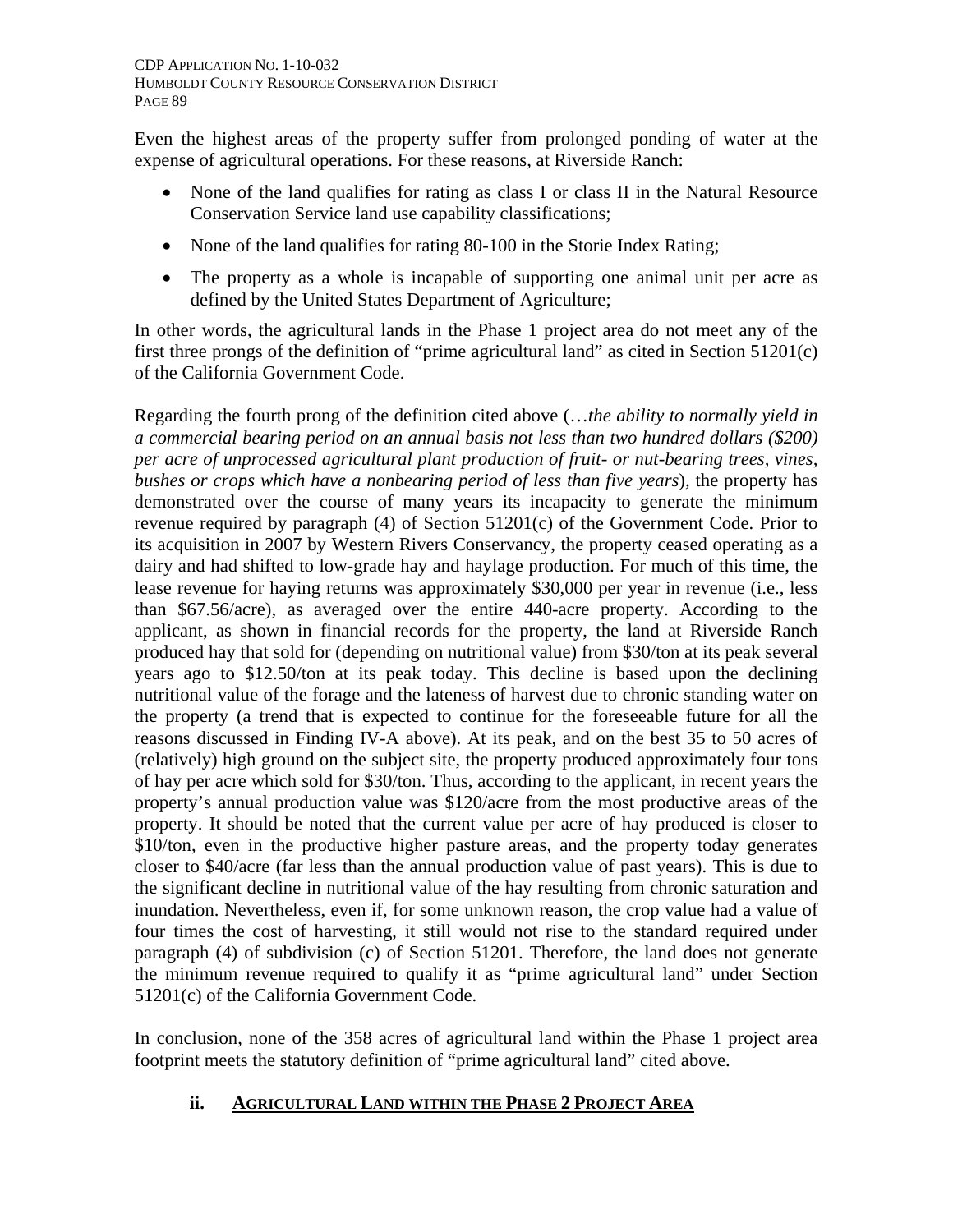Even the highest areas of the property suffer from prolonged ponding of water at the expense of agricultural operations. For these reasons, at Riverside Ranch:

- None of the land qualifies for rating as class I or class II in the Natural Resource Conservation Service land use capability classifications;
- None of the land qualifies for rating 80-100 in the Storie Index Rating;
- The property as a whole is incapable of supporting one animal unit per acre as defined by the United States Department of Agriculture;

In other words, the agricultural lands in the Phase 1 project area do not meet any of the first three prongs of the definition of "prime agricultural land" as cited in Section 51201(c) of the California Government Code.

Regarding the fourth prong of the definition cited above (…*the ability to normally yield in a commercial bearing period on an annual basis not less than two hundred dollars (\$200) per acre of unprocessed agricultural plant production of fruit- or nut-bearing trees, vines, bushes or crops which have a nonbearing period of less than five years*), the property has demonstrated over the course of many years its incapacity to generate the minimum revenue required by paragraph (4) of Section 51201(c) of the Government Code. Prior to its acquisition in 2007 by Western Rivers Conservancy, the property ceased operating as a dairy and had shifted to low-grade hay and haylage production. For much of this time, the lease revenue for haying returns was approximately \$30,000 per year in revenue (i.e., less than \$67.56/acre), as averaged over the entire 440-acre property. According to the applicant, as shown in financial records for the property, the land at Riverside Ranch produced hay that sold for (depending on nutritional value) from \$30/ton at its peak several years ago to \$12.50/ton at its peak today. This decline is based upon the declining nutritional value of the forage and the lateness of harvest due to chronic standing water on the property (a trend that is expected to continue for the foreseeable future for all the reasons discussed in Finding IV-A above). At its peak, and on the best 35 to 50 acres of (relatively) high ground on the subject site, the property produced approximately four tons of hay per acre which sold for \$30/ton. Thus, according to the applicant, in recent years the property's annual production value was \$120/acre from the most productive areas of the property. It should be noted that the current value per acre of hay produced is closer to \$10/ton, even in the productive higher pasture areas, and the property today generates closer to \$40/acre (far less than the annual production value of past years). This is due to the significant decline in nutritional value of the hay resulting from chronic saturation and inundation. Nevertheless, even if, for some unknown reason, the crop value had a value of four times the cost of harvesting, it still would not rise to the standard required under paragraph (4) of subdivision (c) of Section 51201. Therefore, the land does not generate the minimum revenue required to qualify it as "prime agricultural land" under Section 51201(c) of the California Government Code.

In conclusion, none of the 358 acres of agricultural land within the Phase 1 project area footprint meets the statutory definition of "prime agricultural land" cited above.

## **ii. AGRICULTURAL LAND WITHIN THE PHASE 2 PROJECT AREA**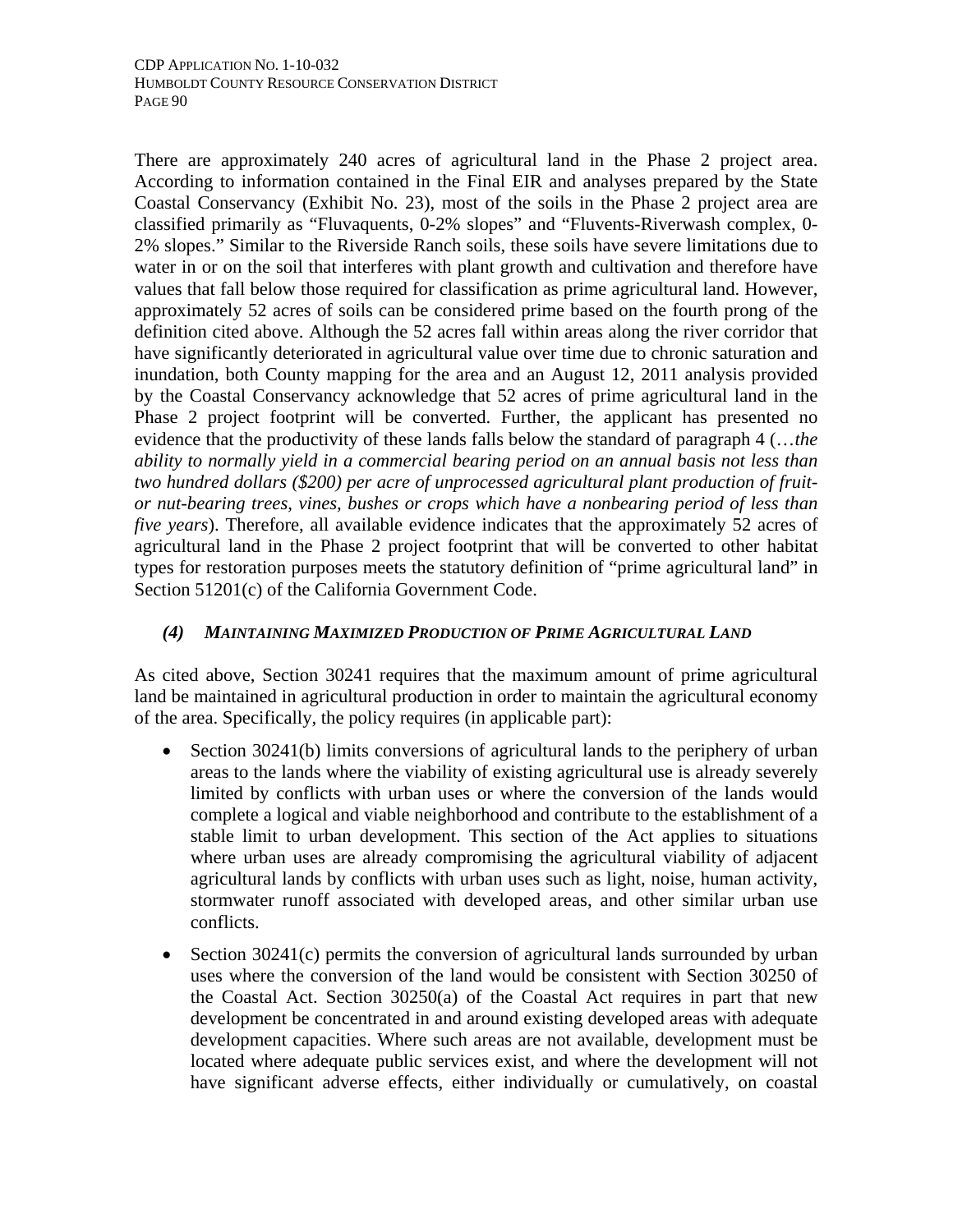There are approximately 240 acres of agricultural land in the Phase 2 project area. According to information contained in the Final EIR and analyses prepared by the State Coastal Conservancy (Exhibit No. 23), most of the soils in the Phase 2 project area are classified primarily as "Fluvaquents, 0-2% slopes" and "Fluvents-Riverwash complex, 0- 2% slopes." Similar to the Riverside Ranch soils, these soils have severe limitations due to water in or on the soil that interferes with plant growth and cultivation and therefore have values that fall below those required for classification as prime agricultural land. However, approximately 52 acres of soils can be considered prime based on the fourth prong of the definition cited above. Although the 52 acres fall within areas along the river corridor that have significantly deteriorated in agricultural value over time due to chronic saturation and inundation, both County mapping for the area and an August 12, 2011 analysis provided by the Coastal Conservancy acknowledge that 52 acres of prime agricultural land in the Phase 2 project footprint will be converted. Further, the applicant has presented no evidence that the productivity of these lands falls below the standard of paragraph 4 (…*the ability to normally yield in a commercial bearing period on an annual basis not less than two hundred dollars (\$200) per acre of unprocessed agricultural plant production of fruitor nut-bearing trees, vines, bushes or crops which have a nonbearing period of less than five years*). Therefore, all available evidence indicates that the approximately 52 acres of agricultural land in the Phase 2 project footprint that will be converted to other habitat types for restoration purposes meets the statutory definition of "prime agricultural land" in Section 51201(c) of the California Government Code.

## *(4) MAINTAINING MAXIMIZED PRODUCTION OF PRIME AGRICULTURAL LAND*

As cited above, Section 30241 requires that the maximum amount of prime agricultural land be maintained in agricultural production in order to maintain the agricultural economy of the area. Specifically, the policy requires (in applicable part):

- Section 30241(b) limits conversions of agricultural lands to the periphery of urban areas to the lands where the viability of existing agricultural use is already severely limited by conflicts with urban uses or where the conversion of the lands would complete a logical and viable neighborhood and contribute to the establishment of a stable limit to urban development. This section of the Act applies to situations where urban uses are already compromising the agricultural viability of adjacent agricultural lands by conflicts with urban uses such as light, noise, human activity, stormwater runoff associated with developed areas, and other similar urban use conflicts.
- Section 30241(c) permits the conversion of agricultural lands surrounded by urban uses where the conversion of the land would be consistent with Section 30250 of the Coastal Act. Section 30250(a) of the Coastal Act requires in part that new development be concentrated in and around existing developed areas with adequate development capacities. Where such areas are not available, development must be located where adequate public services exist, and where the development will not have significant adverse effects, either individually or cumulatively, on coastal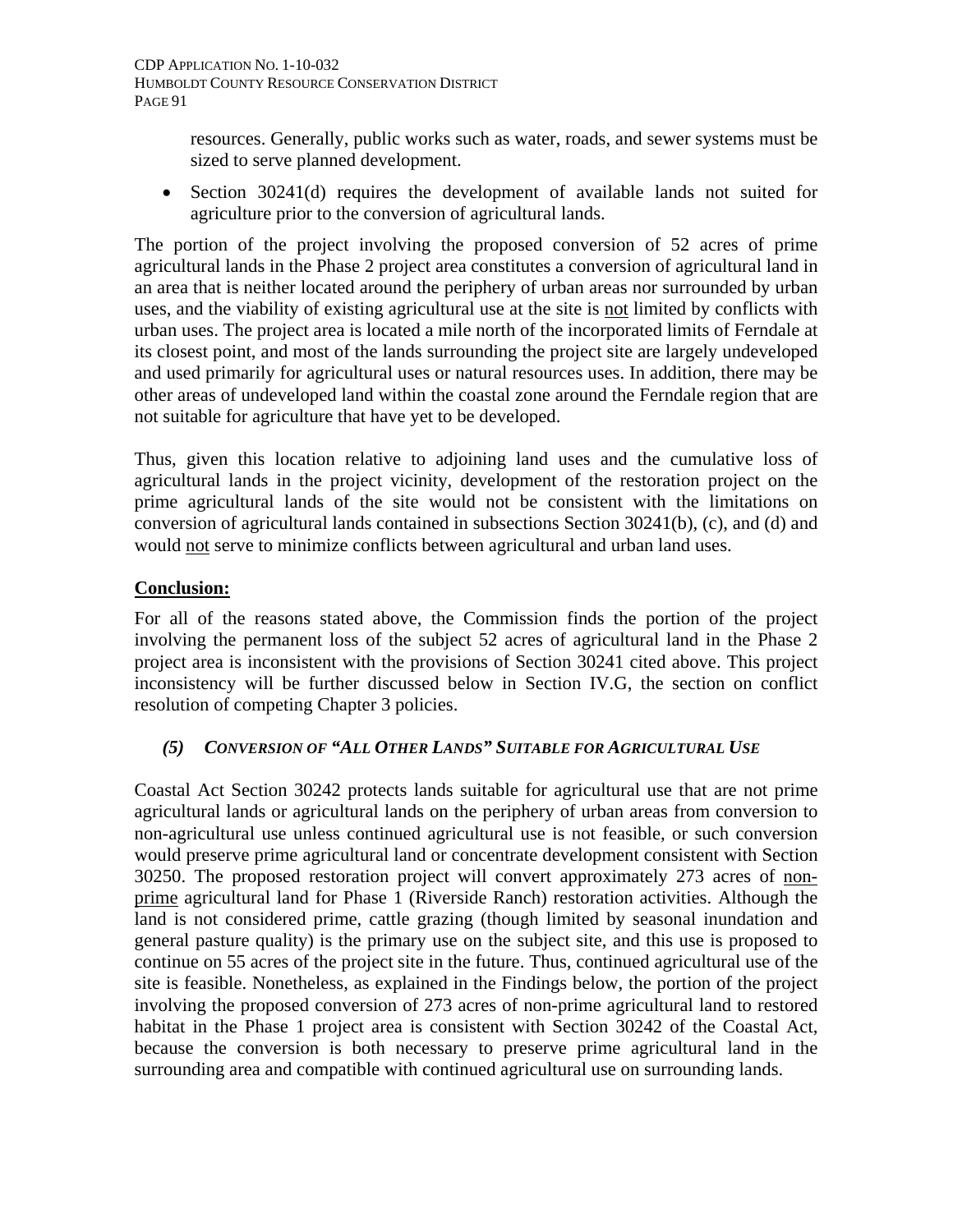resources. Generally, public works such as water, roads, and sewer systems must be sized to serve planned development.

 Section 30241(d) requires the development of available lands not suited for agriculture prior to the conversion of agricultural lands.

The portion of the project involving the proposed conversion of 52 acres of prime agricultural lands in the Phase 2 project area constitutes a conversion of agricultural land in an area that is neither located around the periphery of urban areas nor surrounded by urban uses, and the viability of existing agricultural use at the site is not limited by conflicts with urban uses. The project area is located a mile north of the incorporated limits of Ferndale at its closest point, and most of the lands surrounding the project site are largely undeveloped and used primarily for agricultural uses or natural resources uses. In addition, there may be other areas of undeveloped land within the coastal zone around the Ferndale region that are not suitable for agriculture that have yet to be developed.

Thus, given this location relative to adjoining land uses and the cumulative loss of agricultural lands in the project vicinity, development of the restoration project on the prime agricultural lands of the site would not be consistent with the limitations on conversion of agricultural lands contained in subsections Section 30241(b), (c), and (d) and would not serve to minimize conflicts between agricultural and urban land uses.

## **Conclusion:**

For all of the reasons stated above, the Commission finds the portion of the project involving the permanent loss of the subject 52 acres of agricultural land in the Phase 2 project area is inconsistent with the provisions of Section 30241 cited above. This project inconsistency will be further discussed below in Section IV.G, the section on conflict resolution of competing Chapter 3 policies.

## *(5) CONVERSION OF "ALL OTHER LANDS" SUITABLE FOR AGRICULTURAL USE*

Coastal Act Section 30242 protects lands suitable for agricultural use that are not prime agricultural lands or agricultural lands on the periphery of urban areas from conversion to non-agricultural use unless continued agricultural use is not feasible, or such conversion would preserve prime agricultural land or concentrate development consistent with Section 30250. The proposed restoration project will convert approximately 273 acres of nonprime agricultural land for Phase 1 (Riverside Ranch) restoration activities. Although the land is not considered prime, cattle grazing (though limited by seasonal inundation and general pasture quality) is the primary use on the subject site, and this use is proposed to continue on 55 acres of the project site in the future. Thus, continued agricultural use of the site is feasible. Nonetheless, as explained in the Findings below, the portion of the project involving the proposed conversion of 273 acres of non-prime agricultural land to restored habitat in the Phase 1 project area is consistent with Section 30242 of the Coastal Act, because the conversion is both necessary to preserve prime agricultural land in the surrounding area and compatible with continued agricultural use on surrounding lands.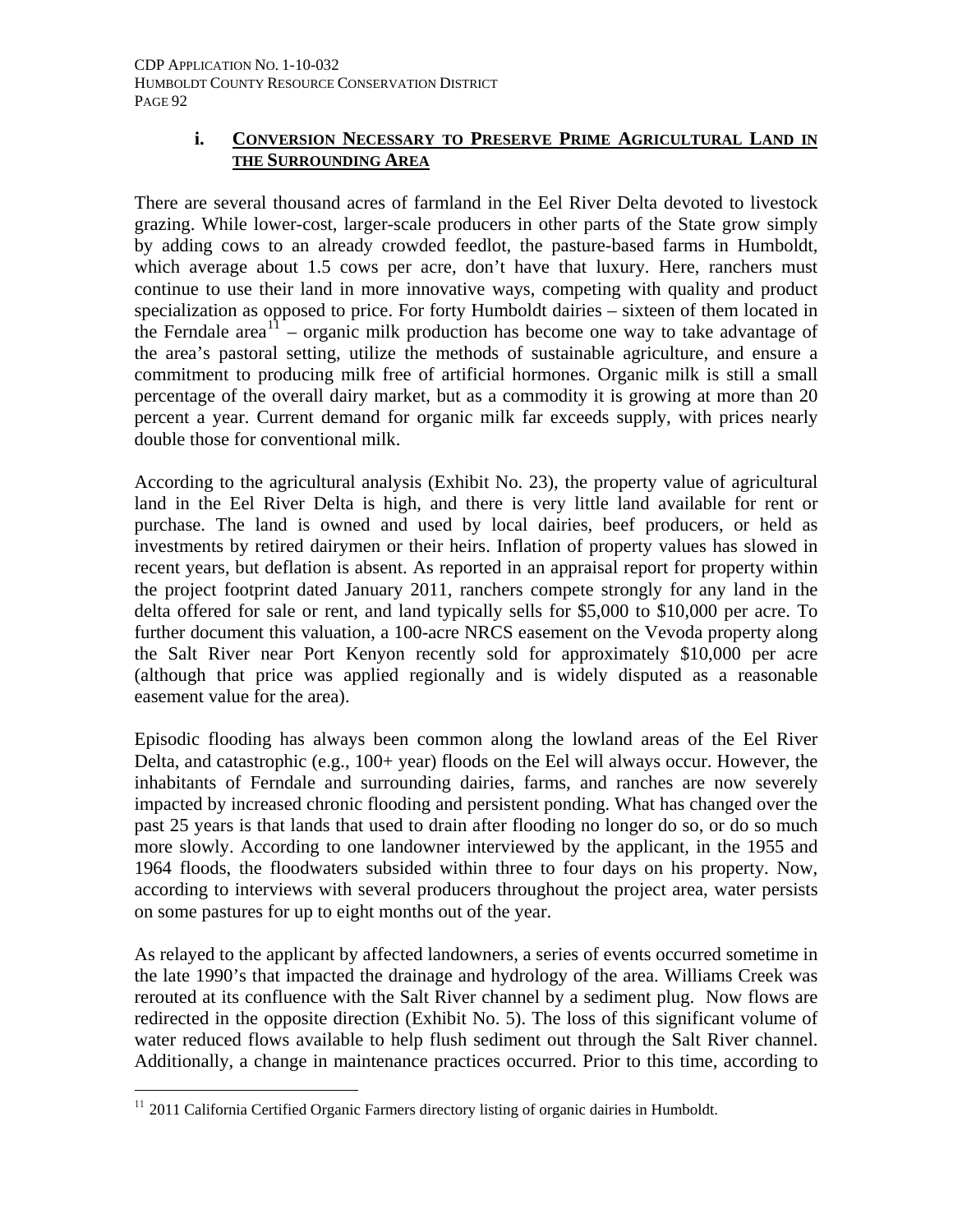## **i. CONVERSION NECESSARY TO PRESERVE PRIME AGRICULTURAL LAND IN THE SURROUNDING AREA**

There are several thousand acres of farmland in the Eel River Delta devoted to livestock grazing. While lower-cost, larger-scale producers in other parts of the State grow simply by adding cows to an already crowded feedlot, the pasture-based farms in Humboldt, which average about 1.5 cows per acre, don't have that luxury. Here, ranchers must continue to use their land in more innovative ways, competing with quality and product specialization as opposed to price. For forty Humboldt dairies – sixteen of them located in the Ferndale area<sup>[11](#page-113-0)</sup> – organic milk production has become one way to take advantage of the area's pastoral setting, utilize the methods of sustainable agriculture, and ensure a commitment to producing milk free of artificial hormones. Organic milk is still a small percentage of the overall dairy market, but as a commodity it is growing at more than 20 percent a year. Current demand for organic milk far exceeds supply, with prices nearly double those for conventional milk.

According to the agricultural analysis (Exhibit No. 23), the property value of agricultural land in the Eel River Delta is high, and there is very little land available for rent or purchase. The land is owned and used by local dairies, beef producers, or held as investments by retired dairymen or their heirs. Inflation of property values has slowed in recent years, but deflation is absent. As reported in an appraisal report for property within the project footprint dated January 2011, ranchers compete strongly for any land in the delta offered for sale or rent, and land typically sells for \$5,000 to \$10,000 per acre. To further document this valuation, a 100-acre NRCS easement on the Vevoda property along the Salt River near Port Kenyon recently sold for approximately \$10,000 per acre (although that price was applied regionally and is widely disputed as a reasonable easement value for the area).

Episodic flooding has always been common along the lowland areas of the Eel River Delta, and catastrophic (e.g., 100+ year) floods on the Eel will always occur. However, the inhabitants of Ferndale and surrounding dairies, farms, and ranches are now severely impacted by increased chronic flooding and persistent ponding. What has changed over the past 25 years is that lands that used to drain after flooding no longer do so, or do so much more slowly. According to one landowner interviewed by the applicant, in the 1955 and 1964 floods, the floodwaters subsided within three to four days on his property. Now, according to interviews with several producers throughout the project area, water persists on some pastures for up to eight months out of the year.

As relayed to the applicant by affected landowners, a series of events occurred sometime in the late 1990's that impacted the drainage and hydrology of the area. Williams Creek was rerouted at its confluence with the Salt River channel by a sediment plug. Now flows are redirected in the opposite direction (Exhibit No. 5). The loss of this significant volume of water reduced flows available to help flush sediment out through the Salt River channel. Additionally, a change in maintenance practices occurred. Prior to this time, according to

 $\overline{a}$ 

<span id="page-113-0"></span><sup>&</sup>lt;sup>11</sup> 2011 California Certified Organic Farmers directory listing of organic dairies in Humboldt.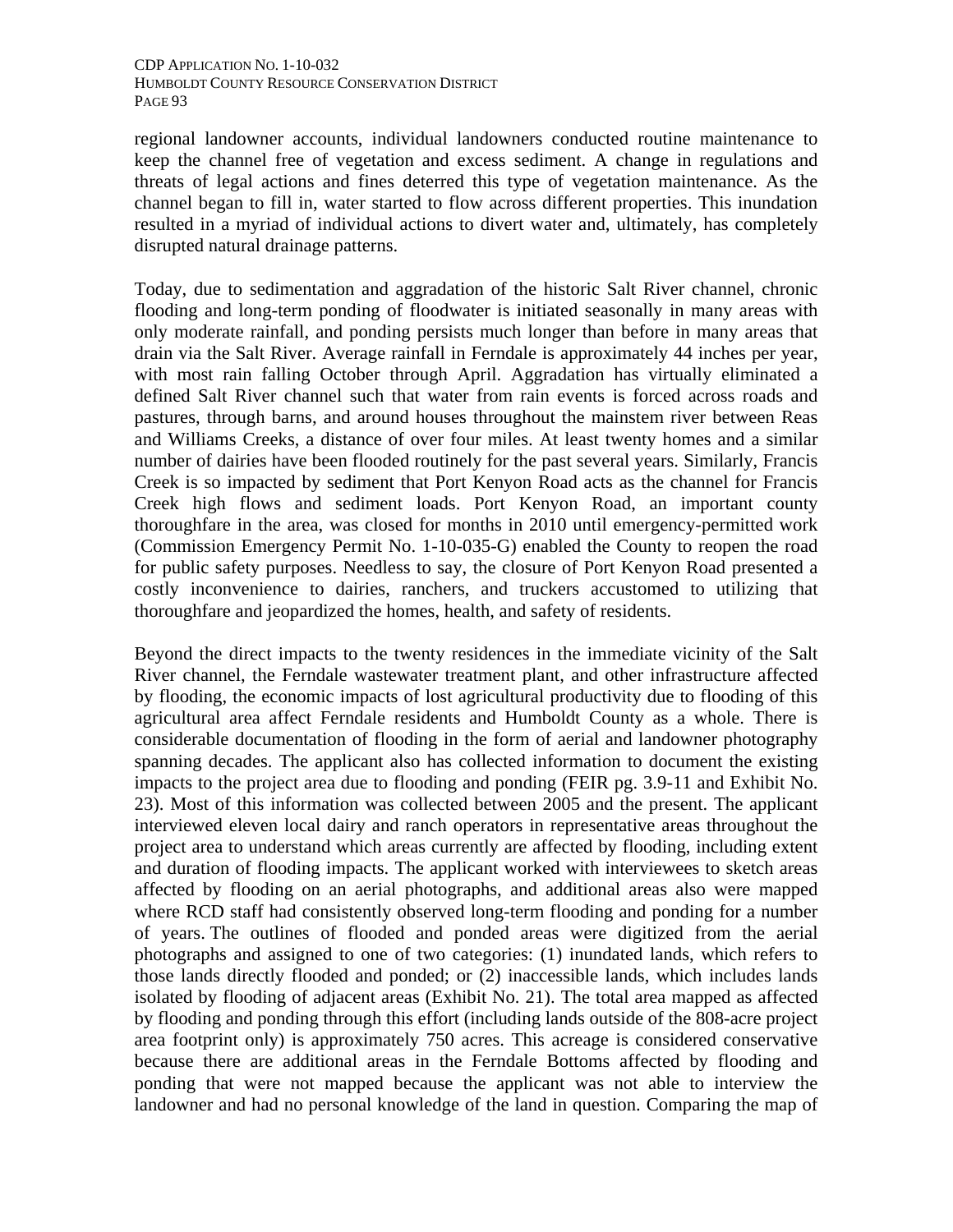regional landowner accounts, individual landowners conducted routine maintenance to keep the channel free of vegetation and excess sediment. A change in regulations and threats of legal actions and fines deterred this type of vegetation maintenance. As the channel began to fill in, water started to flow across different properties. This inundation resulted in a myriad of individual actions to divert water and, ultimately, has completely disrupted natural drainage patterns.

Today, due to sedimentation and aggradation of the historic Salt River channel, chronic flooding and long-term ponding of floodwater is initiated seasonally in many areas with only moderate rainfall, and ponding persists much longer than before in many areas that drain via the Salt River. Average rainfall in Ferndale is approximately 44 inches per year, with most rain falling October through April. Aggradation has virtually eliminated a defined Salt River channel such that water from rain events is forced across roads and pastures, through barns, and around houses throughout the mainstem river between Reas and Williams Creeks, a distance of over four miles. At least twenty homes and a similar number of dairies have been flooded routinely for the past several years. Similarly, Francis Creek is so impacted by sediment that Port Kenyon Road acts as the channel for Francis Creek high flows and sediment loads. Port Kenyon Road, an important county thoroughfare in the area, was closed for months in 2010 until emergency-permitted work (Commission Emergency Permit No. 1-10-035-G) enabled the County to reopen the road for public safety purposes. Needless to say, the closure of Port Kenyon Road presented a costly inconvenience to dairies, ranchers, and truckers accustomed to utilizing that thoroughfare and jeopardized the homes, health, and safety of residents.

Beyond the direct impacts to the twenty residences in the immediate vicinity of the Salt River channel, the Ferndale wastewater treatment plant, and other infrastructure affected by flooding, the economic impacts of lost agricultural productivity due to flooding of this agricultural area affect Ferndale residents and Humboldt County as a whole. There is considerable documentation of flooding in the form of aerial and landowner photography spanning decades. The applicant also has collected information to document the existing impacts to the project area due to flooding and ponding (FEIR pg. 3.9-11 and Exhibit No. 23). Most of this information was collected between 2005 and the present. The applicant interviewed eleven local dairy and ranch operators in representative areas throughout the project area to understand which areas currently are affected by flooding, including extent and duration of flooding impacts. The applicant worked with interviewees to sketch areas affected by flooding on an aerial photographs, and additional areas also were mapped where RCD staff had consistently observed long-term flooding and ponding for a number of years. The outlines of flooded and ponded areas were digitized from the aerial photographs and assigned to one of two categories: (1) inundated lands, which refers to those lands directly flooded and ponded; or (2) inaccessible lands, which includes lands isolated by flooding of adjacent areas (Exhibit No. 21). The total area mapped as affected by flooding and ponding through this effort (including lands outside of the 808-acre project area footprint only) is approximately 750 acres. This acreage is considered conservative because there are additional areas in the Ferndale Bottoms affected by flooding and ponding that were not mapped because the applicant was not able to interview the landowner and had no personal knowledge of the land in question. Comparing the map of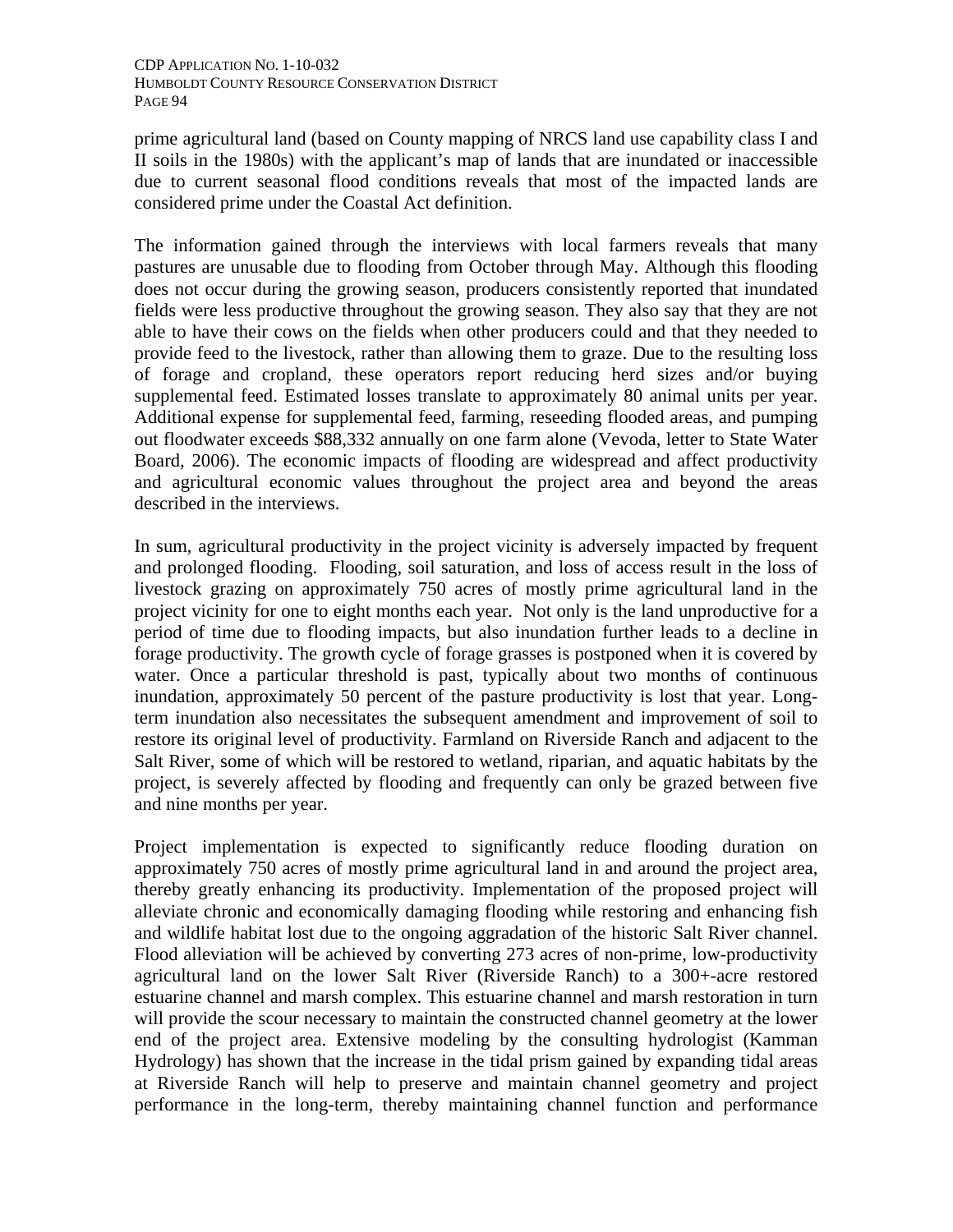prime agricultural land (based on County mapping of NRCS land use capability class I and II soils in the 1980s) with the applicant's map of lands that are inundated or inaccessible due to current seasonal flood conditions reveals that most of the impacted lands are considered prime under the Coastal Act definition.

The information gained through the interviews with local farmers reveals that many pastures are unusable due to flooding from October through May. Although this flooding does not occur during the growing season, producers consistently reported that inundated fields were less productive throughout the growing season. They also say that they are not able to have their cows on the fields when other producers could and that they needed to provide feed to the livestock, rather than allowing them to graze. Due to the resulting loss of forage and cropland, these operators report reducing herd sizes and/or buying supplemental feed. Estimated losses translate to approximately 80 animal units per year. Additional expense for supplemental feed, farming, reseeding flooded areas, and pumping out floodwater exceeds \$88,332 annually on one farm alone (Vevoda, letter to State Water Board, 2006). The economic impacts of flooding are widespread and affect productivity and agricultural economic values throughout the project area and beyond the areas described in the interviews.

In sum, agricultural productivity in the project vicinity is adversely impacted by frequent and prolonged flooding. Flooding, soil saturation, and loss of access result in the loss of livestock grazing on approximately 750 acres of mostly prime agricultural land in the project vicinity for one to eight months each year. Not only is the land unproductive for a period of time due to flooding impacts, but also inundation further leads to a decline in forage productivity. The growth cycle of forage grasses is postponed when it is covered by water. Once a particular threshold is past, typically about two months of continuous inundation, approximately 50 percent of the pasture productivity is lost that year. Longterm inundation also necessitates the subsequent amendment and improvement of soil to restore its original level of productivity. Farmland on Riverside Ranch and adjacent to the Salt River, some of which will be restored to wetland, riparian, and aquatic habitats by the project, is severely affected by flooding and frequently can only be grazed between five and nine months per year.

Project implementation is expected to significantly reduce flooding duration on approximately 750 acres of mostly prime agricultural land in and around the project area, thereby greatly enhancing its productivity. Implementation of the proposed project will alleviate chronic and economically damaging flooding while restoring and enhancing fish and wildlife habitat lost due to the ongoing aggradation of the historic Salt River channel. Flood alleviation will be achieved by converting 273 acres of non-prime, low-productivity agricultural land on the lower Salt River (Riverside Ranch) to a 300+-acre restored estuarine channel and marsh complex. This estuarine channel and marsh restoration in turn will provide the scour necessary to maintain the constructed channel geometry at the lower end of the project area. Extensive modeling by the consulting hydrologist (Kamman Hydrology) has shown that the increase in the tidal prism gained by expanding tidal areas at Riverside Ranch will help to preserve and maintain channel geometry and project performance in the long-term, thereby maintaining channel function and performance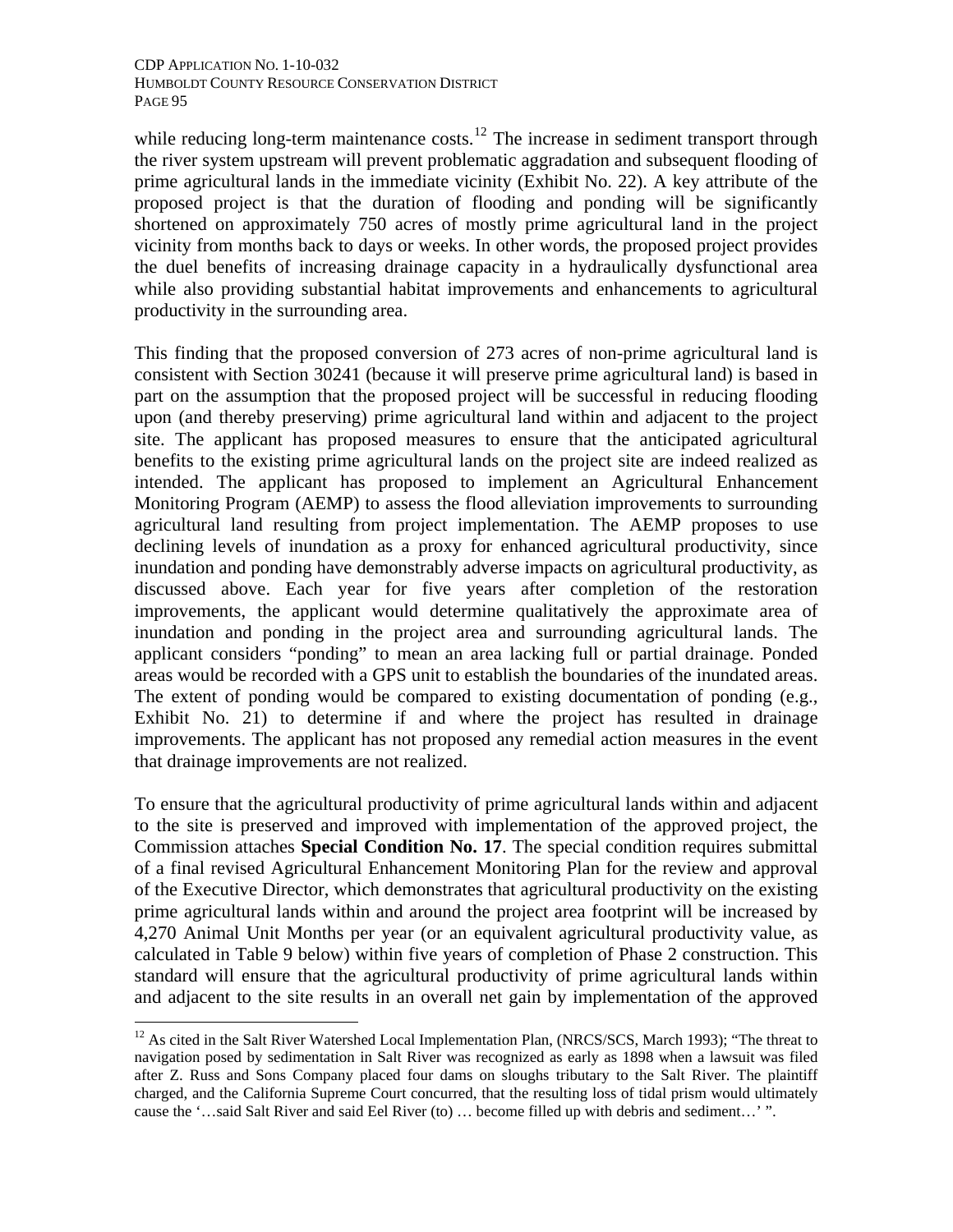while reducing long-term maintenance costs.<sup>[12](#page-116-0)</sup> The increase in sediment transport through the river system upstream will prevent problematic aggradation and subsequent flooding of prime agricultural lands in the immediate vicinity (Exhibit No. 22). A key attribute of the proposed project is that the duration of flooding and ponding will be significantly shortened on approximately 750 acres of mostly prime agricultural land in the project vicinity from months back to days or weeks. In other words, the proposed project provides the duel benefits of increasing drainage capacity in a hydraulically dysfunctional area while also providing substantial habitat improvements and enhancements to agricultural productivity in the surrounding area.

This finding that the proposed conversion of 273 acres of non-prime agricultural land is consistent with Section 30241 (because it will preserve prime agricultural land) is based in part on the assumption that the proposed project will be successful in reducing flooding upon (and thereby preserving) prime agricultural land within and adjacent to the project site. The applicant has proposed measures to ensure that the anticipated agricultural benefits to the existing prime agricultural lands on the project site are indeed realized as intended. The applicant has proposed to implement an Agricultural Enhancement Monitoring Program (AEMP) to assess the flood alleviation improvements to surrounding agricultural land resulting from project implementation. The AEMP proposes to use declining levels of inundation as a proxy for enhanced agricultural productivity, since inundation and ponding have demonstrably adverse impacts on agricultural productivity, as discussed above. Each year for five years after completion of the restoration improvements, the applicant would determine qualitatively the approximate area of inundation and ponding in the project area and surrounding agricultural lands. The applicant considers "ponding" to mean an area lacking full or partial drainage. Ponded areas would be recorded with a GPS unit to establish the boundaries of the inundated areas. The extent of ponding would be compared to existing documentation of ponding (e.g., Exhibit No. 21) to determine if and where the project has resulted in drainage improvements. The applicant has not proposed any remedial action measures in the event that drainage improvements are not realized.

To ensure that the agricultural productivity of prime agricultural lands within and adjacent to the site is preserved and improved with implementation of the approved project, the Commission attaches **Special Condition No. 17**. The special condition requires submittal of a final revised Agricultural Enhancement Monitoring Plan for the review and approval of the Executive Director, which demonstrates that agricultural productivity on the existing prime agricultural lands within and around the project area footprint will be increased by 4,270 Animal Unit Months per year (or an equivalent agricultural productivity value, as calculated in Table 9 below) within five years of completion of Phase 2 construction. This standard will ensure that the agricultural productivity of prime agricultural lands within and adjacent to the site results in an overall net gain by implementation of the approved

 $\overline{a}$ 

<span id="page-116-0"></span><sup>&</sup>lt;sup>12</sup> As cited in the Salt River Watershed Local Implementation Plan, (NRCS/SCS, March 1993); "The threat to navigation posed by sedimentation in Salt River was recognized as early as 1898 when a lawsuit was filed after Z. Russ and Sons Company placed four dams on sloughs tributary to the Salt River. The plaintiff charged, and the California Supreme Court concurred, that the resulting loss of tidal prism would ultimately cause the '…said Salt River and said Eel River (to) … become filled up with debris and sediment…' ".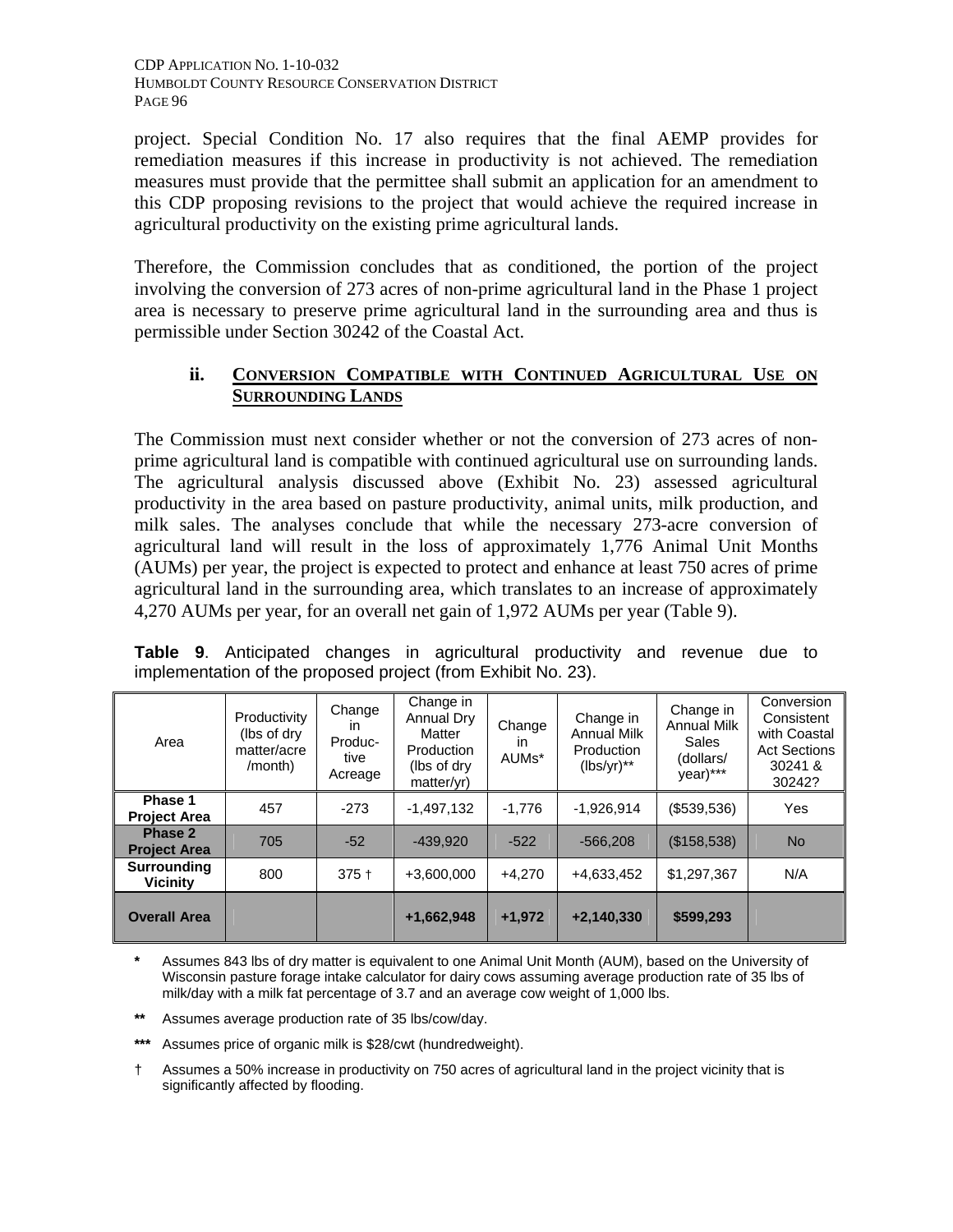project. Special Condition No. 17 also requires that the final AEMP provides for remediation measures if this increase in productivity is not achieved. The remediation measures must provide that the permittee shall submit an application for an amendment to this CDP proposing revisions to the project that would achieve the required increase in agricultural productivity on the existing prime agricultural lands.

Therefore, the Commission concludes that as conditioned, the portion of the project involving the conversion of 273 acres of non-prime agricultural land in the Phase 1 project area is necessary to preserve prime agricultural land in the surrounding area and thus is permissible under Section 30242 of the Coastal Act.

## **ii. CONVERSION COMPATIBLE WITH CONTINUED AGRICULTURAL USE ON SURROUNDING LANDS**

The Commission must next consider whether or not the conversion of 273 acres of nonprime agricultural land is compatible with continued agricultural use on surrounding lands. The agricultural analysis discussed above (Exhibit No. 23) assessed agricultural productivity in the area based on pasture productivity, animal units, milk production, and milk sales. The analyses conclude that while the necessary 273-acre conversion of agricultural land will result in the loss of approximately 1,776 Animal Unit Months (AUMs) per year, the project is expected to protect and enhance at least 750 acres of prime agricultural land in the surrounding area, which translates to an increase of approximately 4,270 AUMs per year, for an overall net gain of 1,972 AUMs per year (Table 9).

| Area                                  | Productivity<br>(lbs of dry<br>matter/acre<br>/month) | Change<br>in<br>Produc-<br>tive<br>Acreage | Change in<br>Annual Dry<br>Matter<br>Production<br>(lbs of dry<br>matter/vr) | Change<br>$\mathsf{I}$<br>AUMs* | Change in<br><b>Annual Milk</b><br>Production<br>$(lbs/yr)^{**}$ | Change in<br><b>Annual Milk</b><br>Sales<br>(dollars/<br>year)*** | Conversion<br>Consistent<br>with Coastal<br><b>Act Sections</b><br>30241 &<br>30242? |
|---------------------------------------|-------------------------------------------------------|--------------------------------------------|------------------------------------------------------------------------------|---------------------------------|------------------------------------------------------------------|-------------------------------------------------------------------|--------------------------------------------------------------------------------------|
| Phase 1<br><b>Project Area</b>        | 457                                                   | $-273$                                     | $-1,497,132$                                                                 | $-1.776$                        | $-1,926,914$                                                     | (\$539.536)                                                       | Yes                                                                                  |
| Phase 2<br><b>Project Area</b>        | 705                                                   | $-52$                                      | $-439.920$                                                                   | $-522$                          | $-566.208$                                                       | (\$158,538)                                                       | <b>No</b>                                                                            |
| <b>Surrounding</b><br><b>Vicinity</b> | 800                                                   | $375 +$                                    | $+3,600,000$                                                                 | $+4.270$                        | +4,633,452                                                       | \$1,297,367                                                       | N/A                                                                                  |
| <b>Overall Area</b>                   |                                                       |                                            | +1,662,948                                                                   | $+1,972$                        | $+2,140,330$                                                     | \$599,293                                                         |                                                                                      |

**Table 9**. Anticipated changes in agricultural productivity and revenue due to implementation of the proposed project (from Exhibit No. 23).

**\*** Assumes 843 lbs of dry matter is equivalent to one Animal Unit Month (AUM), based on the University of Wisconsin pasture forage intake calculator for dairy cows assuming average production rate of 35 lbs of milk/day with a milk fat percentage of 3.7 and an average cow weight of 1,000 lbs.

**\*\*** Assumes average production rate of 35 lbs/cow/day.

**\*\*\*** Assumes price of organic milk is \$28/cwt (hundredweight).

† Assumes a 50% increase in productivity on 750 acres of agricultural land in the project vicinity that is significantly affected by flooding.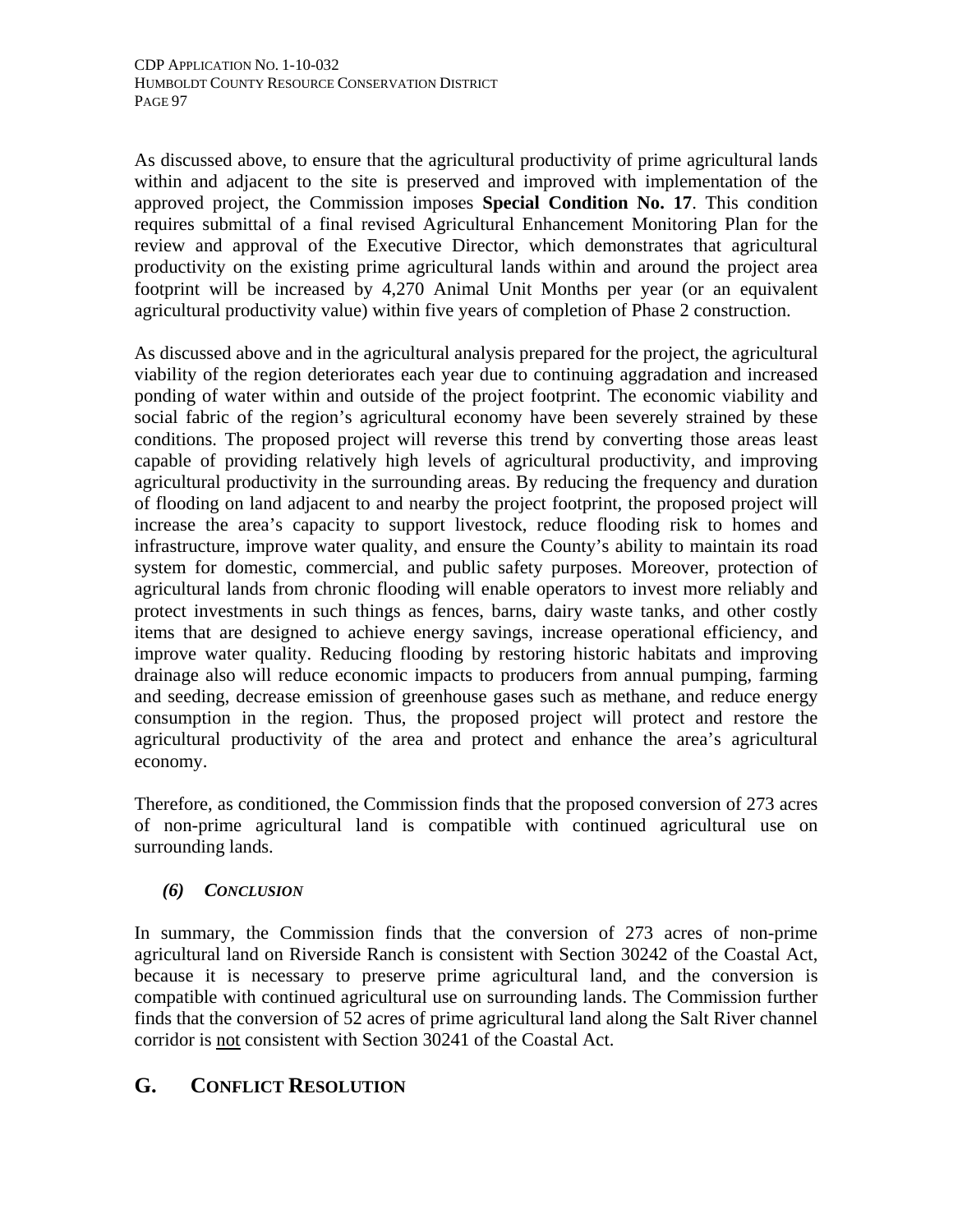As discussed above, to ensure that the agricultural productivity of prime agricultural lands within and adjacent to the site is preserved and improved with implementation of the approved project, the Commission imposes **Special Condition No. 17**. This condition requires submittal of a final revised Agricultural Enhancement Monitoring Plan for the review and approval of the Executive Director, which demonstrates that agricultural productivity on the existing prime agricultural lands within and around the project area footprint will be increased by 4,270 Animal Unit Months per year (or an equivalent agricultural productivity value) within five years of completion of Phase 2 construction.

As discussed above and in the agricultural analysis prepared for the project, the agricultural viability of the region deteriorates each year due to continuing aggradation and increased ponding of water within and outside of the project footprint. The economic viability and social fabric of the region's agricultural economy have been severely strained by these conditions. The proposed project will reverse this trend by converting those areas least capable of providing relatively high levels of agricultural productivity, and improving agricultural productivity in the surrounding areas. By reducing the frequency and duration of flooding on land adjacent to and nearby the project footprint, the proposed project will increase the area's capacity to support livestock, reduce flooding risk to homes and infrastructure, improve water quality, and ensure the County's ability to maintain its road system for domestic, commercial, and public safety purposes. Moreover, protection of agricultural lands from chronic flooding will enable operators to invest more reliably and protect investments in such things as fences, barns, dairy waste tanks, and other costly items that are designed to achieve energy savings, increase operational efficiency, and improve water quality. Reducing flooding by restoring historic habitats and improving drainage also will reduce economic impacts to producers from annual pumping, farming and seeding, decrease emission of greenhouse gases such as methane, and reduce energy consumption in the region. Thus, the proposed project will protect and restore the agricultural productivity of the area and protect and enhance the area's agricultural economy.

Therefore, as conditioned, the Commission finds that the proposed conversion of 273 acres of non-prime agricultural land is compatible with continued agricultural use on surrounding lands.

## *(6) CONCLUSION*

In summary, the Commission finds that the conversion of 273 acres of non-prime agricultural land on Riverside Ranch is consistent with Section 30242 of the Coastal Act, because it is necessary to preserve prime agricultural land, and the conversion is compatible with continued agricultural use on surrounding lands. The Commission further finds that the conversion of 52 acres of prime agricultural land along the Salt River channel corridor is not consistent with Section 30241 of the Coastal Act.

# **G. CONFLICT RESOLUTION**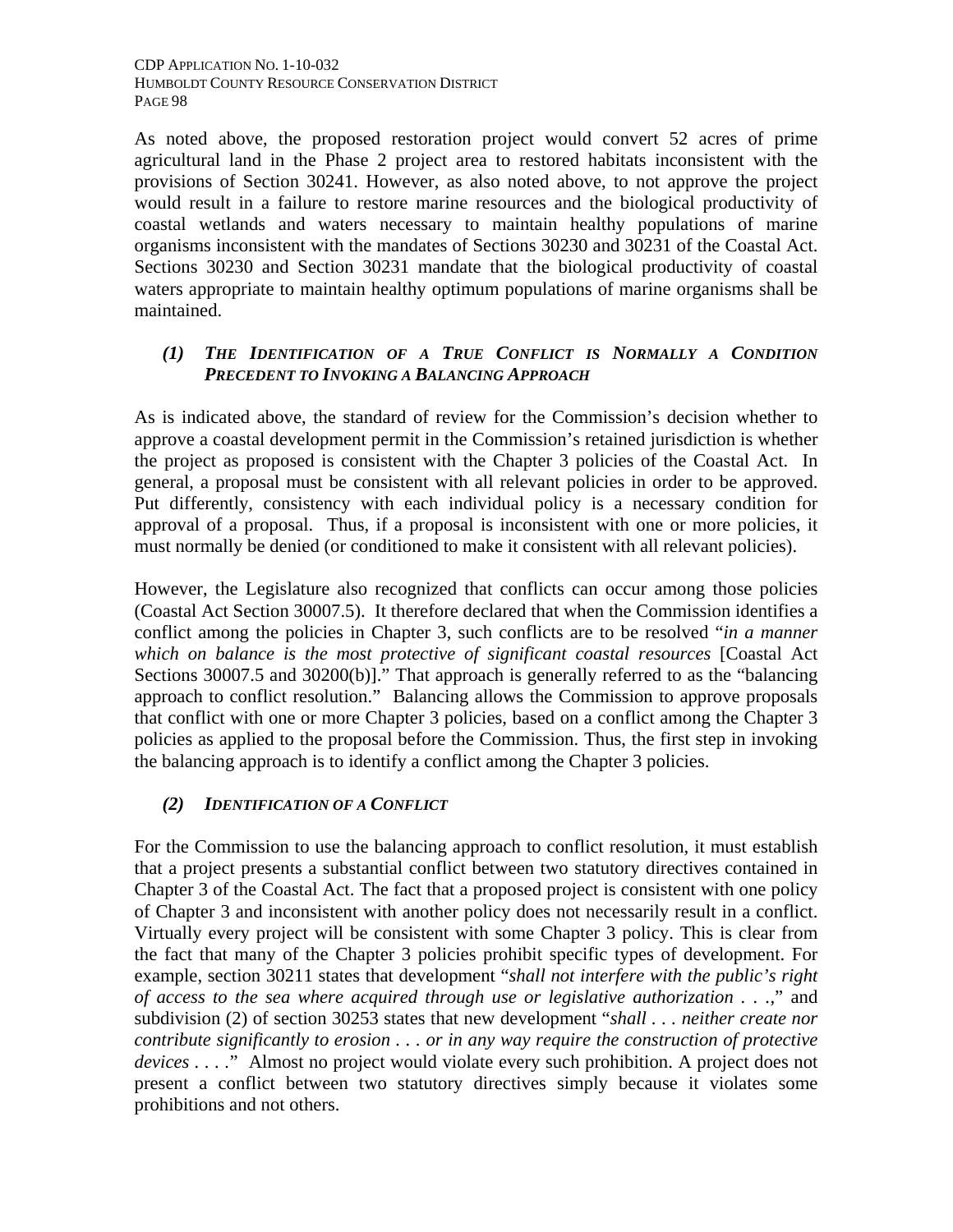As noted above, the proposed restoration project would convert 52 acres of prime agricultural land in the Phase 2 project area to restored habitats inconsistent with the provisions of Section 30241. However, as also noted above, to not approve the project would result in a failure to restore marine resources and the biological productivity of coastal wetlands and waters necessary to maintain healthy populations of marine organisms inconsistent with the mandates of Sections 30230 and 30231 of the Coastal Act. Sections 30230 and Section 30231 mandate that the biological productivity of coastal waters appropriate to maintain healthy optimum populations of marine organisms shall be maintained.

## *(1) THE IDENTIFICATION OF A TRUE CONFLICT IS NORMALLY A CONDITION PRECEDENT TO INVOKING A BALANCING APPROACH*

As is indicated above, the standard of review for the Commission's decision whether to approve a coastal development permit in the Commission's retained jurisdiction is whether the project as proposed is consistent with the Chapter 3 policies of the Coastal Act. In general, a proposal must be consistent with all relevant policies in order to be approved. Put differently, consistency with each individual policy is a necessary condition for approval of a proposal. Thus, if a proposal is inconsistent with one or more policies, it must normally be denied (or conditioned to make it consistent with all relevant policies).

However, the Legislature also recognized that conflicts can occur among those policies (Coastal Act Section 30007.5). It therefore declared that when the Commission identifies a conflict among the policies in Chapter 3, such conflicts are to be resolved "*in a manner which on balance is the most protective of significant coastal resources* [Coastal Act Sections 30007.5 and 30200(b)]." That approach is generally referred to as the "balancing approach to conflict resolution." Balancing allows the Commission to approve proposals that conflict with one or more Chapter 3 policies, based on a conflict among the Chapter 3 policies as applied to the proposal before the Commission. Thus, the first step in invoking the balancing approach is to identify a conflict among the Chapter 3 policies.

## *(2) IDENTIFICATION OF A CONFLICT*

For the Commission to use the balancing approach to conflict resolution, it must establish that a project presents a substantial conflict between two statutory directives contained in Chapter 3 of the Coastal Act. The fact that a proposed project is consistent with one policy of Chapter 3 and inconsistent with another policy does not necessarily result in a conflict. Virtually every project will be consistent with some Chapter 3 policy. This is clear from the fact that many of the Chapter 3 policies prohibit specific types of development. For example, section 30211 states that development "*shall not interfere with the public's right of access to the sea where acquired through use or legislative authorization . . .,*" and subdivision (2) of section 30253 states that new development "*shall . . . neither create nor contribute significantly to erosion . . . or in any way require the construction of protective devices . . . .*" Almost no project would violate every such prohibition. A project does not present a conflict between two statutory directives simply because it violates some prohibitions and not others.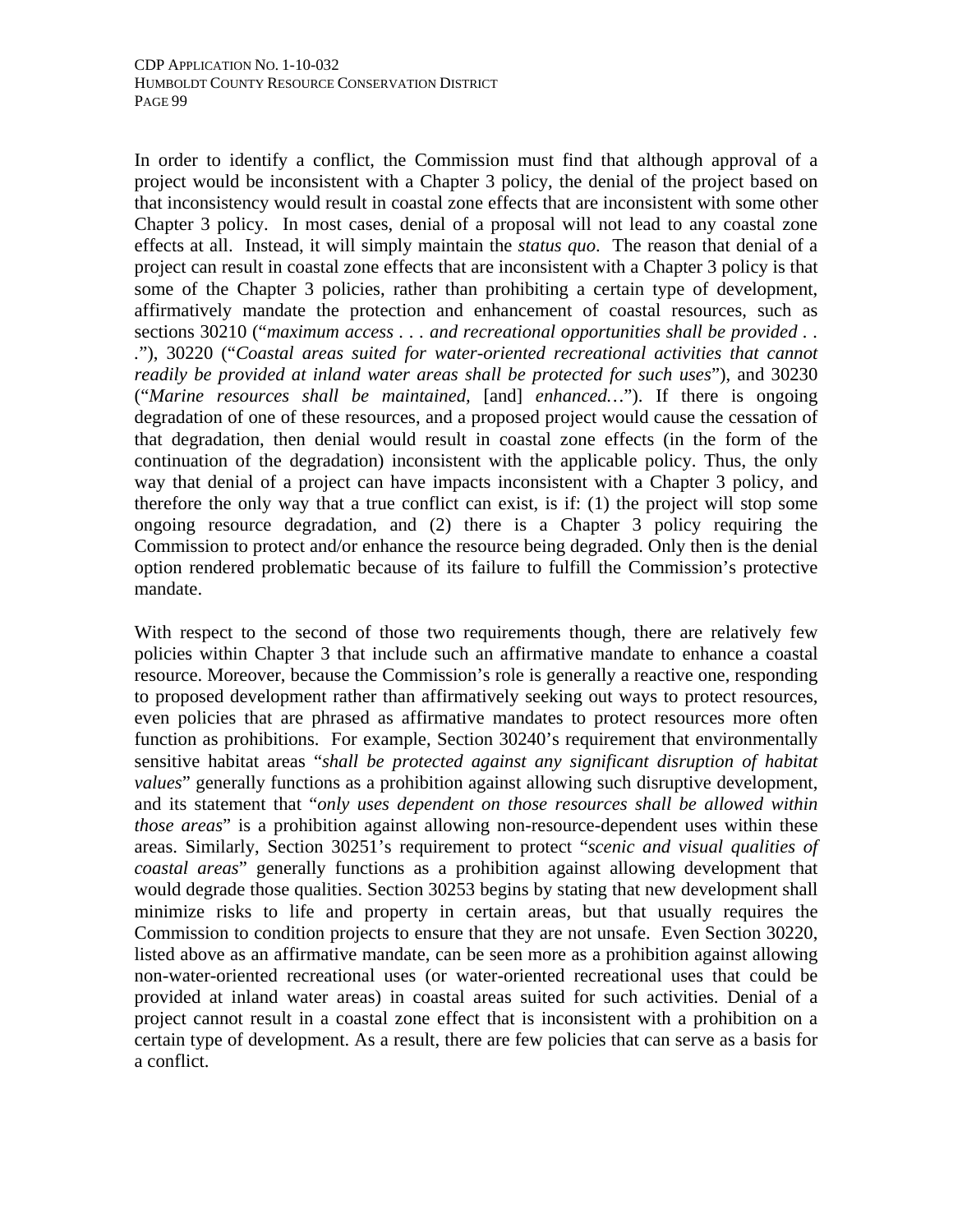In order to identify a conflict, the Commission must find that although approval of a project would be inconsistent with a Chapter 3 policy, the denial of the project based on that inconsistency would result in coastal zone effects that are inconsistent with some other Chapter 3 policy. In most cases, denial of a proposal will not lead to any coastal zone effects at all. Instead, it will simply maintain the *status quo*. The reason that denial of a project can result in coastal zone effects that are inconsistent with a Chapter 3 policy is that some of the Chapter 3 policies, rather than prohibiting a certain type of development, affirmatively mandate the protection and enhancement of coastal resources, such as sections 30210 ("*maximum access . . . and recreational opportunities shall be provided . . .*"), 30220 ("*Coastal areas suited for water-oriented recreational activities that cannot readily be provided at inland water areas shall be protected for such uses*"), and 30230 ("*Marine resources shall be maintained,* [and] *enhanced…*"). If there is ongoing degradation of one of these resources, and a proposed project would cause the cessation of that degradation, then denial would result in coastal zone effects (in the form of the continuation of the degradation) inconsistent with the applicable policy. Thus, the only way that denial of a project can have impacts inconsistent with a Chapter 3 policy, and therefore the only way that a true conflict can exist, is if: (1) the project will stop some ongoing resource degradation, and (2) there is a Chapter 3 policy requiring the Commission to protect and/or enhance the resource being degraded. Only then is the denial option rendered problematic because of its failure to fulfill the Commission's protective mandate.

With respect to the second of those two requirements though, there are relatively few policies within Chapter 3 that include such an affirmative mandate to enhance a coastal resource. Moreover, because the Commission's role is generally a reactive one, responding to proposed development rather than affirmatively seeking out ways to protect resources, even policies that are phrased as affirmative mandates to protect resources more often function as prohibitions. For example, Section 30240's requirement that environmentally sensitive habitat areas "*shall be protected against any significant disruption of habitat values*" generally functions as a prohibition against allowing such disruptive development, and its statement that "*only uses dependent on those resources shall be allowed within those areas*" is a prohibition against allowing non-resource-dependent uses within these areas. Similarly, Section 30251's requirement to protect "*scenic and visual qualities of coastal areas*" generally functions as a prohibition against allowing development that would degrade those qualities. Section 30253 begins by stating that new development shall minimize risks to life and property in certain areas, but that usually requires the Commission to condition projects to ensure that they are not unsafe. Even Section 30220, listed above as an affirmative mandate, can be seen more as a prohibition against allowing non-water-oriented recreational uses (or water-oriented recreational uses that could be provided at inland water areas) in coastal areas suited for such activities. Denial of a project cannot result in a coastal zone effect that is inconsistent with a prohibition on a certain type of development. As a result, there are few policies that can serve as a basis for a conflict.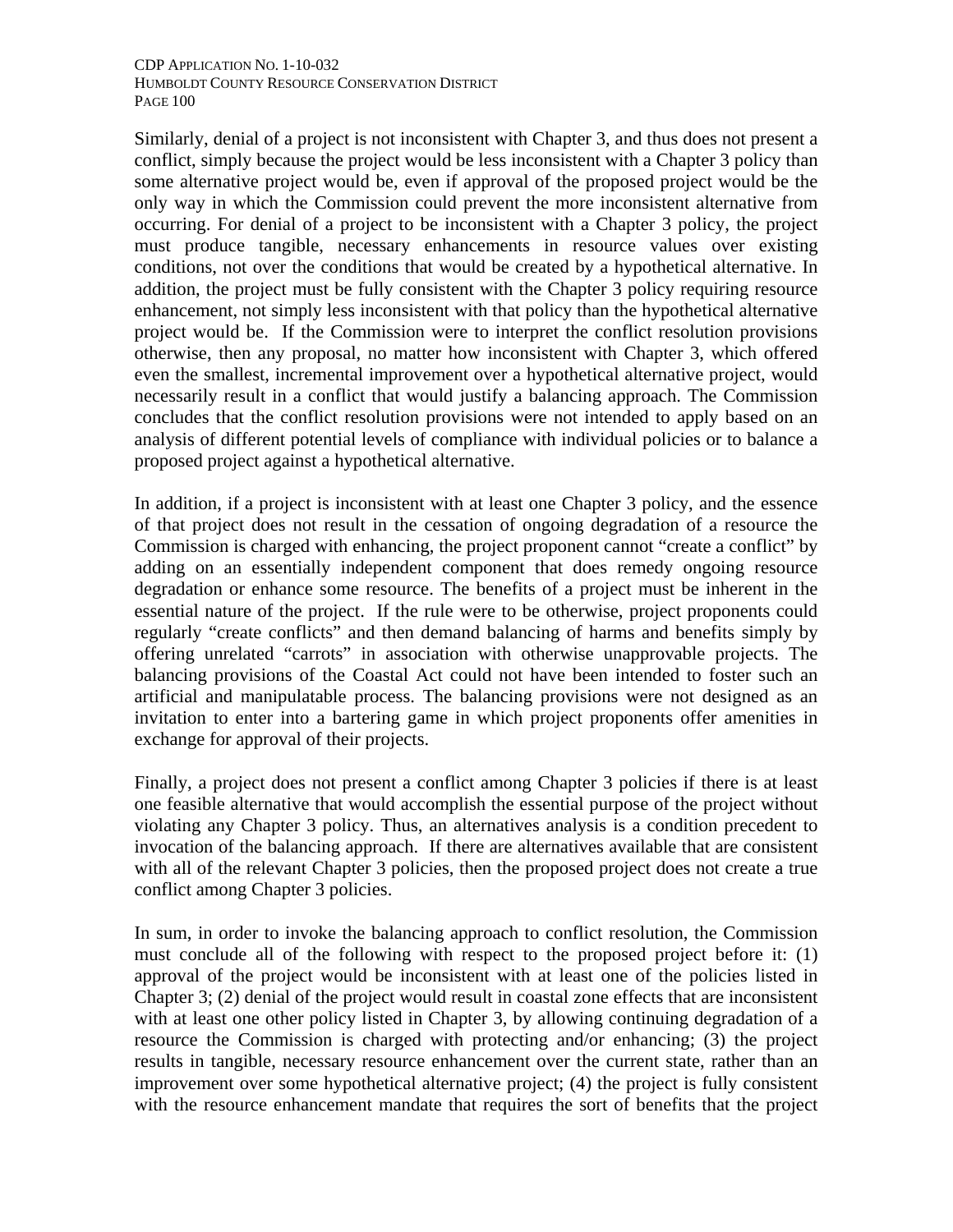Similarly, denial of a project is not inconsistent with Chapter 3, and thus does not present a conflict, simply because the project would be less inconsistent with a Chapter 3 policy than some alternative project would be, even if approval of the proposed project would be the only way in which the Commission could prevent the more inconsistent alternative from occurring. For denial of a project to be inconsistent with a Chapter 3 policy, the project must produce tangible, necessary enhancements in resource values over existing conditions, not over the conditions that would be created by a hypothetical alternative. In addition, the project must be fully consistent with the Chapter 3 policy requiring resource enhancement, not simply less inconsistent with that policy than the hypothetical alternative project would be. If the Commission were to interpret the conflict resolution provisions otherwise, then any proposal, no matter how inconsistent with Chapter 3, which offered even the smallest, incremental improvement over a hypothetical alternative project, would necessarily result in a conflict that would justify a balancing approach. The Commission concludes that the conflict resolution provisions were not intended to apply based on an analysis of different potential levels of compliance with individual policies or to balance a proposed project against a hypothetical alternative.

In addition, if a project is inconsistent with at least one Chapter 3 policy, and the essence of that project does not result in the cessation of ongoing degradation of a resource the Commission is charged with enhancing, the project proponent cannot "create a conflict" by adding on an essentially independent component that does remedy ongoing resource degradation or enhance some resource. The benefits of a project must be inherent in the essential nature of the project. If the rule were to be otherwise, project proponents could regularly "create conflicts" and then demand balancing of harms and benefits simply by offering unrelated "carrots" in association with otherwise unapprovable projects. The balancing provisions of the Coastal Act could not have been intended to foster such an artificial and manipulatable process. The balancing provisions were not designed as an invitation to enter into a bartering game in which project proponents offer amenities in exchange for approval of their projects.

Finally, a project does not present a conflict among Chapter 3 policies if there is at least one feasible alternative that would accomplish the essential purpose of the project without violating any Chapter 3 policy. Thus, an alternatives analysis is a condition precedent to invocation of the balancing approach. If there are alternatives available that are consistent with all of the relevant Chapter 3 policies, then the proposed project does not create a true conflict among Chapter 3 policies.

In sum, in order to invoke the balancing approach to conflict resolution, the Commission must conclude all of the following with respect to the proposed project before it: (1) approval of the project would be inconsistent with at least one of the policies listed in Chapter 3; (2) denial of the project would result in coastal zone effects that are inconsistent with at least one other policy listed in Chapter 3, by allowing continuing degradation of a resource the Commission is charged with protecting and/or enhancing; (3) the project results in tangible, necessary resource enhancement over the current state, rather than an improvement over some hypothetical alternative project; (4) the project is fully consistent with the resource enhancement mandate that requires the sort of benefits that the project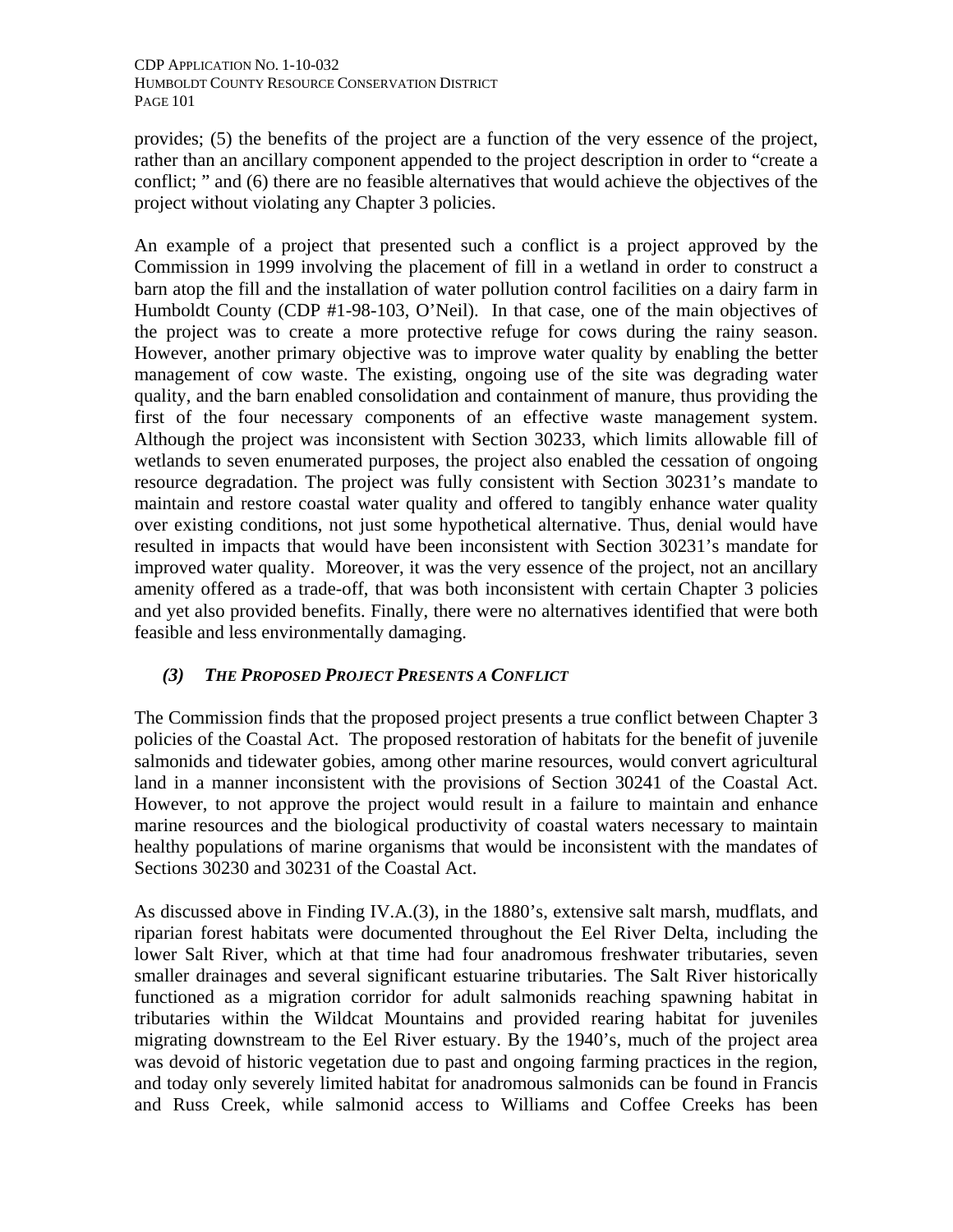provides; (5) the benefits of the project are a function of the very essence of the project, rather than an ancillary component appended to the project description in order to "create a conflict; " and (6) there are no feasible alternatives that would achieve the objectives of the project without violating any Chapter 3 policies.

An example of a project that presented such a conflict is a project approved by the Commission in 1999 involving the placement of fill in a wetland in order to construct a barn atop the fill and the installation of water pollution control facilities on a dairy farm in Humboldt County (CDP #1-98-103, O'Neil). In that case, one of the main objectives of the project was to create a more protective refuge for cows during the rainy season. However, another primary objective was to improve water quality by enabling the better management of cow waste. The existing, ongoing use of the site was degrading water quality, and the barn enabled consolidation and containment of manure, thus providing the first of the four necessary components of an effective waste management system. Although the project was inconsistent with Section 30233, which limits allowable fill of wetlands to seven enumerated purposes, the project also enabled the cessation of ongoing resource degradation. The project was fully consistent with Section 30231's mandate to maintain and restore coastal water quality and offered to tangibly enhance water quality over existing conditions, not just some hypothetical alternative. Thus, denial would have resulted in impacts that would have been inconsistent with Section 30231's mandate for improved water quality. Moreover, it was the very essence of the project, not an ancillary amenity offered as a trade-off, that was both inconsistent with certain Chapter 3 policies and yet also provided benefits. Finally, there were no alternatives identified that were both feasible and less environmentally damaging.

## *(3) THE PROPOSED PROJECT PRESENTS A CONFLICT*

The Commission finds that the proposed project presents a true conflict between Chapter 3 policies of the Coastal Act. The proposed restoration of habitats for the benefit of juvenile salmonids and tidewater gobies, among other marine resources, would convert agricultural land in a manner inconsistent with the provisions of Section 30241 of the Coastal Act. However, to not approve the project would result in a failure to maintain and enhance marine resources and the biological productivity of coastal waters necessary to maintain healthy populations of marine organisms that would be inconsistent with the mandates of Sections 30230 and 30231 of the Coastal Act.

As discussed above in Finding IV.A.(3), in the 1880's, extensive salt marsh, mudflats, and riparian forest habitats were documented throughout the Eel River Delta, including the lower Salt River, which at that time had four anadromous freshwater tributaries, seven smaller drainages and several significant estuarine tributaries. The Salt River historically functioned as a migration corridor for adult salmonids reaching spawning habitat in tributaries within the Wildcat Mountains and provided rearing habitat for juveniles migrating downstream to the Eel River estuary. By the 1940's, much of the project area was devoid of historic vegetation due to past and ongoing farming practices in the region, and today only severely limited habitat for anadromous salmonids can be found in Francis and Russ Creek, while salmonid access to Williams and Coffee Creeks has been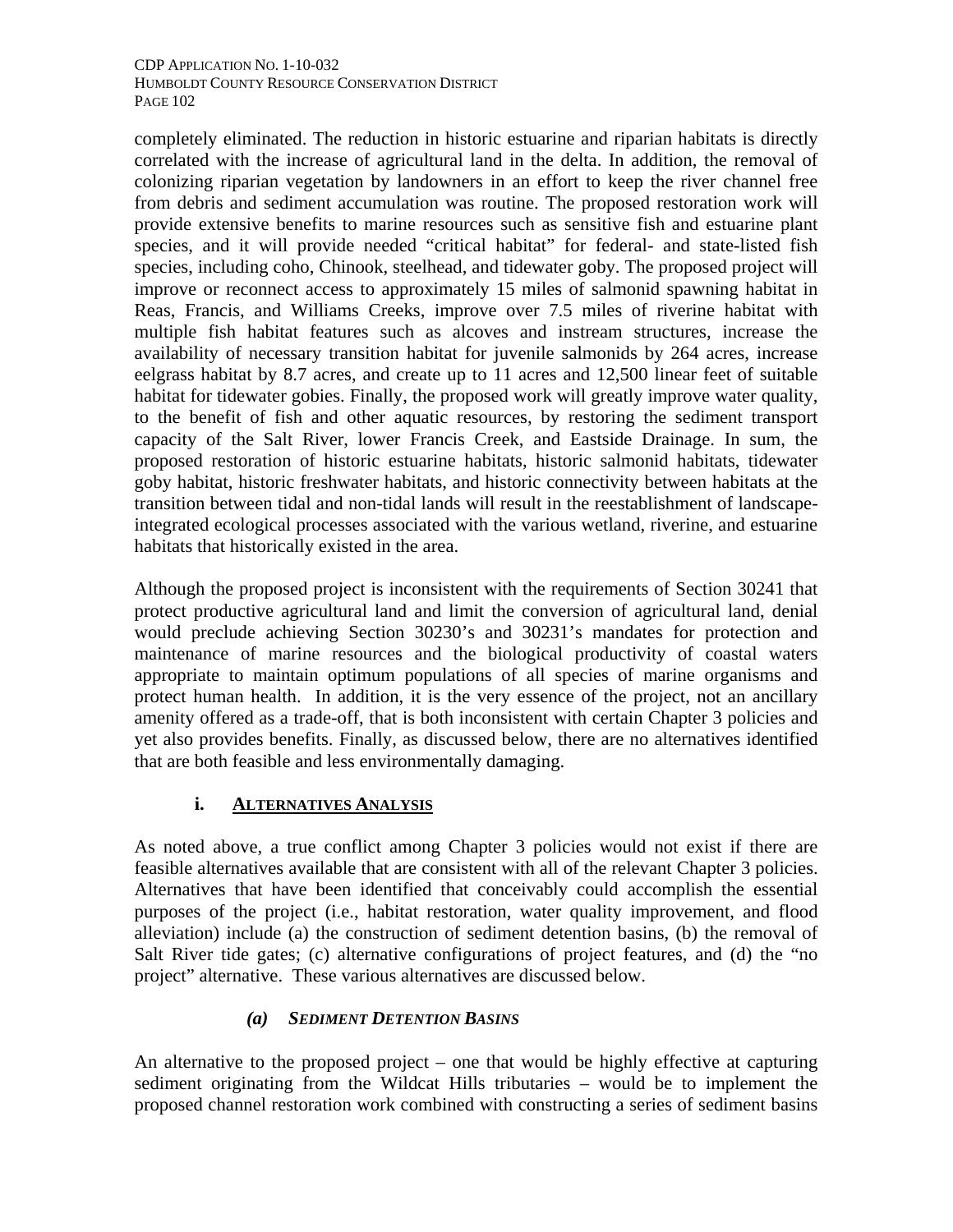completely eliminated. The reduction in historic estuarine and riparian habitats is directly correlated with the increase of agricultural land in the delta. In addition, the removal of colonizing riparian vegetation by landowners in an effort to keep the river channel free from debris and sediment accumulation was routine. The proposed restoration work will provide extensive benefits to marine resources such as sensitive fish and estuarine plant species, and it will provide needed "critical habitat" for federal- and state-listed fish species, including coho, Chinook, steelhead, and tidewater goby. The proposed project will improve or reconnect access to approximately 15 miles of salmonid spawning habitat in Reas, Francis, and Williams Creeks, improve over 7.5 miles of riverine habitat with multiple fish habitat features such as alcoves and instream structures, increase the availability of necessary transition habitat for juvenile salmonids by 264 acres, increase eelgrass habitat by 8.7 acres, and create up to 11 acres and 12,500 linear feet of suitable habitat for tidewater gobies. Finally, the proposed work will greatly improve water quality, to the benefit of fish and other aquatic resources, by restoring the sediment transport capacity of the Salt River, lower Francis Creek, and Eastside Drainage. In sum, the proposed restoration of historic estuarine habitats, historic salmonid habitats, tidewater goby habitat, historic freshwater habitats, and historic connectivity between habitats at the transition between tidal and non-tidal lands will result in the reestablishment of landscapeintegrated ecological processes associated with the various wetland, riverine, and estuarine habitats that historically existed in the area.

Although the proposed project is inconsistent with the requirements of Section 30241 that protect productive agricultural land and limit the conversion of agricultural land, denial would preclude achieving Section 30230's and 30231's mandates for protection and maintenance of marine resources and the biological productivity of coastal waters appropriate to maintain optimum populations of all species of marine organisms and protect human health. In addition, it is the very essence of the project, not an ancillary amenity offered as a trade-off, that is both inconsistent with certain Chapter 3 policies and yet also provides benefits. Finally, as discussed below, there are no alternatives identified that are both feasible and less environmentally damaging.

## **i. ALTERNATIVES ANALYSIS**

As noted above, a true conflict among Chapter 3 policies would not exist if there are feasible alternatives available that are consistent with all of the relevant Chapter 3 policies. Alternatives that have been identified that conceivably could accomplish the essential purposes of the project (i.e., habitat restoration, water quality improvement, and flood alleviation) include (a) the construction of sediment detention basins, (b) the removal of Salt River tide gates; (c) alternative configurations of project features, and (d) the "no project" alternative. These various alternatives are discussed below.

## *(a) SEDIMENT DETENTION BASINS*

An alternative to the proposed project – one that would be highly effective at capturing sediment originating from the Wildcat Hills tributaries – would be to implement the proposed channel restoration work combined with constructing a series of sediment basins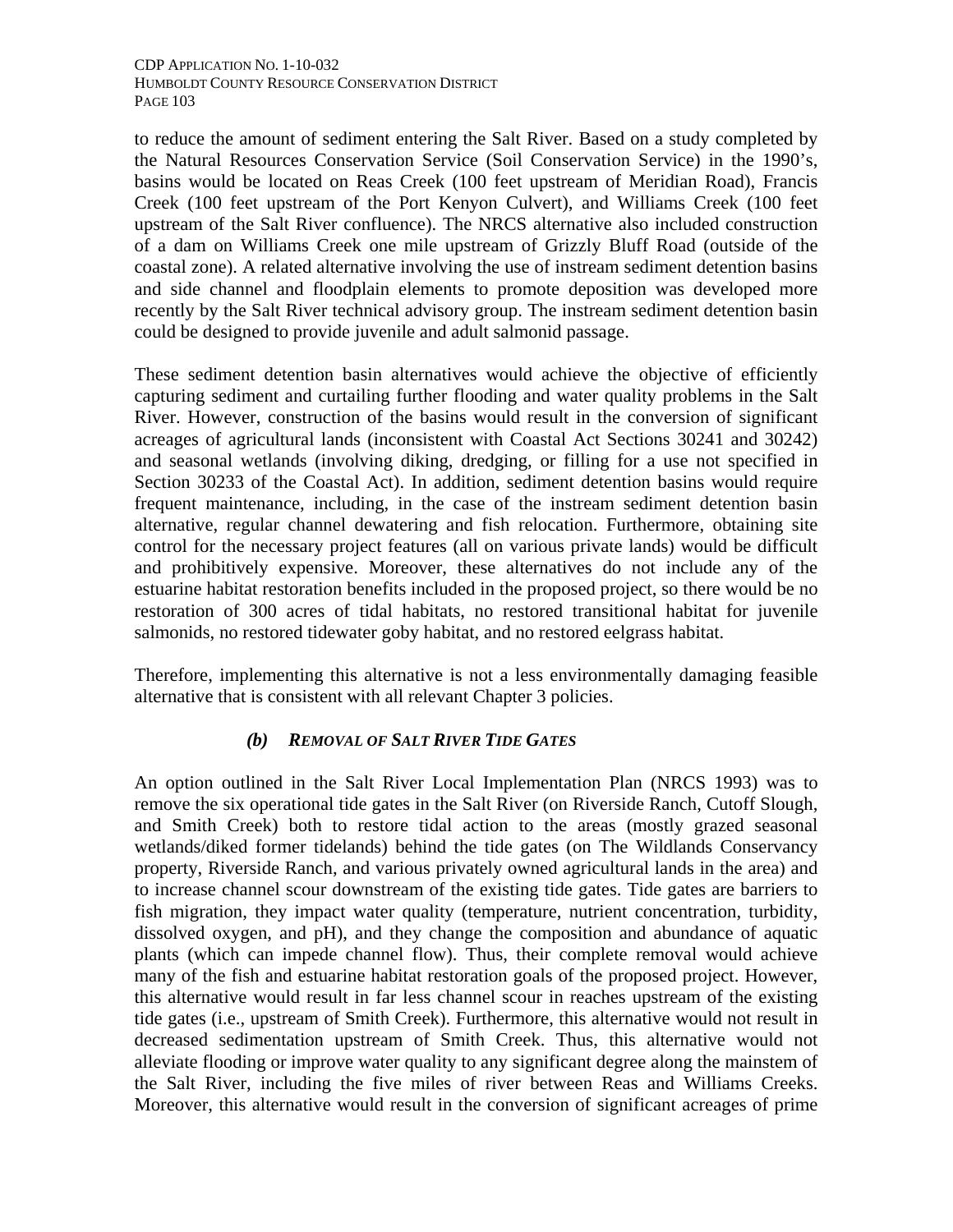to reduce the amount of sediment entering the Salt River. Based on a study completed by the Natural Resources Conservation Service (Soil Conservation Service) in the 1990's, basins would be located on Reas Creek (100 feet upstream of Meridian Road), Francis Creek (100 feet upstream of the Port Kenyon Culvert), and Williams Creek (100 feet upstream of the Salt River confluence). The NRCS alternative also included construction of a dam on Williams Creek one mile upstream of Grizzly Bluff Road (outside of the coastal zone). A related alternative involving the use of instream sediment detention basins and side channel and floodplain elements to promote deposition was developed more recently by the Salt River technical advisory group. The instream sediment detention basin could be designed to provide juvenile and adult salmonid passage.

These sediment detention basin alternatives would achieve the objective of efficiently capturing sediment and curtailing further flooding and water quality problems in the Salt River. However, construction of the basins would result in the conversion of significant acreages of agricultural lands (inconsistent with Coastal Act Sections 30241 and 30242) and seasonal wetlands (involving diking, dredging, or filling for a use not specified in Section 30233 of the Coastal Act). In addition, sediment detention basins would require frequent maintenance, including, in the case of the instream sediment detention basin alternative, regular channel dewatering and fish relocation. Furthermore, obtaining site control for the necessary project features (all on various private lands) would be difficult and prohibitively expensive. Moreover, these alternatives do not include any of the estuarine habitat restoration benefits included in the proposed project, so there would be no restoration of 300 acres of tidal habitats, no restored transitional habitat for juvenile salmonids, no restored tidewater goby habitat, and no restored eelgrass habitat.

Therefore, implementing this alternative is not a less environmentally damaging feasible alternative that is consistent with all relevant Chapter 3 policies.

## *(b) REMOVAL OF SALT RIVER TIDE GATES*

An option outlined in the Salt River Local Implementation Plan (NRCS 1993) was to remove the six operational tide gates in the Salt River (on Riverside Ranch, Cutoff Slough, and Smith Creek) both to restore tidal action to the areas (mostly grazed seasonal wetlands/diked former tidelands) behind the tide gates (on The Wildlands Conservancy property, Riverside Ranch, and various privately owned agricultural lands in the area) and to increase channel scour downstream of the existing tide gates. Tide gates are barriers to fish migration, they impact water quality (temperature, nutrient concentration, turbidity, dissolved oxygen, and pH), and they change the composition and abundance of aquatic plants (which can impede channel flow). Thus, their complete removal would achieve many of the fish and estuarine habitat restoration goals of the proposed project. However, this alternative would result in far less channel scour in reaches upstream of the existing tide gates (i.e., upstream of Smith Creek). Furthermore, this alternative would not result in decreased sedimentation upstream of Smith Creek. Thus, this alternative would not alleviate flooding or improve water quality to any significant degree along the mainstem of the Salt River, including the five miles of river between Reas and Williams Creeks. Moreover, this alternative would result in the conversion of significant acreages of prime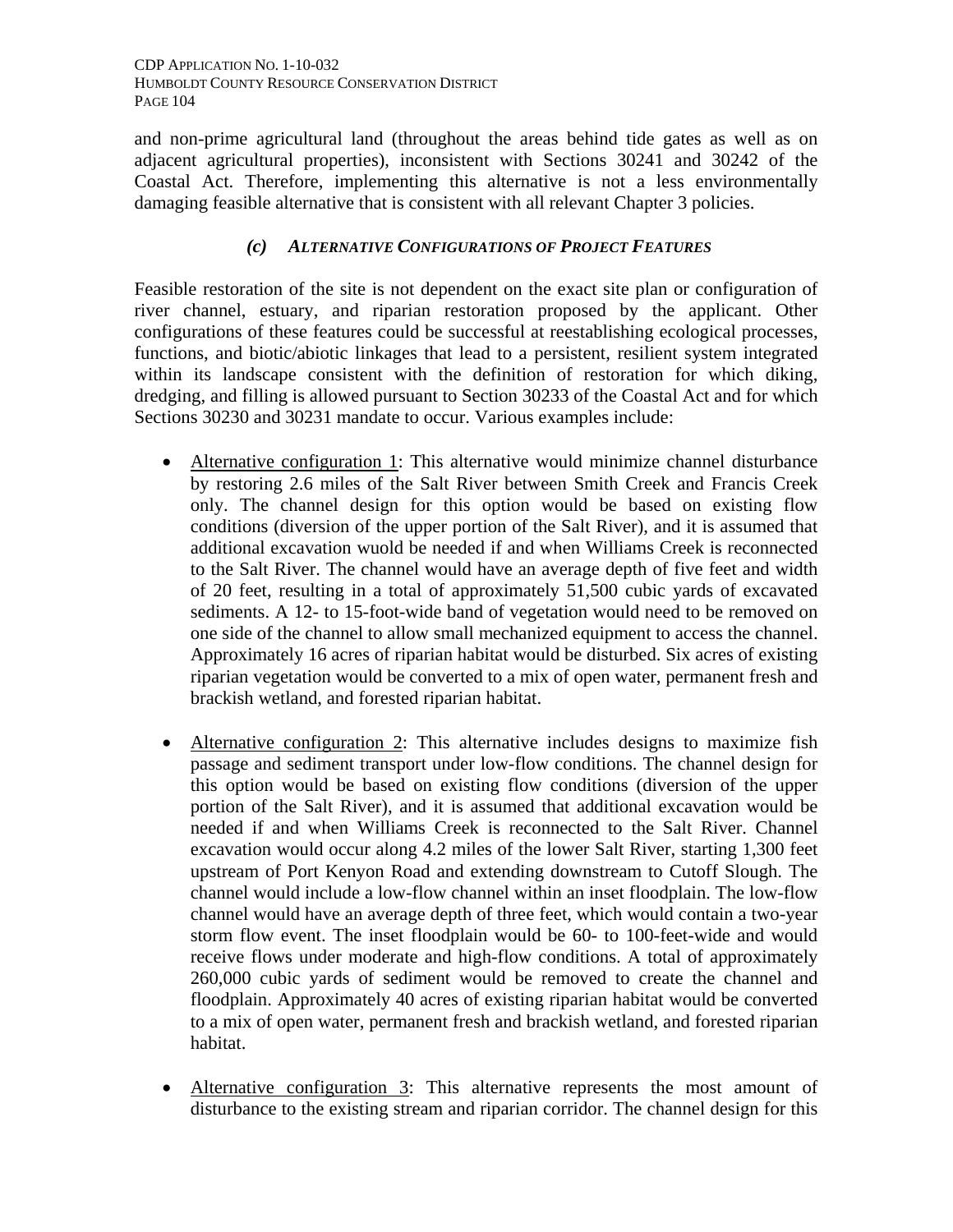and non-prime agricultural land (throughout the areas behind tide gates as well as on adjacent agricultural properties), inconsistent with Sections 30241 and 30242 of the Coastal Act. Therefore, implementing this alternative is not a less environmentally damaging feasible alternative that is consistent with all relevant Chapter 3 policies.

## *(c) ALTERNATIVE CONFIGURATIONS OF PROJECT FEATURES*

Feasible restoration of the site is not dependent on the exact site plan or configuration of river channel, estuary, and riparian restoration proposed by the applicant. Other configurations of these features could be successful at reestablishing ecological processes, functions, and biotic/abiotic linkages that lead to a persistent, resilient system integrated within its landscape consistent with the definition of restoration for which diking, dredging, and filling is allowed pursuant to Section 30233 of the Coastal Act and for which Sections 30230 and 30231 mandate to occur. Various examples include:

- Alternative configuration 1: This alternative would minimize channel disturbance by restoring 2.6 miles of the Salt River between Smith Creek and Francis Creek only. The channel design for this option would be based on existing flow conditions (diversion of the upper portion of the Salt River), and it is assumed that additional excavation wuold be needed if and when Williams Creek is reconnected to the Salt River. The channel would have an average depth of five feet and width of 20 feet, resulting in a total of approximately 51,500 cubic yards of excavated sediments. A 12- to 15-foot-wide band of vegetation would need to be removed on one side of the channel to allow small mechanized equipment to access the channel. Approximately 16 acres of riparian habitat would be disturbed. Six acres of existing riparian vegetation would be converted to a mix of open water, permanent fresh and brackish wetland, and forested riparian habitat.
- Alternative configuration 2: This alternative includes designs to maximize fish passage and sediment transport under low-flow conditions. The channel design for this option would be based on existing flow conditions (diversion of the upper portion of the Salt River), and it is assumed that additional excavation would be needed if and when Williams Creek is reconnected to the Salt River. Channel excavation would occur along 4.2 miles of the lower Salt River, starting 1,300 feet upstream of Port Kenyon Road and extending downstream to Cutoff Slough. The channel would include a low-flow channel within an inset floodplain. The low-flow channel would have an average depth of three feet, which would contain a two-year storm flow event. The inset floodplain would be 60- to 100-feet-wide and would receive flows under moderate and high-flow conditions. A total of approximately 260,000 cubic yards of sediment would be removed to create the channel and floodplain. Approximately 40 acres of existing riparian habitat would be converted to a mix of open water, permanent fresh and brackish wetland, and forested riparian habitat.
- Alternative configuration 3: This alternative represents the most amount of disturbance to the existing stream and riparian corridor. The channel design for this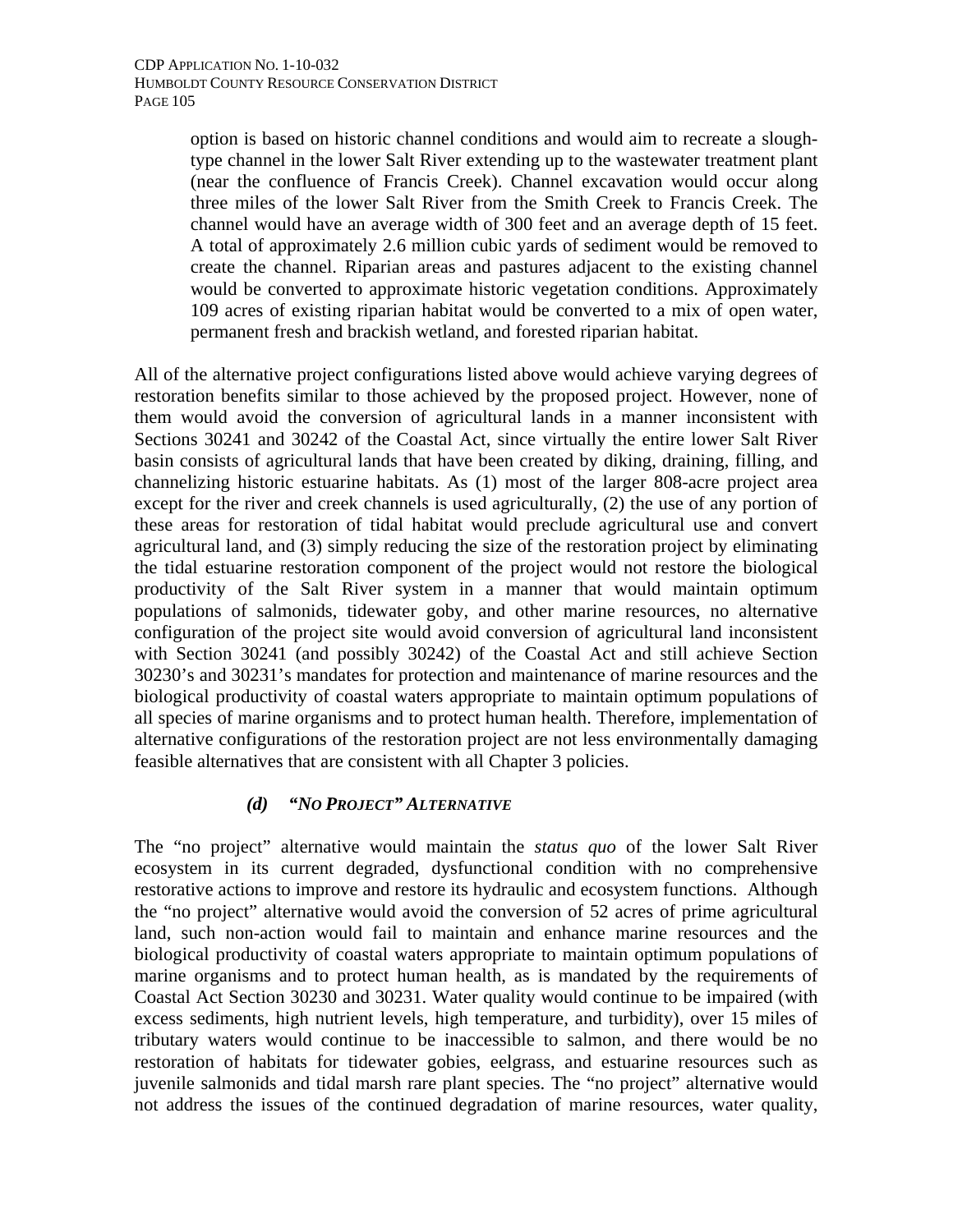option is based on historic channel conditions and would aim to recreate a sloughtype channel in the lower Salt River extending up to the wastewater treatment plant (near the confluence of Francis Creek). Channel excavation would occur along three miles of the lower Salt River from the Smith Creek to Francis Creek. The channel would have an average width of 300 feet and an average depth of 15 feet. A total of approximately 2.6 million cubic yards of sediment would be removed to create the channel. Riparian areas and pastures adjacent to the existing channel would be converted to approximate historic vegetation conditions. Approximately 109 acres of existing riparian habitat would be converted to a mix of open water, permanent fresh and brackish wetland, and forested riparian habitat.

All of the alternative project configurations listed above would achieve varying degrees of restoration benefits similar to those achieved by the proposed project. However, none of them would avoid the conversion of agricultural lands in a manner inconsistent with Sections 30241 and 30242 of the Coastal Act, since virtually the entire lower Salt River basin consists of agricultural lands that have been created by diking, draining, filling, and channelizing historic estuarine habitats. As (1) most of the larger 808-acre project area except for the river and creek channels is used agriculturally, (2) the use of any portion of these areas for restoration of tidal habitat would preclude agricultural use and convert agricultural land, and (3) simply reducing the size of the restoration project by eliminating the tidal estuarine restoration component of the project would not restore the biological productivity of the Salt River system in a manner that would maintain optimum populations of salmonids, tidewater goby, and other marine resources, no alternative configuration of the project site would avoid conversion of agricultural land inconsistent with Section 30241 (and possibly 30242) of the Coastal Act and still achieve Section 30230's and 30231's mandates for protection and maintenance of marine resources and the biological productivity of coastal waters appropriate to maintain optimum populations of all species of marine organisms and to protect human health. Therefore, implementation of alternative configurations of the restoration project are not less environmentally damaging feasible alternatives that are consistent with all Chapter 3 policies.

## *(d) "NO PROJECT" ALTERNATIVE*

The "no project" alternative would maintain the *status quo* of the lower Salt River ecosystem in its current degraded, dysfunctional condition with no comprehensive restorative actions to improve and restore its hydraulic and ecosystem functions. Although the "no project" alternative would avoid the conversion of 52 acres of prime agricultural land, such non-action would fail to maintain and enhance marine resources and the biological productivity of coastal waters appropriate to maintain optimum populations of marine organisms and to protect human health, as is mandated by the requirements of Coastal Act Section 30230 and 30231. Water quality would continue to be impaired (with excess sediments, high nutrient levels, high temperature, and turbidity), over 15 miles of tributary waters would continue to be inaccessible to salmon, and there would be no restoration of habitats for tidewater gobies, eelgrass, and estuarine resources such as juvenile salmonids and tidal marsh rare plant species. The "no project" alternative would not address the issues of the continued degradation of marine resources, water quality,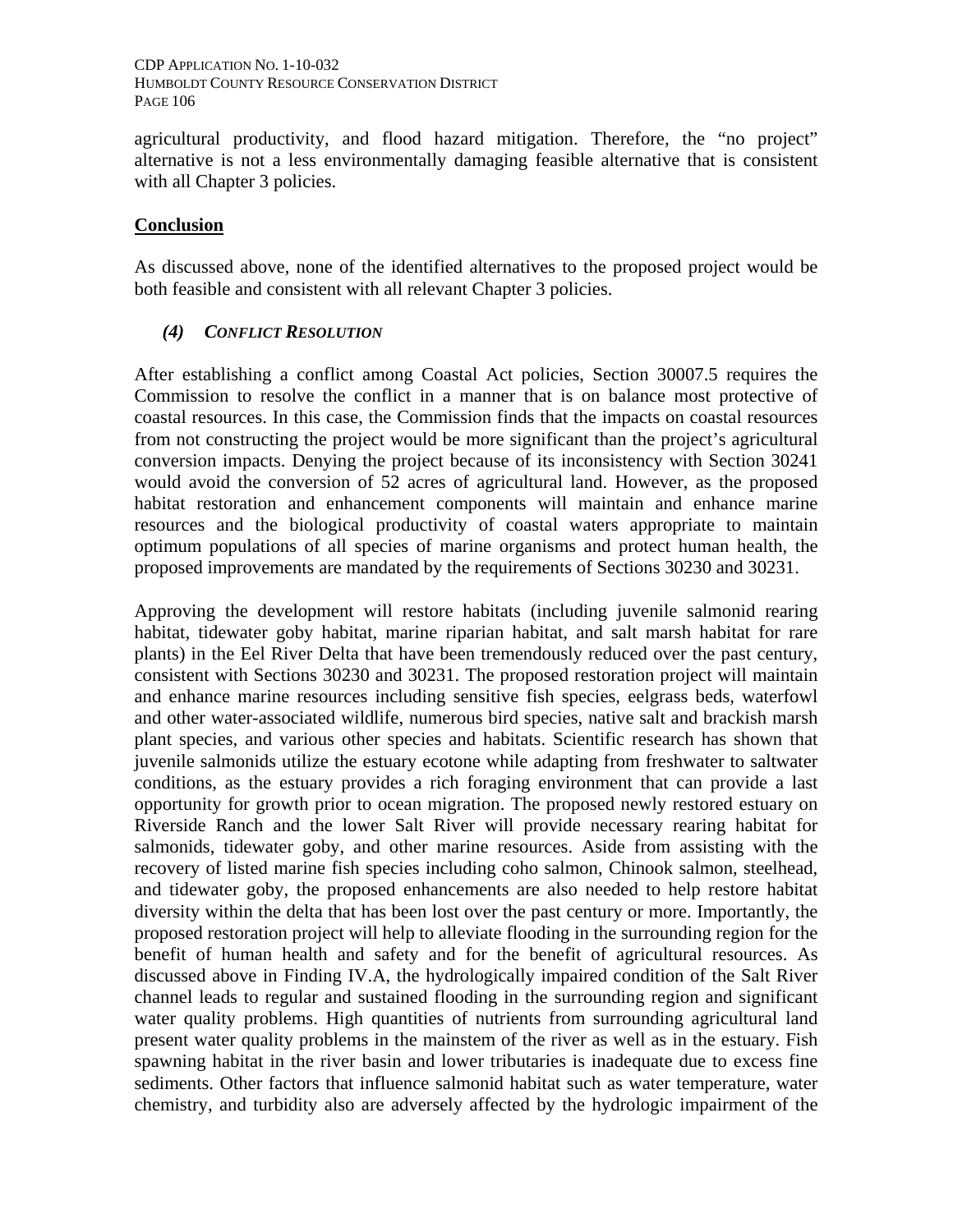agricultural productivity, and flood hazard mitigation. Therefore, the "no project" alternative is not a less environmentally damaging feasible alternative that is consistent with all Chapter 3 policies.

### **Conclusion**

As discussed above, none of the identified alternatives to the proposed project would be both feasible and consistent with all relevant Chapter 3 policies.

## *(4) CONFLICT RESOLUTION*

After establishing a conflict among Coastal Act policies, Section 30007.5 requires the Commission to resolve the conflict in a manner that is on balance most protective of coastal resources. In this case, the Commission finds that the impacts on coastal resources from not constructing the project would be more significant than the project's agricultural conversion impacts. Denying the project because of its inconsistency with Section 30241 would avoid the conversion of 52 acres of agricultural land. However, as the proposed habitat restoration and enhancement components will maintain and enhance marine resources and the biological productivity of coastal waters appropriate to maintain optimum populations of all species of marine organisms and protect human health, the proposed improvements are mandated by the requirements of Sections 30230 and 30231.

Approving the development will restore habitats (including juvenile salmonid rearing habitat, tidewater goby habitat, marine riparian habitat, and salt marsh habitat for rare plants) in the Eel River Delta that have been tremendously reduced over the past century, consistent with Sections 30230 and 30231. The proposed restoration project will maintain and enhance marine resources including sensitive fish species, eelgrass beds, waterfowl and other water-associated wildlife, numerous bird species, native salt and brackish marsh plant species, and various other species and habitats. Scientific research has shown that juvenile salmonids utilize the estuary ecotone while adapting from freshwater to saltwater conditions, as the estuary provides a rich foraging environment that can provide a last opportunity for growth prior to ocean migration. The proposed newly restored estuary on Riverside Ranch and the lower Salt River will provide necessary rearing habitat for salmonids, tidewater goby, and other marine resources. Aside from assisting with the recovery of listed marine fish species including coho salmon, Chinook salmon, steelhead, and tidewater goby, the proposed enhancements are also needed to help restore habitat diversity within the delta that has been lost over the past century or more. Importantly, the proposed restoration project will help to alleviate flooding in the surrounding region for the benefit of human health and safety and for the benefit of agricultural resources. As discussed above in Finding IV.A, the hydrologically impaired condition of the Salt River channel leads to regular and sustained flooding in the surrounding region and significant water quality problems. High quantities of nutrients from surrounding agricultural land present water quality problems in the mainstem of the river as well as in the estuary. Fish spawning habitat in the river basin and lower tributaries is inadequate due to excess fine sediments. Other factors that influence salmonid habitat such as water temperature, water chemistry, and turbidity also are adversely affected by the hydrologic impairment of the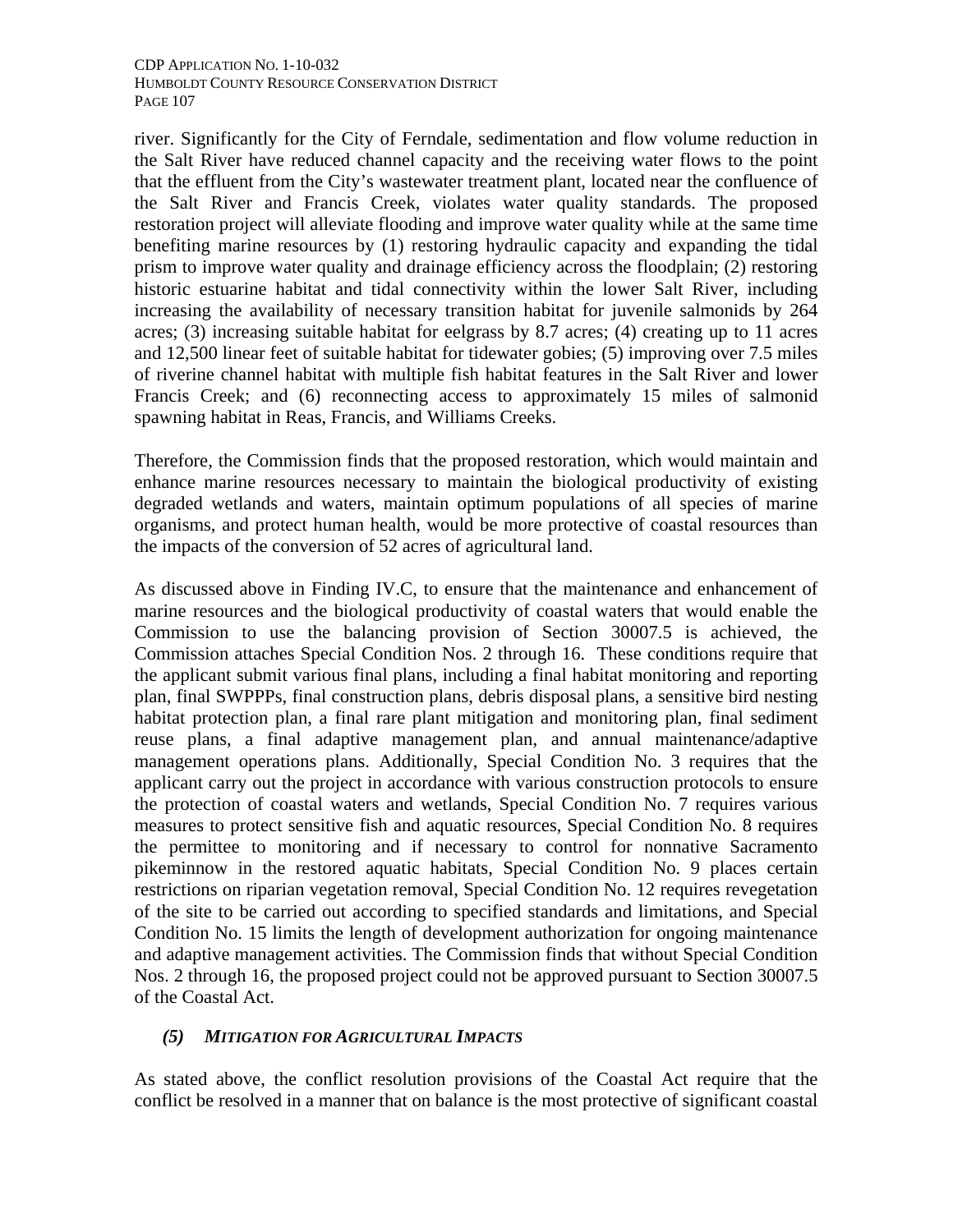river. Significantly for the City of Ferndale, sedimentation and flow volume reduction in the Salt River have reduced channel capacity and the receiving water flows to the point that the effluent from the City's wastewater treatment plant, located near the confluence of the Salt River and Francis Creek, violates water quality standards. The proposed restoration project will alleviate flooding and improve water quality while at the same time benefiting marine resources by (1) restoring hydraulic capacity and expanding the tidal prism to improve water quality and drainage efficiency across the floodplain; (2) restoring historic estuarine habitat and tidal connectivity within the lower Salt River, including increasing the availability of necessary transition habitat for juvenile salmonids by 264 acres; (3) increasing suitable habitat for eelgrass by 8.7 acres; (4) creating up to 11 acres and 12,500 linear feet of suitable habitat for tidewater gobies; (5) improving over 7.5 miles of riverine channel habitat with multiple fish habitat features in the Salt River and lower Francis Creek; and (6) reconnecting access to approximately 15 miles of salmonid spawning habitat in Reas, Francis, and Williams Creeks.

Therefore, the Commission finds that the proposed restoration, which would maintain and enhance marine resources necessary to maintain the biological productivity of existing degraded wetlands and waters, maintain optimum populations of all species of marine organisms, and protect human health, would be more protective of coastal resources than the impacts of the conversion of 52 acres of agricultural land.

As discussed above in Finding IV.C, to ensure that the maintenance and enhancement of marine resources and the biological productivity of coastal waters that would enable the Commission to use the balancing provision of Section 30007.5 is achieved, the Commission attaches Special Condition Nos. 2 through 16. These conditions require that the applicant submit various final plans, including a final habitat monitoring and reporting plan, final SWPPPs, final construction plans, debris disposal plans, a sensitive bird nesting habitat protection plan, a final rare plant mitigation and monitoring plan, final sediment reuse plans, a final adaptive management plan, and annual maintenance/adaptive management operations plans. Additionally, Special Condition No. 3 requires that the applicant carry out the project in accordance with various construction protocols to ensure the protection of coastal waters and wetlands, Special Condition No. 7 requires various measures to protect sensitive fish and aquatic resources, Special Condition No. 8 requires the permittee to monitoring and if necessary to control for nonnative Sacramento pikeminnow in the restored aquatic habitats, Special Condition No. 9 places certain restrictions on riparian vegetation removal, Special Condition No. 12 requires revegetation of the site to be carried out according to specified standards and limitations, and Special Condition No. 15 limits the length of development authorization for ongoing maintenance and adaptive management activities. The Commission finds that without Special Condition Nos. 2 through 16, the proposed project could not be approved pursuant to Section 30007.5 of the Coastal Act.

## *(5) MITIGATION FOR AGRICULTURAL IMPACTS*

As stated above, the conflict resolution provisions of the Coastal Act require that the conflict be resolved in a manner that on balance is the most protective of significant coastal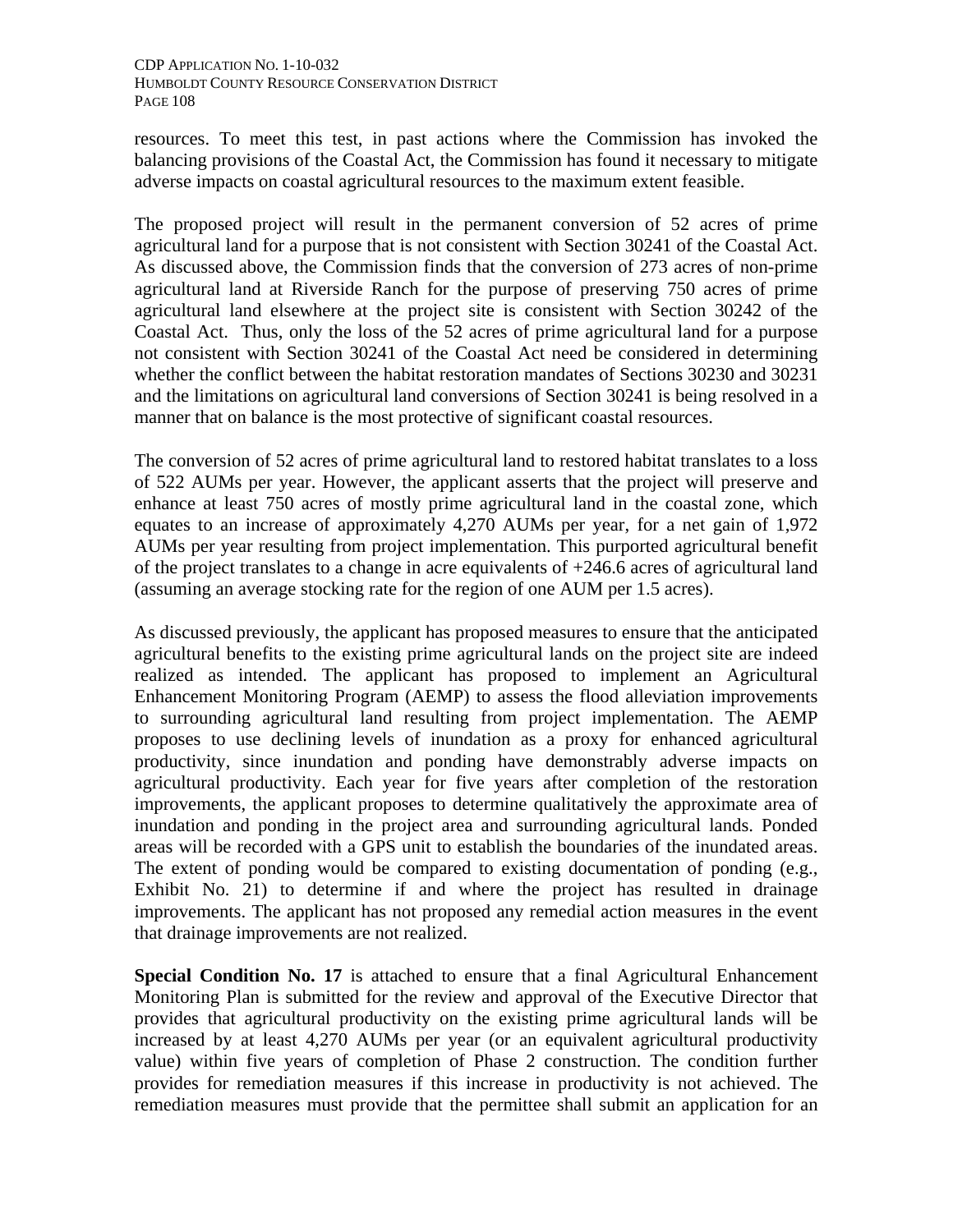resources. To meet this test, in past actions where the Commission has invoked the balancing provisions of the Coastal Act, the Commission has found it necessary to mitigate adverse impacts on coastal agricultural resources to the maximum extent feasible.

The proposed project will result in the permanent conversion of 52 acres of prime agricultural land for a purpose that is not consistent with Section 30241 of the Coastal Act. As discussed above, the Commission finds that the conversion of 273 acres of non-prime agricultural land at Riverside Ranch for the purpose of preserving 750 acres of prime agricultural land elsewhere at the project site is consistent with Section 30242 of the Coastal Act. Thus, only the loss of the 52 acres of prime agricultural land for a purpose not consistent with Section 30241 of the Coastal Act need be considered in determining whether the conflict between the habitat restoration mandates of Sections 30230 and 30231 and the limitations on agricultural land conversions of Section 30241 is being resolved in a manner that on balance is the most protective of significant coastal resources.

The conversion of 52 acres of prime agricultural land to restored habitat translates to a loss of 522 AUMs per year. However, the applicant asserts that the project will preserve and enhance at least 750 acres of mostly prime agricultural land in the coastal zone, which equates to an increase of approximately 4,270 AUMs per year, for a net gain of 1,972 AUMs per year resulting from project implementation. This purported agricultural benefit of the project translates to a change in acre equivalents of +246.6 acres of agricultural land (assuming an average stocking rate for the region of one AUM per 1.5 acres).

As discussed previously, the applicant has proposed measures to ensure that the anticipated agricultural benefits to the existing prime agricultural lands on the project site are indeed realized as intended. The applicant has proposed to implement an Agricultural Enhancement Monitoring Program (AEMP) to assess the flood alleviation improvements to surrounding agricultural land resulting from project implementation. The AEMP proposes to use declining levels of inundation as a proxy for enhanced agricultural productivity, since inundation and ponding have demonstrably adverse impacts on agricultural productivity. Each year for five years after completion of the restoration improvements, the applicant proposes to determine qualitatively the approximate area of inundation and ponding in the project area and surrounding agricultural lands. Ponded areas will be recorded with a GPS unit to establish the boundaries of the inundated areas. The extent of ponding would be compared to existing documentation of ponding (e.g., Exhibit No. 21) to determine if and where the project has resulted in drainage improvements. The applicant has not proposed any remedial action measures in the event that drainage improvements are not realized.

**Special Condition No. 17** is attached to ensure that a final Agricultural Enhancement Monitoring Plan is submitted for the review and approval of the Executive Director that provides that agricultural productivity on the existing prime agricultural lands will be increased by at least 4,270 AUMs per year (or an equivalent agricultural productivity value) within five years of completion of Phase 2 construction. The condition further provides for remediation measures if this increase in productivity is not achieved. The remediation measures must provide that the permittee shall submit an application for an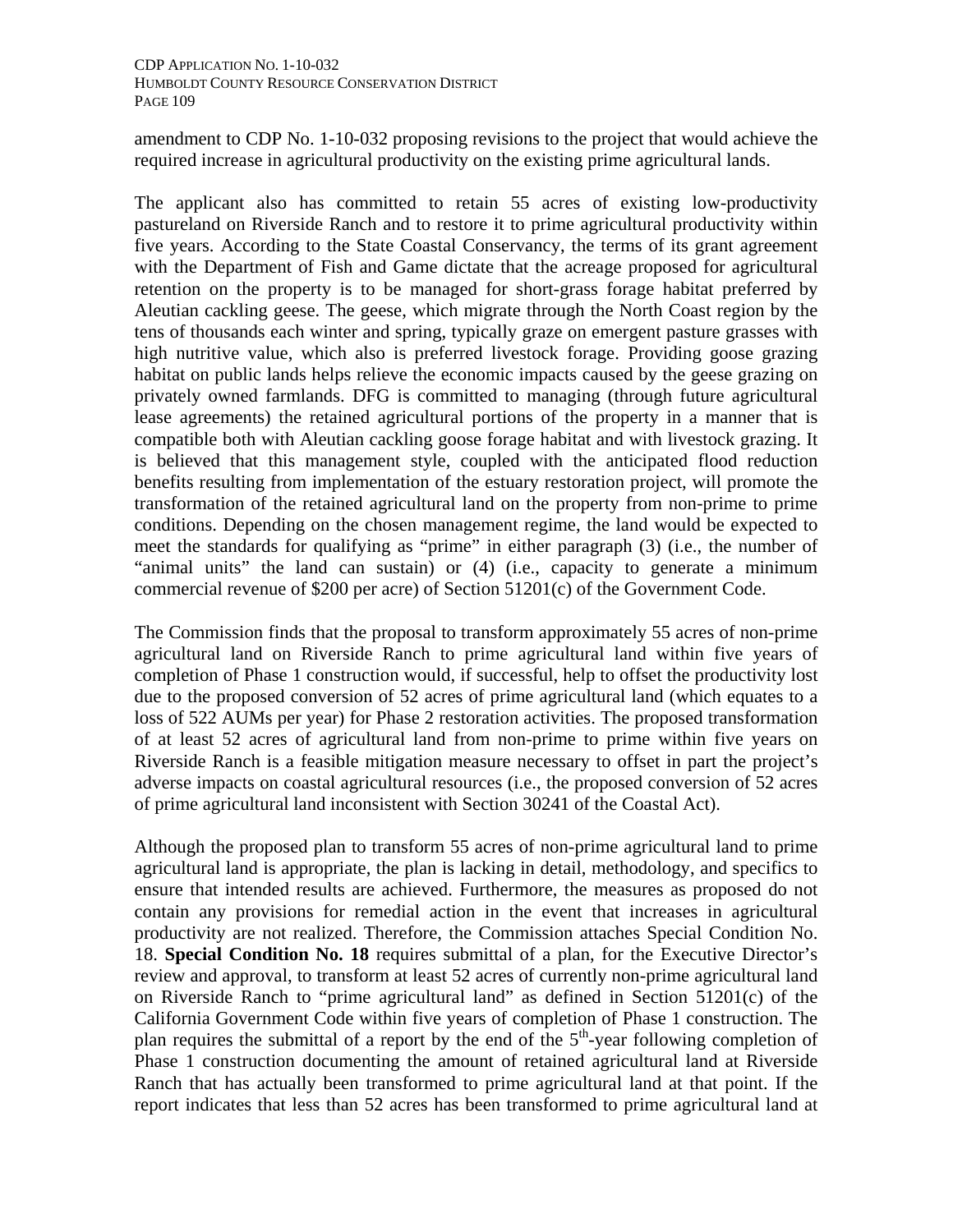amendment to CDP No. 1-10-032 proposing revisions to the project that would achieve the required increase in agricultural productivity on the existing prime agricultural lands.

The applicant also has committed to retain 55 acres of existing low-productivity pastureland on Riverside Ranch and to restore it to prime agricultural productivity within five years. According to the State Coastal Conservancy, the terms of its grant agreement with the Department of Fish and Game dictate that the acreage proposed for agricultural retention on the property is to be managed for short-grass forage habitat preferred by Aleutian cackling geese. The geese, which migrate through the North Coast region by the tens of thousands each winter and spring, typically graze on emergent pasture grasses with high nutritive value, which also is preferred livestock forage. Providing goose grazing habitat on public lands helps relieve the economic impacts caused by the geese grazing on privately owned farmlands. DFG is committed to managing (through future agricultural lease agreements) the retained agricultural portions of the property in a manner that is compatible both with Aleutian cackling goose forage habitat and with livestock grazing. It is believed that this management style, coupled with the anticipated flood reduction benefits resulting from implementation of the estuary restoration project, will promote the transformation of the retained agricultural land on the property from non-prime to prime conditions. Depending on the chosen management regime, the land would be expected to meet the standards for qualifying as "prime" in either paragraph (3) (i.e., the number of "animal units" the land can sustain) or (4) (i.e., capacity to generate a minimum commercial revenue of \$200 per acre) of Section 51201(c) of the Government Code.

The Commission finds that the proposal to transform approximately 55 acres of non-prime agricultural land on Riverside Ranch to prime agricultural land within five years of completion of Phase 1 construction would, if successful, help to offset the productivity lost due to the proposed conversion of 52 acres of prime agricultural land (which equates to a loss of 522 AUMs per year) for Phase 2 restoration activities. The proposed transformation of at least 52 acres of agricultural land from non-prime to prime within five years on Riverside Ranch is a feasible mitigation measure necessary to offset in part the project's adverse impacts on coastal agricultural resources (i.e., the proposed conversion of 52 acres of prime agricultural land inconsistent with Section 30241 of the Coastal Act).

Although the proposed plan to transform 55 acres of non-prime agricultural land to prime agricultural land is appropriate, the plan is lacking in detail, methodology, and specifics to ensure that intended results are achieved. Furthermore, the measures as proposed do not contain any provisions for remedial action in the event that increases in agricultural productivity are not realized. Therefore, the Commission attaches Special Condition No. 18. **Special Condition No. 18** requires submittal of a plan, for the Executive Director's review and approval, to transform at least 52 acres of currently non-prime agricultural land on Riverside Ranch to "prime agricultural land" as defined in Section 51201(c) of the California Government Code within five years of completion of Phase 1 construction. The plan requires the submittal of a report by the end of the  $5<sup>th</sup>$ -year following completion of Phase 1 construction documenting the amount of retained agricultural land at Riverside Ranch that has actually been transformed to prime agricultural land at that point. If the report indicates that less than 52 acres has been transformed to prime agricultural land at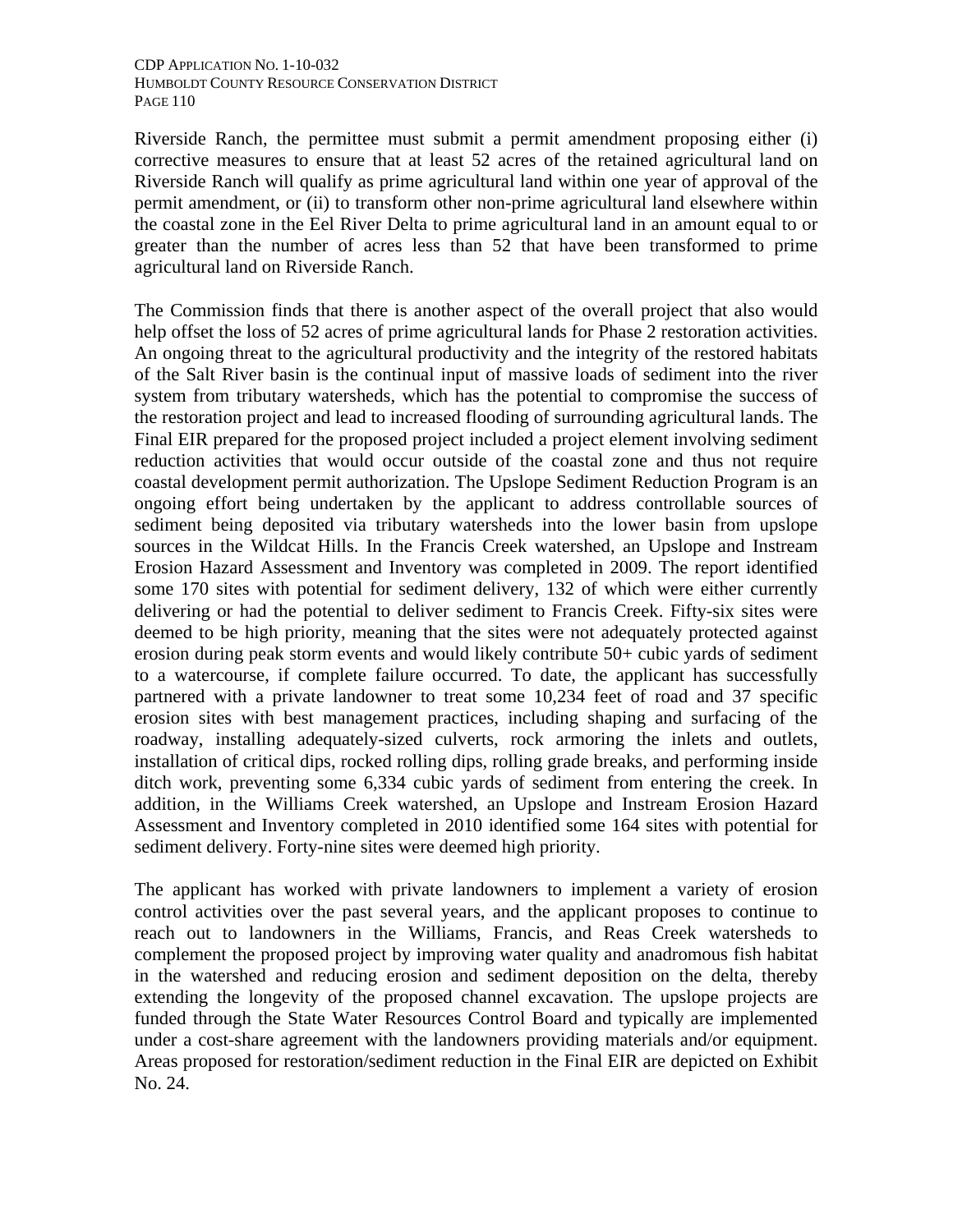Riverside Ranch, the permittee must submit a permit amendment proposing either (i) corrective measures to ensure that at least 52 acres of the retained agricultural land on Riverside Ranch will qualify as prime agricultural land within one year of approval of the permit amendment, or (ii) to transform other non-prime agricultural land elsewhere within the coastal zone in the Eel River Delta to prime agricultural land in an amount equal to or greater than the number of acres less than 52 that have been transformed to prime agricultural land on Riverside Ranch.

The Commission finds that there is another aspect of the overall project that also would help offset the loss of 52 acres of prime agricultural lands for Phase 2 restoration activities. An ongoing threat to the agricultural productivity and the integrity of the restored habitats of the Salt River basin is the continual input of massive loads of sediment into the river system from tributary watersheds, which has the potential to compromise the success of the restoration project and lead to increased flooding of surrounding agricultural lands. The Final EIR prepared for the proposed project included a project element involving sediment reduction activities that would occur outside of the coastal zone and thus not require coastal development permit authorization. The Upslope Sediment Reduction Program is an ongoing effort being undertaken by the applicant to address controllable sources of sediment being deposited via tributary watersheds into the lower basin from upslope sources in the Wildcat Hills. In the Francis Creek watershed, an Upslope and Instream Erosion Hazard Assessment and Inventory was completed in 2009. The report identified some 170 sites with potential for sediment delivery, 132 of which were either currently delivering or had the potential to deliver sediment to Francis Creek. Fifty-six sites were deemed to be high priority, meaning that the sites were not adequately protected against erosion during peak storm events and would likely contribute 50+ cubic yards of sediment to a watercourse, if complete failure occurred. To date, the applicant has successfully partnered with a private landowner to treat some 10,234 feet of road and 37 specific erosion sites with best management practices, including shaping and surfacing of the roadway, installing adequately-sized culverts, rock armoring the inlets and outlets, installation of critical dips, rocked rolling dips, rolling grade breaks, and performing inside ditch work, preventing some 6,334 cubic yards of sediment from entering the creek. In addition, in the Williams Creek watershed, an Upslope and Instream Erosion Hazard Assessment and Inventory completed in 2010 identified some 164 sites with potential for sediment delivery. Forty-nine sites were deemed high priority.

The applicant has worked with private landowners to implement a variety of erosion control activities over the past several years, and the applicant proposes to continue to reach out to landowners in the Williams, Francis, and Reas Creek watersheds to complement the proposed project by improving water quality and anadromous fish habitat in the watershed and reducing erosion and sediment deposition on the delta, thereby extending the longevity of the proposed channel excavation. The upslope projects are funded through the State Water Resources Control Board and typically are implemented under a cost-share agreement with the landowners providing materials and/or equipment. Areas proposed for restoration/sediment reduction in the Final EIR are depicted on Exhibit No. 24.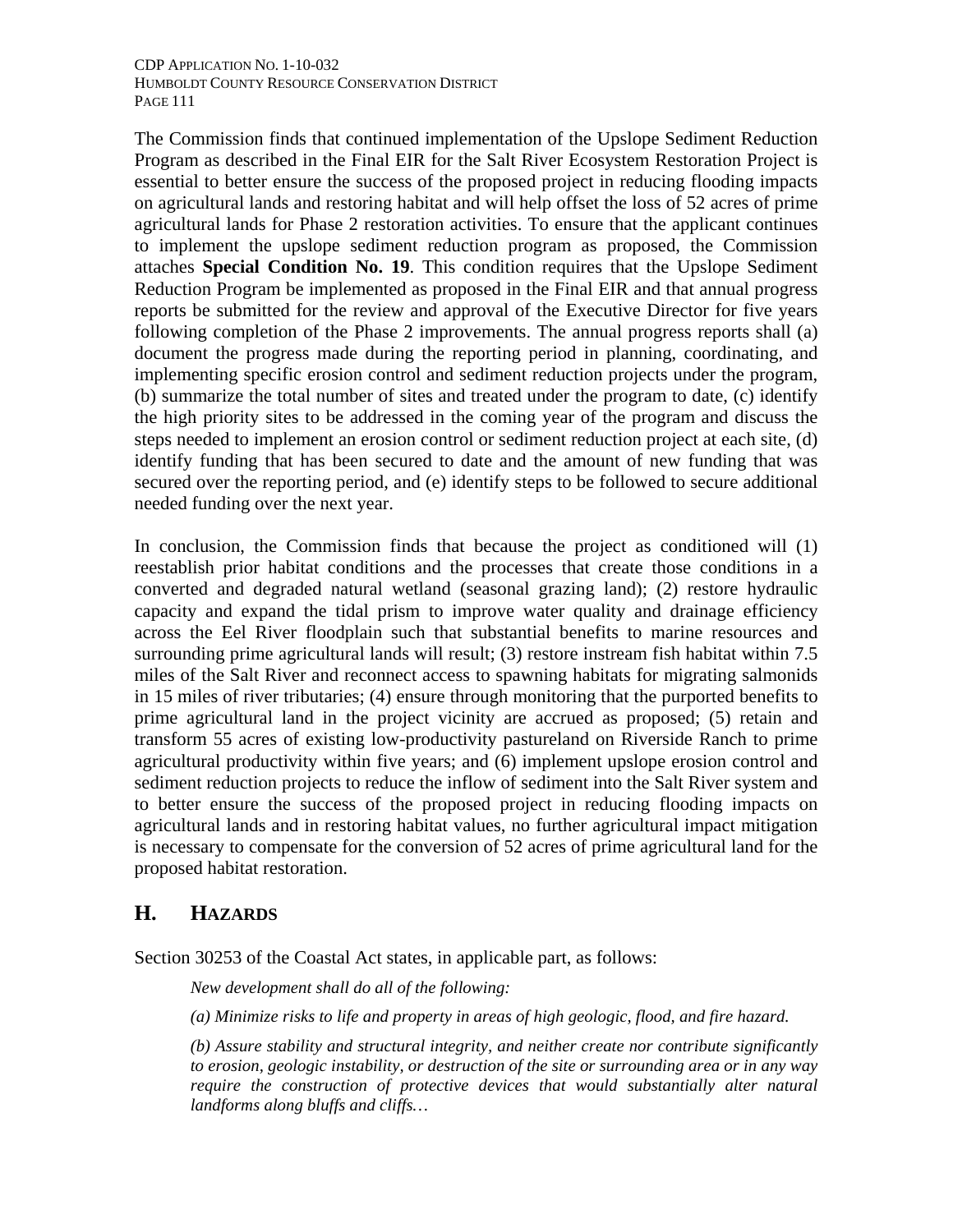The Commission finds that continued implementation of the Upslope Sediment Reduction Program as described in the Final EIR for the Salt River Ecosystem Restoration Project is essential to better ensure the success of the proposed project in reducing flooding impacts on agricultural lands and restoring habitat and will help offset the loss of 52 acres of prime agricultural lands for Phase 2 restoration activities. To ensure that the applicant continues to implement the upslope sediment reduction program as proposed, the Commission attaches **Special Condition No. 19**. This condition requires that the Upslope Sediment Reduction Program be implemented as proposed in the Final EIR and that annual progress reports be submitted for the review and approval of the Executive Director for five years following completion of the Phase 2 improvements. The annual progress reports shall (a) document the progress made during the reporting period in planning, coordinating, and implementing specific erosion control and sediment reduction projects under the program, (b) summarize the total number of sites and treated under the program to date, (c) identify the high priority sites to be addressed in the coming year of the program and discuss the steps needed to implement an erosion control or sediment reduction project at each site, (d) identify funding that has been secured to date and the amount of new funding that was secured over the reporting period, and (e) identify steps to be followed to secure additional needed funding over the next year.

In conclusion, the Commission finds that because the project as conditioned will (1) reestablish prior habitat conditions and the processes that create those conditions in a converted and degraded natural wetland (seasonal grazing land); (2) restore hydraulic capacity and expand the tidal prism to improve water quality and drainage efficiency across the Eel River floodplain such that substantial benefits to marine resources and surrounding prime agricultural lands will result; (3) restore instream fish habitat within 7.5 miles of the Salt River and reconnect access to spawning habitats for migrating salmonids in 15 miles of river tributaries; (4) ensure through monitoring that the purported benefits to prime agricultural land in the project vicinity are accrued as proposed; (5) retain and transform 55 acres of existing low-productivity pastureland on Riverside Ranch to prime agricultural productivity within five years; and (6) implement upslope erosion control and sediment reduction projects to reduce the inflow of sediment into the Salt River system and to better ensure the success of the proposed project in reducing flooding impacts on agricultural lands and in restoring habitat values, no further agricultural impact mitigation is necessary to compensate for the conversion of 52 acres of prime agricultural land for the proposed habitat restoration.

# **H. HAZARDS**

Section 30253 of the Coastal Act states, in applicable part, as follows:

 *New development shall do all of the following:* 

*(a) Minimize risks to life and property in areas of high geologic, flood, and fire hazard.* 

*(b) Assure stability and structural integrity, and neither create nor contribute significantly to erosion, geologic instability, or destruction of the site or surrounding area or in any way require the construction of protective devices that would substantially alter natural landforms along bluffs and cliffs…*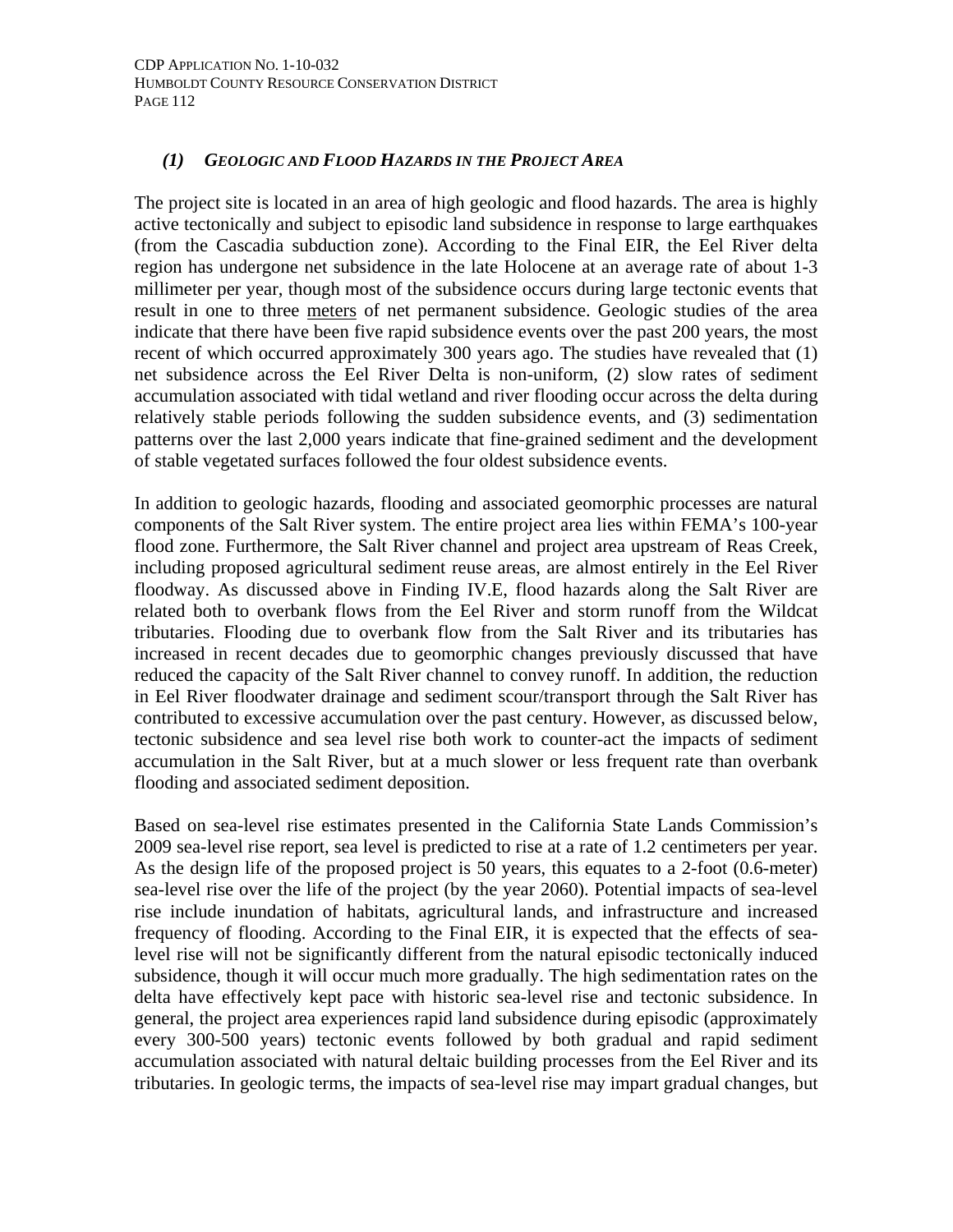## *(1) GEOLOGIC AND FLOOD HAZARDS IN THE PROJECT AREA*

The project site is located in an area of high geologic and flood hazards. The area is highly active tectonically and subject to episodic land subsidence in response to large earthquakes (from the Cascadia subduction zone). According to the Final EIR, the Eel River delta region has undergone net subsidence in the late Holocene at an average rate of about 1-3 millimeter per year, though most of the subsidence occurs during large tectonic events that result in one to three meters of net permanent subsidence. Geologic studies of the area indicate that there have been five rapid subsidence events over the past 200 years, the most recent of which occurred approximately 300 years ago. The studies have revealed that (1) net subsidence across the Eel River Delta is non-uniform, (2) slow rates of sediment accumulation associated with tidal wetland and river flooding occur across the delta during relatively stable periods following the sudden subsidence events, and (3) sedimentation patterns over the last 2,000 years indicate that fine-grained sediment and the development of stable vegetated surfaces followed the four oldest subsidence events.

In addition to geologic hazards, flooding and associated geomorphic processes are natural components of the Salt River system. The entire project area lies within FEMA's 100-year flood zone. Furthermore, the Salt River channel and project area upstream of Reas Creek, including proposed agricultural sediment reuse areas, are almost entirely in the Eel River floodway. As discussed above in Finding IV.E, flood hazards along the Salt River are related both to overbank flows from the Eel River and storm runoff from the Wildcat tributaries. Flooding due to overbank flow from the Salt River and its tributaries has increased in recent decades due to geomorphic changes previously discussed that have reduced the capacity of the Salt River channel to convey runoff. In addition, the reduction in Eel River floodwater drainage and sediment scour/transport through the Salt River has contributed to excessive accumulation over the past century. However, as discussed below, tectonic subsidence and sea level rise both work to counter-act the impacts of sediment accumulation in the Salt River, but at a much slower or less frequent rate than overbank flooding and associated sediment deposition.

Based on sea-level rise estimates presented in the California State Lands Commission's 2009 sea-level rise report, sea level is predicted to rise at a rate of 1.2 centimeters per year. As the design life of the proposed project is 50 years, this equates to a 2-foot (0.6-meter) sea-level rise over the life of the project (by the year 2060). Potential impacts of sea-level rise include inundation of habitats, agricultural lands, and infrastructure and increased frequency of flooding. According to the Final EIR, it is expected that the effects of sealevel rise will not be significantly different from the natural episodic tectonically induced subsidence, though it will occur much more gradually. The high sedimentation rates on the delta have effectively kept pace with historic sea-level rise and tectonic subsidence. In general, the project area experiences rapid land subsidence during episodic (approximately every 300-500 years) tectonic events followed by both gradual and rapid sediment accumulation associated with natural deltaic building processes from the Eel River and its tributaries. In geologic terms, the impacts of sea-level rise may impart gradual changes, but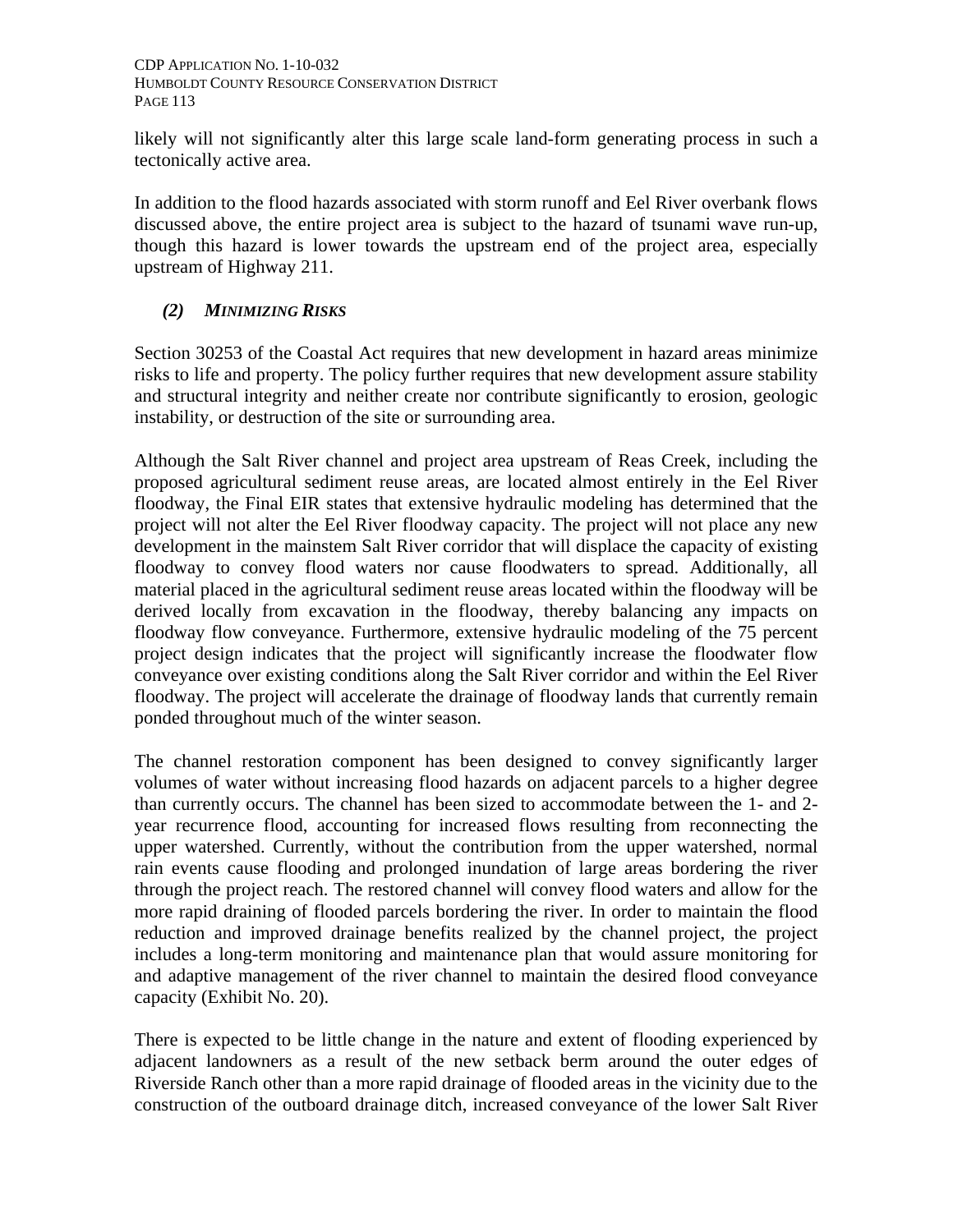likely will not significantly alter this large scale land-form generating process in such a tectonically active area.

In addition to the flood hazards associated with storm runoff and Eel River overbank flows discussed above, the entire project area is subject to the hazard of tsunami wave run-up, though this hazard is lower towards the upstream end of the project area, especially upstream of Highway 211.

## *(2) MINIMIZING RISKS*

Section 30253 of the Coastal Act requires that new development in hazard areas minimize risks to life and property. The policy further requires that new development assure stability and structural integrity and neither create nor contribute significantly to erosion, geologic instability, or destruction of the site or surrounding area.

Although the Salt River channel and project area upstream of Reas Creek, including the proposed agricultural sediment reuse areas, are located almost entirely in the Eel River floodway, the Final EIR states that extensive hydraulic modeling has determined that the project will not alter the Eel River floodway capacity. The project will not place any new development in the mainstem Salt River corridor that will displace the capacity of existing floodway to convey flood waters nor cause floodwaters to spread. Additionally, all material placed in the agricultural sediment reuse areas located within the floodway will be derived locally from excavation in the floodway, thereby balancing any impacts on floodway flow conveyance. Furthermore, extensive hydraulic modeling of the 75 percent project design indicates that the project will significantly increase the floodwater flow conveyance over existing conditions along the Salt River corridor and within the Eel River floodway. The project will accelerate the drainage of floodway lands that currently remain ponded throughout much of the winter season.

The channel restoration component has been designed to convey significantly larger volumes of water without increasing flood hazards on adjacent parcels to a higher degree than currently occurs. The channel has been sized to accommodate between the 1- and 2 year recurrence flood, accounting for increased flows resulting from reconnecting the upper watershed. Currently, without the contribution from the upper watershed, normal rain events cause flooding and prolonged inundation of large areas bordering the river through the project reach. The restored channel will convey flood waters and allow for the more rapid draining of flooded parcels bordering the river. In order to maintain the flood reduction and improved drainage benefits realized by the channel project, the project includes a long-term monitoring and maintenance plan that would assure monitoring for and adaptive management of the river channel to maintain the desired flood conveyance capacity (Exhibit No. 20).

There is expected to be little change in the nature and extent of flooding experienced by adjacent landowners as a result of the new setback berm around the outer edges of Riverside Ranch other than a more rapid drainage of flooded areas in the vicinity due to the construction of the outboard drainage ditch, increased conveyance of the lower Salt River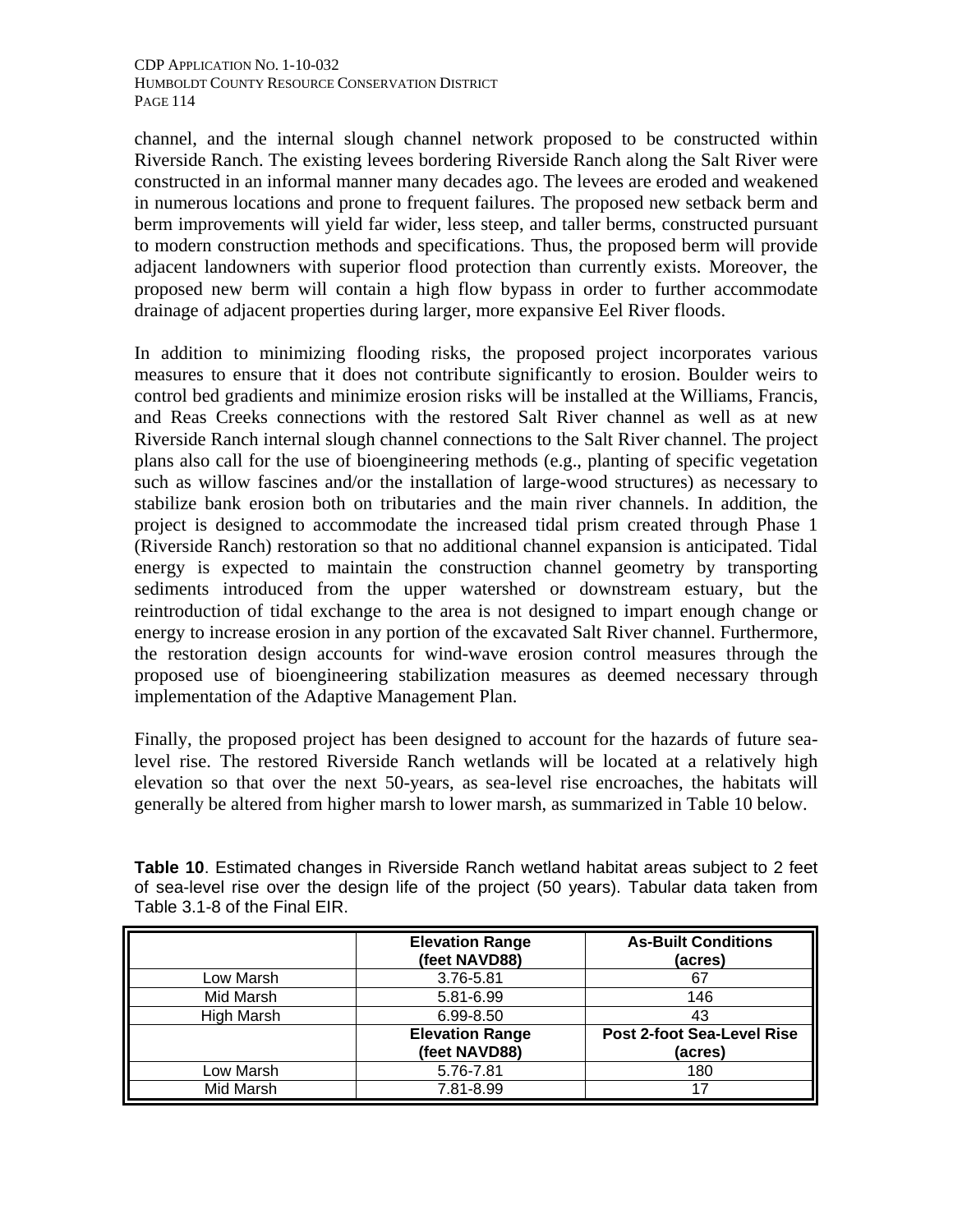channel, and the internal slough channel network proposed to be constructed within Riverside Ranch. The existing levees bordering Riverside Ranch along the Salt River were constructed in an informal manner many decades ago. The levees are eroded and weakened in numerous locations and prone to frequent failures. The proposed new setback berm and berm improvements will yield far wider, less steep, and taller berms, constructed pursuant to modern construction methods and specifications. Thus, the proposed berm will provide adjacent landowners with superior flood protection than currently exists. Moreover, the proposed new berm will contain a high flow bypass in order to further accommodate drainage of adjacent properties during larger, more expansive Eel River floods.

In addition to minimizing flooding risks, the proposed project incorporates various measures to ensure that it does not contribute significantly to erosion. Boulder weirs to control bed gradients and minimize erosion risks will be installed at the Williams, Francis, and Reas Creeks connections with the restored Salt River channel as well as at new Riverside Ranch internal slough channel connections to the Salt River channel. The project plans also call for the use of bioengineering methods (e.g., planting of specific vegetation such as willow fascines and/or the installation of large-wood structures) as necessary to stabilize bank erosion both on tributaries and the main river channels. In addition, the project is designed to accommodate the increased tidal prism created through Phase 1 (Riverside Ranch) restoration so that no additional channel expansion is anticipated. Tidal energy is expected to maintain the construction channel geometry by transporting sediments introduced from the upper watershed or downstream estuary, but the reintroduction of tidal exchange to the area is not designed to impart enough change or energy to increase erosion in any portion of the excavated Salt River channel. Furthermore, the restoration design accounts for wind-wave erosion control measures through the proposed use of bioengineering stabilization measures as deemed necessary through implementation of the Adaptive Management Plan.

Finally, the proposed project has been designed to account for the hazards of future sealevel rise. The restored Riverside Ranch wetlands will be located at a relatively high elevation so that over the next 50-years, as sea-level rise encroaches, the habitats will generally be altered from higher marsh to lower marsh, as summarized in Table 10 below.

|            | <b>Elevation Range</b><br>(feet NAVD88) | <b>As-Built Conditions</b><br>(acres)        |
|------------|-----------------------------------------|----------------------------------------------|
| Low Marsh  | 3.76-5.81                               | 67                                           |
| Mid Marsh  | 5.81-6.99                               | 146                                          |
| High Marsh | 6.99-8.50                               | 43                                           |
|            | <b>Elevation Range</b><br>(feet NAVD88) | <b>Post 2-foot Sea-Level Rise</b><br>(acres) |
| Low Marsh  | 5.76-7.81                               | 180                                          |
| Mid Marsh  | 7.81-8.99                               | 17                                           |

**Table 10**. Estimated changes in Riverside Ranch wetland habitat areas subject to 2 feet of sea-level rise over the design life of the project (50 years). Tabular data taken from Table 3.1-8 of the Final EIR.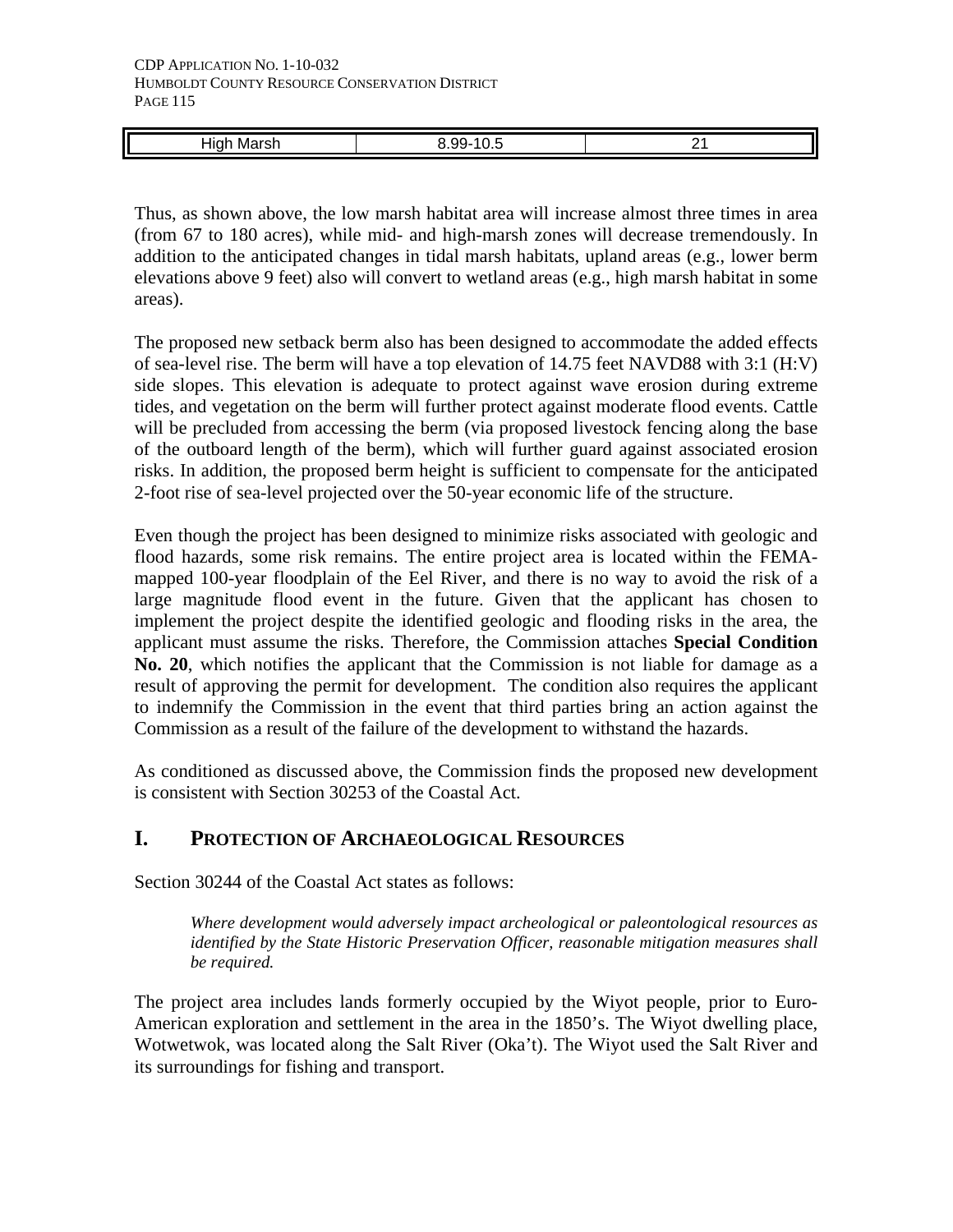| ┚╹へ┢<br><br>11 Z<br>-<br>. .<br>v<br>.<br>$\sim$ $\sim$ $\sim$ $\sim$ $\sim$ $\sim$ | $\sim$<br><br>. . |  |
|-------------------------------------------------------------------------------------|-------------------|--|
|                                                                                     |                   |  |

Thus, as shown above, the low marsh habitat area will increase almost three times in area (from 67 to 180 acres), while mid- and high-marsh zones will decrease tremendously. In addition to the anticipated changes in tidal marsh habitats, upland areas (e.g., lower berm elevations above 9 feet) also will convert to wetland areas (e.g., high marsh habitat in some areas).

The proposed new setback berm also has been designed to accommodate the added effects of sea-level rise. The berm will have a top elevation of 14.75 feet NAVD88 with 3:1 (H:V) side slopes. This elevation is adequate to protect against wave erosion during extreme tides, and vegetation on the berm will further protect against moderate flood events. Cattle will be precluded from accessing the berm (via proposed livestock fencing along the base of the outboard length of the berm), which will further guard against associated erosion risks. In addition, the proposed berm height is sufficient to compensate for the anticipated 2-foot rise of sea-level projected over the 50-year economic life of the structure.

Even though the project has been designed to minimize risks associated with geologic and flood hazards, some risk remains. The entire project area is located within the FEMAmapped 100-year floodplain of the Eel River, and there is no way to avoid the risk of a large magnitude flood event in the future. Given that the applicant has chosen to implement the project despite the identified geologic and flooding risks in the area, the applicant must assume the risks. Therefore, the Commission attaches **Special Condition No. 20**, which notifies the applicant that the Commission is not liable for damage as a result of approving the permit for development. The condition also requires the applicant to indemnify the Commission in the event that third parties bring an action against the Commission as a result of the failure of the development to withstand the hazards.

As conditioned as discussed above, the Commission finds the proposed new development is consistent with Section 30253 of the Coastal Act.

## **I. PROTECTION OF ARCHAEOLOGICAL RESOURCES**

Section 30244 of the Coastal Act states as follows:

*Where development would adversely impact archeological or paleontological resources as identified by the State Historic Preservation Officer, reasonable mitigation measures shall be required.* 

The project area includes lands formerly occupied by the Wiyot people, prior to Euro-American exploration and settlement in the area in the 1850's. The Wiyot dwelling place, Wotwetwok, was located along the Salt River (Oka't). The Wiyot used the Salt River and its surroundings for fishing and transport.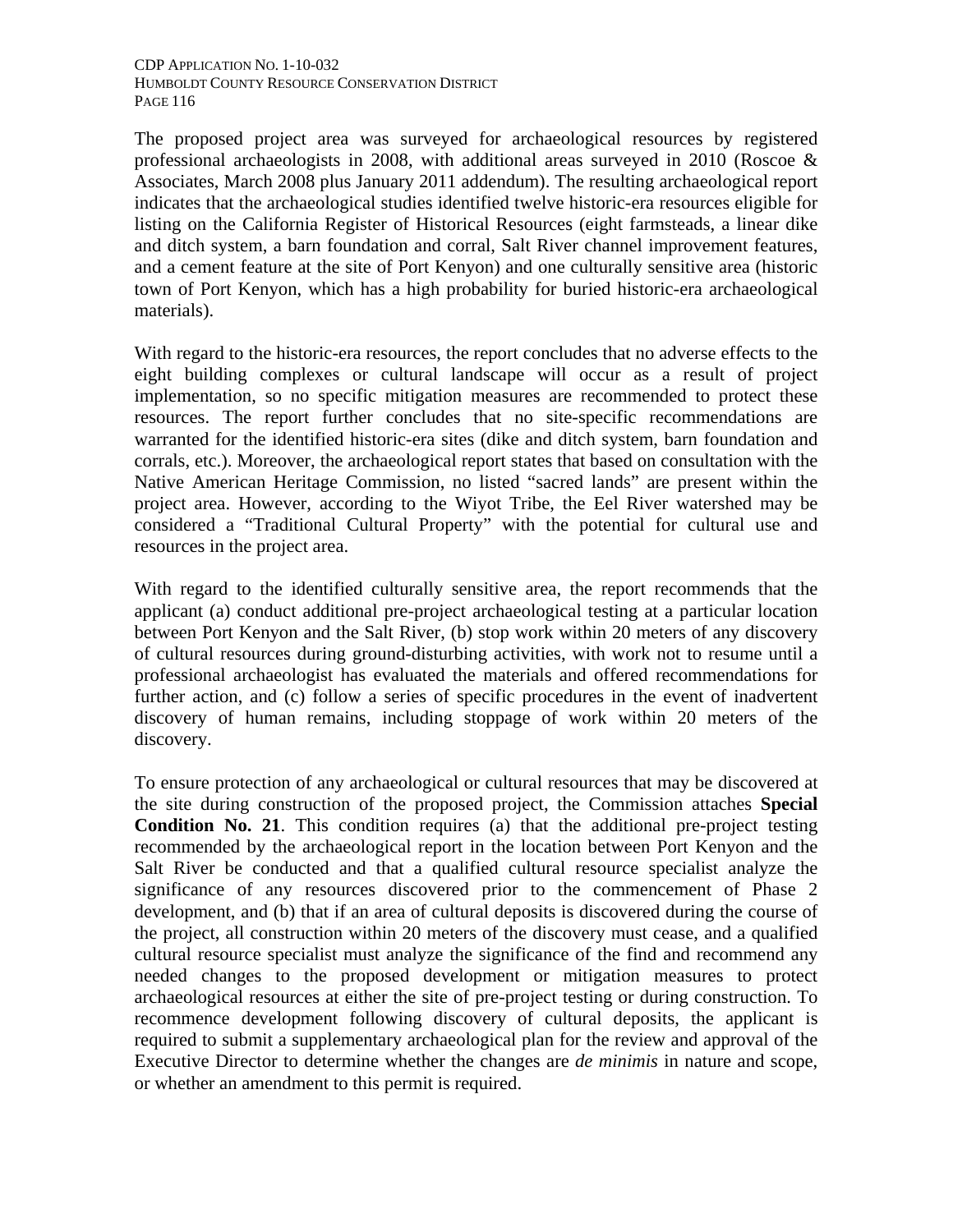The proposed project area was surveyed for archaeological resources by registered professional archaeologists in 2008, with additional areas surveyed in 2010 (Roscoe & Associates, March 2008 plus January 2011 addendum). The resulting archaeological report indicates that the archaeological studies identified twelve historic-era resources eligible for listing on the California Register of Historical Resources (eight farmsteads, a linear dike and ditch system, a barn foundation and corral, Salt River channel improvement features, and a cement feature at the site of Port Kenyon) and one culturally sensitive area (historic town of Port Kenyon, which has a high probability for buried historic-era archaeological materials).

With regard to the historic-era resources, the report concludes that no adverse effects to the eight building complexes or cultural landscape will occur as a result of project implementation, so no specific mitigation measures are recommended to protect these resources. The report further concludes that no site-specific recommendations are warranted for the identified historic-era sites (dike and ditch system, barn foundation and corrals, etc.). Moreover, the archaeological report states that based on consultation with the Native American Heritage Commission, no listed "sacred lands" are present within the project area. However, according to the Wiyot Tribe, the Eel River watershed may be considered a "Traditional Cultural Property" with the potential for cultural use and resources in the project area.

With regard to the identified culturally sensitive area, the report recommends that the applicant (a) conduct additional pre-project archaeological testing at a particular location between Port Kenyon and the Salt River, (b) stop work within 20 meters of any discovery of cultural resources during ground-disturbing activities, with work not to resume until a professional archaeologist has evaluated the materials and offered recommendations for further action, and (c) follow a series of specific procedures in the event of inadvertent discovery of human remains, including stoppage of work within 20 meters of the discovery.

To ensure protection of any archaeological or cultural resources that may be discovered at the site during construction of the proposed project, the Commission attaches **Special Condition No. 21**. This condition requires (a) that the additional pre-project testing recommended by the archaeological report in the location between Port Kenyon and the Salt River be conducted and that a qualified cultural resource specialist analyze the significance of any resources discovered prior to the commencement of Phase 2 development, and (b) that if an area of cultural deposits is discovered during the course of the project, all construction within 20 meters of the discovery must cease, and a qualified cultural resource specialist must analyze the significance of the find and recommend any needed changes to the proposed development or mitigation measures to protect archaeological resources at either the site of pre-project testing or during construction. To recommence development following discovery of cultural deposits, the applicant is required to submit a supplementary archaeological plan for the review and approval of the Executive Director to determine whether the changes are *de minimis* in nature and scope, or whether an amendment to this permit is required.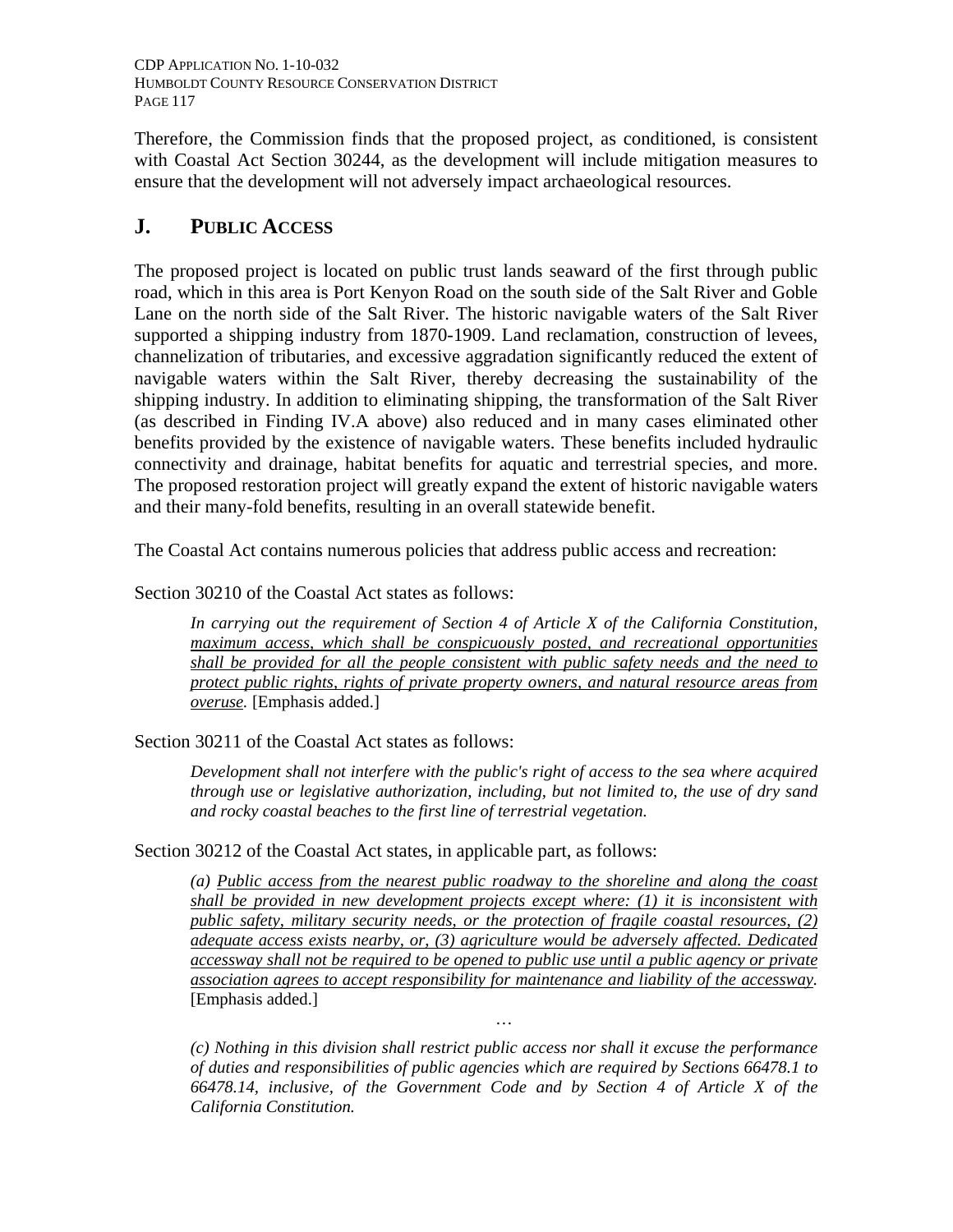CDP APPLICATION NO. 1-10-032 HUMBOLDT COUNTY RESOURCE CONSERVATION DISTRICT PAGE 117

Therefore, the Commission finds that the proposed project, as conditioned, is consistent with Coastal Act Section 30244, as the development will include mitigation measures to ensure that the development will not adversely impact archaeological resources.

## **J. PUBLIC ACCESS**

The proposed project is located on public trust lands seaward of the first through public road, which in this area is Port Kenyon Road on the south side of the Salt River and Goble Lane on the north side of the Salt River. The historic navigable waters of the Salt River supported a shipping industry from 1870-1909. Land reclamation, construction of levees, channelization of tributaries, and excessive aggradation significantly reduced the extent of navigable waters within the Salt River, thereby decreasing the sustainability of the shipping industry. In addition to eliminating shipping, the transformation of the Salt River (as described in Finding IV.A above) also reduced and in many cases eliminated other benefits provided by the existence of navigable waters. These benefits included hydraulic connectivity and drainage, habitat benefits for aquatic and terrestrial species, and more. The proposed restoration project will greatly expand the extent of historic navigable waters and their many-fold benefits, resulting in an overall statewide benefit.

The Coastal Act contains numerous policies that address public access and recreation:

Section 30210 of the Coastal Act states as follows:

*In carrying out the requirement of Section 4 of Article X of the California Constitution, maximum access, which shall be conspicuously posted, and recreational opportunities shall be provided for all the people consistent with public safety needs and the need to protect public rights, rights of private property owners, and natural resource areas from overuse.* [Emphasis added.]

Section 30211 of the Coastal Act states as follows:

*Development shall not interfere with the public's right of access to the sea where acquired through use or legislative authorization, including, but not limited to, the use of dry sand and rocky coastal beaches to the first line of terrestrial vegetation.* 

Section 30212 of the Coastal Act states, in applicable part, as follows:

*(a) Public access from the nearest public roadway to the shoreline and along the coast shall be provided in new development projects except where: (1) it is inconsistent with public safety, military security needs, or the protection of fragile coastal resources, (2) adequate access exists nearby, or, (3) agriculture would be adversely affected. Dedicated accessway shall not be required to be opened to public use until a public agency or private association agrees to accept responsibility for maintenance and liability of the accessway.*  [Emphasis added.]

*(c) Nothing in this division shall restrict public access nor shall it excuse the performance of duties and responsibilities of public agencies which are required by Sections 66478.1 to 66478.14, inclusive, of the Government Code and by Section 4 of Article X of the California Constitution.* 

…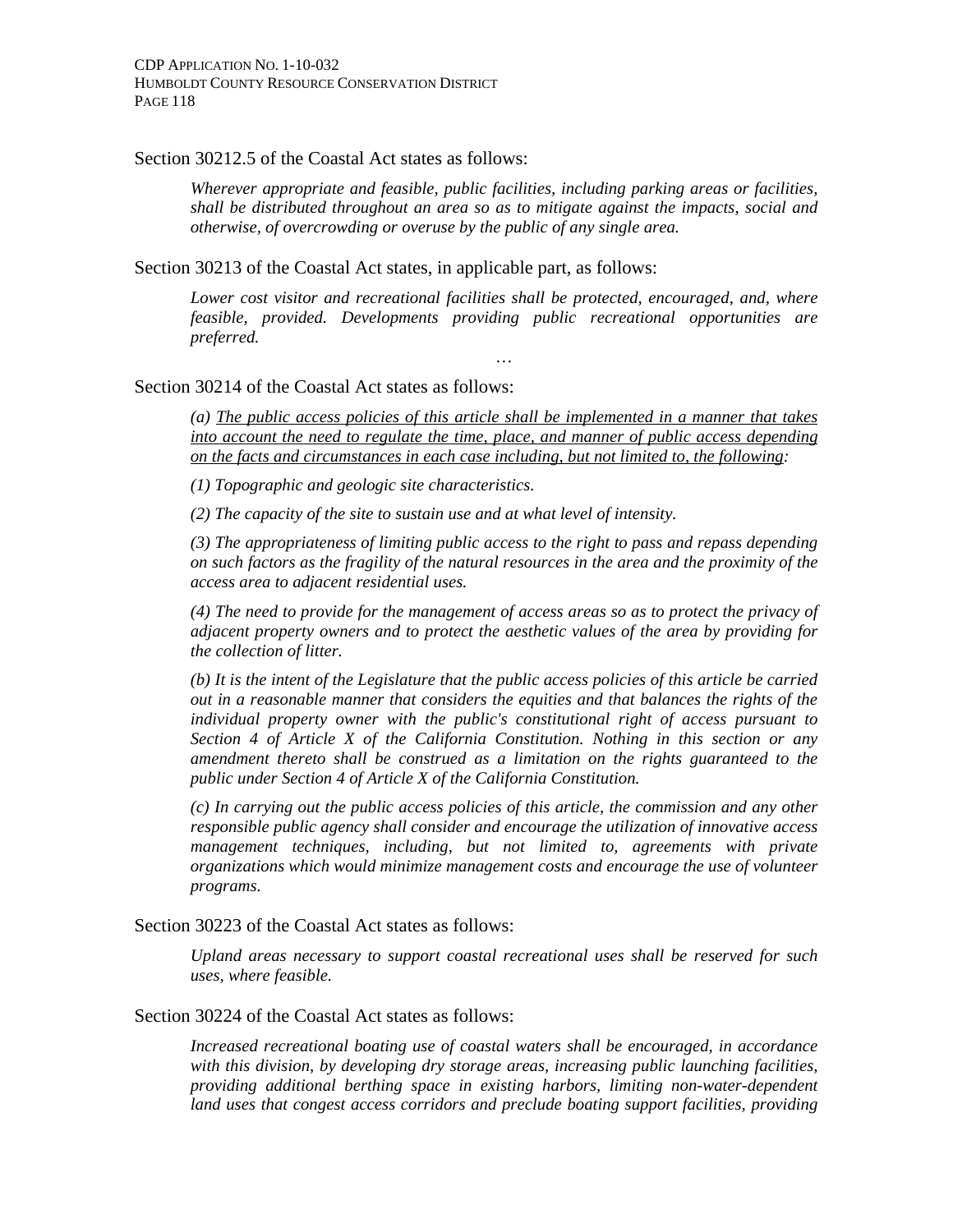CDP APPLICATION NO. 1-10-032 HUMBOLDT COUNTY RESOURCE CONSERVATION DISTRICT PAGE 118

### Section 30212.5 of the Coastal Act states as follows:

*Wherever appropriate and feasible, public facilities, including parking areas or facilities, shall be distributed throughout an area so as to mitigate against the impacts, social and otherwise, of overcrowding or overuse by the public of any single area.* 

Section 30213 of the Coastal Act states, in applicable part, as follows:

*Lower cost visitor and recreational facilities shall be protected, encouraged, and, where feasible, provided. Developments providing public recreational opportunities are preferred.* 

…

### Section 30214 of the Coastal Act states as follows:

*(a) The public access policies of this article shall be implemented in a manner that takes into account the need to regulate the time, place, and manner of public access depending on the facts and circumstances in each case including, but not limited to, the following:* 

*(1) Topographic and geologic site characteristics.* 

*(2) The capacity of the site to sustain use and at what level of intensity.* 

*(3) The appropriateness of limiting public access to the right to pass and repass depending on such factors as the fragility of the natural resources in the area and the proximity of the access area to adjacent residential uses.* 

*(4) The need to provide for the management of access areas so as to protect the privacy of adjacent property owners and to protect the aesthetic values of the area by providing for the collection of litter.* 

*(b) It is the intent of the Legislature that the public access policies of this article be carried out in a reasonable manner that considers the equities and that balances the rights of the individual property owner with the public's constitutional right of access pursuant to Section 4 of Article X of the California Constitution. Nothing in this section or any amendment thereto shall be construed as a limitation on the rights guaranteed to the public under Section 4 of Article X of the California Constitution.* 

*(c) In carrying out the public access policies of this article, the commission and any other responsible public agency shall consider and encourage the utilization of innovative access management techniques, including, but not limited to, agreements with private organizations which would minimize management costs and encourage the use of volunteer programs.* 

### Section 30223 of the Coastal Act states as follows:

*Upland areas necessary to support coastal recreational uses shall be reserved for such uses, where feasible.* 

### Section 30224 of the Coastal Act states as follows:

*Increased recreational boating use of coastal waters shall be encouraged, in accordance with this division, by developing dry storage areas, increasing public launching facilities, providing additional berthing space in existing harbors, limiting non-water-dependent land uses that congest access corridors and preclude boating support facilities, providing*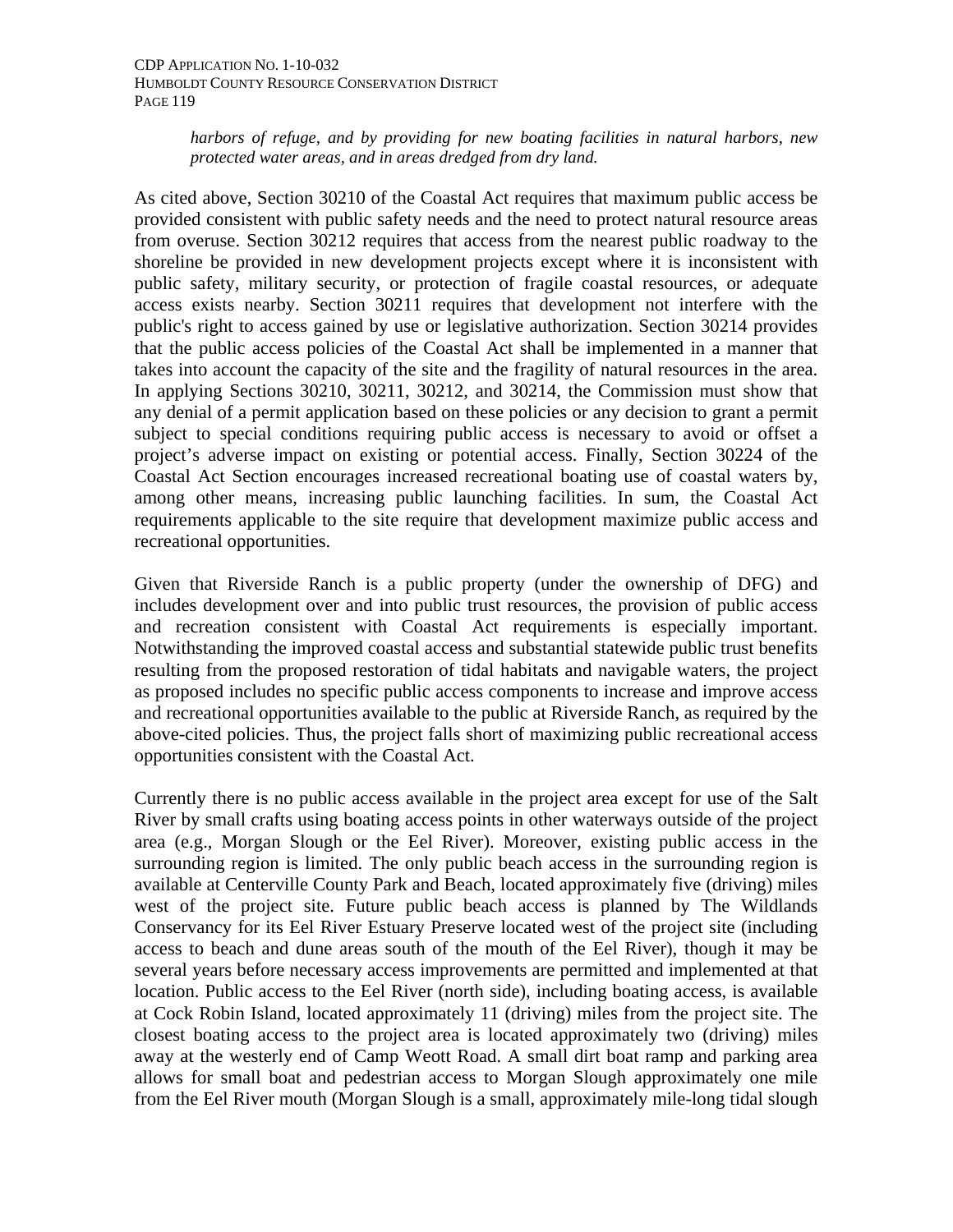*harbors of refuge, and by providing for new boating facilities in natural harbors, new protected water areas, and in areas dredged from dry land.* 

As cited above, Section 30210 of the Coastal Act requires that maximum public access be provided consistent with public safety needs and the need to protect natural resource areas from overuse. Section 30212 requires that access from the nearest public roadway to the shoreline be provided in new development projects except where it is inconsistent with public safety, military security, or protection of fragile coastal resources, or adequate access exists nearby. Section 30211 requires that development not interfere with the public's right to access gained by use or legislative authorization. Section 30214 provides that the public access policies of the Coastal Act shall be implemented in a manner that takes into account the capacity of the site and the fragility of natural resources in the area. In applying Sections 30210, 30211, 30212, and 30214, the Commission must show that any denial of a permit application based on these policies or any decision to grant a permit subject to special conditions requiring public access is necessary to avoid or offset a project's adverse impact on existing or potential access. Finally, Section 30224 of the Coastal Act Section encourages increased recreational boating use of coastal waters by, among other means, increasing public launching facilities. In sum, the Coastal Act requirements applicable to the site require that development maximize public access and recreational opportunities.

Given that Riverside Ranch is a public property (under the ownership of DFG) and includes development over and into public trust resources, the provision of public access and recreation consistent with Coastal Act requirements is especially important. Notwithstanding the improved coastal access and substantial statewide public trust benefits resulting from the proposed restoration of tidal habitats and navigable waters, the project as proposed includes no specific public access components to increase and improve access and recreational opportunities available to the public at Riverside Ranch, as required by the above-cited policies. Thus, the project falls short of maximizing public recreational access opportunities consistent with the Coastal Act.

Currently there is no public access available in the project area except for use of the Salt River by small crafts using boating access points in other waterways outside of the project area (e.g., Morgan Slough or the Eel River). Moreover, existing public access in the surrounding region is limited. The only public beach access in the surrounding region is available at Centerville County Park and Beach, located approximately five (driving) miles west of the project site. Future public beach access is planned by The Wildlands Conservancy for its Eel River Estuary Preserve located west of the project site (including access to beach and dune areas south of the mouth of the Eel River), though it may be several years before necessary access improvements are permitted and implemented at that location. Public access to the Eel River (north side), including boating access, is available at Cock Robin Island, located approximately 11 (driving) miles from the project site. The closest boating access to the project area is located approximately two (driving) miles away at the westerly end of Camp Weott Road. A small dirt boat ramp and parking area allows for small boat and pedestrian access to Morgan Slough approximately one mile from the Eel River mouth (Morgan Slough is a small, approximately mile-long tidal slough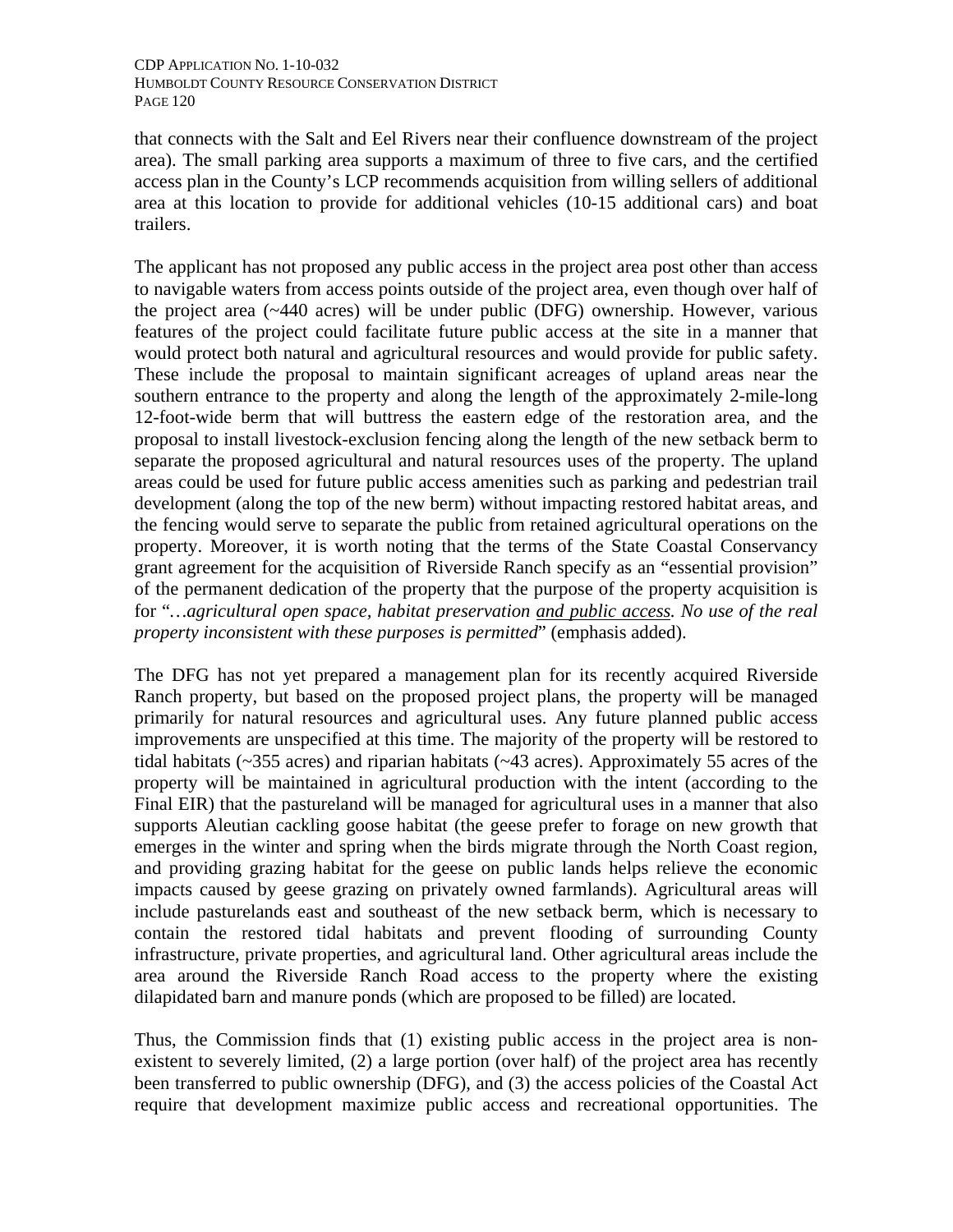that connects with the Salt and Eel Rivers near their confluence downstream of the project area). The small parking area supports a maximum of three to five cars, and the certified access plan in the County's LCP recommends acquisition from willing sellers of additional area at this location to provide for additional vehicles (10-15 additional cars) and boat trailers.

The applicant has not proposed any public access in the project area post other than access to navigable waters from access points outside of the project area, even though over half of the project area (~440 acres) will be under public (DFG) ownership. However, various features of the project could facilitate future public access at the site in a manner that would protect both natural and agricultural resources and would provide for public safety. These include the proposal to maintain significant acreages of upland areas near the southern entrance to the property and along the length of the approximately 2-mile-long 12-foot-wide berm that will buttress the eastern edge of the restoration area, and the proposal to install livestock-exclusion fencing along the length of the new setback berm to separate the proposed agricultural and natural resources uses of the property. The upland areas could be used for future public access amenities such as parking and pedestrian trail development (along the top of the new berm) without impacting restored habitat areas, and the fencing would serve to separate the public from retained agricultural operations on the property. Moreover, it is worth noting that the terms of the State Coastal Conservancy grant agreement for the acquisition of Riverside Ranch specify as an "essential provision" of the permanent dedication of the property that the purpose of the property acquisition is for "*…agricultural open space, habitat preservation and public access. No use of the real property inconsistent with these purposes is permitted*" (emphasis added).

The DFG has not yet prepared a management plan for its recently acquired Riverside Ranch property, but based on the proposed project plans, the property will be managed primarily for natural resources and agricultural uses. Any future planned public access improvements are unspecified at this time. The majority of the property will be restored to tidal habitats (~355 acres) and riparian habitats (~43 acres). Approximately 55 acres of the property will be maintained in agricultural production with the intent (according to the Final EIR) that the pastureland will be managed for agricultural uses in a manner that also supports Aleutian cackling goose habitat (the geese prefer to forage on new growth that emerges in the winter and spring when the birds migrate through the North Coast region, and providing grazing habitat for the geese on public lands helps relieve the economic impacts caused by geese grazing on privately owned farmlands). Agricultural areas will include pasturelands east and southeast of the new setback berm, which is necessary to contain the restored tidal habitats and prevent flooding of surrounding County infrastructure, private properties, and agricultural land. Other agricultural areas include the area around the Riverside Ranch Road access to the property where the existing dilapidated barn and manure ponds (which are proposed to be filled) are located.

Thus, the Commission finds that (1) existing public access in the project area is nonexistent to severely limited, (2) a large portion (over half) of the project area has recently been transferred to public ownership (DFG), and (3) the access policies of the Coastal Act require that development maximize public access and recreational opportunities. The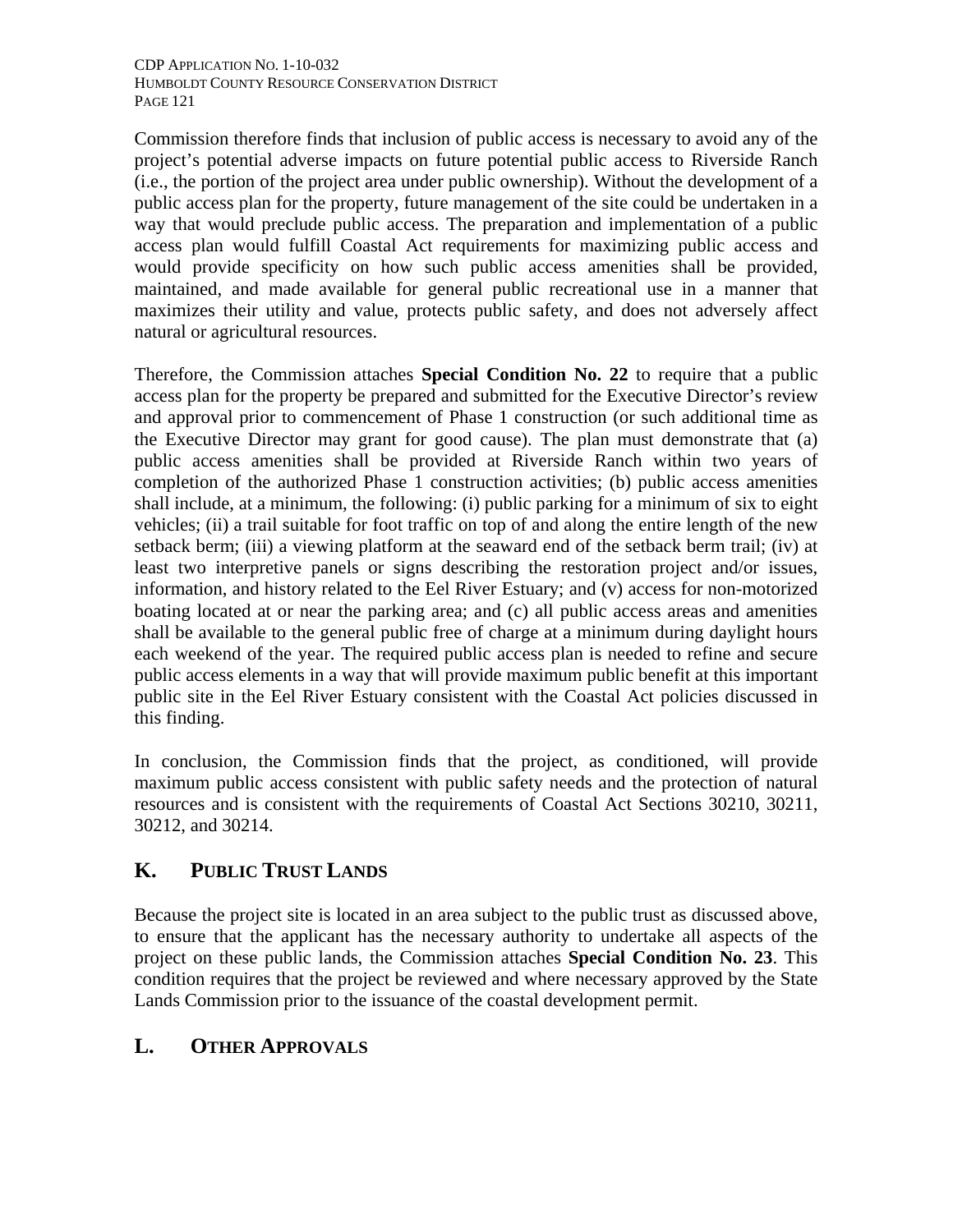Commission therefore finds that inclusion of public access is necessary to avoid any of the project's potential adverse impacts on future potential public access to Riverside Ranch (i.e., the portion of the project area under public ownership). Without the development of a public access plan for the property, future management of the site could be undertaken in a way that would preclude public access. The preparation and implementation of a public access plan would fulfill Coastal Act requirements for maximizing public access and would provide specificity on how such public access amenities shall be provided, maintained, and made available for general public recreational use in a manner that maximizes their utility and value, protects public safety, and does not adversely affect natural or agricultural resources.

Therefore, the Commission attaches **Special Condition No. 22** to require that a public access plan for the property be prepared and submitted for the Executive Director's review and approval prior to commencement of Phase 1 construction (or such additional time as the Executive Director may grant for good cause). The plan must demonstrate that (a) public access amenities shall be provided at Riverside Ranch within two years of completion of the authorized Phase 1 construction activities; (b) public access amenities shall include, at a minimum, the following: (i) public parking for a minimum of six to eight vehicles; (ii) a trail suitable for foot traffic on top of and along the entire length of the new setback berm; (iii) a viewing platform at the seaward end of the setback berm trail; (iv) at least two interpretive panels or signs describing the restoration project and/or issues, information, and history related to the Eel River Estuary; and (v) access for non-motorized boating located at or near the parking area; and (c) all public access areas and amenities shall be available to the general public free of charge at a minimum during daylight hours each weekend of the year. The required public access plan is needed to refine and secure public access elements in a way that will provide maximum public benefit at this important public site in the Eel River Estuary consistent with the Coastal Act policies discussed in this finding.

In conclusion, the Commission finds that the project, as conditioned, will provide maximum public access consistent with public safety needs and the protection of natural resources and is consistent with the requirements of Coastal Act Sections 30210, 30211, 30212, and 30214.

# **K. PUBLIC TRUST LANDS**

Because the project site is located in an area subject to the public trust as discussed above, to ensure that the applicant has the necessary authority to undertake all aspects of the project on these public lands, the Commission attaches **Special Condition No. 23**. This condition requires that the project be reviewed and where necessary approved by the State Lands Commission prior to the issuance of the coastal development permit.

# **L. OTHER APPROVALS**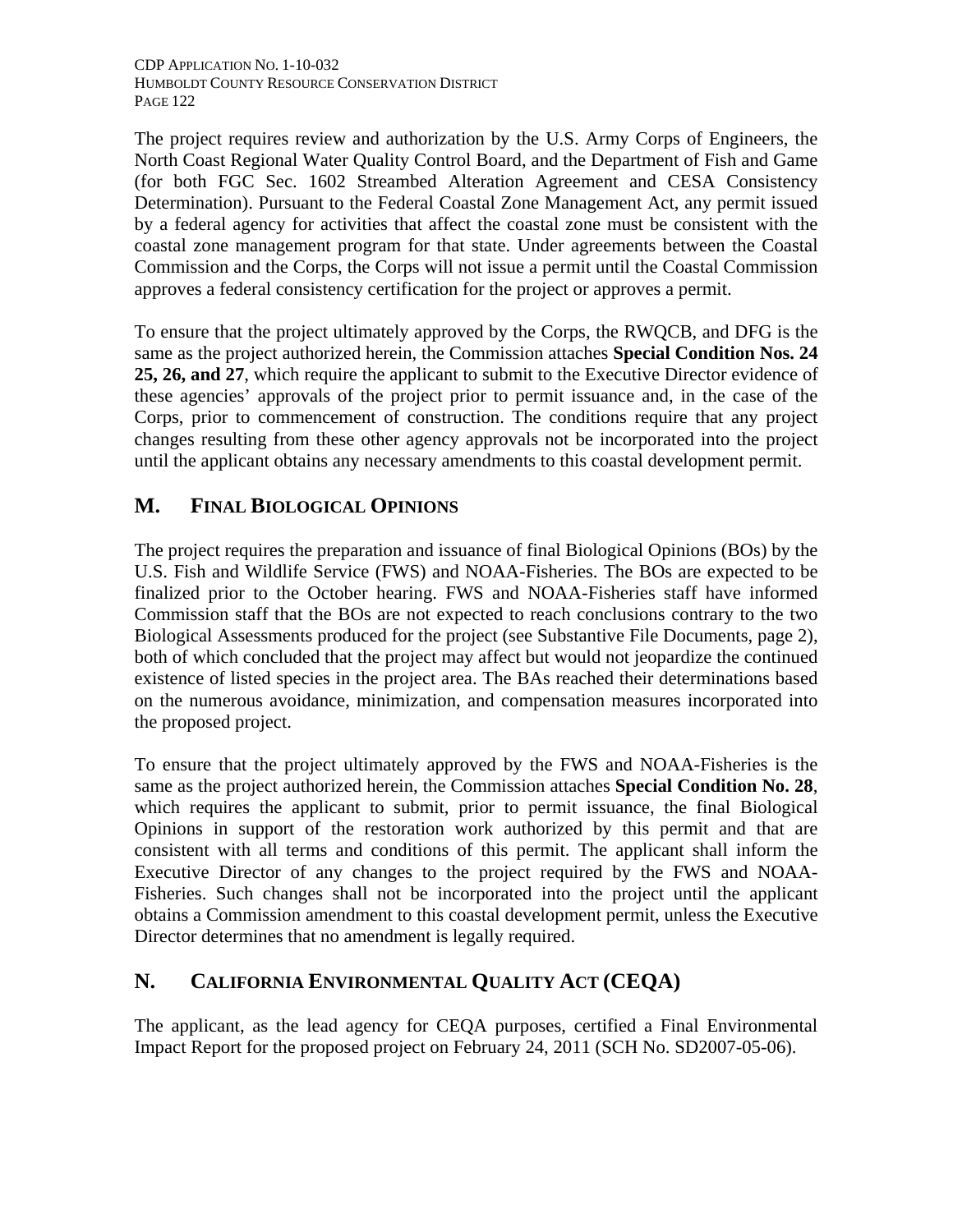The project requires review and authorization by the U.S. Army Corps of Engineers, the North Coast Regional Water Quality Control Board, and the Department of Fish and Game (for both FGC Sec. 1602 Streambed Alteration Agreement and CESA Consistency Determination). Pursuant to the Federal Coastal Zone Management Act, any permit issued by a federal agency for activities that affect the coastal zone must be consistent with the coastal zone management program for that state. Under agreements between the Coastal Commission and the Corps, the Corps will not issue a permit until the Coastal Commission approves a federal consistency certification for the project or approves a permit.

To ensure that the project ultimately approved by the Corps, the RWQCB, and DFG is the same as the project authorized herein, the Commission attaches **Special Condition Nos. 24 25, 26, and 27**, which require the applicant to submit to the Executive Director evidence of these agencies' approvals of the project prior to permit issuance and, in the case of the Corps, prior to commencement of construction. The conditions require that any project changes resulting from these other agency approvals not be incorporated into the project until the applicant obtains any necessary amendments to this coastal development permit.

# **M. FINAL BIOLOGICAL OPINIONS**

The project requires the preparation and issuance of final Biological Opinions (BOs) by the U.S. Fish and Wildlife Service (FWS) and NOAA-Fisheries. The BOs are expected to be finalized prior to the October hearing. FWS and NOAA-Fisheries staff have informed Commission staff that the BOs are not expected to reach conclusions contrary to the two Biological Assessments produced for the project (see Substantive File Documents, page 2), both of which concluded that the project may affect but would not jeopardize the continued existence of listed species in the project area. The BAs reached their determinations based on the numerous avoidance, minimization, and compensation measures incorporated into the proposed project.

To ensure that the project ultimately approved by the FWS and NOAA-Fisheries is the same as the project authorized herein, the Commission attaches **Special Condition No. 28**, which requires the applicant to submit, prior to permit issuance, the final Biological Opinions in support of the restoration work authorized by this permit and that are consistent with all terms and conditions of this permit. The applicant shall inform the Executive Director of any changes to the project required by the FWS and NOAA-Fisheries. Such changes shall not be incorporated into the project until the applicant obtains a Commission amendment to this coastal development permit, unless the Executive Director determines that no amendment is legally required.

# **N. CALIFORNIA ENVIRONMENTAL QUALITY ACT (CEQA)**

The applicant, as the lead agency for CEQA purposes, certified a Final Environmental Impact Report for the proposed project on February 24, 2011 (SCH No. SD2007-05-06).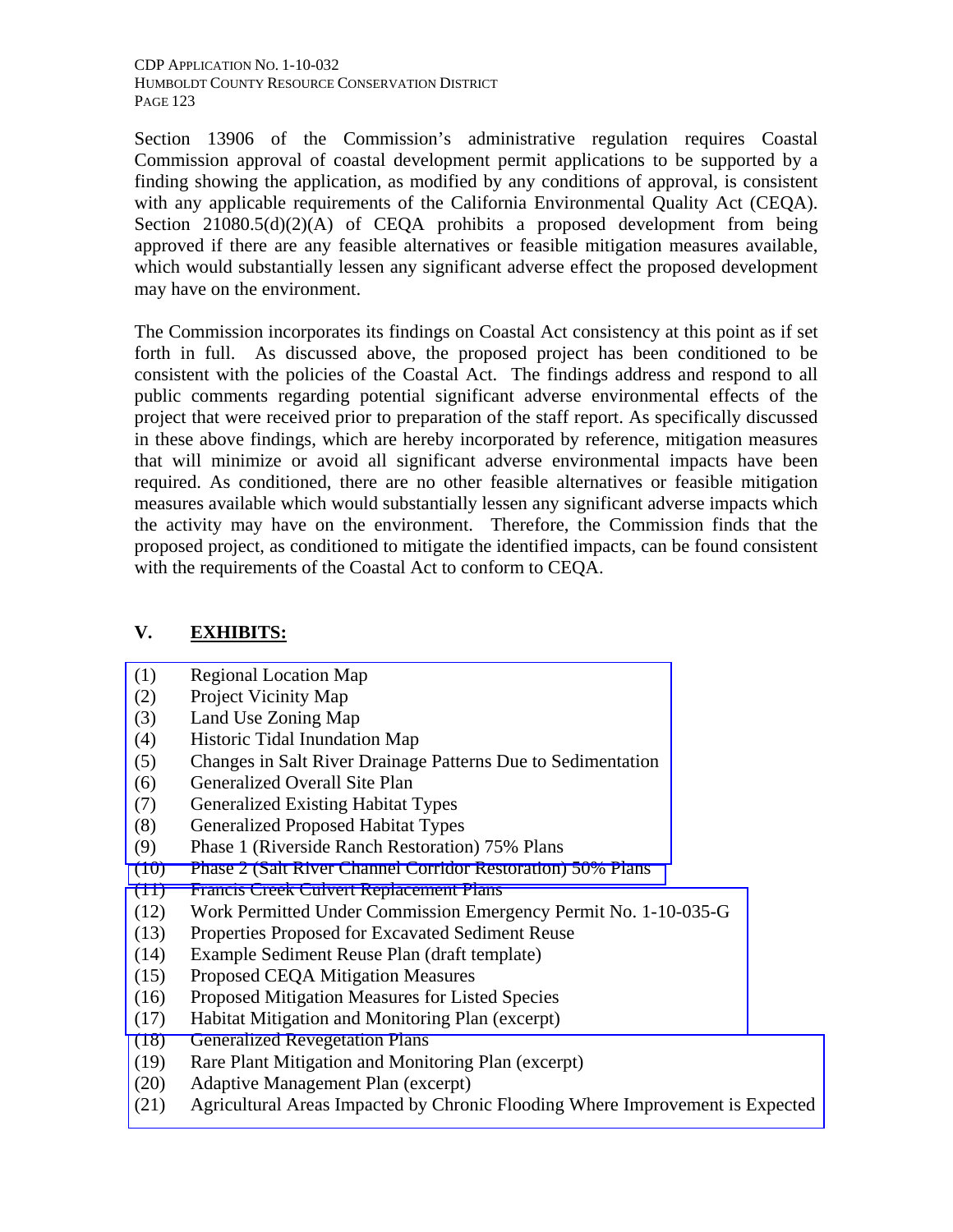Section 13906 of the Commission's administrative regulation requires Coastal Commission approval of coastal development permit applications to be supported by a finding showing the application, as modified by any conditions of approval, is consistent with any applicable requirements of the California Environmental Quality Act (CEQA). Section  $21080.5(d)(2)(A)$  of CEOA prohibits a proposed development from being approved if there are any feasible alternatives or feasible mitigation measures available, which would substantially lessen any significant adverse effect the proposed development may have on the environment.

The Commission incorporates its findings on Coastal Act consistency at this point as if set forth in full. As discussed above, the proposed project has been conditioned to be consistent with the policies of the Coastal Act. The findings address and respond to all public comments regarding potential significant adverse environmental effects of the project that were received prior to preparation of the staff report. As specifically discussed in these above findings, which are hereby incorporated by reference, mitigation measures that will minimize or avoid all significant adverse environmental impacts have been required. As conditioned, there are no other feasible alternatives or feasible mitigation measures available which would substantially lessen any significant adverse impacts which the activity may have on the environment. Therefore, the Commission finds that the proposed project, as conditioned to mitigate the identified impacts, can be found consistent with the requirements of the Coastal Act to conform to CEQA.

### **V. EXHIBITS:**

- (1) Regional Location Map
- (2) Project Vicinity Map
- (3) Land Use Zoning Map
- (4) Historic Tidal Inundation Map
- (5) [Changes in Salt River Drainage Patterns Due to Sedimentation](http://documents.coastal.ca.gov/reports/2011/10/W10b-10-2011-a1.pdf)
- (6) Generalized Overall Site Plan
- (7) Generalized Existing Habitat Types
- (8) Generalized Proposed Habitat Types
- (9) Phase 1 (Riverside Ranch Restoration) 75% Plans
- (10) [Phase 2 \(Salt River Channel Corridor Restoration\) 50% Plans](http://documents.coastal.ca.gov/reports/2011/10/W10b-10-2011-a2.pdf)
- (11) Francis Creek Culvert Replacement Plans
- (12) [Work Permitted Under Commission Emergency Permit No. 1-10-035-G](http://documents.coastal.ca.gov/reports/2011/10/W10b-10-2011-a3.pdf)
- (13) Properties Proposed for Excavated Sediment Reuse
- (14) Example Sediment Reuse Plan (draft template)
- (15) Proposed CEQA Mitigation Measures
- (16) Proposed Mitigation Measures for Listed Species
- (17) Habitat Mitigation and Monitoring Plan (excerpt)
- (18) Generalized Revegetation Plans
- (19) Rare Plant Mitigation and Monitoring Plan (excerpt)
- (20) Adaptive Management Plan (excerpt)
- (21) [Agricultural Areas Impacted by Chronic Flooding Where Improvement is Expected](http://documents.coastal.ca.gov/reports/2011/10/W10b-10-2011-a4.pdf)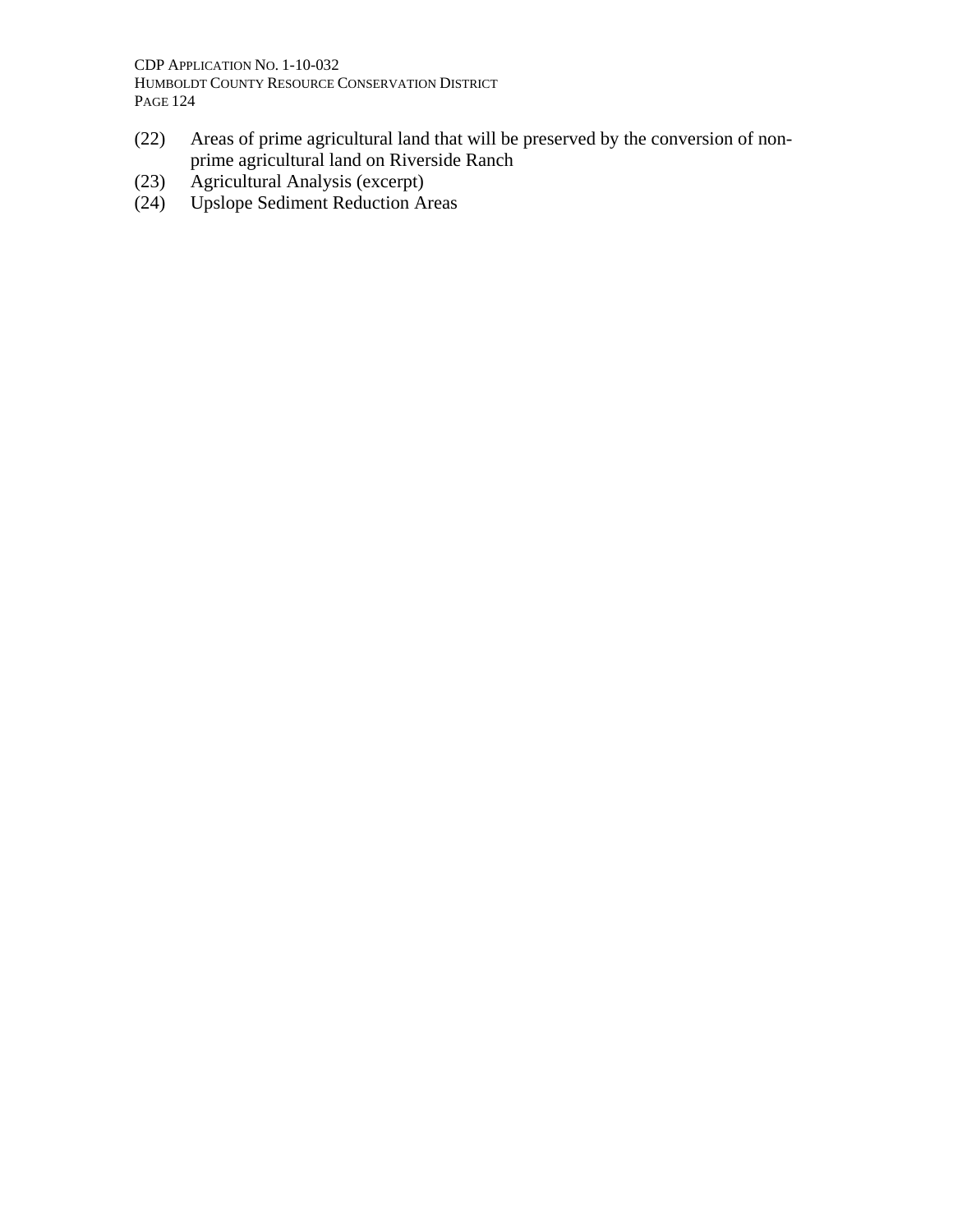CDP APPLICATION NO. 1-10-032 HUMBOLDT COUNTY RESOURCE CONSERVATION DISTRICT PAGE 124

- (22) Areas of prime agricultural land that will be preserved by the conversion of nonprime agricultural land on Riverside Ranch
- (23) Agricultural Analysis (excerpt)<br>(24) Upslope Sediment Reduction A
- Upslope Sediment Reduction Areas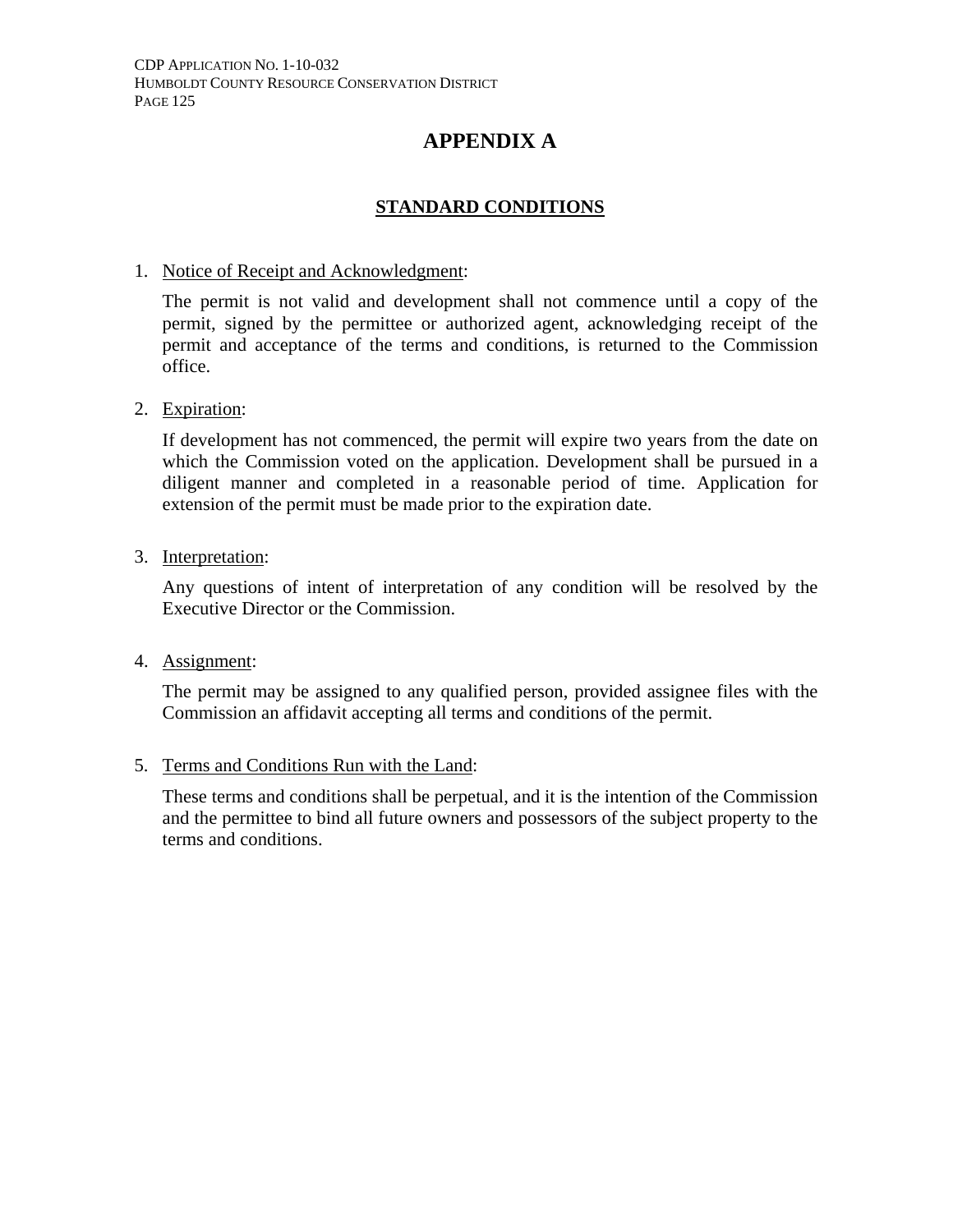CDP APPLICATION NO. 1-10-032 HUMBOLDT COUNTY RESOURCE CONSERVATION DISTRICT PAGE 125

# **APPENDIX A**

### **STANDARD CONDITIONS**

#### 1. Notice of Receipt and Acknowledgment:

The permit is not valid and development shall not commence until a copy of the permit, signed by the permittee or authorized agent, acknowledging receipt of the permit and acceptance of the terms and conditions, is returned to the Commission office.

#### 2. Expiration:

If development has not commenced, the permit will expire two years from the date on which the Commission voted on the application. Development shall be pursued in a diligent manner and completed in a reasonable period of time. Application for extension of the permit must be made prior to the expiration date.

#### 3. Interpretation:

Any questions of intent of interpretation of any condition will be resolved by the Executive Director or the Commission.

#### 4. Assignment:

The permit may be assigned to any qualified person, provided assignee files with the Commission an affidavit accepting all terms and conditions of the permit.

#### 5. Terms and Conditions Run with the Land:

These terms and conditions shall be perpetual, and it is the intention of the Commission and the permittee to bind all future owners and possessors of the subject property to the terms and conditions.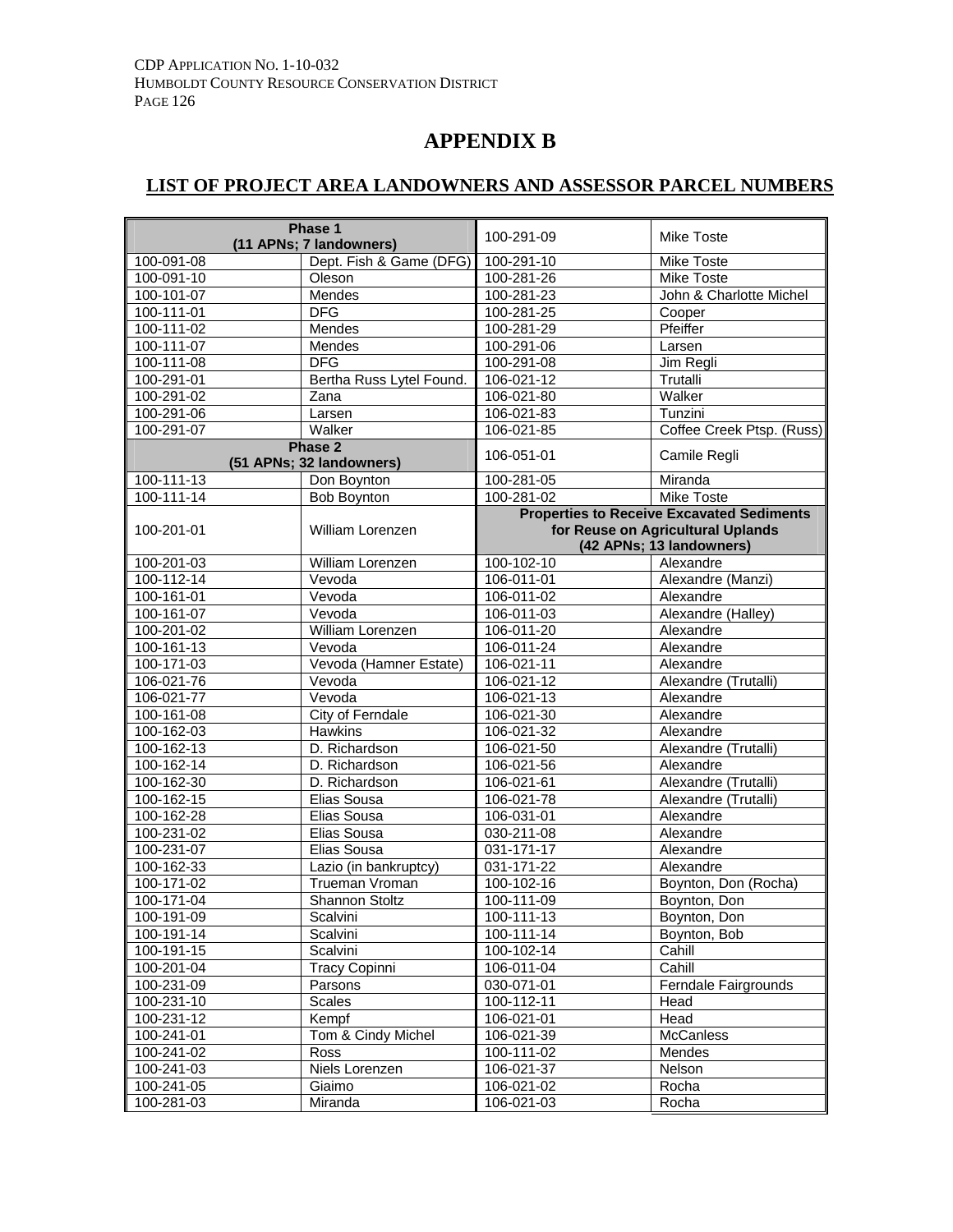# **APPENDIX B**

## **LIST OF PROJECT AREA LANDOWNERS AND ASSESSOR PARCEL NUMBERS**

|            | Phase 1<br>(11 APNs; 7 landowners) | 100-291-09       | <b>Mike Toste</b>                                |
|------------|------------------------------------|------------------|--------------------------------------------------|
| 100-091-08 | Dept. Fish & Game (DFG)            | 100-291-10       | <b>Mike Toste</b>                                |
| 100-091-10 | Oleson                             | 100-281-26       | <b>Mike Toste</b>                                |
| 100-101-07 | Mendes                             | 100-281-23       | John & Charlotte Michel                          |
| 100-111-01 | DFG                                | 100-281-25       | Cooper                                           |
| 100-111-02 | Mendes                             | 100-281-29       | Pfeiffer                                         |
| 100-111-07 | Mendes                             | 100-291-06       | Larsen                                           |
| 100-111-08 | <b>DFG</b>                         | 100-291-08       | Jim Regli                                        |
| 100-291-01 | Bertha Russ Lytel Found.           | 106-021-12       | Trutalli                                         |
| 100-291-02 | Zana                               | 106-021-80       | Walker                                           |
| 100-291-06 | Larsen                             | 106-021-83       | Tunzini                                          |
| 100-291-07 | Walker                             | 106-021-85       | Coffee Creek Ptsp. (Russ)                        |
|            | Phase 2                            |                  |                                                  |
|            | (51 APNs; 32 landowners)           | 106-051-01       | Camile Regli                                     |
| 100-111-13 | Don Boynton                        | 100-281-05       | Miranda                                          |
| 100-111-14 | <b>Bob Boynton</b>                 | 100-281-02       | <b>Mike Toste</b>                                |
|            |                                    |                  | <b>Properties to Receive Excavated Sediments</b> |
| 100-201-01 | <b>William Lorenzen</b>            |                  | for Reuse on Agricultural Uplands                |
|            |                                    |                  | (42 APNs; 13 landowners)                         |
| 100-201-03 | William Lorenzen                   | 100-102-10       | Alexandre                                        |
| 100-112-14 | Vevoda                             | 106-011-01       | Alexandre (Manzi)                                |
| 100-161-01 | Vevoda                             | 106-011-02       | Alexandre                                        |
| 100-161-07 | Vevoda                             | 106-011-03       | Alexandre (Halley)                               |
| 100-201-02 | William Lorenzen                   | $106 - 011 - 20$ | Alexandre                                        |
| 100-161-13 | Vevoda                             | 106-011-24       | Alexandre                                        |
| 100-171-03 | Vevoda (Hamner Estate)             | 106-021-11       | Alexandre                                        |
| 106-021-76 | Vevoda                             | 106-021-12       | Alexandre (Trutalli)                             |
| 106-021-77 | Vevoda                             | 106-021-13       | Alexandre                                        |
| 100-161-08 | City of Ferndale                   | 106-021-30       | Alexandre                                        |
| 100-162-03 | Hawkins                            | 106-021-32       | Alexandre                                        |
| 100-162-13 | D. Richardson                      | 106-021-50       | Alexandre (Trutalli)                             |
| 100-162-14 | D. Richardson                      | $106 - 021 - 56$ | Alexandre                                        |
| 100-162-30 | D. Richardson                      | 106-021-61       | Alexandre (Trutalli)                             |
| 100-162-15 | Elias Sousa                        | 106-021-78       | Alexandre (Trutalli)                             |
| 100-162-28 | Elias Sousa                        | 106-031-01       | Alexandre                                        |
| 100-231-02 | Elias Sousa                        | 030-211-08       | Alexandre                                        |
| 100-231-07 | Elias Sousa                        | 031-171-17       | Alexandre                                        |
| 100-162-33 | Lazio (in bankruptcy)              | 031-171-22       | Alexandre                                        |
| 100-171-02 | Trueman Vroman                     | 100-102-16       | Boynton, Don (Rocha)                             |
| 100-171-04 | Shannon Stoltz                     | 100-111-09       | Boynton, Don                                     |
| 100-191-09 | Scalvini                           | $100 - 111 - 13$ | Boynton, Don                                     |
| 100-191-14 | Scalvini                           | 100-111-14       | Boynton, Bob                                     |
| 100-191-15 | Scalvini                           | $100 - 102 - 14$ | Cahill                                           |
| 100-201-04 | <b>Tracy Copinni</b>               | 106-011-04       | Cahill                                           |
| 100-231-09 | Parsons                            | 030-071-01       | Ferndale Fairgrounds                             |
| 100-231-10 | Scales                             | 100-112-11       | Head                                             |
| 100-231-12 | Kempf                              | 106-021-01       | Head                                             |
| 100-241-01 | Tom & Cindy Michel                 | 106-021-39       | <b>McCanless</b>                                 |
| 100-241-02 | Ross                               | 100-111-02       | Mendes                                           |
| 100-241-03 | Niels Lorenzen                     | 106-021-37       | Nelson                                           |
| 100-241-05 | Giaimo                             | 106-021-02       | Rocha                                            |
| 100-281-03 | Miranda                            | 106-021-03       | Rocha                                            |